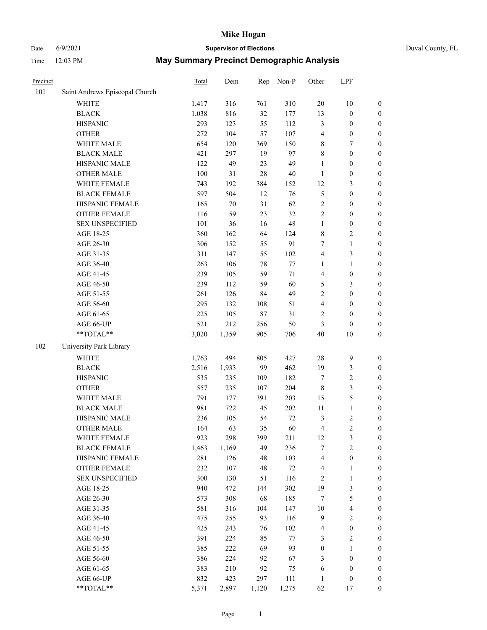# Date 6/9/2021 **Supervisor of Elections** Duval County, FL

| Precinct |                                | <b>Total</b> | Dem   | Rep    | Non-P  | Other            | LPF                     |                  |
|----------|--------------------------------|--------------|-------|--------|--------|------------------|-------------------------|------------------|
| 101      | Saint Andrews Episcopal Church |              |       |        |        |                  |                         |                  |
|          | <b>WHITE</b>                   | 1,417        | 316   | 761    | 310    | $20\,$           | $10\,$                  | 0                |
|          | <b>BLACK</b>                   | 1,038        | 816   | 32     | 177    | 13               | $\boldsymbol{0}$        | 0                |
|          | <b>HISPANIC</b>                | 293          | 123   | 55     | 112    | 3                | $\boldsymbol{0}$        | $\boldsymbol{0}$ |
|          | <b>OTHER</b>                   | 272          | 104   | 57     | 107    | 4                | $\boldsymbol{0}$        | $\boldsymbol{0}$ |
|          | WHITE MALE                     | 654          | 120   | 369    | 150    | 8                | 7                       | $\boldsymbol{0}$ |
|          | <b>BLACK MALE</b>              | 421          | 297   | 19     | 97     | 8                | $\boldsymbol{0}$        | $\boldsymbol{0}$ |
|          | HISPANIC MALE                  | 122          | 49    | 23     | 49     | 1                | $\boldsymbol{0}$        | $\boldsymbol{0}$ |
|          | <b>OTHER MALE</b>              | 100          | 31    | 28     | $40\,$ | $\mathbf{1}$     | $\boldsymbol{0}$        | $\boldsymbol{0}$ |
|          | WHITE FEMALE                   | 743          | 192   | 384    | 152    | 12               | $\mathfrak{Z}$          | $\boldsymbol{0}$ |
|          | <b>BLACK FEMALE</b>            | 597          | 504   | 12     | 76     | 5                | $\boldsymbol{0}$        | $\boldsymbol{0}$ |
|          | HISPANIC FEMALE                | 165          | 70    | 31     | 62     | $\sqrt{2}$       | $\boldsymbol{0}$        | $\boldsymbol{0}$ |
|          | OTHER FEMALE                   | 116          | 59    | 23     | 32     | $\overline{2}$   | $\boldsymbol{0}$        | $\boldsymbol{0}$ |
|          | <b>SEX UNSPECIFIED</b>         | 101          | 36    | 16     | 48     | $\mathbf{1}$     | $\boldsymbol{0}$        | $\boldsymbol{0}$ |
|          | AGE 18-25                      | 360          | 162   | 64     | 124    | 8                | $\sqrt{2}$              | $\boldsymbol{0}$ |
|          | AGE 26-30                      | 306          | 152   | 55     | 91     | 7                | $\mathbf{1}$            | $\boldsymbol{0}$ |
|          | AGE 31-35                      | 311          | 147   | 55     | 102    | 4                | $\mathfrak{Z}$          | $\boldsymbol{0}$ |
|          | AGE 36-40                      | 263          | 106   | 78     | $77\,$ | $\mathbf{1}$     | $\mathbf{1}$            | $\boldsymbol{0}$ |
|          | AGE 41-45                      | 239          | 105   | 59     | $71\,$ | $\overline{4}$   | $\boldsymbol{0}$        | $\boldsymbol{0}$ |
|          | AGE 46-50                      | 239          | 112   | 59     | 60     | 5                | $\mathfrak{Z}$          | $\boldsymbol{0}$ |
|          | AGE 51-55                      | 261          | 126   | 84     | 49     | $\overline{c}$   | $\boldsymbol{0}$        | $\boldsymbol{0}$ |
|          | AGE 56-60                      | 295          | 132   | 108    | 51     | $\overline{4}$   | $\boldsymbol{0}$        | $\boldsymbol{0}$ |
|          | AGE 61-65                      | 225          | 105   | $87\,$ | 31     | 2                | $\boldsymbol{0}$        | $\boldsymbol{0}$ |
|          | AGE 66-UP                      | 521          | 212   | 256    | 50     | 3                | $\boldsymbol{0}$        | $\boldsymbol{0}$ |
|          | **TOTAL**                      | 3,020        | 1,359 | 905    | 706    | 40               | $10\,$                  | $\boldsymbol{0}$ |
| 102      | University Park Library        |              |       |        |        |                  |                         |                  |
|          | <b>WHITE</b>                   | 1,763        | 494   | 805    | 427    | 28               | $\mathbf{9}$            | $\boldsymbol{0}$ |
|          | <b>BLACK</b>                   | 2,516        | 1,933 | 99     | 462    | 19               | $\mathfrak{Z}$          | $\boldsymbol{0}$ |
|          | <b>HISPANIC</b>                | 535          | 235   | 109    | 182    | 7                | $\sqrt{2}$              | $\boldsymbol{0}$ |
|          | <b>OTHER</b>                   | 557          | 235   | 107    | 204    | $\,$ 8 $\,$      | $\mathfrak{Z}$          | $\boldsymbol{0}$ |
|          | WHITE MALE                     | 791          | 177   | 391    | 203    | 15               | $\mathfrak{S}$          | $\boldsymbol{0}$ |
|          | <b>BLACK MALE</b>              | 981          | 722   | 45     | 202    | 11               | $\mathbf{1}$            | $\boldsymbol{0}$ |
|          | HISPANIC MALE                  | 236          | 105   | 54     | $72\,$ | $\mathfrak{Z}$   | $\sqrt{2}$              | $\boldsymbol{0}$ |
|          | OTHER MALE                     | 164          | 63    | 35     | 60     | 4                | $\overline{c}$          | $\boldsymbol{0}$ |
|          | WHITE FEMALE                   | 923          | 298   | 399    | 211    | 12               | 3                       | 0                |
|          | <b>BLACK FEMALE</b>            | 1,463        | 1,169 | 49     | 236    | 7                | $\sqrt{2}$              | $\boldsymbol{0}$ |
|          | HISPANIC FEMALE                | 281          | 126   | 48     | 103    | 4                | $\boldsymbol{0}$        | $\overline{0}$   |
|          | <b>OTHER FEMALE</b>            | 232          | 107   | 48     | $72\,$ | 4                | $\mathbf{1}$            | $\overline{0}$   |
|          | <b>SEX UNSPECIFIED</b>         | 300          | 130   | 51     | 116    | 2                | $\mathbf{1}$            | 0                |
|          | AGE 18-25                      | 940          | 472   | 144    | 302    | 19               | $\mathfrak{Z}$          | 0                |
|          | AGE 26-30                      | 573          | 308   | 68     | 185    | $\boldsymbol{7}$ | $\mathfrak{S}$          | 0                |
|          | AGE 31-35                      | 581          | 316   | 104    | 147    | $10\,$           | $\overline{\mathbf{4}}$ | 0                |
|          | AGE 36-40                      | 475          | 255   | 93     | 116    | $\overline{9}$   | $\sqrt{2}$              | 0                |
|          | AGE 41-45                      | 425          | 243   | 76     | 102    | 4                | $\boldsymbol{0}$        | 0                |
|          | AGE 46-50                      | 391          | 224   | 85     | $77\,$ | 3                | $\sqrt{2}$              | 0                |
|          | AGE 51-55                      | 385          | 222   | 69     | 93     | $\boldsymbol{0}$ | $\mathbf{1}$            | 0                |
|          | AGE 56-60                      | 386          | 224   | 92     | 67     | 3                | $\boldsymbol{0}$        | 0                |
|          | AGE 61-65                      | 383          | 210   | 92     | 75     | 6                | $\boldsymbol{0}$        | $\overline{0}$   |
|          | AGE 66-UP                      | 832          | 423   | 297    | 111    | $\mathbf{1}$     | $\boldsymbol{0}$        | 0                |
|          | **TOTAL**                      | 5,371        | 2,897 | 1,120  | 1,275  | 62               | 17                      | $\boldsymbol{0}$ |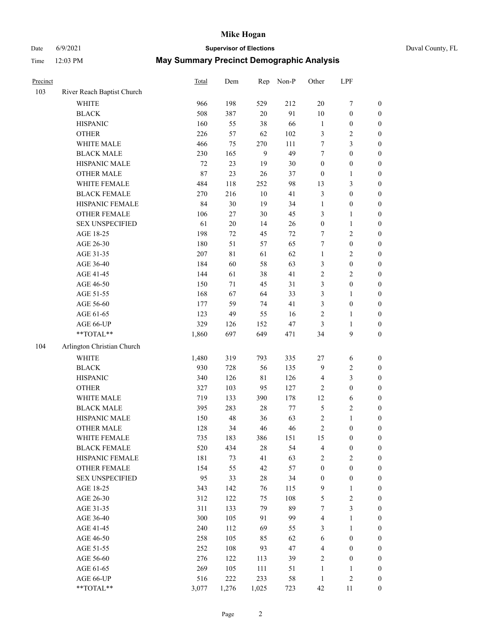# Date 6/9/2021 **Supervisor of Elections** Duval County, FL

| Precinct |                                                           | <b>Total</b> | Dem    | Rep          | Non-P  | Other            | LPF              |                  |
|----------|-----------------------------------------------------------|--------------|--------|--------------|--------|------------------|------------------|------------------|
| 103      | River Reach Baptist Church                                |              |        |              |        |                  |                  |                  |
|          | <b>WHITE</b>                                              | 966          | 198    | 529          | 212    | $20\,$           | $\boldsymbol{7}$ | 0                |
|          | <b>BLACK</b>                                              | 508          | 387    | $20\,$       | 91     | $10\,$           | $\boldsymbol{0}$ | $\boldsymbol{0}$ |
|          | <b>HISPANIC</b>                                           | 160          | 55     | 38           | 66     | $\mathbf{1}$     | $\boldsymbol{0}$ | $\boldsymbol{0}$ |
|          | <b>OTHER</b>                                              | 226          | 57     | 62           | 102    | 3                | $\sqrt{2}$       | $\boldsymbol{0}$ |
|          | WHITE MALE                                                | 466          | 75     | 270          | 111    | 7                | 3                | $\boldsymbol{0}$ |
|          | <b>BLACK MALE</b>                                         | 230          | 165    | $\mathbf{9}$ | 49     | 7                | $\boldsymbol{0}$ | $\boldsymbol{0}$ |
|          | HISPANIC MALE                                             | 72           | 23     | 19           | $30\,$ | $\boldsymbol{0}$ | $\boldsymbol{0}$ | $\boldsymbol{0}$ |
|          | <b>OTHER MALE</b>                                         | 87           | 23     | 26           | 37     | $\boldsymbol{0}$ | $\mathbf{1}$     | $\boldsymbol{0}$ |
|          | WHITE FEMALE                                              | 484          | 118    | 252          | 98     | 13               | $\mathfrak{Z}$   | $\boldsymbol{0}$ |
|          | <b>BLACK FEMALE</b>                                       | 270          | 216    | $10\,$       | 41     | 3                | $\boldsymbol{0}$ | $\boldsymbol{0}$ |
|          | HISPANIC FEMALE                                           | 84           | 30     | 19           | 34     | $\mathbf{1}$     | $\boldsymbol{0}$ | 0                |
|          | <b>OTHER FEMALE</b>                                       | 106          | $27\,$ | 30           | 45     | 3                | $\mathbf{1}$     | $\boldsymbol{0}$ |
|          | <b>SEX UNSPECIFIED</b>                                    | 61           | $20\,$ | 14           | 26     | $\boldsymbol{0}$ | $\mathbf{1}$     | $\boldsymbol{0}$ |
|          | AGE 18-25                                                 | 198          | 72     | 45           | $72\,$ | 7                | $\sqrt{2}$       | $\boldsymbol{0}$ |
|          | AGE 26-30                                                 | 180          | 51     | 57           | 65     | 7                | $\boldsymbol{0}$ | $\boldsymbol{0}$ |
|          | AGE 31-35                                                 | 207          | $81\,$ | 61           | 62     | $\mathbf{1}$     | $\sqrt{2}$       | $\boldsymbol{0}$ |
|          | AGE 36-40                                                 | 184          | 60     | 58           | 63     | 3                | $\boldsymbol{0}$ | $\boldsymbol{0}$ |
|          | AGE 41-45                                                 | 144          | 61     | 38           | 41     | $\overline{c}$   | $\mathbf{2}$     | $\boldsymbol{0}$ |
|          | AGE 46-50                                                 | 150          | 71     | 45           | 31     | 3                | $\boldsymbol{0}$ | $\boldsymbol{0}$ |
|          | AGE 51-55                                                 | 168          | 67     | 64           | 33     | 3                | 1                | 0                |
|          | AGE 56-60                                                 | 177          | 59     | 74           | 41     | 3                | $\boldsymbol{0}$ | 0                |
|          | AGE 61-65                                                 | 123          | 49     | 55           | 16     | 2                | $\mathbf{1}$     | 0                |
|          | AGE 66-UP                                                 | 329          | 126    | 152          | 47     | 3                | $\mathbf{1}$     | $\boldsymbol{0}$ |
|          | $\mathrm{*}\mathrm{*}\mathrm{TOTAL} \mathrm{*}\mathrm{*}$ | 1,860        | 697    | 649          | 471    | 34               | $\boldsymbol{9}$ | $\boldsymbol{0}$ |
| 104      | Arlington Christian Church                                |              |        |              |        |                  |                  |                  |
|          | <b>WHITE</b>                                              | 1,480        | 319    | 793          | 335    | $27\,$           | 6                | $\boldsymbol{0}$ |
|          | <b>BLACK</b>                                              | 930          | 728    | 56           | 135    | 9                | $\sqrt{2}$       | $\boldsymbol{0}$ |
|          | <b>HISPANIC</b>                                           | 340          | 126    | $8\sqrt{1}$  | 126    | 4                | 3                | $\boldsymbol{0}$ |
|          | <b>OTHER</b>                                              | 327          | 103    | 95           | 127    | 2                | $\boldsymbol{0}$ | $\boldsymbol{0}$ |
|          | WHITE MALE                                                | 719          | 133    | 390          | 178    | 12               | 6                | $\boldsymbol{0}$ |
|          | <b>BLACK MALE</b>                                         | 395          | 283    | $28\,$       | $77\,$ | 5                | $\sqrt{2}$       | $\boldsymbol{0}$ |
|          | HISPANIC MALE                                             | 150          | 48     | 36           | 63     | 2                | $\mathbf{1}$     | $\boldsymbol{0}$ |
|          | <b>OTHER MALE</b>                                         | 128          | 34     | 46           | 46     | $\overline{c}$   | $\boldsymbol{0}$ | $\boldsymbol{0}$ |
|          | WHITE FEMALE                                              | 735          | 183    | 386          | 151    | 15               | 0                | 0                |
|          | <b>BLACK FEMALE</b>                                       | 520          | 434    | 28           | 54     | 4                | $\boldsymbol{0}$ | $\overline{0}$   |
|          | HISPANIC FEMALE                                           | 181          | 73     | 41           | 63     | 2                | $\sqrt{2}$       | $\overline{0}$   |
|          | OTHER FEMALE                                              | 154          | 55     | 42           | 57     | $\boldsymbol{0}$ | $\boldsymbol{0}$ | $\overline{0}$   |
|          | <b>SEX UNSPECIFIED</b>                                    | 95           | 33     | $28\,$       | 34     | $\boldsymbol{0}$ | $\boldsymbol{0}$ | 0                |
|          | AGE 18-25                                                 | 343          | 142    | 76           | 115    | 9                | $\mathbf{1}$     | 0                |
|          | AGE 26-30                                                 | 312          | 122    | 75           | 108    | 5                | $\sqrt{2}$       | 0                |
|          | AGE 31-35                                                 | 311          | 133    | 79           | 89     | 7                | 3                | 0                |
|          | AGE 36-40                                                 | 300          | 105    | 91           | 99     | 4                | $\mathbf{1}$     | 0                |
|          | AGE 41-45                                                 | 240          | 112    | 69           | 55     | 3                | $\mathbf{1}$     | 0                |
|          | AGE 46-50                                                 | 258          | 105    | 85           | 62     | 6                | $\boldsymbol{0}$ | 0                |
|          | AGE 51-55                                                 | 252          | 108    | 93           | 47     | 4                | $\boldsymbol{0}$ | 0                |
|          | AGE 56-60                                                 | 276          | 122    | 113          | 39     | 2                | $\boldsymbol{0}$ | $\overline{0}$   |
|          | AGE 61-65                                                 | 269          | 105    | 111          | 51     | $\mathbf{1}$     | $\mathbf{1}$     | 0                |
|          | AGE 66-UP                                                 | 516          | 222    | 233          | 58     | $\mathbf{1}$     | $\sqrt{2}$       | 0                |
|          | **TOTAL**                                                 | 3,077        | 1,276  | 1,025        | 723    | 42               | 11               | $\boldsymbol{0}$ |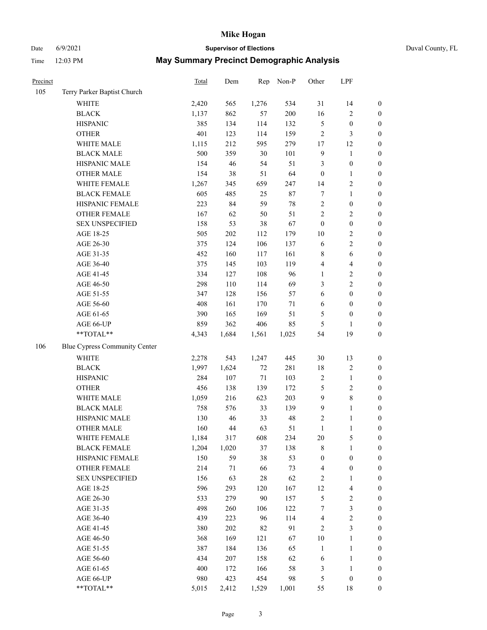## Date 6/9/2021 **Supervisor of Elections** Duval County, FL

| Precinct |                               | Total | Dem   | Rep    | Non-P  | Other            | LPF                     |                  |
|----------|-------------------------------|-------|-------|--------|--------|------------------|-------------------------|------------------|
| 105      | Terry Parker Baptist Church   |       |       |        |        |                  |                         |                  |
|          | <b>WHITE</b>                  | 2,420 | 565   | 1,276  | 534    | 31               | 14                      | $\boldsymbol{0}$ |
|          | <b>BLACK</b>                  | 1,137 | 862   | 57     | 200    | 16               | $\sqrt{2}$              | $\boldsymbol{0}$ |
|          | <b>HISPANIC</b>               | 385   | 134   | 114    | 132    | 5                | $\boldsymbol{0}$        | $\boldsymbol{0}$ |
|          | <b>OTHER</b>                  | 401   | 123   | 114    | 159    | $\overline{c}$   | $\mathfrak{Z}$          | $\boldsymbol{0}$ |
|          | WHITE MALE                    | 1,115 | 212   | 595    | 279    | 17               | 12                      | $\boldsymbol{0}$ |
|          | <b>BLACK MALE</b>             | 500   | 359   | $30\,$ | 101    | $\overline{9}$   | $\mathbf{1}$            | $\boldsymbol{0}$ |
|          | HISPANIC MALE                 | 154   | 46    | 54     | 51     | 3                | $\boldsymbol{0}$        | $\boldsymbol{0}$ |
|          | <b>OTHER MALE</b>             | 154   | 38    | 51     | 64     | $\boldsymbol{0}$ | $\mathbf{1}$            | 0                |
|          | WHITE FEMALE                  | 1,267 | 345   | 659    | 247    | 14               | $\sqrt{2}$              | 0                |
|          | <b>BLACK FEMALE</b>           | 605   | 485   | 25     | $87\,$ | 7                | $\mathbf{1}$            | 0                |
|          | HISPANIC FEMALE               | 223   | 84    | 59     | $78\,$ | $\sqrt{2}$       | $\boldsymbol{0}$        | $\boldsymbol{0}$ |
|          | OTHER FEMALE                  | 167   | 62    | 50     | 51     | $\sqrt{2}$       | $\sqrt{2}$              | $\boldsymbol{0}$ |
|          | <b>SEX UNSPECIFIED</b>        | 158   | 53    | 38     | 67     | $\boldsymbol{0}$ | $\boldsymbol{0}$        | $\boldsymbol{0}$ |
|          | AGE 18-25                     | 505   | 202   | 112    | 179    | 10               | $\sqrt{2}$              | $\boldsymbol{0}$ |
|          | AGE 26-30                     | 375   | 124   | 106    | 137    | 6                | $\sqrt{2}$              | $\boldsymbol{0}$ |
|          | AGE 31-35                     | 452   | 160   | 117    | 161    | 8                | $\sqrt{6}$              | $\boldsymbol{0}$ |
|          | AGE 36-40                     | 375   | 145   | 103    | 119    | 4                | $\overline{\mathbf{4}}$ | $\boldsymbol{0}$ |
|          | AGE 41-45                     | 334   | 127   | 108    | 96     | $\mathbf{1}$     | $\sqrt{2}$              | $\boldsymbol{0}$ |
|          | AGE 46-50                     | 298   | 110   | 114    | 69     | 3                | $\overline{2}$          | 0                |
|          | AGE 51-55                     | 347   | 128   | 156    | 57     | 6                | $\boldsymbol{0}$        | $\boldsymbol{0}$ |
|          | AGE 56-60                     | 408   | 161   | 170    | $71\,$ | 6                | $\boldsymbol{0}$        | $\boldsymbol{0}$ |
|          | AGE 61-65                     | 390   | 165   | 169    | 51     | 5                | $\boldsymbol{0}$        | $\boldsymbol{0}$ |
|          | AGE 66-UP                     | 859   | 362   | 406    | 85     | 5                | 1                       | $\boldsymbol{0}$ |
|          | $**TOTAL**$                   | 4,343 | 1,684 | 1,561  | 1,025  | 54               | 19                      | $\boldsymbol{0}$ |
| 106      | Blue Cypress Community Center |       |       |        |        |                  |                         |                  |
|          | <b>WHITE</b>                  | 2,278 | 543   | 1,247  | 445    | 30               | 13                      | $\boldsymbol{0}$ |
|          | <b>BLACK</b>                  | 1,997 | 1,624 | $72\,$ | 281    | 18               | $\sqrt{2}$              | $\boldsymbol{0}$ |
|          | <b>HISPANIC</b>               | 284   | 107   | $71\,$ | 103    | $\overline{c}$   | $\mathbf{1}$            | $\boldsymbol{0}$ |
|          | <b>OTHER</b>                  | 456   | 138   | 139    | 172    | 5                | $\sqrt{2}$              | $\boldsymbol{0}$ |
|          | WHITE MALE                    | 1,059 | 216   | 623    | 203    | $\overline{9}$   | $\,8\,$                 | $\boldsymbol{0}$ |
|          | <b>BLACK MALE</b>             | 758   | 576   | 33     | 139    | $\overline{9}$   | $\mathbf{1}$            | 0                |
|          | HISPANIC MALE                 | 130   | 46    | 33     | 48     | 2                | $\mathbf{1}$            | 0                |
|          | <b>OTHER MALE</b>             | 160   | 44    | 63     | 51     | $\mathbf{1}$     | $\mathbf{1}$            | $\boldsymbol{0}$ |
|          | WHITE FEMALE                  | 1,184 | 317   | 608    | 234    | 20               | $\mathfrak s$           | $\boldsymbol{0}$ |
|          | <b>BLACK FEMALE</b>           | 1,204 | 1,020 | 37     | 138    | 8                | $\mathbf{1}$            | $\boldsymbol{0}$ |
|          | HISPANIC FEMALE               | 150   | 59    | 38     | 53     | $\boldsymbol{0}$ | $\boldsymbol{0}$        | $\overline{0}$   |
|          | <b>OTHER FEMALE</b>           | 214   | 71    | 66     | 73     | $\overline{4}$   | $\boldsymbol{0}$        | $\overline{0}$   |
|          | <b>SEX UNSPECIFIED</b>        | 156   | 63    | $28\,$ | 62     | $\sqrt{2}$       | $\mathbf{1}$            | $\overline{0}$   |
|          | AGE 18-25                     | 596   | 293   | 120    | 167    | 12               | $\overline{\mathbf{4}}$ | 0                |
|          | AGE 26-30                     | 533   | 279   | 90     | 157    | 5                | $\sqrt{2}$              | 0                |
|          | AGE 31-35                     | 498   | 260   | 106    | 122    | 7                | $\mathfrak{Z}$          | 0                |
|          | AGE 36-40                     | 439   | 223   | 96     | 114    | 4                | $\sqrt{2}$              | $\boldsymbol{0}$ |
|          | AGE 41-45                     | 380   | 202   | 82     | 91     | $\overline{2}$   | $\mathfrak{Z}$          | $\boldsymbol{0}$ |
|          | AGE 46-50                     | 368   | 169   | 121    | 67     | 10               | $\mathbf{1}$            | $\boldsymbol{0}$ |
|          | AGE 51-55                     | 387   | 184   | 136    | 65     | $\mathbf{1}$     | $\mathbf{1}$            | $\boldsymbol{0}$ |
|          | AGE 56-60                     | 434   | 207   | 158    | 62     | 6                | $\mathbf{1}$            | $\boldsymbol{0}$ |
|          | AGE 61-65                     | 400   | 172   | 166    | 58     | $\mathfrak{Z}$   | $\mathbf{1}$            | $\boldsymbol{0}$ |
|          | AGE 66-UP                     | 980   | 423   | 454    | 98     | 5                | $\boldsymbol{0}$        | $\boldsymbol{0}$ |
|          | **TOTAL**                     | 5,015 | 2,412 | 1,529  | 1,001  | 55               | $18\,$                  | $\overline{0}$   |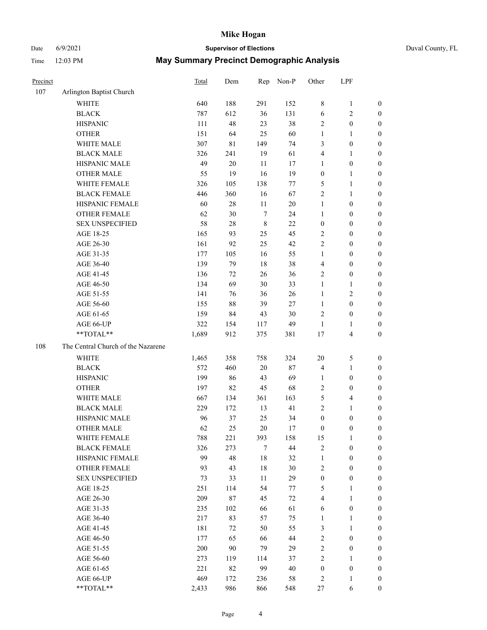## Date 6/9/2021 **Supervisor of Elections** Duval County, FL

| Precinct |                                    | Total | Dem        | Rep         | Non-P  | Other                | LPF                                     |                                      |
|----------|------------------------------------|-------|------------|-------------|--------|----------------------|-----------------------------------------|--------------------------------------|
| 107      | Arlington Baptist Church           |       |            |             |        |                      |                                         |                                      |
|          | <b>WHITE</b>                       | 640   | 188        | 291         | 152    | 8                    | $\mathbf{1}$                            | 0                                    |
|          | <b>BLACK</b>                       | 787   | 612        | 36          | 131    | $\sqrt{6}$           | $\sqrt{2}$                              | 0                                    |
|          | <b>HISPANIC</b>                    | 111   | 48         | 23          | 38     | $\mathbf{2}$         | $\boldsymbol{0}$                        | $\boldsymbol{0}$                     |
|          | <b>OTHER</b>                       | 151   | 64         | 25          | 60     | 1                    | 1                                       | $\boldsymbol{0}$                     |
|          | WHITE MALE                         | 307   | 81         | 149         | 74     | 3                    | $\boldsymbol{0}$                        | $\boldsymbol{0}$                     |
|          | <b>BLACK MALE</b>                  | 326   | 241        | 19          | 61     | 4                    | $\mathbf{1}$                            | $\boldsymbol{0}$                     |
|          | HISPANIC MALE                      | 49    | $20\,$     | 11          | 17     | $\mathbf{1}$         | $\boldsymbol{0}$                        | $\boldsymbol{0}$                     |
|          | <b>OTHER MALE</b>                  | 55    | 19         | 16          | 19     | $\boldsymbol{0}$     | $\mathbf{1}$                            | $\boldsymbol{0}$                     |
|          | WHITE FEMALE                       | 326   | 105        | 138         | 77     | 5                    | $\mathbf{1}$                            | $\boldsymbol{0}$                     |
|          | <b>BLACK FEMALE</b>                | 446   | 360        | 16          | 67     | $\sqrt{2}$           | $\mathbf{1}$                            | 0                                    |
|          | HISPANIC FEMALE                    | 60    | $28\,$     | 11          | 20     | $\mathbf{1}$         | $\boldsymbol{0}$                        | 0                                    |
|          | OTHER FEMALE                       | 62    | 30         | $\tau$      | 24     | $\mathbf{1}$         | $\boldsymbol{0}$                        | $\boldsymbol{0}$                     |
|          | <b>SEX UNSPECIFIED</b>             | 58    | $28\,$     | $\,$ 8 $\,$ | 22     | $\boldsymbol{0}$     | $\boldsymbol{0}$                        | $\boldsymbol{0}$                     |
|          | AGE 18-25                          | 165   | 93         | 25          | 45     | $\sqrt{2}$           | $\boldsymbol{0}$                        | $\boldsymbol{0}$                     |
|          | AGE 26-30                          | 161   | 92         | 25          | 42     | 2                    | $\boldsymbol{0}$                        | $\boldsymbol{0}$                     |
|          | AGE 31-35                          | 177   | 105        | 16          | 55     | $\mathbf{1}$         | $\boldsymbol{0}$                        | $\boldsymbol{0}$                     |
|          | AGE 36-40                          | 139   | 79         | 18          | 38     | 4                    | $\boldsymbol{0}$                        | $\boldsymbol{0}$                     |
|          | AGE 41-45                          | 136   | 72         | 26          | 36     | $\mathfrak{2}$       | $\boldsymbol{0}$                        | $\boldsymbol{0}$                     |
|          | AGE 46-50                          | 134   | 69         | 30          | 33     | $\mathbf{1}$         | $\mathbf{1}$                            | $\boldsymbol{0}$                     |
|          | AGE 51-55                          | 141   | 76         | 36          | 26     | $\mathbf{1}$         | $\sqrt{2}$                              | $\boldsymbol{0}$                     |
|          | AGE 56-60                          | 155   | $88\,$     | 39          | 27     | $\mathbf{1}$         | $\boldsymbol{0}$                        |                                      |
|          | AGE 61-65                          | 159   | 84         | 43          | 30     | $\mathfrak{2}$       | $\boldsymbol{0}$                        | 0<br>0                               |
|          | AGE 66-UP                          | 322   |            |             | 49     |                      |                                         |                                      |
|          | **TOTAL**                          | 1,689 | 154<br>912 | 117<br>375  | 381    | $\mathbf{1}$<br>$17$ | $\mathbf{1}$<br>$\overline{\mathbf{4}}$ | $\boldsymbol{0}$<br>$\boldsymbol{0}$ |
|          |                                    |       |            |             |        |                      |                                         |                                      |
| 108      | The Central Church of the Nazarene |       |            |             |        |                      |                                         |                                      |
|          | <b>WHITE</b>                       | 1,465 | 358        | 758         | 324    | $20\,$               | $\mathfrak{S}$                          | $\boldsymbol{0}$                     |
|          | <b>BLACK</b>                       | 572   | 460        | 20          | 87     | 4                    | $\mathbf{1}$                            | $\boldsymbol{0}$                     |
|          | <b>HISPANIC</b>                    | 199   | 86         | 43          | 69     | $\mathbf{1}$         | $\boldsymbol{0}$                        | $\boldsymbol{0}$                     |
|          | <b>OTHER</b>                       | 197   | 82         | 45          | 68     | $\mathfrak{2}$       | $\boldsymbol{0}$                        | $\boldsymbol{0}$                     |
|          | WHITE MALE                         | 667   | 134        | 361         | 163    | 5                    | $\overline{\mathbf{4}}$                 | $\boldsymbol{0}$                     |
|          | <b>BLACK MALE</b>                  | 229   | 172        | 13          | 41     | $\overline{c}$       | $\mathbf{1}$                            | $\boldsymbol{0}$                     |
|          | HISPANIC MALE                      | 96    | 37         | 25          | 34     | $\boldsymbol{0}$     | $\boldsymbol{0}$                        | 0                                    |
|          | <b>OTHER MALE</b>                  | 62    | 25         | 20          | 17     | $\boldsymbol{0}$     | $\boldsymbol{0}$                        | $\boldsymbol{0}$                     |
|          | WHITE FEMALE                       | 788   | 221        | 393         | 158    | 15                   | 1                                       | 0                                    |
|          | <b>BLACK FEMALE</b>                | 326   | 273        | 7           | 44     | $\mathbf{2}$         | $\boldsymbol{0}$                        | $\overline{0}$                       |
|          | HISPANIC FEMALE                    | 99    | 48         | 18          | 32     | $\mathbf{1}$         | $\boldsymbol{0}$                        | $\overline{0}$                       |
|          | OTHER FEMALE                       | 93    | 43         | 18          | 30     | $\sqrt{2}$           | $\boldsymbol{0}$                        | $\overline{0}$                       |
|          | <b>SEX UNSPECIFIED</b>             | 73    | 33         | 11          | 29     | $\boldsymbol{0}$     | $\boldsymbol{0}$                        | 0                                    |
|          | AGE 18-25                          | 251   | 114        | 54          | 77     | 5                    | $\mathbf{1}$                            | 0                                    |
|          | AGE 26-30                          | 209   | $87\,$     | 45          | $72\,$ | $\overline{4}$       | $\mathbf{1}$                            | 0                                    |
|          | AGE 31-35                          | 235   | 102        | 66          | 61     | 6                    | $\boldsymbol{0}$                        | 0                                    |
|          | AGE 36-40                          | 217   | 83         | 57          | 75     | $\mathbf{1}$         | $\mathbf{1}$                            | 0                                    |
|          | AGE 41-45                          | 181   | 72         | 50          | 55     | 3                    | $\mathbf{1}$                            | 0                                    |
|          | AGE 46-50                          | 177   | 65         | 66          | 44     | 2                    | $\boldsymbol{0}$                        | 0                                    |
|          | AGE 51-55                          | 200   | 90         | 79          | 29     | $\overline{c}$       | $\boldsymbol{0}$                        | 0                                    |
|          | AGE 56-60                          | 273   | 119        | 114         | 37     | $\mathbf{2}$         | $\mathbf{1}$                            | $\overline{0}$                       |
|          | AGE 61-65                          | 221   | 82         | 99          | 40     | $\boldsymbol{0}$     | $\boldsymbol{0}$                        | $\overline{0}$                       |
|          | AGE 66-UP                          | 469   | 172        | 236         | 58     | 2                    | $\mathbf{1}$                            | $\boldsymbol{0}$                     |
|          | **TOTAL**                          | 2,433 | 986        | 866         | 548    | 27                   | 6                                       | $\boldsymbol{0}$                     |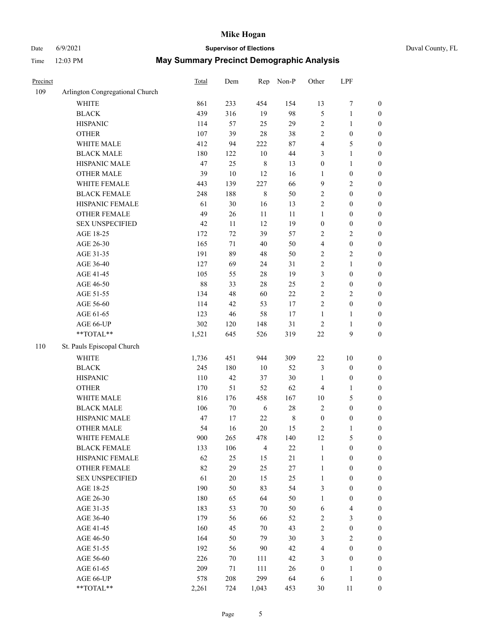# Date 6/9/2021 **Supervisor of Elections** Duval County, FL

| Precinct |                                 | <b>Total</b> | Dem    | Rep            | Non-P   | Other            | LPF              |                  |
|----------|---------------------------------|--------------|--------|----------------|---------|------------------|------------------|------------------|
| 109      | Arlington Congregational Church |              |        |                |         |                  |                  |                  |
|          | <b>WHITE</b>                    | 861          | 233    | 454            | 154     | 13               | $\boldsymbol{7}$ | 0                |
|          | <b>BLACK</b>                    | 439          | 316    | 19             | 98      | 5                | $\mathbf{1}$     | $\boldsymbol{0}$ |
|          | <b>HISPANIC</b>                 | 114          | 57     | 25             | 29      | 2                | $\mathbf{1}$     | $\boldsymbol{0}$ |
|          | <b>OTHER</b>                    | 107          | 39     | 28             | 38      | 2                | $\boldsymbol{0}$ | $\boldsymbol{0}$ |
|          | WHITE MALE                      | 412          | 94     | 222            | $87\,$  | 4                | 5                | $\boldsymbol{0}$ |
|          | <b>BLACK MALE</b>               | 180          | 122    | 10             | $44\,$  | 3                | $\mathbf{1}$     | $\boldsymbol{0}$ |
|          | HISPANIC MALE                   | 47           | 25     | $\,$ 8 $\,$    | 13      | $\boldsymbol{0}$ | $\mathbf{1}$     | $\boldsymbol{0}$ |
|          | <b>OTHER MALE</b>               | 39           | $10\,$ | 12             | 16      | $\mathbf{1}$     | $\boldsymbol{0}$ | $\boldsymbol{0}$ |
|          | WHITE FEMALE                    | 443          | 139    | 227            | 66      | 9                | $\sqrt{2}$       | $\boldsymbol{0}$ |
|          | <b>BLACK FEMALE</b>             | 248          | 188    | $\,$ 8 $\,$    | 50      | $\overline{c}$   | $\boldsymbol{0}$ | $\boldsymbol{0}$ |
|          | HISPANIC FEMALE                 | 61           | $30\,$ | 16             | 13      | $\overline{c}$   | $\boldsymbol{0}$ | $\boldsymbol{0}$ |
|          | <b>OTHER FEMALE</b>             | 49           | 26     | 11             | $11\,$  | $\mathbf{1}$     | $\boldsymbol{0}$ | $\boldsymbol{0}$ |
|          | <b>SEX UNSPECIFIED</b>          | 42           | 11     | 12             | 19      | $\boldsymbol{0}$ | $\boldsymbol{0}$ | $\boldsymbol{0}$ |
|          | AGE 18-25                       | 172          | 72     | 39             | 57      | 2                | $\sqrt{2}$       | $\boldsymbol{0}$ |
|          | AGE 26-30                       | 165          | 71     | 40             | 50      | 4                | $\boldsymbol{0}$ | $\boldsymbol{0}$ |
|          | AGE 31-35                       | 191          | 89     | 48             | 50      | $\overline{c}$   | $\sqrt{2}$       | $\boldsymbol{0}$ |
|          | AGE 36-40                       | 127          | 69     | 24             | 31      | $\overline{c}$   | $\mathbf{1}$     | $\boldsymbol{0}$ |
|          | AGE 41-45                       | 105          | 55     | $28\,$         | 19      | 3                | $\boldsymbol{0}$ | $\boldsymbol{0}$ |
|          | AGE 46-50                       | 88           | 33     | $28\,$         | 25      | $\overline{c}$   | $\boldsymbol{0}$ | $\boldsymbol{0}$ |
|          | AGE 51-55                       | 134          | 48     | 60             | $22\,$  | $\overline{c}$   | $\sqrt{2}$       | $\boldsymbol{0}$ |
|          | AGE 56-60                       | 114          | 42     | 53             | 17      | $\overline{c}$   | $\boldsymbol{0}$ | 0                |
|          | AGE 61-65                       | 123          | 46     | 58             | 17      | $\mathbf{1}$     | $\mathbf{1}$     | $\boldsymbol{0}$ |
|          | AGE 66-UP                       | 302          | 120    | 148            | 31      | $\sqrt{2}$       | $\mathbf{1}$     | $\boldsymbol{0}$ |
|          | $**TOTAL**$                     | 1,521        | 645    | 526            | 319     | $22\,$           | $\boldsymbol{9}$ | $\boldsymbol{0}$ |
| 110      | St. Pauls Episcopal Church      |              |        |                |         |                  |                  |                  |
|          | <b>WHITE</b>                    | 1,736        | 451    | 944            | 309     | $22\,$           | $10\,$           | $\boldsymbol{0}$ |
|          | <b>BLACK</b>                    | 245          | 180    | $10\,$         | 52      | 3                | $\boldsymbol{0}$ | $\boldsymbol{0}$ |
|          | <b>HISPANIC</b>                 | 110          | 42     | 37             | $30\,$  | $\mathbf{1}$     | $\boldsymbol{0}$ | $\boldsymbol{0}$ |
|          | <b>OTHER</b>                    | 170          | 51     | 52             | 62      | 4                | $\mathbf{1}$     | $\boldsymbol{0}$ |
|          | WHITE MALE                      | 816          | 176    | 458            | 167     | $10\,$           | 5                | $\boldsymbol{0}$ |
|          | <b>BLACK MALE</b>               | 106          | $70\,$ | 6              | $28\,$  | $\overline{2}$   | $\boldsymbol{0}$ | $\boldsymbol{0}$ |
|          | HISPANIC MALE                   | 47           | 17     | $22\,$         | $\,8\,$ | $\boldsymbol{0}$ | $\boldsymbol{0}$ | $\boldsymbol{0}$ |
|          | <b>OTHER MALE</b>               | 54           | 16     | 20             | 15      | 2                | $\mathbf{1}$     | $\boldsymbol{0}$ |
|          | WHITE FEMALE                    | 900          | 265    | 478            | 140     | 12               | 5                | 0                |
|          | <b>BLACK FEMALE</b>             | 133          | 106    | $\overline{4}$ | 22      | $\mathbf{1}$     | $\boldsymbol{0}$ | $\overline{0}$   |
|          | HISPANIC FEMALE                 | 62           | 25     | 15             | 21      | $\mathbf{1}$     | $\boldsymbol{0}$ | $\overline{0}$   |
|          | <b>OTHER FEMALE</b>             | 82           | 29     | 25             | $27\,$  | $\mathbf{1}$     | $\boldsymbol{0}$ | $\overline{0}$   |
|          | <b>SEX UNSPECIFIED</b>          | 61           | $20\,$ | 15             | 25      | $\mathbf{1}$     | $\boldsymbol{0}$ | 0                |
|          | AGE 18-25                       | 190          | 50     | 83             | 54      | 3                | $\boldsymbol{0}$ | $\theta$         |
|          | AGE 26-30                       | 180          | 65     | 64             | 50      | $\mathbf{1}$     | $\boldsymbol{0}$ | 0                |
|          | AGE 31-35                       | 183          | 53     | 70             | 50      | 6                | $\overline{4}$   | 0                |
|          | AGE 36-40                       | 179          | 56     | 66             | 52      | 2                | $\mathfrak{Z}$   | 0                |
|          | AGE 41-45                       | 160          | 45     | 70             | 43      | $\overline{c}$   | $\boldsymbol{0}$ | 0                |
|          | AGE 46-50                       | 164          | 50     | 79             | $30\,$  | 3                | $\sqrt{2}$       | 0                |
|          | AGE 51-55                       | 192          | 56     | 90             | 42      | 4                | $\boldsymbol{0}$ | $\overline{0}$   |
|          | AGE 56-60                       | 226          | 70     | 111            | 42      | 3                | $\boldsymbol{0}$ | $\overline{0}$   |
|          | AGE 61-65                       | 209          | 71     | 111            | 26      | $\boldsymbol{0}$ | $\mathbf{1}$     | $\overline{0}$   |
|          | AGE 66-UP                       | 578          | 208    | 299            | 64      | 6                | $\mathbf{1}$     | 0                |
|          | **TOTAL**                       | 2,261        | 724    | 1,043          | 453     | 30               | 11               | $\boldsymbol{0}$ |
|          |                                 |              |        |                |         |                  |                  |                  |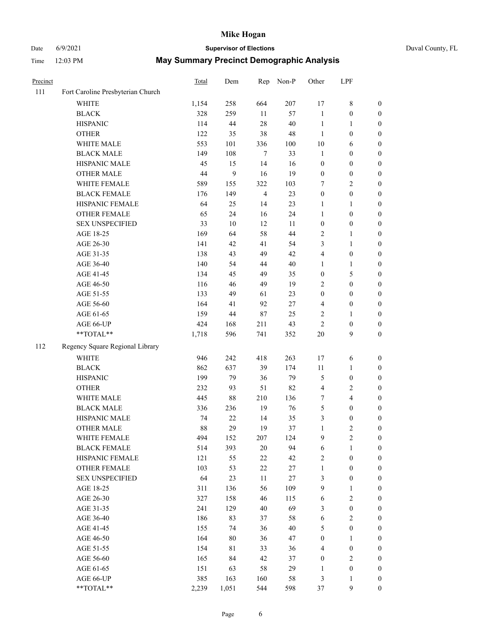# Date 6/9/2021 **Supervisor of Elections** Duval County, FL

| Precinct |                                   | <b>Total</b> | Dem    | Rep            | Non-P  | Other                   | LPF              |                  |
|----------|-----------------------------------|--------------|--------|----------------|--------|-------------------------|------------------|------------------|
| 111      | Fort Caroline Presbyterian Church |              |        |                |        |                         |                  |                  |
|          | <b>WHITE</b>                      | 1,154        | 258    | 664            | 207    | 17                      | $\,$ 8 $\,$      | 0                |
|          | <b>BLACK</b>                      | 328          | 259    | 11             | 57     | $\mathbf{1}$            | $\boldsymbol{0}$ | 0                |
|          | <b>HISPANIC</b>                   | 114          | $44\,$ | 28             | 40     | $\mathbf{1}$            | $\mathbf{1}$     | $\boldsymbol{0}$ |
|          | <b>OTHER</b>                      | 122          | 35     | 38             | 48     | $\mathbf{1}$            | $\boldsymbol{0}$ | $\boldsymbol{0}$ |
|          | WHITE MALE                        | 553          | 101    | 336            | 100    | 10                      | 6                | $\boldsymbol{0}$ |
|          | <b>BLACK MALE</b>                 | 149          | 108    | 7              | 33     | $\mathbf{1}$            | $\boldsymbol{0}$ | $\boldsymbol{0}$ |
|          | HISPANIC MALE                     | 45           | 15     | 14             | 16     | $\boldsymbol{0}$        | $\boldsymbol{0}$ | $\boldsymbol{0}$ |
|          | <b>OTHER MALE</b>                 | 44           | 9      | 16             | 19     | $\boldsymbol{0}$        | $\boldsymbol{0}$ | $\boldsymbol{0}$ |
|          | WHITE FEMALE                      | 589          | 155    | 322            | 103    | 7                       | $\overline{2}$   | $\boldsymbol{0}$ |
|          | <b>BLACK FEMALE</b>               | 176          | 149    | $\overline{4}$ | 23     | $\boldsymbol{0}$        | $\boldsymbol{0}$ | 0                |
|          | HISPANIC FEMALE                   | 64           | 25     | 14             | 23     | 1                       | $\mathbf{1}$     | 0                |
|          | OTHER FEMALE                      | 65           | 24     | 16             | 24     | $\mathbf{1}$            | $\boldsymbol{0}$ | $\boldsymbol{0}$ |
|          | <b>SEX UNSPECIFIED</b>            | 33           | 10     | 12             | 11     | $\boldsymbol{0}$        | $\boldsymbol{0}$ | $\boldsymbol{0}$ |
|          | AGE 18-25                         | 169          | 64     | 58             | 44     | 2                       | 1                | $\boldsymbol{0}$ |
|          | AGE 26-30                         | 141          | 42     | 41             | 54     | 3                       | $\mathbf{1}$     | $\boldsymbol{0}$ |
|          | AGE 31-35                         | 138          | 43     | 49             | 42     | 4                       | $\boldsymbol{0}$ | $\boldsymbol{0}$ |
|          | AGE 36-40                         | 140          | 54     | 44             | 40     | $\mathbf{1}$            | $\mathbf{1}$     | $\boldsymbol{0}$ |
|          | AGE 41-45                         | 134          | 45     | 49             | 35     | $\boldsymbol{0}$        | $\mathfrak{S}$   | $\boldsymbol{0}$ |
|          | AGE 46-50                         | 116          | 46     | 49             | 19     | $\overline{2}$          | $\boldsymbol{0}$ | $\boldsymbol{0}$ |
|          | AGE 51-55                         | 133          | 49     | 61             | 23     | $\boldsymbol{0}$        | $\boldsymbol{0}$ | $\boldsymbol{0}$ |
|          | AGE 56-60                         | 164          | 41     | 92             | 27     | $\overline{\mathbf{4}}$ | $\boldsymbol{0}$ | 0                |
|          | AGE 61-65                         | 159          | 44     | $87\,$         | 25     | 2                       | $\mathbf{1}$     | 0                |
|          | AGE 66-UP                         | 424          | 168    | 211            | 43     | $\sqrt{2}$              | $\boldsymbol{0}$ | $\boldsymbol{0}$ |
|          | **TOTAL**                         | 1,718        | 596    | 741            | 352    | $20\,$                  | 9                | $\boldsymbol{0}$ |
| 112      | Regency Square Regional Library   |              |        |                |        |                         |                  |                  |
|          | <b>WHITE</b>                      | 946          | 242    | 418            | 263    | 17                      | 6                | $\boldsymbol{0}$ |
|          | <b>BLACK</b>                      | 862          | 637    | 39             | 174    | $11\,$                  | $\mathbf{1}$     | $\boldsymbol{0}$ |
|          | <b>HISPANIC</b>                   | 199          | 79     | 36             | 79     | 5                       | $\boldsymbol{0}$ | $\boldsymbol{0}$ |
|          | <b>OTHER</b>                      | 232          | 93     | 51             | 82     | 4                       | $\sqrt{2}$       | $\boldsymbol{0}$ |
|          | WHITE MALE                        | 445          | $88\,$ | 210            | 136    | 7                       | $\overline{4}$   | $\boldsymbol{0}$ |
|          | <b>BLACK MALE</b>                 | 336          | 236    | 19             | 76     | 5                       | $\boldsymbol{0}$ | $\boldsymbol{0}$ |
|          | HISPANIC MALE                     | 74           | 22     | 14             | 35     | 3                       | $\boldsymbol{0}$ | $\boldsymbol{0}$ |
|          | OTHER MALE                        | 88           | 29     | 19             | 37     | $\mathbf{1}$            | $\mathbf{2}$     | $\boldsymbol{0}$ |
|          | WHITE FEMALE                      | 494          | 152    | 207            | 124    | 9                       | 2                | 0                |
|          | <b>BLACK FEMALE</b>               | 514          | 393    | 20             | 94     | $\sqrt{6}$              | $\mathbf{1}$     | $\boldsymbol{0}$ |
|          | HISPANIC FEMALE                   | 121          | 55     | 22             | 42     | 2                       | $\boldsymbol{0}$ | $\overline{0}$   |
|          | OTHER FEMALE                      | 103          | 53     | 22             | $27\,$ | $\mathbf{1}$            | $\boldsymbol{0}$ | $\overline{0}$   |
|          | <b>SEX UNSPECIFIED</b>            | 64           | 23     | $11\,$         | $27\,$ | 3                       | $\boldsymbol{0}$ | 0                |
|          | AGE 18-25                         | 311          | 136    | 56             | 109    | 9                       | $\mathbf{1}$     | $\theta$         |
|          | AGE 26-30                         | 327          | 158    | 46             | 115    | 6                       | $\sqrt{2}$       | 0                |
|          | AGE 31-35                         | 241          | 129    | 40             | 69     | 3                       | $\boldsymbol{0}$ | 0                |
|          | AGE 36-40                         | 186          | 83     | 37             | 58     | 6                       | $\sqrt{2}$       | 0                |
|          | AGE 41-45                         | 155          | 74     | 36             | $40\,$ | 5                       | $\boldsymbol{0}$ | 0                |
|          | AGE 46-50                         | 164          | 80     | 36             | 47     | $\boldsymbol{0}$        | $\mathbf{1}$     | 0                |
|          | AGE 51-55                         | 154          | 81     | 33             | 36     | 4                       | $\boldsymbol{0}$ | 0                |
|          | AGE 56-60                         | 165          | 84     | 42             | 37     | $\boldsymbol{0}$        | $\sqrt{2}$       | $\overline{0}$   |
|          | AGE 61-65                         | 151          | 63     | 58             | 29     | 1                       | $\boldsymbol{0}$ | $\overline{0}$   |
|          | AGE 66-UP                         | 385          | 163    | 160            | 58     | 3                       | $\mathbf{1}$     | 0                |
|          | **TOTAL**                         | 2,239        | 1,051  | 544            | 598    | 37                      | $\mathbf{9}$     | $\boldsymbol{0}$ |
|          |                                   |              |        |                |        |                         |                  |                  |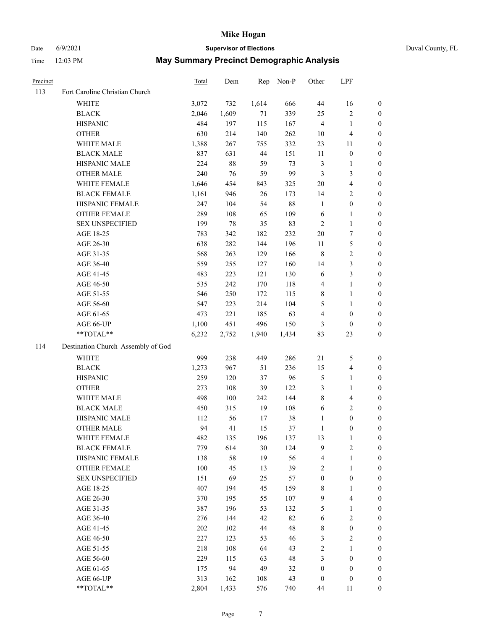# Date 6/9/2021 **Supervisor of Elections** Duval County, FL

| Precinct |                                    | <b>Total</b> | Dem    | Rep   | Non-P  | Other            | LPF                     |                  |
|----------|------------------------------------|--------------|--------|-------|--------|------------------|-------------------------|------------------|
| 113      | Fort Caroline Christian Church     |              |        |       |        |                  |                         |                  |
|          | <b>WHITE</b>                       | 3,072        | 732    | 1,614 | 666    | 44               | 16                      | 0                |
|          | <b>BLACK</b>                       | 2,046        | 1,609  | 71    | 339    | 25               | $\sqrt{2}$              | 0                |
|          | <b>HISPANIC</b>                    | 484          | 197    | 115   | 167    | $\overline{4}$   | $\mathbf{1}$            | $\boldsymbol{0}$ |
|          | <b>OTHER</b>                       | 630          | 214    | 140   | 262    | 10               | $\overline{\mathbf{4}}$ | $\boldsymbol{0}$ |
|          | WHITE MALE                         | 1,388        | 267    | 755   | 332    | 23               | 11                      | $\boldsymbol{0}$ |
|          | <b>BLACK MALE</b>                  | 837          | 631    | 44    | 151    | 11               | $\boldsymbol{0}$        | $\boldsymbol{0}$ |
|          | HISPANIC MALE                      | 224          | $88\,$ | 59    | 73     | 3                | $\mathbf{1}$            | $\boldsymbol{0}$ |
|          | <b>OTHER MALE</b>                  | 240          | 76     | 59    | 99     | 3                | $\mathfrak{Z}$          | $\boldsymbol{0}$ |
|          | WHITE FEMALE                       | 1,646        | 454    | 843   | 325    | $20\,$           | $\overline{4}$          | $\boldsymbol{0}$ |
|          | <b>BLACK FEMALE</b>                | 1,161        | 946    | 26    | 173    | 14               | $\sqrt{2}$              | 0                |
|          | HISPANIC FEMALE                    | 247          | 104    | 54    | $88\,$ | $\mathbf{1}$     | $\boldsymbol{0}$        | 0                |
|          | OTHER FEMALE                       | 289          | 108    | 65    | 109    | $\sqrt{6}$       | $\mathbf{1}$            | 0                |
|          | <b>SEX UNSPECIFIED</b>             | 199          | 78     | 35    | 83     | $\overline{2}$   | $\mathbf{1}$            | $\boldsymbol{0}$ |
|          | AGE 18-25                          | 783          | 342    | 182   | 232    | $20\,$           | $\boldsymbol{7}$        | $\boldsymbol{0}$ |
|          | AGE 26-30                          | 638          | 282    | 144   | 196    | $11\,$           | $\mathfrak{S}$          | $\boldsymbol{0}$ |
|          | AGE 31-35                          | 568          | 263    | 129   | 166    | $\,$ 8 $\,$      | $\sqrt{2}$              | $\boldsymbol{0}$ |
|          | AGE 36-40                          | 559          | 255    | 127   | 160    | 14               | $\mathfrak{Z}$          | $\boldsymbol{0}$ |
|          | AGE 41-45                          | 483          | 223    | 121   | 130    | 6                | 3                       | $\overline{0}$   |
|          | AGE 46-50                          | 535          | 242    | 170   | 118    | 4                | $\mathbf{1}$            | $\boldsymbol{0}$ |
|          | AGE 51-55                          | 546          | 250    | 172   | 115    | 8                | $\mathbf{1}$            | 0                |
|          | AGE 56-60                          | 547          | 223    | 214   | 104    | 5                | 1                       | 0                |
|          | AGE 61-65                          | 473          | 221    | 185   | 63     | 4                | $\boldsymbol{0}$        | 0                |
|          | AGE 66-UP                          | 1,100        | 451    | 496   | 150    | 3                | $\boldsymbol{0}$        | $\boldsymbol{0}$ |
|          | **TOTAL**                          | 6,232        | 2,752  | 1,940 | 1,434  | 83               | 23                      | $\boldsymbol{0}$ |
| 114      | Destination Church Assembly of God |              |        |       |        |                  |                         |                  |
|          | <b>WHITE</b>                       | 999          | 238    | 449   | 286    | 21               | 5                       | $\boldsymbol{0}$ |
|          | <b>BLACK</b>                       | 1,273        | 967    | 51    | 236    | 15               | $\overline{\mathbf{4}}$ | $\boldsymbol{0}$ |
|          | <b>HISPANIC</b>                    | 259          | 120    | 37    | 96     | 5                | $\mathbf{1}$            | $\boldsymbol{0}$ |
|          | <b>OTHER</b>                       | 273          | 108    | 39    | 122    | 3                | $\mathbf{1}$            | $\boldsymbol{0}$ |
|          | WHITE MALE                         | 498          | 100    | 242   | 144    | 8                | $\overline{\mathbf{4}}$ | $\boldsymbol{0}$ |
|          | <b>BLACK MALE</b>                  | 450          | 315    | 19    | 108    | $\sqrt{6}$       | $\overline{2}$          | $\boldsymbol{0}$ |
|          | HISPANIC MALE                      | 112          | 56     | 17    | 38     | $\mathbf{1}$     | $\boldsymbol{0}$        | 0                |
|          | <b>OTHER MALE</b>                  | 94           | 41     | 15    | 37     | $\mathbf{1}$     | $\boldsymbol{0}$        | $\boldsymbol{0}$ |
|          | WHITE FEMALE                       | 482          | 135    | 196   | 137    | 13               | 1                       | 0                |
|          | <b>BLACK FEMALE</b>                | 779          | 614    | 30    | 124    | 9                | $\sqrt{2}$              | $\overline{0}$   |
|          | HISPANIC FEMALE                    | 138          | 58     | 19    | 56     | 4                | $\mathbf{1}$            | $\overline{0}$   |
|          | OTHER FEMALE                       | 100          | 45     | 13    | 39     | 2                | $\mathbf{1}$            | $\overline{0}$   |
|          | <b>SEX UNSPECIFIED</b>             | 151          | 69     | 25    | 57     | $\boldsymbol{0}$ | $\boldsymbol{0}$        | 0                |
|          | AGE 18-25                          | 407          | 194    | 45    | 159    | 8                | $\mathbf{1}$            | 0                |
|          | AGE 26-30                          | 370          | 195    | 55    | 107    | 9                | $\overline{\mathbf{4}}$ | 0                |
|          | AGE 31-35                          | 387          | 196    | 53    | 132    | 5                | $\mathbf{1}$            | 0                |
|          | AGE 36-40                          | 276          | 144    | 42    | 82     | 6                | $\sqrt{2}$              | 0                |
|          | AGE 41-45                          | 202          | 102    | 44    | 48     | 8                | $\boldsymbol{0}$        | 0                |
|          | AGE 46-50                          | 227          | 123    | 53    | 46     | 3                | $\sqrt{2}$              | 0                |
|          | AGE 51-55                          | 218          | 108    | 64    | 43     | 2                | $\mathbf{1}$            | $\overline{0}$   |
|          | AGE 56-60                          | 229          | 115    | 63    | 48     | 3                | $\boldsymbol{0}$        | $\overline{0}$   |
|          | AGE 61-65                          | 175          | 94     | 49    | 32     | $\boldsymbol{0}$ | $\boldsymbol{0}$        | $\overline{0}$   |
|          | AGE 66-UP                          | 313          | 162    | 108   | 43     | $\boldsymbol{0}$ | $\boldsymbol{0}$        | 0                |
|          | **TOTAL**                          | 2,804        | 1,433  | 576   | 740    | 44               | 11                      | $\boldsymbol{0}$ |
|          |                                    |              |        |       |        |                  |                         |                  |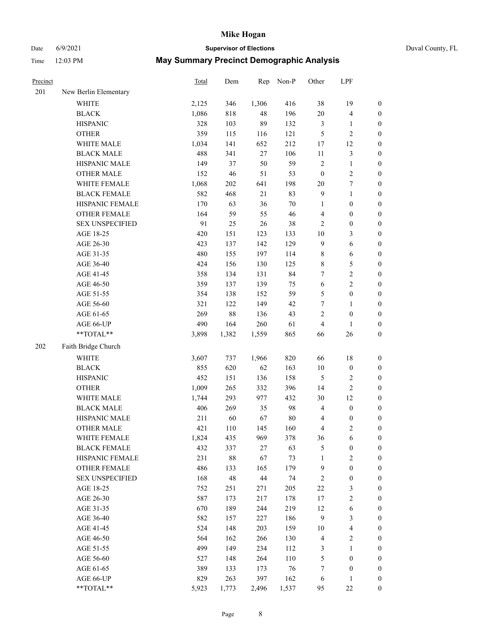# Date 6/9/2021 **Supervisor of Elections** Duval County, FL

| Precinct |                                                           | Total | Dem    | Rep    | Non-P  | Other            | LPF                     |                  |
|----------|-----------------------------------------------------------|-------|--------|--------|--------|------------------|-------------------------|------------------|
| 201      | New Berlin Elementary                                     |       |        |        |        |                  |                         |                  |
|          | <b>WHITE</b>                                              | 2,125 | 346    | 1,306  | 416    | 38               | 19                      | $\boldsymbol{0}$ |
|          | <b>BLACK</b>                                              | 1,086 | 818    | 48     | 196    | 20               | $\overline{\mathbf{4}}$ | $\boldsymbol{0}$ |
|          | <b>HISPANIC</b>                                           | 328   | 103    | 89     | 132    | $\mathfrak z$    | $\mathbf{1}$            | $\boldsymbol{0}$ |
|          | <b>OTHER</b>                                              | 359   | 115    | 116    | 121    | 5                | $\sqrt{2}$              | $\boldsymbol{0}$ |
|          | WHITE MALE                                                | 1,034 | 141    | 652    | 212    | $17\,$           | 12                      | $\boldsymbol{0}$ |
|          | <b>BLACK MALE</b>                                         | 488   | 341    | $27\,$ | 106    | $11\,$           | $\mathfrak{Z}$          | 0                |
|          | HISPANIC MALE                                             | 149   | 37     | 50     | 59     | $\sqrt{2}$       | $\mathbf{1}$            | 0                |
|          | <b>OTHER MALE</b>                                         | 152   | 46     | 51     | 53     | $\boldsymbol{0}$ | $\sqrt{2}$              | $\boldsymbol{0}$ |
|          | WHITE FEMALE                                              | 1,068 | 202    | 641    | 198    | $20\,$           | $\boldsymbol{7}$        | $\boldsymbol{0}$ |
|          | <b>BLACK FEMALE</b>                                       | 582   | 468    | 21     | 83     | 9                | $\mathbf{1}$            | $\boldsymbol{0}$ |
|          | HISPANIC FEMALE                                           | 170   | 63     | 36     | $70\,$ | $\mathbf{1}$     | $\boldsymbol{0}$        | $\boldsymbol{0}$ |
|          | OTHER FEMALE                                              | 164   | 59     | 55     | 46     | 4                | $\boldsymbol{0}$        | $\boldsymbol{0}$ |
|          | <b>SEX UNSPECIFIED</b>                                    | 91    | 25     | 26     | $38\,$ | 2                | $\boldsymbol{0}$        | $\boldsymbol{0}$ |
|          | AGE 18-25                                                 | 420   | 151    | 123    | 133    | $10\,$           | $\mathfrak{Z}$          | $\boldsymbol{0}$ |
|          | AGE 26-30                                                 | 423   | 137    | 142    | 129    | $\overline{9}$   | $\sqrt{6}$              | $\boldsymbol{0}$ |
|          | AGE 31-35                                                 | 480   | 155    | 197    | 114    | $\,$ 8 $\,$      | 6                       | $\boldsymbol{0}$ |
|          | AGE 36-40                                                 | 424   | 156    | 130    | 125    | 8                | 5                       | 0                |
|          | AGE 41-45                                                 | 358   | 134    | 131    | 84     | 7                | $\sqrt{2}$              | $\boldsymbol{0}$ |
|          | AGE 46-50                                                 | 359   | 137    | 139    | 75     | $\sqrt{6}$       | $\sqrt{2}$              | $\boldsymbol{0}$ |
|          | AGE 51-55                                                 | 354   | 138    | 152    | 59     | 5                | $\boldsymbol{0}$        | $\boldsymbol{0}$ |
|          | AGE 56-60                                                 | 321   | 122    | 149    | 42     | 7                | $\mathbf{1}$            | $\boldsymbol{0}$ |
|          | AGE 61-65                                                 | 269   | 88     | 136    | 43     | 2                | $\boldsymbol{0}$        | $\boldsymbol{0}$ |
|          | AGE 66-UP                                                 | 490   | 164    | 260    | 61     | 4                | $\mathbf{1}$            | $\boldsymbol{0}$ |
|          | $\mathrm{*}\mathrm{*}\mathrm{TOTAL} \mathrm{*}\mathrm{*}$ | 3,898 | 1,382  | 1,559  | 865    | 66               | 26                      | $\boldsymbol{0}$ |
| 202      | Faith Bridge Church                                       |       |        |        |        |                  |                         |                  |
|          | WHITE                                                     | 3,607 | 737    | 1,966  | 820    | 66               | $18\,$                  | $\boldsymbol{0}$ |
|          | <b>BLACK</b>                                              | 855   | 620    | 62     | 163    | $10\,$           | $\boldsymbol{0}$        | $\boldsymbol{0}$ |
|          | <b>HISPANIC</b>                                           | 452   | 151    | 136    | 158    | $\sqrt{5}$       | $\sqrt{2}$              | $\boldsymbol{0}$ |
|          | <b>OTHER</b>                                              | 1,009 | 265    | 332    | 396    | 14               | $\sqrt{2}$              | 0                |
|          | WHITE MALE                                                | 1,744 | 293    | 977    | 432    | 30               | 12                      | 0                |
|          | <b>BLACK MALE</b>                                         | 406   | 269    | 35     | 98     | $\overline{4}$   | $\boldsymbol{0}$        | $\boldsymbol{0}$ |
|          | HISPANIC MALE                                             | 211   | 60     | 67     | $80\,$ | 4                | $\boldsymbol{0}$        | $\boldsymbol{0}$ |
|          | <b>OTHER MALE</b>                                         | 421   | 110    | 145    | 160    | 4                | $\overline{c}$          | $\boldsymbol{0}$ |
|          | WHITE FEMALE                                              | 1,824 | 435    | 969    | 378    | 36               | 6                       | $\boldsymbol{0}$ |
|          | <b>BLACK FEMALE</b>                                       | 432   | 337    | $27\,$ | 63     | 5                | $\boldsymbol{0}$        | $\overline{0}$   |
|          | HISPANIC FEMALE                                           | 231   | $88\,$ | 67     | 73     | $\mathbf{1}$     | $\sqrt{2}$              | $\overline{0}$   |
|          | <b>OTHER FEMALE</b>                                       | 486   | 133    | 165    | 179    | $\overline{9}$   | $\boldsymbol{0}$        | $\overline{0}$   |
|          | <b>SEX UNSPECIFIED</b>                                    | 168   | 48     | $44\,$ | 74     | $\sqrt{2}$       | $\boldsymbol{0}$        | 0                |
|          | AGE 18-25                                                 | 752   | 251    | 271    | 205    | $22\,$           | 3                       | 0                |
|          | AGE 26-30                                                 | 587   | 173    | 217    | 178    | $17\,$           | $\sqrt{2}$              | 0                |
|          | AGE 31-35                                                 | 670   | 189    | 244    | 219    | 12               | 6                       | 0                |
|          | AGE 36-40                                                 | 582   | 157    | 227    | 186    | 9                | $\mathfrak{Z}$          | $\boldsymbol{0}$ |
|          | AGE 41-45                                                 | 524   | 148    | 203    | 159    | 10               | $\overline{\mathbf{4}}$ | $\boldsymbol{0}$ |
|          | AGE 46-50                                                 | 564   | 162    | 266    | 130    | $\overline{4}$   | $\mathbf{2}$            | $\boldsymbol{0}$ |
|          | AGE 51-55                                                 | 499   | 149    | 234    | 112    | 3                | $\mathbf{1}$            | $\overline{0}$   |
|          | AGE 56-60                                                 | 527   | 148    | 264    | 110    | 5                | $\boldsymbol{0}$        | $\overline{0}$   |
|          | AGE 61-65                                                 | 389   | 133    | 173    | 76     | 7                | $\boldsymbol{0}$        | $\overline{0}$   |
|          | AGE 66-UP                                                 | 829   | 263    | 397    | 162    | 6                | $\mathbf{1}$            | $\boldsymbol{0}$ |
|          | **TOTAL**                                                 | 5,923 | 1,773  | 2,496  | 1,537  | 95               | $22\,$                  | $\boldsymbol{0}$ |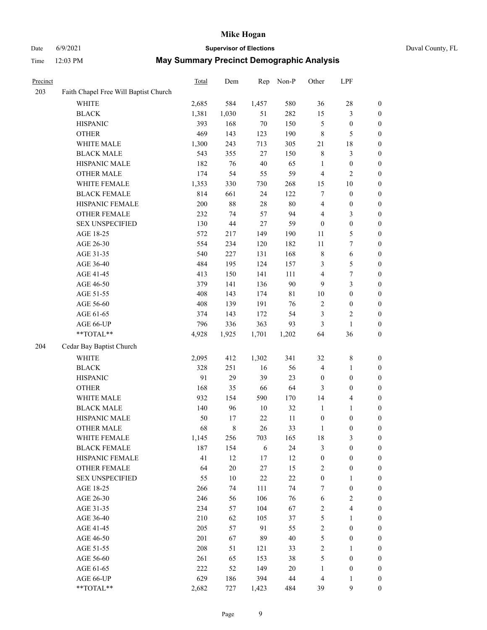## Date 6/9/2021 **Supervisor of Elections** Duval County, FL

| Precinct |                                       | Total        | Dem       | Rep        | Non-P     | Other                          | LPF                              |                                      |
|----------|---------------------------------------|--------------|-----------|------------|-----------|--------------------------------|----------------------------------|--------------------------------------|
| 203      | Faith Chapel Free Will Baptist Church |              |           |            |           |                                |                                  |                                      |
|          | WHITE                                 | 2,685        | 584       | 1,457      | 580       | 36                             | $28\,$                           | 0                                    |
|          | <b>BLACK</b>                          | 1,381        | 1,030     | 51         | 282       | 15                             | $\mathfrak{Z}$                   | 0                                    |
|          | <b>HISPANIC</b>                       | 393          | 168       | 70         | 150       | 5                              | $\boldsymbol{0}$                 | $\boldsymbol{0}$                     |
|          | <b>OTHER</b>                          | 469          | 143       | 123        | 190       | 8                              | $\mathfrak{S}$                   | $\boldsymbol{0}$                     |
|          | WHITE MALE                            | 1,300        | 243       | 713        | 305       | 21                             | $18\,$                           | $\boldsymbol{0}$                     |
|          | <b>BLACK MALE</b>                     | 543          | 355       | 27         | 150       | $\,$ $\,$                      | $\mathfrak{Z}$                   | $\boldsymbol{0}$                     |
|          | HISPANIC MALE                         | 182          | 76        | 40         | 65        | $\mathbf{1}$                   | $\boldsymbol{0}$                 | $\boldsymbol{0}$                     |
|          | <b>OTHER MALE</b>                     | 174          | 54        | 55         | 59        | 4                              | $\mathbf{2}$                     | $\boldsymbol{0}$                     |
|          | WHITE FEMALE                          | 1,353        | 330       | 730        | 268       | 15                             | $10\,$                           | $\boldsymbol{0}$                     |
|          | <b>BLACK FEMALE</b>                   | 814          | 661       | 24         | 122       | 7                              | $\boldsymbol{0}$                 | $\boldsymbol{0}$                     |
|          | HISPANIC FEMALE                       | 200          | $88\,$    | 28         | 80        | $\overline{\mathbf{4}}$        | $\boldsymbol{0}$                 | 0                                    |
|          | OTHER FEMALE                          | 232          | 74        | 57         | 94        | 4                              | $\mathfrak{Z}$                   | $\boldsymbol{0}$                     |
|          | <b>SEX UNSPECIFIED</b>                | 130          | 44        | $27\,$     | 59        | $\boldsymbol{0}$               | $\boldsymbol{0}$                 | $\boldsymbol{0}$                     |
|          | AGE 18-25                             | 572          | 217       | 149        | 190       | 11                             | $\mathfrak{S}$                   | $\boldsymbol{0}$                     |
|          | AGE 26-30                             | 554          | 234       | 120        | 182       | $11\,$                         | $\boldsymbol{7}$                 | $\boldsymbol{0}$                     |
|          | AGE 31-35                             | 540          | 227       | 131        | 168       | $\,$ $\,$                      | $\sqrt{6}$                       | $\boldsymbol{0}$                     |
|          | AGE 36-40                             | 484          | 195       | 124        | 157       | 3                              | $\mathfrak s$                    | $\boldsymbol{0}$                     |
|          | AGE 41-45                             | 413          | 150       | 141        | 111       | $\overline{\mathbf{4}}$        | $\boldsymbol{7}$                 | $\boldsymbol{0}$                     |
|          | AGE 46-50                             | 379          | 141       | 136        | 90        | 9                              | $\mathfrak{Z}$                   | $\boldsymbol{0}$                     |
|          | AGE 51-55                             | 408          | 143       | 174        | 81        | $10\,$                         | $\boldsymbol{0}$                 | $\boldsymbol{0}$                     |
|          | AGE 56-60                             | 408          | 139       | 191        | 76        | $\sqrt{2}$                     | $\boldsymbol{0}$                 | 0                                    |
|          | AGE 61-65                             | 374          | 143       | 172        | 54        | 3                              | $\sqrt{2}$                       | 0                                    |
|          | AGE 66-UP                             | 796          | 336       | 363        | 93        | 3                              | $\mathbf{1}$                     | $\boldsymbol{0}$                     |
|          | **TOTAL**                             | 4,928        | 1,925     | 1,701      | 1,202     | 64                             | 36                               | $\boldsymbol{0}$                     |
| 204      | Cedar Bay Baptist Church              |              |           |            |           |                                |                                  |                                      |
|          | <b>WHITE</b>                          |              | 412       | 1,302      | 341       | 32                             | $\,$ 8 $\,$                      |                                      |
|          | <b>BLACK</b>                          | 2,095<br>328 | 251       |            | 56        | 4                              |                                  | $\boldsymbol{0}$                     |
|          | <b>HISPANIC</b>                       | 91           | 29        | 16<br>39   | 23        |                                | $\mathbf{1}$<br>$\boldsymbol{0}$ | $\boldsymbol{0}$<br>$\boldsymbol{0}$ |
|          |                                       | 168          | 35        | 66         | 64        | $\boldsymbol{0}$               | $\boldsymbol{0}$                 |                                      |
|          | <b>OTHER</b>                          |              |           |            |           | 3                              |                                  | $\boldsymbol{0}$                     |
|          | WHITE MALE                            | 932          | 154       | 590        | 170       | 14                             | $\overline{\mathbf{4}}$          | $\boldsymbol{0}$                     |
|          | <b>BLACK MALE</b>                     | 140          | 96        | $10\,$     | 32        | $\mathbf{1}$                   | $\mathbf{1}$                     | $\boldsymbol{0}$                     |
|          | HISPANIC MALE                         | 50<br>68     | 17        | 22<br>26   | 11<br>33  | $\boldsymbol{0}$               | $\boldsymbol{0}$                 | $\boldsymbol{0}$                     |
|          | <b>OTHER MALE</b>                     |              | 8         |            |           | $\mathbf{1}$                   | $\boldsymbol{0}$                 | $\boldsymbol{0}$                     |
|          | WHITE FEMALE<br><b>BLACK FEMALE</b>   | 1,145<br>187 | 256       | 703        | 165<br>24 | 18                             | 3<br>$\boldsymbol{0}$            | 0                                    |
|          | HISPANIC FEMALE                       | 41           | 154<br>12 | 6<br>17    | 12        | 3                              | $\boldsymbol{0}$                 | $\boldsymbol{0}$<br>$\overline{0}$   |
|          | OTHER FEMALE                          |              | $20\,$    | $27\,$     | 15        | $\boldsymbol{0}$<br>$\sqrt{2}$ | $\boldsymbol{0}$                 | $\overline{0}$                       |
|          | <b>SEX UNSPECIFIED</b>                | 64<br>55     | 10        | $22\,$     | $22\,$    | $\boldsymbol{0}$               | $\mathbf{1}$                     | 0                                    |
|          | AGE 18-25                             | 266          | 74        | 111        | 74        | 7                              | $\boldsymbol{0}$                 | 0                                    |
|          | AGE 26-30                             | 246          | 56        | 106        | 76        | $\sqrt{6}$                     | $\overline{2}$                   | 0                                    |
|          | AGE 31-35                             | 234          | 57        | 104        | 67        | 2                              | $\overline{4}$                   | 0                                    |
|          | AGE 36-40                             | 210          | 62        | 105        | 37        | 5                              | $\mathbf{1}$                     | 0                                    |
|          | AGE 41-45                             | 205          | 57        | 91         | 55        | $\overline{c}$                 | $\boldsymbol{0}$                 | 0                                    |
|          |                                       | 201          |           | 89         | 40        | 5                              |                                  |                                      |
|          | AGE 46-50<br>AGE 51-55                | 208          | 67        |            |           |                                | $\boldsymbol{0}$                 | 0<br>0                               |
|          | AGE 56-60                             | 261          | 51<br>65  | 121<br>153 | 33<br>38  | 2<br>5                         | $\mathbf{1}$<br>$\boldsymbol{0}$ | $\overline{0}$                       |
|          | AGE 61-65                             | 222          | 52        | 149        | $20\,$    | $\mathbf{1}$                   | $\boldsymbol{0}$                 | $\overline{0}$                       |
|          | AGE 66-UP                             | 629          | 186       | 394        | 44        | $\overline{4}$                 | $\mathbf{1}$                     | 0                                    |
|          | **TOTAL**                             | 2,682        | 727       | 1,423      | 484       | 39                             | $\mathbf{9}$                     | $\boldsymbol{0}$                     |
|          |                                       |              |           |            |           |                                |                                  |                                      |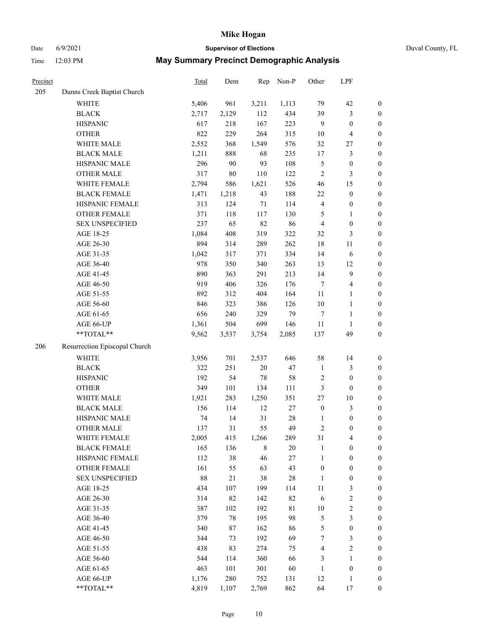## Date 6/9/2021 **Supervisor of Elections** Duval County, FL

| Precinct |                               | Total | Dem    | Rep         | Non-P  | Other            | LPF              |                  |
|----------|-------------------------------|-------|--------|-------------|--------|------------------|------------------|------------------|
| 205      | Dunns Creek Baptist Church    |       |        |             |        |                  |                  |                  |
|          | <b>WHITE</b>                  | 5,406 | 961    | 3,211       | 1,113  | 79               | 42               | $\boldsymbol{0}$ |
|          | <b>BLACK</b>                  | 2,717 | 2,129  | 112         | 434    | 39               | $\mathfrak{Z}$   | $\boldsymbol{0}$ |
|          | <b>HISPANIC</b>               | 617   | 218    | 167         | 223    | 9                | $\boldsymbol{0}$ | $\boldsymbol{0}$ |
|          | <b>OTHER</b>                  | 822   | 229    | 264         | 315    | 10               | $\overline{4}$   | $\boldsymbol{0}$ |
|          | WHITE MALE                    | 2,552 | 368    | 1,549       | 576    | 32               | $27\,$           | $\boldsymbol{0}$ |
|          | <b>BLACK MALE</b>             | 1,211 | 888    | 68          | 235    | 17               | $\mathfrak{Z}$   | $\boldsymbol{0}$ |
|          | HISPANIC MALE                 | 296   | $90\,$ | 93          | 108    | 5                | $\boldsymbol{0}$ | $\boldsymbol{0}$ |
|          | <b>OTHER MALE</b>             | 317   | 80     | 110         | 122    | $\overline{2}$   | $\mathfrak{Z}$   | $\boldsymbol{0}$ |
|          | WHITE FEMALE                  | 2,794 | 586    | 1,621       | 526    | 46               | 15               | $\boldsymbol{0}$ |
|          | <b>BLACK FEMALE</b>           | 1,471 | 1,218  | 43          | 188    | 22               | $\boldsymbol{0}$ | $\boldsymbol{0}$ |
|          | HISPANIC FEMALE               | 313   | 124    | $71\,$      | 114    | 4                | $\boldsymbol{0}$ | $\boldsymbol{0}$ |
|          | OTHER FEMALE                  | 371   | 118    | 117         | 130    | 5                | $\mathbf{1}$     | $\boldsymbol{0}$ |
|          | <b>SEX UNSPECIFIED</b>        | 237   | 65     | 82          | 86     | 4                | $\boldsymbol{0}$ | $\boldsymbol{0}$ |
|          | AGE 18-25                     | 1,084 | 408    | 319         | 322    | 32               | $\mathfrak{Z}$   | $\boldsymbol{0}$ |
|          | AGE 26-30                     | 894   | 314    | 289         | 262    | 18               | 11               | $\boldsymbol{0}$ |
|          | AGE 31-35                     | 1,042 | 317    | 371         | 334    | 14               | 6                | $\boldsymbol{0}$ |
|          | AGE 36-40                     | 978   | 350    | 340         | 263    | 13               | 12               | $\boldsymbol{0}$ |
|          | AGE 41-45                     | 890   | 363    | 291         | 213    | 14               | $\mathbf{9}$     | $\boldsymbol{0}$ |
|          | AGE 46-50                     | 919   | 406    | 326         | 176    | $\tau$           | $\overline{4}$   | $\boldsymbol{0}$ |
|          | AGE 51-55                     | 892   | 312    | 404         | 164    | 11               | 1                | 0                |
|          | AGE 56-60                     | 846   | 323    | 386         | 126    | 10               | $\mathbf{1}$     | $\boldsymbol{0}$ |
|          | AGE 61-65                     | 656   | 240    | 329         | 79     | $\tau$           | $\mathbf{1}$     | $\boldsymbol{0}$ |
|          | AGE 66-UP                     | 1,361 | 504    | 699         | 146    | 11               | $\mathbf{1}$     | $\boldsymbol{0}$ |
|          | $**TOTAL**$                   | 9,562 | 3,537  | 3,754       | 2,085  | 137              | 49               | $\boldsymbol{0}$ |
| 206      | Resurrection Episcopal Church |       |        |             |        |                  |                  |                  |
|          | <b>WHITE</b>                  | 3,956 | 701    | 2,537       | 646    | 58               | 14               | $\boldsymbol{0}$ |
|          | <b>BLACK</b>                  | 322   | 251    | 20          | 47     | $\mathbf{1}$     | $\mathfrak{Z}$   | $\boldsymbol{0}$ |
|          | <b>HISPANIC</b>               | 192   | 54     | 78          | 58     | 2                | $\boldsymbol{0}$ | $\boldsymbol{0}$ |
|          | <b>OTHER</b>                  | 349   | 101    | 134         | 111    | 3                | $\boldsymbol{0}$ | $\boldsymbol{0}$ |
|          | WHITE MALE                    | 1,921 | 283    | 1,250       | 351    | 27               | $10\,$           | $\boldsymbol{0}$ |
|          | <b>BLACK MALE</b>             | 156   | 114    | 12          | $27\,$ | $\boldsymbol{0}$ | $\mathfrak{Z}$   | $\boldsymbol{0}$ |
|          | HISPANIC MALE                 | 74    | 14     | 31          | 28     | 1                | $\boldsymbol{0}$ | 0                |
|          | <b>OTHER MALE</b>             | 137   | 31     | 55          | 49     | $\overline{c}$   | $\boldsymbol{0}$ | $\boldsymbol{0}$ |
|          | WHITE FEMALE                  | 2,005 | 415    | 1,266       | 289    | 31               | $\overline{4}$   | 0                |
|          | <b>BLACK FEMALE</b>           | 165   | 136    | $\,$ 8 $\,$ | 20     | $\mathbf{1}$     | $\boldsymbol{0}$ | $\overline{0}$   |
|          | HISPANIC FEMALE               | 112   | 38     | 46          | $27\,$ | 1                | $\boldsymbol{0}$ | $\overline{0}$   |
|          | OTHER FEMALE                  | 161   | 55     | 63          | 43     | $\boldsymbol{0}$ | $\boldsymbol{0}$ | 0                |
|          | <b>SEX UNSPECIFIED</b>        | 88    | $21\,$ | 38          | $28\,$ | $\mathbf{1}$     | $\boldsymbol{0}$ | 0                |
|          | AGE 18-25                     | 434   | 107    | 199         | 114    | 11               | 3                | 0                |
|          | AGE 26-30                     | 314   | 82     | 142         | 82     | 6                | $\sqrt{2}$       | 0                |
|          | AGE 31-35                     | 387   | 102    | 192         | 81     | $10\,$           | $\sqrt{2}$       | 0                |
|          | AGE 36-40                     | 379   | 78     | 195         | 98     | 5                | $\mathfrak{Z}$   | 0                |
|          | AGE 41-45                     | 340   | 87     | 162         | 86     | 5                | $\boldsymbol{0}$ | 0                |
|          | AGE 46-50                     | 344   | 73     | 192         | 69     | 7                | 3                | 0                |
|          | AGE 51-55                     | 438   | 83     | 274         | 75     | 4                | $\sqrt{2}$       | $\boldsymbol{0}$ |
|          | AGE 56-60                     | 544   | 114    | 360         | 66     | 3                | $\mathbf{1}$     | $\overline{0}$   |
|          | AGE 61-65                     | 463   | 101    | 301         | 60     | $\mathbf{1}$     | $\boldsymbol{0}$ | 0                |
|          | AGE 66-UP                     | 1,176 | 280    | 752         | 131    | 12               | $\mathbf{1}$     | 0                |
|          | **TOTAL**                     | 4,819 | 1,107  | 2,769       | 862    | 64               | 17               | $\boldsymbol{0}$ |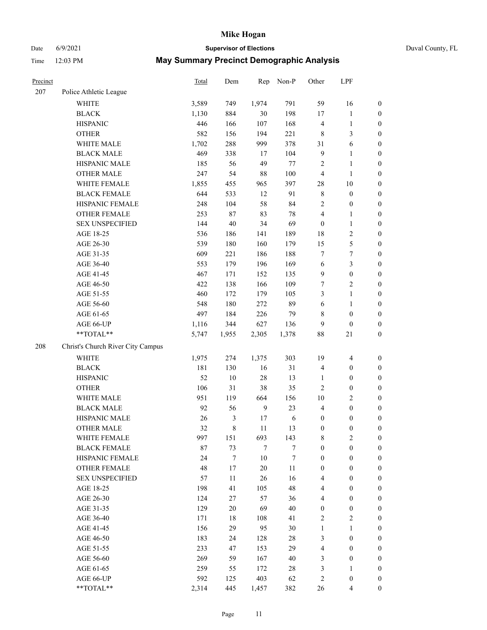# Date 6/9/2021 **Supervisor of Elections** Duval County, FL

| Precinct |                                   | Total | Dem    | Rep    | Non-P   | Other            | LPF                     |                  |
|----------|-----------------------------------|-------|--------|--------|---------|------------------|-------------------------|------------------|
| 207      | Police Athletic League            |       |        |        |         |                  |                         |                  |
|          | <b>WHITE</b>                      | 3,589 | 749    | 1,974  | 791     | 59               | 16                      | $\boldsymbol{0}$ |
|          | <b>BLACK</b>                      | 1,130 | 884    | 30     | 198     | 17               | $\mathbf{1}$            | $\boldsymbol{0}$ |
|          | <b>HISPANIC</b>                   | 446   | 166    | 107    | 168     | 4                | $\mathbf{1}$            | $\boldsymbol{0}$ |
|          | <b>OTHER</b>                      | 582   | 156    | 194    | 221     | 8                | 3                       | $\boldsymbol{0}$ |
|          | WHITE MALE                        | 1,702 | 288    | 999    | 378     | 31               | 6                       | $\boldsymbol{0}$ |
|          | <b>BLACK MALE</b>                 | 469   | 338    | 17     | 104     | $\overline{9}$   | $\mathbf{1}$            | $\boldsymbol{0}$ |
|          | HISPANIC MALE                     | 185   | 56     | 49     | $77 \,$ | $\overline{c}$   | $\mathbf{1}$            | $\boldsymbol{0}$ |
|          | <b>OTHER MALE</b>                 | 247   | 54     | 88     | 100     | 4                | $\mathbf{1}$            | 0                |
|          | WHITE FEMALE                      | 1,855 | 455    | 965    | 397     | 28               | $10\,$                  | 0                |
|          | <b>BLACK FEMALE</b>               | 644   | 533    | 12     | 91      | $\,$ 8 $\,$      | $\boldsymbol{0}$        | $\boldsymbol{0}$ |
|          | HISPANIC FEMALE                   | 248   | 104    | 58     | 84      | $\mathfrak{2}$   | $\boldsymbol{0}$        | $\boldsymbol{0}$ |
|          | OTHER FEMALE                      | 253   | 87     | 83     | 78      | 4                | $\mathbf{1}$            | $\boldsymbol{0}$ |
|          | <b>SEX UNSPECIFIED</b>            | 144   | 40     | 34     | 69      | $\boldsymbol{0}$ | $\mathbf{1}$            | $\boldsymbol{0}$ |
|          | AGE 18-25                         | 536   | 186    | 141    | 189     | 18               | $\sqrt{2}$              | $\boldsymbol{0}$ |
|          | AGE 26-30                         | 539   | 180    | 160    | 179     | 15               | $\mathfrak s$           | $\boldsymbol{0}$ |
|          | AGE 31-35                         | 609   | 221    | 186    | 188     | $\tau$           | $\boldsymbol{7}$        | $\boldsymbol{0}$ |
|          | AGE 36-40                         | 553   | 179    | 196    | 169     | 6                | $\mathfrak{Z}$          | $\boldsymbol{0}$ |
|          | AGE 41-45                         | 467   | 171    | 152    | 135     | $\overline{9}$   | $\boldsymbol{0}$        | $\boldsymbol{0}$ |
|          | AGE 46-50                         | 422   | 138    | 166    | 109     | 7                | $\mathbf{2}$            | 0                |
|          | AGE 51-55                         | 460   | 172    | 179    | 105     | 3                | $\mathbf{1}$            | $\boldsymbol{0}$ |
|          | AGE 56-60                         | 548   | 180    | 272    | 89      | 6                | $\mathbf{1}$            | $\boldsymbol{0}$ |
|          | AGE 61-65                         | 497   | 184    | 226    | 79      | 8                | $\boldsymbol{0}$        | $\boldsymbol{0}$ |
|          | AGE 66-UP                         | 1,116 | 344    | 627    | 136     | 9                | $\boldsymbol{0}$        | $\boldsymbol{0}$ |
|          | $**TOTAL**$                       | 5,747 | 1,955  | 2,305  | 1,378   | 88               | $21\,$                  | $\boldsymbol{0}$ |
| 208      | Christ's Church River City Campus |       |        |        |         |                  |                         |                  |
|          | <b>WHITE</b>                      | 1,975 | 274    | 1,375  | 303     | 19               | $\overline{\mathbf{4}}$ | $\boldsymbol{0}$ |
|          | <b>BLACK</b>                      | 181   | 130    | 16     | 31      | 4                | $\boldsymbol{0}$        | $\boldsymbol{0}$ |
|          | <b>HISPANIC</b>                   | 52    | $10\,$ | 28     | 13      | $\mathbf{1}$     | $\boldsymbol{0}$        | $\boldsymbol{0}$ |
|          | <b>OTHER</b>                      | 106   | 31     | 38     | 35      | $\mathbf{2}$     | $\boldsymbol{0}$        | $\boldsymbol{0}$ |
|          | WHITE MALE                        | 951   | 119    | 664    | 156     | $10\,$           | $\sqrt{2}$              | $\boldsymbol{0}$ |
|          | <b>BLACK MALE</b>                 | 92    | 56     | 9      | 23      | $\overline{4}$   | $\boldsymbol{0}$        | 0                |
|          | HISPANIC MALE                     | 26    | 3      | 17     | 6       | $\boldsymbol{0}$ | $\boldsymbol{0}$        | 0                |
|          | <b>OTHER MALE</b>                 | 32    | 8      | 11     | 13      | $\boldsymbol{0}$ | $\boldsymbol{0}$        | $\boldsymbol{0}$ |
|          | WHITE FEMALE                      | 997   | 151    | 693    | 143     | $\,$ $\,$        | $\sqrt{2}$              | $\boldsymbol{0}$ |
|          | <b>BLACK FEMALE</b>               | 87    | 73     | $\tau$ | $\tau$  | $\boldsymbol{0}$ | $\boldsymbol{0}$        | $\overline{0}$   |
|          | HISPANIC FEMALE                   | 24    | $\tau$ | 10     | $\tau$  | $\boldsymbol{0}$ | $\boldsymbol{0}$        | $\overline{0}$   |
|          | <b>OTHER FEMALE</b>               | 48    | $17\,$ | $20\,$ | 11      | $\boldsymbol{0}$ | $\boldsymbol{0}$        | $\overline{0}$   |
|          | <b>SEX UNSPECIFIED</b>            | 57    | $11\,$ | 26     | 16      | 4                | $\boldsymbol{0}$        | $\overline{0}$   |
|          | AGE 18-25                         | 198   | 41     | 105    | 48      | 4                | $\boldsymbol{0}$        | $\overline{0}$   |
|          | AGE 26-30                         | 124   | 27     | 57     | 36      | $\overline{4}$   | $\boldsymbol{0}$        | 0                |
|          | AGE 31-35                         | 129   | 20     | 69     | 40      | $\boldsymbol{0}$ | $\boldsymbol{0}$        | 0                |
|          | AGE 36-40                         | 171   | 18     | 108    | 41      | $\sqrt{2}$       | $\sqrt{2}$              | 0                |
|          | AGE 41-45                         | 156   | 29     | 95     | 30      | $\mathbf{1}$     | $\mathbf{1}$            | $\boldsymbol{0}$ |
|          | AGE 46-50                         | 183   | 24     | 128    | $28\,$  | 3                | $\boldsymbol{0}$        | $\boldsymbol{0}$ |
|          | AGE 51-55                         | 233   | 47     | 153    | 29      | $\overline{4}$   | $\boldsymbol{0}$        | $\boldsymbol{0}$ |
|          | AGE 56-60                         | 269   | 59     | 167    | 40      | 3                | $\boldsymbol{0}$        | $\boldsymbol{0}$ |
|          | AGE 61-65                         | 259   | 55     | 172    | 28      | 3                | $\mathbf{1}$            | $\overline{0}$   |
|          | AGE 66-UP                         | 592   | 125    | 403    | 62      | $\sqrt{2}$       | $\boldsymbol{0}$        | $\boldsymbol{0}$ |
|          | **TOTAL**                         | 2,314 | 445    | 1,457  | 382     | 26               | $\overline{4}$          | $\overline{0}$   |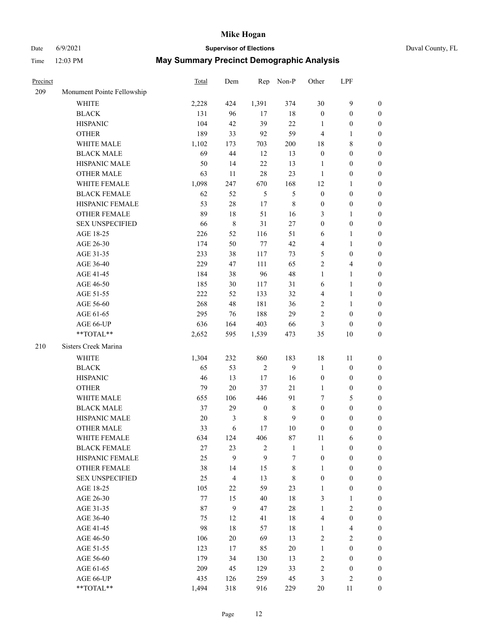# Date 6/9/2021 **Supervisor of Elections** Duval County, FL

| Precinct |                            | Total   | Dem                     |                  | Rep Non-P    | Other            | LPF              |                  |
|----------|----------------------------|---------|-------------------------|------------------|--------------|------------------|------------------|------------------|
| 209      | Monument Pointe Fellowship |         |                         |                  |              |                  |                  |                  |
|          | <b>WHITE</b>               | 2,228   | 424                     | 1,391            | 374          | 30               | $\boldsymbol{9}$ | $\boldsymbol{0}$ |
|          | <b>BLACK</b>               | 131     | 96                      | 17               | $18\,$       | $\boldsymbol{0}$ | $\boldsymbol{0}$ | $\boldsymbol{0}$ |
|          | <b>HISPANIC</b>            | 104     | 42                      | 39               | 22           | 1                | $\boldsymbol{0}$ | $\boldsymbol{0}$ |
|          | <b>OTHER</b>               | 189     | 33                      | 92               | 59           | 4                | 1                | $\boldsymbol{0}$ |
|          | WHITE MALE                 | 1,102   | 173                     | 703              | 200          | 18               | $\,$ 8 $\,$      | $\boldsymbol{0}$ |
|          | <b>BLACK MALE</b>          | 69      | 44                      | 12               | 13           | $\boldsymbol{0}$ | $\boldsymbol{0}$ | $\boldsymbol{0}$ |
|          | HISPANIC MALE              | 50      | 14                      | $22\,$           | 13           | $\mathbf{1}$     | $\boldsymbol{0}$ | $\boldsymbol{0}$ |
|          | <b>OTHER MALE</b>          | 63      | 11                      | 28               | 23           | $\mathbf{1}$     | $\boldsymbol{0}$ | $\boldsymbol{0}$ |
|          | WHITE FEMALE               | 1,098   | 247                     | 670              | 168          | 12               | 1                | $\boldsymbol{0}$ |
|          | <b>BLACK FEMALE</b>        | 62      | 52                      | 5                | 5            | $\boldsymbol{0}$ | $\boldsymbol{0}$ | 0                |
|          | HISPANIC FEMALE            | 53      | $28\,$                  | $17\,$           | $\,$ 8 $\,$  | $\boldsymbol{0}$ | $\boldsymbol{0}$ | $\boldsymbol{0}$ |
|          | <b>OTHER FEMALE</b>        | 89      | 18                      | 51               | 16           | 3                | $\mathbf{1}$     | $\boldsymbol{0}$ |
|          | <b>SEX UNSPECIFIED</b>     | 66      | $\,$ 8 $\,$             | 31               | $27\,$       | $\boldsymbol{0}$ | $\boldsymbol{0}$ | $\boldsymbol{0}$ |
|          | AGE 18-25                  | 226     | 52                      | 116              | 51           | 6                | $\mathbf{1}$     | $\boldsymbol{0}$ |
|          | AGE 26-30                  | 174     | 50                      | 77               | 42           | 4                | $\mathbf{1}$     | $\boldsymbol{0}$ |
|          | AGE 31-35                  | 233     | 38                      | 117              | 73           | 5                | $\boldsymbol{0}$ | $\boldsymbol{0}$ |
|          | AGE 36-40                  | 229     | 47                      | 111              | 65           | $\overline{c}$   | $\overline{4}$   | $\boldsymbol{0}$ |
|          | AGE 41-45                  | 184     | 38                      | 96               | 48           | $\mathbf{1}$     | $\mathbf{1}$     | $\boldsymbol{0}$ |
|          | AGE 46-50                  | 185     | 30                      | 117              | 31           | 6                | $\mathbf{1}$     | $\boldsymbol{0}$ |
|          | AGE 51-55                  | 222     | 52                      | 133              | 32           | 4                | $\mathbf{1}$     | 0                |
|          | AGE 56-60                  | 268     | 48                      | 181              | 36           | 2                | $\mathbf{1}$     | 0                |
|          | AGE 61-65                  | 295     | 76                      | 188              | 29           | 2                | $\boldsymbol{0}$ | $\boldsymbol{0}$ |
|          | AGE 66-UP                  | 636     | 164                     | 403              | 66           | 3                | $\boldsymbol{0}$ | $\boldsymbol{0}$ |
|          | $**TOTAL**$                | 2,652   | 595                     | 1,539            | 473          | 35               | 10               | $\boldsymbol{0}$ |
| 210      | Sisters Creek Marina       |         |                         |                  |              |                  |                  |                  |
|          | WHITE                      | 1,304   | 232                     | 860              | 183          | 18               | 11               | $\boldsymbol{0}$ |
|          | <b>BLACK</b>               | 65      | 53                      | $\overline{2}$   | 9            | $\mathbf{1}$     | $\boldsymbol{0}$ | $\boldsymbol{0}$ |
|          | <b>HISPANIC</b>            | 46      | 13                      | 17               | 16           | $\boldsymbol{0}$ | $\boldsymbol{0}$ | $\boldsymbol{0}$ |
|          | <b>OTHER</b>               | 79      | $20\,$                  | 37               | $21\,$       | $\mathbf{1}$     | $\boldsymbol{0}$ | $\boldsymbol{0}$ |
|          | WHITE MALE                 | 655     | 106                     | 446              | 91           | 7                | $\mathfrak s$    | $\boldsymbol{0}$ |
|          | <b>BLACK MALE</b>          | 37      | 29                      | $\boldsymbol{0}$ | $\,8\,$      | $\boldsymbol{0}$ | $\boldsymbol{0}$ | $\boldsymbol{0}$ |
|          | HISPANIC MALE              | $20\,$  | 3                       | $\,$ 8 $\,$      | $\mathbf{9}$ | $\boldsymbol{0}$ | $\boldsymbol{0}$ | 0                |
|          | <b>OTHER MALE</b>          | 33      | 6                       | 17               | $10\,$       | $\boldsymbol{0}$ | $\boldsymbol{0}$ | $\boldsymbol{0}$ |
|          | WHITE FEMALE               | 634     | 124                     | 406              | $87\,$       | 11               | 6                | $\overline{0}$   |
|          | <b>BLACK FEMALE</b>        | 27      | 23                      | $\sqrt{2}$       | $\mathbf{1}$ | $\mathbf{1}$     | $\boldsymbol{0}$ | $\overline{0}$   |
|          | HISPANIC FEMALE            | 25      | 9                       | 9                | 7            | $\boldsymbol{0}$ | $\boldsymbol{0}$ | $\overline{0}$   |
|          | <b>OTHER FEMALE</b>        | 38      | 14                      | 15               | $\,$ 8 $\,$  | $\mathbf{1}$     | $\boldsymbol{0}$ | $\overline{0}$   |
|          | <b>SEX UNSPECIFIED</b>     | 25      | $\overline{\mathbf{4}}$ | 13               | $\,$ 8 $\,$  | $\boldsymbol{0}$ | $\boldsymbol{0}$ | $\overline{0}$   |
|          | AGE 18-25                  | 105     | $22\,$                  | 59               | 23           | $\mathbf{1}$     | $\boldsymbol{0}$ | $\theta$         |
|          | AGE 26-30                  | $77 \,$ | 15                      | 40               | 18           | 3                | $\mathbf{1}$     | 0                |
|          | AGE 31-35                  | 87      | $\mathbf{9}$            | 47               | $28\,$       | $\mathbf{1}$     | $\sqrt{2}$       | 0                |
|          | AGE 36-40                  | 75      | 12                      | 41               | 18           | 4                | $\boldsymbol{0}$ | 0                |
|          | AGE 41-45                  | 98      | 18                      | 57               | 18           | $\mathbf{1}$     | $\overline{4}$   | 0                |
|          | AGE 46-50                  | 106     | $20\,$                  | 69               | 13           | 2                | $\sqrt{2}$       | $\overline{0}$   |
|          | AGE 51-55                  | 123     | 17                      | 85               | $20\,$       | $\mathbf{1}$     | $\boldsymbol{0}$ | $\overline{0}$   |
|          | AGE 56-60                  | 179     | 34                      | 130              | 13           | 2                | $\boldsymbol{0}$ | $\overline{0}$   |
|          | AGE 61-65                  | 209     | 45                      | 129              | 33           | 2                | $\boldsymbol{0}$ | 0                |
|          | AGE 66-UP                  | 435     | 126                     | 259              | 45           | 3                | $\sqrt{2}$       | 0                |
|          | **TOTAL**                  | 1,494   | 318                     | 916              | 229          | $20\,$           | 11               | $\boldsymbol{0}$ |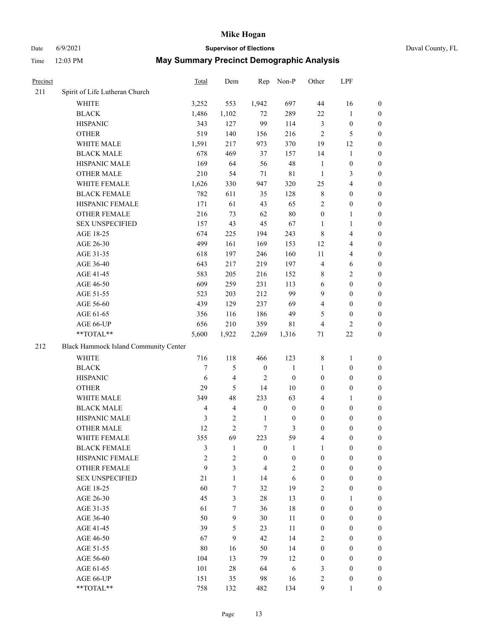## Date 6/9/2021 **Supervisor of Elections** Duval County, FL

| Precinct |                                       | <b>Total</b>   | Dem            | Rep              | Non-P            | Other            | LPF                     |                  |
|----------|---------------------------------------|----------------|----------------|------------------|------------------|------------------|-------------------------|------------------|
| 211      | Spirit of Life Lutheran Church        |                |                |                  |                  |                  |                         |                  |
|          | <b>WHITE</b>                          | 3,252          | 553            | 1,942            | 697              | 44               | 16                      | 0                |
|          | <b>BLACK</b>                          | 1,486          | 1,102          | 72               | 289              | $22\,$           | $\mathbf{1}$            | 0                |
|          | <b>HISPANIC</b>                       | 343            | 127            | 99               | 114              | $\mathfrak{Z}$   | $\boldsymbol{0}$        | 0                |
|          | <b>OTHER</b>                          | 519            | 140            | 156              | 216              | $\mathfrak{2}$   | 5                       | $\boldsymbol{0}$ |
|          | WHITE MALE                            | 1,591          | 217            | 973              | 370              | 19               | 12                      | $\boldsymbol{0}$ |
|          | <b>BLACK MALE</b>                     | 678            | 469            | 37               | 157              | 14               | 1                       | $\boldsymbol{0}$ |
|          | HISPANIC MALE                         | 169            | 64             | 56               | $48\,$           | $\mathbf{1}$     | $\boldsymbol{0}$        | $\boldsymbol{0}$ |
|          | <b>OTHER MALE</b>                     | 210            | 54             | 71               | $8\sqrt{1}$      | $\mathbf{1}$     | $\mathfrak{Z}$          | $\boldsymbol{0}$ |
|          | WHITE FEMALE                          | 1,626          | 330            | 947              | 320              | 25               | $\overline{\mathbf{4}}$ | $\boldsymbol{0}$ |
|          | <b>BLACK FEMALE</b>                   | 782            | 611            | 35               | 128              | 8                | $\boldsymbol{0}$        | 0                |
|          | HISPANIC FEMALE                       | 171            | 61             | 43               | 65               | $\overline{2}$   | $\boldsymbol{0}$        | 0                |
|          | OTHER FEMALE                          | 216            | 73             | 62               | $80\,$           | $\boldsymbol{0}$ | $\mathbf{1}$            | 0                |
|          | <b>SEX UNSPECIFIED</b>                | 157            | 43             | 45               | 67               | $\mathbf{1}$     | $\mathbf{1}$            | $\boldsymbol{0}$ |
|          | AGE 18-25                             | 674            | 225            | 194              | 243              | 8                | $\overline{\mathbf{4}}$ | $\boldsymbol{0}$ |
|          | AGE 26-30                             | 499            | 161            | 169              | 153              | 12               | $\overline{\mathbf{4}}$ | $\boldsymbol{0}$ |
|          | AGE 31-35                             | 618            | 197            | 246              | 160              | 11               | $\overline{\mathbf{4}}$ | $\boldsymbol{0}$ |
|          | AGE 36-40                             | 643            | 217            | 219              | 197              | 4                | 6                       | $\boldsymbol{0}$ |
|          | AGE 41-45                             | 583            | 205            | 216              | 152              | 8                | $\overline{2}$          | $\boldsymbol{0}$ |
|          | AGE 46-50                             | 609            | 259            | 231              | 113              | $\sqrt{6}$       | $\boldsymbol{0}$        | $\boldsymbol{0}$ |
|          | AGE 51-55                             | 523            | 203            | 212              | 99               | 9                | $\boldsymbol{0}$        | 0                |
|          | AGE 56-60                             | 439            | 129            | 237              | 69               | $\overline{4}$   | $\boldsymbol{0}$        | 0                |
|          | AGE 61-65                             | 356            | 116            | 186              | 49               | 5                | $\boldsymbol{0}$        | 0                |
|          | AGE 66-UP                             | 656            | 210            | 359              | 81               | 4                | $\overline{2}$          | $\boldsymbol{0}$ |
|          | **TOTAL**                             | 5,600          | 1,922          | 2,269            | 1,316            | 71               | $22\,$                  | $\boldsymbol{0}$ |
| 212      | Black Hammock Island Community Center |                |                |                  |                  |                  |                         |                  |
|          | WHITE                                 | 716            | 118            | 466              | 123              | $\,$ 8 $\,$      | $\mathbf{1}$            | $\boldsymbol{0}$ |
|          | <b>BLACK</b>                          | 7              | 5              | $\boldsymbol{0}$ | $\mathbf{1}$     | $\mathbf{1}$     | $\boldsymbol{0}$        | $\boldsymbol{0}$ |
|          | <b>HISPANIC</b>                       | 6              | 4              | $\overline{2}$   | $\boldsymbol{0}$ | $\boldsymbol{0}$ | $\boldsymbol{0}$        | $\boldsymbol{0}$ |
|          | <b>OTHER</b>                          | 29             | 5              | 14               | $10\,$           | $\boldsymbol{0}$ | $\boldsymbol{0}$        | $\boldsymbol{0}$ |
|          | WHITE MALE                            | 349            | 48             | 233              | 63               | 4                | $\mathbf{1}$            | $\boldsymbol{0}$ |
|          | <b>BLACK MALE</b>                     | $\overline{4}$ | $\overline{4}$ | $\boldsymbol{0}$ | $\boldsymbol{0}$ | $\boldsymbol{0}$ | $\boldsymbol{0}$        | $\boldsymbol{0}$ |
|          | HISPANIC MALE                         | $\mathfrak{Z}$ | $\mathbf{2}$   | $\mathbf{1}$     | $\boldsymbol{0}$ | $\boldsymbol{0}$ | $\boldsymbol{0}$        | 0                |
|          | OTHER MALE                            | 12             | $\overline{c}$ | $\tau$           | 3                | $\boldsymbol{0}$ | $\boldsymbol{0}$        | $\boldsymbol{0}$ |
|          | WHITE FEMALE                          | 355            | 69             | 223              | 59               | 4                | $\boldsymbol{0}$        | 0                |
|          | <b>BLACK FEMALE</b>                   | 3              | $\mathbf{1}$   | $\boldsymbol{0}$ | 1                | 1                | $\boldsymbol{0}$        | $\overline{0}$   |
|          | HISPANIC FEMALE                       | $\overline{c}$ | $\overline{c}$ | $\boldsymbol{0}$ | $\boldsymbol{0}$ | $\boldsymbol{0}$ | $\boldsymbol{0}$        | $\overline{0}$   |
|          | <b>OTHER FEMALE</b>                   | 9              | 3              | $\overline{4}$   | $\sqrt{2}$       | $\boldsymbol{0}$ | $\boldsymbol{0}$        | $\overline{0}$   |
|          | <b>SEX UNSPECIFIED</b>                | 21             | $\mathbf{1}$   | 14               | 6                | $\boldsymbol{0}$ | $\boldsymbol{0}$        | $\overline{0}$   |
|          | AGE 18-25                             | 60             | $\tau$         | 32               | 19               | 2                | $\boldsymbol{0}$        | $\theta$         |
|          | AGE 26-30                             | 45             | 3              | 28               | 13               | $\boldsymbol{0}$ | $\mathbf{1}$            | $\overline{0}$   |
|          | AGE 31-35                             | 61             | $\tau$         | 36               | 18               | $\boldsymbol{0}$ | $\boldsymbol{0}$        | 0                |
|          | AGE 36-40                             | 50             | 9              | 30               | 11               | $\boldsymbol{0}$ | $\boldsymbol{0}$        | 0                |
|          | AGE 41-45                             | 39             | 5              | 23               | 11               | $\boldsymbol{0}$ | $\boldsymbol{0}$        | 0                |
|          | AGE 46-50                             | 67             | 9              | 42               | 14               | 2                | $\boldsymbol{0}$        | 0                |
|          | AGE 51-55                             | 80             | 16             | 50               | 14               | $\boldsymbol{0}$ | $\boldsymbol{0}$        | $\overline{0}$   |
|          | AGE 56-60                             | 104            | 13             | 79               | 12               | $\boldsymbol{0}$ | $\boldsymbol{0}$        | $\overline{0}$   |
|          | AGE 61-65                             | 101            | $28\,$         | 64               | 6                | 3                | $\boldsymbol{0}$        | $\overline{0}$   |
|          | AGE 66-UP                             | 151            | 35             | 98               | 16               | 2                | $\boldsymbol{0}$        | 0                |
|          | **TOTAL**                             | 758            | 132            | 482              | 134              | 9                | $\mathbf{1}$            | $\overline{0}$   |
|          |                                       |                |                |                  |                  |                  |                         |                  |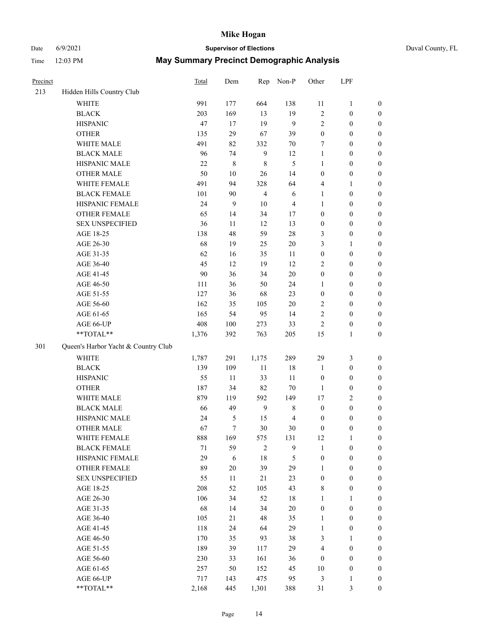## Date 6/9/2021 **Supervisor of Elections** Duval County, FL

| Precinct |                                     | <b>Total</b> | Dem    | Rep            | Non-P          | Other            | LPF              |                  |
|----------|-------------------------------------|--------------|--------|----------------|----------------|------------------|------------------|------------------|
| 213      | Hidden Hills Country Club           |              |        |                |                |                  |                  |                  |
|          | <b>WHITE</b>                        | 991          | 177    | 664            | 138            | 11               | $\mathbf{1}$     | 0                |
|          | <b>BLACK</b>                        | 203          | 169    | 13             | 19             | 2                | $\boldsymbol{0}$ | $\boldsymbol{0}$ |
|          | <b>HISPANIC</b>                     | 47           | 17     | 19             | 9              | $\mathbf{2}$     | $\boldsymbol{0}$ | $\boldsymbol{0}$ |
|          | <b>OTHER</b>                        | 135          | 29     | 67             | 39             | $\boldsymbol{0}$ | $\boldsymbol{0}$ | $\boldsymbol{0}$ |
|          | WHITE MALE                          | 491          | 82     | 332            | 70             | 7                | $\boldsymbol{0}$ | $\boldsymbol{0}$ |
|          | <b>BLACK MALE</b>                   | 96           | 74     | $\mathbf{9}$   | 12             | $\mathbf{1}$     | $\boldsymbol{0}$ | $\boldsymbol{0}$ |
|          | HISPANIC MALE                       | 22           | 8      | $\,8\,$        | 5              | $\mathbf{1}$     | $\boldsymbol{0}$ | $\boldsymbol{0}$ |
|          | <b>OTHER MALE</b>                   | 50           | $10\,$ | 26             | 14             | $\boldsymbol{0}$ | $\boldsymbol{0}$ | $\boldsymbol{0}$ |
|          | WHITE FEMALE                        | 491          | 94     | 328            | 64             | 4                | $\mathbf{1}$     | $\boldsymbol{0}$ |
|          | <b>BLACK FEMALE</b>                 | 101          | 90     | $\overline{4}$ | 6              | $\mathbf{1}$     | $\boldsymbol{0}$ | $\boldsymbol{0}$ |
|          | HISPANIC FEMALE                     | 24           | 9      | 10             | $\overline{4}$ | 1                | $\boldsymbol{0}$ | 0                |
|          | <b>OTHER FEMALE</b>                 | 65           | 14     | 34             | 17             | $\boldsymbol{0}$ | $\boldsymbol{0}$ | $\boldsymbol{0}$ |
|          | <b>SEX UNSPECIFIED</b>              | 36           | 11     | 12             | 13             | $\boldsymbol{0}$ | $\boldsymbol{0}$ | $\boldsymbol{0}$ |
|          | AGE 18-25                           | 138          | 48     | 59             | 28             | 3                | $\boldsymbol{0}$ | $\boldsymbol{0}$ |
|          | AGE 26-30                           | 68           | 19     | 25             | 20             | 3                | $\mathbf{1}$     | $\boldsymbol{0}$ |
|          | AGE 31-35                           | 62           | 16     | 35             | 11             | $\boldsymbol{0}$ | $\boldsymbol{0}$ | $\boldsymbol{0}$ |
|          | AGE 36-40                           | 45           | 12     | 19             | 12             | $\overline{c}$   | $\boldsymbol{0}$ | $\boldsymbol{0}$ |
|          | AGE 41-45                           | 90           | 36     | 34             | $20\,$         | $\boldsymbol{0}$ | $\boldsymbol{0}$ | $\boldsymbol{0}$ |
|          | AGE 46-50                           | 111          | 36     | 50             | 24             | $\mathbf{1}$     | $\boldsymbol{0}$ | $\boldsymbol{0}$ |
|          | AGE 51-55                           | 127          | 36     | 68             | 23             | $\boldsymbol{0}$ | $\boldsymbol{0}$ | $\boldsymbol{0}$ |
|          | AGE 56-60                           | 162          | 35     | 105            | 20             | $\overline{c}$   | $\boldsymbol{0}$ | 0                |
|          | AGE 61-65                           | 165          | 54     | 95             | 14             | $\mathfrak{2}$   | $\boldsymbol{0}$ | $\boldsymbol{0}$ |
|          | AGE 66-UP                           | 408          | 100    | 273            | 33             | $\mathfrak{2}$   | $\boldsymbol{0}$ | $\boldsymbol{0}$ |
|          | $**TOTAL**$                         | 1,376        | 392    | 763            | 205            | 15               | $\mathbf{1}$     | $\boldsymbol{0}$ |
| 301      | Queen's Harbor Yacht & Country Club |              |        |                |                |                  |                  |                  |
|          | <b>WHITE</b>                        | 1,787        | 291    | 1,175          | 289            | 29               | $\mathfrak{Z}$   | $\boldsymbol{0}$ |
|          | <b>BLACK</b>                        | 139          | 109    | $11\,$         | 18             | $\mathbf{1}$     | $\boldsymbol{0}$ | $\boldsymbol{0}$ |
|          | <b>HISPANIC</b>                     | 55           | 11     | 33             | 11             | $\boldsymbol{0}$ | $\boldsymbol{0}$ | $\boldsymbol{0}$ |
|          | <b>OTHER</b>                        | 187          | 34     | 82             | $70\,$         | $\mathbf{1}$     | $\boldsymbol{0}$ | $\boldsymbol{0}$ |
|          | WHITE MALE                          | 879          | 119    | 592            | 149            | 17               | $\mathfrak{2}$   | $\boldsymbol{0}$ |
|          | <b>BLACK MALE</b>                   | 66           | 49     | 9              | $\,$ 8 $\,$    | $\boldsymbol{0}$ | $\boldsymbol{0}$ | $\boldsymbol{0}$ |
|          | HISPANIC MALE                       | 24           | 5      | 15             | $\overline{4}$ | $\boldsymbol{0}$ | $\boldsymbol{0}$ | $\boldsymbol{0}$ |
|          | <b>OTHER MALE</b>                   | 67           | $\tau$ | 30             | 30             | $\boldsymbol{0}$ | $\boldsymbol{0}$ | $\boldsymbol{0}$ |
|          | WHITE FEMALE                        | 888          | 169    | 575            | 131            | 12               | 1                | 0                |
|          | <b>BLACK FEMALE</b>                 | 71           | 59     | $\mathbf{2}$   | 9              | $\mathbf{1}$     | $\boldsymbol{0}$ | $\boldsymbol{0}$ |
|          | HISPANIC FEMALE                     | 29           | 6      | 18             | 5              | $\boldsymbol{0}$ | $\boldsymbol{0}$ | $\overline{0}$   |
|          | <b>OTHER FEMALE</b>                 | 89           | $20\,$ | 39             | 29             | $\mathbf{1}$     | $\boldsymbol{0}$ | $\overline{0}$   |
|          | <b>SEX UNSPECIFIED</b>              | 55           | 11     | 21             | 23             | $\boldsymbol{0}$ | $\boldsymbol{0}$ | $\overline{0}$   |
|          | AGE 18-25                           | 208          | 52     | 105            | 43             | 8                | $\boldsymbol{0}$ | $\theta$         |
|          | AGE 26-30                           | 106          | 34     | 52             | 18             | $\mathbf{1}$     | $\mathbf{1}$     | $\overline{0}$   |
|          | AGE 31-35                           | 68           | 14     | 34             | $20\,$         | $\boldsymbol{0}$ | $\boldsymbol{0}$ | 0                |
|          | AGE 36-40                           | 105          | 21     | 48             | 35             | $\mathbf{1}$     | $\boldsymbol{0}$ | 0                |
|          | AGE 41-45                           | 118          | 24     | 64             | 29             | $\mathbf{1}$     | $\boldsymbol{0}$ | 0                |
|          | AGE 46-50                           | 170          | 35     | 93             | 38             | 3                | $\mathbf{1}$     | 0                |
|          | AGE 51-55                           | 189          | 39     | 117            | 29             | 4                | $\boldsymbol{0}$ | $\overline{0}$   |
|          | AGE 56-60                           | 230          | 33     | 161            | 36             | $\boldsymbol{0}$ | $\boldsymbol{0}$ | $\overline{0}$   |
|          | AGE 61-65                           | 257          | 50     | 152            | 45             | 10               | $\boldsymbol{0}$ | $\overline{0}$   |
|          | AGE 66-UP                           | 717          | 143    | 475            | 95             | 3                | $\mathbf{1}$     | $\boldsymbol{0}$ |
|          | **TOTAL**                           | 2,168        | 445    | 1,301          | 388            | 31               | $\mathfrak{Z}$   | $\boldsymbol{0}$ |
|          |                                     |              |        |                |                |                  |                  |                  |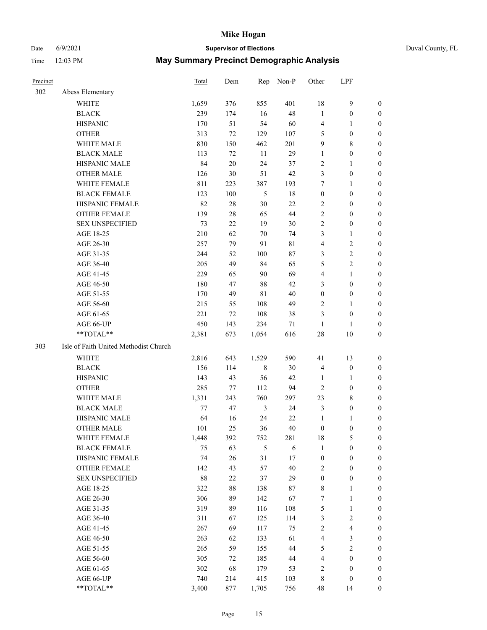## Date 6/9/2021 **Supervisor of Elections** Duval County, FL

| Precinct |                                       | <b>Total</b> | Dem       | Rep            | Non-P    | Other              | LPF                     |                  |
|----------|---------------------------------------|--------------|-----------|----------------|----------|--------------------|-------------------------|------------------|
| 302      | Abess Elementary                      |              |           |                |          |                    |                         |                  |
|          | <b>WHITE</b>                          | 1,659        | 376       | 855            | 401      | 18                 | $\mathbf{9}$            | 0                |
|          | <b>BLACK</b>                          | 239          | 174       | 16             | 48       | $\mathbf{1}$       | $\boldsymbol{0}$        | 0                |
|          | <b>HISPANIC</b>                       | 170          | 51        | 54             | 60       | $\overline{4}$     | $\mathbf{1}$            | $\boldsymbol{0}$ |
|          | <b>OTHER</b>                          | 313          | 72        | 129            | 107      | 5                  | $\boldsymbol{0}$        | $\boldsymbol{0}$ |
|          | WHITE MALE                            | 830          | 150       | 462            | 201      | 9                  | $8\,$                   | $\boldsymbol{0}$ |
|          | <b>BLACK MALE</b>                     | 113          | 72        | 11             | 29       | $\mathbf{1}$       | $\boldsymbol{0}$        | $\boldsymbol{0}$ |
|          | HISPANIC MALE                         | 84           | $20\,$    | 24             | 37       | $\overline{c}$     | $\mathbf{1}$            | $\boldsymbol{0}$ |
|          | <b>OTHER MALE</b>                     | 126          | 30        | 51             | 42       | 3                  | $\boldsymbol{0}$        | $\boldsymbol{0}$ |
|          | WHITE FEMALE                          | 811          | 223       | 387            | 193      | 7                  | $\mathbf{1}$            | $\boldsymbol{0}$ |
|          | <b>BLACK FEMALE</b>                   | 123          | 100       | 5              | 18       | $\boldsymbol{0}$   | $\boldsymbol{0}$        | 0                |
|          | HISPANIC FEMALE                       | 82           | 28        | $30\,$         | 22       | $\overline{c}$     | $\boldsymbol{0}$        | 0                |
|          | <b>OTHER FEMALE</b>                   | 139          | 28        | 65             | 44       | $\mathfrak{2}$     | $\boldsymbol{0}$        | $\boldsymbol{0}$ |
|          | <b>SEX UNSPECIFIED</b>                | 73           | 22        | 19             | 30       | $\sqrt{2}$         | $\boldsymbol{0}$        | $\boldsymbol{0}$ |
|          | AGE 18-25                             | 210          | 62        | 70             | 74       | 3                  | $\mathbf{1}$            | $\boldsymbol{0}$ |
|          | AGE 26-30                             | 257          | 79        | 91             | 81       | 4                  | $\sqrt{2}$              | $\boldsymbol{0}$ |
|          | AGE 31-35                             | 244          | 52        | 100            | 87       | 3                  | $\sqrt{2}$              | $\boldsymbol{0}$ |
|          | AGE 36-40                             | 205          | 49        | 84             | 65       | 5                  | $\sqrt{2}$              | $\boldsymbol{0}$ |
|          | AGE 41-45                             | 229          | 65        | 90             | 69       | 4                  | $\mathbf{1}$            | $\boldsymbol{0}$ |
|          | AGE 46-50                             | 180          | 47        | $88\,$         | 42       | 3                  | $\boldsymbol{0}$        | $\boldsymbol{0}$ |
|          | AGE 51-55                             | 170          | 49        | $8\sqrt{1}$    | 40       | $\boldsymbol{0}$   | $\boldsymbol{0}$        | 0                |
|          | AGE 56-60                             | 215          | 55        | 108            | 49       | $\overline{c}$     | $\mathbf{1}$            | 0                |
|          | AGE 61-65                             | 221          | 72        | 108            | 38       | 3                  | $\boldsymbol{0}$        | 0                |
|          | AGE 66-UP                             | 450          | 143       | 234            | 71       | $\mathbf{1}$       | 1                       | $\boldsymbol{0}$ |
|          | $**TOTAL**$                           | 2,381        | 673       | 1,054          | 616      | $28\,$             | $10\,$                  | $\boldsymbol{0}$ |
| 303      | Isle of Faith United Methodist Church |              |           |                |          |                    |                         |                  |
|          | <b>WHITE</b>                          | 2,816        | 643       | 1,529          | 590      | 41                 | 13                      | $\boldsymbol{0}$ |
|          | <b>BLACK</b>                          | 156          | 114       | $\,$ 8 $\,$    | 30       | 4                  | $\boldsymbol{0}$        | $\boldsymbol{0}$ |
|          | <b>HISPANIC</b>                       | 143          | 43        | 56             | 42       | $\mathbf{1}$       | $\mathbf{1}$            | $\boldsymbol{0}$ |
|          | <b>OTHER</b>                          | 285          | 77        | 112            | 94       | $\overline{c}$     | $\boldsymbol{0}$        | $\overline{0}$   |
|          | WHITE MALE                            | 1,331        | 243       | 760            | 297      | 23                 | $8\,$                   | $\boldsymbol{0}$ |
|          | <b>BLACK MALE</b>                     | 77           | 47        | $\mathfrak{Z}$ | 24       | 3                  | $\boldsymbol{0}$        | $\boldsymbol{0}$ |
|          | HISPANIC MALE                         | 64           | 16        | 24             | 22       | $\mathbf{1}$       | 1                       | 0                |
|          | <b>OTHER MALE</b>                     | 101          | 25        | 36             | 40       | $\boldsymbol{0}$   | $\boldsymbol{0}$        | 0                |
|          |                                       |              |           |                |          |                    | 5                       | 0                |
|          | WHITE FEMALE<br><b>BLACK FEMALE</b>   | 1,448<br>75  | 392<br>63 | 752<br>5       | 281<br>6 | 18<br>$\mathbf{1}$ | $\boldsymbol{0}$        | $\boldsymbol{0}$ |
|          | HISPANIC FEMALE                       | 74           | 26        | 31             | 17       | $\boldsymbol{0}$   | $\boldsymbol{0}$        | $\overline{0}$   |
|          | <b>OTHER FEMALE</b>                   | 142          | 43        | 57             | 40       | $\overline{c}$     | $\boldsymbol{0}$        | $\overline{0}$   |
|          | <b>SEX UNSPECIFIED</b>                | 88           | 22        | 37             | 29       | $\boldsymbol{0}$   | $\boldsymbol{0}$        | 0                |
|          | AGE 18-25                             | 322          | 88        | 138            | 87       | $\,$ 8 $\,$        | $\mathbf{1}$            | $\theta$         |
|          | AGE 26-30                             | 306          | 89        | 142            | 67       | 7                  | $\mathbf{1}$            | 0                |
|          | AGE 31-35                             | 319          | 89        | 116            | 108      | 5                  | $\mathbf{1}$            | 0                |
|          | AGE 36-40                             | 311          | 67        | 125            | 114      | 3                  | $\sqrt{2}$              | 0                |
|          | AGE 41-45                             | 267          | 69        | 117            | 75       | $\sqrt{2}$         | $\overline{\mathbf{4}}$ | 0                |
|          | AGE 46-50                             | 263          | 62        | 133            | 61       | 4                  | $\mathfrak{Z}$          | 0                |
|          | AGE 51-55                             | 265          | 59        | 155            | 44       |                    | $\overline{2}$          | $\overline{0}$   |
|          | AGE 56-60                             | 305          | 72        | 185            | 44       | 5<br>4             | $\boldsymbol{0}$        | $\overline{0}$   |
|          | AGE 61-65                             | 302          | 68        | 179            | 53       | $\overline{c}$     | $\boldsymbol{0}$        | $\overline{0}$   |
|          | AGE 66-UP                             | 740          | 214       | 415            | 103      | 8                  | $\boldsymbol{0}$        | $\boldsymbol{0}$ |
|          | **TOTAL**                             | 3,400        | 877       | 1,705          | 756      | 48                 | 14                      | $\boldsymbol{0}$ |
|          |                                       |              |           |                |          |                    |                         |                  |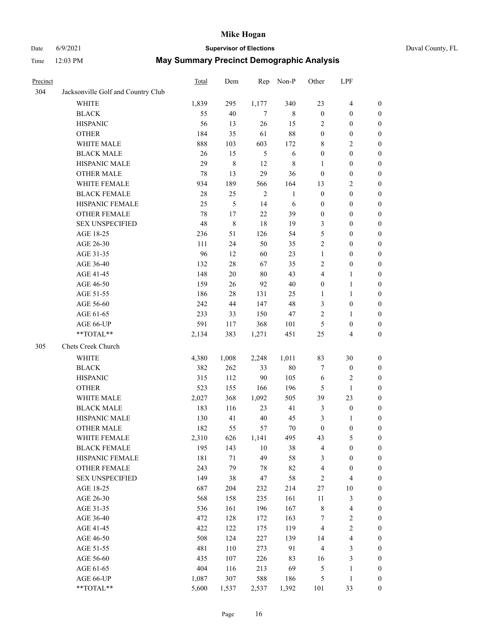# Date 6/9/2021 **Supervisor of Elections** Duval County, FL

| Precinct |                                    | <b>Total</b> | Dem       | Rep        | Non-P        | Other            | LPF                     |                  |
|----------|------------------------------------|--------------|-----------|------------|--------------|------------------|-------------------------|------------------|
| 304      | Jacksonville Golf and Country Club |              |           |            |              |                  |                         |                  |
|          | <b>WHITE</b>                       | 1,839        | 295       | 1,177      | 340          | 23               | $\overline{4}$          | 0                |
|          | <b>BLACK</b>                       | 55           | 40        | $\tau$     | 8            | $\boldsymbol{0}$ | $\boldsymbol{0}$        | 0                |
|          | <b>HISPANIC</b>                    | 56           | 13        | 26         | 15           | $\overline{2}$   | $\boldsymbol{0}$        | $\boldsymbol{0}$ |
|          | <b>OTHER</b>                       | 184          | 35        | 61         | $88\,$       | $\boldsymbol{0}$ | $\boldsymbol{0}$        | $\boldsymbol{0}$ |
|          | WHITE MALE                         | 888          | 103       | 603        | 172          | 8                | $\sqrt{2}$              | $\boldsymbol{0}$ |
|          | <b>BLACK MALE</b>                  | 26           | 15        | 5          | $\sqrt{6}$   | $\boldsymbol{0}$ | $\boldsymbol{0}$        | $\boldsymbol{0}$ |
|          | HISPANIC MALE                      | 29           | $\,$ $\,$ | 12         | $\,$ 8 $\,$  | 1                | $\boldsymbol{0}$        | $\boldsymbol{0}$ |
|          | <b>OTHER MALE</b>                  | 78           | 13        | 29         | 36           | $\boldsymbol{0}$ | $\boldsymbol{0}$        | $\boldsymbol{0}$ |
|          | WHITE FEMALE                       | 934          | 189       | 566        | 164          | 13               | $\mathfrak{2}$          | $\boldsymbol{0}$ |
|          | <b>BLACK FEMALE</b>                | 28           | 25        | $\sqrt{2}$ | $\mathbf{1}$ | $\boldsymbol{0}$ | $\boldsymbol{0}$        | 0                |
|          | HISPANIC FEMALE                    | 25           | 5         | 14         | 6            | $\boldsymbol{0}$ | $\boldsymbol{0}$        | 0                |
|          | <b>OTHER FEMALE</b>                | 78           | 17        | 22         | 39           | $\boldsymbol{0}$ | $\boldsymbol{0}$        | $\boldsymbol{0}$ |
|          | <b>SEX UNSPECIFIED</b>             | 48           | 8         | 18         | 19           | 3                | $\boldsymbol{0}$        | $\boldsymbol{0}$ |
|          | AGE 18-25                          | 236          | 51        | 126        | 54           | 5                | $\boldsymbol{0}$        | $\boldsymbol{0}$ |
|          | AGE 26-30                          | 111          | 24        | 50         | 35           | 2                | $\boldsymbol{0}$        | $\boldsymbol{0}$ |
|          | AGE 31-35                          | 96           | 12        | 60         | 23           | $\mathbf{1}$     | $\boldsymbol{0}$        | $\boldsymbol{0}$ |
|          | AGE 36-40                          | 132          | $28\,$    | 67         | 35           | 2                | $\boldsymbol{0}$        | $\boldsymbol{0}$ |
|          | AGE 41-45                          | 148          | $20\,$    | 80         | 43           | $\overline{4}$   | $\mathbf{1}$            | $\boldsymbol{0}$ |
|          | AGE 46-50                          | 159          | 26        | 92         | $40\,$       | $\boldsymbol{0}$ | $\mathbf{1}$            | $\boldsymbol{0}$ |
|          | AGE 51-55                          | 186          | 28        | 131        | 25           | 1                | $\mathbf{1}$            | 0                |
|          | AGE 56-60                          | 242          | 44        | 147        | 48           | 3                | $\boldsymbol{0}$        | 0                |
|          | AGE 61-65                          | 233          | 33        | 150        | $47\,$       | 2                | $\mathbf{1}$            | 0                |
|          | AGE 66-UP                          | 591          | 117       | 368        | 101          | 5                | $\boldsymbol{0}$        | $\boldsymbol{0}$ |
|          | **TOTAL**                          | 2,134        | 383       | 1,271      | 451          | $25\,$           | $\overline{\mathbf{4}}$ | $\boldsymbol{0}$ |
| 305      | Chets Creek Church                 |              |           |            |              |                  |                         |                  |
|          |                                    |              |           |            |              |                  |                         |                  |
|          | <b>WHITE</b>                       | 4,380        | 1,008     | 2,248      | 1,011        | 83               | 30                      | $\boldsymbol{0}$ |
|          | <b>BLACK</b>                       | 382          | 262       | 33         | $80\,$       | 7                | $\boldsymbol{0}$        | $\boldsymbol{0}$ |
|          | <b>HISPANIC</b>                    | 315          | 112       | 90         | 105          | 6                | $\mathbf{2}$            | $\boldsymbol{0}$ |
|          | <b>OTHER</b>                       | 523          | 155       | 166        | 196          | 5                | $\mathbf{1}$            | $\boldsymbol{0}$ |
|          | WHITE MALE                         | 2,027        | 368       | 1,092      | 505          | 39               | 23                      | $\boldsymbol{0}$ |
|          | <b>BLACK MALE</b>                  | 183          | 116       | 23         | 41           | 3                | $\boldsymbol{0}$        | $\boldsymbol{0}$ |
|          | HISPANIC MALE                      | 130          | 41        | $40\,$     | 45           | 3                | 1                       | 0                |
|          | OTHER MALE                         | 182          | 55        | 57         | $70\,$       | $\boldsymbol{0}$ | $\boldsymbol{0}$        | $\boldsymbol{0}$ |
|          | WHITE FEMALE                       | 2,310        | 626       | 1,141      | 495          | 43               | 5                       | 0                |
|          | <b>BLACK FEMALE</b>                | 195          | 143       | $10\,$     | 38           | 4                | $\boldsymbol{0}$        | $\boldsymbol{0}$ |
|          | HISPANIC FEMALE                    | 181          | $71\,$    | 49         | 58           | 3                | $\boldsymbol{0}$        | $\overline{0}$   |
|          | OTHER FEMALE                       | 243          | 79        | 78         | $82\,$       | 4                | $\boldsymbol{0}$        | $\overline{0}$   |
|          | <b>SEX UNSPECIFIED</b>             | 149          | 38        | 47         | 58           | 2                | $\overline{\mathbf{4}}$ | 0                |
|          | AGE 18-25                          | 687          | 204       | 232        | 214          | 27               | $10\,$                  | 0                |
|          | AGE 26-30                          | 568          | 158       | 235        | 161          | $11\,$           | $\mathfrak{Z}$          | 0                |
|          | AGE 31-35                          | 536          | 161       | 196        | 167          | $\,$ $\,$        | $\overline{\mathbf{4}}$ | 0                |
|          | AGE 36-40                          | 472          | 128       | 172        | 163          | 7                | $\sqrt{2}$              | 0                |
|          | AGE 41-45                          | 422          | 122       | 175        | 119          | $\overline{4}$   | $\sqrt{2}$              | 0                |
|          | AGE 46-50                          | 508          | 124       | 227        | 139          | 14               | $\overline{\mathbf{4}}$ | 0                |
|          | AGE 51-55                          | 481          | 110       | 273        | 91           | 4                | 3                       | 0                |
|          | AGE 56-60                          | 435          | 107       | 226        | 83           | 16               | $\mathfrak{Z}$          | $\boldsymbol{0}$ |
|          | AGE 61-65                          | 404          | 116       | 213        | 69           | 5                | $\mathbf{1}$            | $\boldsymbol{0}$ |
|          | AGE 66-UP                          | 1,087        | 307       | 588        | 186          | 5                | $\mathbf{1}$            | 0                |
|          | **TOTAL**                          | 5,600        | 1,537     | 2,537      | 1,392        | 101              | 33                      | $\boldsymbol{0}$ |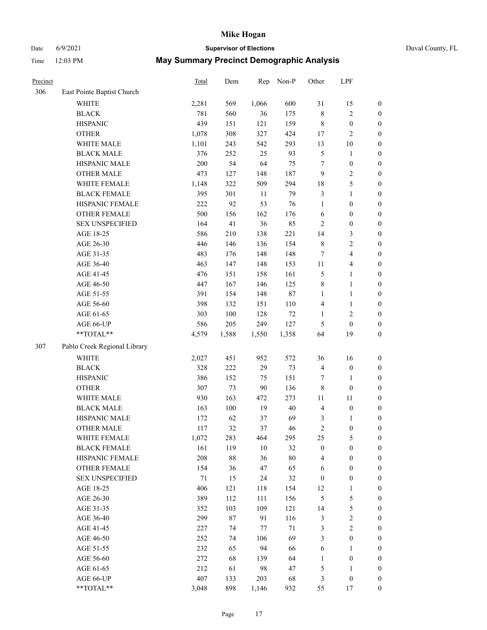# Date 6/9/2021 **Supervisor of Elections** Duval County, FL

| Precinct |                              | Total | Dem    | Rep    | Non-P  | Other                   | LPF                     |                  |
|----------|------------------------------|-------|--------|--------|--------|-------------------------|-------------------------|------------------|
| 306      | East Pointe Baptist Church   |       |        |        |        |                         |                         |                  |
|          | <b>WHITE</b>                 | 2,281 | 569    | 1,066  | 600    | 31                      | 15                      | $\boldsymbol{0}$ |
|          | <b>BLACK</b>                 | 781   | 560    | 36     | 175    | 8                       | $\overline{2}$          | $\boldsymbol{0}$ |
|          | <b>HISPANIC</b>              | 439   | 151    | 121    | 159    | 8                       | $\boldsymbol{0}$        | $\boldsymbol{0}$ |
|          | <b>OTHER</b>                 | 1,078 | 308    | 327    | 424    | 17                      | $\sqrt{2}$              | $\boldsymbol{0}$ |
|          | WHITE MALE                   | 1,101 | 243    | 542    | 293    | 13                      | $10\,$                  | $\boldsymbol{0}$ |
|          | <b>BLACK MALE</b>            | 376   | 252    | 25     | 93     | 5                       | $\mathbf{1}$            | $\boldsymbol{0}$ |
|          | HISPANIC MALE                | 200   | 54     | 64     | 75     | $\tau$                  | $\boldsymbol{0}$        | $\boldsymbol{0}$ |
|          | <b>OTHER MALE</b>            | 473   | 127    | 148    | 187    | $\boldsymbol{9}$        | $\sqrt{2}$              | $\boldsymbol{0}$ |
|          | WHITE FEMALE                 | 1,148 | 322    | 509    | 294    | 18                      | 5                       | $\boldsymbol{0}$ |
|          | <b>BLACK FEMALE</b>          | 395   | 301    | 11     | 79     | 3                       | $\mathbf{1}$            | 0                |
|          | HISPANIC FEMALE              | 222   | 92     | 53     | 76     | $\mathbf{1}$            | $\boldsymbol{0}$        | $\boldsymbol{0}$ |
|          | OTHER FEMALE                 | 500   | 156    | 162    | 176    | $\sqrt{6}$              | $\boldsymbol{0}$        | $\boldsymbol{0}$ |
|          | <b>SEX UNSPECIFIED</b>       | 164   | 41     | 36     | 85     | $\mathbf{2}$            | $\boldsymbol{0}$        | $\boldsymbol{0}$ |
|          | AGE 18-25                    | 586   | 210    | 138    | 221    | 14                      | $\mathfrak{Z}$          | $\boldsymbol{0}$ |
|          | AGE 26-30                    | 446   | 146    | 136    | 154    | $\,$ $\,$               | $\sqrt{2}$              | $\boldsymbol{0}$ |
|          | AGE 31-35                    | 483   | 176    | 148    | 148    | 7                       | $\overline{\mathbf{4}}$ | $\boldsymbol{0}$ |
|          | AGE 36-40                    | 463   | 147    | 148    | 153    | $11\,$                  | $\overline{4}$          | $\boldsymbol{0}$ |
|          | AGE 41-45                    | 476   | 151    | 158    | 161    | 5                       | $\mathbf{1}$            | $\boldsymbol{0}$ |
|          | AGE 46-50                    | 447   | 167    | 146    | 125    | 8                       | $\mathbf{1}$            | $\boldsymbol{0}$ |
|          | AGE 51-55                    | 391   | 154    | 148    | $87\,$ | $\mathbf{1}$            | $\mathbf{1}$            | 0                |
|          | AGE 56-60                    | 398   | 132    | 151    | 110    | 4                       | $\mathbf{1}$            | $\boldsymbol{0}$ |
|          | AGE 61-65                    | 303   | 100    | 128    | 72     | 1                       | $\mathbf{2}$            | $\boldsymbol{0}$ |
|          | AGE 66-UP                    | 586   | 205    | 249    | 127    | 5                       | $\boldsymbol{0}$        | $\boldsymbol{0}$ |
|          | **TOTAL**                    | 4,579 | 1,588  | 1,550  | 1,358  | 64                      | 19                      | $\boldsymbol{0}$ |
| 307      | Pablo Creek Regional Library |       |        |        |        |                         |                         |                  |
|          | <b>WHITE</b>                 | 2,027 | 451    | 952    | 572    | 36                      | 16                      | $\boldsymbol{0}$ |
|          | <b>BLACK</b>                 | 328   | 222    | 29     | 73     | $\overline{\mathbf{4}}$ | $\boldsymbol{0}$        | $\boldsymbol{0}$ |
|          | <b>HISPANIC</b>              | 386   | 152    | 75     | 151    | 7                       | $\mathbf{1}$            | $\boldsymbol{0}$ |
|          | <b>OTHER</b>                 | 307   | 73     | 90     | 136    | 8                       | $\boldsymbol{0}$        | $\boldsymbol{0}$ |
|          | WHITE MALE                   | 930   | 163    | 472    | 273    | 11                      | 11                      | $\boldsymbol{0}$ |
|          | <b>BLACK MALE</b>            | 163   | 100    | 19     | $40\,$ | $\overline{4}$          | $\boldsymbol{0}$        | $\boldsymbol{0}$ |
|          | HISPANIC MALE                | 172   | 62     | 37     | 69     | 3                       | 1                       | 0                |
|          | OTHER MALE                   | 117   | 32     | 37     | 46     | $\overline{c}$          | $\boldsymbol{0}$        | $\boldsymbol{0}$ |
|          | WHITE FEMALE                 | 1,072 | 283    | 464    | 295    | 25                      | $\mathfrak{S}$          | 0                |
|          | <b>BLACK FEMALE</b>          | 161   | 119    | $10\,$ | 32     | $\boldsymbol{0}$        | $\boldsymbol{0}$        | $\overline{0}$   |
|          | HISPANIC FEMALE              | 208   | $88\,$ | 36     | $80\,$ | 4                       | $\boldsymbol{0}$        | $\overline{0}$   |
|          | <b>OTHER FEMALE</b>          | 154   | 36     | 47     | 65     | 6                       | $\boldsymbol{0}$        | 0                |
|          | <b>SEX UNSPECIFIED</b>       | 71    | 15     | 24     | 32     | $\boldsymbol{0}$        | $\boldsymbol{0}$        | 0                |
|          | AGE 18-25                    | 406   | 121    | 118    | 154    | 12                      | $\mathbf{1}$            | 0                |
|          | AGE 26-30                    | 389   | 112    | 111    | 156    | 5                       | $\mathfrak s$           | 0                |
|          | AGE 31-35                    | 352   | 103    | 109    | 121    | 14                      | $\mathfrak{S}$          | 0                |
|          | AGE 36-40                    | 299   | 87     | 91     | 116    | 3                       | $\boldsymbol{2}$        | 0                |
|          | AGE 41-45                    | 227   | 74     | $77\,$ | 71     | 3                       | $\sqrt{2}$              | 0                |
|          | AGE 46-50                    | 252   | 74     | 106    | 69     | 3                       | $\boldsymbol{0}$        | $\boldsymbol{0}$ |
|          | AGE 51-55                    | 232   | 65     | 94     | 66     | 6                       | $\mathbf{1}$            | $\boldsymbol{0}$ |
|          | AGE 56-60                    | 272   | 68     | 139    | 64     | $\mathbf{1}$            | $\boldsymbol{0}$        | $\overline{0}$   |
|          | AGE 61-65                    | 212   | 61     | 98     | 47     | 5                       | 1                       | 0                |
|          | AGE 66-UP                    | 407   | 133    | 203    | 68     | 3                       | $\boldsymbol{0}$        | 0                |
|          | **TOTAL**                    | 3,048 | 898    | 1,146  | 932    | 55                      | 17                      | $\boldsymbol{0}$ |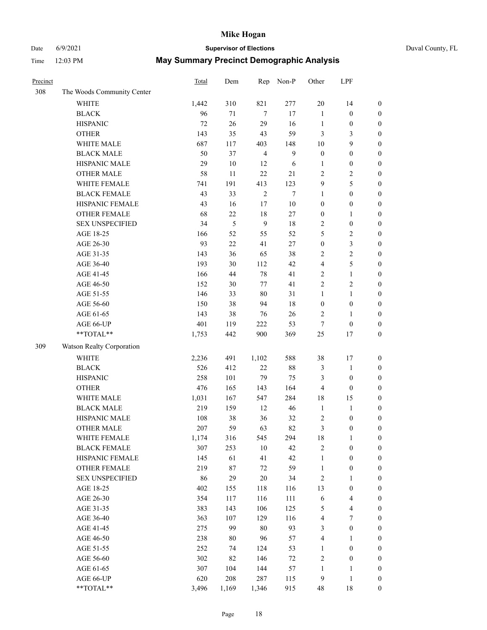# Date 6/9/2021 **Supervisor of Elections** Duval County, FL

| Precinct |                            | Total | Dem            | Rep            | Non-P            | Other            | LPF                     |                  |
|----------|----------------------------|-------|----------------|----------------|------------------|------------------|-------------------------|------------------|
| 308      | The Woods Community Center |       |                |                |                  |                  |                         |                  |
|          | <b>WHITE</b>               | 1,442 | 310            | 821            | 277              | 20               | 14                      | $\boldsymbol{0}$ |
|          | <b>BLACK</b>               | 96    | 71             | $\tau$         | 17               | $\mathbf{1}$     | $\boldsymbol{0}$        | $\boldsymbol{0}$ |
|          | <b>HISPANIC</b>            | 72    | 26             | 29             | 16               | $\mathbf{1}$     | $\boldsymbol{0}$        | $\boldsymbol{0}$ |
|          | <b>OTHER</b>               | 143   | 35             | 43             | 59               | 3                | 3                       | $\boldsymbol{0}$ |
|          | WHITE MALE                 | 687   | 117            | 403            | 148              | 10               | 9                       | $\boldsymbol{0}$ |
|          | <b>BLACK MALE</b>          | 50    | 37             | $\overline{4}$ | $\boldsymbol{9}$ | $\boldsymbol{0}$ | $\boldsymbol{0}$        | $\boldsymbol{0}$ |
|          | HISPANIC MALE              | 29    | $10\,$         | 12             | 6                | $\mathbf{1}$     | $\boldsymbol{0}$        | $\boldsymbol{0}$ |
|          | <b>OTHER MALE</b>          | 58    | 11             | 22             | 21               | $\mathbf{2}$     | $\overline{2}$          | $\boldsymbol{0}$ |
|          | WHITE FEMALE               | 741   | 191            | 413            | 123              | 9                | 5                       | $\boldsymbol{0}$ |
|          | <b>BLACK FEMALE</b>        | 43    | 33             | $\sqrt{2}$     | $\tau$           | $\mathbf{1}$     | $\boldsymbol{0}$        | $\boldsymbol{0}$ |
|          | HISPANIC FEMALE            | 43    | 16             | 17             | $10\,$           | $\boldsymbol{0}$ | $\boldsymbol{0}$        | 0                |
|          | OTHER FEMALE               | 68    | 22             | 18             | 27               | $\boldsymbol{0}$ | $\mathbf{1}$            | $\boldsymbol{0}$ |
|          | <b>SEX UNSPECIFIED</b>     | 34    | $\mathfrak{S}$ | 9              | $18\,$           | 2                | $\boldsymbol{0}$        | $\boldsymbol{0}$ |
|          | AGE 18-25                  | 166   | 52             | 55             | 52               | 5                | $\sqrt{2}$              | $\boldsymbol{0}$ |
|          | AGE 26-30                  | 93    | $22\,$         | 41             | 27               | $\boldsymbol{0}$ | $\mathfrak{Z}$          | $\boldsymbol{0}$ |
|          | AGE 31-35                  | 143   | 36             | 65             | 38               | $\sqrt{2}$       | $\sqrt{2}$              | $\boldsymbol{0}$ |
|          | AGE 36-40                  | 193   | 30             | 112            | 42               | 4                | $\mathfrak s$           | $\boldsymbol{0}$ |
|          | AGE 41-45                  | 166   | 44             | 78             | 41               | $\overline{2}$   | $\mathbf{1}$            | $\boldsymbol{0}$ |
|          | AGE 46-50                  | 152   | 30             | 77             | 41               | $\overline{c}$   | $\sqrt{2}$              | $\boldsymbol{0}$ |
|          | AGE 51-55                  | 146   | 33             | 80             | 31               | $\mathbf{1}$     | $\mathbf{1}$            | $\boldsymbol{0}$ |
|          | AGE 56-60                  | 150   | 38             | 94             | $18\,$           | $\boldsymbol{0}$ | $\boldsymbol{0}$        | 0                |
|          | AGE 61-65                  | 143   | 38             | 76             | 26               | $\overline{2}$   | $\mathbf{1}$            | 0                |
|          | AGE 66-UP                  | 401   | 119            | 222            | 53               | $\boldsymbol{7}$ | $\boldsymbol{0}$        | $\boldsymbol{0}$ |
|          | **TOTAL**                  | 1,753 | 442            | 900            | 369              | $25\,$           | 17                      | $\boldsymbol{0}$ |
| 309      | Watson Realty Corporation  |       |                |                |                  |                  |                         |                  |
|          | <b>WHITE</b>               | 2,236 | 491            | 1,102          | 588              | 38               | 17                      | $\boldsymbol{0}$ |
|          | <b>BLACK</b>               | 526   | 412            | $22\,$         | $88\,$           | 3                | $\mathbf{1}$            | $\boldsymbol{0}$ |
|          | <b>HISPANIC</b>            | 258   | 101            | 79             | 75               | 3                | $\boldsymbol{0}$        | $\boldsymbol{0}$ |
|          | <b>OTHER</b>               | 476   | 165            | 143            | 164              | 4                | $\boldsymbol{0}$        | $\boldsymbol{0}$ |
|          | WHITE MALE                 | 1,031 | 167            | 547            | 284              | 18               | 15                      | $\boldsymbol{0}$ |
|          | <b>BLACK MALE</b>          | 219   | 159            | 12             | 46               | $\mathbf{1}$     | $\mathbf{1}$            | $\boldsymbol{0}$ |
|          | HISPANIC MALE              | 108   | 38             | 36             | 32               | 2                | $\boldsymbol{0}$        | 0                |
|          | <b>OTHER MALE</b>          | 207   | 59             | 63             | 82               | 3                | $\boldsymbol{0}$        | $\boldsymbol{0}$ |
|          | WHITE FEMALE               | 1,174 | 316            | 545            | 294              | 18               | 1                       | 0                |
|          | <b>BLACK FEMALE</b>        | 307   | 253            | 10             | 42               | 2                | $\boldsymbol{0}$        | $\boldsymbol{0}$ |
|          | HISPANIC FEMALE            | 145   | 61             | 41             | 42               | $\mathbf{1}$     | $\boldsymbol{0}$        | $\overline{0}$   |
|          | OTHER FEMALE               | 219   | 87             | $72\,$         | 59               | $\mathbf{1}$     | $\boldsymbol{0}$        | $\overline{0}$   |
|          | <b>SEX UNSPECIFIED</b>     | 86    | 29             | 20             | 34               | $\sqrt{2}$       | $\mathbf{1}$            | 0                |
|          | AGE 18-25                  | 402   | 155            | 118            | 116              | 13               | $\boldsymbol{0}$        | 0                |
|          | AGE 26-30                  | 354   | 117            | 116            | 111              | 6                | $\overline{\mathbf{4}}$ | 0                |
|          | AGE 31-35                  | 383   | 143            | 106            | 125              | 5                | $\overline{4}$          | 0                |
|          | AGE 36-40                  | 363   | 107            | 129            | 116              | 4                | $\boldsymbol{7}$        | 0                |
|          | AGE 41-45                  | 275   | 99             | 80             | 93               | 3                | $\boldsymbol{0}$        | 0                |
|          | AGE 46-50                  | 238   | 80             | 96             | 57               | 4                | $\mathbf{1}$            | 0                |
|          | AGE 51-55                  | 252   | 74             | 124            | 53               | $\mathbf{1}$     | $\boldsymbol{0}$        | 0                |
|          | AGE 56-60                  | 302   | 82             | 146            | 72               | $\sqrt{2}$       | $\boldsymbol{0}$        | $\boldsymbol{0}$ |
|          | AGE 61-65                  | 307   | 104            | 144            | 57               | $\mathbf{1}$     | 1                       | $\boldsymbol{0}$ |
|          | AGE 66-UP                  | 620   | 208            | 287            | 115              | 9                | $\mathbf{1}$            | $\boldsymbol{0}$ |
|          | **TOTAL**                  | 3,496 | 1,169          | 1,346          | 915              | 48               | 18                      | $\boldsymbol{0}$ |
|          |                            |       |                |                |                  |                  |                         |                  |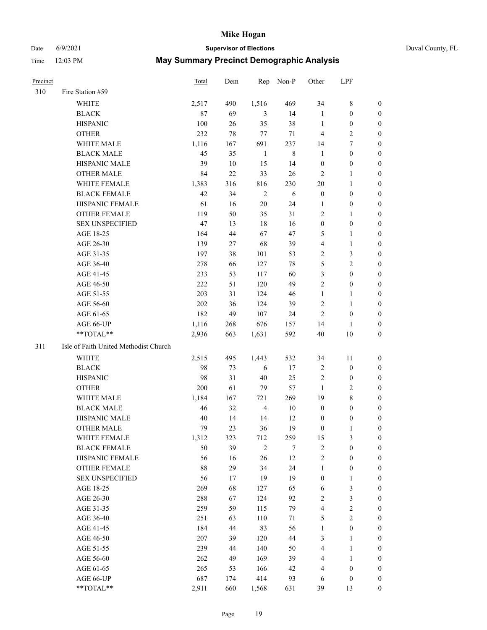## Date 6/9/2021 **Supervisor of Elections** Duval County, FL

| <b>Precinct</b> |                                       | Total | Dem | Rep            | Non-P  | Other            | LPF              |                  |
|-----------------|---------------------------------------|-------|-----|----------------|--------|------------------|------------------|------------------|
| 310             | Fire Station #59                      |       |     |                |        |                  |                  |                  |
|                 | WHITE                                 | 2,517 | 490 | 1,516          | 469    | 34               | $8\,$            | 0                |
|                 | <b>BLACK</b>                          | 87    | 69  | 3              | 14     | $\mathbf{1}$     | $\boldsymbol{0}$ | 0                |
|                 | <b>HISPANIC</b>                       | 100   | 26  | 35             | 38     | $\mathbf{1}$     | $\boldsymbol{0}$ | 0                |
|                 | <b>OTHER</b>                          | 232   | 78  | $77 \,$        | 71     | $\overline{4}$   | $\sqrt{2}$       | $\boldsymbol{0}$ |
|                 | WHITE MALE                            | 1,116 | 167 | 691            | 237    | 14               | $\tau$           | $\boldsymbol{0}$ |
|                 | <b>BLACK MALE</b>                     | 45    | 35  | $\mathbf{1}$   | $8\,$  | $\mathbf{1}$     | $\boldsymbol{0}$ | 0                |
|                 | HISPANIC MALE                         | 39    | 10  | 15             | 14     | $\boldsymbol{0}$ | $\boldsymbol{0}$ | 0                |
|                 | <b>OTHER MALE</b>                     | 84    | 22  | 33             | 26     | $\mathbf{2}$     | $\mathbf{1}$     | 0                |
|                 | WHITE FEMALE                          | 1,383 | 316 | 816            | 230    | 20               | $\mathbf{1}$     | 0                |
|                 | <b>BLACK FEMALE</b>                   | 42    | 34  | $\sqrt{2}$     | 6      | $\boldsymbol{0}$ | $\boldsymbol{0}$ | 0                |
|                 | HISPANIC FEMALE                       | 61    | 16  | 20             | 24     | 1                | $\boldsymbol{0}$ | 0                |
|                 | OTHER FEMALE                          | 119   | 50  | 35             | 31     | $\mathbf{2}$     | $\mathbf{1}$     | 0                |
|                 | <b>SEX UNSPECIFIED</b>                | 47    | 13  | 18             | 16     | $\boldsymbol{0}$ | $\boldsymbol{0}$ | $\boldsymbol{0}$ |
|                 | AGE 18-25                             | 164   | 44  | 67             | 47     | 5                | $\mathbf{1}$     | $\boldsymbol{0}$ |
|                 | AGE 26-30                             | 139   | 27  | 68             | 39     | 4                | $\mathbf{1}$     | $\boldsymbol{0}$ |
|                 | AGE 31-35                             | 197   | 38  | 101            | 53     | $\overline{c}$   | $\mathfrak{Z}$   | $\boldsymbol{0}$ |
|                 | AGE 36-40                             | 278   | 66  | 127            | 78     | 5                | $\sqrt{2}$       | $\boldsymbol{0}$ |
|                 | AGE 41-45                             | 233   | 53  | 117            | 60     | 3                | $\boldsymbol{0}$ | $\boldsymbol{0}$ |
|                 | AGE 46-50                             | 222   | 51  | 120            | 49     | $\mathfrak{2}$   | $\boldsymbol{0}$ | 0                |
|                 | AGE 51-55                             | 203   | 31  | 124            | 46     | $\mathbf{1}$     | $\mathbf{1}$     | 0                |
|                 | AGE 56-60                             | 202   | 36  | 124            | 39     | $\overline{c}$   | $\mathbf{1}$     | 0                |
|                 | AGE 61-65                             | 182   | 49  | 107            | 24     | $\overline{2}$   | $\boldsymbol{0}$ | 0                |
|                 | AGE 66-UP                             | 1,116 | 268 | 676            | 157    | 14               | 1                | 0                |
|                 | **TOTAL**                             | 2,936 | 663 | 1,631          | 592    | 40               | $10\,$           | $\boldsymbol{0}$ |
| 311             | Isle of Faith United Methodist Church |       |     |                |        |                  |                  |                  |
|                 | <b>WHITE</b>                          | 2,515 | 495 | 1,443          | 532    | 34               | 11               | $\boldsymbol{0}$ |
|                 | <b>BLACK</b>                          | 98    | 73  | 6              | 17     | $\sqrt{2}$       | $\boldsymbol{0}$ | $\boldsymbol{0}$ |
|                 | <b>HISPANIC</b>                       | 98    | 31  | $40\,$         | 25     | $\overline{c}$   | $\boldsymbol{0}$ | $\boldsymbol{0}$ |
|                 | <b>OTHER</b>                          | 200   | 61  | 79             | 57     | $\mathbf{1}$     | $\sqrt{2}$       | $\boldsymbol{0}$ |
|                 | WHITE MALE                            | 1,184 | 167 | 721            | 269    | 19               | $8\,$            | 0                |
|                 | <b>BLACK MALE</b>                     | 46    | 32  | $\overline{4}$ | 10     | $\boldsymbol{0}$ | $\boldsymbol{0}$ | 0                |
|                 | HISPANIC MALE                         | 40    | 14  | 14             | 12     | $\boldsymbol{0}$ | $\boldsymbol{0}$ | 0                |
|                 | <b>OTHER MALE</b>                     | 79    | 23  | 36             | 19     | $\boldsymbol{0}$ | 1                | 0                |
|                 | WHITE FEMALE                          | 1,312 | 323 | 712            | 259    | 15               | 3                | 0                |
|                 | <b>BLACK FEMALE</b>                   | 50    | 39  | $\mathbf{2}$   | 7      | $\sqrt{2}$       | $\boldsymbol{0}$ | $\boldsymbol{0}$ |
|                 | HISPANIC FEMALE                       | 56    | 16  | 26             | $12\,$ | $\sqrt{2}$       | $\boldsymbol{0}$ | $\overline{0}$   |
|                 | OTHER FEMALE                          | 88    | 29  | 34             | 24     | $\mathbf{1}$     | $\boldsymbol{0}$ | $\overline{0}$   |
|                 | <b>SEX UNSPECIFIED</b>                | 56    | 17  | 19             | 19     | $\boldsymbol{0}$ | $\mathbf{1}$     | 0                |
|                 | AGE 18-25                             | 269   | 68  | 127            | 65     | 6                | $\mathfrak{Z}$   | 0                |
|                 | AGE 26-30                             | 288   | 67  | 124            | 92     | $\mathbf{2}$     | $\mathfrak{Z}$   | 0                |
|                 | AGE 31-35                             | 259   | 59  | 115            | 79     | 4                | $\sqrt{2}$       | 0                |
|                 | AGE 36-40                             | 251   | 63  | 110            | 71     | 5                | $\sqrt{2}$       | 0                |
|                 | AGE 41-45                             | 184   | 44  | 83             | 56     | $\mathbf{1}$     | $\boldsymbol{0}$ | 0                |
|                 | AGE 46-50                             | 207   | 39  | 120            | 44     | 3                | $\mathbf{1}$     | 0                |
|                 | AGE 51-55                             | 239   | 44  | 140            | 50     | 4                | $\mathbf{1}$     | 0                |
|                 | AGE 56-60                             | 262   | 49  | 169            | 39     | 4                | $\mathbf{1}$     | 0                |
|                 | AGE 61-65                             | 265   | 53  | 166            | 42     | 4                | $\boldsymbol{0}$ | 0                |
|                 | AGE 66-UP                             | 687   | 174 | 414            | 93     | 6                | $\boldsymbol{0}$ | 0                |
|                 | **TOTAL**                             | 2,911 | 660 | 1,568          | 631    | 39               | 13               | $\boldsymbol{0}$ |
|                 |                                       |       |     |                |        |                  |                  |                  |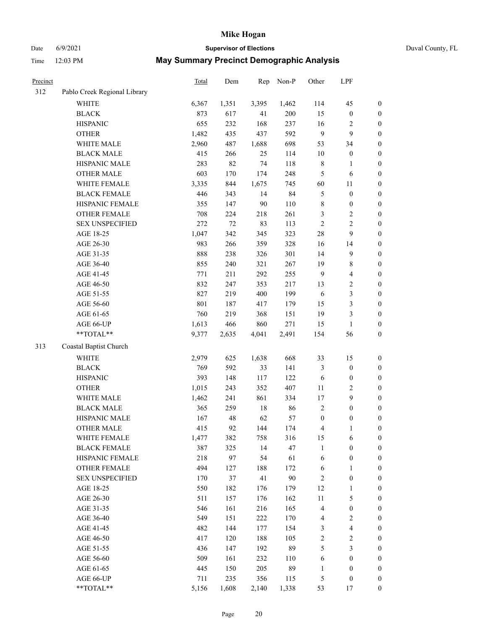Date 6/9/2021 **Supervisor of Elections** Duval County, FL

| Precinct |                              | Total      | Dem    | Rep   | Non-P  | Other               | LPF                     |                  |
|----------|------------------------------|------------|--------|-------|--------|---------------------|-------------------------|------------------|
| 312      | Pablo Creek Regional Library |            |        |       |        |                     |                         |                  |
|          | <b>WHITE</b>                 | 6,367      | 1,351  | 3,395 | 1,462  | 114                 | 45                      | $\boldsymbol{0}$ |
|          | <b>BLACK</b>                 | 873        | 617    | 41    | 200    | 15                  | $\boldsymbol{0}$        | $\boldsymbol{0}$ |
|          | <b>HISPANIC</b>              | 655        | 232    | 168   | 237    | 16                  | $\overline{\mathbf{c}}$ | $\boldsymbol{0}$ |
|          | <b>OTHER</b>                 | 1,482      | 435    | 437   | 592    | 9                   | 9                       | $\boldsymbol{0}$ |
|          | WHITE MALE                   | 2,960      | 487    | 1,688 | 698    | 53                  | 34                      | $\boldsymbol{0}$ |
|          | <b>BLACK MALE</b>            | 415        | 266    | 25    | 114    | 10                  | $\boldsymbol{0}$        | $\boldsymbol{0}$ |
|          | HISPANIC MALE                | 283        | 82     | 74    | 118    | $\,$ 8 $\,$         | 1                       | $\boldsymbol{0}$ |
|          | <b>OTHER MALE</b>            | 603        | 170    | 174   | 248    | 5                   | 6                       | $\boldsymbol{0}$ |
|          | WHITE FEMALE                 | 3,335      | 844    | 1,675 | 745    | 60                  | 11                      | $\boldsymbol{0}$ |
|          | <b>BLACK FEMALE</b>          | 446        | 343    | 14    | 84     | $\mathfrak{S}$      | $\boldsymbol{0}$        | $\boldsymbol{0}$ |
|          | HISPANIC FEMALE              | 355        | 147    | 90    | 110    | $\,$ 8 $\,$         | $\boldsymbol{0}$        | $\boldsymbol{0}$ |
|          | <b>OTHER FEMALE</b>          | 708        | 224    | 218   | 261    | $\mathfrak{Z}$      | 2                       | $\boldsymbol{0}$ |
|          | <b>SEX UNSPECIFIED</b>       | 272        | $72\,$ | 83    | 113    | $\overline{2}$      | $\overline{c}$          | $\boldsymbol{0}$ |
|          | AGE 18-25                    | 1,047      | 342    | 345   | 323    | 28                  | 9                       | $\boldsymbol{0}$ |
|          | AGE 26-30                    | 983        | 266    | 359   | 328    | 16                  | 14                      | $\boldsymbol{0}$ |
|          | AGE 31-35                    | 888        | 238    | 326   | 301    | 14                  | 9                       | $\boldsymbol{0}$ |
|          | AGE 36-40                    | 855        | 240    | 321   | 267    | 19                  | 8                       | $\boldsymbol{0}$ |
|          | AGE 41-45                    | 771        | 211    | 292   | 255    | 9                   | 4                       | $\boldsymbol{0}$ |
|          | AGE 46-50                    | 832        | 247    | 353   | 217    | 13                  | 2                       | $\boldsymbol{0}$ |
|          | AGE 51-55                    | 827        | 219    | 400   | 199    | 6                   | 3                       | $\boldsymbol{0}$ |
|          | AGE 56-60                    | 801        | 187    | 417   | 179    | 15                  | 3                       | $\boldsymbol{0}$ |
|          | AGE 61-65                    | 760        | 219    | 368   | 151    | 19                  | 3                       | $\boldsymbol{0}$ |
|          | AGE 66-UP                    | 1,613      | 466    | 860   | 271    | 15                  | 1                       | $\boldsymbol{0}$ |
|          | **TOTAL**                    | 9,377      | 2,635  | 4,041 | 2,491  | 154                 | 56                      | $\boldsymbol{0}$ |
| 313      | Coastal Baptist Church       |            |        |       |        |                     |                         |                  |
|          | WHITE                        | 2,979      | 625    | 1,638 | 668    | 33                  | 15                      | $\boldsymbol{0}$ |
|          |                              |            | 592    |       |        |                     |                         |                  |
|          | <b>BLACK</b>                 | 769<br>393 |        | 33    | 141    | $\mathfrak{Z}$<br>6 | $\boldsymbol{0}$        | $\boldsymbol{0}$ |
|          | <b>HISPANIC</b>              |            | 148    | 117   | 122    |                     | $\boldsymbol{0}$        | $\boldsymbol{0}$ |
|          | <b>OTHER</b>                 | 1,015      | 243    | 352   | 407    | $11\,$              | 2                       | $\boldsymbol{0}$ |
|          | WHITE MALE                   | 1,462      | 241    | 861   | 334    | $17$                | 9                       | $\boldsymbol{0}$ |
|          | <b>BLACK MALE</b>            | 365        | 259    | 18    | 86     | $\overline{2}$      | $\boldsymbol{0}$        | $\boldsymbol{0}$ |
|          | HISPANIC MALE                | 167        | 48     | 62    | 57     | $\boldsymbol{0}$    | $\boldsymbol{0}$        | $\boldsymbol{0}$ |
|          | <b>OTHER MALE</b>            | 415        | 92     | 144   | 174    | 4                   | 1                       | $\boldsymbol{0}$ |
|          | WHITE FEMALE                 | 1,477      | 382    | 758   | 316    | 15                  | 6                       | $\boldsymbol{0}$ |
|          | <b>BLACK FEMALE</b>          | 387        | 325    | 14    | 47     | $\mathbf{1}$        | $\boldsymbol{0}$        | $\boldsymbol{0}$ |
|          | HISPANIC FEMALE              | 218        | 97     | 54    | 61     | 6                   | $\boldsymbol{0}$        | $\boldsymbol{0}$ |
|          | <b>OTHER FEMALE</b>          | 494        | 127    | 188   | 172    | 6                   | 1                       | $\boldsymbol{0}$ |
|          | <b>SEX UNSPECIFIED</b>       | 170        | 37     | 41    | $90\,$ | $\sqrt{2}$          | $\boldsymbol{0}$        | $\boldsymbol{0}$ |
|          | AGE 18-25                    | 550        | 182    | 176   | 179    | 12                  | 1                       | $\boldsymbol{0}$ |
|          | AGE 26-30                    | 511        | 157    | 176   | 162    | $11\,$              | 5                       | $\boldsymbol{0}$ |
|          | AGE 31-35                    | 546        | 161    | 216   | 165    | $\overline{4}$      | $\boldsymbol{0}$        | $\boldsymbol{0}$ |
|          | AGE 36-40                    | 549        | 151    | 222   | 170    | $\overline{4}$      | 2                       | $\boldsymbol{0}$ |
|          | AGE 41-45                    | 482        | 144    | 177   | 154    | 3                   | 4                       | $\boldsymbol{0}$ |
|          | AGE 46-50                    | 417        | 120    | 188   | 105    | $\sqrt{2}$          | $\overline{\mathbf{c}}$ | $\boldsymbol{0}$ |
|          | AGE 51-55                    | 436        | 147    | 192   | 89     | $\mathfrak s$       | 3                       | $\boldsymbol{0}$ |
|          | AGE 56-60                    | 509        | 161    | 232   | 110    | 6                   | $\boldsymbol{0}$        | $\boldsymbol{0}$ |
|          | AGE 61-65                    | 445        | 150    | 205   | 89     | $\mathbf{1}$        | $\boldsymbol{0}$        | $\boldsymbol{0}$ |
|          | AGE 66-UP                    | 711        | 235    | 356   | 115    | $\mathfrak{S}$      | $\boldsymbol{0}$        | $\mathbf{0}$     |
|          | **TOTAL**                    | 5,156      | 1,608  | 2,140 | 1,338  | 53                  | 17                      | $\boldsymbol{0}$ |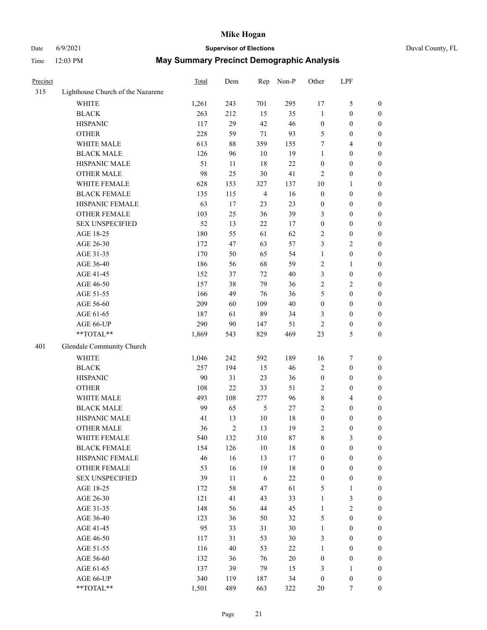# Date 6/9/2021 **Supervisor of Elections** Duval County, FL

| Precinct |                                   | Total | Dem            | Rep                     | Non-P  | Other            | LPF                               |                  |
|----------|-----------------------------------|-------|----------------|-------------------------|--------|------------------|-----------------------------------|------------------|
| 315      | Lighthouse Church of the Nazarene |       |                |                         |        |                  |                                   |                  |
|          | <b>WHITE</b>                      | 1,261 | 243            | 701                     | 295    | 17               | $\mathfrak s$                     | 0                |
|          | <b>BLACK</b>                      | 263   | 212            | 15                      | 35     | $\mathbf{1}$     | $\boldsymbol{0}$                  | 0                |
|          | <b>HISPANIC</b>                   | 117   | 29             | 42                      | 46     | $\boldsymbol{0}$ | $\boldsymbol{0}$                  | $\boldsymbol{0}$ |
|          | <b>OTHER</b>                      | 228   | 59             | $71\,$                  | 93     | 5                | $\boldsymbol{0}$                  | $\boldsymbol{0}$ |
|          | WHITE MALE                        | 613   | 88             | 359                     | 155    | 7                | $\overline{4}$                    | $\boldsymbol{0}$ |
|          | <b>BLACK MALE</b>                 | 126   | 96             | 10                      | 19     | 1                | $\boldsymbol{0}$                  | $\boldsymbol{0}$ |
|          | HISPANIC MALE                     | 51    | 11             | 18                      | 22     | 0                | $\boldsymbol{0}$                  | $\boldsymbol{0}$ |
|          | <b>OTHER MALE</b>                 | 98    | 25             | 30                      | 41     | 2                | $\boldsymbol{0}$                  | $\boldsymbol{0}$ |
|          | WHITE FEMALE                      | 628   | 153            | 327                     | 137    | 10               | 1                                 | $\boldsymbol{0}$ |
|          | <b>BLACK FEMALE</b>               | 135   | 115            | $\overline{\mathbf{4}}$ | 16     | $\boldsymbol{0}$ | $\boldsymbol{0}$                  | 0                |
|          | HISPANIC FEMALE                   | 63    | 17             | 23                      | 23     | $\boldsymbol{0}$ | $\boldsymbol{0}$                  | 0                |
|          | OTHER FEMALE                      | 103   | 25             | 36                      | 39     | 3                | $\boldsymbol{0}$                  | $\boldsymbol{0}$ |
|          | <b>SEX UNSPECIFIED</b>            | 52    | 13             | 22                      | 17     | $\boldsymbol{0}$ | $\boldsymbol{0}$                  | $\boldsymbol{0}$ |
|          | AGE 18-25                         | 180   | 55             | 61                      | 62     | 2                | $\boldsymbol{0}$                  | $\boldsymbol{0}$ |
|          | AGE 26-30                         | 172   | 47             | 63                      | 57     | 3                | $\sqrt{2}$                        | $\boldsymbol{0}$ |
|          | AGE 31-35                         | 170   | 50             | 65                      | 54     | $\mathbf{1}$     | $\boldsymbol{0}$                  | $\boldsymbol{0}$ |
|          | AGE 36-40                         | 186   | 56             | 68                      | 59     | 2                | $\mathbf{1}$                      | $\boldsymbol{0}$ |
|          | AGE 41-45                         | 152   | 37             | 72                      | 40     | 3                | $\boldsymbol{0}$                  | $\boldsymbol{0}$ |
|          | AGE 46-50                         | 157   | 38             | 79                      | 36     | $\overline{c}$   | $\sqrt{2}$                        | $\boldsymbol{0}$ |
|          | AGE 51-55                         | 166   | 49             | 76                      | 36     | 5                | $\boldsymbol{0}$                  | $\boldsymbol{0}$ |
|          | AGE 56-60                         | 209   | 60             | 109                     | 40     | $\boldsymbol{0}$ | $\boldsymbol{0}$                  |                  |
|          | AGE 61-65                         | 187   | 61             | 89                      | 34     | 3                | $\boldsymbol{0}$                  | 0<br>0           |
|          | AGE 66-UP                         | 290   | 90             |                         | 51     | 2                |                                   | $\boldsymbol{0}$ |
|          | $**TOTAL**$                       | 1,869 | 543            | 147<br>829              | 469    | 23               | $\boldsymbol{0}$<br>$\mathfrak s$ | $\boldsymbol{0}$ |
|          |                                   |       |                |                         |        |                  |                                   |                  |
| 401      | Glendale Community Church         |       |                |                         |        |                  |                                   |                  |
|          | <b>WHITE</b>                      | 1,046 | 242            | 592                     | 189    | 16               | $\boldsymbol{7}$                  | $\boldsymbol{0}$ |
|          | <b>BLACK</b>                      | 257   | 194            | 15                      | 46     | 2                | $\boldsymbol{0}$                  | $\boldsymbol{0}$ |
|          | <b>HISPANIC</b>                   | 90    | 31             | 23                      | 36     | $\boldsymbol{0}$ | $\boldsymbol{0}$                  | $\boldsymbol{0}$ |
|          | <b>OTHER</b>                      | 108   | 22             | 33                      | 51     | 2                | $\boldsymbol{0}$                  | $\boldsymbol{0}$ |
|          | WHITE MALE                        | 493   | 108            | 277                     | 96     | 8                | $\overline{4}$                    | $\boldsymbol{0}$ |
|          | <b>BLACK MALE</b>                 | 99    | 65             | 5                       | $27\,$ | $\overline{c}$   | $\boldsymbol{0}$                  | $\boldsymbol{0}$ |
|          | HISPANIC MALE                     | 41    | 13             | $10\,$                  | 18     | $\boldsymbol{0}$ | $\boldsymbol{0}$                  | 0                |
|          | <b>OTHER MALE</b>                 | 36    | $\overline{2}$ | 13                      | 19     | 2                | $\boldsymbol{0}$                  | $\boldsymbol{0}$ |
|          | WHITE FEMALE                      | 540   | 132            | 310                     | 87     | 8                | 3                                 | 0                |
|          | <b>BLACK FEMALE</b>               | 154   | 126            | 10                      | 18     | 0                | $\boldsymbol{0}$                  | $\overline{0}$   |
|          | HISPANIC FEMALE                   | 46    | 16             | 13                      | 17     | $\boldsymbol{0}$ | $\boldsymbol{0}$                  | $\overline{0}$   |
|          | OTHER FEMALE                      | 53    | 16             | 19                      | 18     | 0                | $\boldsymbol{0}$                  | $\overline{0}$   |
|          | <b>SEX UNSPECIFIED</b>            | 39    | 11             | 6                       | $22\,$ | $\boldsymbol{0}$ | $\boldsymbol{0}$                  | 0                |
|          | AGE 18-25                         | 172   | 58             | 47                      | 61     | 5                | $\mathbf{1}$                      | 0                |
|          | AGE 26-30                         | 121   | 41             | 43                      | 33     | $\mathbf{1}$     | 3                                 | 0                |
|          | AGE 31-35                         | 148   | 56             | 44                      | 45     | $\mathbf{1}$     | $\sqrt{2}$                        | 0                |
|          | AGE 36-40                         | 123   | 36             | 50                      | 32     | 5                | $\boldsymbol{0}$                  | 0                |
|          | AGE 41-45                         | 95    | 33             | 31                      | 30     | $\mathbf{1}$     | $\boldsymbol{0}$                  | 0                |
|          | AGE 46-50                         | 117   | 31             | 53                      | 30     | 3                | $\boldsymbol{0}$                  | 0                |
|          | AGE 51-55                         | 116   | 40             | 53                      | 22     | $\mathbf{1}$     | $\boldsymbol{0}$                  | $\overline{0}$   |
|          | AGE 56-60                         | 132   | 36             | 76                      | 20     | $\boldsymbol{0}$ | $\boldsymbol{0}$                  | $\overline{0}$   |
|          | AGE 61-65                         | 137   | 39             | 79                      | 15     | 3                | 1                                 | $\overline{0}$   |
|          | AGE 66-UP                         | 340   | 119            | 187                     | 34     | $\boldsymbol{0}$ | $\boldsymbol{0}$                  | 0                |
|          | **TOTAL**                         | 1,501 | 489            | 663                     | 322    | 20               | 7                                 | $\boldsymbol{0}$ |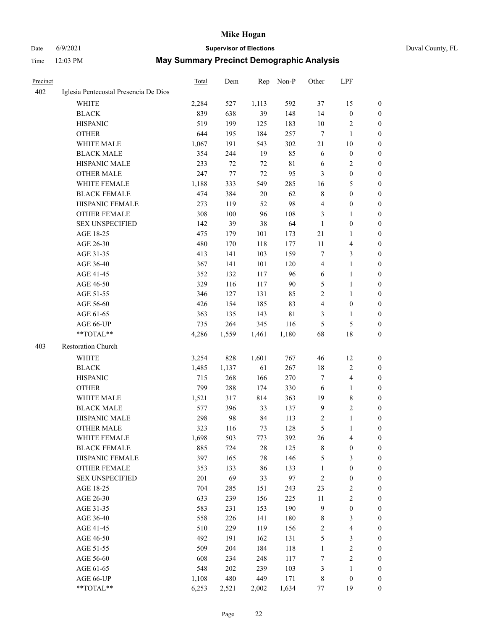# Date 6/9/2021 **Supervisor of Elections** Duval County, FL

| Precinct |                                       | Total | Dem   | Rep    | Non-P       | Other                   | LPF                     |                  |
|----------|---------------------------------------|-------|-------|--------|-------------|-------------------------|-------------------------|------------------|
| 402      | Iglesia Pentecostal Presencia De Dios |       |       |        |             |                         |                         |                  |
|          | <b>WHITE</b>                          | 2,284 | 527   | 1,113  | 592         | 37                      | 15                      | $\boldsymbol{0}$ |
|          | <b>BLACK</b>                          | 839   | 638   | 39     | 148         | 14                      | $\boldsymbol{0}$        | $\boldsymbol{0}$ |
|          | <b>HISPANIC</b>                       | 519   | 199   | 125    | 183         | 10                      | $\sqrt{2}$              | $\boldsymbol{0}$ |
|          | <b>OTHER</b>                          | 644   | 195   | 184    | 257         | 7                       | $\mathbf{1}$            | $\boldsymbol{0}$ |
|          | WHITE MALE                            | 1,067 | 191   | 543    | 302         | 21                      | 10                      | $\boldsymbol{0}$ |
|          | <b>BLACK MALE</b>                     | 354   | 244   | 19     | 85          | 6                       | $\boldsymbol{0}$        | $\boldsymbol{0}$ |
|          | HISPANIC MALE                         | 233   | 72    | 72     | $8\sqrt{1}$ | 6                       | $\sqrt{2}$              | $\boldsymbol{0}$ |
|          | <b>OTHER MALE</b>                     | 247   | 77    | $72\,$ | 95          | 3                       | $\boldsymbol{0}$        | 0                |
|          | WHITE FEMALE                          | 1,188 | 333   | 549    | 285         | 16                      | 5                       | 0                |
|          | <b>BLACK FEMALE</b>                   | 474   | 384   | 20     | 62          | 8                       | $\boldsymbol{0}$        | 0                |
|          | HISPANIC FEMALE                       | 273   | 119   | 52     | 98          | 4                       | $\boldsymbol{0}$        | $\boldsymbol{0}$ |
|          | OTHER FEMALE                          | 308   | 100   | 96     | 108         | 3                       | $\mathbf{1}$            | $\boldsymbol{0}$ |
|          | <b>SEX UNSPECIFIED</b>                | 142   | 39    | 38     | 64          | $\mathbf{1}$            | $\boldsymbol{0}$        | $\boldsymbol{0}$ |
|          | AGE 18-25                             | 475   | 179   | 101    | 173         | $21\,$                  | $\mathbf{1}$            | $\boldsymbol{0}$ |
|          | AGE 26-30                             | 480   | 170   | 118    | 177         | 11                      | $\overline{\mathbf{4}}$ | $\boldsymbol{0}$ |
|          | AGE 31-35                             | 413   | 141   | 103    | 159         | 7                       | $\mathfrak{Z}$          | $\overline{0}$   |
|          | AGE 36-40                             | 367   | 141   | 101    | 120         | $\overline{\mathbf{4}}$ | $\mathbf{1}$            | $\boldsymbol{0}$ |
|          | AGE 41-45                             | 352   | 132   | 117    | 96          | 6                       | $\mathbf{1}$            | 0                |
|          | AGE 46-50                             | 329   | 116   | 117    | 90          | 5                       | $\mathbf{1}$            | 0                |
|          | AGE 51-55                             | 346   | 127   | 131    | 85          | $\overline{c}$          | 1                       | 0                |
|          | AGE 56-60                             | 426   | 154   | 185    | 83          | 4                       | $\boldsymbol{0}$        | 0                |
|          | AGE 61-65                             | 363   | 135   | 143    | $8\sqrt{1}$ | 3                       | $\mathbf{1}$            | $\boldsymbol{0}$ |
|          | AGE 66-UP                             | 735   | 264   | 345    | 116         | 5                       | $\mathfrak{S}$          | $\boldsymbol{0}$ |
|          | **TOTAL**                             | 4,286 | 1,559 | 1,461  | 1,180       | 68                      | $18\,$                  | $\boldsymbol{0}$ |
| 403      | Restoration Church                    |       |       |        |             |                         |                         |                  |
|          | WHITE                                 | 3,254 | 828   | 1,601  | 767         | 46                      | 12                      | $\boldsymbol{0}$ |
|          | <b>BLACK</b>                          | 1,485 | 1,137 | 61     | 267         | 18                      | $\sqrt{2}$              | $\boldsymbol{0}$ |
|          | <b>HISPANIC</b>                       | 715   | 268   | 166    | 270         | 7                       | $\overline{\mathbf{4}}$ | $\boldsymbol{0}$ |
|          | <b>OTHER</b>                          | 799   | 288   | 174    | 330         | 6                       | $\mathbf{1}$            | $\boldsymbol{0}$ |
|          | WHITE MALE                            | 1,521 | 317   | 814    | 363         | 19                      | $\,$ 8 $\,$             | 0                |
|          | <b>BLACK MALE</b>                     | 577   | 396   | 33     | 137         | $\overline{9}$          | $\sqrt{2}$              | 0                |
|          | HISPANIC MALE                         | 298   | 98    | 84     | 113         | $\overline{c}$          | $\mathbf{1}$            | 0                |
|          | OTHER MALE                            | 323   | 116   | 73     | 128         | 5                       | $\mathbf{1}$            | $\boldsymbol{0}$ |
|          | WHITE FEMALE                          | 1,698 | 503   | 773    | 392         | 26                      | $\overline{\mathbf{4}}$ | 0                |
|          | <b>BLACK FEMALE</b>                   | 885   | 724   | 28     | 125         | 8                       | $\boldsymbol{0}$        | $\overline{0}$   |
|          | HISPANIC FEMALE                       | 397   | 165   | 78     | 146         | 5                       | $\mathfrak{Z}$          | $\overline{0}$   |
|          | <b>OTHER FEMALE</b>                   | 353   | 133   | 86     | 133         | $\mathbf{1}$            | $\boldsymbol{0}$        | $\overline{0}$   |
|          | <b>SEX UNSPECIFIED</b>                | 201   | 69    | 33     | 97          | 2                       | $\boldsymbol{0}$        | 0                |
|          | AGE 18-25                             | 704   | 285   | 151    | 243         | 23                      | $\sqrt{2}$              | 0                |
|          | AGE 26-30                             | 633   | 239   | 156    | 225         | $11\,$                  | $\sqrt{2}$              | 0                |
|          | AGE 31-35                             | 583   | 231   | 153    | 190         | $\overline{9}$          | $\boldsymbol{0}$        | 0                |
|          | AGE 36-40                             | 558   | 226   | 141    | 180         | 8                       | $\mathfrak{Z}$          | 0                |
|          | AGE 41-45                             | 510   | 229   | 119    | 156         | 2                       | $\overline{\mathbf{4}}$ | 0                |
|          | AGE 46-50                             | 492   | 191   | 162    | 131         | 5                       | 3                       | $\boldsymbol{0}$ |
|          | AGE 51-55                             | 509   | 204   | 184    | 118         | $\mathbf{1}$            | $\sqrt{2}$              | $\boldsymbol{0}$ |
|          | AGE 56-60                             | 608   | 234   | 248    | 117         | 7                       | $\sqrt{2}$              | $\overline{0}$   |
|          | AGE 61-65                             | 548   | 202   | 239    | 103         | 3                       | $\mathbf{1}$            | 0                |
|          | AGE 66-UP                             | 1,108 | 480   | 449    | 171         | $\,$ 8 $\,$             | $\boldsymbol{0}$        | 0                |
|          | **TOTAL**                             | 6,253 | 2,521 | 2,002  | 1,634       | $77 \,$                 | 19                      | $\boldsymbol{0}$ |
|          |                                       |       |       |        |             |                         |                         |                  |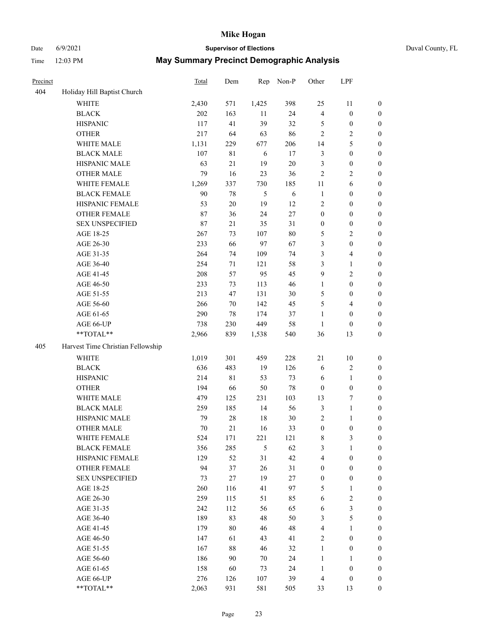## Date 6/9/2021 **Supervisor of Elections** Duval County, FL

| Precinct |                                   | Total | Dem         | Rep   | Non-P  | Other            | LPF              |                  |
|----------|-----------------------------------|-------|-------------|-------|--------|------------------|------------------|------------------|
| 404      | Holiday Hill Baptist Church       |       |             |       |        |                  |                  |                  |
|          | <b>WHITE</b>                      | 2,430 | 571         | 1,425 | 398    | 25               | 11               | $\boldsymbol{0}$ |
|          | <b>BLACK</b>                      | 202   | 163         | 11    | 24     | 4                | $\boldsymbol{0}$ | $\boldsymbol{0}$ |
|          | <b>HISPANIC</b>                   | 117   | 41          | 39    | 32     | 5                | $\boldsymbol{0}$ | $\boldsymbol{0}$ |
|          | <b>OTHER</b>                      | 217   | 64          | 63    | 86     | 2                | $\sqrt{2}$       | $\boldsymbol{0}$ |
|          | WHITE MALE                        | 1,131 | 229         | 677   | 206    | 14               | 5                | $\boldsymbol{0}$ |
|          | <b>BLACK MALE</b>                 | 107   | $8\sqrt{1}$ | 6     | 17     | 3                | $\boldsymbol{0}$ | $\boldsymbol{0}$ |
|          | HISPANIC MALE                     | 63    | 21          | 19    | $20\,$ | 3                | $\boldsymbol{0}$ | $\boldsymbol{0}$ |
|          | <b>OTHER MALE</b>                 | 79    | 16          | 23    | 36     | $\overline{c}$   | $\sqrt{2}$       | $\boldsymbol{0}$ |
|          | WHITE FEMALE                      | 1,269 | 337         | 730   | 185    | $11\,$           | 6                | $\boldsymbol{0}$ |
|          | <b>BLACK FEMALE</b>               | 90    | $78\,$      | 5     | 6      | $\mathbf{1}$     | $\boldsymbol{0}$ | 0                |
|          | HISPANIC FEMALE                   | 53    | $20\,$      | 19    | 12     | 2                | $\boldsymbol{0}$ | $\boldsymbol{0}$ |
|          | <b>OTHER FEMALE</b>               | 87    | 36          | 24    | $27\,$ | $\boldsymbol{0}$ | $\boldsymbol{0}$ | $\boldsymbol{0}$ |
|          | <b>SEX UNSPECIFIED</b>            | 87    | 21          | 35    | 31     | $\boldsymbol{0}$ | $\boldsymbol{0}$ | $\boldsymbol{0}$ |
|          | AGE 18-25                         | 267   | 73          | 107   | $80\,$ | 5                | $\sqrt{2}$       | $\boldsymbol{0}$ |
|          | AGE 26-30                         | 233   | 66          | 97    | 67     | 3                | $\boldsymbol{0}$ | $\boldsymbol{0}$ |
|          | AGE 31-35                         | 264   | 74          | 109   | 74     | 3                | $\overline{4}$   | $\boldsymbol{0}$ |
|          | AGE 36-40                         | 254   | $71\,$      | 121   | 58     | 3                | $\mathbf{1}$     | $\boldsymbol{0}$ |
|          | AGE 41-45                         | 208   | 57          | 95    | 45     | 9                | $\sqrt{2}$       | $\boldsymbol{0}$ |
|          | AGE 46-50                         | 233   | 73          | 113   | 46     | $\mathbf{1}$     | $\boldsymbol{0}$ | $\boldsymbol{0}$ |
|          | AGE 51-55                         | 213   | 47          | 131   | 30     | 5                | $\boldsymbol{0}$ | 0                |
|          | AGE 56-60                         | 266   | 70          | 142   | 45     | 5                | $\overline{4}$   | $\boldsymbol{0}$ |
|          | AGE 61-65                         | 290   | 78          | 174   | 37     | $\mathbf{1}$     | $\boldsymbol{0}$ | $\boldsymbol{0}$ |
|          | AGE 66-UP                         | 738   | 230         | 449   | 58     | $\mathbf{1}$     | $\boldsymbol{0}$ | $\boldsymbol{0}$ |
|          | $**TOTAL**$                       | 2,966 | 839         | 1,538 | 540    | 36               | 13               | $\boldsymbol{0}$ |
| 405      | Harvest Time Christian Fellowship |       |             |       |        |                  |                  |                  |
|          | <b>WHITE</b>                      | 1,019 | 301         | 459   | 228    | 21               | 10               | $\boldsymbol{0}$ |
|          | <b>BLACK</b>                      | 636   | 483         | 19    | 126    | 6                | $\sqrt{2}$       | $\boldsymbol{0}$ |
|          | <b>HISPANIC</b>                   | 214   | $8\sqrt{1}$ | 53    | 73     | 6                | $\mathbf{1}$     | $\boldsymbol{0}$ |
|          | <b>OTHER</b>                      | 194   | 66          | 50    | $78\,$ | $\boldsymbol{0}$ | $\boldsymbol{0}$ | $\boldsymbol{0}$ |
|          | WHITE MALE                        | 479   | 125         | 231   | 103    | 13               | $\boldsymbol{7}$ | $\boldsymbol{0}$ |
|          | <b>BLACK MALE</b>                 | 259   | 185         | 14    | 56     | $\mathfrak{Z}$   | $\mathbf{1}$     | $\boldsymbol{0}$ |
|          | HISPANIC MALE                     | 79    | $28\,$      | 18    | $30\,$ | 2                | $\mathbf{1}$     | 0                |
|          | <b>OTHER MALE</b>                 | 70    | $21\,$      | 16    | 33     | $\boldsymbol{0}$ | $\boldsymbol{0}$ | $\boldsymbol{0}$ |
|          | WHITE FEMALE                      | 524   | 171         | 221   | 121    | 8                | 3                | $\overline{0}$   |
|          | <b>BLACK FEMALE</b>               | 356   | 285         | 5     | 62     | 3                | 1                | $\boldsymbol{0}$ |
|          | HISPANIC FEMALE                   | 129   | 52          | 31    | 42     | 4                | $\boldsymbol{0}$ | $\overline{0}$   |
|          | <b>OTHER FEMALE</b>               | 94    | 37          | 26    | 31     | $\boldsymbol{0}$ | $\boldsymbol{0}$ | 0                |
|          | <b>SEX UNSPECIFIED</b>            | 73    | 27          | 19    | $27\,$ | $\boldsymbol{0}$ | $\boldsymbol{0}$ | 0                |
|          | AGE 18-25                         | 260   | 116         | 41    | 97     | 5                | $\mathbf{1}$     | 0                |
|          | AGE 26-30                         | 259   | 115         | 51    | 85     | 6                | $\sqrt{2}$       | 0                |
|          | AGE 31-35                         | 242   | 112         | 56    | 65     | 6                | $\mathfrak{Z}$   | 0                |
|          | AGE 36-40                         | 189   | 83          | 48    | 50     | 3                | $\mathfrak s$    | 0                |
|          | AGE 41-45                         | 179   | 80          | 46    | 48     | 4                | 1                | 0                |
|          | AGE 46-50                         | 147   | 61          | 43    | 41     | 2                | $\boldsymbol{0}$ | 0                |
|          | AGE 51-55                         | 167   | $88\,$      | 46    | 32     | $\mathbf{1}$     | $\boldsymbol{0}$ | 0                |
|          | AGE 56-60                         | 186   | 90          | 70    | 24     | $\mathbf{1}$     | 1                | $\boldsymbol{0}$ |
|          | AGE 61-65                         | 158   | 60          | 73    | 24     | $\mathbf{1}$     | $\boldsymbol{0}$ | 0                |
|          | AGE 66-UP                         | 276   | 126         | 107   | 39     | 4                | $\boldsymbol{0}$ | 0                |
|          | **TOTAL**                         | 2,063 | 931         | 581   | 505    | 33               | 13               | $\boldsymbol{0}$ |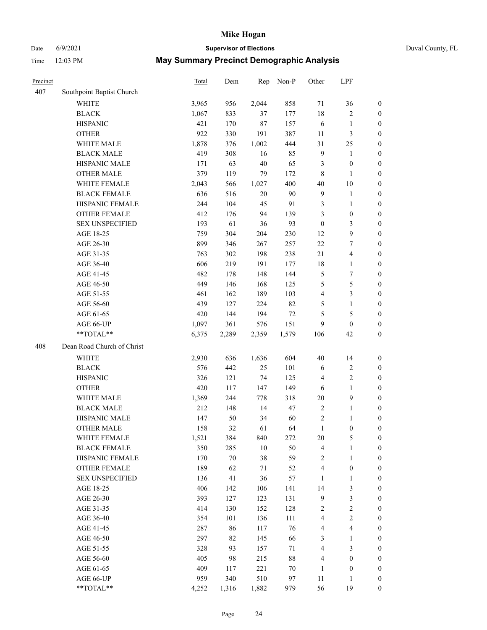# Date 6/9/2021 **Supervisor of Elections** Duval County, FL

| Precinct |                            | <b>Total</b> | Dem    | Rep    | Non-P  | Other                   | LPF                     |                  |
|----------|----------------------------|--------------|--------|--------|--------|-------------------------|-------------------------|------------------|
| 407      | Southpoint Baptist Church  |              |        |        |        |                         |                         |                  |
|          | <b>WHITE</b>               | 3,965        | 956    | 2,044  | 858    | 71                      | 36                      | 0                |
|          | <b>BLACK</b>               | 1,067        | 833    | 37     | 177    | 18                      | $\sqrt{2}$              | 0                |
|          | <b>HISPANIC</b>            | 421          | 170    | 87     | 157    | 6                       | $\mathbf{1}$            | $\boldsymbol{0}$ |
|          | <b>OTHER</b>               | 922          | 330    | 191    | 387    | 11                      | $\mathfrak{Z}$          | $\boldsymbol{0}$ |
|          | WHITE MALE                 | 1,878        | 376    | 1,002  | 444    | 31                      | 25                      | $\boldsymbol{0}$ |
|          | <b>BLACK MALE</b>          | 419          | 308    | 16     | 85     | $\overline{9}$          | 1                       | $\boldsymbol{0}$ |
|          | HISPANIC MALE              | 171          | 63     | 40     | 65     | 3                       | $\boldsymbol{0}$        | $\boldsymbol{0}$ |
|          | <b>OTHER MALE</b>          | 379          | 119    | 79     | 172    | 8                       | $\mathbf{1}$            | $\boldsymbol{0}$ |
|          | WHITE FEMALE               | 2,043        | 566    | 1,027  | 400    | $40\,$                  | $10\,$                  | $\boldsymbol{0}$ |
|          | <b>BLACK FEMALE</b>        | 636          | 516    | $20\,$ | 90     | $\overline{9}$          | $\mathbf{1}$            | 0                |
|          | HISPANIC FEMALE            | 244          | 104    | 45     | 91     | 3                       | $\mathbf{1}$            | 0                |
|          | <b>OTHER FEMALE</b>        | 412          | 176    | 94     | 139    | 3                       | $\boldsymbol{0}$        | $\boldsymbol{0}$ |
|          | <b>SEX UNSPECIFIED</b>     | 193          | 61     | 36     | 93     | $\boldsymbol{0}$        | $\mathfrak{Z}$          | $\boldsymbol{0}$ |
|          | AGE 18-25                  | 759          | 304    | 204    | 230    | 12                      | $\boldsymbol{9}$        | $\boldsymbol{0}$ |
|          | AGE 26-30                  | 899          | 346    | 267    | 257    | $22\,$                  | $\tau$                  | $\boldsymbol{0}$ |
|          | AGE 31-35                  | 763          | 302    | 198    | 238    | 21                      | $\overline{\mathbf{4}}$ | $\boldsymbol{0}$ |
|          | AGE 36-40                  | 606          | 219    | 191    | 177    | 18                      | $\mathbf{1}$            | $\boldsymbol{0}$ |
|          | AGE 41-45                  | 482          | 178    | 148    | 144    | 5                       | $\boldsymbol{7}$        | $\boldsymbol{0}$ |
|          | AGE 46-50                  | 449          | 146    | 168    | 125    | 5                       | $\mathfrak s$           | $\boldsymbol{0}$ |
|          | AGE 51-55                  | 461          | 162    | 189    | 103    | $\overline{4}$          | $\mathfrak{Z}$          | $\boldsymbol{0}$ |
|          | AGE 56-60                  | 439          | 127    | 224    | 82     | 5                       | $\mathbf{1}$            | 0                |
|          | AGE 61-65                  | 420          | 144    | 194    | 72     | 5                       | $\mathfrak{S}$          | $\boldsymbol{0}$ |
|          | AGE 66-UP                  | 1,097        | 361    | 576    | 151    | 9                       | $\boldsymbol{0}$        | $\boldsymbol{0}$ |
|          | **TOTAL**                  | 6,375        | 2,289  | 2,359  | 1,579  | 106                     | 42                      | $\boldsymbol{0}$ |
| 408      | Dean Road Church of Christ |              |        |        |        |                         |                         |                  |
|          | <b>WHITE</b>               | 2,930        | 636    | 1,636  | 604    | $40\,$                  | 14                      | $\boldsymbol{0}$ |
|          | <b>BLACK</b>               | 576          | 442    | 25     | 101    | 6                       | $\sqrt{2}$              | $\boldsymbol{0}$ |
|          | <b>HISPANIC</b>            | 326          | 121    | 74     | 125    | 4                       | $\mathbf{2}$            | $\boldsymbol{0}$ |
|          | <b>OTHER</b>               | 420          | 117    | 147    | 149    | 6                       | $\mathbf{1}$            | $\boldsymbol{0}$ |
|          | WHITE MALE                 | 1,369        | 244    | 778    | 318    | $20\,$                  | $\mathbf{9}$            | $\boldsymbol{0}$ |
|          | <b>BLACK MALE</b>          | 212          | 148    | 14     | 47     | $\mathbf{2}$            | $\mathbf{1}$            | $\boldsymbol{0}$ |
|          | HISPANIC MALE              | 147          | 50     | 34     | 60     | $\overline{c}$          | 1                       | 0                |
|          | <b>OTHER MALE</b>          | 158          | 32     | 61     | 64     | $\mathbf{1}$            | $\boldsymbol{0}$        | $\boldsymbol{0}$ |
|          | WHITE FEMALE               | 1,521        | 384    | 840    | 272    | 20                      | 5                       | 0                |
|          | <b>BLACK FEMALE</b>        | 350          | 285    | 10     | 50     | 4                       | $\mathbf{1}$            | $\boldsymbol{0}$ |
|          | HISPANIC FEMALE            | 170          | $70\,$ | 38     | 59     | 2                       | $\mathbf{1}$            | $\overline{0}$   |
|          | <b>OTHER FEMALE</b>        | 189          | 62     | 71     | 52     | 4                       | $\boldsymbol{0}$        | $\overline{0}$   |
|          | <b>SEX UNSPECIFIED</b>     | 136          | 41     | 36     | 57     | $\mathbf{1}$            | $\mathbf{1}$            | 0                |
|          | AGE 18-25                  | 406          | 142    | 106    | 141    | 14                      | $\mathfrak{Z}$          | 0                |
|          | AGE 26-30                  | 393          | 127    | 123    | 131    | 9                       | $\mathfrak{Z}$          | 0                |
|          | AGE 31-35                  | 414          | 130    | 152    | 128    | $\overline{c}$          | $\sqrt{2}$              | 0                |
|          | AGE 36-40                  | 354          | 101    | 136    | 111    | 4                       | $\sqrt{2}$              | 0                |
|          | AGE 41-45                  | 287          | 86     | 117    | 76     | $\overline{\mathbf{4}}$ | $\overline{\mathbf{4}}$ | 0                |
|          | AGE 46-50                  | 297          | 82     | 145    | 66     | 3                       | $\mathbf{1}$            | 0                |
|          | AGE 51-55                  | 328          | 93     | 157    | 71     | 4                       | $\mathfrak{Z}$          | 0                |
|          | AGE 56-60                  | 405          | 98     | 215    | $88\,$ | 4                       | $\boldsymbol{0}$        | 0                |
|          | AGE 61-65                  | 409          | 117    | 221    | $70\,$ | $\mathbf{1}$            | $\boldsymbol{0}$        | 0                |
|          | AGE 66-UP                  | 959          | 340    | 510    | 97     | $11\,$                  | $\mathbf{1}$            | 0                |
|          | $**TOTAL**$                | 4,252        | 1,316  | 1,882  | 979    | 56                      | 19                      | $\boldsymbol{0}$ |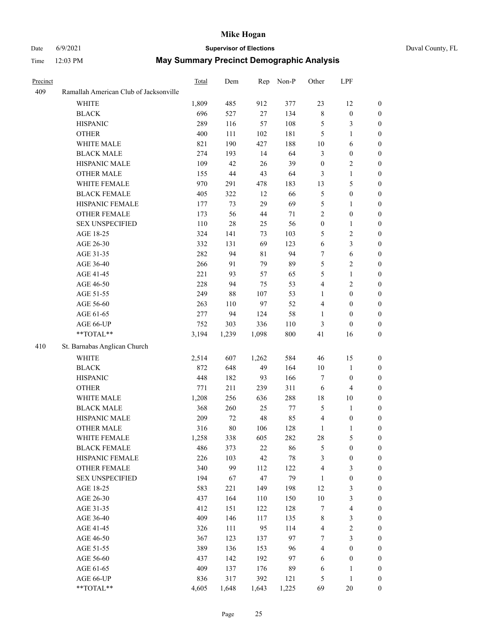## Date 6/9/2021 **Supervisor of Elections** Duval County, FL

| Precinct |                                        | Total | Dem    | Rep   | Non-P  | Other                   | LPF                     |                  |
|----------|----------------------------------------|-------|--------|-------|--------|-------------------------|-------------------------|------------------|
| 409      | Ramallah American Club of Jacksonville |       |        |       |        |                         |                         |                  |
|          | <b>WHITE</b>                           | 1,809 | 485    | 912   | 377    | 23                      | 12                      | $\boldsymbol{0}$ |
|          | <b>BLACK</b>                           | 696   | 527    | 27    | 134    | 8                       | $\boldsymbol{0}$        | $\boldsymbol{0}$ |
|          | <b>HISPANIC</b>                        | 289   | 116    | 57    | 108    | 5                       | $\mathfrak{Z}$          | $\boldsymbol{0}$ |
|          | <b>OTHER</b>                           | 400   | 111    | 102   | 181    | 5                       | $\mathbf{1}$            | $\boldsymbol{0}$ |
|          | WHITE MALE                             | 821   | 190    | 427   | 188    | 10                      | 6                       | $\boldsymbol{0}$ |
|          | <b>BLACK MALE</b>                      | 274   | 193    | 14    | 64     | 3                       | $\boldsymbol{0}$        | $\boldsymbol{0}$ |
|          | HISPANIC MALE                          | 109   | 42     | 26    | 39     | $\boldsymbol{0}$        | $\sqrt{2}$              | $\boldsymbol{0}$ |
|          | <b>OTHER MALE</b>                      | 155   | $44\,$ | 43    | 64     | 3                       | $\mathbf{1}$            | 0                |
|          | WHITE FEMALE                           | 970   | 291    | 478   | 183    | 13                      | $\mathfrak{S}$          | 0                |
|          | <b>BLACK FEMALE</b>                    | 405   | 322    | 12    | 66     | 5                       | $\boldsymbol{0}$        | $\boldsymbol{0}$ |
|          | HISPANIC FEMALE                        | 177   | 73     | 29    | 69     | 5                       | 1                       | $\boldsymbol{0}$ |
|          | OTHER FEMALE                           | 173   | 56     | 44    | $71\,$ | $\overline{c}$          | $\boldsymbol{0}$        | $\boldsymbol{0}$ |
|          | <b>SEX UNSPECIFIED</b>                 | 110   | $28\,$ | 25    | 56     | $\boldsymbol{0}$        | $\mathbf{1}$            | $\boldsymbol{0}$ |
|          | AGE 18-25                              | 324   | 141    | 73    | 103    | 5                       | $\sqrt{2}$              | $\boldsymbol{0}$ |
|          | AGE 26-30                              | 332   | 131    | 69    | 123    | $\sqrt{6}$              | 3                       | $\boldsymbol{0}$ |
|          | AGE 31-35                              | 282   | 94     | 81    | 94     | 7                       | $\sqrt{6}$              | $\boldsymbol{0}$ |
|          | AGE 36-40                              | 266   | 91     | 79    | 89     | 5                       | $\sqrt{2}$              | 0                |
|          | AGE 41-45                              | 221   | 93     | 57    | 65     | 5                       | $\mathbf{1}$            | 0                |
|          | AGE 46-50                              | 228   | 94     | 75    | 53     | $\overline{\mathbf{4}}$ | $\sqrt{2}$              | 0                |
|          | AGE 51-55                              | 249   | $88\,$ | 107   | 53     | 1                       | $\boldsymbol{0}$        | $\boldsymbol{0}$ |
|          | AGE 56-60                              | 263   | 110    | 97    | 52     | 4                       | $\boldsymbol{0}$        | $\boldsymbol{0}$ |
|          | AGE 61-65                              | 277   | 94     | 124   | 58     | $\mathbf{1}$            | $\boldsymbol{0}$        | $\boldsymbol{0}$ |
|          | AGE 66-UP                              | 752   | 303    | 336   | 110    | 3                       | $\boldsymbol{0}$        | 0                |
|          | **TOTAL**                              | 3,194 | 1,239  | 1,098 | 800    | 41                      | 16                      | $\boldsymbol{0}$ |
|          |                                        |       |        |       |        |                         |                         |                  |
| 410      | St. Barnabas Anglican Church           |       |        |       |        |                         |                         |                  |
|          | WHITE                                  | 2,514 | 607    | 1,262 | 584    | 46                      | 15                      | $\boldsymbol{0}$ |
|          | <b>BLACK</b>                           | 872   | 648    | 49    | 164    | $10\,$                  | $\mathbf{1}$            | $\boldsymbol{0}$ |
|          | <b>HISPANIC</b>                        | 448   | 182    | 93    | 166    | 7                       | $\boldsymbol{0}$        | $\overline{0}$   |
|          | <b>OTHER</b>                           | 771   | 211    | 239   | 311    | 6                       | $\overline{4}$          | $\boldsymbol{0}$ |
|          | WHITE MALE                             | 1,208 | 256    | 636   | 288    | $18\,$                  | $10\,$                  | 0                |
|          | <b>BLACK MALE</b>                      | 368   | 260    | 25    | $77\,$ | 5                       | $\mathbf{1}$            | 0                |
|          | HISPANIC MALE                          | 209   | 72     | 48    | 85     | 4                       | $\boldsymbol{0}$        | 0                |
|          | OTHER MALE                             | 316   | $80\,$ | 106   | 128    | $\mathbf{1}$            | $\mathbf{1}$            | $\boldsymbol{0}$ |
|          | WHITE FEMALE                           | 1,258 | 338    | 605   | 282    | $28\,$                  | 5                       | $\boldsymbol{0}$ |
|          | <b>BLACK FEMALE</b>                    | 486   | 373    | 22    | 86     | 5                       | $\boldsymbol{0}$        | $\overline{0}$   |
|          | HISPANIC FEMALE                        | 226   | 103    | 42    | $78\,$ | 3                       | $\boldsymbol{0}$        | $\overline{0}$   |
|          | <b>OTHER FEMALE</b>                    | 340   | 99     | 112   | 122    | 4                       | $\mathfrak{Z}$          | $\theta$         |
|          | <b>SEX UNSPECIFIED</b>                 | 194   | 67     | 47    | 79     | $\mathbf{1}$            | $\boldsymbol{0}$        | $\overline{0}$   |
|          | AGE 18-25                              | 583   | 221    | 149   | 198    | 12                      | $\mathfrak{Z}$          | 0                |
|          | AGE 26-30                              | 437   | 164    | 110   | 150    | $10\,$                  | $\mathfrak{Z}$          | 0                |
|          | AGE 31-35                              | 412   | 151    | 122   | 128    | 7                       | $\overline{\mathbf{4}}$ | 0                |
|          | AGE 36-40                              | 409   | 146    | 117   | 135    | $\,$ 8 $\,$             | $\mathfrak{Z}$          | $\boldsymbol{0}$ |
|          | AGE 41-45                              | 326   | 111    | 95    | 114    | $\overline{\mathbf{4}}$ | $\sqrt{2}$              | $\boldsymbol{0}$ |
|          | AGE 46-50                              | 367   | 123    | 137   | 97     | 7                       | $\mathfrak{Z}$          | $\boldsymbol{0}$ |
|          | AGE 51-55                              | 389   | 136    | 153   | 96     | 4                       | $\boldsymbol{0}$        | $\boldsymbol{0}$ |
|          | AGE 56-60                              | 437   | 142    | 192   | 97     | 6                       | $\boldsymbol{0}$        | $\overline{0}$   |
|          | AGE 61-65                              | 409   | 137    | 176   | 89     | 6                       | $\mathbf{1}$            | $\overline{0}$   |
|          | AGE 66-UP                              | 836   | 317    | 392   | 121    | 5                       | $\mathbf{1}$            | $\overline{0}$   |
|          | **TOTAL**                              | 4,605 | 1,648  | 1,643 | 1,225  | 69                      | $20\,$                  | $\boldsymbol{0}$ |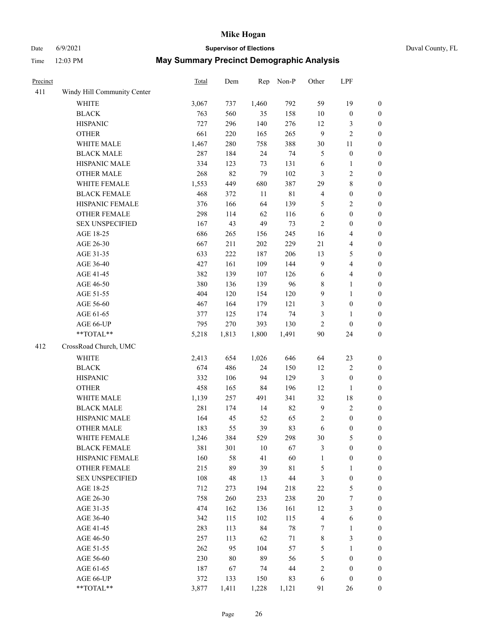# Date 6/9/2021 **Supervisor of Elections** Duval County, FL

| Precinct |                             | Total | Dem   | Rep   | Non-P       | Other          | LPF              |                       |
|----------|-----------------------------|-------|-------|-------|-------------|----------------|------------------|-----------------------|
| 411      | Windy Hill Community Center |       |       |       |             |                |                  |                       |
|          | <b>WHITE</b>                | 3,067 | 737   | 1,460 | 792         | 59             | 19               | $\boldsymbol{0}$      |
|          | <b>BLACK</b>                | 763   | 560   | 35    | 158         | 10             | $\boldsymbol{0}$ | $\boldsymbol{0}$      |
|          | <b>HISPANIC</b>             | 727   | 296   | 140   | 276         | 12             | $\mathfrak{Z}$   | $\boldsymbol{0}$      |
|          | <b>OTHER</b>                | 661   | 220   | 165   | 265         | 9              | $\sqrt{2}$       | $\boldsymbol{0}$      |
|          | WHITE MALE                  | 1,467 | 280   | 758   | 388         | 30             | 11               | $\boldsymbol{0}$      |
|          | <b>BLACK MALE</b>           | 287   | 184   | 24    | 74          | 5              | $\boldsymbol{0}$ | $\boldsymbol{0}$      |
|          | HISPANIC MALE               | 334   | 123   | 73    | 131         | 6              | $\mathbf{1}$     | $\boldsymbol{0}$      |
|          | <b>OTHER MALE</b>           | 268   | 82    | 79    | 102         | 3              | $\sqrt{2}$       | $\boldsymbol{0}$      |
|          | WHITE FEMALE                | 1,553 | 449   | 680   | 387         | 29             | $\,$ $\,$        | $\boldsymbol{0}$      |
|          | <b>BLACK FEMALE</b>         | 468   | 372   | 11    | $8\sqrt{1}$ | $\overline{4}$ | $\boldsymbol{0}$ | $\boldsymbol{0}$      |
|          | HISPANIC FEMALE             | 376   | 166   | 64    | 139         | 5              | $\sqrt{2}$       | $\boldsymbol{0}$      |
|          | OTHER FEMALE                | 298   | 114   | 62    | 116         | 6              | $\boldsymbol{0}$ | $\boldsymbol{0}$      |
|          | <b>SEX UNSPECIFIED</b>      | 167   | 43    | 49    | 73          | $\overline{c}$ | $\boldsymbol{0}$ | $\boldsymbol{0}$      |
|          | AGE 18-25                   | 686   | 265   | 156   | 245         | 16             | $\overline{4}$   | $\boldsymbol{0}$      |
|          | AGE 26-30                   | 667   | 211   | 202   | 229         | 21             | $\overline{4}$   | $\boldsymbol{0}$      |
|          | AGE 31-35                   | 633   | 222   | 187   | 206         | 13             | 5                | $\boldsymbol{0}$      |
|          | AGE 36-40                   | 427   | 161   | 109   | 144         | $\mathbf{9}$   | $\overline{4}$   | $\boldsymbol{0}$      |
|          | AGE 41-45                   | 382   | 139   | 107   | 126         | $\sqrt{6}$     | $\overline{4}$   | $\boldsymbol{0}$      |
|          | AGE 46-50                   | 380   | 136   | 139   | 96          | 8              | $\mathbf{1}$     | $\boldsymbol{0}$      |
|          | AGE 51-55                   | 404   | 120   | 154   | 120         | 9              | $\mathbf{1}$     | 0                     |
|          | AGE 56-60                   | 467   | 164   | 179   | 121         | 3              | $\boldsymbol{0}$ | $\boldsymbol{0}$      |
|          | AGE 61-65                   | 377   | 125   | 174   | 74          | 3              | $\mathbf{1}$     | $\boldsymbol{0}$      |
|          | AGE 66-UP                   | 795   | 270   | 393   | 130         | $\overline{c}$ | $\boldsymbol{0}$ | $\boldsymbol{0}$      |
|          | $**TOTAL**$                 | 5,218 | 1,813 | 1,800 | 1,491       | 90             | 24               | $\boldsymbol{0}$      |
| 412      | CrossRoad Church, UMC       |       |       |       |             |                |                  |                       |
|          | <b>WHITE</b>                | 2,413 | 654   | 1,026 | 646         | 64             | 23               | $\boldsymbol{0}$      |
|          | <b>BLACK</b>                | 674   | 486   | 24    | 150         | 12             | $\sqrt{2}$       | $\boldsymbol{0}$      |
|          | <b>HISPANIC</b>             | 332   | 106   | 94    | 129         | 3              | $\boldsymbol{0}$ | $\boldsymbol{0}$      |
|          | <b>OTHER</b>                | 458   | 165   | 84    | 196         | 12             | $\mathbf{1}$     | $\boldsymbol{0}$      |
|          | WHITE MALE                  | 1,139 | 257   | 491   | 341         | 32             | 18               | $\boldsymbol{0}$      |
|          | <b>BLACK MALE</b>           | 281   | 174   | 14    | 82          | $\mathbf{9}$   | $\sqrt{2}$       | $\boldsymbol{0}$      |
|          | HISPANIC MALE               | 164   | 45    | 52    | 65          | $\mathbf{2}$   | $\boldsymbol{0}$ |                       |
|          | <b>OTHER MALE</b>           | 183   | 55    | 39    | 83          | 6              | $\boldsymbol{0}$ | 0<br>$\boldsymbol{0}$ |
|          | WHITE FEMALE                | 1,246 | 384   | 529   | 298         | 30             | $\mathfrak s$    | $\boldsymbol{0}$      |
|          | <b>BLACK FEMALE</b>         | 381   | 301   | 10    | 67          | 3              | $\boldsymbol{0}$ | $\overline{0}$        |
|          | HISPANIC FEMALE             | 160   | 58    | 41    | 60          | 1              | $\boldsymbol{0}$ | $\overline{0}$        |
|          | <b>OTHER FEMALE</b>         | 215   | 89    | 39    | $8\sqrt{1}$ | 5              | $\mathbf{1}$     | 0                     |
|          | <b>SEX UNSPECIFIED</b>      | 108   | 48    | 13    | 44          | 3              | $\boldsymbol{0}$ | 0                     |
|          | AGE 18-25                   | 712   | 273   | 194   | 218         | 22             | $\mathfrak s$    | 0                     |
|          | AGE 26-30                   | 758   | 260   | 233   | 238         | $20\,$         | 7                | 0                     |
|          | AGE 31-35                   | 474   | 162   | 136   | 161         | 12             | $\mathfrak{Z}$   | 0                     |
|          | AGE 36-40                   | 342   | 115   | 102   | 115         | $\overline{4}$ | 6                | 0                     |
|          | AGE 41-45                   | 283   | 113   | 84    | 78          | 7              | $\mathbf{1}$     | 0                     |
|          | AGE 46-50                   | 257   | 113   | 62    | $71\,$      | 8              | 3                | $\boldsymbol{0}$      |
|          | AGE 51-55                   | 262   | 95    | 104   | 57          | 5              | $\mathbf{1}$     | $\boldsymbol{0}$      |
|          | AGE 56-60                   | 230   | 80    | 89    | 56          | 5              | $\boldsymbol{0}$ | $\overline{0}$        |
|          | AGE 61-65                   | 187   | 67    | 74    | 44          | $\overline{c}$ | $\boldsymbol{0}$ | 0                     |
|          | AGE 66-UP                   | 372   | 133   | 150   | 83          | 6              | $\boldsymbol{0}$ | 0                     |
|          | **TOTAL**                   | 3,877 | 1,411 | 1,228 | 1,121       | 91             | 26               | $\boldsymbol{0}$      |
|          |                             |       |       |       |             |                |                  |                       |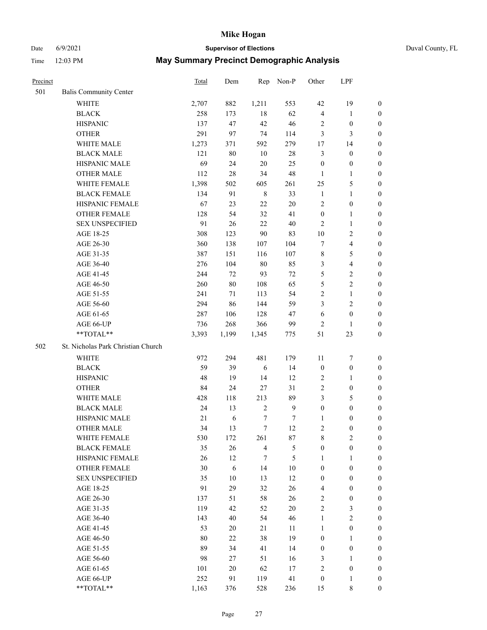## Date 6/9/2021 **Supervisor of Elections** Duval County, FL

| Precinct |                                    | Total | Dem    | Rep              | Non-P        | Other            | LPF                     |                  |
|----------|------------------------------------|-------|--------|------------------|--------------|------------------|-------------------------|------------------|
| 501      | <b>Balis Community Center</b>      |       |        |                  |              |                  |                         |                  |
|          | <b>WHITE</b>                       | 2,707 | 882    | 1,211            | 553          | 42               | 19                      | $\boldsymbol{0}$ |
|          | <b>BLACK</b>                       | 258   | 173    | 18               | 62           | $\overline{4}$   | $\mathbf{1}$            | $\boldsymbol{0}$ |
|          | <b>HISPANIC</b>                    | 137   | 47     | 42               | 46           | 2                | $\boldsymbol{0}$        | $\boldsymbol{0}$ |
|          | <b>OTHER</b>                       | 291   | 97     | 74               | 114          | 3                | 3                       | $\boldsymbol{0}$ |
|          | WHITE MALE                         | 1,273 | 371    | 592              | 279          | 17               | 14                      | $\boldsymbol{0}$ |
|          | <b>BLACK MALE</b>                  | 121   | 80     | 10               | $28\,$       | 3                | $\boldsymbol{0}$        | $\boldsymbol{0}$ |
|          | HISPANIC MALE                      | 69    | 24     | $20\,$           | 25           | $\boldsymbol{0}$ | $\boldsymbol{0}$        | $\boldsymbol{0}$ |
|          | <b>OTHER MALE</b>                  | 112   | 28     | 34               | 48           | $\mathbf{1}$     | $\mathbf{1}$            | 0                |
|          | WHITE FEMALE                       | 1,398 | 502    | 605              | 261          | 25               | $\mathfrak{S}$          | 0                |
|          | <b>BLACK FEMALE</b>                | 134   | 91     | $\,$ 8 $\,$      | 33           | $\mathbf{1}$     | $\mathbf{1}$            | 0                |
|          | HISPANIC FEMALE                    | 67    | 23     | $22\,$           | $20\,$       | $\overline{c}$   | $\boldsymbol{0}$        | $\boldsymbol{0}$ |
|          | OTHER FEMALE                       | 128   | 54     | 32               | 41           | $\boldsymbol{0}$ | $\mathbf{1}$            | $\boldsymbol{0}$ |
|          | <b>SEX UNSPECIFIED</b>             | 91    | 26     | 22               | $40\,$       | $\overline{c}$   | $\mathbf{1}$            | $\boldsymbol{0}$ |
|          | AGE 18-25                          | 308   | 123    | $90\,$           | 83           | $10\,$           | $\sqrt{2}$              | $\boldsymbol{0}$ |
|          | AGE 26-30                          | 360   | 138    | 107              | 104          | 7                | $\overline{\mathbf{4}}$ | $\boldsymbol{0}$ |
|          | AGE 31-35                          | 387   | 151    | 116              | 107          | $\,$ 8 $\,$      | 5                       | $\boldsymbol{0}$ |
|          | AGE 36-40                          | 276   | 104    | $80\,$           | 85           | 3                | $\overline{4}$          | $\boldsymbol{0}$ |
|          | AGE 41-45                          | 244   | 72     | 93               | $72\,$       | $\mathfrak s$    | $\sqrt{2}$              | $\boldsymbol{0}$ |
|          | AGE 46-50                          | 260   | $80\,$ | 108              | 65           | $\mathfrak{S}$   | $\sqrt{2}$              | $\boldsymbol{0}$ |
|          | AGE 51-55                          | 241   | 71     | 113              | 54           | $\sqrt{2}$       | $\mathbf{1}$            | 0                |
|          | AGE 56-60                          | 294   | 86     | 144              | 59           | 3                | $\sqrt{2}$              | $\boldsymbol{0}$ |
|          | AGE 61-65                          | 287   | 106    | 128              | 47           | 6                | $\boldsymbol{0}$        | $\boldsymbol{0}$ |
|          | AGE 66-UP                          | 736   | 268    | 366              | 99           | $\overline{2}$   | $\mathbf{1}$            | $\boldsymbol{0}$ |
|          | $**TOTAL**$                        | 3,393 | 1,199  | 1,345            | 775          | 51               | 23                      | $\boldsymbol{0}$ |
| 502      | St. Nicholas Park Christian Church |       |        |                  |              |                  |                         |                  |
|          | WHITE                              | 972   | 294    | 481              | 179          | 11               | $\boldsymbol{7}$        | $\boldsymbol{0}$ |
|          | <b>BLACK</b>                       | 59    | 39     | 6                | 14           | $\boldsymbol{0}$ | $\boldsymbol{0}$        | $\boldsymbol{0}$ |
|          | <b>HISPANIC</b>                    | 48    | 19     | 14               | 12           | $\overline{c}$   | $\mathbf{1}$            | $\boldsymbol{0}$ |
|          | <b>OTHER</b>                       | 84    | 24     | $27\,$           | 31           | $\mathbf{2}$     | $\boldsymbol{0}$        | $\boldsymbol{0}$ |
|          | WHITE MALE                         | 428   | 118    | 213              | 89           | 3                | $\mathfrak{S}$          | $\boldsymbol{0}$ |
|          | <b>BLACK MALE</b>                  | 24    | 13     | $\sqrt{2}$       | $\mathbf{9}$ | $\boldsymbol{0}$ | $\boldsymbol{0}$        | $\boldsymbol{0}$ |
|          | HISPANIC MALE                      | 21    | 6      | $\boldsymbol{7}$ | 7            | 1                | $\boldsymbol{0}$        | 0                |
|          | <b>OTHER MALE</b>                  | 34    | 13     | 7                | 12           | $\overline{c}$   | $\boldsymbol{0}$        | $\boldsymbol{0}$ |
|          | WHITE FEMALE                       | 530   | 172    | 261              | $87\,$       | 8                | $\sqrt{2}$              | 0                |
|          | <b>BLACK FEMALE</b>                | 35    | 26     | $\overline{4}$   | 5            | $\boldsymbol{0}$ | $\boldsymbol{0}$        | $\overline{0}$   |
|          | HISPANIC FEMALE                    | 26    | 12     | 7                | 5            | $\mathbf{1}$     | $\mathbf{1}$            | $\overline{0}$   |
|          | <b>OTHER FEMALE</b>                | 30    | 6      | 14               | $10\,$       | $\boldsymbol{0}$ | $\boldsymbol{0}$        | 0                |
|          | <b>SEX UNSPECIFIED</b>             | 35    | $10\,$ | 13               | 12           | $\boldsymbol{0}$ | $\boldsymbol{0}$        | $\overline{0}$   |
|          | AGE 18-25                          | 91    | 29     | 32               | 26           | 4                | $\boldsymbol{0}$        | 0                |
|          | AGE 26-30                          | 137   | 51     | 58               | 26           | $\sqrt{2}$       | $\boldsymbol{0}$        | 0                |
|          | AGE 31-35                          | 119   | 42     | 52               | $20\,$       | $\sqrt{2}$       | $\mathfrak{Z}$          | 0                |
|          | AGE 36-40                          | 143   | 40     | 54               | 46           | $\mathbf{1}$     | $\sqrt{2}$              | 0                |
|          | AGE 41-45                          | 53    | 20     | 21               | 11           | $\mathbf{1}$     | $\boldsymbol{0}$        | 0                |
|          | AGE 46-50                          | 80    | 22     | 38               | 19           | $\boldsymbol{0}$ | $\mathbf{1}$            | 0                |
|          | AGE 51-55                          | 89    | 34     | 41               | 14           | $\boldsymbol{0}$ | $\boldsymbol{0}$        | $\boldsymbol{0}$ |
|          | AGE 56-60                          | 98    | 27     | 51               | 16           | 3                | $\mathbf{1}$            | $\overline{0}$   |
|          | AGE 61-65                          | 101   | 20     | 62               | 17           | $\sqrt{2}$       | $\boldsymbol{0}$        | 0                |
|          | AGE 66-UP                          | 252   | 91     | 119              | 41           | $\boldsymbol{0}$ | $\mathbf{1}$            | $\boldsymbol{0}$ |
|          | **TOTAL**                          | 1,163 | 376    | 528              | 236          | 15               | 8                       | $\boldsymbol{0}$ |
|          |                                    |       |        |                  |              |                  |                         |                  |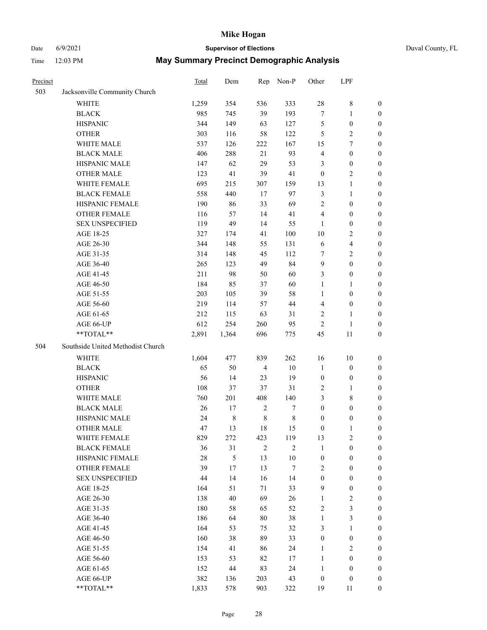# Date 6/9/2021 **Supervisor of Elections** Duval County, FL

| Precinct |                                   | <b>Total</b> | Dem         | Rep            | Non-P          | Other            | LPF                     |                  |
|----------|-----------------------------------|--------------|-------------|----------------|----------------|------------------|-------------------------|------------------|
| 503      | Jacksonville Community Church     |              |             |                |                |                  |                         |                  |
|          | <b>WHITE</b>                      | 1,259        | 354         | 536            | 333            | 28               | $\,$ 8 $\,$             | 0                |
|          | <b>BLACK</b>                      | 985          | 745         | 39             | 193            | $\boldsymbol{7}$ | $\mathbf{1}$            | 0                |
|          | <b>HISPANIC</b>                   | 344          | 149         | 63             | 127            | 5                | $\boldsymbol{0}$        | $\boldsymbol{0}$ |
|          | <b>OTHER</b>                      | 303          | 116         | 58             | 122            | 5                | $\sqrt{2}$              | $\boldsymbol{0}$ |
|          | WHITE MALE                        | 537          | 126         | 222            | 167            | 15               | $\tau$                  | $\boldsymbol{0}$ |
|          | <b>BLACK MALE</b>                 | 406          | 288         | 21             | 93             | 4                | $\boldsymbol{0}$        | $\boldsymbol{0}$ |
|          | HISPANIC MALE                     | 147          | 62          | 29             | 53             | 3                | $\boldsymbol{0}$        | $\boldsymbol{0}$ |
|          | <b>OTHER MALE</b>                 | 123          | 41          | 39             | 41             | $\boldsymbol{0}$ | $\overline{2}$          | $\boldsymbol{0}$ |
|          | WHITE FEMALE                      | 695          | 215         | 307            | 159            | 13               | $\mathbf{1}$            | $\boldsymbol{0}$ |
|          | <b>BLACK FEMALE</b>               | 558          | 440         | 17             | 97             | 3                | $\mathbf{1}$            | 0                |
|          | HISPANIC FEMALE                   | 190          | 86          | 33             | 69             | $\overline{c}$   | $\boldsymbol{0}$        | 0                |
|          | OTHER FEMALE                      | 116          | 57          | 14             | 41             | 4                | $\boldsymbol{0}$        | 0                |
|          | <b>SEX UNSPECIFIED</b>            | 119          | 49          | 14             | 55             | $\mathbf{1}$     | $\boldsymbol{0}$        | $\boldsymbol{0}$ |
|          | AGE 18-25                         | 327          | 174         | 41             | 100            | $10\,$           | $\sqrt{2}$              | $\boldsymbol{0}$ |
|          | AGE 26-30                         | 344          | 148         | 55             | 131            | 6                | $\overline{\mathbf{4}}$ | $\boldsymbol{0}$ |
|          | AGE 31-35                         | 314          | 148         | 45             | 112            | 7                | $\sqrt{2}$              | $\boldsymbol{0}$ |
|          | AGE 36-40                         | 265          | 123         | 49             | 84             | 9                | $\boldsymbol{0}$        | $\boldsymbol{0}$ |
|          | AGE 41-45                         | 211          | 98          | 50             | 60             | 3                | $\boldsymbol{0}$        | $\boldsymbol{0}$ |
|          | AGE 46-50                         | 184          | 85          | 37             | 60             | $\mathbf{1}$     | 1                       | $\boldsymbol{0}$ |
|          | AGE 51-55                         | 203          | 105         | 39             | 58             | 1                | $\boldsymbol{0}$        | 0                |
|          | AGE 56-60                         | 219          | 114         | 57             | 44             | $\overline{4}$   | $\boldsymbol{0}$        | 0                |
|          | AGE 61-65                         | 212          | 115         | 63             | 31             | 2                | $\mathbf{1}$            | 0                |
|          | AGE 66-UP                         | 612          | 254         | 260            | 95             | $\sqrt{2}$       | $\mathbf{1}$            | $\boldsymbol{0}$ |
|          | **TOTAL**                         | 2,891        | 1,364       | 696            | 775            | 45               | $11\,$                  | $\boldsymbol{0}$ |
|          |                                   |              |             |                |                |                  |                         |                  |
| 504      | Southside United Methodist Church |              |             |                |                |                  |                         |                  |
|          | <b>WHITE</b>                      | 1,604        | 477         | 839            | 262            | 16               | 10                      | $\boldsymbol{0}$ |
|          | <b>BLACK</b>                      | 65           | 50          | $\overline{4}$ | $10\,$         | $\mathbf{1}$     | $\boldsymbol{0}$        | $\boldsymbol{0}$ |
|          | <b>HISPANIC</b>                   | 56           | 14          | 23             | 19             | $\boldsymbol{0}$ | $\boldsymbol{0}$        | $\boldsymbol{0}$ |
|          | <b>OTHER</b>                      | 108          | 37          | 37             | 31             | 2                | $\mathbf{1}$            | $\boldsymbol{0}$ |
|          | WHITE MALE                        | 760          | 201         | 408            | 140            | 3                | $8\,$                   | $\overline{0}$   |
|          | <b>BLACK MALE</b>                 | 26           | 17          | $\sqrt{2}$     | 7              | $\boldsymbol{0}$ | $\boldsymbol{0}$        | $\boldsymbol{0}$ |
|          | HISPANIC MALE                     | 24           | $\,$ 8 $\,$ | $\,$ 8 $\,$    | $\,$ 8 $\,$    | $\boldsymbol{0}$ | $\boldsymbol{0}$        | 0                |
|          | <b>OTHER MALE</b>                 | 47           | 13          | 18             | 15             | $\boldsymbol{0}$ | $\mathbf{1}$            | 0                |
|          | WHITE FEMALE                      | 829          | 272         | 423            | 119            | 13               | 2                       | 0                |
|          | <b>BLACK FEMALE</b>               | 36           | 31          | $\overline{2}$ | $\mathfrak{2}$ | $\mathbf{1}$     | $\boldsymbol{0}$        | $\boldsymbol{0}$ |
|          | HISPANIC FEMALE                   | 28           | 5           | 13             | $10\,$         | $\boldsymbol{0}$ | $\boldsymbol{0}$        | $\overline{0}$   |
|          | OTHER FEMALE                      | 39           | 17          | 13             | $\tau$         | 2                | $\boldsymbol{0}$        | $\overline{0}$   |
|          | <b>SEX UNSPECIFIED</b>            | 44           | 14          | 16             | 14             | $\boldsymbol{0}$ | $\boldsymbol{0}$        | 0                |
|          | AGE 18-25                         | 164          | 51          | 71             | 33             | 9                | $\boldsymbol{0}$        | $\theta$         |
|          | AGE 26-30                         | 138          | 40          | 69             | 26             | $\mathbf{1}$     | $\sqrt{2}$              | 0                |
|          | AGE 31-35                         | 180          | 58          | 65             | 52             | 2                | $\mathfrak{Z}$          | 0                |
|          | AGE 36-40                         | 186          | 64          | 80             | 38             | $\mathbf{1}$     | $\mathfrak{Z}$          | 0                |
|          | AGE 41-45                         | 164          | 53          | 75             | 32             | 3                | $\mathbf{1}$            | 0                |
|          | AGE 46-50                         | 160          | 38          | 89             | 33             | $\boldsymbol{0}$ | $\boldsymbol{0}$        | 0                |
|          | AGE 51-55                         | 154          | 41          | 86             | 24             | $\mathbf{1}$     | $\overline{2}$          | 0                |
|          | AGE 56-60                         | 153          | 53          | 82             | 17             | $\mathbf{1}$     | $\boldsymbol{0}$        | $\overline{0}$   |
|          | AGE 61-65                         | 152          | 44          | 83             | 24             | $\mathbf{1}$     | $\boldsymbol{0}$        | $\overline{0}$   |
|          | AGE 66-UP                         | 382          | 136         | 203            | 43             | $\boldsymbol{0}$ | $\boldsymbol{0}$        | 0                |
|          | **TOTAL**                         | 1,833        | 578         | 903            | 322            | 19               | 11                      | $\boldsymbol{0}$ |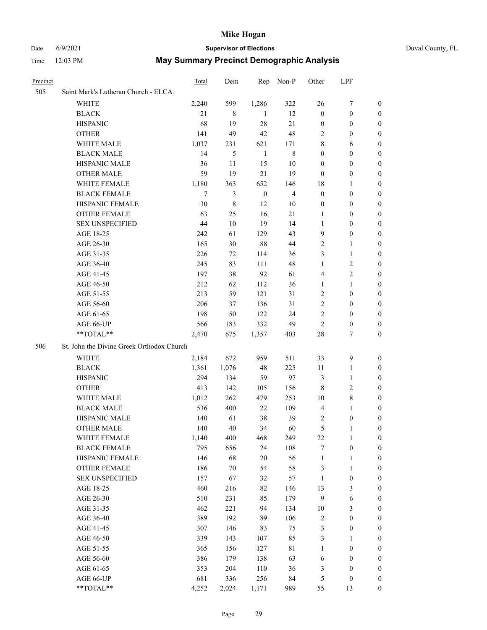#### Date 6/9/2021 **Supervisor of Elections** Duval County, FL

| Precinct |                                           | Total | Dem    | Rep              | Non-P          | Other            | LPF              |                  |
|----------|-------------------------------------------|-------|--------|------------------|----------------|------------------|------------------|------------------|
| 505      | Saint Mark's Lutheran Church - ELCA       |       |        |                  |                |                  |                  |                  |
|          | <b>WHITE</b>                              | 2,240 | 599    | 1,286            | 322            | 26               | 7                | 0                |
|          | <b>BLACK</b>                              | 21    | 8      | 1                | 12             | $\boldsymbol{0}$ | $\boldsymbol{0}$ | $\boldsymbol{0}$ |
|          | <b>HISPANIC</b>                           | 68    | 19     | 28               | 21             | $\boldsymbol{0}$ | $\boldsymbol{0}$ | 0                |
|          | <b>OTHER</b>                              | 141   | 49     | 42               | 48             | 2                | $\boldsymbol{0}$ | $\boldsymbol{0}$ |
|          | WHITE MALE                                | 1,037 | 231    | 621              | 171            | 8                | 6                | $\boldsymbol{0}$ |
|          | <b>BLACK MALE</b>                         | 14    | 5      | $\mathbf{1}$     | $8\,$          | $\boldsymbol{0}$ | $\boldsymbol{0}$ | 0                |
|          | HISPANIC MALE                             | 36    | 11     | 15               | 10             | $\boldsymbol{0}$ | $\boldsymbol{0}$ | $\boldsymbol{0}$ |
|          | <b>OTHER MALE</b>                         | 59    | 19     | 21               | 19             | $\boldsymbol{0}$ | $\boldsymbol{0}$ | 0                |
|          | WHITE FEMALE                              | 1,180 | 363    | 652              | 146            | 18               | $\mathbf{1}$     | 0                |
|          | <b>BLACK FEMALE</b>                       | 7     | 3      | $\boldsymbol{0}$ | $\overline{4}$ | $\boldsymbol{0}$ | $\boldsymbol{0}$ | 0                |
|          | HISPANIC FEMALE                           | 30    | 8      | 12               | 10             | $\boldsymbol{0}$ | $\boldsymbol{0}$ | 0                |
|          | OTHER FEMALE                              | 63    | 25     | 16               | $21\,$         | 1                | $\boldsymbol{0}$ | 0                |
|          | <b>SEX UNSPECIFIED</b>                    | 44    | 10     | 19               | 14             | 1                | $\boldsymbol{0}$ | $\boldsymbol{0}$ |
|          | AGE 18-25                                 | 242   | 61     | 129              | 43             | 9                | $\boldsymbol{0}$ | $\boldsymbol{0}$ |
|          | AGE 26-30                                 | 165   | 30     | $88\,$           | 44             | $\overline{c}$   | $\mathbf{1}$     | $\boldsymbol{0}$ |
|          | AGE 31-35                                 | 226   | 72     | 114              | 36             | 3                | $\mathbf{1}$     | $\boldsymbol{0}$ |
|          | AGE 36-40                                 | 245   | 83     | 111              | 48             | $\mathbf{1}$     | $\sqrt{2}$       | $\boldsymbol{0}$ |
|          | AGE 41-45                                 | 197   | 38     | 92               | 61             | 4                | $\overline{c}$   | 0                |
|          | AGE 46-50                                 | 212   | 62     | 112              | 36             | $\mathbf{1}$     | $\mathbf{1}$     | 0                |
|          | AGE 51-55                                 | 213   | 59     | 121              | 31             | $\overline{2}$   | $\boldsymbol{0}$ | 0                |
|          | AGE 56-60                                 | 206   | 37     | 136              | 31             | $\sqrt{2}$       | $\boldsymbol{0}$ | 0                |
|          | AGE 61-65                                 | 198   | 50     | 122              | 24             | 2                | $\boldsymbol{0}$ | 0                |
|          | AGE 66-UP                                 | 566   | 183    | 332              | 49             | $\overline{2}$   | $\boldsymbol{0}$ | 0                |
|          | **TOTAL**                                 | 2,470 | 675    | 1,357            | 403            | 28               | 7                | $\boldsymbol{0}$ |
| 506      | St. John the Divine Greek Orthodox Church |       |        |                  |                |                  |                  |                  |
|          | WHITE                                     | 2,184 | 672    | 959              | 511            | 33               | $\mathbf{9}$     | $\boldsymbol{0}$ |
|          | <b>BLACK</b>                              | 1,361 | 1,076  | 48               | 225            | 11               | $\mathbf{1}$     | $\boldsymbol{0}$ |
|          | <b>HISPANIC</b>                           | 294   | 134    | 59               | 97             | 3                | $\mathbf{1}$     | 0                |
|          | <b>OTHER</b>                              | 413   | 142    | 105              | 156            | $\,$ 8 $\,$      | $\sqrt{2}$       | $\boldsymbol{0}$ |
|          | WHITE MALE                                | 1,012 | 262    | 479              | 253            | 10               | $\,8\,$          | 0                |
|          | <b>BLACK MALE</b>                         | 536   | 400    | 22               | 109            | $\overline{4}$   | $\mathbf{1}$     | 0                |
|          | HISPANIC MALE                             | 140   | 61     | 38               | 39             | 2                | $\boldsymbol{0}$ | 0                |
|          | <b>OTHER MALE</b>                         | 140   | 40     | 34               | 60             | 5                | 1                | 0                |
|          | WHITE FEMALE                              | 1,140 | 400    | 468              | 249            | 22               | $\mathbf{1}$     | $\overline{0}$   |
|          | <b>BLACK FEMALE</b>                       | 795   | 656    | 24               | 108            | 7                | $\boldsymbol{0}$ | $\boldsymbol{0}$ |
|          | HISPANIC FEMALE                           | 146   | 68     | $20\,$           | 56             | $\mathbf{1}$     | $\mathbf{1}$     | $\boldsymbol{0}$ |
|          | <b>OTHER FEMALE</b>                       | 186   | $70\,$ | 54               | 58             | 3                | $\mathbf{1}$     | $\overline{0}$   |
|          | <b>SEX UNSPECIFIED</b>                    | 157   | 67     | 32               | 57             | $\mathbf{1}$     | $\boldsymbol{0}$ | 0                |
|          | AGE 18-25                                 | 460   | 216    | 82               | 146            | 13               | $\mathfrak{Z}$   | $\theta$         |
|          | AGE 26-30                                 | 510   | 231    | 85               | 179            | $\overline{9}$   | $\sqrt{6}$       | 0                |
|          | AGE 31-35                                 | 462   | 221    | 94               | 134            | $10\,$           | $\mathfrak{Z}$   | 0                |
|          | AGE 36-40                                 | 389   | 192    | 89               | 106            | $\sqrt{2}$       | $\boldsymbol{0}$ | 0                |
|          | AGE 41-45                                 | 307   | 146    | 83               | 75             | 3                | $\boldsymbol{0}$ | 0                |
|          | AGE 46-50                                 | 339   | 143    | 107              | 85             | 3                | $\mathbf{1}$     | 0                |
|          | AGE 51-55                                 | 365   | 156    | 127              | $8\sqrt{1}$    | $\mathbf{1}$     | $\boldsymbol{0}$ | $\boldsymbol{0}$ |
|          | AGE 56-60                                 | 386   | 179    | 138              | 63             | 6                | $\boldsymbol{0}$ | $\boldsymbol{0}$ |
|          | AGE 61-65                                 | 353   | 204    | 110              | 36             | 3                | $\boldsymbol{0}$ | $\boldsymbol{0}$ |
|          | AGE 66-UP                                 | 681   | 336    | 256              | 84             | 5                | $\boldsymbol{0}$ | 0                |
|          | **TOTAL**                                 | 4,252 | 2,024  | 1,171            | 989            | 55               | 13               | $\boldsymbol{0}$ |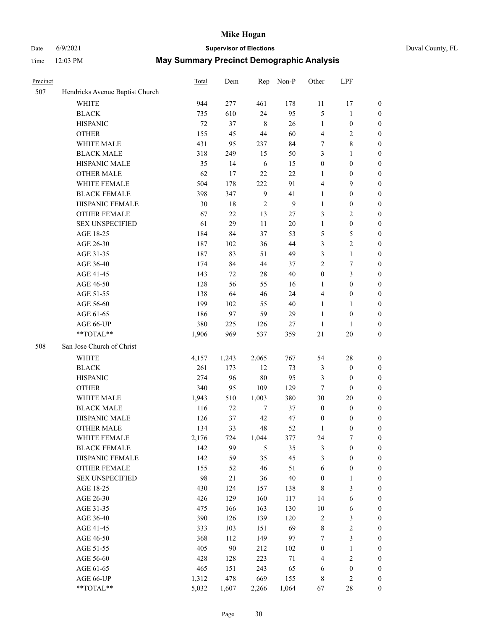## Date 6/9/2021 **Supervisor of Elections** Duval County, FL

| Precinct |                                 | Total | Dem    | Rep            | Non-P          | Other            | LPF              |                  |
|----------|---------------------------------|-------|--------|----------------|----------------|------------------|------------------|------------------|
| 507      | Hendricks Avenue Baptist Church |       |        |                |                |                  |                  |                  |
|          | <b>WHITE</b>                    | 944   | 277    | 461            | 178            | 11               | 17               | 0                |
|          | $\operatorname{BLACK}$          | 735   | 610    | 24             | 95             | 5                | $\mathbf{1}$     | 0                |
|          | <b>HISPANIC</b>                 | 72    | 37     | $\,8\,$        | 26             | $\mathbf{1}$     | $\boldsymbol{0}$ | $\boldsymbol{0}$ |
|          | <b>OTHER</b>                    | 155   | 45     | 44             | 60             | 4                | $\mathbf{2}$     | $\boldsymbol{0}$ |
|          | WHITE MALE                      | 431   | 95     | 237            | 84             | 7                | $8\,$            | $\boldsymbol{0}$ |
|          | <b>BLACK MALE</b>               | 318   | 249    | 15             | 50             | 3                | 1                | $\boldsymbol{0}$ |
|          | HISPANIC MALE                   | 35    | 14     | 6              | 15             | $\boldsymbol{0}$ | $\boldsymbol{0}$ | $\boldsymbol{0}$ |
|          | <b>OTHER MALE</b>               | 62    | 17     | 22             | 22             | $\mathbf{1}$     | $\boldsymbol{0}$ | $\boldsymbol{0}$ |
|          | WHITE FEMALE                    | 504   | 178    | 222            | 91             | 4                | $\mathbf{9}$     | $\boldsymbol{0}$ |
|          | <b>BLACK FEMALE</b>             | 398   | 347    | $\overline{9}$ | 41             | $\mathbf{1}$     | $\boldsymbol{0}$ | $\boldsymbol{0}$ |
|          | HISPANIC FEMALE                 | 30    | $18\,$ | $\mathfrak{2}$ | $\overline{9}$ | $\mathbf{1}$     | $\boldsymbol{0}$ | 0                |
|          | <b>OTHER FEMALE</b>             | 67    | 22     | 13             | 27             | 3                | $\sqrt{2}$       | $\boldsymbol{0}$ |
|          | <b>SEX UNSPECIFIED</b>          | 61    | 29     | 11             | $20\,$         | $\mathbf{1}$     | $\boldsymbol{0}$ | $\boldsymbol{0}$ |
|          | AGE 18-25                       | 184   | 84     | 37             | 53             | 5                | $\mathfrak{S}$   | $\boldsymbol{0}$ |
|          | AGE 26-30                       | 187   | 102    | 36             | 44             | 3                | $\sqrt{2}$       | $\boldsymbol{0}$ |
|          | AGE 31-35                       | 187   | 83     | 51             | 49             | 3                | $\mathbf{1}$     | $\boldsymbol{0}$ |
|          | AGE 36-40                       | 174   | 84     | 44             | 37             | $\overline{c}$   | 7                | $\boldsymbol{0}$ |
|          | AGE 41-45                       | 143   | 72     | 28             | 40             | $\boldsymbol{0}$ | $\mathfrak{Z}$   | $\boldsymbol{0}$ |
|          | AGE 46-50                       | 128   | 56     | 55             | 16             | 1                | $\boldsymbol{0}$ | $\boldsymbol{0}$ |
|          | AGE 51-55                       | 138   | 64     | 46             | 24             | $\overline{4}$   | $\boldsymbol{0}$ | 0                |
|          | AGE 56-60                       | 199   | 102    | 55             | 40             | $\mathbf{1}$     | $\mathbf{1}$     | 0                |
|          | AGE 61-65                       | 186   | 97     | 59             | 29             | $\mathbf{1}$     | $\boldsymbol{0}$ | 0                |
|          | AGE 66-UP                       | 380   | 225    | 126            | $27\,$         | $\mathbf{1}$     | $\mathbf{1}$     | $\boldsymbol{0}$ |
|          | $**TOTAL**$                     | 1,906 | 969    | 537            | 359            | 21               | $20\,$           | $\boldsymbol{0}$ |
| 508      | San Jose Church of Christ       |       |        |                |                |                  |                  |                  |
|          | <b>WHITE</b>                    | 4,157 | 1,243  | 2,065          | 767            | 54               | $28\,$           | $\boldsymbol{0}$ |
|          | <b>BLACK</b>                    | 261   | 173    | 12             | 73             | 3                | $\boldsymbol{0}$ | $\boldsymbol{0}$ |
|          | <b>HISPANIC</b>                 | 274   | 96     | 80             | 95             | 3                | $\boldsymbol{0}$ | $\boldsymbol{0}$ |
|          | <b>OTHER</b>                    | 340   | 95     | 109            | 129            | $\tau$           | $\boldsymbol{0}$ | $\boldsymbol{0}$ |
|          | WHITE MALE                      | 1,943 | 510    | 1,003          | 380            | 30               | $20\,$           | $\boldsymbol{0}$ |
|          | <b>BLACK MALE</b>               | 116   | 72     | $\tau$         | 37             | $\boldsymbol{0}$ | $\boldsymbol{0}$ | $\boldsymbol{0}$ |
|          | HISPANIC MALE                   | 126   | 37     | 42             | 47             | $\boldsymbol{0}$ | $\boldsymbol{0}$ | 0                |
|          | <b>OTHER MALE</b>               | 134   | 33     | 48             | 52             | 1                | $\boldsymbol{0}$ | $\boldsymbol{0}$ |
|          | WHITE FEMALE                    | 2,176 | 724    | 1,044          | 377            | 24               | 7                | 0                |
|          | <b>BLACK FEMALE</b>             | 142   | 99     | 5              | 35             | 3                | $\boldsymbol{0}$ | $\boldsymbol{0}$ |
|          | HISPANIC FEMALE                 | 142   | 59     | 35             | 45             | 3                | $\boldsymbol{0}$ | $\overline{0}$   |
|          | OTHER FEMALE                    | 155   | 52     | 46             | 51             | 6                | $\boldsymbol{0}$ | $\overline{0}$   |
|          | <b>SEX UNSPECIFIED</b>          | 98    | $21\,$ | 36             | 40             | $\boldsymbol{0}$ | $\mathbf{1}$     | 0                |
|          | AGE 18-25                       | 430   | 124    | 157            | 138            | 8                | $\mathfrak{Z}$   | 0                |
|          | AGE 26-30                       | 426   | 129    | 160            | 117            | 14               | $\sqrt{6}$       | 0                |
|          | AGE 31-35                       | 475   | 166    | 163            | 130            | $10\,$           | 6                | 0                |
|          | AGE 36-40                       | 390   | 126    | 139            | 120            | $\sqrt{2}$       | $\mathfrak{Z}$   | 0                |
|          | AGE 41-45                       | 333   | 103    | 151            | 69             | 8                | $\sqrt{2}$       | 0                |
|          | AGE 46-50                       | 368   | 112    | 149            | 97             | 7                | $\mathfrak{Z}$   | 0                |
|          | AGE 51-55                       | 405   | 90     | 212            | 102            | $\boldsymbol{0}$ | $\mathbf{1}$     | 0                |
|          | AGE 56-60                       | 428   | 128    | 223            | 71             | 4                | $\sqrt{2}$       | 0                |
|          | AGE 61-65                       | 465   | 151    | 243            | 65             | 6                | $\boldsymbol{0}$ | $\boldsymbol{0}$ |
|          | AGE 66-UP                       | 1,312 | 478    | 669            | 155            | 8                | $\sqrt{2}$       | 0                |
|          | **TOTAL**                       | 5,032 | 1,607  | 2,266          | 1,064          | 67               | 28               | $\boldsymbol{0}$ |
|          |                                 |       |        |                |                |                  |                  |                  |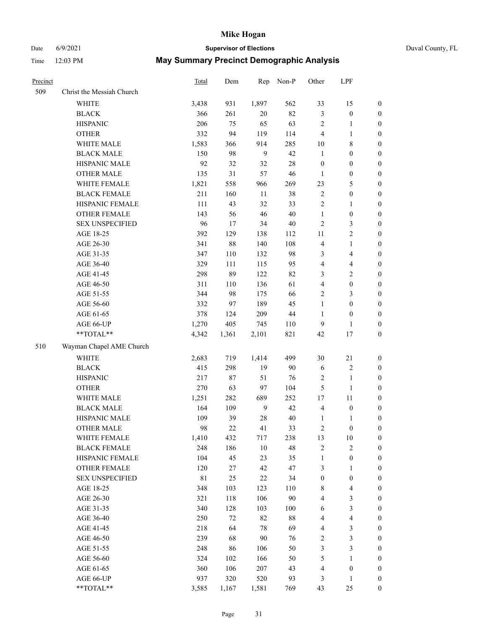## Date 6/9/2021 **Supervisor of Elections** Duval County, FL

| Precinct |                           | Total       | Dem    | Rep   | Non-P  | Other            | LPF                     |                  |
|----------|---------------------------|-------------|--------|-------|--------|------------------|-------------------------|------------------|
| 509      | Christ the Messiah Church |             |        |       |        |                  |                         |                  |
|          | <b>WHITE</b>              | 3,438       | 931    | 1,897 | 562    | 33               | 15                      | $\boldsymbol{0}$ |
|          | <b>BLACK</b>              | 366         | 261    | 20    | 82     | 3                | $\boldsymbol{0}$        | $\boldsymbol{0}$ |
|          | <b>HISPANIC</b>           | 206         | 75     | 65    | 63     | 2                | $\mathbf{1}$            | $\boldsymbol{0}$ |
|          | <b>OTHER</b>              | 332         | 94     | 119   | 114    | 4                | $\mathbf{1}$            | $\boldsymbol{0}$ |
|          | WHITE MALE                | 1,583       | 366    | 914   | 285    | $10\,$           | 8                       | $\boldsymbol{0}$ |
|          | <b>BLACK MALE</b>         | 150         | 98     | 9     | 42     | $\mathbf{1}$     | $\boldsymbol{0}$        | $\boldsymbol{0}$ |
|          | HISPANIC MALE             | 92          | 32     | 32    | $28\,$ | $\boldsymbol{0}$ | $\boldsymbol{0}$        | $\boldsymbol{0}$ |
|          | <b>OTHER MALE</b>         | 135         | 31     | 57    | 46     | $\mathbf{1}$     | $\boldsymbol{0}$        | 0                |
|          | WHITE FEMALE              | 1,821       | 558    | 966   | 269    | 23               | $\mathfrak{S}$          | 0                |
|          | <b>BLACK FEMALE</b>       | 211         | 160    | 11    | 38     | $\sqrt{2}$       | $\boldsymbol{0}$        | $\boldsymbol{0}$ |
|          | HISPANIC FEMALE           | 111         | 43     | 32    | 33     | $\sqrt{2}$       | $\mathbf{1}$            | $\boldsymbol{0}$ |
|          | OTHER FEMALE              | 143         | 56     | 46    | 40     | $\mathbf{1}$     | $\boldsymbol{0}$        | $\boldsymbol{0}$ |
|          | <b>SEX UNSPECIFIED</b>    | 96          | 17     | 34    | $40\,$ | $\sqrt{2}$       | $\mathfrak{Z}$          | $\boldsymbol{0}$ |
|          | AGE 18-25                 | 392         | 129    | 138   | 112    | $11\,$           | $\sqrt{2}$              | $\boldsymbol{0}$ |
|          | AGE 26-30                 | 341         | 88     | 140   | 108    | $\overline{4}$   | $\mathbf{1}$            | $\boldsymbol{0}$ |
|          | AGE 31-35                 | 347         | 110    | 132   | 98     | 3                | $\overline{\mathbf{4}}$ | $\boldsymbol{0}$ |
|          | AGE 36-40                 | 329         | 111    | 115   | 95     | $\overline{4}$   | $\overline{\mathbf{4}}$ | $\boldsymbol{0}$ |
|          | AGE 41-45                 | 298         | 89     | 122   | 82     | 3                | $\sqrt{2}$              | 0                |
|          | AGE 46-50                 | 311         | 110    | 136   | 61     | 4                | $\boldsymbol{0}$        | 0                |
|          | AGE 51-55                 | 344         | 98     | 175   | 66     | $\sqrt{2}$       | 3                       | $\boldsymbol{0}$ |
|          | AGE 56-60                 | 332         | 97     | 189   | 45     | $\mathbf{1}$     | $\boldsymbol{0}$        | $\boldsymbol{0}$ |
|          | AGE 61-65                 | 378         | 124    | 209   | $44\,$ | $\mathbf{1}$     | $\boldsymbol{0}$        | $\boldsymbol{0}$ |
|          | AGE 66-UP                 | 1,270       | 405    | 745   | 110    | $\overline{9}$   | $\mathbf{1}$            | $\boldsymbol{0}$ |
|          | **TOTAL**                 | 4,342       | 1,361  | 2,101 | 821    | 42               | 17                      | $\boldsymbol{0}$ |
| 510      | Wayman Chapel AME Church  |             |        |       |        |                  |                         |                  |
|          | <b>WHITE</b>              | 2,683       | 719    | 1,414 | 499    | 30               | 21                      | $\boldsymbol{0}$ |
|          | <b>BLACK</b>              | 415         | 298    | 19    | 90     | $\sqrt{6}$       | $\sqrt{2}$              | $\boldsymbol{0}$ |
|          | <b>HISPANIC</b>           | 217         | $87\,$ | 51    | 76     | $\sqrt{2}$       | $\mathbf{1}$            | $\boldsymbol{0}$ |
|          | <b>OTHER</b>              | 270         | 63     | 97    | 104    | $\mathfrak{S}$   | $\mathbf{1}$            | $\boldsymbol{0}$ |
|          | WHITE MALE                | 1,251       | 282    | 689   | 252    | 17               | 11                      | 0                |
|          | <b>BLACK MALE</b>         | 164         | 109    | 9     | 42     | 4                | $\boldsymbol{0}$        | 0                |
|          | HISPANIC MALE             | 109         | 39     | 28    | 40     | 1                | 1                       | 0                |
|          | <b>OTHER MALE</b>         | 98          | 22     | 41    | 33     | 2                | $\boldsymbol{0}$        | $\boldsymbol{0}$ |
|          | WHITE FEMALE              | 1,410       | 432    | 717   | 238    | 13               | 10                      | $\boldsymbol{0}$ |
|          | <b>BLACK FEMALE</b>       | 248         | 186    | 10    | 48     | $\sqrt{2}$       | $\sqrt{2}$              | $\overline{0}$   |
|          | HISPANIC FEMALE           | 104         | 45     | 23    | 35     | $\mathbf{1}$     | $\boldsymbol{0}$        | $\overline{0}$   |
|          | <b>OTHER FEMALE</b>       | 120         | 27     | 42    | 47     | 3                | $\mathbf{1}$            | $\overline{0}$   |
|          | <b>SEX UNSPECIFIED</b>    | $8\sqrt{1}$ | 25     | 22    | 34     | $\boldsymbol{0}$ | $\boldsymbol{0}$        | 0                |
|          | AGE 18-25                 | 348         | 103    | 123   | 110    | 8                | $\overline{\mathbf{4}}$ | 0                |
|          | AGE 26-30                 | 321         | 118    | 106   | 90     | 4                | $\mathfrak{Z}$          | 0                |
|          | AGE 31-35                 | 340         | 128    | 103   | 100    | 6                | $\mathfrak{Z}$          | 0                |
|          | AGE 36-40                 | 250         | 72     | 82    | $88\,$ | 4                | $\overline{\mathbf{4}}$ | $\boldsymbol{0}$ |
|          | AGE 41-45                 | 218         | 64     | 78    | 69     | 4                | $\mathfrak{Z}$          | $\boldsymbol{0}$ |
|          | AGE 46-50                 | 239         | 68     | 90    | 76     | 2                | $\mathfrak{Z}$          | $\boldsymbol{0}$ |
|          | AGE 51-55                 | 248         | 86     | 106   | 50     | 3                | $\mathfrak{Z}$          | $\boldsymbol{0}$ |
|          | AGE 56-60                 | 324         | 102    | 166   | 50     | 5                | $\mathbf{1}$            | $\overline{0}$   |
|          | AGE 61-65                 | 360         | 106    | 207   | 43     | 4                | $\boldsymbol{0}$        | $\overline{0}$   |
|          | AGE 66-UP                 | 937         | 320    | 520   | 93     | 3                | $\mathbf{1}$            | $\boldsymbol{0}$ |
|          | **TOTAL**                 | 3,585       | 1,167  | 1,581 | 769    | 43               | $25\,$                  | $\boldsymbol{0}$ |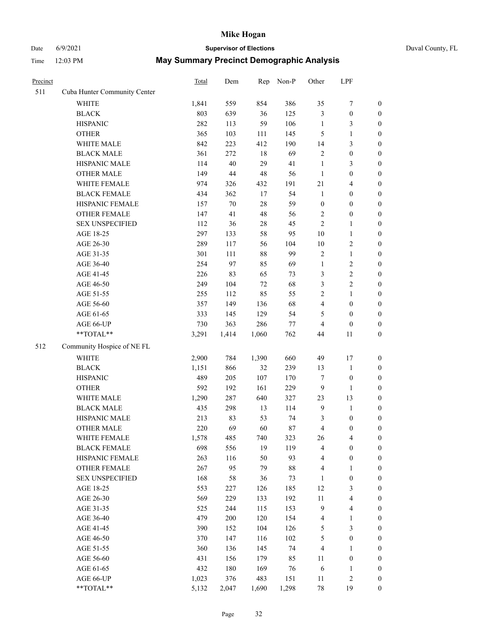# Date 6/9/2021 **Supervisor of Elections** Duval County, FL

| Precinct |                              | Total | Dem    | Rep    | Non-P  | Other            | LPF              |                  |
|----------|------------------------------|-------|--------|--------|--------|------------------|------------------|------------------|
| 511      | Cuba Hunter Community Center |       |        |        |        |                  |                  |                  |
|          | <b>WHITE</b>                 | 1,841 | 559    | 854    | 386    | 35               | $\boldsymbol{7}$ | 0                |
|          | <b>BLACK</b>                 | 803   | 639    | 36     | 125    | 3                | $\boldsymbol{0}$ | $\boldsymbol{0}$ |
|          | <b>HISPANIC</b>              | 282   | 113    | 59     | 106    | $\mathbf{1}$     | 3                | $\boldsymbol{0}$ |
|          | <b>OTHER</b>                 | 365   | 103    | 111    | 145    | 5                | $\mathbf{1}$     | $\boldsymbol{0}$ |
|          | WHITE MALE                   | 842   | 223    | 412    | 190    | 14               | $\mathfrak{Z}$   | $\boldsymbol{0}$ |
|          | <b>BLACK MALE</b>            | 361   | 272    | 18     | 69     | $\overline{c}$   | $\boldsymbol{0}$ | $\boldsymbol{0}$ |
|          | HISPANIC MALE                | 114   | $40\,$ | 29     | 41     | $\mathbf{1}$     | 3                | $\boldsymbol{0}$ |
|          | <b>OTHER MALE</b>            | 149   | 44     | 48     | 56     | $\mathbf{1}$     | $\boldsymbol{0}$ | $\boldsymbol{0}$ |
|          | WHITE FEMALE                 | 974   | 326    | 432    | 191    | 21               | $\overline{4}$   | $\boldsymbol{0}$ |
|          | <b>BLACK FEMALE</b>          | 434   | 362    | 17     | 54     | $\mathbf{1}$     | $\boldsymbol{0}$ | $\boldsymbol{0}$ |
|          | HISPANIC FEMALE              | 157   | $70\,$ | 28     | 59     | $\boldsymbol{0}$ | $\boldsymbol{0}$ | $\boldsymbol{0}$ |
|          | <b>OTHER FEMALE</b>          | 147   | 41     | 48     | 56     | $\overline{2}$   | $\boldsymbol{0}$ | $\boldsymbol{0}$ |
|          | <b>SEX UNSPECIFIED</b>       | 112   | 36     | $28\,$ | 45     | $\overline{2}$   | $\mathbf{1}$     | $\boldsymbol{0}$ |
|          | AGE 18-25                    | 297   | 133    | 58     | 95     | $10\,$           | $\mathbf{1}$     | $\boldsymbol{0}$ |
|          | AGE 26-30                    | 289   | 117    | 56     | 104    | $10\,$           | $\sqrt{2}$       | $\boldsymbol{0}$ |
|          | AGE 31-35                    | 301   | 111    | $88\,$ | 99     | $\overline{c}$   | $\mathbf{1}$     | $\boldsymbol{0}$ |
|          | AGE 36-40                    | 254   | 97     | 85     | 69     | $\mathbf{1}$     | $\sqrt{2}$       | $\boldsymbol{0}$ |
|          | AGE 41-45                    | 226   | 83     | 65     | 73     | 3                | $\sqrt{2}$       | $\boldsymbol{0}$ |
|          | AGE 46-50                    | 249   | 104    | $72\,$ | 68     | 3                | $\sqrt{2}$       | $\boldsymbol{0}$ |
|          | AGE 51-55                    | 255   | 112    | 85     | 55     | $\overline{c}$   | $\mathbf{1}$     | $\boldsymbol{0}$ |
|          | AGE 56-60                    | 357   | 149    | 136    | 68     | 4                | $\boldsymbol{0}$ | 0                |
|          | AGE 61-65                    | 333   | 145    | 129    | 54     | 5                | $\boldsymbol{0}$ | $\boldsymbol{0}$ |
|          | AGE 66-UP                    | 730   | 363    | 286    | $77\,$ | 4                | $\boldsymbol{0}$ | $\boldsymbol{0}$ |
|          | **TOTAL**                    | 3,291 | 1,414  | 1,060  | 762    | 44               | 11               | $\boldsymbol{0}$ |
| 512      | Community Hospice of NE FL   |       |        |        |        |                  |                  |                  |
|          | <b>WHITE</b>                 | 2,900 | 784    | 1,390  | 660    | 49               | 17               | $\boldsymbol{0}$ |
|          | <b>BLACK</b>                 | 1,151 | 866    | 32     | 239    | 13               | $\mathbf{1}$     | $\boldsymbol{0}$ |
|          | <b>HISPANIC</b>              | 489   | 205    | 107    | 170    | 7                | $\boldsymbol{0}$ | $\boldsymbol{0}$ |
|          | <b>OTHER</b>                 | 592   | 192    | 161    | 229    | 9                | $\mathbf{1}$     | $\boldsymbol{0}$ |
|          | WHITE MALE                   | 1,290 | 287    | 640    | 327    | 23               | 13               | $\boldsymbol{0}$ |
|          | <b>BLACK MALE</b>            | 435   | 298    | 13     | 114    | $\mathbf{9}$     | $\mathbf{1}$     | $\boldsymbol{0}$ |
|          | HISPANIC MALE                | 213   | 83     | 53     | 74     | 3                | $\boldsymbol{0}$ | 0                |
|          | <b>OTHER MALE</b>            | 220   | 69     | 60     | $87\,$ | 4                | $\boldsymbol{0}$ | $\boldsymbol{0}$ |
|          | WHITE FEMALE                 | 1,578 | 485    | 740    | 323    | 26               | 4                | 0                |
|          | <b>BLACK FEMALE</b>          | 698   | 556    | 19     | 119    | 4                | $\boldsymbol{0}$ | $\boldsymbol{0}$ |
|          | HISPANIC FEMALE              | 263   | 116    | 50     | 93     | 4                | $\boldsymbol{0}$ | $\overline{0}$   |
|          | <b>OTHER FEMALE</b>          | 267   | 95     | 79     | $88\,$ | 4                | $\mathbf{1}$     | $\overline{0}$   |
|          | <b>SEX UNSPECIFIED</b>       | 168   | 58     | 36     | 73     | $\mathbf{1}$     | $\boldsymbol{0}$ | 0                |
|          | AGE 18-25                    | 553   | 227    | 126    | 185    | 12               | $\mathfrak{Z}$   | 0                |
|          | AGE 26-30                    | 569   | 229    | 133    | 192    | $11\,$           | $\overline{4}$   | 0                |
|          | AGE 31-35                    | 525   | 244    | 115    | 153    | 9                | $\overline{4}$   | 0                |
|          | AGE 36-40                    | 479   | 200    | 120    | 154    | 4                | $\mathbf{1}$     | 0                |
|          | AGE 41-45                    | 390   | 152    | 104    | 126    | 5                | $\mathfrak{Z}$   | 0                |
|          | AGE 46-50                    | 370   | 147    | 116    | 102    | 5                | $\boldsymbol{0}$ | 0                |
|          | AGE 51-55                    | 360   | 136    | 145    | 74     | 4                | 1                | 0                |
|          | AGE 56-60                    | 431   | 156    | 179    | 85     | 11               | $\boldsymbol{0}$ | 0                |
|          | AGE 61-65                    | 432   | 180    | 169    | 76     | 6                | 1                | 0                |
|          | AGE 66-UP                    | 1,023 | 376    | 483    | 151    | 11               | $\sqrt{2}$       | 0                |
|          | **TOTAL**                    | 5,132 | 2,047  | 1,690  | 1,298  | 78               | 19               | $\boldsymbol{0}$ |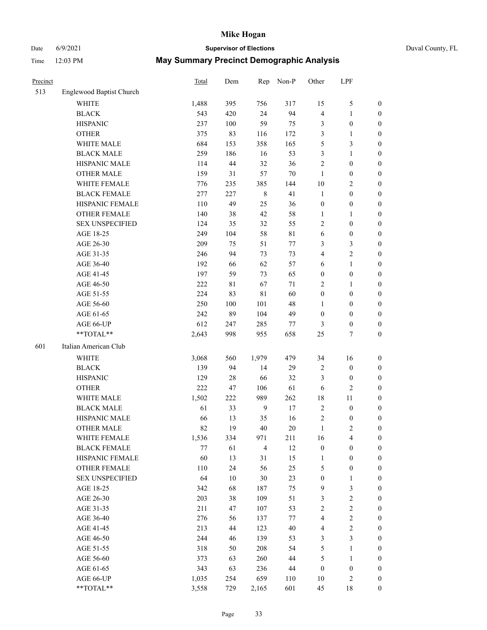# Date 6/9/2021 **Supervisor of Elections** Duval County, FL

| Precinct |                                 | Total | Dem    | Rep            | Non-P       | Other                   | LPF              |                  |
|----------|---------------------------------|-------|--------|----------------|-------------|-------------------------|------------------|------------------|
| 513      | <b>Englewood Baptist Church</b> |       |        |                |             |                         |                  |                  |
|          | <b>WHITE</b>                    | 1,488 | 395    | 756            | 317         | 15                      | $\mathfrak{S}$   | 0                |
|          | <b>BLACK</b>                    | 543   | 420    | 24             | 94          | 4                       | $\mathbf{1}$     | $\boldsymbol{0}$ |
|          | <b>HISPANIC</b>                 | 237   | 100    | 59             | 75          | 3                       | $\boldsymbol{0}$ | $\boldsymbol{0}$ |
|          | <b>OTHER</b>                    | 375   | 83     | 116            | 172         | 3                       | $\mathbf{1}$     | $\boldsymbol{0}$ |
|          | WHITE MALE                      | 684   | 153    | 358            | 165         | 5                       | $\mathfrak{Z}$   | $\boldsymbol{0}$ |
|          | <b>BLACK MALE</b>               | 259   | 186    | 16             | 53          | 3                       | $\mathbf{1}$     | $\boldsymbol{0}$ |
|          | HISPANIC MALE                   | 114   | 44     | 32             | 36          | $\overline{c}$          | $\boldsymbol{0}$ | $\boldsymbol{0}$ |
|          | <b>OTHER MALE</b>               | 159   | 31     | 57             | $70\,$      | $\mathbf{1}$            | $\boldsymbol{0}$ | $\boldsymbol{0}$ |
|          | WHITE FEMALE                    | 776   | 235    | 385            | 144         | $10\,$                  | $\sqrt{2}$       | $\boldsymbol{0}$ |
|          | <b>BLACK FEMALE</b>             | 277   | 227    | $\,$ 8 $\,$    | 41          | $\mathbf{1}$            | $\boldsymbol{0}$ | 0                |
|          | HISPANIC FEMALE                 | 110   | 49     | 25             | 36          | $\boldsymbol{0}$        | $\boldsymbol{0}$ | $\boldsymbol{0}$ |
|          | OTHER FEMALE                    | 140   | 38     | 42             | 58          | $\mathbf{1}$            | $\mathbf{1}$     | $\boldsymbol{0}$ |
|          | <b>SEX UNSPECIFIED</b>          | 124   | 35     | 32             | 55          | 2                       | $\boldsymbol{0}$ | $\boldsymbol{0}$ |
|          | AGE 18-25                       | 249   | 104    | 58             | $8\sqrt{1}$ | 6                       | $\boldsymbol{0}$ | $\boldsymbol{0}$ |
|          | AGE 26-30                       | 209   | 75     | 51             | 77          | 3                       | $\mathfrak{Z}$   | $\boldsymbol{0}$ |
|          | AGE 31-35                       | 246   | 94     | 73             | 73          | 4                       | $\sqrt{2}$       | $\boldsymbol{0}$ |
|          | AGE 36-40                       | 192   | 66     | 62             | 57          | 6                       | $\mathbf{1}$     | $\boldsymbol{0}$ |
|          | AGE 41-45                       | 197   | 59     | 73             | 65          | $\boldsymbol{0}$        | $\boldsymbol{0}$ | $\boldsymbol{0}$ |
|          | AGE 46-50                       | 222   | 81     | 67             | 71          | 2                       | 1                | $\boldsymbol{0}$ |
|          | AGE 51-55                       | 224   | 83     | 81             | 60          | $\boldsymbol{0}$        | $\boldsymbol{0}$ | 0                |
|          | AGE 56-60                       | 250   | 100    | 101            | 48          | $\mathbf{1}$            | $\boldsymbol{0}$ | $\boldsymbol{0}$ |
|          | AGE 61-65                       | 242   | 89     | 104            | 49          | $\boldsymbol{0}$        | $\boldsymbol{0}$ | $\boldsymbol{0}$ |
|          | AGE 66-UP                       | 612   | 247    | 285            | 77          | 3                       | $\boldsymbol{0}$ | $\boldsymbol{0}$ |
|          | **TOTAL**                       | 2,643 | 998    | 955            | 658         | 25                      | $\tau$           | $\boldsymbol{0}$ |
| 601      | Italian American Club           |       |        |                |             |                         |                  |                  |
|          | WHITE                           | 3,068 | 560    | 1,979          | 479         | 34                      | 16               | $\boldsymbol{0}$ |
|          | <b>BLACK</b>                    | 139   | 94     | 14             | 29          | 2                       | $\boldsymbol{0}$ | $\boldsymbol{0}$ |
|          | <b>HISPANIC</b>                 | 129   | $28\,$ | 66             | 32          | 3                       | $\boldsymbol{0}$ | $\boldsymbol{0}$ |
|          | <b>OTHER</b>                    | 222   | 47     | 106            | 61          | 6                       | $\sqrt{2}$       | $\boldsymbol{0}$ |
|          | WHITE MALE                      | 1,502 | 222    | 989            | 262         | 18                      | $11\,$           | $\boldsymbol{0}$ |
|          | <b>BLACK MALE</b>               | 61    | 33     | $\overline{9}$ | 17          | $\mathbf{2}$            | $\boldsymbol{0}$ | $\boldsymbol{0}$ |
|          | HISPANIC MALE                   | 66    | 13     | 35             | 16          | 2                       | $\boldsymbol{0}$ | 0                |
|          | <b>OTHER MALE</b>               | 82    | 19     | 40             | 20          | $\mathbf{1}$            | $\mathfrak{2}$   | $\boldsymbol{0}$ |
|          | WHITE FEMALE                    | 1,536 | 334    | 971            | 211         | 16                      | $\overline{4}$   | $\boldsymbol{0}$ |
|          | <b>BLACK FEMALE</b>             | 77    | 61     | $\overline{4}$ | 12          | $\boldsymbol{0}$        | $\boldsymbol{0}$ | $\boldsymbol{0}$ |
|          | HISPANIC FEMALE                 | 60    | 13     | 31             | 15          | $\mathbf{1}$            | $\boldsymbol{0}$ | $\overline{0}$   |
|          | <b>OTHER FEMALE</b>             | 110   | 24     | 56             | 25          | 5                       | $\boldsymbol{0}$ | 0                |
|          | <b>SEX UNSPECIFIED</b>          | 64    | 10     | 30             | 23          | $\boldsymbol{0}$        | $\mathbf{1}$     | 0                |
|          | AGE 18-25                       | 342   | 68     | 187            | 75          | 9                       | $\mathfrak{Z}$   | 0                |
|          | AGE 26-30                       | 203   | 38     | 109            | 51          | 3                       | $\boldsymbol{2}$ | 0                |
|          | AGE 31-35                       | 211   | 47     | 107            | 53          | $\overline{c}$          | $\sqrt{2}$       | 0                |
|          | AGE 36-40                       | 276   | 56     | 137            | 77          | $\overline{\mathbf{4}}$ | $\sqrt{2}$       | 0                |
|          | AGE 41-45                       | 213   | 44     | 123            | 40          | $\overline{\mathbf{4}}$ | $\boldsymbol{2}$ | 0                |
|          | AGE 46-50                       | 244   | 46     | 139            | 53          | 3                       | $\mathfrak{Z}$   | 0                |
|          | AGE 51-55                       | 318   | 50     | 208            | 54          | 5                       | $\mathbf{1}$     | $\boldsymbol{0}$ |
|          | AGE 56-60                       | 373   | 63     | 260            | $44\,$      | 5                       | $\mathbf{1}$     | $\boldsymbol{0}$ |
|          | AGE 61-65                       | 343   | 63     | 236            | 44          | $\boldsymbol{0}$        | $\boldsymbol{0}$ | 0                |
|          | AGE 66-UP                       | 1,035 | 254    | 659            | 110         | 10                      | $\sqrt{2}$       | 0                |
|          | **TOTAL**                       | 3,558 | 729    | 2,165          | 601         | 45                      | 18               | $\boldsymbol{0}$ |
|          |                                 |       |        |                |             |                         |                  |                  |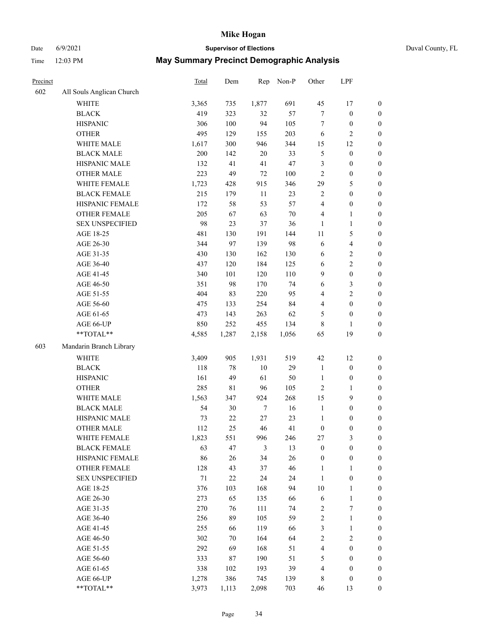### Date 6/9/2021 **Supervisor of Elections** Duval County, FL

| Precinct |                           | Total | Dem    | Rep    | Non-P  | Other            | LPF                     |                  |
|----------|---------------------------|-------|--------|--------|--------|------------------|-------------------------|------------------|
| 602      | All Souls Anglican Church |       |        |        |        |                  |                         |                  |
|          | <b>WHITE</b>              | 3,365 | 735    | 1,877  | 691    | 45               | 17                      | 0                |
|          | <b>BLACK</b>              | 419   | 323    | 32     | 57     | $\boldsymbol{7}$ | $\boldsymbol{0}$        | 0                |
|          | <b>HISPANIC</b>           | 306   | 100    | 94     | 105    | $\tau$           | $\boldsymbol{0}$        | $\boldsymbol{0}$ |
|          | <b>OTHER</b>              | 495   | 129    | 155    | 203    | 6                | $\mathbf{2}$            | $\boldsymbol{0}$ |
|          | WHITE MALE                | 1,617 | 300    | 946    | 344    | 15               | 12                      | $\boldsymbol{0}$ |
|          | <b>BLACK MALE</b>         | 200   | 142    | 20     | 33     | 5                | $\boldsymbol{0}$        | $\boldsymbol{0}$ |
|          | HISPANIC MALE             | 132   | 41     | 41     | 47     | 3                | $\boldsymbol{0}$        | $\boldsymbol{0}$ |
|          | <b>OTHER MALE</b>         | 223   | 49     | 72     | 100    | $\mathbf{2}$     | $\boldsymbol{0}$        | $\boldsymbol{0}$ |
|          | WHITE FEMALE              | 1,723 | 428    | 915    | 346    | 29               | $\mathfrak{S}$          | $\boldsymbol{0}$ |
|          | <b>BLACK FEMALE</b>       | 215   | 179    | 11     | 23     | $\overline{c}$   | $\boldsymbol{0}$        | $\boldsymbol{0}$ |
|          | HISPANIC FEMALE           | 172   | 58     | 53     | 57     | $\overline{4}$   | $\boldsymbol{0}$        | 0                |
|          | <b>OTHER FEMALE</b>       | 205   | 67     | 63     | $70\,$ | 4                | $\mathbf{1}$            | $\boldsymbol{0}$ |
|          | <b>SEX UNSPECIFIED</b>    | 98    | 23     | 37     | 36     | $\mathbf{1}$     | $\mathbf{1}$            | $\boldsymbol{0}$ |
|          | AGE 18-25                 | 481   | 130    | 191    | 144    | $11\,$           | $\mathfrak{S}$          | $\boldsymbol{0}$ |
|          | AGE 26-30                 | 344   | 97     | 139    | 98     | 6                | $\overline{\mathbf{4}}$ | $\boldsymbol{0}$ |
|          | AGE 31-35                 | 430   | 130    | 162    | 130    | 6                | $\sqrt{2}$              | $\boldsymbol{0}$ |
|          | AGE 36-40                 | 437   | 120    | 184    | 125    | 6                | $\sqrt{2}$              | $\boldsymbol{0}$ |
|          | AGE 41-45                 | 340   | 101    | 120    | 110    | 9                | $\boldsymbol{0}$        | $\boldsymbol{0}$ |
|          | AGE 46-50                 | 351   | 98     | 170    | 74     | 6                | $\mathfrak{Z}$          | $\boldsymbol{0}$ |
|          | AGE 51-55                 | 404   | 83     | 220    | 95     | 4                | $\sqrt{2}$              | $\boldsymbol{0}$ |
|          | AGE 56-60                 | 475   | 133    | 254    | 84     | $\overline{4}$   | $\boldsymbol{0}$        | 0                |
|          | AGE 61-65                 | 473   | 143    | 263    | 62     | 5                | $\boldsymbol{0}$        | $\boldsymbol{0}$ |
|          | AGE 66-UP                 | 850   | 252    | 455    | 134    | 8                | $\mathbf{1}$            | $\boldsymbol{0}$ |
|          | $**TOTAL**$               | 4,585 | 1,287  | 2,158  | 1,056  | 65               | 19                      | $\boldsymbol{0}$ |
| 603      | Mandarin Branch Library   |       |        |        |        |                  |                         |                  |
|          | WHITE                     |       |        |        |        |                  |                         |                  |
|          |                           | 3,409 | 905    | 1,931  | 519    | 42               | 12                      | $\boldsymbol{0}$ |
|          | <b>BLACK</b>              | 118   | 78     | 10     | 29     | $\mathbf{1}$     | $\boldsymbol{0}$        | $\boldsymbol{0}$ |
|          | <b>HISPANIC</b>           | 161   | 49     | 61     | 50     | $\mathbf{1}$     | $\boldsymbol{0}$        | $\boldsymbol{0}$ |
|          | <b>OTHER</b>              | 285   | 81     | 96     | 105    | $\mathfrak{2}$   | $\mathbf{1}$            | $\boldsymbol{0}$ |
|          | WHITE MALE                | 1,563 | 347    | 924    | 268    | 15               | 9                       | $\boldsymbol{0}$ |
|          | <b>BLACK MALE</b>         | 54    | 30     | $\tau$ | 16     | $\mathbf{1}$     | $\boldsymbol{0}$        | $\boldsymbol{0}$ |
|          | HISPANIC MALE             | 73    | $22\,$ | $27\,$ | 23     | $\mathbf{1}$     | $\boldsymbol{0}$        | $\boldsymbol{0}$ |
|          | <b>OTHER MALE</b>         | 112   | 25     | 46     | 41     | $\boldsymbol{0}$ | $\boldsymbol{0}$        | $\boldsymbol{0}$ |
|          | WHITE FEMALE              | 1,823 | 551    | 996    | 246    | 27               | 3                       | 0                |
|          | <b>BLACK FEMALE</b>       | 63    | 47     | 3      | 13     | $\boldsymbol{0}$ | $\boldsymbol{0}$        | $\boldsymbol{0}$ |
|          | HISPANIC FEMALE           | 86    | 26     | 34     | 26     | $\boldsymbol{0}$ | $\boldsymbol{0}$        | $\overline{0}$   |
|          | <b>OTHER FEMALE</b>       | 128   | 43     | 37     | 46     | $\mathbf{1}$     | $\mathbf{1}$            | $\overline{0}$   |
|          | <b>SEX UNSPECIFIED</b>    | 71    | $22\,$ | 24     | 24     | $\mathbf{1}$     | $\boldsymbol{0}$        | 0                |
|          | AGE 18-25                 | 376   | 103    | 168    | 94     | 10               | $\mathbf{1}$            | 0                |
|          | AGE 26-30                 | 273   | 65     | 135    | 66     | 6                | $\mathbf{1}$            | 0                |
|          | AGE 31-35                 | 270   | 76     | 111    | 74     | $\overline{c}$   | $\boldsymbol{7}$        | 0                |
|          | AGE 36-40                 | 256   | 89     | 105    | 59     | $\sqrt{2}$       | $\mathbf{1}$            | 0                |
|          | AGE 41-45                 | 255   | 66     | 119    | 66     | 3                | $\mathbf{1}$            | 0                |
|          | AGE 46-50                 | 302   | 70     | 164    | 64     | $\overline{c}$   | $\sqrt{2}$              | 0                |
|          | AGE 51-55                 | 292   | 69     | 168    | 51     | 4                | $\boldsymbol{0}$        | 0                |
|          | AGE 56-60                 | 333   | 87     | 190    | 51     | 5                | $\boldsymbol{0}$        | $\overline{0}$   |
|          | AGE 61-65                 | 338   | 102    | 193    | 39     | 4                | $\boldsymbol{0}$        | $\overline{0}$   |
|          | AGE 66-UP                 | 1,278 | 386    | 745    | 139    | 8                | $\boldsymbol{0}$        | 0                |
|          | **TOTAL**                 | 3,973 | 1,113  | 2,098  | 703    | 46               | 13                      | $\boldsymbol{0}$ |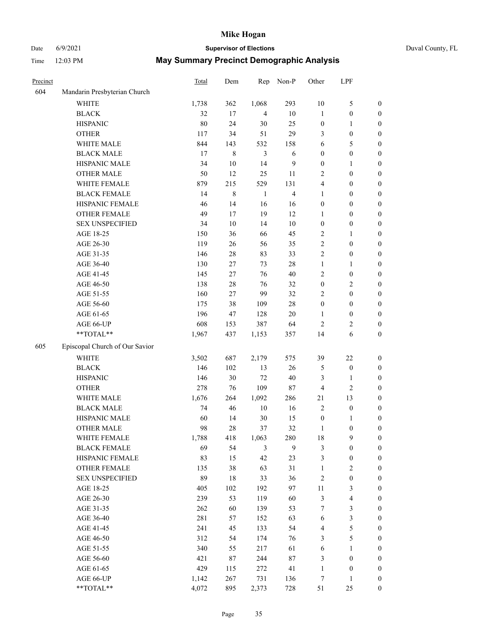## Date 6/9/2021 **Supervisor of Elections** Duval County, FL

| Precinct |                                | <b>Total</b> | Dem         | Rep            | Non-P                   | Other                   | LPF                     |                  |
|----------|--------------------------------|--------------|-------------|----------------|-------------------------|-------------------------|-------------------------|------------------|
| 604      | Mandarin Presbyterian Church   |              |             |                |                         |                         |                         |                  |
|          | <b>WHITE</b>                   | 1,738        | 362         | 1,068          | 293                     | $10\,$                  | $\mathfrak{S}$          | 0                |
|          | <b>BLACK</b>                   | 32           | 17          | $\overline{4}$ | $10\,$                  | $\mathbf{1}$            | $\boldsymbol{0}$        | 0                |
|          | <b>HISPANIC</b>                | 80           | 24          | 30             | 25                      | $\boldsymbol{0}$        | $\mathbf{1}$            | $\boldsymbol{0}$ |
|          | <b>OTHER</b>                   | 117          | 34          | 51             | 29                      | 3                       | $\boldsymbol{0}$        | $\boldsymbol{0}$ |
|          | WHITE MALE                     | 844          | 143         | 532            | 158                     | 6                       | 5                       | $\boldsymbol{0}$ |
|          | <b>BLACK MALE</b>              | 17           | $\,8\,$     | 3              | 6                       | $\boldsymbol{0}$        | $\boldsymbol{0}$        | $\boldsymbol{0}$ |
|          | HISPANIC MALE                  | 34           | $10\,$      | 14             | 9                       | $\boldsymbol{0}$        | 1                       | $\boldsymbol{0}$ |
|          | <b>OTHER MALE</b>              | 50           | 12          | 25             | 11                      | 2                       | $\boldsymbol{0}$        | $\boldsymbol{0}$ |
|          | WHITE FEMALE                   | 879          | 215         | 529            | 131                     | 4                       | $\boldsymbol{0}$        | $\boldsymbol{0}$ |
|          | <b>BLACK FEMALE</b>            | 14           | $\,$ 8 $\,$ | $\mathbf{1}$   | $\overline{\mathbf{4}}$ | 1                       | $\boldsymbol{0}$        | 0                |
|          | HISPANIC FEMALE                | 46           | 14          | 16             | 16                      | $\boldsymbol{0}$        | $\boldsymbol{0}$        | 0                |
|          | OTHER FEMALE                   | 49           | 17          | 19             | 12                      | 1                       | $\boldsymbol{0}$        | $\boldsymbol{0}$ |
|          | <b>SEX UNSPECIFIED</b>         | 34           | $10\,$      | 14             | $10\,$                  | $\boldsymbol{0}$        | $\boldsymbol{0}$        | $\boldsymbol{0}$ |
|          | AGE 18-25                      | 150          | 36          | 66             | 45                      | 2                       | 1                       | $\boldsymbol{0}$ |
|          | AGE 26-30                      | 119          | 26          | 56             | 35                      | 2                       | $\boldsymbol{0}$        | $\boldsymbol{0}$ |
|          | AGE 31-35                      | 146          | $28\,$      | 83             | 33                      | $\overline{c}$          | $\boldsymbol{0}$        | $\boldsymbol{0}$ |
|          | AGE 36-40                      | 130          | 27          | 73             | $28\,$                  | $\mathbf{1}$            | $\mathbf{1}$            | $\boldsymbol{0}$ |
|          | AGE 41-45                      | 145          | 27          | 76             | $40\,$                  | 2                       | $\boldsymbol{0}$        | $\boldsymbol{0}$ |
|          | AGE 46-50                      | 138          | $28\,$      | 76             | 32                      | $\boldsymbol{0}$        | $\sqrt{2}$              | $\boldsymbol{0}$ |
|          | AGE 51-55                      | 160          | 27          | 99             | 32                      | 2                       | $\boldsymbol{0}$        | $\boldsymbol{0}$ |
|          | AGE 56-60                      | 175          | 38          | 109            | 28                      | $\boldsymbol{0}$        | $\boldsymbol{0}$        | 0                |
|          | AGE 61-65                      | 196          | 47          | 128            | $20\,$                  | $\mathbf{1}$            | $\boldsymbol{0}$        | 0                |
|          | AGE 66-UP                      | 608          | 153         | 387            | 64                      | $\mathbf{2}$            | 2                       | $\boldsymbol{0}$ |
|          | **TOTAL**                      | 1,967        | 437         | 1,153          | 357                     | 14                      | 6                       | $\boldsymbol{0}$ |
| 605      | Episcopal Church of Our Savior |              |             |                |                         |                         |                         |                  |
|          | <b>WHITE</b>                   | 3,502        | 687         | 2,179          | 575                     | 39                      | $22\,$                  | $\boldsymbol{0}$ |
|          | <b>BLACK</b>                   | 146          | 102         | 13             | 26                      | 5                       | $\boldsymbol{0}$        | $\boldsymbol{0}$ |
|          | <b>HISPANIC</b>                | 146          | 30          | $72\,$         | $40\,$                  | 3                       | $\mathbf{1}$            | $\boldsymbol{0}$ |
|          | <b>OTHER</b>                   | 278          | 76          | 109            | 87                      | 4                       | $\sqrt{2}$              | $\boldsymbol{0}$ |
|          | WHITE MALE                     | 1,676        | 264         | 1,092          | 286                     | 21                      | 13                      | $\boldsymbol{0}$ |
|          | <b>BLACK MALE</b>              | 74           | 46          | $10\,$         | 16                      | $\mathfrak{2}$          | $\boldsymbol{0}$        | $\boldsymbol{0}$ |
|          | HISPANIC MALE                  | 60           | 14          | 30             | 15                      | $\boldsymbol{0}$        | 1                       | 0                |
|          | OTHER MALE                     | 98           | 28          | 37             | 32                      | $\mathbf{1}$            | $\boldsymbol{0}$        | $\boldsymbol{0}$ |
|          | WHITE FEMALE                   | 1,788        | 418         | 1,063          | 280                     | 18                      | 9                       | 0                |
|          | <b>BLACK FEMALE</b>            | 69           | 54          | 3              | 9                       | 3                       | $\boldsymbol{0}$        | $\boldsymbol{0}$ |
|          | HISPANIC FEMALE                | 83           | 15          | 42             | 23                      | 3                       | $\boldsymbol{0}$        | $\overline{0}$   |
|          | OTHER FEMALE                   | 135          | 38          | 63             | 31                      | $\mathbf{1}$            | $\sqrt{2}$              | $\overline{0}$   |
|          | <b>SEX UNSPECIFIED</b>         | 89           | $18\,$      | 33             | 36                      | $\overline{c}$          | $\boldsymbol{0}$        | 0                |
|          | AGE 18-25                      | 405          | 102         | 192            | 97                      | $11\,$                  | $\mathfrak{Z}$          | 0                |
|          | AGE 26-30                      | 239          | 53          | 119            | 60                      | 3                       | $\overline{\mathbf{4}}$ | 0                |
|          | AGE 31-35                      | 262          | 60          | 139            | 53                      | 7                       | $\mathfrak{Z}$          | 0                |
|          | AGE 36-40                      | 281          | 57          | 152            | 63                      | 6                       | $\mathfrak{Z}$          | 0                |
|          | AGE 41-45                      | 241          | 45          | 133            | 54                      | $\overline{\mathbf{4}}$ | 5                       | 0                |
|          | AGE 46-50                      | 312          | 54          | 174            | 76                      | 3                       | $\mathfrak s$           | 0                |
|          | AGE 51-55                      | 340          | 55          | 217            | 61                      | 6                       | $\mathbf{1}$            | $\boldsymbol{0}$ |
|          | AGE 56-60                      | 421          | 87          | 244            | $87\,$                  | 3                       | $\boldsymbol{0}$        | $\boldsymbol{0}$ |
|          | AGE 61-65                      | 429          | 115         | 272            | 41                      | $\mathbf{1}$            | $\boldsymbol{0}$        | $\boldsymbol{0}$ |
|          | AGE 66-UP                      | 1,142        | 267         | 731            | 136                     | 7                       | $\mathbf{1}$            | 0                |
|          | **TOTAL**                      | 4,072        | 895         | 2,373          | 728                     | 51                      | 25                      | $\boldsymbol{0}$ |
|          |                                |              |             |                |                         |                         |                         |                  |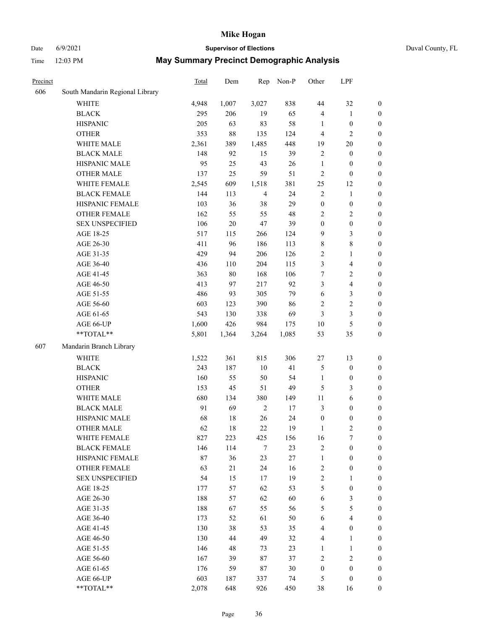## Date 6/9/2021 **Supervisor of Elections** Duval County, FL

| Precinct |                                 | Total | Dem    | Rep            | Non-P  | Other            | LPF                     |                  |
|----------|---------------------------------|-------|--------|----------------|--------|------------------|-------------------------|------------------|
| 606      | South Mandarin Regional Library |       |        |                |        |                  |                         |                  |
|          | <b>WHITE</b>                    | 4,948 | 1,007  | 3,027          | 838    | $44\,$           | 32                      | $\boldsymbol{0}$ |
|          | <b>BLACK</b>                    | 295   | 206    | 19             | 65     | 4                | $\mathbf{1}$            | $\boldsymbol{0}$ |
|          | <b>HISPANIC</b>                 | 205   | 63     | 83             | 58     | 1                | $\boldsymbol{0}$        | $\boldsymbol{0}$ |
|          | <b>OTHER</b>                    | 353   | $88\,$ | 135            | 124    | 4                | $\mathbf{2}$            | $\boldsymbol{0}$ |
|          | WHITE MALE                      | 2,361 | 389    | 1,485          | 448    | 19               | $20\,$                  | $\boldsymbol{0}$ |
|          | <b>BLACK MALE</b>               | 148   | 92     | 15             | 39     | $\sqrt{2}$       | $\boldsymbol{0}$        | $\boldsymbol{0}$ |
|          | HISPANIC MALE                   | 95    | 25     | 43             | 26     | $\mathbf{1}$     | $\boldsymbol{0}$        | $\boldsymbol{0}$ |
|          | <b>OTHER MALE</b>               | 137   | 25     | 59             | 51     | 2                | $\boldsymbol{0}$        | $\boldsymbol{0}$ |
|          | WHITE FEMALE                    | 2,545 | 609    | 1,518          | 381    | $25\,$           | 12                      | 0                |
|          | <b>BLACK FEMALE</b>             | 144   | 113    | $\overline{4}$ | 24     | $\sqrt{2}$       | $\mathbf{1}$            | 0                |
|          | HISPANIC FEMALE                 | 103   | 36     | 38             | 29     | $\boldsymbol{0}$ | $\boldsymbol{0}$        | $\boldsymbol{0}$ |
|          | OTHER FEMALE                    | 162   | 55     | 55             | 48     | $\overline{c}$   | $\overline{2}$          | $\boldsymbol{0}$ |
|          | <b>SEX UNSPECIFIED</b>          | 106   | $20\,$ | 47             | 39     | $\boldsymbol{0}$ | $\boldsymbol{0}$        | $\boldsymbol{0}$ |
|          | AGE 18-25                       | 517   | 115    | 266            | 124    | 9                | $\mathfrak{Z}$          | $\boldsymbol{0}$ |
|          | AGE 26-30                       | 411   | 96     | 186            | 113    | $\,$ $\,$        | $\,8\,$                 | $\boldsymbol{0}$ |
|          | AGE 31-35                       | 429   | 94     | 206            | 126    | $\overline{c}$   | $\mathbf{1}$            | $\boldsymbol{0}$ |
|          | AGE 36-40                       | 436   | 110    | 204            | 115    | 3                | $\overline{\mathbf{4}}$ | $\boldsymbol{0}$ |
|          | AGE 41-45                       | 363   | $80\,$ | 168            | 106    | $\boldsymbol{7}$ | $\sqrt{2}$              | $\boldsymbol{0}$ |
|          | AGE 46-50                       | 413   | 97     | 217            | 92     | 3                | $\overline{\mathbf{4}}$ | $\boldsymbol{0}$ |
|          | AGE 51-55                       | 486   | 93     | 305            | 79     | $\sqrt{6}$       | $\mathfrak{Z}$          | 0                |
|          | AGE 56-60                       | 603   | 123    | 390            | 86     | $\sqrt{2}$       | $\sqrt{2}$              | $\boldsymbol{0}$ |
|          | AGE 61-65                       | 543   | 130    | 338            | 69     | 3                | $\mathfrak{Z}$          | $\boldsymbol{0}$ |
|          | AGE 66-UP                       | 1,600 | 426    | 984            | 175    | 10               | $\mathfrak{S}$          | $\boldsymbol{0}$ |
|          | **TOTAL**                       | 5,801 | 1,364  | 3,264          | 1,085  | 53               | 35                      | $\boldsymbol{0}$ |
| 607      | Mandarin Branch Library         |       |        |                |        |                  |                         |                  |
|          | <b>WHITE</b>                    | 1,522 | 361    | 815            | 306    | $27\,$           | 13                      | $\boldsymbol{0}$ |
|          | <b>BLACK</b>                    | 243   | 187    | 10             | 41     | 5                | $\boldsymbol{0}$        | $\boldsymbol{0}$ |
|          | <b>HISPANIC</b>                 | 160   | 55     | 50             | 54     | $\mathbf{1}$     | $\boldsymbol{0}$        | $\boldsymbol{0}$ |
|          | <b>OTHER</b>                    | 153   | 45     | 51             | 49     | 5                | 3                       | $\boldsymbol{0}$ |
|          | WHITE MALE                      | 680   | 134    | 380            | 149    | $11\,$           | $\sqrt{6}$              | $\boldsymbol{0}$ |
|          | <b>BLACK MALE</b>               | 91    | 69     | $\sqrt{2}$     | 17     | 3                | $\boldsymbol{0}$        | $\boldsymbol{0}$ |
|          | HISPANIC MALE                   | 68    | $18\,$ | 26             | 24     | $\boldsymbol{0}$ | $\boldsymbol{0}$        | 0                |
|          | OTHER MALE                      | 62    | 18     | 22             | 19     | $\mathbf{1}$     | $\mathbf{2}$            | $\boldsymbol{0}$ |
|          | WHITE FEMALE                    | 827   | 223    | 425            | 156    | 16               | $\tau$                  | 0                |
|          | <b>BLACK FEMALE</b>             | 146   | 114    | 7              | 23     | $\overline{c}$   | $\boldsymbol{0}$        | $\overline{0}$   |
|          | HISPANIC FEMALE                 | 87    | 36     | 23             | $27\,$ | $\mathbf{1}$     | $\boldsymbol{0}$        | $\overline{0}$   |
|          | <b>OTHER FEMALE</b>             | 63    | 21     | 24             | 16     | $\sqrt{2}$       | $\boldsymbol{0}$        | 0                |
|          | <b>SEX UNSPECIFIED</b>          | 54    | 15     | 17             | 19     | $\overline{c}$   | $\mathbf{1}$            | 0                |
|          | AGE 18-25                       | 177   | 57     | 62             | 53     | 5                | $\boldsymbol{0}$        | 0                |
|          | AGE 26-30                       | 188   | 57     | 62             | 60     | 6                | $\mathfrak{Z}$          | 0                |
|          | AGE 31-35                       | 188   | 67     | 55             | 56     | 5                | $\mathfrak{S}$          | 0                |
|          | AGE 36-40                       | 173   | 52     | 61             | 50     | 6                | $\overline{\mathbf{4}}$ | 0                |
|          | AGE 41-45                       | 130   | 38     | 53             | 35     | 4                | $\boldsymbol{0}$        | 0                |
|          | AGE 46-50                       | 130   | 44     | 49             | 32     | $\overline{4}$   | $\mathbf{1}$            | 0                |
|          | AGE 51-55                       | 146   | 48     | 73             | 23     | 1                | $\mathbf{1}$            | $\boldsymbol{0}$ |
|          | AGE 56-60                       | 167   | 39     | 87             | 37     | 2                | $\sqrt{2}$              | 0                |
|          | AGE 61-65                       | 176   | 59     | 87             | 30     | $\boldsymbol{0}$ | $\boldsymbol{0}$        | 0                |
|          | AGE 66-UP                       | 603   | 187    | 337            | 74     | 5                | $\boldsymbol{0}$        | 0                |
|          | **TOTAL**                       | 2,078 | 648    | 926            | 450    | 38               | 16                      | $\boldsymbol{0}$ |
|          |                                 |       |        |                |        |                  |                         |                  |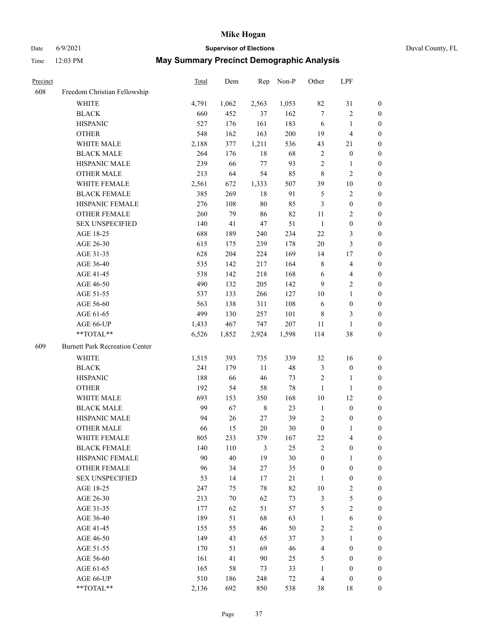## Date 6/9/2021 **Supervisor of Elections** Duval County, FL

| Precinct |                                       | Total | Dem   | Rep         | Non-P | Other            | LPF                     |                  |
|----------|---------------------------------------|-------|-------|-------------|-------|------------------|-------------------------|------------------|
| 608      | Freedom Christian Fellowship          |       |       |             |       |                  |                         |                  |
|          | <b>WHITE</b>                          | 4,791 | 1,062 | 2,563       | 1,053 | 82               | 31                      | 0                |
|          | <b>BLACK</b>                          | 660   | 452   | 37          | 162   | $\tau$           | $\sqrt{2}$              | 0                |
|          | <b>HISPANIC</b>                       | 527   | 176   | 161         | 183   | 6                | $\mathbf{1}$            | $\boldsymbol{0}$ |
|          | <b>OTHER</b>                          | 548   | 162   | 163         | 200   | 19               | $\overline{\mathbf{4}}$ | $\boldsymbol{0}$ |
|          | WHITE MALE                            | 2,188 | 377   | 1,211       | 536   | 43               | 21                      | $\boldsymbol{0}$ |
|          | <b>BLACK MALE</b>                     | 264   | 176   | 18          | 68    | $\overline{c}$   | $\boldsymbol{0}$        | $\boldsymbol{0}$ |
|          | HISPANIC MALE                         | 239   | 66    | 77          | 93    | $\overline{c}$   | $\mathbf{1}$            | $\boldsymbol{0}$ |
|          | <b>OTHER MALE</b>                     | 213   | 64    | 54          | 85    | $\,$ 8 $\,$      | $\mathbf{2}$            | $\boldsymbol{0}$ |
|          | WHITE FEMALE                          | 2,561 | 672   | 1,333       | 507   | 39               | $10\,$                  | $\boldsymbol{0}$ |
|          | <b>BLACK FEMALE</b>                   | 385   | 269   | $18\,$      | 91    | 5                | $\sqrt{2}$              | 0                |
|          | HISPANIC FEMALE                       | 276   | 108   | $80\,$      | 85    | 3                | $\boldsymbol{0}$        | 0                |
|          | OTHER FEMALE                          | 260   | 79    | 86          | 82    | 11               | $\sqrt{2}$              | 0                |
|          | <b>SEX UNSPECIFIED</b>                | 140   | 41    | $47\,$      | 51    | $\mathbf{1}$     | $\boldsymbol{0}$        | $\boldsymbol{0}$ |
|          | AGE 18-25                             | 688   | 189   | 240         | 234   | 22               | $\mathfrak{Z}$          | $\boldsymbol{0}$ |
|          | AGE 26-30                             | 615   | 175   | 239         | 178   | 20               | $\mathfrak{Z}$          | $\boldsymbol{0}$ |
|          | AGE 31-35                             | 628   | 204   | 224         | 169   | 14               | $17\,$                  | $\boldsymbol{0}$ |
|          | AGE 36-40                             | 535   | 142   | 217         | 164   | 8                | $\overline{\mathbf{4}}$ | $\boldsymbol{0}$ |
|          | AGE 41-45                             | 538   | 142   | 218         | 168   | 6                | $\overline{4}$          | $\boldsymbol{0}$ |
|          | AGE 46-50                             | 490   | 132   | 205         | 142   | 9                | $\overline{2}$          | $\boldsymbol{0}$ |
|          | AGE 51-55                             | 537   | 133   | 266         | 127   | 10               | $\mathbf{1}$            | $\boldsymbol{0}$ |
|          | AGE 56-60                             | 563   | 138   | 311         | 108   | 6                | $\boldsymbol{0}$        | 0                |
|          | AGE 61-65                             | 499   | 130   | 257         | 101   | 8                | 3                       | 0                |
|          | AGE 66-UP                             | 1,433 | 467   | 747         | 207   | 11               | $\mathbf{1}$            | $\boldsymbol{0}$ |
|          | **TOTAL**                             | 6,526 | 1,852 | 2,924       | 1,598 | 114              | $38\,$                  | $\boldsymbol{0}$ |
| 609      | <b>Burnett Park Recreation Center</b> |       |       |             |       |                  |                         |                  |
|          | <b>WHITE</b>                          | 1,515 | 393   | 735         | 339   | 32               | 16                      | $\boldsymbol{0}$ |
|          | <b>BLACK</b>                          | 241   | 179   | 11          | 48    | 3                | $\boldsymbol{0}$        | $\boldsymbol{0}$ |
|          | <b>HISPANIC</b>                       | 188   | 66    | 46          | 73    | $\overline{c}$   | $\mathbf{1}$            | $\boldsymbol{0}$ |
|          | <b>OTHER</b>                          | 192   | 54    | 58          | 78    | $\mathbf{1}$     | $\mathbf{1}$            | $\boldsymbol{0}$ |
|          | WHITE MALE                            | 693   | 153   | 350         | 168   | 10               | 12                      | $\boldsymbol{0}$ |
|          | <b>BLACK MALE</b>                     | 99    | 67    | $\,$ 8 $\,$ | 23    | $\mathbf{1}$     | $\boldsymbol{0}$        | $\boldsymbol{0}$ |
|          | HISPANIC MALE                         | 94    | 26    | $27\,$      | 39    | $\overline{c}$   | $\boldsymbol{0}$        | 0                |
|          | <b>OTHER MALE</b>                     | 66    | 15    | $20\,$      | 30    | $\boldsymbol{0}$ | $\mathbf{1}$            | 0                |
|          | WHITE FEMALE                          | 805   | 233   | 379         | 167   | 22               | 4                       | 0                |
|          | <b>BLACK FEMALE</b>                   | 140   | 110   | 3           | 25    | $\overline{2}$   | $\boldsymbol{0}$        | $\overline{0}$   |
|          | HISPANIC FEMALE                       | 90    | 40    | 19          | 30    | $\boldsymbol{0}$ | $\mathbf{1}$            | $\overline{0}$   |
|          | OTHER FEMALE                          | 96    | 34    | $27\,$      | 35    | $\boldsymbol{0}$ | $\boldsymbol{0}$        | $\overline{0}$   |
|          | <b>SEX UNSPECIFIED</b>                | 53    | 14    | 17          | 21    | $\mathbf{1}$     | $\boldsymbol{0}$        | 0                |
|          | AGE 18-25                             | 247   | 75    | 78          | 82    | 10               | $\sqrt{2}$              | 0                |
|          | AGE 26-30                             | 213   | 70    | 62          | 73    | 3                | $\mathfrak{S}$          | 0                |
|          | AGE 31-35                             | 177   | 62    | 51          | 57    | 5                | $\overline{2}$          | 0                |
|          | AGE 36-40                             | 189   | 51    | 68          | 63    | $\mathbf{1}$     | $\sqrt{6}$              | 0                |
|          | AGE 41-45                             | 155   | 55    | 46          | 50    | $\sqrt{2}$       | $\mathbf{2}$            | 0                |
|          | AGE 46-50                             | 149   | 43    | 65          | 37    | 3                | $\mathbf{1}$            | 0                |
|          | AGE 51-55                             | 170   | 51    | 69          | 46    | 4                | $\boldsymbol{0}$        | 0                |
|          | AGE 56-60                             | 161   | 41    | 90          | 25    | 5                | $\boldsymbol{0}$        | 0                |
|          | AGE 61-65                             | 165   | 58    | 73          | 33    | $\mathbf{1}$     | $\boldsymbol{0}$        | $\overline{0}$   |
|          | AGE 66-UP                             | 510   | 186   | 248         | 72    | $\overline{4}$   | $\boldsymbol{0}$        | 0                |
|          | **TOTAL**                             | 2,136 | 692   | 850         | 538   | 38               | 18                      | $\boldsymbol{0}$ |
|          |                                       |       |       |             |       |                  |                         |                  |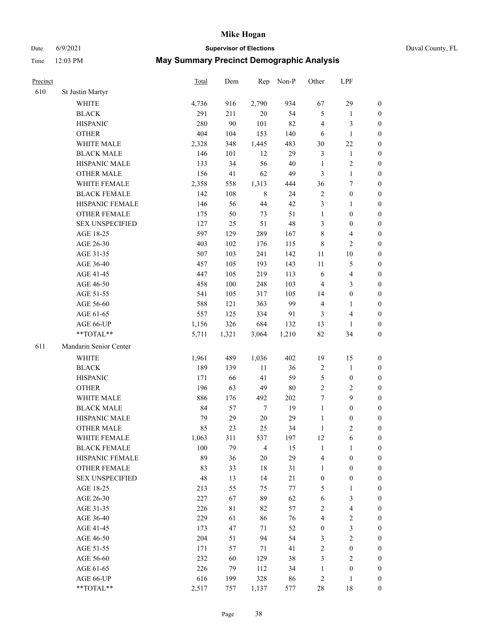Date 6/9/2021 **Supervisor of Elections** Duval County, FL

| Precinct |                        | <b>Total</b> | Dem     | Rep              | Non-P  | Other            | LPF                     |                  |
|----------|------------------------|--------------|---------|------------------|--------|------------------|-------------------------|------------------|
| 610      | St Justin Martyr       |              |         |                  |        |                  |                         |                  |
|          | <b>WHITE</b>           | 4,736        | 916     | 2,790            | 934    | 67               | 29                      | 0                |
|          | <b>BLACK</b>           | 291          | 211     | $20\,$           | 54     | 5                | $\mathbf{1}$            | 0                |
|          | <b>HISPANIC</b>        | 280          | 90      | 101              | 82     | 4                | 3                       | $\boldsymbol{0}$ |
|          | <b>OTHER</b>           | 404          | 104     | 153              | 140    | 6                | $\mathbf{1}$            | $\boldsymbol{0}$ |
|          | WHITE MALE             | 2,328        | 348     | 1,445            | 483    | 30               | $22\,$                  | $\boldsymbol{0}$ |
|          | <b>BLACK MALE</b>      | 146          | 101     | 12               | 29     | 3                | $\mathbf{1}$            | $\boldsymbol{0}$ |
|          | HISPANIC MALE          | 133          | 34      | 56               | $40\,$ | $\mathbf{1}$     | $\sqrt{2}$              | $\boldsymbol{0}$ |
|          | <b>OTHER MALE</b>      | 156          | 41      | 62               | 49     | 3                | $\mathbf{1}$            | $\boldsymbol{0}$ |
|          | WHITE FEMALE           | 2,358        | 558     | 1,313            | 444    | 36               | $\boldsymbol{7}$        | $\boldsymbol{0}$ |
|          | <b>BLACK FEMALE</b>    | 142          | 108     | $\,$ 8 $\,$      | 24     | $\sqrt{2}$       | $\boldsymbol{0}$        | $\boldsymbol{0}$ |
|          | HISPANIC FEMALE        | 146          | 56      | $44\,$           | 42     | 3                | $\mathbf{1}$            | 0                |
|          | <b>OTHER FEMALE</b>    | 175          | 50      | 73               | 51     | $\mathbf{1}$     | $\boldsymbol{0}$        | $\boldsymbol{0}$ |
|          | <b>SEX UNSPECIFIED</b> | 127          | 25      | 51               | 48     | 3                | $\boldsymbol{0}$        | $\boldsymbol{0}$ |
|          | AGE 18-25              | 597          | 129     | 289              | 167    | $\,$ $\,$        | $\overline{\mathbf{4}}$ | $\boldsymbol{0}$ |
|          | AGE 26-30              | 403          | 102     | 176              | 115    | 8                | $\sqrt{2}$              | $\boldsymbol{0}$ |
|          | AGE 31-35              | 507          | 103     | 241              | 142    | $11\,$           | $10\,$                  | $\boldsymbol{0}$ |
|          | AGE 36-40              | 457          | 105     | 193              | 143    | $11\,$           | $\mathfrak{S}$          | $\boldsymbol{0}$ |
|          | AGE 41-45              | 447          | 105     | 219              | 113    | 6                | $\overline{\mathbf{4}}$ | $\boldsymbol{0}$ |
|          | AGE 46-50              | 458          | $100\,$ | 248              | 103    | 4                | $\mathfrak{Z}$          | $\boldsymbol{0}$ |
|          | AGE 51-55              | 541          | 105     | 317              | 105    | 14               | $\boldsymbol{0}$        | $\boldsymbol{0}$ |
|          | AGE 56-60              | 588          | 121     | 363              | 99     | 4                | $\mathbf{1}$            | 0                |
|          | AGE 61-65              | 557          | 125     | 334              | 91     | 3                | $\overline{4}$          | $\boldsymbol{0}$ |
|          | AGE 66-UP              | 1,156        | 326     | 684              | 132    | 13               | $\mathbf{1}$            | $\boldsymbol{0}$ |
|          | **TOTAL**              | 5,711        | 1,321   | 3,064            | 1,210  | 82               | 34                      | $\boldsymbol{0}$ |
| 611      | Mandarin Senior Center |              |         |                  |        |                  |                         |                  |
|          | <b>WHITE</b>           | 1,961        | 489     | 1,036            | 402    | 19               | 15                      | $\boldsymbol{0}$ |
|          | <b>BLACK</b>           | 189          | 139     | $11\,$           | 36     | $\sqrt{2}$       | $\mathbf{1}$            | $\boldsymbol{0}$ |
|          | <b>HISPANIC</b>        | 171          | 66      | 41               | 59     | 5                | $\boldsymbol{0}$        | $\boldsymbol{0}$ |
|          | <b>OTHER</b>           | 196          | 63      | 49               | $80\,$ | $\overline{c}$   | $\sqrt{2}$              | $\boldsymbol{0}$ |
|          | WHITE MALE             | 886          | 176     | 492              | 202    | 7                | 9                       | $\boldsymbol{0}$ |
|          | <b>BLACK MALE</b>      | 84           | 57      | $\boldsymbol{7}$ | 19     | $\mathbf{1}$     | $\boldsymbol{0}$        | $\boldsymbol{0}$ |
|          | HISPANIC MALE          | 79           | 29      | $20\,$           | 29     | $\mathbf{1}$     | $\boldsymbol{0}$        | 0                |
|          | <b>OTHER MALE</b>      | 85           | 23      | 25               | 34     | $\mathbf{1}$     | $\mathbf{2}$            | $\boldsymbol{0}$ |
|          | WHITE FEMALE           | 1,063        | 311     | 537              | 197    | 12               | 6                       | 0                |
|          | <b>BLACK FEMALE</b>    | 100          | 79      | $\overline{4}$   | 15     | $\mathbf{1}$     | $\mathbf{1}$            | $\boldsymbol{0}$ |
|          | HISPANIC FEMALE        | 89           | 36      | 20               | 29     | 4                | $\boldsymbol{0}$        | $\overline{0}$   |
|          | OTHER FEMALE           | 83           | 33      | 18               | 31     | $\mathbf{1}$     | $\boldsymbol{0}$        | $\overline{0}$   |
|          | <b>SEX UNSPECIFIED</b> | 48           | 13      | 14               | $21\,$ | $\boldsymbol{0}$ | $\boldsymbol{0}$        | 0                |
|          | AGE 18-25              | 213          | 55      | 75               | 77     | 5                | $\mathbf{1}$            | 0                |
|          | AGE 26-30              | 227          | 67      | 89               | 62     | 6                | $\mathfrak{Z}$          | 0                |
|          | AGE 31-35              | 226          | 81      | 82               | 57     | 2                | $\overline{\mathbf{4}}$ | 0                |
|          | AGE 36-40              | 229          | 61      | 86               | 76     | 4                | $\sqrt{2}$              | 0                |
|          | AGE 41-45              | 173          | 47      | 71               | 52     | $\boldsymbol{0}$ | $\mathfrak{Z}$          | 0                |
|          | AGE 46-50              | 204          | 51      | 94               | 54     | 3                | $\sqrt{2}$              | 0                |
|          | AGE 51-55              | 171          | 57      | 71               | 41     | 2                | $\boldsymbol{0}$        | 0                |
|          | AGE 56-60              | 232          | 60      | 129              | 38     | 3                | $\overline{2}$          | 0                |
|          | AGE 61-65              | 226          | 79      | 112              | 34     | $\mathbf{1}$     | $\boldsymbol{0}$        | $\overline{0}$   |
|          | AGE 66-UP              | 616          | 199     | 328              | 86     | 2                | $\mathbf{1}$            | 0                |
|          | **TOTAL**              | 2,517        | 757     | 1,137            | 577    | 28               | 18                      | $\boldsymbol{0}$ |
|          |                        |              |         |                  |        |                  |                         |                  |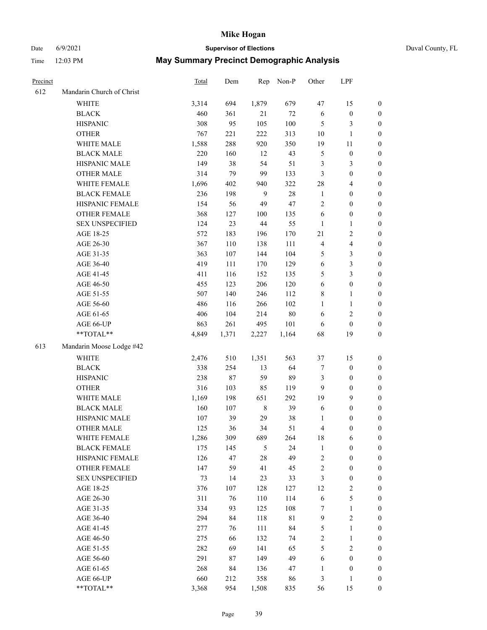# Date 6/9/2021 **Supervisor of Elections** Duval County, FL

| Precinct |                           | <b>Total</b> | Dem    | Rep          | Non-P       | Other          | LPF              |                  |
|----------|---------------------------|--------------|--------|--------------|-------------|----------------|------------------|------------------|
| 612      | Mandarin Church of Christ |              |        |              |             |                |                  |                  |
|          | <b>WHITE</b>              | 3,314        | 694    | 1,879        | 679         | 47             | 15               | 0                |
|          | <b>BLACK</b>              | 460          | 361    | 21           | $72\,$      | 6              | $\boldsymbol{0}$ | 0                |
|          | <b>HISPANIC</b>           | 308          | 95     | 105          | 100         | 5              | 3                | $\boldsymbol{0}$ |
|          | <b>OTHER</b>              | 767          | 221    | 222          | 313         | $10\,$         | $\mathbf{1}$     | $\boldsymbol{0}$ |
|          | WHITE MALE                | 1,588        | 288    | 920          | 350         | 19             | 11               | $\boldsymbol{0}$ |
|          | <b>BLACK MALE</b>         | 220          | 160    | 12           | 43          | 5              | $\boldsymbol{0}$ | $\boldsymbol{0}$ |
|          | HISPANIC MALE             | 149          | 38     | 54           | 51          | 3              | $\mathfrak{Z}$   | $\boldsymbol{0}$ |
|          | <b>OTHER MALE</b>         | 314          | 79     | 99           | 133         | 3              | $\boldsymbol{0}$ | $\boldsymbol{0}$ |
|          | WHITE FEMALE              | 1,696        | 402    | 940          | 322         | 28             | $\overline{4}$   | $\boldsymbol{0}$ |
|          | <b>BLACK FEMALE</b>       | 236          | 198    | $\mathbf{9}$ | $28\,$      | $\mathbf{1}$   | $\boldsymbol{0}$ | $\boldsymbol{0}$ |
|          | HISPANIC FEMALE           | 154          | 56     | 49           | 47          | $\overline{c}$ | $\boldsymbol{0}$ | 0                |
|          | <b>OTHER FEMALE</b>       | 368          | 127    | 100          | 135         | 6              | $\boldsymbol{0}$ | $\boldsymbol{0}$ |
|          | <b>SEX UNSPECIFIED</b>    | 124          | 23     | 44           | 55          | $\mathbf{1}$   | $\mathbf{1}$     | $\boldsymbol{0}$ |
|          | AGE 18-25                 | 572          | 183    | 196          | 170         | 21             | $\sqrt{2}$       | $\boldsymbol{0}$ |
|          | AGE 26-30                 | 367          | 110    | 138          | 111         | 4              | $\overline{4}$   | $\boldsymbol{0}$ |
|          | AGE 31-35                 | 363          | 107    | 144          | 104         | 5              | $\mathfrak{Z}$   | $\boldsymbol{0}$ |
|          | AGE 36-40                 | 419          | 111    | 170          | 129         | 6              | 3                | $\boldsymbol{0}$ |
|          | AGE 41-45                 | 411          | 116    | 152          | 135         | 5              | 3                | $\boldsymbol{0}$ |
|          | AGE 46-50                 | 455          | 123    | 206          | 120         | $\sqrt{6}$     | $\boldsymbol{0}$ | $\boldsymbol{0}$ |
|          | AGE 51-55                 | 507          | 140    | 246          | 112         | 8              | $\mathbf{1}$     | 0                |
|          | AGE 56-60                 | 486          | 116    | 266          | 102         | $\mathbf{1}$   | 1                | 0                |
|          | AGE 61-65                 | 406          | 104    | 214          | $80\,$      | 6              | $\sqrt{2}$       | 0                |
|          | AGE 66-UP                 | 863          | 261    | 495          | 101         | 6              | $\boldsymbol{0}$ | $\boldsymbol{0}$ |
|          | $**TOTAL**$               | 4,849        | 1,371  | 2,227        | 1,164       | 68             | 19               | $\boldsymbol{0}$ |
| 613      | Mandarin Moose Lodge #42  |              |        |              |             |                |                  |                  |
|          | <b>WHITE</b>              | 2,476        | 510    | 1,351        | 563         | 37             | 15               | $\boldsymbol{0}$ |
|          | <b>BLACK</b>              | 338          | 254    | 13           | 64          | 7              | $\boldsymbol{0}$ | $\boldsymbol{0}$ |
|          | <b>HISPANIC</b>           | 238          | $87\,$ | 59           | 89          | 3              | $\boldsymbol{0}$ | $\boldsymbol{0}$ |
|          | <b>OTHER</b>              | 316          | 103    | 85           | 119         | 9              | $\boldsymbol{0}$ | $\boldsymbol{0}$ |
|          | WHITE MALE                | 1,169        | 198    | 651          | 292         | 19             | 9                | $\boldsymbol{0}$ |
|          | <b>BLACK MALE</b>         | 160          | 107    | $\,8\,$      | 39          | 6              | $\boldsymbol{0}$ | $\boldsymbol{0}$ |
|          | HISPANIC MALE             | 107          | 39     | 29           | $38\,$      | 1              | $\boldsymbol{0}$ | 0                |
|          | <b>OTHER MALE</b>         | 125          | 36     | 34           | 51          | 4              | $\boldsymbol{0}$ | $\boldsymbol{0}$ |
|          | WHITE FEMALE              | 1,286        | 309    | 689          | 264         | 18             | 6                | 0                |
|          | <b>BLACK FEMALE</b>       | 175          | 145    | 5            | 24          | $\mathbf{1}$   | $\boldsymbol{0}$ | $\overline{0}$   |
|          | HISPANIC FEMALE           | 126          | 47     | 28           | 49          | $\overline{c}$ | $\boldsymbol{0}$ | $\overline{0}$   |
|          | <b>OTHER FEMALE</b>       | 147          | 59     | 41           | 45          | 2              | $\boldsymbol{0}$ | $\overline{0}$   |
|          | <b>SEX UNSPECIFIED</b>    | 73           | 14     | 23           | 33          | 3              | $\boldsymbol{0}$ | 0                |
|          | AGE 18-25                 | 376          | 107    | 128          | 127         | 12             | $\sqrt{2}$       | 0                |
|          | AGE 26-30                 | 311          | 76     | 110          | 114         | 6              | 5                | 0                |
|          | AGE 31-35                 | 334          | 93     | 125          | 108         | 7              | $\mathbf{1}$     | 0                |
|          | AGE 36-40                 | 294          | 84     | 118          | $8\sqrt{1}$ | $\mathbf{9}$   | $\sqrt{2}$       | 0                |
|          | AGE 41-45                 | 277          | 76     | 111          | 84          | 5              | $\mathbf{1}$     | 0                |
|          | AGE 46-50                 | 275          | 66     | 132          | 74          | 2              | $\mathbf{1}$     | 0                |
|          | AGE 51-55                 | 282          | 69     | 141          | 65          | 5              | $\mathfrak{2}$   | 0                |
|          | AGE 56-60                 | 291          | 87     | 149          | 49          | 6              | $\boldsymbol{0}$ | 0                |
|          | AGE 61-65                 | 268          | 84     | 136          | 47          | 1              | $\boldsymbol{0}$ | 0                |
|          | AGE 66-UP                 | 660          | 212    | 358          | 86          | 3              | $\mathbf{1}$     | 0                |
|          | **TOTAL**                 | 3,368        | 954    | 1,508        | 835         | 56             | 15               | $\boldsymbol{0}$ |
|          |                           |              |        |              |             |                |                  |                  |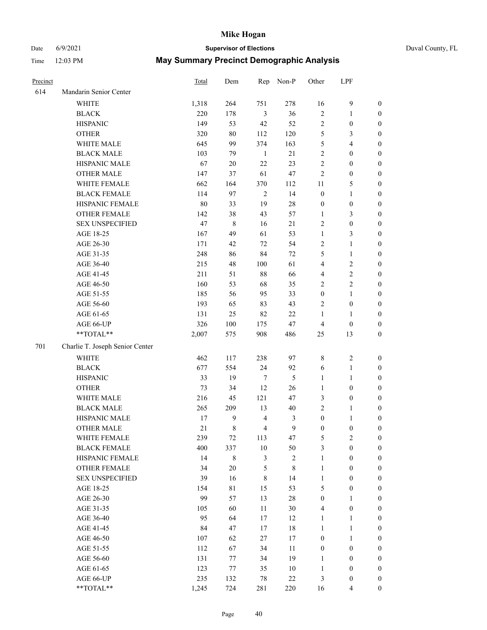## Date 6/9/2021 **Supervisor of Elections** Duval County, FL

| Precinct |                                 | <b>Total</b> | Dem         |                         | Rep Non-P  | Other            | LPF                    |                  |
|----------|---------------------------------|--------------|-------------|-------------------------|------------|------------------|------------------------|------------------|
| 614      | Mandarin Senior Center          |              |             |                         |            |                  |                        |                  |
|          | <b>WHITE</b>                    | 1,318        | 264         | 751                     | 278        | 16               | $\boldsymbol{9}$       | 0                |
|          | <b>BLACK</b>                    | 220          | 178         | $\mathfrak{Z}$          | 36         | $\sqrt{2}$       | $\mathbf{1}$           | $\boldsymbol{0}$ |
|          | <b>HISPANIC</b>                 | 149          | 53          | 42                      | 52         | $\overline{c}$   | $\boldsymbol{0}$       | $\boldsymbol{0}$ |
|          | <b>OTHER</b>                    | 320          | $80\,$      | 112                     | 120        | 5                | 3                      | $\boldsymbol{0}$ |
|          | WHITE MALE                      | 645          | 99          | 374                     | 163        | 5                | $\overline{4}$         | $\boldsymbol{0}$ |
|          | <b>BLACK MALE</b>               | 103          | 79          | $\mathbf{1}$            | 21         | $\overline{c}$   | $\boldsymbol{0}$       | $\boldsymbol{0}$ |
|          | HISPANIC MALE                   | 67           | $20\,$      | 22                      | 23         | $\overline{c}$   | $\boldsymbol{0}$       | $\boldsymbol{0}$ |
|          | <b>OTHER MALE</b>               | 147          | 37          | 61                      | $47\,$     | $\mathbf{2}$     | $\boldsymbol{0}$       | $\boldsymbol{0}$ |
|          | WHITE FEMALE                    | 662          | 164         | 370                     | 112        | 11               | $\mathfrak s$          | $\boldsymbol{0}$ |
|          | <b>BLACK FEMALE</b>             | 114          | 97          | $\overline{c}$          | 14         | $\boldsymbol{0}$ | $\mathbf{1}$           | $\boldsymbol{0}$ |
|          | HISPANIC FEMALE                 | 80           | 33          | 19                      | $28\,$     | $\boldsymbol{0}$ | $\boldsymbol{0}$       | 0                |
|          | <b>OTHER FEMALE</b>             | 142          | 38          | 43                      | 57         | $\mathbf{1}$     | 3                      | $\boldsymbol{0}$ |
|          | <b>SEX UNSPECIFIED</b>          | 47           | $\,8\,$     | 16                      | 21         | $\overline{c}$   | $\boldsymbol{0}$       | $\boldsymbol{0}$ |
|          | AGE 18-25                       | 167          | 49          | 61                      | 53         | $\mathbf{1}$     | $\mathfrak{Z}$         | $\boldsymbol{0}$ |
|          | AGE 26-30                       | 171          | 42          | 72                      | 54         | 2                | $\mathbf{1}$           | $\boldsymbol{0}$ |
|          | AGE 31-35                       | 248          | 86          | 84                      | 72         | 5                | $\mathbf{1}$           | $\boldsymbol{0}$ |
|          | AGE 36-40                       | 215          | 48          | 100                     | 61         | 4                | $\sqrt{2}$             | $\boldsymbol{0}$ |
|          | AGE 41-45                       | 211          | 51          | $88\,$                  | 66         | 4                | $\sqrt{2}$             | $\overline{0}$   |
|          | AGE 46-50                       | 160          | 53          | 68                      | 35         | $\overline{c}$   | $\overline{c}$         | $\boldsymbol{0}$ |
|          | AGE 51-55                       | 185          | 56          | 95                      | 33         | $\boldsymbol{0}$ | $\mathbf{1}$           | $\boldsymbol{0}$ |
|          | AGE 56-60                       | 193          | 65          | 83                      | 43         | $\overline{c}$   | $\boldsymbol{0}$       |                  |
|          | AGE 61-65                       | 131          | 25          | 82                      | 22         | 1                | $\mathbf{1}$           | 0<br>0           |
|          | AGE 66-UP                       | 326          | 100         |                         | 47         | 4                |                        |                  |
|          | $**TOTAL**$                     | 2,007        | 575         | 175<br>908              |            | 25               | $\boldsymbol{0}$<br>13 | $\boldsymbol{0}$ |
|          |                                 |              |             |                         | 486        |                  |                        | $\boldsymbol{0}$ |
| 701      | Charlie T. Joseph Senior Center |              |             |                         |            |                  |                        |                  |
|          | <b>WHITE</b>                    | 462          | 117         | 238                     | 97         | 8                | $\sqrt{2}$             | $\boldsymbol{0}$ |
|          | <b>BLACK</b>                    | 677          | 554         | 24                      | 92         | 6                | $\mathbf{1}$           | $\boldsymbol{0}$ |
|          | <b>HISPANIC</b>                 | 33           | 19          | 7                       | 5          | $\mathbf{1}$     | $\mathbf{1}$           | $\boldsymbol{0}$ |
|          | <b>OTHER</b>                    | 73           | 34          | 12                      | 26         | $\mathbf{1}$     | $\boldsymbol{0}$       | $\boldsymbol{0}$ |
|          | WHITE MALE                      | 216          | 45          | 121                     | 47         | 3                | $\boldsymbol{0}$       | $\boldsymbol{0}$ |
|          | <b>BLACK MALE</b>               | 265          | 209         | 13                      | $40\,$     | $\overline{2}$   | $\mathbf{1}$           | $\boldsymbol{0}$ |
|          | HISPANIC MALE                   | 17           | 9           | $\overline{\mathbf{4}}$ | 3          | $\boldsymbol{0}$ | 1                      | 0                |
|          | <b>OTHER MALE</b>               | 21           | $\,8\,$     | $\overline{4}$          | 9          | $\boldsymbol{0}$ | $\boldsymbol{0}$       | $\boldsymbol{0}$ |
|          | WHITE FEMALE                    | 239          | 72          | 113                     | 47         | 5                | $\overline{c}$         | 0                |
|          | <b>BLACK FEMALE</b>             | 400          | 337         | $10\,$                  | 50         | 3                | $\boldsymbol{0}$       | $\overline{0}$   |
|          | HISPANIC FEMALE                 | 14           | $8\,$       | 3                       | $\sqrt{2}$ | $\mathbf{1}$     | $\boldsymbol{0}$       | $\overline{0}$   |
|          | <b>OTHER FEMALE</b>             | 34           | $20\,$      | 5                       | $8\,$      | $\mathbf{1}$     | $\boldsymbol{0}$       | $\overline{0}$   |
|          | <b>SEX UNSPECIFIED</b>          | 39           | 16          | 8                       | 14         | $\mathbf{1}$     | $\boldsymbol{0}$       | 0                |
|          | AGE 18-25                       | 154          | $8\sqrt{1}$ | 15                      | 53         | 5                | $\boldsymbol{0}$       | 0                |
|          | AGE 26-30                       | 99           | 57          | 13                      | $28\,$     | $\boldsymbol{0}$ | $\mathbf{1}$           | 0                |
|          | AGE 31-35                       | 105          | 60          | $11\,$                  | $30\,$     | 4                | $\boldsymbol{0}$       | 0                |
|          | AGE 36-40                       | 95           | 64          | 17                      | 12         | $\mathbf{1}$     | $\mathbf{1}$           | 0                |
|          | AGE 41-45                       | 84           | 47          | 17                      | 18         | $\mathbf{1}$     | $\mathbf{1}$           | 0                |
|          | AGE 46-50                       | 107          | 62          | 27                      | 17         | $\boldsymbol{0}$ | $\mathbf{1}$           | 0                |
|          | AGE 51-55                       | 112          | 67          | 34                      | 11         | $\boldsymbol{0}$ | $\boldsymbol{0}$       | 0                |
|          | AGE 56-60                       | 131          | 77          | 34                      | 19         | 1                | $\boldsymbol{0}$       | 0                |
|          | AGE 61-65                       | 123          | 77          | 35                      | 10         | $\mathbf{1}$     | $\boldsymbol{0}$       | 0                |
|          | AGE 66-UP                       | 235          | 132         | 78                      | $22\,$     | 3                | $\boldsymbol{0}$       | 0                |
|          | **TOTAL**                       | 1,245        | 724         | 281                     | 220        | 16               | $\overline{4}$         | $\boldsymbol{0}$ |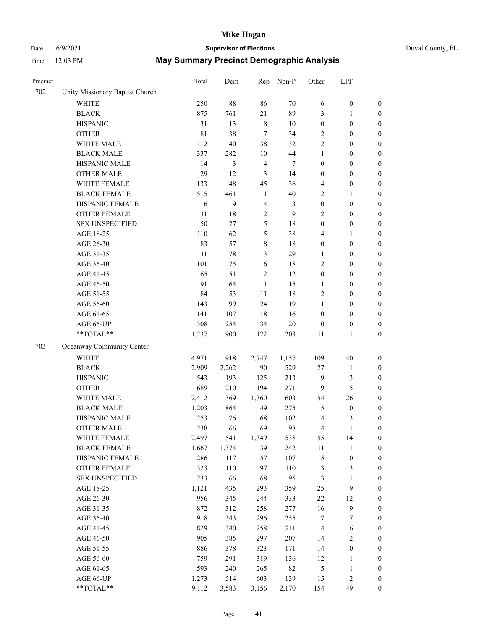## Date 6/9/2021 **Supervisor of Elections** Duval County, FL

| Precinct |                                 | Total       | Dem    | Rep            | Non-P  | Other            | LPF              |                  |
|----------|---------------------------------|-------------|--------|----------------|--------|------------------|------------------|------------------|
| 702      | Unity Missionary Baptist Church |             |        |                |        |                  |                  |                  |
|          | <b>WHITE</b>                    | 250         | $88\,$ | 86             | 70     | 6                | $\boldsymbol{0}$ | $\boldsymbol{0}$ |
|          | <b>BLACK</b>                    | 875         | 761    | 21             | 89     | 3                | 1                | $\boldsymbol{0}$ |
|          | <b>HISPANIC</b>                 | 31          | 13     | $\,$ 8 $\,$    | $10\,$ | $\boldsymbol{0}$ | $\boldsymbol{0}$ | $\boldsymbol{0}$ |
|          | <b>OTHER</b>                    | $8\sqrt{1}$ | 38     | $\tau$         | 34     | 2                | $\boldsymbol{0}$ | $\boldsymbol{0}$ |
|          | WHITE MALE                      | 112         | 40     | 38             | 32     | 2                | $\boldsymbol{0}$ | $\boldsymbol{0}$ |
|          | <b>BLACK MALE</b>               | 337         | 282    | $10\,$         | 44     | $\mathbf{1}$     | $\boldsymbol{0}$ | $\boldsymbol{0}$ |
|          | HISPANIC MALE                   | 14          | 3      | $\overline{4}$ | 7      | $\boldsymbol{0}$ | $\boldsymbol{0}$ | $\boldsymbol{0}$ |
|          | <b>OTHER MALE</b>               | 29          | 12     | $\mathfrak{Z}$ | 14     | $\boldsymbol{0}$ | $\boldsymbol{0}$ | $\boldsymbol{0}$ |
|          | WHITE FEMALE                    | 133         | 48     | 45             | 36     | 4                | $\boldsymbol{0}$ | $\boldsymbol{0}$ |
|          | <b>BLACK FEMALE</b>             | 515         | 461    | 11             | $40\,$ | $\overline{c}$   | $\mathbf{1}$     | 0                |
|          | HISPANIC FEMALE                 | 16          | 9      | $\overline{4}$ | 3      | $\boldsymbol{0}$ | $\boldsymbol{0}$ | $\boldsymbol{0}$ |
|          | OTHER FEMALE                    | 31          | $18\,$ | $\overline{c}$ | 9      | 2                | $\boldsymbol{0}$ | $\boldsymbol{0}$ |
|          | <b>SEX UNSPECIFIED</b>          | 50          | 27     | 5              | 18     | $\boldsymbol{0}$ | $\boldsymbol{0}$ | $\boldsymbol{0}$ |
|          | AGE 18-25                       | 110         | 62     | 5              | 38     | 4                | $\mathbf{1}$     | $\boldsymbol{0}$ |
|          | AGE 26-30                       | 83          | 57     | 8              | 18     | $\boldsymbol{0}$ | $\boldsymbol{0}$ | $\boldsymbol{0}$ |
|          | AGE 31-35                       | 111         | $78\,$ | 3              | 29     | $\mathbf{1}$     | $\boldsymbol{0}$ | $\boldsymbol{0}$ |
|          | AGE 36-40                       | 101         | 75     | 6              | 18     | 2                | $\boldsymbol{0}$ | $\boldsymbol{0}$ |
|          | AGE 41-45                       | 65          | 51     | $\overline{2}$ | 12     | $\boldsymbol{0}$ | $\boldsymbol{0}$ | $\boldsymbol{0}$ |
|          | AGE 46-50                       | 91          | 64     | 11             | 15     | $\mathbf{1}$     | $\boldsymbol{0}$ | $\boldsymbol{0}$ |
|          | AGE 51-55                       | 84          | 53     | 11             | 18     | 2                | $\boldsymbol{0}$ | 0                |
|          | AGE 56-60                       | 143         | 99     | 24             | 19     | $\mathbf{1}$     | $\boldsymbol{0}$ | $\boldsymbol{0}$ |
|          | AGE 61-65                       | 141         | 107    | 18             | 16     | $\boldsymbol{0}$ | $\boldsymbol{0}$ | $\boldsymbol{0}$ |
|          | AGE 66-UP                       | 308         | 254    | 34             | $20\,$ | $\boldsymbol{0}$ | $\boldsymbol{0}$ | $\boldsymbol{0}$ |
|          | **TOTAL**                       | 1,237       | 900    | 122            | 203    | 11               | $\mathbf{1}$     | $\boldsymbol{0}$ |
| 703      | Oceanway Community Center       |             |        |                |        |                  |                  |                  |
|          | <b>WHITE</b>                    | 4,971       | 918    | 2,747          | 1,157  | 109              | $40\,$           | $\boldsymbol{0}$ |
|          | <b>BLACK</b>                    | 2,909       | 2,262  | 90             | 529    | 27               | $\mathbf{1}$     | $\boldsymbol{0}$ |
|          | <b>HISPANIC</b>                 | 543         | 193    | 125            | 213    | $\overline{9}$   | $\mathfrak{Z}$   | $\boldsymbol{0}$ |
|          | <b>OTHER</b>                    | 689         | 210    | 194            | 271    | $\overline{9}$   | $\mathfrak{S}$   | $\boldsymbol{0}$ |
|          | WHITE MALE                      | 2,412       | 369    | 1,360          | 603    | 54               | 26               | $\boldsymbol{0}$ |
|          | <b>BLACK MALE</b>               | 1,203       | 864    | 49             | 275    | 15               | $\boldsymbol{0}$ | $\boldsymbol{0}$ |
|          | HISPANIC MALE                   | 253         | 76     | 68             | 102    | $\overline{4}$   | 3                | 0                |
|          | <b>OTHER MALE</b>               | 238         | 66     | 69             | 98     | 4                | $\mathbf{1}$     | $\boldsymbol{0}$ |
|          | WHITE FEMALE                    | 2,497       | 541    | 1,349          | 538    | 55               | 14               | $\boldsymbol{0}$ |
|          | <b>BLACK FEMALE</b>             | 1,667       | 1,374  | 39             | 242    | 11               | $\mathbf{1}$     | $\boldsymbol{0}$ |
|          | HISPANIC FEMALE                 | 286         | 117    | 57             | 107    | 5                | $\boldsymbol{0}$ | $\boldsymbol{0}$ |
|          | OTHER FEMALE                    | 323         | 110    | 97             | 110    | 3                | $\mathfrak{Z}$   | 0                |
|          | <b>SEX UNSPECIFIED</b>          | 233         | 66     | 68             | 95     | 3                | $\mathbf{1}$     | 0                |
|          | AGE 18-25                       | 1,121       | 435    | 293            | 359    | $25\,$           | $\mathbf{9}$     | 0                |
|          | AGE 26-30                       | 956         | 345    | 244            | 333    | $22\,$           | 12               | 0                |
|          | AGE 31-35                       | 872         | 312    | 258            | 277    | 16               | $\boldsymbol{9}$ | 0                |
|          | AGE 36-40                       | 918         | 343    | 296            | 255    | 17               | 7                | 0                |
|          | AGE 41-45                       | 829         | 340    | 258            | 211    | 14               | 6                | 0                |
|          | AGE 46-50                       | 905         | 385    | 297            | 207    | 14               | $\sqrt{2}$       | 0                |
|          | AGE 51-55                       | 886         | 378    | 323            | 171    | 14               | $\boldsymbol{0}$ | 0                |
|          | AGE 56-60                       | 759         | 291    | 319            | 136    | 12               | $\mathbf{1}$     | $\boldsymbol{0}$ |
|          | AGE 61-65                       | 593         | 240    | 265            | 82     | 5                | $\mathbf{1}$     | 0                |
|          | AGE 66-UP                       | 1,273       | 514    | 603            | 139    | 15               | $\sqrt{2}$       | 0                |
|          | **TOTAL**                       | 9,112       | 3,583  | 3,156          | 2,170  | 154              | 49               | $\boldsymbol{0}$ |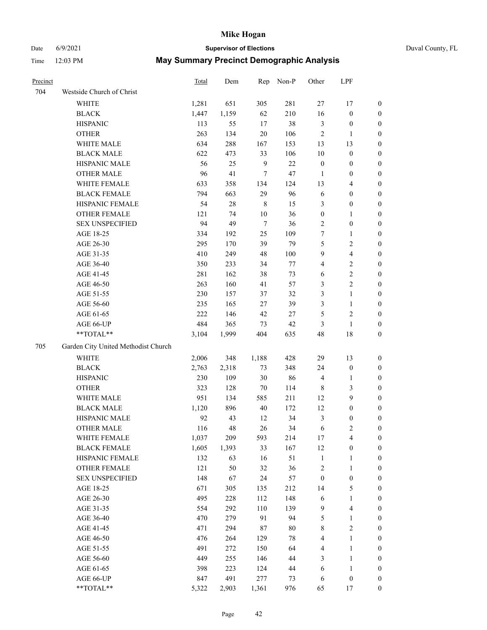# Date 6/9/2021 **Supervisor of Elections** Duval County, FL

| Precinct |                                     | Total | Dem   | Rep          | Non-P  | Other            | LPF                     |                  |
|----------|-------------------------------------|-------|-------|--------------|--------|------------------|-------------------------|------------------|
| 704      | Westside Church of Christ           |       |       |              |        |                  |                         |                  |
|          | <b>WHITE</b>                        | 1,281 | 651   | 305          | 281    | $27\,$           | 17                      | $\boldsymbol{0}$ |
|          | $_{\rm BLACK}$                      | 1,447 | 1,159 | 62           | 210    | 16               | $\boldsymbol{0}$        | $\boldsymbol{0}$ |
|          | <b>HISPANIC</b>                     | 113   | 55    | 17           | 38     | $\mathfrak{Z}$   | $\boldsymbol{0}$        | $\boldsymbol{0}$ |
|          | <b>OTHER</b>                        | 263   | 134   | $20\,$       | 106    | $\overline{c}$   | $\mathbf{1}$            | $\boldsymbol{0}$ |
|          | WHITE MALE                          | 634   | 288   | 167          | 153    | 13               | 13                      | $\boldsymbol{0}$ |
|          | <b>BLACK MALE</b>                   | 622   | 473   | 33           | 106    | 10               | $\boldsymbol{0}$        | $\boldsymbol{0}$ |
|          | HISPANIC MALE                       | 56    | 25    | $\mathbf{9}$ | 22     | $\boldsymbol{0}$ | $\boldsymbol{0}$        | $\boldsymbol{0}$ |
|          | <b>OTHER MALE</b>                   | 96    | 41    | $\tau$       | 47     | 1                | $\boldsymbol{0}$        | 0                |
|          | WHITE FEMALE                        | 633   | 358   | 134          | 124    | 13               | $\overline{\mathbf{4}}$ | 0                |
|          | <b>BLACK FEMALE</b>                 | 794   | 663   | 29           | 96     | 6                | $\boldsymbol{0}$        | 0                |
|          | HISPANIC FEMALE                     | 54    | 28    | $\,$ 8 $\,$  | 15     | 3                | $\boldsymbol{0}$        | $\boldsymbol{0}$ |
|          | OTHER FEMALE                        | 121   | 74    | $10\,$       | 36     | $\boldsymbol{0}$ | $\mathbf{1}$            | $\boldsymbol{0}$ |
|          | <b>SEX UNSPECIFIED</b>              | 94    | 49    | $\tau$       | 36     | $\overline{c}$   | $\boldsymbol{0}$        | $\boldsymbol{0}$ |
|          | AGE 18-25                           | 334   | 192   | 25           | 109    | 7                | $\mathbf{1}$            | $\boldsymbol{0}$ |
|          | AGE 26-30                           | 295   | 170   | 39           | 79     | 5                | $\sqrt{2}$              | $\boldsymbol{0}$ |
|          | AGE 31-35                           | 410   | 249   | 48           | 100    | 9                | $\overline{4}$          | $\boldsymbol{0}$ |
|          | AGE 36-40                           | 350   | 233   | 34           | $77\,$ | 4                | $\sqrt{2}$              | $\boldsymbol{0}$ |
|          | AGE 41-45                           | 281   | 162   | 38           | 73     | 6                | $\sqrt{2}$              | 0                |
|          | AGE 46-50                           | 263   | 160   | 41           | 57     | 3                | $\sqrt{2}$              | 0                |
|          | AGE 51-55                           | 230   | 157   | 37           | 32     | 3                | $\mathbf{1}$            | 0                |
|          | AGE 56-60                           | 235   | 165   | 27           | 39     | 3                | $\mathbf{1}$            | $\boldsymbol{0}$ |
|          | AGE 61-65                           | 222   | 146   | $42\,$       | $27\,$ | 5                | $\sqrt{2}$              | $\boldsymbol{0}$ |
|          | AGE 66-UP                           | 484   | 365   | 73           | 42     | 3                | $\mathbf{1}$            | $\boldsymbol{0}$ |
|          | $**TOTAL**$                         | 3,104 | 1,999 | 404          | 635    | 48               | 18                      | $\boldsymbol{0}$ |
| 705      | Garden City United Methodist Church |       |       |              |        |                  |                         |                  |
|          | <b>WHITE</b>                        | 2,006 | 348   | 1,188        | 428    | 29               | 13                      | $\boldsymbol{0}$ |
|          | <b>BLACK</b>                        | 2,763 | 2,318 | 73           | 348    | 24               | $\boldsymbol{0}$        | $\boldsymbol{0}$ |
|          | <b>HISPANIC</b>                     | 230   | 109   | $30\,$       | 86     | $\overline{4}$   | $\mathbf{1}$            | $\boldsymbol{0}$ |
|          | <b>OTHER</b>                        | 323   | 128   | 70           | 114    | $\,$ 8 $\,$      | $\mathfrak{Z}$          | $\boldsymbol{0}$ |
|          | WHITE MALE                          | 951   | 134   | 585          | 211    | 12               | $\mathbf{9}$            | $\boldsymbol{0}$ |
|          | <b>BLACK MALE</b>                   | 1,120 | 896   | $40\,$       | 172    | 12               | $\boldsymbol{0}$        | 0                |
|          | HISPANIC MALE                       | 92    | 43    | 12           | 34     | 3                | $\boldsymbol{0}$        | 0                |
|          | <b>OTHER MALE</b>                   | 116   | 48    | 26           | 34     | 6                | $\sqrt{2}$              | $\boldsymbol{0}$ |
|          | WHITE FEMALE                        | 1,037 | 209   | 593          | 214    | $17\,$           | $\overline{\mathbf{4}}$ | $\boldsymbol{0}$ |
|          | <b>BLACK FEMALE</b>                 | 1,605 | 1,393 | 33           | 167    | 12               | $\boldsymbol{0}$        | $\boldsymbol{0}$ |
|          | HISPANIC FEMALE                     | 132   | 63    | 16           | 51     | $\mathbf{1}$     | $\mathbf{1}$            | $\boldsymbol{0}$ |
|          | <b>OTHER FEMALE</b>                 | 121   | 50    | 32           | 36     | $\sqrt{2}$       | $\mathbf{1}$            | $\overline{0}$   |
|          | <b>SEX UNSPECIFIED</b>              | 148   | 67    | 24           | 57     | $\boldsymbol{0}$ | $\boldsymbol{0}$        | $\overline{0}$   |
|          | AGE 18-25                           | 671   | 305   | 135          | 212    | 14               | $\mathfrak{S}$          | 0                |
|          | AGE 26-30                           | 495   | 228   | 112          | 148    | 6                | $\mathbf{1}$            | 0                |
|          | AGE 31-35                           | 554   | 292   | 110          | 139    | $\overline{9}$   | $\overline{\mathbf{4}}$ | 0                |
|          | AGE 36-40                           | 470   | 279   | 91           | 94     | 5                | $\mathbf{1}$            | 0                |
|          | AGE 41-45                           | 471   | 294   | $87\,$       | $80\,$ | 8                | $\sqrt{2}$              | $\boldsymbol{0}$ |
|          | AGE 46-50                           | 476   | 264   | 129          | $78\,$ | 4                | $\mathbf{1}$            | $\boldsymbol{0}$ |
|          | AGE 51-55                           | 491   | 272   | 150          | 64     | 4                | $\mathbf{1}$            | $\boldsymbol{0}$ |
|          | AGE 56-60                           | 449   | 255   | 146          | 44     | 3                | $\mathbf{1}$            | $\boldsymbol{0}$ |
|          | AGE 61-65                           | 398   | 223   | 124          | 44     | 6                | $\mathbf{1}$            | $\boldsymbol{0}$ |
|          | AGE 66-UP                           | 847   | 491   | 277          | 73     | 6                | $\boldsymbol{0}$        | $\boldsymbol{0}$ |
|          | **TOTAL**                           | 5,322 | 2,903 | 1,361        | 976    | 65               | $17\,$                  | $\overline{0}$   |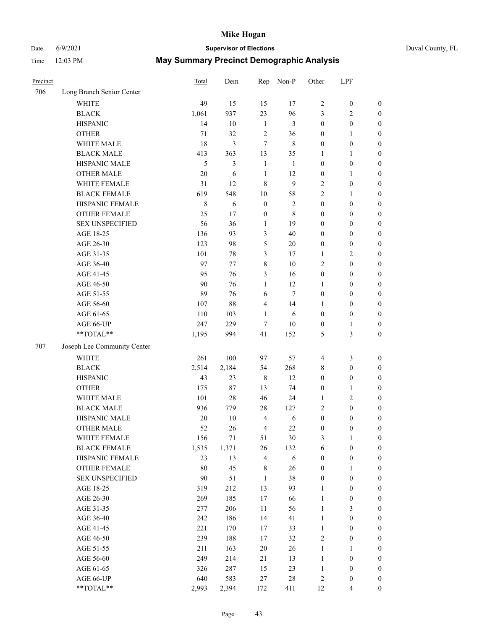## Date 6/9/2021 **Supervisor of Elections** Duval County, FL

| Precinct |                             | Total  | Dem    | Rep              | Non-P        | Other                   | LPF              |                  |
|----------|-----------------------------|--------|--------|------------------|--------------|-------------------------|------------------|------------------|
| 706      | Long Branch Senior Center   |        |        |                  |              |                         |                  |                  |
|          | <b>WHITE</b>                | 49     | 15     | 15               | 17           | $\overline{c}$          | $\boldsymbol{0}$ | $\boldsymbol{0}$ |
|          | <b>BLACK</b>                | 1,061  | 937    | 23               | 96           | 3                       | $\sqrt{2}$       | $\boldsymbol{0}$ |
|          | <b>HISPANIC</b>             | 14     | 10     | $\mathbf{1}$     | 3            | $\boldsymbol{0}$        | $\boldsymbol{0}$ | $\boldsymbol{0}$ |
|          | <b>OTHER</b>                | 71     | 32     | $\sqrt{2}$       | 36           | $\boldsymbol{0}$        | 1                | $\boldsymbol{0}$ |
|          | WHITE MALE                  | 18     | 3      | 7                | $\,$ 8 $\,$  | $\boldsymbol{0}$        | $\boldsymbol{0}$ | $\boldsymbol{0}$ |
|          | <b>BLACK MALE</b>           | 413    | 363    | 13               | 35           | 1                       | 1                | $\boldsymbol{0}$ |
|          | HISPANIC MALE               | 5      | 3      | $\mathbf{1}$     | $\mathbf{1}$ | $\boldsymbol{0}$        | $\boldsymbol{0}$ | $\boldsymbol{0}$ |
|          | <b>OTHER MALE</b>           | 20     | 6      | $\mathbf{1}$     | 12           | $\boldsymbol{0}$        | $\mathbf{1}$     | 0                |
|          | WHITE FEMALE                | 31     | 12     | $\,8\,$          | $\mathbf{9}$ | $\overline{2}$          | $\boldsymbol{0}$ | 0                |
|          | <b>BLACK FEMALE</b>         | 619    | 548    | $10\,$           | 58           | $\mathfrak{2}$          | $\mathbf{1}$     | $\boldsymbol{0}$ |
|          | HISPANIC FEMALE             | 8      | 6      | $\boldsymbol{0}$ | $\sqrt{2}$   | $\boldsymbol{0}$        | $\boldsymbol{0}$ | $\boldsymbol{0}$ |
|          | OTHER FEMALE                | 25     | 17     | $\boldsymbol{0}$ | 8            | $\boldsymbol{0}$        | $\boldsymbol{0}$ | $\boldsymbol{0}$ |
|          | <b>SEX UNSPECIFIED</b>      | 56     | 36     | $\mathbf{1}$     | 19           | $\boldsymbol{0}$        | $\boldsymbol{0}$ | $\boldsymbol{0}$ |
|          | AGE 18-25                   | 136    | 93     | 3                | 40           | $\boldsymbol{0}$        | $\boldsymbol{0}$ | $\boldsymbol{0}$ |
|          | AGE 26-30                   | 123    | 98     | 5                | $20\,$       | $\boldsymbol{0}$        | $\boldsymbol{0}$ | $\boldsymbol{0}$ |
|          | AGE 31-35                   | 101    | $78\,$ | 3                | 17           | $\mathbf{1}$            | $\sqrt{2}$       | $\boldsymbol{0}$ |
|          | AGE 36-40                   | 97     | 77     | $\,8\,$          | $10\,$       | 2                       | $\boldsymbol{0}$ | $\boldsymbol{0}$ |
|          | AGE 41-45                   | 95     | 76     | 3                | 16           | $\boldsymbol{0}$        | $\boldsymbol{0}$ | 0                |
|          | AGE 46-50                   | 90     | 76     | $\mathbf{1}$     | 12           | $\mathbf{1}$            | $\boldsymbol{0}$ | 0                |
|          | AGE 51-55                   | 89     | 76     | 6                | $\tau$       | $\boldsymbol{0}$        | $\boldsymbol{0}$ | $\boldsymbol{0}$ |
|          | AGE 56-60                   | 107    | 88     | $\overline{4}$   | 14           | 1                       | $\boldsymbol{0}$ | $\boldsymbol{0}$ |
|          | AGE 61-65                   | 110    | 103    | $\mathbf{1}$     | 6            | $\boldsymbol{0}$        | $\boldsymbol{0}$ | $\boldsymbol{0}$ |
|          | AGE 66-UP                   | 247    | 229    | $\tau$           | 10           | $\boldsymbol{0}$        | $\mathbf{1}$     | $\boldsymbol{0}$ |
|          | **TOTAL**                   | 1,195  | 994    | 41               | 152          | 5                       | $\mathfrak{Z}$   | $\boldsymbol{0}$ |
| 707      | Joseph Lee Community Center |        |        |                  |              |                         |                  |                  |
|          | <b>WHITE</b>                | 261    | 100    | 97               | 57           | $\overline{\mathbf{4}}$ | $\mathfrak{Z}$   | $\boldsymbol{0}$ |
|          | <b>BLACK</b>                | 2,514  | 2,184  | 54               | 268          | 8                       | $\boldsymbol{0}$ | $\boldsymbol{0}$ |
|          | <b>HISPANIC</b>             | 43     | 23     | $\,$ 8 $\,$      | 12           | $\boldsymbol{0}$        | $\boldsymbol{0}$ | $\boldsymbol{0}$ |
|          | <b>OTHER</b>                | 175    | 87     | 13               | 74           | $\boldsymbol{0}$        | $\mathbf{1}$     | $\boldsymbol{0}$ |
|          | WHITE MALE                  | 101    | 28     | 46               | 24           | $\mathbf{1}$            | $\mathbf{2}$     | 0                |
|          | <b>BLACK MALE</b>           | 936    | 779    | $28\,$           | 127          | $\mathbf{2}$            | $\boldsymbol{0}$ | 0                |
|          | HISPANIC MALE               | 20     | 10     | $\overline{4}$   | 6            | $\boldsymbol{0}$        | $\boldsymbol{0}$ | 0                |
|          | <b>OTHER MALE</b>           | 52     | 26     | $\overline{4}$   | 22           | $\boldsymbol{0}$        | $\boldsymbol{0}$ | $\boldsymbol{0}$ |
|          | WHITE FEMALE                | 156    | 71     | 51               | 30           | 3                       | $\mathbf{1}$     | $\boldsymbol{0}$ |
|          | <b>BLACK FEMALE</b>         | 1,535  | 1,371  | 26               | 132          | 6                       | $\boldsymbol{0}$ | $\boldsymbol{0}$ |
|          | HISPANIC FEMALE             | 23     | 13     | $\overline{4}$   | $\sqrt{6}$   | $\boldsymbol{0}$        | $\boldsymbol{0}$ | $\overline{0}$   |
|          | <b>OTHER FEMALE</b>         | 80     | 45     | $\,$ 8 $\,$      | 26           | $\boldsymbol{0}$        | $\mathbf{1}$     | $\overline{0}$   |
|          | <b>SEX UNSPECIFIED</b>      | $90\,$ | 51     | $\mathbf{1}$     | 38           | $\boldsymbol{0}$        | $\boldsymbol{0}$ | $\overline{0}$   |
|          | AGE 18-25                   | 319    | 212    | 13               | 93           | $\mathbf{1}$            | $\boldsymbol{0}$ | 0                |
|          | AGE 26-30                   | 269    | 185    | 17               | 66           | $\mathbf{1}$            | $\boldsymbol{0}$ | 0                |
|          | AGE 31-35                   | 277    | 206    | 11               | 56           | $\mathbf{1}$            | $\mathfrak{Z}$   | 0                |
|          | AGE 36-40                   | 242    | 186    | 14               | 41           | $\mathbf{1}$            | $\boldsymbol{0}$ | $\overline{0}$   |
|          | AGE 41-45                   | 221    | 170    | 17               | 33           | $\mathbf{1}$            | $\boldsymbol{0}$ | $\boldsymbol{0}$ |
|          | AGE 46-50                   | 239    | 188    | 17               | 32           | 2                       | $\boldsymbol{0}$ | $\boldsymbol{0}$ |
|          | AGE 51-55                   | 211    | 163    | 20               | 26           | $\mathbf{1}$            | $\mathbf{1}$     | $\boldsymbol{0}$ |
|          | AGE 56-60                   | 249    | 214    | 21               | 13           | $\mathbf{1}$            | $\boldsymbol{0}$ | $\boldsymbol{0}$ |
|          | AGE 61-65                   | 326    | 287    | 15               | 23           | $\mathbf{1}$            | $\boldsymbol{0}$ | $\overline{0}$   |
|          | AGE 66-UP                   | 640    | 583    | 27               | $28\,$       | $\sqrt{2}$              | $\boldsymbol{0}$ | $\boldsymbol{0}$ |
|          | **TOTAL**                   | 2,993  | 2,394  | 172              | 411          | 12                      | $\overline{4}$   | $\boldsymbol{0}$ |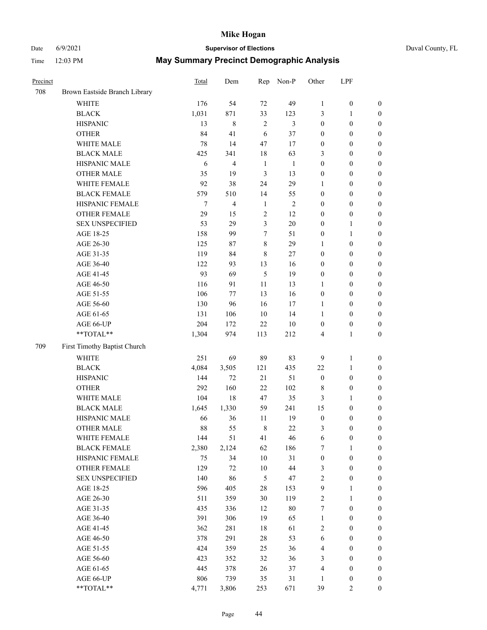# Date 6/9/2021 **Supervisor of Elections**

| Duval County, FL |  |  |
|------------------|--|--|
|------------------|--|--|

| Precinct |                               | <b>Total</b> | Dem            | Rep            | Non-P        | Other            | LPF              |                  |
|----------|-------------------------------|--------------|----------------|----------------|--------------|------------------|------------------|------------------|
| 708      | Brown Eastside Branch Library |              |                |                |              |                  |                  |                  |
|          | <b>WHITE</b>                  | 176          | 54             | 72             | 49           | $\mathbf{1}$     | $\boldsymbol{0}$ | 0                |
|          | <b>BLACK</b>                  | 1,031        | 871            | 33             | 123          | 3                | $\mathbf{1}$     | $\boldsymbol{0}$ |
|          | <b>HISPANIC</b>               | 13           | $\,8\,$        | $\overline{2}$ | 3            | $\boldsymbol{0}$ | $\boldsymbol{0}$ | $\boldsymbol{0}$ |
|          | <b>OTHER</b>                  | 84           | 41             | 6              | 37           | $\boldsymbol{0}$ | $\boldsymbol{0}$ | $\boldsymbol{0}$ |
|          | WHITE MALE                    | 78           | 14             | 47             | 17           | $\boldsymbol{0}$ | $\boldsymbol{0}$ | $\boldsymbol{0}$ |
|          | <b>BLACK MALE</b>             | 425          | 341            | 18             | 63           | 3                | $\boldsymbol{0}$ | $\boldsymbol{0}$ |
|          | HISPANIC MALE                 | 6            | $\overline{4}$ | $\mathbf{1}$   | $\mathbf{1}$ | 0                | $\boldsymbol{0}$ | $\boldsymbol{0}$ |
|          | <b>OTHER MALE</b>             | 35           | 19             | $\mathfrak{Z}$ | 13           | $\boldsymbol{0}$ | $\boldsymbol{0}$ | $\boldsymbol{0}$ |
|          | WHITE FEMALE                  | 92           | 38             | 24             | 29           | $\mathbf{1}$     | $\boldsymbol{0}$ | $\boldsymbol{0}$ |
|          | <b>BLACK FEMALE</b>           | 579          | 510            | 14             | 55           | $\boldsymbol{0}$ | $\boldsymbol{0}$ | $\boldsymbol{0}$ |
|          | HISPANIC FEMALE               | $\tau$       | $\overline{4}$ | $\mathbf{1}$   | $\sqrt{2}$   | $\boldsymbol{0}$ | $\boldsymbol{0}$ | $\boldsymbol{0}$ |
|          | <b>OTHER FEMALE</b>           | 29           | 15             | $\mathbf{2}$   | 12           | $\boldsymbol{0}$ | $\boldsymbol{0}$ | $\boldsymbol{0}$ |
|          | <b>SEX UNSPECIFIED</b>        | 53           | 29             | 3              | 20           | $\boldsymbol{0}$ | $\mathbf{1}$     | $\boldsymbol{0}$ |
|          | AGE 18-25                     | 158          | 99             | 7              | 51           | $\boldsymbol{0}$ | $\mathbf{1}$     | $\boldsymbol{0}$ |
|          | AGE 26-30                     | 125          | 87             | $\,$ $\,$      | 29           | $\mathbf{1}$     | $\boldsymbol{0}$ | $\boldsymbol{0}$ |
|          | AGE 31-35                     | 119          | 84             | $\,$ 8 $\,$    | 27           | $\boldsymbol{0}$ | $\boldsymbol{0}$ | $\boldsymbol{0}$ |
|          | AGE 36-40                     | 122          | 93             | 13             | 16           | $\boldsymbol{0}$ | $\boldsymbol{0}$ | $\boldsymbol{0}$ |
|          | AGE 41-45                     | 93           | 69             | 5              | 19           | $\boldsymbol{0}$ | $\boldsymbol{0}$ | $\boldsymbol{0}$ |
|          | AGE 46-50                     | 116          | 91             | $11\,$         | 13           | $\mathbf{1}$     | $\boldsymbol{0}$ | $\boldsymbol{0}$ |
|          | AGE 51-55                     | 106          | 77             | 13             | 16           | $\boldsymbol{0}$ | $\boldsymbol{0}$ | $\boldsymbol{0}$ |
|          | AGE 56-60                     | 130          | 96             | 16             | 17           | 1                | $\boldsymbol{0}$ | 0                |
|          | AGE 61-65                     | 131          | 106            | 10             | 14           | 1                | $\boldsymbol{0}$ | $\boldsymbol{0}$ |
|          | AGE 66-UP                     | 204          | 172            | 22             | $10\,$       | $\boldsymbol{0}$ | $\boldsymbol{0}$ | $\boldsymbol{0}$ |
|          | **TOTAL**                     | 1,304        | 974            | 113            | 212          | 4                | $\mathbf{1}$     | $\boldsymbol{0}$ |
| 709      | First Timothy Baptist Church  |              |                |                |              |                  |                  |                  |
|          | <b>WHITE</b>                  | 251          | 69             | 89             | 83           | 9                | $\mathbf{1}$     | $\boldsymbol{0}$ |
|          | <b>BLACK</b>                  | 4,084        | 3,505          | 121            | 435          | $22\,$           | $\mathbf{1}$     | $\boldsymbol{0}$ |
|          | <b>HISPANIC</b>               | 144          | 72             | 21             | 51           | $\boldsymbol{0}$ | $\boldsymbol{0}$ | $\boldsymbol{0}$ |
|          | <b>OTHER</b>                  | 292          | 160            | 22             | 102          | 8                | $\boldsymbol{0}$ | $\boldsymbol{0}$ |
|          | WHITE MALE                    | 104          | 18             | 47             | 35           | 3                | $\mathbf{1}$     | $\boldsymbol{0}$ |
|          | <b>BLACK MALE</b>             | 1,645        | 1,330          | 59             | 241          | 15               | $\boldsymbol{0}$ | $\boldsymbol{0}$ |
|          | HISPANIC MALE                 | 66           | 36             | 11             | 19           | $\boldsymbol{0}$ | $\boldsymbol{0}$ | $\boldsymbol{0}$ |
|          | <b>OTHER MALE</b>             | 88           | 55             | $\,$ 8 $\,$    | 22           | 3                | $\boldsymbol{0}$ | $\boldsymbol{0}$ |
|          | WHITE FEMALE                  | 144          | 51             | 41             | 46           | 6                | 0                | 0                |
|          | <b>BLACK FEMALE</b>           | 2,380        | 2,124          | 62             | 186          | 7                | $\mathbf{1}$     | $\boldsymbol{0}$ |
|          | HISPANIC FEMALE               | 75           | 34             | $10\,$         | 31           | $\boldsymbol{0}$ | $\boldsymbol{0}$ | $\overline{0}$   |
|          | <b>OTHER FEMALE</b>           | 129          | 72             | $10\,$         | $44\,$       | 3                | $\boldsymbol{0}$ | $\overline{0}$   |
|          | <b>SEX UNSPECIFIED</b>        | 140          | 86             | 5              | 47           | 2                | $\boldsymbol{0}$ | 0                |
|          | AGE 18-25                     | 596          | 405            | $28\,$         | 153          | 9                | $\mathbf{1}$     | $\theta$         |
|          | AGE 26-30                     | 511          | 359            | 30             | 119          | 2                | $\mathbf{1}$     | 0                |
|          | AGE 31-35                     | 435          | 336            | 12             | $80\,$       | 7                | $\boldsymbol{0}$ | 0                |
|          | AGE 36-40                     | 391          | 306            | 19             | 65           | $\mathbf{1}$     | $\boldsymbol{0}$ | 0                |
|          | AGE 41-45                     | 362          | 281            | 18             | 61           | 2                | $\boldsymbol{0}$ | 0                |
|          | AGE 46-50                     | 378          | 291            | 28             | 53           | 6                | $\boldsymbol{0}$ | 0                |
|          | AGE 51-55                     | 424          | 359            | 25             | 36           | 4                | $\boldsymbol{0}$ | $\overline{0}$   |
|          | AGE 56-60                     | 423          | 352            | 32             | 36           | 3                | $\boldsymbol{0}$ | $\overline{0}$   |
|          | AGE 61-65                     | 445          | 378            | 26             | 37           | 4                | $\boldsymbol{0}$ | $\overline{0}$   |
|          | AGE 66-UP                     | 806          | 739            | 35             | 31           | $\mathbf{1}$     | $\boldsymbol{0}$ | 0                |
|          | **TOTAL**                     |              |                |                |              |                  | $\mathfrak{2}$   | $\boldsymbol{0}$ |
|          |                               | 4,771        | 3,806          | 253            | 671          | 39               |                  |                  |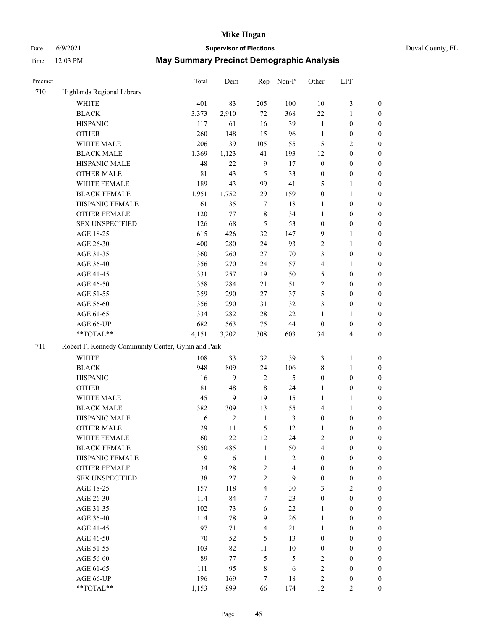# Date 6/9/2021 **Supervisor of Elections** Duval County, FL

| Precinct |                                                   | Total       | Dem            | Rep            | Non-P                   | Other            | LPF              |                  |
|----------|---------------------------------------------------|-------------|----------------|----------------|-------------------------|------------------|------------------|------------------|
| 710      | Highlands Regional Library                        |             |                |                |                         |                  |                  |                  |
|          | <b>WHITE</b>                                      | 401         | 83             | 205            | 100                     | $10\,$           | $\mathfrak{Z}$   | $\boldsymbol{0}$ |
|          | <b>BLACK</b>                                      | 3,373       | 2,910          | 72             | 368                     | 22               | $\mathbf{1}$     | $\boldsymbol{0}$ |
|          | <b>HISPANIC</b>                                   | 117         | 61             | 16             | 39                      | $\mathbf{1}$     | $\boldsymbol{0}$ | $\boldsymbol{0}$ |
|          | <b>OTHER</b>                                      | 260         | 148            | 15             | 96                      | $\mathbf{1}$     | $\boldsymbol{0}$ | $\boldsymbol{0}$ |
|          | WHITE MALE                                        | 206         | 39             | 105            | 55                      | 5                | $\sqrt{2}$       | $\boldsymbol{0}$ |
|          | <b>BLACK MALE</b>                                 | 1,369       | 1,123          | 41             | 193                     | 12               | $\boldsymbol{0}$ | $\boldsymbol{0}$ |
|          | HISPANIC MALE                                     | 48          | 22             | $\overline{9}$ | 17                      | $\boldsymbol{0}$ | $\boldsymbol{0}$ | $\boldsymbol{0}$ |
|          | <b>OTHER MALE</b>                                 | 81          | 43             | 5              | 33                      | $\boldsymbol{0}$ | $\boldsymbol{0}$ | 0                |
|          | WHITE FEMALE                                      | 189         | 43             | 99             | 41                      | 5                | $\mathbf{1}$     | $\boldsymbol{0}$ |
|          | <b>BLACK FEMALE</b>                               | 1,951       | 1,752          | 29             | 159                     | 10               | $\mathbf{1}$     | 0                |
|          | HISPANIC FEMALE                                   | 61          | 35             | $\tau$         | $18\,$                  | $\mathbf{1}$     | $\boldsymbol{0}$ | $\boldsymbol{0}$ |
|          | OTHER FEMALE                                      | 120         | 77             | $\,$ 8 $\,$    | 34                      | $\mathbf{1}$     | $\boldsymbol{0}$ | $\boldsymbol{0}$ |
|          | <b>SEX UNSPECIFIED</b>                            | 126         | 68             | 5              | 53                      | $\boldsymbol{0}$ | $\boldsymbol{0}$ | $\boldsymbol{0}$ |
|          | AGE 18-25                                         | 615         | 426            | 32             | 147                     | 9                | $\mathbf{1}$     | $\boldsymbol{0}$ |
|          | AGE 26-30                                         | 400         | 280            | 24             | 93                      | $\sqrt{2}$       | $\mathbf{1}$     | $\boldsymbol{0}$ |
|          | AGE 31-35                                         | 360         | 260            | $27\,$         | $70\,$                  | 3                | $\boldsymbol{0}$ | $\boldsymbol{0}$ |
|          | AGE 36-40                                         | 356         | 270            | 24             | 57                      | 4                | $\mathbf{1}$     | $\boldsymbol{0}$ |
|          | AGE 41-45                                         | 331         | 257            | 19             | 50                      | 5                | $\boldsymbol{0}$ | $\boldsymbol{0}$ |
|          | AGE 46-50                                         | 358         | 284            | 21             | 51                      | $\sqrt{2}$       | $\boldsymbol{0}$ | $\boldsymbol{0}$ |
|          | AGE 51-55                                         | 359         | 290            | 27             | 37                      | 5                | $\boldsymbol{0}$ | 0                |
|          | AGE 56-60                                         | 356         | 290            | 31             | 32                      | 3                | $\boldsymbol{0}$ | $\boldsymbol{0}$ |
|          | AGE 61-65                                         | 334         | 282            | $28\,$         | 22                      | $\mathbf{1}$     | $\mathbf{1}$     | $\boldsymbol{0}$ |
|          | AGE 66-UP                                         | 682         | 563            | 75             | 44                      | $\boldsymbol{0}$ | $\boldsymbol{0}$ | $\boldsymbol{0}$ |
|          | **TOTAL**                                         | 4,151       | 3,202          | 308            | 603                     | 34               | $\overline{4}$   | $\boldsymbol{0}$ |
| 711      | Robert F. Kennedy Community Center, Gymn and Park |             |                |                |                         |                  |                  |                  |
|          | <b>WHITE</b>                                      | 108         | 33             | 32             | 39                      | 3                | $\mathbf{1}$     | $\boldsymbol{0}$ |
|          | <b>BLACK</b>                                      | 948         | 809            | 24             | 106                     | $\,$ $\,$        | $\mathbf{1}$     | $\boldsymbol{0}$ |
|          | <b>HISPANIC</b>                                   | 16          | 9              | $\sqrt{2}$     | 5                       | $\boldsymbol{0}$ | $\boldsymbol{0}$ | $\boldsymbol{0}$ |
|          | <b>OTHER</b>                                      | $8\sqrt{1}$ | 48             | $\,$ 8 $\,$    | 24                      | $\mathbf{1}$     | $\boldsymbol{0}$ | $\boldsymbol{0}$ |
|          | WHITE MALE                                        | 45          | 9              | 19             | 15                      | 1                | $\mathbf{1}$     | $\boldsymbol{0}$ |
|          | <b>BLACK MALE</b>                                 | 382         | 309            | 13             | 55                      | 4                | $\mathbf{1}$     | $\boldsymbol{0}$ |
|          | HISPANIC MALE                                     | 6           | $\overline{c}$ | $\mathbf{1}$   | $\mathfrak{Z}$          | $\boldsymbol{0}$ | $\boldsymbol{0}$ | 0                |
|          | <b>OTHER MALE</b>                                 | 29          | 11             | 5              | 12                      | $\mathbf{1}$     | $\boldsymbol{0}$ | $\boldsymbol{0}$ |
|          | WHITE FEMALE                                      | 60          | 22             | 12             | 24                      | 2                | $\boldsymbol{0}$ | $\boldsymbol{0}$ |
|          | <b>BLACK FEMALE</b>                               | 550         | 485            | $11\,$         | 50                      | 4                | $\boldsymbol{0}$ | $\overline{0}$   |
|          | HISPANIC FEMALE                                   | 9           | 6              | $1\,$          | $\overline{\mathbf{c}}$ | $\boldsymbol{0}$ | $\boldsymbol{0}$ | $\overline{0}$   |
|          | <b>OTHER FEMALE</b>                               | 34          | 28             | $\sqrt{2}$     | $\overline{\mathbf{4}}$ | $\boldsymbol{0}$ | $\boldsymbol{0}$ | $\overline{0}$   |
|          | <b>SEX UNSPECIFIED</b>                            | 38          | 27             | $\sqrt{2}$     | 9                       | $\boldsymbol{0}$ | $\boldsymbol{0}$ | $\overline{0}$   |
|          | AGE 18-25                                         | 157         | 118            | $\overline{4}$ | 30                      | 3                | $\overline{2}$   | $\overline{0}$   |
|          | AGE 26-30                                         | 114         | 84             | $\tau$         | 23                      | $\boldsymbol{0}$ | $\boldsymbol{0}$ | 0                |
|          | AGE 31-35                                         | 102         | 73             | 6              | $22\,$                  | $\mathbf{1}$     | $\boldsymbol{0}$ | 0                |
|          | AGE 36-40                                         | 114         | 78             | 9              | 26                      | $\mathbf{1}$     | $\boldsymbol{0}$ | 0                |
|          | AGE 41-45                                         | 97          | 71             | $\overline{4}$ | 21                      | $\mathbf{1}$     | $\boldsymbol{0}$ | 0                |
|          | AGE 46-50                                         | 70          | 52             | 5              | 13                      | $\boldsymbol{0}$ | $\boldsymbol{0}$ | $\boldsymbol{0}$ |
|          | AGE 51-55                                         | 103         | 82             | 11             | $10\,$                  | $\boldsymbol{0}$ | $\boldsymbol{0}$ | $\boldsymbol{0}$ |
|          | AGE 56-60                                         | 89          | 77             | $\mathfrak{S}$ | 5                       | $\overline{c}$   | $\boldsymbol{0}$ | $\boldsymbol{0}$ |
|          | AGE 61-65                                         | 111         | 95             | $\,$ 8 $\,$    | 6                       | $\sqrt{2}$       | $\boldsymbol{0}$ | $\boldsymbol{0}$ |
|          | AGE 66-UP                                         | 196         | 169            | 7              | 18                      | $\sqrt{2}$       | $\boldsymbol{0}$ | $\boldsymbol{0}$ |
|          | **TOTAL**                                         | 1,153       | 899            | 66             | 174                     | 12               | $\overline{2}$   | $\boldsymbol{0}$ |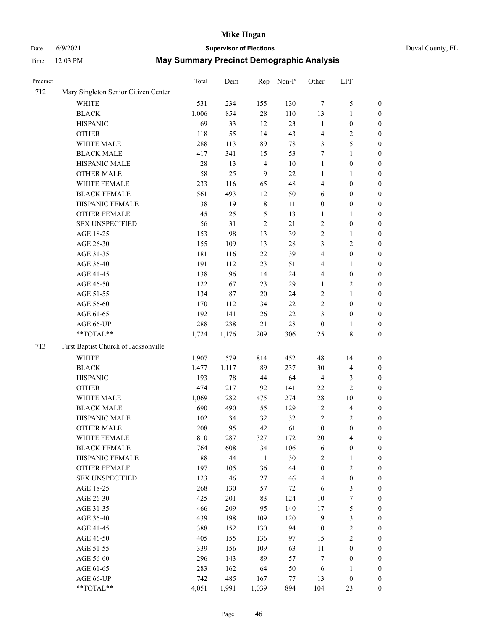# Date 6/9/2021 **Supervisor of Elections** Duval County, FL

| Precinct |                                      | Total | Dem    | Rep            | Non-P  | Other            | LPF                     |                  |
|----------|--------------------------------------|-------|--------|----------------|--------|------------------|-------------------------|------------------|
| 712      | Mary Singleton Senior Citizen Center |       |        |                |        |                  |                         |                  |
|          | <b>WHITE</b>                         | 531   | 234    | 155            | 130    | 7                | $\mathfrak{S}$          | 0                |
|          | <b>BLACK</b>                         | 1,006 | 854    | $28\,$         | 110    | 13               | $\mathbf{1}$            | $\boldsymbol{0}$ |
|          | <b>HISPANIC</b>                      | 69    | 33     | 12             | 23     | $\mathbf{1}$     | $\boldsymbol{0}$        | $\boldsymbol{0}$ |
|          | <b>OTHER</b>                         | 118   | 55     | 14             | 43     | 4                | $\sqrt{2}$              | $\boldsymbol{0}$ |
|          | WHITE MALE                           | 288   | 113    | 89             | $78\,$ | 3                | 5                       | $\boldsymbol{0}$ |
|          | <b>BLACK MALE</b>                    | 417   | 341    | 15             | 53     | 7                | $\mathbf{1}$            | $\boldsymbol{0}$ |
|          | HISPANIC MALE                        | 28    | 13     | $\overline{4}$ | $10\,$ | $\mathbf{1}$     | $\boldsymbol{0}$        | $\boldsymbol{0}$ |
|          | <b>OTHER MALE</b>                    | 58    | 25     | $\overline{9}$ | $22\,$ | 1                | 1                       | $\boldsymbol{0}$ |
|          | WHITE FEMALE                         | 233   | 116    | 65             | 48     | 4                | $\boldsymbol{0}$        | $\boldsymbol{0}$ |
|          | <b>BLACK FEMALE</b>                  | 561   | 493    | 12             | 50     | 6                | $\boldsymbol{0}$        | 0                |
|          | HISPANIC FEMALE                      | 38    | 19     | $\,$ 8 $\,$    | 11     | $\boldsymbol{0}$ | $\boldsymbol{0}$        | $\boldsymbol{0}$ |
|          | OTHER FEMALE                         | 45    | 25     | $\mathfrak{S}$ | 13     | 1                | $\mathbf{1}$            | $\boldsymbol{0}$ |
|          | <b>SEX UNSPECIFIED</b>               | 56    | 31     | $\sqrt{2}$     | 21     | $\sqrt{2}$       | $\boldsymbol{0}$        | $\boldsymbol{0}$ |
|          | AGE 18-25                            | 153   | 98     | 13             | 39     | 2                | $\mathbf{1}$            | $\boldsymbol{0}$ |
|          | AGE 26-30                            | 155   | 109    | 13             | $28\,$ | 3                | $\mathfrak{2}$          | $\boldsymbol{0}$ |
|          | AGE 31-35                            | 181   | 116    | 22             | 39     | 4                | $\boldsymbol{0}$        | $\boldsymbol{0}$ |
|          | AGE 36-40                            | 191   | 112    | 23             | 51     | 4                | $\mathbf{1}$            | $\boldsymbol{0}$ |
|          | AGE 41-45                            | 138   | 96     | 14             | 24     | 4                | $\boldsymbol{0}$        | $\boldsymbol{0}$ |
|          | AGE 46-50                            | 122   | 67     | 23             | 29     | $\mathbf{1}$     | $\sqrt{2}$              | $\boldsymbol{0}$ |
|          | AGE 51-55                            | 134   | 87     | 20             | 24     | 2                | $\mathbf{1}$            | 0                |
|          | AGE 56-60                            | 170   | 112    | 34             | 22     | 2                | $\boldsymbol{0}$        | 0                |
|          | AGE 61-65                            | 192   | 141    | 26             | $22\,$ | 3                | $\boldsymbol{0}$        | $\boldsymbol{0}$ |
|          | AGE 66-UP                            | 288   | 238    | 21             | $28\,$ | $\boldsymbol{0}$ | 1                       | $\boldsymbol{0}$ |
|          | **TOTAL**                            | 1,724 | 1,176  | 209            | 306    | 25               | $8\,$                   | $\boldsymbol{0}$ |
| 713      | First Baptist Church of Jacksonville |       |        |                |        |                  |                         |                  |
|          | WHITE                                | 1,907 | 579    | 814            | 452    | 48               | 14                      | $\boldsymbol{0}$ |
|          | <b>BLACK</b>                         | 1,477 | 1,117  | 89             | 237    | 30               | $\overline{\mathbf{4}}$ | $\boldsymbol{0}$ |
|          | <b>HISPANIC</b>                      | 193   | $78\,$ | 44             | 64     | 4                | $\mathfrak{Z}$          | $\boldsymbol{0}$ |
|          | <b>OTHER</b>                         | 474   | 217    | 92             | 141    | $22\,$           | $\sqrt{2}$              | $\boldsymbol{0}$ |
|          | WHITE MALE                           | 1,069 | 282    | 475            | 274    | $28\,$           | $10\,$                  | $\boldsymbol{0}$ |
|          | <b>BLACK MALE</b>                    | 690   | 490    | 55             | 129    | 12               | $\overline{\mathbf{4}}$ | $\boldsymbol{0}$ |
|          | HISPANIC MALE                        | 102   | 34     | 32             | 32     | $\sqrt{2}$       | $\overline{2}$          | 0                |
|          | <b>OTHER MALE</b>                    | 208   | 95     | 42             | 61     | 10               | $\boldsymbol{0}$        | $\boldsymbol{0}$ |
|          | WHITE FEMALE                         | 810   | 287    | 327            | 172    | 20               | $\overline{\mathbf{4}}$ | $\overline{0}$   |
|          | <b>BLACK FEMALE</b>                  | 764   | 608    | 34             | 106    | 16               | $\boldsymbol{0}$        | $\overline{0}$   |
|          | HISPANIC FEMALE                      | 88    | 44     | $11\,$         | $30\,$ | $\overline{c}$   | $\mathbf{1}$            | $\boldsymbol{0}$ |
|          | <b>OTHER FEMALE</b>                  | 197   | 105    | 36             | $44\,$ | 10               | $\sqrt{2}$              | $\overline{0}$   |
|          | <b>SEX UNSPECIFIED</b>               | 123   | 46     | 27             | 46     | 4                | $\boldsymbol{0}$        | 0                |
|          | AGE 18-25                            | 268   | 130    | 57             | 72     | 6                | $\mathfrak{Z}$          | 0                |
|          | AGE 26-30                            | 425   | 201    | 83             | 124    | $10\,$           | $\boldsymbol{7}$        | 0                |
|          | AGE 31-35                            | 466   | 209    | 95             | 140    | 17               | $\mathfrak s$           | 0                |
|          | AGE 36-40                            | 439   | 198    | 109            | 120    | $\overline{9}$   | $\mathfrak{Z}$          | 0                |
|          | AGE 41-45                            | 388   | 152    | 130            | 94     | 10               | $\sqrt{2}$              | 0                |
|          | AGE 46-50                            | 405   | 155    | 136            | 97     | 15               | $\sqrt{2}$              | 0                |
|          | AGE 51-55                            | 339   | 156    | 109            | 63     | $11\,$           | $\boldsymbol{0}$        | $\boldsymbol{0}$ |
|          | AGE 56-60                            | 296   | 143    | 89             | 57     | 7                | $\boldsymbol{0}$        | $\boldsymbol{0}$ |
|          | AGE 61-65                            | 283   | 162    | 64             | 50     | 6                | 1                       | 0                |
|          | AGE 66-UP                            | 742   | 485    | 167            | 77     | 13               | $\boldsymbol{0}$        | 0                |
|          | **TOTAL**                            | 4,051 | 1,991  | 1,039          | 894    | 104              | 23                      | $\overline{0}$   |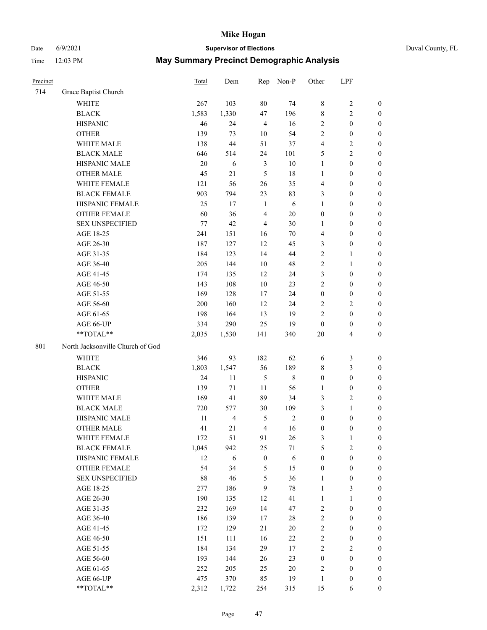# Date 6/9/2021 **Supervisor of Elections** Duval County, FL

| Precinct |                                  | <b>Total</b> | Dem                     | Rep              | Non-P      | Other            | LPF              |                  |
|----------|----------------------------------|--------------|-------------------------|------------------|------------|------------------|------------------|------------------|
| 714      | Grace Baptist Church             |              |                         |                  |            |                  |                  |                  |
|          | <b>WHITE</b>                     | 267          | 103                     | 80               | 74         | 8                | $\sqrt{2}$       | 0                |
|          | <b>BLACK</b>                     | 1,583        | 1,330                   | 47               | 196        | 8                | $\sqrt{2}$       | 0                |
|          | <b>HISPANIC</b>                  | 46           | 24                      | $\overline{4}$   | 16         | $\overline{2}$   | $\boldsymbol{0}$ | $\boldsymbol{0}$ |
|          | <b>OTHER</b>                     | 139          | 73                      | 10               | 54         | 2                | $\boldsymbol{0}$ | $\boldsymbol{0}$ |
|          | WHITE MALE                       | 138          | 44                      | 51               | 37         | 4                | $\sqrt{2}$       | $\boldsymbol{0}$ |
|          | <b>BLACK MALE</b>                | 646          | 514                     | 24               | 101        | 5                | $\sqrt{2}$       | $\boldsymbol{0}$ |
|          | HISPANIC MALE                    | 20           | 6                       | $\mathfrak{Z}$   | $10\,$     | 1                | $\boldsymbol{0}$ | $\boldsymbol{0}$ |
|          | <b>OTHER MALE</b>                | 45           | $21\,$                  | $\mathfrak{S}$   | 18         | $\mathbf{1}$     | $\boldsymbol{0}$ | $\boldsymbol{0}$ |
|          | WHITE FEMALE                     | 121          | 56                      | 26               | 35         | 4                | $\boldsymbol{0}$ | $\boldsymbol{0}$ |
|          | <b>BLACK FEMALE</b>              | 903          | 794                     | 23               | 83         | 3                | $\boldsymbol{0}$ | $\boldsymbol{0}$ |
|          | HISPANIC FEMALE                  | 25           | 17                      | $\mathbf{1}$     | 6          | $\mathbf{1}$     | $\boldsymbol{0}$ | 0                |
|          | <b>OTHER FEMALE</b>              | 60           | 36                      | $\overline{4}$   | $20\,$     | $\boldsymbol{0}$ | $\boldsymbol{0}$ | $\boldsymbol{0}$ |
|          | <b>SEX UNSPECIFIED</b>           | 77           | 42                      | $\overline{4}$   | 30         | $\mathbf{1}$     | $\boldsymbol{0}$ | $\boldsymbol{0}$ |
|          | AGE 18-25                        | 241          | 151                     | 16               | $70\,$     | 4                | $\boldsymbol{0}$ | $\boldsymbol{0}$ |
|          | AGE 26-30                        | 187          | 127                     | 12               | 45         | 3                | $\boldsymbol{0}$ | $\boldsymbol{0}$ |
|          | AGE 31-35                        | 184          | 123                     | 14               | 44         | $\overline{c}$   | $\mathbf{1}$     | $\boldsymbol{0}$ |
|          | AGE 36-40                        | 205          | 144                     | $10\,$           | 48         | $\overline{c}$   | $\mathbf{1}$     | $\boldsymbol{0}$ |
|          | AGE 41-45                        | 174          | 135                     | 12               | 24         | 3                | $\boldsymbol{0}$ | $\boldsymbol{0}$ |
|          | AGE 46-50                        | 143          | 108                     | $10\,$           | 23         | $\overline{2}$   | $\boldsymbol{0}$ | $\boldsymbol{0}$ |
|          | AGE 51-55                        | 169          | 128                     | 17               | 24         | $\boldsymbol{0}$ | $\boldsymbol{0}$ | $\boldsymbol{0}$ |
|          | AGE 56-60                        | 200          | 160                     | 12               | 24         | 2                | $\sqrt{2}$       | 0                |
|          | AGE 61-65                        | 198          | 164                     | 13               | 19         | $\overline{c}$   | $\boldsymbol{0}$ | $\boldsymbol{0}$ |
|          | AGE 66-UP                        | 334          | 290                     | 25               | 19         | $\boldsymbol{0}$ | $\boldsymbol{0}$ | $\boldsymbol{0}$ |
|          | **TOTAL**                        | 2,035        | 1,530                   | 141              | 340        | $20\,$           | $\overline{4}$   | $\boldsymbol{0}$ |
| 801      | North Jacksonville Church of God |              |                         |                  |            |                  |                  |                  |
|          | <b>WHITE</b>                     | 346          | 93                      | 182              | 62         | 6                | $\mathfrak z$    | $\boldsymbol{0}$ |
|          | <b>BLACK</b>                     | 1,803        | 1,547                   | 56               | 189        | 8                | $\mathfrak{Z}$   | $\boldsymbol{0}$ |
|          | <b>HISPANIC</b>                  | 24           | 11                      | $\mathfrak{S}$   | $\,8\,$    | $\boldsymbol{0}$ | $\boldsymbol{0}$ | $\boldsymbol{0}$ |
|          | <b>OTHER</b>                     | 139          | 71                      | 11               | 56         | $\mathbf{1}$     | $\boldsymbol{0}$ | $\boldsymbol{0}$ |
|          | WHITE MALE                       | 169          | 41                      | 89               | 34         | 3                | $\mathfrak{2}$   | $\boldsymbol{0}$ |
|          | <b>BLACK MALE</b>                | 720          | 577                     | 30               | 109        | 3                | $\mathbf{1}$     | $\boldsymbol{0}$ |
|          | HISPANIC MALE                    | $11\,$       | $\overline{\mathbf{4}}$ | 5                | $\sqrt{2}$ | $\boldsymbol{0}$ | $\boldsymbol{0}$ | 0                |
|          | <b>OTHER MALE</b>                | 41           | 21                      | $\overline{4}$   | 16         | $\boldsymbol{0}$ | $\boldsymbol{0}$ | $\boldsymbol{0}$ |
|          | WHITE FEMALE                     | 172          | 51                      | 91               | 26         | 3                | 1                | 0                |
|          | <b>BLACK FEMALE</b>              | 1,045        | 942                     | 25               | 71         | 5                | $\sqrt{2}$       | $\overline{0}$   |
|          | HISPANIC FEMALE                  | 12           | 6                       | $\boldsymbol{0}$ | $\sqrt{6}$ | $\boldsymbol{0}$ | $\boldsymbol{0}$ | $\overline{0}$   |
|          | OTHER FEMALE                     | 54           | 34                      | 5                | 15         | $\boldsymbol{0}$ | $\boldsymbol{0}$ | $\overline{0}$   |
|          | <b>SEX UNSPECIFIED</b>           | $88\,$       | 46                      | 5                | 36         | $\mathbf{1}$     | $\boldsymbol{0}$ | 0                |
|          | AGE 18-25                        | 277          | 186                     | $\mathbf{9}$     | $78\,$     | $\mathbf{1}$     | 3                | 0                |
|          | AGE 26-30                        | 190          | 135                     | 12               | 41         | $\mathbf{1}$     | $\mathbf{1}$     | 0                |
|          | AGE 31-35                        | 232          | 169                     | 14               | 47         | $\overline{c}$   | $\boldsymbol{0}$ | 0                |
|          | AGE 36-40                        | 186          | 139                     | 17               | $28\,$     | 2                | $\boldsymbol{0}$ | 0                |
|          | AGE 41-45                        | 172          | 129                     | 21               | $20\,$     | $\overline{c}$   | $\boldsymbol{0}$ | 0                |
|          | AGE 46-50                        | 151          | 111                     | 16               | 22         | 2                | $\boldsymbol{0}$ | 0                |
|          | AGE 51-55                        | 184          | 134                     | 29               | 17         | $\overline{c}$   | $\sqrt{2}$       | $\overline{0}$   |
|          | AGE 56-60                        | 193          | 144                     | 26               | 23         | $\boldsymbol{0}$ | $\boldsymbol{0}$ | $\overline{0}$   |
|          | AGE 61-65                        | 252          | 205                     | 25               | $20\,$     | 2                | $\boldsymbol{0}$ | $\overline{0}$   |
|          | AGE 66-UP                        | 475          | 370                     | 85               | 19         | $\mathbf{1}$     | $\boldsymbol{0}$ | 0                |
|          | **TOTAL**                        | 2,312        | 1,722                   | 254              | 315        | 15               | 6                | $\boldsymbol{0}$ |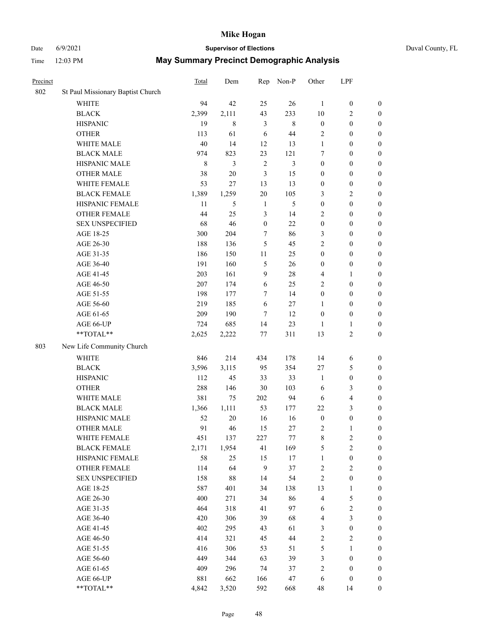## Date 6/9/2021 **Supervisor of Elections** Duval County, FL

| Precinct |                                   | Total       | Dem         | Rep              | Non-P          | Other            | LPF                     |                  |
|----------|-----------------------------------|-------------|-------------|------------------|----------------|------------------|-------------------------|------------------|
| 802      | St Paul Missionary Baptist Church |             |             |                  |                |                  |                         |                  |
|          | <b>WHITE</b>                      | 94          | 42          | 25               | 26             | $\mathbf{1}$     | $\boldsymbol{0}$        | $\boldsymbol{0}$ |
|          | <b>BLACK</b>                      | 2,399       | 2,111       | 43               | 233            | 10               | $\overline{c}$          | $\boldsymbol{0}$ |
|          | <b>HISPANIC</b>                   | 19          | $\,$ 8 $\,$ | 3                | $\,8\,$        | $\boldsymbol{0}$ | $\boldsymbol{0}$        | $\boldsymbol{0}$ |
|          | <b>OTHER</b>                      | 113         | 61          | 6                | 44             | 2                | $\boldsymbol{0}$        | $\boldsymbol{0}$ |
|          | WHITE MALE                        | 40          | 14          | 12               | 13             | $\mathbf{1}$     | $\boldsymbol{0}$        | $\boldsymbol{0}$ |
|          | <b>BLACK MALE</b>                 | 974         | 823         | 23               | 121            | 7                | $\boldsymbol{0}$        | $\boldsymbol{0}$ |
|          | HISPANIC MALE                     | $\,$ 8 $\,$ | 3           | $\sqrt{2}$       | $\mathfrak{Z}$ | $\boldsymbol{0}$ | $\boldsymbol{0}$        | $\boldsymbol{0}$ |
|          | <b>OTHER MALE</b>                 | 38          | $20\,$      | $\mathfrak{Z}$   | 15             | $\boldsymbol{0}$ | $\boldsymbol{0}$        | $\boldsymbol{0}$ |
|          | WHITE FEMALE                      | 53          | 27          | 13               | 13             | $\boldsymbol{0}$ | $\boldsymbol{0}$        | $\boldsymbol{0}$ |
|          | <b>BLACK FEMALE</b>               | 1,389       | 1,259       | 20               | 105            | 3                | $\mathbf{2}$            | 0                |
|          | HISPANIC FEMALE                   | 11          | 5           | $\mathbf{1}$     | 5              | $\boldsymbol{0}$ | $\boldsymbol{0}$        | $\boldsymbol{0}$ |
|          | OTHER FEMALE                      | 44          | 25          | $\mathfrak{Z}$   | 14             | 2                | $\boldsymbol{0}$        | $\boldsymbol{0}$ |
|          | <b>SEX UNSPECIFIED</b>            | 68          | 46          | $\boldsymbol{0}$ | 22             | $\boldsymbol{0}$ | $\boldsymbol{0}$        | $\boldsymbol{0}$ |
|          | AGE 18-25                         | 300         | 204         | $\tau$           | 86             | 3                | $\boldsymbol{0}$        | $\boldsymbol{0}$ |
|          | AGE 26-30                         | 188         | 136         | 5                | 45             | 2                | $\boldsymbol{0}$        | $\boldsymbol{0}$ |
|          | AGE 31-35                         | 186         | 150         | 11               | 25             | $\boldsymbol{0}$ | $\boldsymbol{0}$        | $\boldsymbol{0}$ |
|          | AGE 36-40                         | 191         | 160         | 5                | 26             | $\boldsymbol{0}$ | $\boldsymbol{0}$        | $\boldsymbol{0}$ |
|          | AGE 41-45                         | 203         | 161         | $\overline{9}$   | 28             | 4                | 1                       | $\boldsymbol{0}$ |
|          | AGE 46-50                         | 207         | 174         | 6                | 25             | 2                | $\boldsymbol{0}$        | $\boldsymbol{0}$ |
|          | AGE 51-55                         | 198         | 177         | $\tau$           | 14             | $\boldsymbol{0}$ | $\boldsymbol{0}$        | 0                |
|          | AGE 56-60                         | 219         | 185         | 6                | 27             | 1                | $\boldsymbol{0}$        | $\boldsymbol{0}$ |
|          | AGE 61-65                         | 209         | 190         | 7                | 12             | $\boldsymbol{0}$ | $\boldsymbol{0}$        | $\boldsymbol{0}$ |
|          | AGE 66-UP                         | 724         | 685         | 14               | 23             | 1                | 1                       | $\boldsymbol{0}$ |
|          | **TOTAL**                         | 2,625       | 2,222       | 77               | 311            | 13               | $\sqrt{2}$              | $\boldsymbol{0}$ |
| 803      | New Life Community Church         |             |             |                  |                |                  |                         |                  |
|          | <b>WHITE</b>                      | 846         | 214         | 434              | 178            | 14               | 6                       | $\boldsymbol{0}$ |
|          | <b>BLACK</b>                      | 3,596       | 3,115       | 95               | 354            | 27               | 5                       | $\boldsymbol{0}$ |
|          | <b>HISPANIC</b>                   | 112         | 45          | 33               | 33             | $\mathbf{1}$     | $\boldsymbol{0}$        | $\boldsymbol{0}$ |
|          | <b>OTHER</b>                      | 288         | 146         | 30               | 103            | 6                | $\mathfrak{Z}$          | $\boldsymbol{0}$ |
|          | WHITE MALE                        | 381         | 75          | 202              | 94             | 6                | $\overline{\mathbf{4}}$ | $\boldsymbol{0}$ |
|          | <b>BLACK MALE</b>                 | 1,366       | 1,111       | 53               | 177            | 22               | $\mathfrak{Z}$          | $\boldsymbol{0}$ |
|          | HISPANIC MALE                     | 52          | 20          | 16               | 16             | $\boldsymbol{0}$ | $\boldsymbol{0}$        | 0                |
|          | <b>OTHER MALE</b>                 | 91          | 46          | 15               | 27             | 2                | 1                       | $\boldsymbol{0}$ |
|          | WHITE FEMALE                      | 451         | 137         | 227              | $77\,$         | 8                | $\overline{c}$          | $\boldsymbol{0}$ |
|          | <b>BLACK FEMALE</b>               | 2,171       | 1,954       | 41               | 169            | 5                | $\sqrt{2}$              | $\boldsymbol{0}$ |
|          | HISPANIC FEMALE                   | 58          | 25          | 15               | 17             | $\mathbf{1}$     | $\boldsymbol{0}$        | $\overline{0}$   |
|          | OTHER FEMALE                      | 114         | 64          | $\mathbf{9}$     | 37             | 2                | $\sqrt{2}$              | 0                |
|          | <b>SEX UNSPECIFIED</b>            | 158         | $88\,$      | 14               | 54             | $\overline{c}$   | $\boldsymbol{0}$        | 0                |
|          | AGE 18-25                         | 587         | 401         | 34               | 138            | 13               | $\mathbf{1}$            | 0                |
|          | AGE 26-30                         | 400         | 271         | 34               | 86             | 4                | $\mathfrak s$           | 0                |
|          | AGE 31-35                         | 464         | 318         | 41               | 97             | 6                | $\sqrt{2}$              | 0                |
|          | AGE 36-40                         | 420         | 306         | 39               | 68             | 4                | $\mathfrak{Z}$          | 0                |
|          | AGE 41-45                         | 402         | 295         | 43               | 61             | 3                | $\boldsymbol{0}$        | 0                |
|          | AGE 46-50                         | 414         | 321         | 45               | $44\,$         | 2                | $\sqrt{2}$              | 0                |
|          | AGE 51-55                         | 416         | 306         | 53               | 51             | 5                | 1                       | $\boldsymbol{0}$ |
|          | AGE 56-60                         | 449         | 344         | 63               | 39             | 3                | $\boldsymbol{0}$        | $\boldsymbol{0}$ |
|          | AGE 61-65                         | 409         | 296         | 74               | 37             | 2                | $\boldsymbol{0}$        | 0                |
|          | AGE 66-UP                         | 881         | 662         | 166              | 47             | 6                | $\boldsymbol{0}$        | 0                |
|          | **TOTAL**                         | 4,842       | 3,520       | 592              | 668            | 48               | 14                      | $\boldsymbol{0}$ |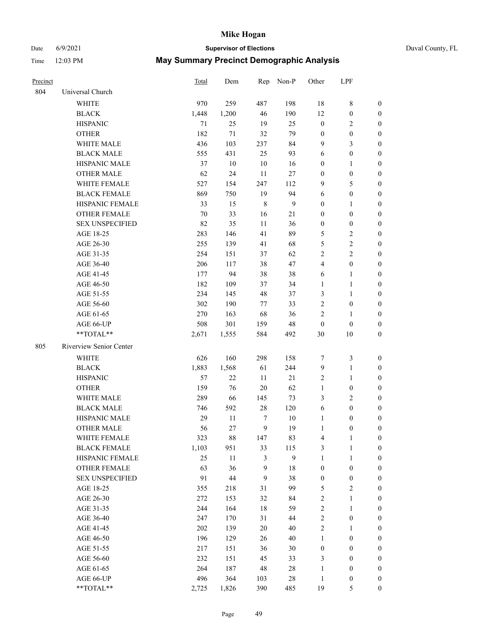# Date 6/9/2021 **Supervisor of Elections** Duval County, FL

| Precinct |                         | Total | Dem   |              | Rep Non-P    | Other            | LPF              |                  |
|----------|-------------------------|-------|-------|--------------|--------------|------------------|------------------|------------------|
| 804      | Universal Church        |       |       |              |              |                  |                  |                  |
|          | <b>WHITE</b>            | 970   | 259   | 487          | 198          | 18               | $\,$ 8 $\,$      | 0                |
|          | <b>BLACK</b>            | 1,448 | 1,200 | 46           | 190          | 12               | $\boldsymbol{0}$ | $\boldsymbol{0}$ |
|          | <b>HISPANIC</b>         | 71    | 25    | 19           | 25           | $\boldsymbol{0}$ | $\mathbf{2}$     | 0                |
|          | <b>OTHER</b>            | 182   | 71    | 32           | 79           | $\boldsymbol{0}$ | $\boldsymbol{0}$ | $\boldsymbol{0}$ |
|          | WHITE MALE              | 436   | 103   | 237          | 84           | 9                | 3                | $\boldsymbol{0}$ |
|          | <b>BLACK MALE</b>       | 555   | 431   | 25           | 93           | 6                | $\boldsymbol{0}$ | $\boldsymbol{0}$ |
|          | HISPANIC MALE           | 37    | 10    | 10           | 16           | $\boldsymbol{0}$ | $\mathbf{1}$     | $\boldsymbol{0}$ |
|          | <b>OTHER MALE</b>       | 62    | 24    | 11           | 27           | $\boldsymbol{0}$ | $\boldsymbol{0}$ | $\boldsymbol{0}$ |
|          | WHITE FEMALE            | 527   | 154   | 247          | 112          | 9                | 5                | $\boldsymbol{0}$ |
|          | <b>BLACK FEMALE</b>     | 869   | 750   | 19           | 94           | 6                | $\boldsymbol{0}$ | 0                |
|          | HISPANIC FEMALE         | 33    | 15    | $\,$ 8 $\,$  | $\mathbf{9}$ | $\boldsymbol{0}$ | $\mathbf{1}$     | 0                |
|          | <b>OTHER FEMALE</b>     | 70    | 33    | 16           | 21           | $\boldsymbol{0}$ | $\boldsymbol{0}$ | 0                |
|          | <b>SEX UNSPECIFIED</b>  | 82    | 35    | 11           | 36           | $\boldsymbol{0}$ | $\boldsymbol{0}$ | $\boldsymbol{0}$ |
|          | AGE 18-25               | 283   | 146   | 41           | 89           | 5                | $\sqrt{2}$       | $\boldsymbol{0}$ |
|          | AGE 26-30               | 255   | 139   | 41           | 68           | 5                | $\sqrt{2}$       | $\boldsymbol{0}$ |
|          | AGE 31-35               | 254   | 151   | 37           | 62           | $\overline{c}$   | $\sqrt{2}$       | $\boldsymbol{0}$ |
|          | AGE 36-40               | 206   | 117   | 38           | 47           | 4                | $\boldsymbol{0}$ | $\boldsymbol{0}$ |
|          | AGE 41-45               | 177   | 94    | 38           | 38           | 6                | $\mathbf{1}$     | $\boldsymbol{0}$ |
|          | AGE 46-50               | 182   | 109   | 37           | 34           | $\mathbf{1}$     | $\mathbf{1}$     | $\boldsymbol{0}$ |
|          | AGE 51-55               | 234   | 145   | 48           | 37           | 3                | $\mathbf{1}$     | 0                |
|          | AGE 56-60               | 302   | 190   | 77           | 33           | $\overline{c}$   | $\boldsymbol{0}$ | 0                |
|          | AGE 61-65               | 270   | 163   | 68           | 36           | 2                | $\mathbf{1}$     | 0                |
|          | AGE 66-UP               | 508   | 301   | 159          | 48           | $\boldsymbol{0}$ | $\boldsymbol{0}$ | 0                |
|          | $**TOTAL**$             | 2,671 | 1,555 | 584          | 492          | 30               | 10               | $\boldsymbol{0}$ |
| 805      | Riverview Senior Center |       |       |              |              |                  |                  |                  |
|          | <b>WHITE</b>            | 626   | 160   | 298          | 158          | 7                | $\mathfrak{Z}$   | $\boldsymbol{0}$ |
|          | <b>BLACK</b>            | 1,883 | 1,568 | 61           | 244          | 9                | $\mathbf{1}$     | $\boldsymbol{0}$ |
|          | <b>HISPANIC</b>         | 57    | 22    | 11           | $21\,$       | 2                | $\mathbf{1}$     | $\boldsymbol{0}$ |
|          | <b>OTHER</b>            | 159   | 76    | 20           | 62           | $\mathbf{1}$     | $\boldsymbol{0}$ | $\boldsymbol{0}$ |
|          | WHITE MALE              | 289   | 66    | 145          | 73           | 3                | $\mathfrak{2}$   | $\overline{0}$   |
|          | <b>BLACK MALE</b>       | 746   | 592   | $28\,$       | 120          | 6                | $\boldsymbol{0}$ | $\boldsymbol{0}$ |
|          | HISPANIC MALE           | 29    | 11    | 7            | $10\,$       | $\mathbf{1}$     | $\boldsymbol{0}$ | 0                |
|          | <b>OTHER MALE</b>       | 56    | 27    | 9            | 19           | $\mathbf{1}$     | $\boldsymbol{0}$ | 0                |
|          | WHITE FEMALE            | 323   | 88    | 147          | 83           | 4                | 1                | 0                |
|          | <b>BLACK FEMALE</b>     | 1,103 | 951   | 33           | 115          | 3                | $\mathbf{1}$     | $\boldsymbol{0}$ |
|          | HISPANIC FEMALE         | 25    | 11    | 3            | $\mathbf{9}$ | $\mathbf{1}$     | $\mathbf{1}$     | $\overline{0}$   |
|          | OTHER FEMALE            | 63    | 36    | 9            | 18           | $\boldsymbol{0}$ | $\boldsymbol{0}$ | $\overline{0}$   |
|          | <b>SEX UNSPECIFIED</b>  | 91    | 44    | $\mathbf{9}$ | 38           | $\boldsymbol{0}$ | $\boldsymbol{0}$ | 0                |
|          | AGE 18-25               | 355   | 218   | 31           | 99           | 5                | $\sqrt{2}$       | 0                |
|          | AGE 26-30               | 272   | 153   | 32           | 84           | 2                | $\mathbf{1}$     | 0                |
|          | AGE 31-35               | 244   | 164   | 18           | 59           | $\overline{c}$   | $\mathbf{1}$     | 0                |
|          | AGE 36-40               | 247   | 170   | 31           | $44\,$       | $\overline{c}$   | $\boldsymbol{0}$ | 0                |
|          | AGE 41-45               | 202   | 139   | 20           | 40           | 2                | 1                | 0                |
|          | AGE 46-50               | 196   | 129   | 26           | 40           | $\mathbf{1}$     | $\boldsymbol{0}$ | 0                |
|          | AGE 51-55               | 217   | 151   | 36           | $30\,$       | $\boldsymbol{0}$ | $\boldsymbol{0}$ | 0                |
|          | AGE 56-60               | 232   | 151   | 45           | 33           | 3                | $\boldsymbol{0}$ | $\boldsymbol{0}$ |
|          | AGE 61-65               | 264   | 187   | 48           | 28           | 1                | $\boldsymbol{0}$ | $\overline{0}$   |
|          | AGE 66-UP               | 496   | 364   | 103          | $28\,$       | $\mathbf{1}$     | $\boldsymbol{0}$ | 0                |
|          | **TOTAL**               | 2,725 | 1,826 | 390          | 485          | 19               | $\mathfrak{S}$   | $\boldsymbol{0}$ |
|          |                         |       |       |              |              |                  |                  |                  |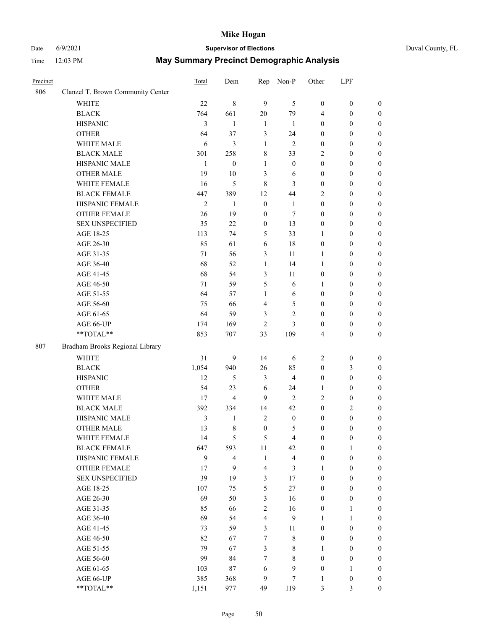# Date 6/9/2021 **Supervisor of Elections** Duval County, FL

| Precinct |                                   | Total          | Dem                     | Rep              | Non-P                   | Other            | LPF              |                  |
|----------|-----------------------------------|----------------|-------------------------|------------------|-------------------------|------------------|------------------|------------------|
| 806      | Clanzel T. Brown Community Center |                |                         |                  |                         |                  |                  |                  |
|          | <b>WHITE</b>                      | 22             | $\,8\,$                 | 9                | 5                       | $\boldsymbol{0}$ | $\boldsymbol{0}$ | $\boldsymbol{0}$ |
|          | <b>BLACK</b>                      | 764            | 661                     | 20               | 79                      | 4                | $\boldsymbol{0}$ | $\boldsymbol{0}$ |
|          | <b>HISPANIC</b>                   | 3              | 1                       | $\mathbf{1}$     | 1                       | $\boldsymbol{0}$ | $\boldsymbol{0}$ | $\boldsymbol{0}$ |
|          | <b>OTHER</b>                      | 64             | 37                      | 3                | 24                      | $\boldsymbol{0}$ | $\boldsymbol{0}$ | $\boldsymbol{0}$ |
|          | WHITE MALE                        | 6              | 3                       | $\mathbf{1}$     | $\mathbf{2}$            | $\boldsymbol{0}$ | $\boldsymbol{0}$ | $\boldsymbol{0}$ |
|          | <b>BLACK MALE</b>                 | 301            | 258                     | $\,$ 8 $\,$      | 33                      | 2                | $\boldsymbol{0}$ | $\boldsymbol{0}$ |
|          | HISPANIC MALE                     | $\mathbf{1}$   | $\boldsymbol{0}$        | $\mathbf{1}$     | $\boldsymbol{0}$        | $\boldsymbol{0}$ | $\boldsymbol{0}$ | $\boldsymbol{0}$ |
|          | <b>OTHER MALE</b>                 | 19             | 10                      | 3                | 6                       | $\boldsymbol{0}$ | $\boldsymbol{0}$ | $\boldsymbol{0}$ |
|          | WHITE FEMALE                      | 16             | 5                       | $\,8\,$          | 3                       | $\boldsymbol{0}$ | $\boldsymbol{0}$ | $\boldsymbol{0}$ |
|          | <b>BLACK FEMALE</b>               | 447            | 389                     | 12               | 44                      | 2                | $\boldsymbol{0}$ | $\boldsymbol{0}$ |
|          | HISPANIC FEMALE                   | $\mathfrak{2}$ | 1                       | $\boldsymbol{0}$ | $\mathbf{1}$            | $\boldsymbol{0}$ | $\boldsymbol{0}$ | $\boldsymbol{0}$ |
|          | OTHER FEMALE                      | 26             | 19                      | $\boldsymbol{0}$ | 7                       | $\boldsymbol{0}$ | $\boldsymbol{0}$ | $\boldsymbol{0}$ |
|          | <b>SEX UNSPECIFIED</b>            | 35             | 22                      | $\boldsymbol{0}$ | 13                      | $\boldsymbol{0}$ | $\boldsymbol{0}$ | $\boldsymbol{0}$ |
|          | AGE 18-25                         | 113            | 74                      | 5                | 33                      | 1                | $\boldsymbol{0}$ | $\boldsymbol{0}$ |
|          | AGE 26-30                         | 85             | 61                      | 6                | 18                      | $\boldsymbol{0}$ | $\boldsymbol{0}$ | $\boldsymbol{0}$ |
|          | AGE 31-35                         | 71             | 56                      | 3                | 11                      | $\mathbf{1}$     | $\boldsymbol{0}$ | $\boldsymbol{0}$ |
|          | AGE 36-40                         | 68             | 52                      | $\mathbf{1}$     | 14                      | $\mathbf{1}$     | $\boldsymbol{0}$ | $\boldsymbol{0}$ |
|          | AGE 41-45                         | 68             | 54                      | $\mathfrak{Z}$   | 11                      | $\boldsymbol{0}$ | $\boldsymbol{0}$ | 0                |
|          | AGE 46-50                         | 71             | 59                      | 5                | 6                       | 1                | $\boldsymbol{0}$ | $\boldsymbol{0}$ |
|          | AGE 51-55                         | 64             | 57                      | 1                | 6                       | $\boldsymbol{0}$ | $\boldsymbol{0}$ | $\boldsymbol{0}$ |
|          | AGE 56-60                         | 75             | 66                      | $\overline{4}$   | 5                       | $\boldsymbol{0}$ | $\boldsymbol{0}$ | $\boldsymbol{0}$ |
|          | AGE 61-65                         | 64             | 59                      | 3                | $\overline{c}$          | $\boldsymbol{0}$ | $\boldsymbol{0}$ | $\boldsymbol{0}$ |
|          | AGE 66-UP                         | 174            | 169                     | $\overline{c}$   | 3                       | $\boldsymbol{0}$ | $\boldsymbol{0}$ | $\boldsymbol{0}$ |
|          | **TOTAL**                         | 853            | 707                     | 33               | 109                     | 4                | $\boldsymbol{0}$ | $\boldsymbol{0}$ |
| 807      | Bradham Brooks Regional Library   |                |                         |                  |                         |                  |                  |                  |
|          | <b>WHITE</b>                      | 31             | 9                       | 14               | 6                       | 2                | $\boldsymbol{0}$ | $\boldsymbol{0}$ |
|          | <b>BLACK</b>                      | 1,054          | 940                     | 26               | 85                      | $\boldsymbol{0}$ | $\mathfrak{Z}$   | $\boldsymbol{0}$ |
|          | <b>HISPANIC</b>                   | 12             | 5                       | 3                | $\overline{\mathbf{4}}$ | $\boldsymbol{0}$ | $\boldsymbol{0}$ | $\boldsymbol{0}$ |
|          | <b>OTHER</b>                      | 54             | 23                      | 6                | 24                      | 1                | $\boldsymbol{0}$ | $\boldsymbol{0}$ |
|          | WHITE MALE                        | 17             | $\overline{4}$          | 9                | $\overline{2}$          | 2                | $\boldsymbol{0}$ | 0                |
|          | <b>BLACK MALE</b>                 | 392            | 334                     | 14               | 42                      | $\boldsymbol{0}$ | $\overline{2}$   | 0                |
|          | HISPANIC MALE                     | 3              | 1                       | $\mathbf{2}$     | $\boldsymbol{0}$        | $\boldsymbol{0}$ | $\boldsymbol{0}$ | $\boldsymbol{0}$ |
|          | <b>OTHER MALE</b>                 | 13             | 8                       | $\boldsymbol{0}$ | 5                       | $\boldsymbol{0}$ | $\boldsymbol{0}$ | $\boldsymbol{0}$ |
|          | WHITE FEMALE                      | 14             | 5                       | $\mathfrak{S}$   | $\overline{4}$          | $\boldsymbol{0}$ | $\boldsymbol{0}$ | $\boldsymbol{0}$ |
|          | <b>BLACK FEMALE</b>               | 647            | 593                     | 11               | 42                      | $\boldsymbol{0}$ | $\mathbf{1}$     | $\overline{0}$   |
|          | HISPANIC FEMALE                   | 9              | $\overline{\mathbf{4}}$ | $\mathbf{1}$     | $\overline{\mathbf{4}}$ | $\boldsymbol{0}$ | $\boldsymbol{0}$ | $\theta$         |
|          | <b>OTHER FEMALE</b>               | 17             | 9                       | $\overline{4}$   | $\mathfrak{Z}$          | $\mathbf{1}$     | $\boldsymbol{0}$ | $\overline{0}$   |
|          | <b>SEX UNSPECIFIED</b>            | 39             | 19                      | $\mathfrak{Z}$   | 17                      | $\boldsymbol{0}$ | $\boldsymbol{0}$ | $\overline{0}$   |
|          | AGE 18-25                         | 107            | 75                      | 5                | $27\,$                  | $\boldsymbol{0}$ | $\boldsymbol{0}$ | 0                |
|          | AGE 26-30                         | 69             | 50                      | $\mathfrak{Z}$   | 16                      | $\boldsymbol{0}$ | $\boldsymbol{0}$ | 0                |
|          | AGE 31-35                         | 85             | 66                      | $\mathbf{2}$     | 16                      | $\boldsymbol{0}$ | $\mathbf{1}$     | $\boldsymbol{0}$ |
|          | AGE 36-40                         | 69             | 54                      | $\overline{4}$   | 9                       | $\mathbf{1}$     | $\mathbf{1}$     | $\boldsymbol{0}$ |
|          | AGE 41-45                         | 73             | 59                      | 3                | 11                      | $\boldsymbol{0}$ | $\boldsymbol{0}$ | $\overline{0}$   |
|          | AGE 46-50                         | 82             | 67                      | 7                | $8\,$                   | $\boldsymbol{0}$ | $\boldsymbol{0}$ | $\boldsymbol{0}$ |
|          | AGE 51-55                         | 79             | 67                      | $\mathfrak{Z}$   | $8\,$                   | $\mathbf{1}$     | $\boldsymbol{0}$ | $\overline{0}$   |
|          | AGE 56-60                         | 99             | 84                      | 7                | 8                       | $\boldsymbol{0}$ | $\boldsymbol{0}$ | $\overline{0}$   |
|          | AGE 61-65                         | 103            | 87                      | 6                | $\mathbf{9}$            | $\boldsymbol{0}$ | $\mathbf{1}$     | $\overline{0}$   |
|          | AGE 66-UP                         | 385            | 368                     | $\overline{9}$   | $\tau$                  | $\mathbf{1}$     | $\boldsymbol{0}$ | $\overline{0}$   |
|          | **TOTAL**                         | 1,151          | 977                     | 49               | 119                     | 3                | $\mathfrak{Z}$   | $\boldsymbol{0}$ |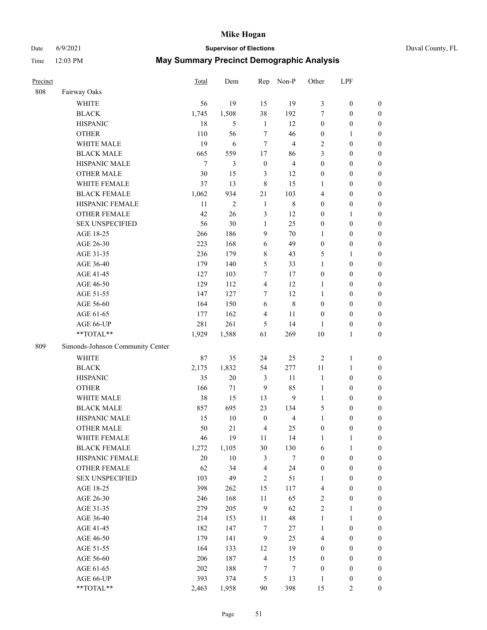Date 6/9/2021 **Supervisor of Elections** Duval County, FL

| Precinct |                                               | Total      | Dem            | Rep                                   | Non-P                   | Other                                | LPF                                  |                                      |
|----------|-----------------------------------------------|------------|----------------|---------------------------------------|-------------------------|--------------------------------------|--------------------------------------|--------------------------------------|
| 808      | Fairway Oaks                                  |            |                |                                       |                         |                                      |                                      |                                      |
|          | <b>WHITE</b>                                  | 56         | 19             | 15                                    | 19                      | 3                                    | $\boldsymbol{0}$                     | $\boldsymbol{0}$                     |
|          | <b>BLACK</b>                                  | 1,745      | 1,508          | 38                                    | 192                     | 7                                    | $\boldsymbol{0}$                     | $\boldsymbol{0}$                     |
|          | <b>HISPANIC</b>                               | 18         | 5              | $\mathbf{1}$                          | 12                      | $\boldsymbol{0}$                     | $\boldsymbol{0}$                     | $\boldsymbol{0}$                     |
|          | <b>OTHER</b>                                  | 110        | 56             | $\tau$                                | 46                      | $\boldsymbol{0}$                     | 1                                    | $\boldsymbol{0}$                     |
|          | WHITE MALE                                    | 19         | 6              | $\tau$                                | $\overline{4}$          | $\overline{c}$                       | $\boldsymbol{0}$                     | $\boldsymbol{0}$                     |
|          | <b>BLACK MALE</b>                             | 665        | 559            | 17                                    | 86                      | 3                                    | $\boldsymbol{0}$                     | $\boldsymbol{0}$                     |
|          | HISPANIC MALE                                 | $\tau$     | 3              | $\boldsymbol{0}$                      | $\overline{4}$          | $\boldsymbol{0}$                     | $\boldsymbol{0}$                     | $\boldsymbol{0}$                     |
|          | <b>OTHER MALE</b>                             | 30         | 15             | 3                                     | 12                      | $\boldsymbol{0}$                     | $\boldsymbol{0}$                     | $\boldsymbol{0}$                     |
|          | WHITE FEMALE                                  | 37         | 13             | $\,8\,$                               | 15                      | 1                                    | $\boldsymbol{0}$                     | $\boldsymbol{0}$                     |
|          | <b>BLACK FEMALE</b>                           | 1,062      | 934            | 21                                    | 103                     | $\overline{4}$                       | $\boldsymbol{0}$                     | 0                                    |
|          | HISPANIC FEMALE                               | 11         | $\overline{c}$ | $\mathbf{1}$                          | $\,$ 8 $\,$             | $\boldsymbol{0}$                     | $\boldsymbol{0}$                     | $\boldsymbol{0}$                     |
|          | OTHER FEMALE                                  | 42         | 26             | 3                                     | 12                      | $\boldsymbol{0}$                     | $\mathbf{1}$                         | $\boldsymbol{0}$                     |
|          | <b>SEX UNSPECIFIED</b>                        | 56         | 30             | $\mathbf{1}$                          | 25                      | $\boldsymbol{0}$                     | $\boldsymbol{0}$                     | $\boldsymbol{0}$                     |
|          | AGE 18-25                                     | 266        | 186            | 9                                     | 70                      | $\mathbf{1}$                         | $\boldsymbol{0}$                     | $\boldsymbol{0}$                     |
|          | AGE 26-30                                     | 223        | 168            | 6                                     | 49                      | $\boldsymbol{0}$                     | $\boldsymbol{0}$                     | $\boldsymbol{0}$                     |
|          | AGE 31-35                                     | 236        | 179            | $\,$ 8 $\,$                           | 43                      | 5                                    | $\mathbf{1}$                         | $\boldsymbol{0}$                     |
|          | AGE 36-40                                     | 179        | 140            | $\mathfrak{S}$                        | 33                      | $\mathbf{1}$                         | $\boldsymbol{0}$                     | $\boldsymbol{0}$                     |
|          | AGE 41-45                                     | 127        | 103            | 7                                     | 17                      | $\boldsymbol{0}$                     | $\boldsymbol{0}$                     | $\boldsymbol{0}$                     |
|          | AGE 46-50                                     | 129        | 112            | $\overline{4}$                        | 12                      | $\mathbf{1}$                         | $\boldsymbol{0}$                     | $\boldsymbol{0}$                     |
|          | AGE 51-55                                     | 147        | 127            | 7                                     | 12                      | $\mathbf{1}$                         | $\boldsymbol{0}$                     | 0                                    |
|          | AGE 56-60                                     | 164        | 150            | 6                                     | $\,$ 8 $\,$             | $\boldsymbol{0}$                     | $\boldsymbol{0}$                     | $\boldsymbol{0}$                     |
|          | AGE 61-65                                     | 177        | 162            | $\overline{4}$                        | 11                      | $\boldsymbol{0}$                     | $\boldsymbol{0}$                     | $\boldsymbol{0}$                     |
|          | AGE 66-UP                                     | 281        | 261            | 5                                     | 14                      | 1                                    | $\boldsymbol{0}$                     | $\boldsymbol{0}$                     |
|          | **TOTAL**                                     | 1,929      | 1,588          | 61                                    | 269                     | 10                                   | $\mathbf{1}$                         | $\boldsymbol{0}$                     |
| 809      | Simonds-Johnson Community Center              |            |                |                                       |                         |                                      |                                      |                                      |
|          |                                               |            |                |                                       |                         |                                      |                                      |                                      |
|          | <b>WHITE</b>                                  | 87         | 35             | 24                                    | 25                      | $\sqrt{2}$                           | $\mathbf{1}$                         | $\boldsymbol{0}$                     |
|          | <b>BLACK</b>                                  | 2,175      | 1,832          | 54                                    | 277                     | 11                                   | $\mathbf{1}$                         | $\boldsymbol{0}$                     |
|          | <b>HISPANIC</b>                               | 35         | 20             | $\mathfrak{Z}$                        | 11                      | $\mathbf{1}$                         | $\boldsymbol{0}$                     | $\boldsymbol{0}$                     |
|          | <b>OTHER</b>                                  | 166        | $71\,$         | 9                                     | 85                      | $\mathbf{1}$                         | $\boldsymbol{0}$                     | $\boldsymbol{0}$                     |
|          | WHITE MALE                                    | 38         | 15             | 13                                    | $\mathbf{9}$            | $\mathbf{1}$                         | $\boldsymbol{0}$                     | $\boldsymbol{0}$                     |
|          | <b>BLACK MALE</b>                             | 857        | 695            | 23                                    | 134                     | 5                                    | $\boldsymbol{0}$                     | $\boldsymbol{0}$                     |
|          | HISPANIC MALE                                 | 15         | 10             | $\boldsymbol{0}$                      | $\overline{\mathbf{4}}$ | $\mathbf{1}$                         | $\boldsymbol{0}$                     | 0                                    |
|          | <b>OTHER MALE</b>                             | 50         | 21             | $\overline{4}$                        | 25                      | $\boldsymbol{0}$                     | $\boldsymbol{0}$                     | $\boldsymbol{0}$                     |
|          | WHITE FEMALE                                  | 46         | 19             | 11                                    | 14                      | 1                                    | $\mathbf{1}$                         | $\boldsymbol{0}$                     |
|          | <b>BLACK FEMALE</b>                           | 1,272      | 1,105          | 30                                    | 130                     | 6                                    | $\mathbf{1}$                         | $\boldsymbol{0}$                     |
|          | HISPANIC FEMALE                               | 20         | $10\,$         | $\mathfrak{Z}$                        | $\tau$                  | $\boldsymbol{0}$                     | $\boldsymbol{0}$                     | $\overline{0}$                       |
|          | <b>OTHER FEMALE</b><br><b>SEX UNSPECIFIED</b> | 62<br>103  | 34<br>49       | $\overline{\mathbf{4}}$<br>$\sqrt{2}$ | 24<br>51                | $\boldsymbol{0}$                     | $\boldsymbol{0}$<br>$\boldsymbol{0}$ | $\overline{0}$<br>$\overline{0}$     |
|          | AGE 18-25                                     | 398        |                | 15                                    |                         | $\mathbf{1}$                         | $\boldsymbol{0}$                     | $\overline{0}$                       |
|          | AGE 26-30                                     | 246        | 262<br>168     | $11\,$                                | 117<br>65               | 4<br>$\sqrt{2}$                      |                                      |                                      |
|          | AGE 31-35                                     | 279        | 205            | $\mathbf{9}$                          | 62                      | $\overline{c}$                       | $\boldsymbol{0}$<br>$\mathbf{1}$     | 0<br>0                               |
|          | AGE 36-40                                     | 214        | 153            |                                       | 48                      | $\mathbf{1}$                         | $\mathbf{1}$                         |                                      |
|          | AGE 41-45                                     | 182        | 147            | 11<br>$\tau$                          | 27                      | $\mathbf{1}$                         | $\boldsymbol{0}$                     | 0<br>0                               |
|          |                                               | 179        |                | 9                                     | 25                      | 4                                    | $\boldsymbol{0}$                     | $\boldsymbol{0}$                     |
|          | AGE 46-50                                     |            | 141            |                                       |                         |                                      |                                      |                                      |
|          | AGE 51-55                                     | 164<br>206 | 133<br>187     | 12<br>$\overline{4}$                  | 19                      | $\boldsymbol{0}$<br>$\boldsymbol{0}$ | $\boldsymbol{0}$                     | $\boldsymbol{0}$<br>$\boldsymbol{0}$ |
|          | AGE 56-60<br>AGE 61-65                        | 202        |                |                                       | 15<br>$\tau$            |                                      | $\boldsymbol{0}$<br>$\boldsymbol{0}$ |                                      |
|          | AGE 66-UP                                     |            | 188            | 7<br>$\mathfrak{S}$                   | 13                      | $\boldsymbol{0}$<br>$\mathbf{1}$     |                                      | $\boldsymbol{0}$<br>$\boldsymbol{0}$ |
|          | **TOTAL**                                     | 393        | 374            | $90\,$                                | 398                     | 15                                   | $\boldsymbol{0}$<br>$\sqrt{2}$       |                                      |
|          |                                               | 2,463      | 1,958          |                                       |                         |                                      |                                      | $\boldsymbol{0}$                     |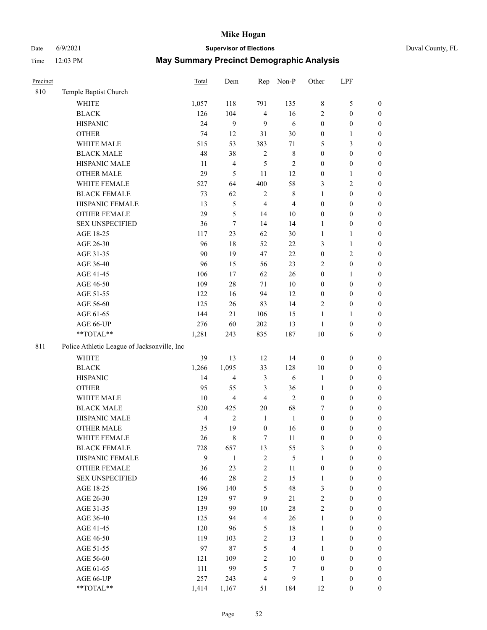## Date 6/9/2021 **Supervisor of Elections** Duval County, FL

| Precinct |                                             | <b>Total</b>   | Dem                     | Rep              | Non-P                   | Other            | LPF              |                  |
|----------|---------------------------------------------|----------------|-------------------------|------------------|-------------------------|------------------|------------------|------------------|
| 810      | Temple Baptist Church                       |                |                         |                  |                         |                  |                  |                  |
|          | <b>WHITE</b>                                | 1,057          | 118                     | 791              | 135                     | 8                | $\mathfrak{S}$   | 0                |
|          | <b>BLACK</b>                                | 126            | 104                     | $\overline{4}$   | 16                      | 2                | $\boldsymbol{0}$ | $\boldsymbol{0}$ |
|          | <b>HISPANIC</b>                             | 24             | 9                       | 9                | 6                       | $\boldsymbol{0}$ | $\boldsymbol{0}$ | $\boldsymbol{0}$ |
|          | <b>OTHER</b>                                | 74             | 12                      | 31               | $30\,$                  | $\boldsymbol{0}$ | 1                | $\boldsymbol{0}$ |
|          | WHITE MALE                                  | 515            | 53                      | 383              | 71                      | 5                | $\mathfrak{Z}$   | $\boldsymbol{0}$ |
|          | <b>BLACK MALE</b>                           | 48             | 38                      | $\sqrt{2}$       | $\,$ 8 $\,$             | $\boldsymbol{0}$ | $\boldsymbol{0}$ | $\boldsymbol{0}$ |
|          | HISPANIC MALE                               | 11             | $\overline{\mathbf{4}}$ | 5                | $\sqrt{2}$              | $\boldsymbol{0}$ | $\boldsymbol{0}$ | $\boldsymbol{0}$ |
|          | OTHER MALE                                  | 29             | 5                       | 11               | 12                      | $\boldsymbol{0}$ | $\mathbf{1}$     | $\boldsymbol{0}$ |
|          | WHITE FEMALE                                | 527            | 64                      | 400              | 58                      | 3                | $\sqrt{2}$       | $\boldsymbol{0}$ |
|          | <b>BLACK FEMALE</b>                         | 73             | 62                      | $\sqrt{2}$       | $\,$ 8 $\,$             | $\mathbf{1}$     | $\boldsymbol{0}$ | $\boldsymbol{0}$ |
|          | HISPANIC FEMALE                             | 13             | 5                       | $\overline{4}$   | $\overline{\mathbf{4}}$ | $\boldsymbol{0}$ | $\boldsymbol{0}$ | $\boldsymbol{0}$ |
|          | <b>OTHER FEMALE</b>                         | 29             | 5                       | 14               | $10\,$                  | $\boldsymbol{0}$ | $\boldsymbol{0}$ | $\boldsymbol{0}$ |
|          | <b>SEX UNSPECIFIED</b>                      | 36             | $\tau$                  | 14               | 14                      | $\mathbf{1}$     | $\boldsymbol{0}$ | $\boldsymbol{0}$ |
|          | AGE 18-25                                   | 117            | 23                      | 62               | 30                      | $\mathbf{1}$     | $\mathbf{1}$     | $\boldsymbol{0}$ |
|          | AGE 26-30                                   | 96             | $18\,$                  | 52               | $22\,$                  | 3                | $\mathbf{1}$     | $\boldsymbol{0}$ |
|          | AGE 31-35                                   | 90             | 19                      | 47               | 22                      | $\boldsymbol{0}$ | $\sqrt{2}$       | $\boldsymbol{0}$ |
|          | AGE 36-40                                   | 96             | 15                      | 56               | 23                      | 2                | $\boldsymbol{0}$ | $\boldsymbol{0}$ |
|          | AGE 41-45                                   | 106            | 17                      | 62               | 26                      | $\boldsymbol{0}$ | $\mathbf{1}$     | $\boldsymbol{0}$ |
|          | AGE 46-50                                   | 109            | $28\,$                  | 71               | $10\,$                  | $\boldsymbol{0}$ | $\boldsymbol{0}$ | $\boldsymbol{0}$ |
|          | AGE 51-55                                   | 122            | 16                      | 94               | 12                      | $\boldsymbol{0}$ | $\boldsymbol{0}$ | $\boldsymbol{0}$ |
|          | AGE 56-60                                   | 125            | 26                      | 83               | 14                      | $\mathbf{2}$     | $\boldsymbol{0}$ | 0                |
|          | AGE 61-65                                   | 144            | 21                      | 106              | 15                      | $\mathbf{1}$     | $\mathbf{1}$     | 0                |
|          | AGE 66-UP                                   | 276            | 60                      | 202              | 13                      | $\mathbf{1}$     | $\boldsymbol{0}$ | $\boldsymbol{0}$ |
|          | **TOTAL**                                   | 1,281          | 243                     | 835              | 187                     | 10               | 6                | $\boldsymbol{0}$ |
|          |                                             |                |                         |                  |                         |                  |                  |                  |
| 811      | Police Athletic League of Jacksonville, Inc |                |                         |                  |                         |                  |                  |                  |
|          | WHITE                                       | 39             | 13                      | 12               | 14                      | $\boldsymbol{0}$ | $\boldsymbol{0}$ | $\boldsymbol{0}$ |
|          | <b>BLACK</b>                                | 1,266          | 1,095                   | 33               | 128                     | $10\,$           | $\boldsymbol{0}$ | $\boldsymbol{0}$ |
|          | <b>HISPANIC</b>                             | 14             | $\overline{\mathbf{4}}$ | $\mathfrak{Z}$   | 6                       | $\mathbf{1}$     | $\boldsymbol{0}$ | $\boldsymbol{0}$ |
|          | <b>OTHER</b>                                | 95             | 55                      | 3                | 36                      | $\mathbf{1}$     | $\boldsymbol{0}$ | $\boldsymbol{0}$ |
|          | WHITE MALE                                  | $10\,$         | $\overline{\mathbf{4}}$ | $\overline{4}$   | $\overline{2}$          | $\boldsymbol{0}$ | $\boldsymbol{0}$ | $\boldsymbol{0}$ |
|          | <b>BLACK MALE</b>                           | 520            | 425                     | $20\,$           | 68                      | 7                | $\boldsymbol{0}$ | $\boldsymbol{0}$ |
|          | HISPANIC MALE                               | $\overline{4}$ | $\sqrt{2}$              | $\mathbf{1}$     | $\mathbf{1}$            | $\boldsymbol{0}$ | $\boldsymbol{0}$ | $\boldsymbol{0}$ |
|          | OTHER MALE                                  | 35             | 19                      | $\boldsymbol{0}$ | 16                      | $\boldsymbol{0}$ | $\boldsymbol{0}$ | $\boldsymbol{0}$ |
|          | WHITE FEMALE                                | 26             | 8                       | 7                | 11                      | $\boldsymbol{0}$ | $\boldsymbol{0}$ | 0                |
|          | <b>BLACK FEMALE</b>                         | 728            | 657                     | 13               | 55                      | 3                | $\boldsymbol{0}$ | $\overline{0}$   |
|          | HISPANIC FEMALE                             | 9              | $\mathbf{1}$            | $\sqrt{2}$       | 5                       | $\mathbf{1}$     | $\boldsymbol{0}$ | $\overline{0}$   |
|          | OTHER FEMALE                                | 36             | 23                      | $\boldsymbol{2}$ | 11                      | $\boldsymbol{0}$ | $\boldsymbol{0}$ | $\overline{0}$   |
|          | <b>SEX UNSPECIFIED</b>                      | 46             | $28\,$                  | $\mathbf{2}$     | 15                      | $\mathbf{1}$     | $\boldsymbol{0}$ | $\overline{0}$   |
|          | AGE 18-25                                   | 196            | 140                     | 5                | 48                      | 3                | $\boldsymbol{0}$ | $\overline{0}$   |
|          | AGE 26-30                                   | 129            | 97                      | 9                | 21                      | $\overline{c}$   | $\boldsymbol{0}$ | $\overline{0}$   |
|          | AGE 31-35                                   | 139            | 99                      | $10\,$           | $28\,$                  | $\overline{c}$   | $\boldsymbol{0}$ | $\overline{0}$   |
|          | AGE 36-40                                   | 125            | 94                      | $\overline{4}$   | 26                      | $\mathbf{1}$     | $\boldsymbol{0}$ | 0                |
|          | AGE 41-45                                   | 120            | 96                      | 5                | 18                      | $\mathbf{1}$     | $\boldsymbol{0}$ | 0                |
|          | AGE 46-50                                   | 119            | 103                     | $\sqrt{2}$       | 13                      | $\mathbf{1}$     | $\boldsymbol{0}$ | $\boldsymbol{0}$ |
|          | AGE 51-55                                   | 97             | 87                      | 5                | $\overline{4}$          | $\mathbf{1}$     | $\boldsymbol{0}$ | $\boldsymbol{0}$ |
|          | AGE 56-60                                   | 121            | 109                     | $\sqrt{2}$       | 10                      | $\boldsymbol{0}$ | $\boldsymbol{0}$ | $\boldsymbol{0}$ |
|          | AGE 61-65                                   | 111            | 99                      | 5                | 7                       | $\boldsymbol{0}$ | $\boldsymbol{0}$ | $\overline{0}$   |
|          | AGE 66-UP                                   | 257            | 243                     | $\overline{4}$   | 9                       | $\mathbf{1}$     | $\boldsymbol{0}$ | $\boldsymbol{0}$ |
|          | **TOTAL**                                   | 1,414          | 1,167                   | 51               | 184                     | 12               | $\boldsymbol{0}$ | $\boldsymbol{0}$ |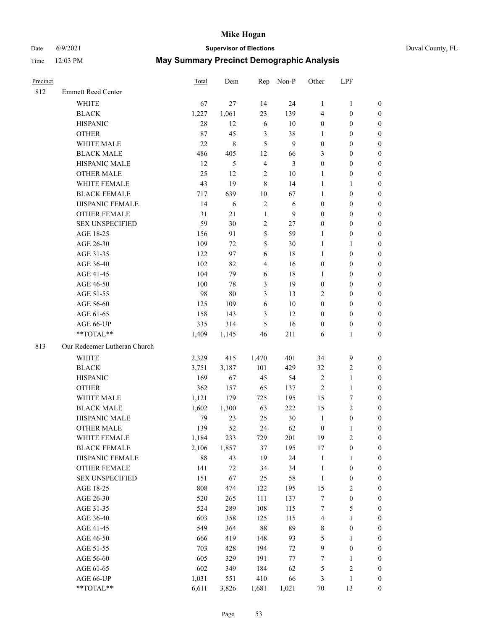## Date 6/9/2021 **Supervisor of Elections** Duval County, FL

| Precinct |                              | Total  | Dem           |                         | Rep Non-P | Other            | LPF              |                  |
|----------|------------------------------|--------|---------------|-------------------------|-----------|------------------|------------------|------------------|
| 812      | <b>Emmett Reed Center</b>    |        |               |                         |           |                  |                  |                  |
|          | <b>WHITE</b>                 | 67     | 27            | 14                      | 24        | $\mathbf{1}$     | $\mathbf{1}$     | 0                |
|          | <b>BLACK</b>                 | 1,227  | 1,061         | 23                      | 139       | 4                | $\boldsymbol{0}$ | 0                |
|          | <b>HISPANIC</b>              | 28     | 12            | 6                       | $10\,$    | $\boldsymbol{0}$ | $\boldsymbol{0}$ | $\boldsymbol{0}$ |
|          | <b>OTHER</b>                 | 87     | 45            | $\mathfrak{Z}$          | 38        | 1                | $\boldsymbol{0}$ | $\boldsymbol{0}$ |
|          | WHITE MALE                   | 22     | $\,$ 8 $\,$   | 5                       | 9         | $\boldsymbol{0}$ | $\boldsymbol{0}$ | $\boldsymbol{0}$ |
|          | <b>BLACK MALE</b>            | 486    | 405           | 12                      | 66        | 3                | $\boldsymbol{0}$ | $\boldsymbol{0}$ |
|          | HISPANIC MALE                | 12     | $\mathfrak s$ | $\overline{4}$          | 3         | $\boldsymbol{0}$ | $\boldsymbol{0}$ | $\boldsymbol{0}$ |
|          | <b>OTHER MALE</b>            | 25     | 12            | $\sqrt{2}$              | $10\,$    | $\mathbf{1}$     | $\boldsymbol{0}$ | $\boldsymbol{0}$ |
|          | WHITE FEMALE                 | 43     | 19            | $\,$ 8 $\,$             | 14        | $\mathbf{1}$     | 1                | $\boldsymbol{0}$ |
|          | <b>BLACK FEMALE</b>          | 717    | 639           | $10\,$                  | 67        | $\mathbf{1}$     | $\boldsymbol{0}$ | 0                |
|          | HISPANIC FEMALE              | 14     | 6             | $\sqrt{2}$              | 6         | $\boldsymbol{0}$ | $\boldsymbol{0}$ | 0                |
|          | <b>OTHER FEMALE</b>          | 31     | 21            | $\mathbf{1}$            | 9         | $\boldsymbol{0}$ | $\boldsymbol{0}$ | $\boldsymbol{0}$ |
|          | <b>SEX UNSPECIFIED</b>       | 59     | 30            | $\sqrt{2}$              | 27        | $\boldsymbol{0}$ | $\boldsymbol{0}$ | $\boldsymbol{0}$ |
|          | AGE 18-25                    | 156    | 91            | 5                       | 59        | 1                | $\boldsymbol{0}$ | $\boldsymbol{0}$ |
|          | AGE 26-30                    | 109    | 72            | 5                       | $30\,$    | $\mathbf{1}$     | $\mathbf{1}$     | $\boldsymbol{0}$ |
|          | AGE 31-35                    | 122    | 97            | 6                       | 18        | $\mathbf{1}$     | $\boldsymbol{0}$ | $\boldsymbol{0}$ |
|          | AGE 36-40                    | 102    | 82            | $\overline{\mathbf{4}}$ | 16        | $\boldsymbol{0}$ | $\boldsymbol{0}$ | $\boldsymbol{0}$ |
|          | AGE 41-45                    | 104    | 79            | $\sqrt{6}$              | 18        | $\mathbf{1}$     | $\boldsymbol{0}$ | $\boldsymbol{0}$ |
|          | AGE 46-50                    | 100    | 78            | 3                       | 19        | $\boldsymbol{0}$ | $\boldsymbol{0}$ | $\boldsymbol{0}$ |
|          | AGE 51-55                    | 98     | 80            | 3                       | 13        | 2                | $\boldsymbol{0}$ | $\boldsymbol{0}$ |
|          | AGE 56-60                    | 125    | 109           | 6                       | 10        | $\boldsymbol{0}$ | $\boldsymbol{0}$ | 0                |
|          | AGE 61-65                    | 158    | 143           | 3                       | 12        | $\boldsymbol{0}$ | $\boldsymbol{0}$ | 0                |
|          | AGE 66-UP                    | 335    | 314           | 5                       | 16        | $\boldsymbol{0}$ | $\boldsymbol{0}$ | $\boldsymbol{0}$ |
|          | **TOTAL**                    | 1,409  | 1,145         | 46                      | 211       | 6                | $\mathbf{1}$     | $\boldsymbol{0}$ |
| 813      | Our Redeemer Lutheran Church |        |               |                         |           |                  |                  |                  |
|          | <b>WHITE</b>                 | 2,329  | 415           | 1,470                   | 401       | 34               | $\boldsymbol{9}$ | $\boldsymbol{0}$ |
|          | <b>BLACK</b>                 | 3,751  | 3,187         | 101                     | 429       | 32               | $\sqrt{2}$       | $\boldsymbol{0}$ |
|          | <b>HISPANIC</b>              | 169    | 67            | 45                      | 54        | 2                | $\mathbf{1}$     | $\boldsymbol{0}$ |
|          | <b>OTHER</b>                 | 362    | 157           | 65                      | 137       | $\overline{c}$   | $\mathbf{1}$     | $\boldsymbol{0}$ |
|          | WHITE MALE                   | 1,121  | 179           | 725                     | 195       | 15               | $\boldsymbol{7}$ | $\overline{0}$   |
|          | <b>BLACK MALE</b>            | 1,602  | 1,300         | 63                      | 222       | 15               | $\overline{c}$   | $\overline{0}$   |
|          | HISPANIC MALE                | 79     | 23            | 25                      | $30\,$    | $\mathbf{1}$     | $\boldsymbol{0}$ | 0                |
|          | <b>OTHER MALE</b>            | 139    | 52            | 24                      | 62        | $\boldsymbol{0}$ | $\mathbf{1}$     | 0                |
|          | WHITE FEMALE                 | 1,184  | 233           | 729                     | 201       | 19               | $\overline{c}$   | 0                |
|          | <b>BLACK FEMALE</b>          | 2,106  | 1,857         | 37                      | 195       | 17               | $\boldsymbol{0}$ | 0                |
|          | HISPANIC FEMALE              | $88\,$ | 43            | 19                      | 24        | $\mathbf{1}$     | 1                | 0                |
|          | <b>OTHER FEMALE</b>          | 141    | $72\,$        | 34                      | 34        | $\mathbf{1}$     | $\boldsymbol{0}$ | 0                |
|          | <b>SEX UNSPECIFIED</b>       | 151    | 67            | 25                      | 58        | $\mathbf{1}$     | $\boldsymbol{0}$ | 0                |
|          | AGE 18-25                    | 808    | 474           | 122                     | 195       | 15               | $\sqrt{2}$       | 0                |
|          | AGE 26-30                    | 520    | 265           | 111                     | 137       | 7                | $\boldsymbol{0}$ | 0                |
|          | AGE 31-35                    | 524    | 289           | 108                     | 115       | 7                | $\mathfrak s$    | 0                |
|          | AGE 36-40                    | 603    | 358           | 125                     | 115       | 4                | $\mathbf{1}$     | 0                |
|          | AGE 41-45                    | 549    | 364           | 88                      | 89        | 8                | $\boldsymbol{0}$ | 0                |
|          | AGE 46-50                    | 666    | 419           | 148                     | 93        | 5                | 1                | 0                |
|          | AGE 51-55                    | 703    | 428           | 194                     | 72        | 9                | $\boldsymbol{0}$ | 0                |
|          | AGE 56-60                    | 605    | 329           | 191                     | $77\,$    | 7                | 1                | 0                |
|          | AGE 61-65                    | 602    | 349           | 184                     | 62        | 5                | $\sqrt{2}$       | 0                |
|          | AGE 66-UP                    | 1,031  | 551           | 410                     | 66        | 3                | $\mathbf{1}$     | 0                |
|          | **TOTAL**                    | 6,611  | 3,826         | 1,681                   | 1,021     | $70\,$           | 13               | $\boldsymbol{0}$ |
|          |                              |        |               |                         |           |                  |                  |                  |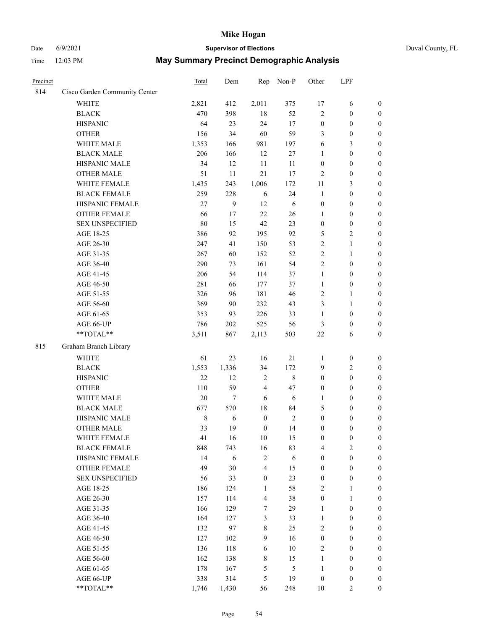# Date 6/9/2021 **Supervisor of Elections** Duval County, FL

| Precinct |                               | <b>Total</b> | Dem        | Rep              | Non-P          | Other                          | LPF                                  |                            |
|----------|-------------------------------|--------------|------------|------------------|----------------|--------------------------------|--------------------------------------|----------------------------|
| 814      | Cisco Garden Community Center |              |            |                  |                |                                |                                      |                            |
|          | <b>WHITE</b>                  | 2,821        | 412        | 2,011            | 375            | 17                             | 6                                    | 0                          |
|          | <b>BLACK</b>                  | 470          | 398        | 18               | 52             | $\mathfrak{2}$                 | $\boldsymbol{0}$                     | $\boldsymbol{0}$           |
|          | <b>HISPANIC</b>               | 64           | 23         | 24               | 17             | $\boldsymbol{0}$               | $\boldsymbol{0}$                     | $\boldsymbol{0}$           |
|          | <b>OTHER</b>                  | 156          | 34         | 60               | 59             | 3                              | $\boldsymbol{0}$                     | $\boldsymbol{0}$           |
|          | WHITE MALE                    | 1,353        | 166        | 981              | 197            | 6                              | $\mathfrak{Z}$                       | $\boldsymbol{0}$           |
|          | <b>BLACK MALE</b>             | 206          | 166        | 12               | $27\,$         | $\mathbf{1}$                   | $\boldsymbol{0}$                     | $\boldsymbol{0}$           |
|          | HISPANIC MALE                 | 34           | 12         | 11               | 11             | $\boldsymbol{0}$               | $\boldsymbol{0}$                     | $\boldsymbol{0}$           |
|          | <b>OTHER MALE</b>             | 51           | 11         | 21               | 17             | $\mathfrak{2}$                 | $\boldsymbol{0}$                     | $\boldsymbol{0}$           |
|          | WHITE FEMALE                  | 1,435        | 243        | 1,006            | 172            | 11                             | $\mathfrak{Z}$                       | $\boldsymbol{0}$           |
|          | <b>BLACK FEMALE</b>           | 259          | 228        | 6                | 24             | $\mathbf{1}$                   | $\boldsymbol{0}$                     | $\boldsymbol{0}$           |
|          | HISPANIC FEMALE               | 27           | 9          | 12               | 6              | $\boldsymbol{0}$               | $\boldsymbol{0}$                     | 0                          |
|          | <b>OTHER FEMALE</b>           | 66           | 17         | 22               | 26             | $\mathbf{1}$                   | $\boldsymbol{0}$                     | $\boldsymbol{0}$           |
|          | <b>SEX UNSPECIFIED</b>        | 80           | 15         | 42               | 23             | $\boldsymbol{0}$               | $\boldsymbol{0}$                     | $\boldsymbol{0}$           |
|          | AGE 18-25                     | 386          | 92         | 195              | 92             | 5                              | $\sqrt{2}$                           | $\boldsymbol{0}$           |
|          | AGE 26-30                     | 247          | 41         | 150              | 53             | 2                              | $\mathbf{1}$                         | $\boldsymbol{0}$           |
|          | AGE 31-35                     | 267          | 60         | 152              | 52             | $\overline{c}$                 | $\mathbf{1}$                         | $\boldsymbol{0}$           |
|          | AGE 36-40                     | 290          | 73         | 161              | 54             | $\overline{c}$                 | $\boldsymbol{0}$                     | $\boldsymbol{0}$           |
|          | AGE 41-45                     | 206          | 54         | 114              | 37             | $\mathbf{1}$                   | $\boldsymbol{0}$                     | $\boldsymbol{0}$           |
|          | AGE 46-50                     | 281          | 66         | 177              | 37             | $\mathbf{1}$                   | $\boldsymbol{0}$                     | $\boldsymbol{0}$           |
|          | AGE 51-55                     | 326          | 96         | 181              | 46             | 2                              | $\mathbf{1}$                         | $\boldsymbol{0}$           |
|          | AGE 56-60                     | 369          | 90         | 232              | 43             | 3                              | $\mathbf{1}$                         | 0                          |
|          | AGE 61-65                     | 353          | 93         | 226              | 33             | $\mathbf{1}$                   | $\boldsymbol{0}$                     | 0                          |
|          | AGE 66-UP                     | 786          | 202        | 525              | 56             | 3                              | $\boldsymbol{0}$                     | $\boldsymbol{0}$           |
|          | **TOTAL**                     | 3,511        | 867        | 2,113            | 503            | $22\,$                         | 6                                    | $\boldsymbol{0}$           |
| 815      | Graham Branch Library         |              |            |                  |                |                                |                                      |                            |
|          |                               |              |            |                  |                |                                |                                      |                            |
|          | WHITE                         | 61           | 23         | 16               | 21             | 1                              | $\boldsymbol{0}$                     | $\boldsymbol{0}$           |
|          | <b>BLACK</b>                  | 1,553        | 1,336      | 34               | 172            | 9                              | $\sqrt{2}$                           | $\boldsymbol{0}$           |
|          | <b>HISPANIC</b>               | 22           | 12         | $\sqrt{2}$       | $\,8\,$        | $\boldsymbol{0}$               | $\boldsymbol{0}$                     | $\boldsymbol{0}$           |
|          | <b>OTHER</b>                  | 110          | 59         | $\overline{4}$   | 47             | $\boldsymbol{0}$               | $\boldsymbol{0}$                     | $\boldsymbol{0}$           |
|          | WHITE MALE                    | $20\,$       | $\tau$     | 6                | $\sqrt{6}$     | $\mathbf{1}$                   | $\boldsymbol{0}$                     | $\boldsymbol{0}$           |
|          | <b>BLACK MALE</b>             | 677          | 570        | $18\,$           | 84             | 5                              | $\boldsymbol{0}$                     | $\boldsymbol{0}$           |
|          | HISPANIC MALE                 | $\,8\,$      | 6          | $\boldsymbol{0}$ | $\sqrt{2}$     | $\boldsymbol{0}$               | $\boldsymbol{0}$                     | $\boldsymbol{0}$           |
|          | OTHER MALE                    | 33           | 19         | $\boldsymbol{0}$ | 14             | $\boldsymbol{0}$               | $\boldsymbol{0}$                     | $\boldsymbol{0}$           |
|          | WHITE FEMALE                  | 41           | 16         | 10               | 15             | 0                              | $\boldsymbol{0}$                     | 0                          |
|          | <b>BLACK FEMALE</b>           | 848          | 743        | 16               | 83             | 4                              | $\overline{2}$                       | $\overline{0}$             |
|          | HISPANIC FEMALE               | 14           | 6          | $\sqrt{2}$       | $\sqrt{6}$     | $\boldsymbol{0}$               | $\boldsymbol{0}$                     | $\overline{0}$             |
|          | OTHER FEMALE                  | 49           | 30         | $\overline{4}$   | 15             | $\boldsymbol{0}$               | $\boldsymbol{0}$                     | $\overline{0}$             |
|          | <b>SEX UNSPECIFIED</b>        | 56           | 33         | $\boldsymbol{0}$ | 23             | $\boldsymbol{0}$               | $\boldsymbol{0}$                     | $\overline{0}$<br>$\theta$ |
|          | AGE 18-25<br>AGE 26-30        | 186          | 124        | $\mathbf{1}$     | 58             | 2                              | $\mathbf{1}$                         |                            |
|          |                               | 157<br>166   | 114<br>129 | $\overline{4}$   | 38<br>29       | $\boldsymbol{0}$               | $\mathbf{1}$                         | $\overline{0}$             |
|          | AGE 31-35                     |              |            | 7                |                | $\mathbf{1}$                   | $\boldsymbol{0}$                     | 0                          |
|          | AGE 36-40                     | 164<br>132   | 127<br>97  | 3<br>$8\,$       | 33<br>25       | $\mathbf{1}$<br>$\overline{c}$ | $\boldsymbol{0}$<br>$\boldsymbol{0}$ | 0<br>0                     |
|          | AGE 41-45                     |              |            |                  |                |                                |                                      |                            |
|          | AGE 46-50                     | 127          | 102        | 9                | 16             | $\boldsymbol{0}$               | $\boldsymbol{0}$                     | 0                          |
|          | AGE 51-55                     | 136          | 118        | 6                | $10\,$         | $\overline{2}$                 | $\boldsymbol{0}$                     | $\overline{0}$             |
|          | AGE 56-60                     | 162          | 138        | 8                | 15             | 1                              | $\boldsymbol{0}$                     | $\overline{0}$             |
|          | AGE 61-65                     | 178          | 167        | 5                | $\mathfrak{S}$ | $\mathbf{1}$                   | $\boldsymbol{0}$                     | $\overline{0}$             |
|          | AGE 66-UP                     | 338          | 314        | 5                | 19             | $\boldsymbol{0}$               | $\boldsymbol{0}$                     | $\boldsymbol{0}$           |
|          | **TOTAL**                     | 1,746        | 1,430      | 56               | 248            | 10                             | $\overline{2}$                       | $\boldsymbol{0}$           |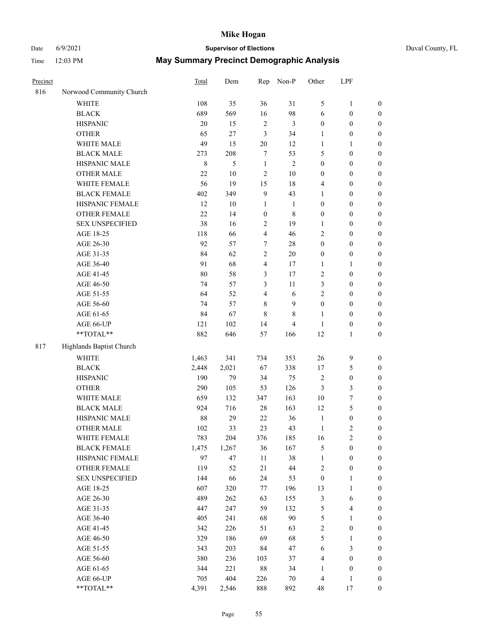# Date 6/9/2021 **Supervisor of Elections** Duval County, FL

| Precinct |                          | <b>Total</b> | Dem    | Rep              | Non-P          | Other            | LPF                     |                  |
|----------|--------------------------|--------------|--------|------------------|----------------|------------------|-------------------------|------------------|
| 816      | Norwood Community Church |              |        |                  |                |                  |                         |                  |
|          | <b>WHITE</b>             | 108          | 35     | 36               | 31             | 5                | $\mathbf{1}$            | 0                |
|          | <b>BLACK</b>             | 689          | 569    | 16               | 98             | 6                | $\boldsymbol{0}$        | 0                |
|          | <b>HISPANIC</b>          | 20           | 15     | $\sqrt{2}$       | $\mathfrak{Z}$ | $\boldsymbol{0}$ | $\boldsymbol{0}$        | $\boldsymbol{0}$ |
|          | <b>OTHER</b>             | 65           | 27     | $\mathfrak{Z}$   | 34             | 1                | $\boldsymbol{0}$        | $\boldsymbol{0}$ |
|          | WHITE MALE               | 49           | 15     | 20               | 12             | $\mathbf{1}$     | 1                       | $\boldsymbol{0}$ |
|          | <b>BLACK MALE</b>        | 273          | 208    | 7                | 53             | 5                | $\boldsymbol{0}$        | $\boldsymbol{0}$ |
|          | HISPANIC MALE            | $\,$ 8 $\,$  | 5      | $\mathbf{1}$     | $\mathfrak{2}$ | $\boldsymbol{0}$ | $\boldsymbol{0}$        | $\boldsymbol{0}$ |
|          | <b>OTHER MALE</b>        | 22           | $10\,$ | $\overline{c}$   | $10\,$         | $\boldsymbol{0}$ | $\boldsymbol{0}$        | $\boldsymbol{0}$ |
|          | WHITE FEMALE             | 56           | 19     | 15               | 18             | 4                | $\boldsymbol{0}$        | $\boldsymbol{0}$ |
|          | <b>BLACK FEMALE</b>      | 402          | 349    | $\mathbf{9}$     | 43             | 1                | $\boldsymbol{0}$        | $\boldsymbol{0}$ |
|          | HISPANIC FEMALE          | 12           | 10     | $\mathbf{1}$     | $\mathbf{1}$   | $\boldsymbol{0}$ | $\boldsymbol{0}$        | $\boldsymbol{0}$ |
|          | <b>OTHER FEMALE</b>      | 22           | 14     | $\boldsymbol{0}$ | $\,$ 8 $\,$    | $\boldsymbol{0}$ | $\boldsymbol{0}$        | $\boldsymbol{0}$ |
|          | <b>SEX UNSPECIFIED</b>   | 38           | 16     | $\sqrt{2}$       | 19             | $\mathbf{1}$     | $\boldsymbol{0}$        | $\boldsymbol{0}$ |
|          | AGE 18-25                | 118          | 66     | $\overline{4}$   | 46             | 2                | $\boldsymbol{0}$        | $\boldsymbol{0}$ |
|          | AGE 26-30                | 92           | 57     | 7                | $28\,$         | $\boldsymbol{0}$ | $\boldsymbol{0}$        | $\boldsymbol{0}$ |
|          | AGE 31-35                | 84           | 62     | $\sqrt{2}$       | 20             | $\boldsymbol{0}$ | $\boldsymbol{0}$        | $\boldsymbol{0}$ |
|          | AGE 36-40                | 91           | 68     | $\overline{4}$   | 17             | $\mathbf{1}$     | $\mathbf{1}$            | $\boldsymbol{0}$ |
|          | AGE 41-45                | 80           | 58     | 3                | 17             | $\mathbf{2}$     | $\boldsymbol{0}$        | $\boldsymbol{0}$ |
|          | AGE 46-50                | 74           | 57     | $\mathfrak{Z}$   | $11\,$         | 3                | $\boldsymbol{0}$        | $\boldsymbol{0}$ |
|          | AGE 51-55                | 64           | 52     | $\overline{4}$   | $\sqrt{6}$     | 2                | $\boldsymbol{0}$        | $\boldsymbol{0}$ |
|          | AGE 56-60                | 74           | 57     | $\,$ 8 $\,$      | 9              | $\boldsymbol{0}$ | $\boldsymbol{0}$        | 0                |
|          | AGE 61-65                | 84           | 67     | $\,8\,$          | $\,$ 8 $\,$    | 1                | $\boldsymbol{0}$        | $\boldsymbol{0}$ |
|          | AGE 66-UP                | 121          | 102    | 14               | $\overline{4}$ | $\mathbf{1}$     | $\boldsymbol{0}$        | $\boldsymbol{0}$ |
|          | **TOTAL**                | 882          | 646    | 57               | 166            | 12               | $\mathbf{1}$            | $\boldsymbol{0}$ |
| 817      | Highlands Baptist Church |              |        |                  |                |                  |                         |                  |
|          | <b>WHITE</b>             | 1,463        | 341    | 734              | 353            | $26\,$           | 9                       | $\boldsymbol{0}$ |
|          | <b>BLACK</b>             | 2,448        | 2,021  | 67               | 338            | 17               | $\mathfrak{S}$          | $\boldsymbol{0}$ |
|          | <b>HISPANIC</b>          | 190          | 79     | 34               | 75             | 2                | $\boldsymbol{0}$        | $\boldsymbol{0}$ |
|          | <b>OTHER</b>             | 290          | 105    | 53               | 126            | 3                | $\mathfrak{Z}$          | $\boldsymbol{0}$ |
|          | WHITE MALE               | 659          | 132    | 347              | 163            | $10\,$           | $\boldsymbol{7}$        | $\boldsymbol{0}$ |
|          | <b>BLACK MALE</b>        | 924          | 716    | $28\,$           | 163            | 12               | $\mathfrak s$           | $\overline{0}$   |
|          | HISPANIC MALE            | 88           | 29     | 22               | 36             | $\mathbf{1}$     | $\boldsymbol{0}$        | 0                |
|          | OTHER MALE               | 102          | 33     | 23               | 43             | $\mathbf{1}$     | $\mathbf{2}$            | $\boldsymbol{0}$ |
|          | WHITE FEMALE             | 783          | 204    | 376              | 185            | 16               | 2                       | 0                |
|          | <b>BLACK FEMALE</b>      | 1,475        | 1,267  | 36               | 167            | 5                | $\boldsymbol{0}$        | $\boldsymbol{0}$ |
|          | HISPANIC FEMALE          | 97           | 47     | $11\,$           | 38             | $\mathbf{1}$     | $\boldsymbol{0}$        | $\overline{0}$   |
|          | OTHER FEMALE             | 119          | 52     | 21               | $44\,$         | 2                | $\boldsymbol{0}$        | $\overline{0}$   |
|          | <b>SEX UNSPECIFIED</b>   | 144          | 66     | 24               | 53             | $\boldsymbol{0}$ | $\mathbf{1}$            | 0                |
|          | AGE 18-25                | 607          | 320    | 77               | 196            | 13               | $\mathbf{1}$            | $\theta$         |
|          | AGE 26-30                | 489          | 262    | 63               | 155            | 3                | 6                       | 0                |
|          | AGE 31-35                | 447          | 247    | 59               | 132            | 5                | $\overline{\mathbf{4}}$ | 0                |
|          | AGE 36-40                | 405          | 241    | 68               | 90             | 5                | $\mathbf{1}$            | 0                |
|          | AGE 41-45                | 342          | 226    | 51               | 63             | $\overline{c}$   | $\boldsymbol{0}$        | 0                |
|          | AGE 46-50                | 329          | 186    | 69               | 68             | 5                | $\mathbf{1}$            | 0                |
|          | AGE 51-55                | 343          | 203    | 84               | 47             | 6                | $\mathfrak{Z}$          | 0                |
|          | AGE 56-60                | 380          | 236    | 103              | 37             | 4                | $\boldsymbol{0}$        | $\overline{0}$   |
|          | AGE 61-65                | 344          | 221    | 88               | 34             | 1                | $\boldsymbol{0}$        | $\overline{0}$   |
|          | AGE 66-UP                | 705          | 404    | 226              | $70\,$         | 4                | $\mathbf{1}$            | $\boldsymbol{0}$ |
|          | **TOTAL**                | 4,391        | 2,546  | 888              | 892            | 48               | 17                      | $\boldsymbol{0}$ |
|          |                          |              |        |                  |                |                  |                         |                  |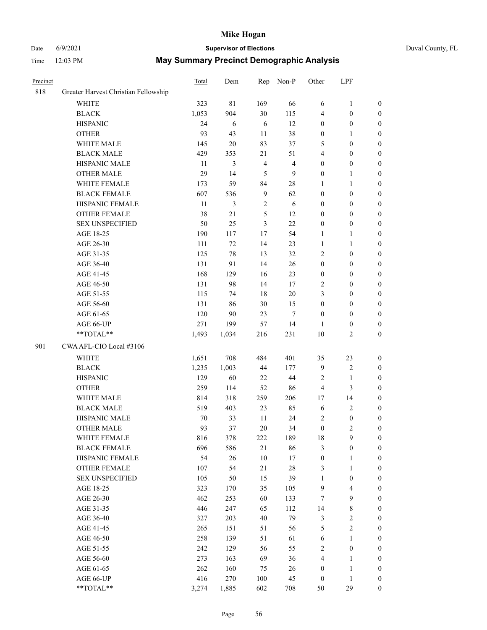## Date 6/9/2021 **Supervisor of Elections** Duval County, FL

| Precinct |                                      | Total  | Dem   | Rep            | Non-P                   | Other            | LPF              |                  |
|----------|--------------------------------------|--------|-------|----------------|-------------------------|------------------|------------------|------------------|
| 818      | Greater Harvest Christian Fellowship |        |       |                |                         |                  |                  |                  |
|          | <b>WHITE</b>                         | 323    | 81    | 169            | 66                      | 6                | $\mathbf{1}$     | $\boldsymbol{0}$ |
|          | <b>BLACK</b>                         | 1,053  | 904   | 30             | 115                     | 4                | $\boldsymbol{0}$ | $\boldsymbol{0}$ |
|          | <b>HISPANIC</b>                      | 24     | 6     | 6              | 12                      | $\boldsymbol{0}$ | $\boldsymbol{0}$ | $\boldsymbol{0}$ |
|          | <b>OTHER</b>                         | 93     | 43    | 11             | 38                      | $\boldsymbol{0}$ | 1                | $\boldsymbol{0}$ |
|          | WHITE MALE                           | 145    | 20    | 83             | 37                      | 5                | $\boldsymbol{0}$ | $\boldsymbol{0}$ |
|          | <b>BLACK MALE</b>                    | 429    | 353   | 21             | 51                      | 4                | $\boldsymbol{0}$ | $\boldsymbol{0}$ |
|          | HISPANIC MALE                        | 11     | 3     | $\overline{4}$ | $\overline{\mathbf{4}}$ | $\boldsymbol{0}$ | $\boldsymbol{0}$ | $\boldsymbol{0}$ |
|          | OTHER MALE                           | 29     | 14    | 5              | $\mathbf{9}$            | $\boldsymbol{0}$ | 1                | $\boldsymbol{0}$ |
|          | WHITE FEMALE                         | 173    | 59    | 84             | $28\,$                  | $\mathbf{1}$     | $\mathbf{1}$     | $\boldsymbol{0}$ |
|          | <b>BLACK FEMALE</b>                  | 607    | 536   | $\overline{9}$ | 62                      | $\boldsymbol{0}$ | $\boldsymbol{0}$ | 0                |
|          | HISPANIC FEMALE                      | 11     | 3     | $\sqrt{2}$     | 6                       | $\boldsymbol{0}$ | $\boldsymbol{0}$ | $\boldsymbol{0}$ |
|          | OTHER FEMALE                         | 38     | 21    | 5              | 12                      | $\boldsymbol{0}$ | $\boldsymbol{0}$ | $\boldsymbol{0}$ |
|          | <b>SEX UNSPECIFIED</b>               | 50     | 25    | $\mathfrak{Z}$ | 22                      | $\boldsymbol{0}$ | $\boldsymbol{0}$ | $\boldsymbol{0}$ |
|          | AGE 18-25                            | 190    | 117   | $17$           | 54                      | $\mathbf{1}$     | $\mathbf{1}$     | $\boldsymbol{0}$ |
|          | AGE 26-30                            | 111    | 72    | 14             | 23                      | $\mathbf{1}$     | $\mathbf{1}$     | $\boldsymbol{0}$ |
|          | AGE 31-35                            | 125    | 78    | 13             | 32                      | 2                | $\boldsymbol{0}$ | $\boldsymbol{0}$ |
|          | AGE 36-40                            | 131    | 91    | 14             | 26                      | $\boldsymbol{0}$ | $\boldsymbol{0}$ | $\boldsymbol{0}$ |
|          | AGE 41-45                            | 168    | 129   | 16             | 23                      | $\boldsymbol{0}$ | $\boldsymbol{0}$ | $\boldsymbol{0}$ |
|          | AGE 46-50                            | 131    | 98    | 14             | 17                      | 2                | $\boldsymbol{0}$ | $\boldsymbol{0}$ |
|          | AGE 51-55                            | 115    | 74    | 18             | $20\,$                  | 3                | $\boldsymbol{0}$ | 0                |
|          | AGE 56-60                            | 131    | 86    | 30             | 15                      | $\boldsymbol{0}$ | $\boldsymbol{0}$ | $\boldsymbol{0}$ |
|          | AGE 61-65                            | 120    | 90    | 23             | $\tau$                  | $\boldsymbol{0}$ | $\boldsymbol{0}$ | $\boldsymbol{0}$ |
|          | AGE 66-UP                            | 271    | 199   | 57             | 14                      | 1                | $\boldsymbol{0}$ | $\boldsymbol{0}$ |
|          | **TOTAL**                            | 1,493  | 1,034 | 216            | 231                     | 10               | $\mathbf{2}$     | $\boldsymbol{0}$ |
| 901      | CWA AFL-CIO Local #3106              |        |       |                |                         |                  |                  |                  |
|          | WHITE                                | 1,651  | 708   | 484            | 401                     | 35               | 23               | $\boldsymbol{0}$ |
|          | <b>BLACK</b>                         | 1,235  | 1,003 | 44             | 177                     | 9                | $\sqrt{2}$       | $\boldsymbol{0}$ |
|          | <b>HISPANIC</b>                      | 129    | 60    | 22             | $44\,$                  | $\overline{c}$   | $\mathbf{1}$     | $\boldsymbol{0}$ |
|          | <b>OTHER</b>                         | 259    | 114   | 52             | 86                      | 4                | $\mathfrak{Z}$   | $\boldsymbol{0}$ |
|          | WHITE MALE                           | 814    | 318   | 259            | 206                     | 17               | 14               | $\boldsymbol{0}$ |
|          | <b>BLACK MALE</b>                    | 519    | 403   | 23             | 85                      | 6                | $\sqrt{2}$       | $\boldsymbol{0}$ |
|          | HISPANIC MALE                        | $70\,$ | 33    | 11             | 24                      | 2                | $\boldsymbol{0}$ | 0                |
|          | <b>OTHER MALE</b>                    | 93     | 37    | 20             | 34                      | $\boldsymbol{0}$ | $\mathbf{2}$     | $\boldsymbol{0}$ |
|          | WHITE FEMALE                         | 816    | 378   | 222            | 189                     | 18               | 9                | $\overline{0}$   |
|          | <b>BLACK FEMALE</b>                  | 696    | 586   | 21             | 86                      | 3                | $\boldsymbol{0}$ | $\overline{0}$   |
|          | HISPANIC FEMALE                      | 54     | 26    | 10             | 17                      | $\boldsymbol{0}$ | $\mathbf{1}$     | $\overline{0}$   |
|          | <b>OTHER FEMALE</b>                  | 107    | 54    | 21             | $28\,$                  | 3                | $\mathbf{1}$     | 0                |
|          | <b>SEX UNSPECIFIED</b>               | 105    | 50    | 15             | 39                      | $\mathbf{1}$     | $\boldsymbol{0}$ | 0                |
|          | AGE 18-25                            | 323    | 170   | 35             | 105                     | 9                | $\overline{4}$   | 0                |
|          | AGE 26-30                            | 462    | 253   | 60             | 133                     | 7                | $\mathbf{9}$     | 0                |
|          | AGE 31-35                            | 446    | 247   | 65             | 112                     | 14               | $\,$ 8 $\,$      | 0                |
|          | AGE 36-40                            | 327    | 203   | 40             | 79                      | 3                | $\sqrt{2}$       | 0                |
|          | AGE 41-45                            | 265    | 151   | 51             | 56                      | 5                | $\sqrt{2}$       | 0                |
|          | AGE 46-50                            | 258    | 139   | 51             | 61                      | 6                | $\mathbf{1}$     | 0                |
|          | AGE 51-55                            | 242    | 129   | 56             | 55                      | $\mathbf{2}$     | $\boldsymbol{0}$ | $\boldsymbol{0}$ |
|          | AGE 56-60                            | 273    | 163   | 69             | 36                      | 4                | $\mathbf{1}$     | $\boldsymbol{0}$ |
|          | AGE 61-65                            | 262    | 160   | 75             | 26                      | $\boldsymbol{0}$ | $\mathbf{1}$     | 0                |
|          | AGE 66-UP                            | 416    | 270   | 100            | 45                      | $\boldsymbol{0}$ | $\mathbf{1}$     | 0                |
|          | **TOTAL**                            | 3,274  | 1,885 | 602            | 708                     | 50               | 29               | $\boldsymbol{0}$ |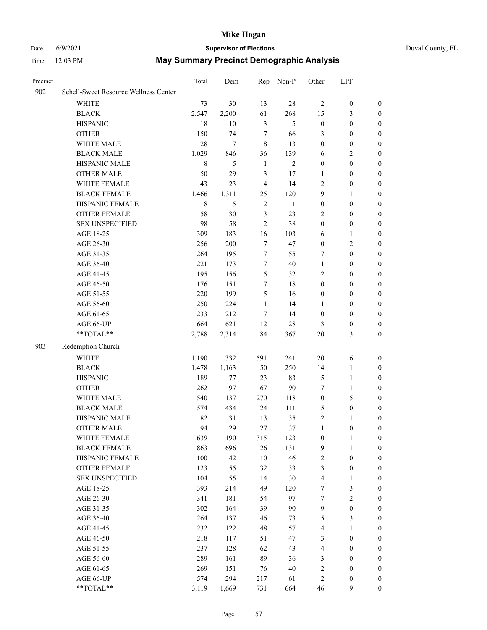## Date 6/9/2021 **Supervisor of Elections** Duval County, FL

| Precinct |                                       | Total       | Dem              | Rep            | Non-P          | Other                   | LPF              |                  |
|----------|---------------------------------------|-------------|------------------|----------------|----------------|-------------------------|------------------|------------------|
| 902      | Schell-Sweet Resource Wellness Center |             |                  |                |                |                         |                  |                  |
|          | <b>WHITE</b>                          | 73          | 30               | 13             | $28\,$         | $\overline{c}$          | $\boldsymbol{0}$ | $\boldsymbol{0}$ |
|          | <b>BLACK</b>                          | 2,547       | 2,200            | 61             | 268            | 15                      | 3                | $\boldsymbol{0}$ |
|          | <b>HISPANIC</b>                       | 18          | 10               | $\mathfrak{Z}$ | 5              | $\boldsymbol{0}$        | $\boldsymbol{0}$ | $\boldsymbol{0}$ |
|          | <b>OTHER</b>                          | 150         | 74               | 7              | 66             | 3                       | $\boldsymbol{0}$ | $\boldsymbol{0}$ |
|          | WHITE MALE                            | 28          | $\boldsymbol{7}$ | $\,8\,$        | 13             | $\boldsymbol{0}$        | $\boldsymbol{0}$ | $\boldsymbol{0}$ |
|          | <b>BLACK MALE</b>                     | 1,029       | 846              | 36             | 139            | 6                       | $\sqrt{2}$       | $\boldsymbol{0}$ |
|          | HISPANIC MALE                         | $\,$ 8 $\,$ | 5                | $\mathbf{1}$   | $\overline{2}$ | $\boldsymbol{0}$        | $\boldsymbol{0}$ | $\boldsymbol{0}$ |
|          | OTHER MALE                            | 50          | 29               | $\mathfrak{Z}$ | 17             | 1                       | $\boldsymbol{0}$ | $\boldsymbol{0}$ |
|          | WHITE FEMALE                          | 43          | 23               | $\overline{4}$ | 14             | 2                       | $\boldsymbol{0}$ | 0                |
|          | <b>BLACK FEMALE</b>                   | 1,466       | 1,311            | 25             | 120            | 9                       | $\mathbf{1}$     | 0                |
|          | HISPANIC FEMALE                       | 8           | 5                | $\sqrt{2}$     | $\mathbf{1}$   | $\boldsymbol{0}$        | $\boldsymbol{0}$ | $\boldsymbol{0}$ |
|          | OTHER FEMALE                          | 58          | 30               | $\mathfrak{Z}$ | 23             | 2                       | $\boldsymbol{0}$ | $\boldsymbol{0}$ |
|          | <b>SEX UNSPECIFIED</b>                | 98          | 58               | $\overline{2}$ | 38             | $\boldsymbol{0}$        | $\boldsymbol{0}$ | $\boldsymbol{0}$ |
|          | AGE 18-25                             | 309         | 183              | 16             | 103            | 6                       | $\mathbf{1}$     | $\boldsymbol{0}$ |
|          | AGE 26-30                             | 256         | 200              | $\tau$         | 47             | $\boldsymbol{0}$        | $\sqrt{2}$       | $\boldsymbol{0}$ |
|          | AGE 31-35                             | 264         | 195              | $\tau$         | 55             | 7                       | $\boldsymbol{0}$ | $\boldsymbol{0}$ |
|          | AGE 36-40                             | 221         | 173              | $\tau$         | $40\,$         | $\mathbf{1}$            | $\boldsymbol{0}$ | $\boldsymbol{0}$ |
|          | AGE 41-45                             | 195         | 156              | 5              | 32             | 2                       | $\boldsymbol{0}$ | $\boldsymbol{0}$ |
|          | AGE 46-50                             | 176         | 151              | 7              | 18             | $\boldsymbol{0}$        | $\boldsymbol{0}$ | $\boldsymbol{0}$ |
|          | AGE 51-55                             | 220         | 199              | 5              | 16             | $\boldsymbol{0}$        | $\boldsymbol{0}$ |                  |
|          | AGE 56-60                             | 250         | 224              | 11             | 14             |                         | $\boldsymbol{0}$ | 0                |
|          |                                       | 233         | 212              | $\tau$         | 14             | 1<br>$\boldsymbol{0}$   | $\boldsymbol{0}$ | $\boldsymbol{0}$ |
|          | AGE 61-65                             |             |                  |                |                |                         |                  | $\boldsymbol{0}$ |
|          | AGE 66-UP<br>$**TOTAL**$              | 664         | 621              | 12             | $28\,$         | 3                       | $\boldsymbol{0}$ | $\boldsymbol{0}$ |
|          |                                       | 2,788       | 2,314            | 84             | 367            | 20                      | $\mathfrak{Z}$   | $\boldsymbol{0}$ |
| 903      | Redemption Church                     |             |                  |                |                |                         |                  |                  |
|          | <b>WHITE</b>                          | 1,190       | 332              | 591            | 241            | $20\,$                  | 6                | $\boldsymbol{0}$ |
|          | <b>BLACK</b>                          | 1,478       | 1,163            | 50             | 250            | 14                      | $\mathbf{1}$     | $\boldsymbol{0}$ |
|          | <b>HISPANIC</b>                       | 189         | 77               | 23             | 83             | 5                       | $\mathbf{1}$     | $\boldsymbol{0}$ |
|          | <b>OTHER</b>                          | 262         | 97               | 67             | 90             | $\tau$                  | $\mathbf{1}$     | $\boldsymbol{0}$ |
|          | WHITE MALE                            | 540         | 137              | 270            | 118            | $10\,$                  | $\mathfrak{S}$   | 0                |
|          | <b>BLACK MALE</b>                     | 574         | 434              | 24             | 111            | $\mathfrak{S}$          | $\boldsymbol{0}$ | 0                |
|          | HISPANIC MALE                         | 82          | 31               | 13             | 35             | $\sqrt{2}$              | $\mathbf{1}$     | 0                |
|          | OTHER MALE                            | 94          | 29               | 27             | 37             | $\mathbf{1}$            | $\boldsymbol{0}$ | $\boldsymbol{0}$ |
|          | WHITE FEMALE                          | 639         | 190              | 315            | 123            | $10\,$                  | $\mathbf{1}$     | $\boldsymbol{0}$ |
|          | <b>BLACK FEMALE</b>                   | 863         | 696              | 26             | 131            | 9                       | $\mathbf{1}$     | $\boldsymbol{0}$ |
|          | HISPANIC FEMALE                       | 100         | 42               | $10\,$         | 46             | $\overline{\mathbf{c}}$ | $\boldsymbol{0}$ | $\overline{0}$   |
|          | <b>OTHER FEMALE</b>                   | 123         | 55               | 32             | 33             | 3                       | $\boldsymbol{0}$ | 0                |
|          | <b>SEX UNSPECIFIED</b>                | 104         | 55               | 14             | $30\,$         | 4                       | $\mathbf{1}$     | $\overline{0}$   |
|          | AGE 18-25                             | 393         | 214              | 49             | 120            | 7                       | $\mathfrak{Z}$   | 0                |
|          | AGE 26-30                             | 341         | 181              | 54             | 97             | 7                       | $\sqrt{2}$       | 0                |
|          | AGE 31-35                             | 302         | 164              | 39             | 90             | $\boldsymbol{9}$        | $\boldsymbol{0}$ | 0                |
|          | AGE 36-40                             | 264         | 137              | 46             | 73             | 5                       | $\mathfrak{Z}$   | 0                |
|          | AGE 41-45                             | 232         | 122              | 48             | 57             | 4                       | $\mathbf{1}$     | 0                |
|          | AGE 46-50                             | 218         | 117              | 51             | 47             | 3                       | $\boldsymbol{0}$ | 0                |
|          | AGE 51-55                             | 237         | 128              | 62             | 43             | 4                       | $\boldsymbol{0}$ | $\boldsymbol{0}$ |
|          | AGE 56-60                             | 289         | 161              | 89             | 36             | 3                       | $\boldsymbol{0}$ | $\overline{0}$   |
|          | AGE 61-65                             | 269         | 151              | 76             | $40\,$         | $\overline{c}$          | $\boldsymbol{0}$ | $\boldsymbol{0}$ |
|          | AGE 66-UP                             | 574         | 294              | 217            | 61             | 2                       | $\boldsymbol{0}$ | 0                |
|          | **TOTAL**                             | 3,119       | 1,669            | 731            | 664            | 46                      | $\mathbf{9}$     | $\boldsymbol{0}$ |
|          |                                       |             |                  |                |                |                         |                  |                  |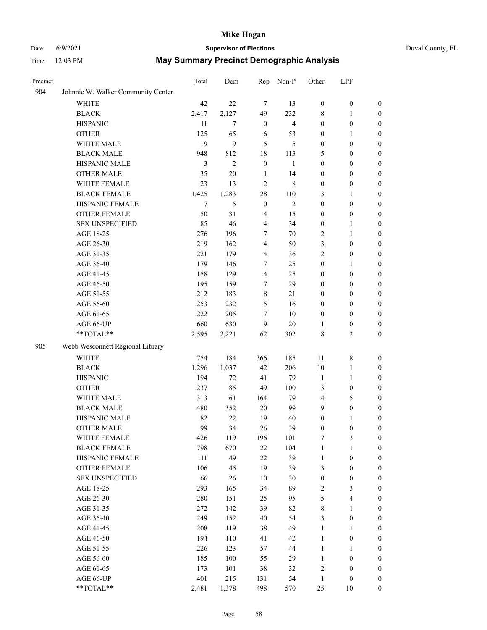## Date 6/9/2021 **Supervisor of Elections** Duval County, FL

| Precinct |                                    | Total          | Dem            | Rep                     | Non-P                   | Other            | LPF              |                  |
|----------|------------------------------------|----------------|----------------|-------------------------|-------------------------|------------------|------------------|------------------|
| 904      | Johnnie W. Walker Community Center |                |                |                         |                         |                  |                  |                  |
|          | <b>WHITE</b>                       | 42             | 22             | $\tau$                  | 13                      | $\boldsymbol{0}$ | $\boldsymbol{0}$ | $\boldsymbol{0}$ |
|          | <b>BLACK</b>                       | 2,417          | 2,127          | 49                      | 232                     | 8                | $\mathbf{1}$     | $\boldsymbol{0}$ |
|          | <b>HISPANIC</b>                    | 11             | $\tau$         | $\boldsymbol{0}$        | $\overline{\mathbf{4}}$ | $\boldsymbol{0}$ | $\boldsymbol{0}$ | $\boldsymbol{0}$ |
|          | <b>OTHER</b>                       | 125            | 65             | 6                       | 53                      | $\boldsymbol{0}$ | 1                | $\boldsymbol{0}$ |
|          | WHITE MALE                         | 19             | $\mathbf{9}$   | 5                       | 5                       | $\boldsymbol{0}$ | $\boldsymbol{0}$ | $\boldsymbol{0}$ |
|          | <b>BLACK MALE</b>                  | 948            | 812            | 18                      | 113                     | 5                | $\boldsymbol{0}$ | $\boldsymbol{0}$ |
|          | HISPANIC MALE                      | $\mathfrak{Z}$ | $\overline{c}$ | $\boldsymbol{0}$        | $\mathbf{1}$            | $\boldsymbol{0}$ | $\boldsymbol{0}$ | $\boldsymbol{0}$ |
|          | <b>OTHER MALE</b>                  | 35             | 20             | $\mathbf{1}$            | 14                      | $\boldsymbol{0}$ | $\boldsymbol{0}$ | 0                |
|          | WHITE FEMALE                       | 23             | 13             | $\sqrt{2}$              | $\,8\,$                 | $\boldsymbol{0}$ | $\boldsymbol{0}$ | 0                |
|          | <b>BLACK FEMALE</b>                | 1,425          | 1,283          | $28\,$                  | 110                     | 3                | 1                | $\boldsymbol{0}$ |
|          | HISPANIC FEMALE                    | $\overline{7}$ | 5              | $\boldsymbol{0}$        | $\overline{2}$          | $\boldsymbol{0}$ | $\boldsymbol{0}$ | $\boldsymbol{0}$ |
|          | <b>OTHER FEMALE</b>                | 50             | 31             | 4                       | 15                      | $\boldsymbol{0}$ | $\boldsymbol{0}$ | $\boldsymbol{0}$ |
|          | <b>SEX UNSPECIFIED</b>             | 85             | 46             | $\overline{\mathbf{4}}$ | 34                      | $\boldsymbol{0}$ | $\mathbf{1}$     | $\boldsymbol{0}$ |
|          | AGE 18-25                          | 276            | 196            | 7                       | 70                      | $\overline{c}$   | $\mathbf{1}$     | $\boldsymbol{0}$ |
|          | AGE 26-30                          | 219            | 162            | $\overline{4}$          | 50                      | 3                | $\boldsymbol{0}$ | $\boldsymbol{0}$ |
|          | AGE 31-35                          | 221            | 179            | $\overline{4}$          | 36                      | $\overline{c}$   | $\boldsymbol{0}$ | $\boldsymbol{0}$ |
|          | AGE 36-40                          | 179            | 146            | 7                       | 25                      | $\boldsymbol{0}$ | 1                | $\boldsymbol{0}$ |
|          | AGE 41-45                          | 158            | 129            | $\overline{4}$          | 25                      | $\boldsymbol{0}$ | $\boldsymbol{0}$ | 0                |
|          | AGE 46-50                          | 195            | 159            | 7                       | 29                      | $\boldsymbol{0}$ | $\boldsymbol{0}$ | 0                |
|          | AGE 51-55                          | 212            | 183            | $8\,$                   | 21                      | $\boldsymbol{0}$ | $\boldsymbol{0}$ | $\boldsymbol{0}$ |
|          | AGE 56-60                          | 253            | 232            | 5                       | 16                      | $\boldsymbol{0}$ | $\boldsymbol{0}$ | $\boldsymbol{0}$ |
|          | AGE 61-65                          | 222            | 205            | 7                       | $10\,$                  | $\boldsymbol{0}$ | $\boldsymbol{0}$ | $\boldsymbol{0}$ |
|          | AGE 66-UP                          | 660            | 630            | 9                       | $20\,$                  | 1                | $\boldsymbol{0}$ | $\boldsymbol{0}$ |
|          | $**TOTAL**$                        | 2,595          | 2,221          | 62                      | 302                     | 8                | $\overline{2}$   | $\boldsymbol{0}$ |
| 905      | Webb Wesconnett Regional Library   |                |                |                         |                         |                  |                  |                  |
|          | WHITE                              | 754            | 184            | 366                     | 185                     | 11               | $\,$ $\,$        | $\boldsymbol{0}$ |
|          | <b>BLACK</b>                       | 1,296          | 1,037          | 42                      | 206                     | 10               | $\mathbf{1}$     | $\boldsymbol{0}$ |
|          | <b>HISPANIC</b>                    | 194            | 72             | 41                      | 79                      | $\mathbf{1}$     | $\mathbf{1}$     | $\boldsymbol{0}$ |
|          | <b>OTHER</b>                       | 237            | 85             | 49                      | 100                     | 3                | $\boldsymbol{0}$ | $\boldsymbol{0}$ |
|          | WHITE MALE                         | 313            | 61             | 164                     | 79                      | $\overline{4}$   | 5                | 0                |
|          | <b>BLACK MALE</b>                  | 480            | 352            | 20                      | 99                      | 9                | $\boldsymbol{0}$ | 0                |
|          | HISPANIC MALE                      | 82             | 22             | 19                      | 40                      | $\boldsymbol{0}$ | 1                | $\boldsymbol{0}$ |
|          | <b>OTHER MALE</b>                  | 99             | 34             | 26                      | 39                      | 0                | $\boldsymbol{0}$ | $\boldsymbol{0}$ |
|          | WHITE FEMALE                       | 426            | 119            | 196                     | $101\,$                 | 7                | $\mathfrak{Z}$   | $\boldsymbol{0}$ |
|          | <b>BLACK FEMALE</b>                | 798            | 670            | 22                      | 104                     | $\mathbf{1}$     | $\mathbf{1}$     | $\boldsymbol{0}$ |
|          | HISPANIC FEMALE                    | 111            | 49             | 22                      | 39                      | $\mathbf{1}$     | $\boldsymbol{0}$ | $\overline{0}$   |
|          | <b>OTHER FEMALE</b>                | 106            | 45             | 19                      | 39                      | 3                | $\boldsymbol{0}$ | $\theta$         |
|          | <b>SEX UNSPECIFIED</b>             | 66             | 26             | $10\,$                  | $30\,$                  | $\boldsymbol{0}$ | $\boldsymbol{0}$ | $\overline{0}$   |
|          | AGE 18-25                          | 293            | 165            | 34                      | 89                      | 2                | $\mathfrak{Z}$   | 0                |
|          | AGE 26-30                          | 280            | 151            | 25                      | 95                      | 5                | $\overline{4}$   | 0                |
|          | AGE 31-35                          | 272            | 142            | 39                      | 82                      | 8                | $\mathbf{1}$     | 0                |
|          | AGE 36-40                          | 249            | 152            | 40                      | 54                      | 3                | $\boldsymbol{0}$ | $\boldsymbol{0}$ |
|          | AGE 41-45                          | 208            | 119            | 38                      | 49                      | $\mathbf{1}$     | $\mathbf{1}$     | $\boldsymbol{0}$ |
|          | AGE 46-50                          | 194            | 110            | 41                      | 42                      | $\mathbf{1}$     | $\boldsymbol{0}$ | $\boldsymbol{0}$ |
|          | AGE 51-55                          | 226            | 123            | 57                      | $44\,$                  | $\mathbf{1}$     | $\mathbf{1}$     | $\overline{0}$   |
|          | AGE 56-60                          | 185            | 100            | 55                      | 29                      | $\mathbf{1}$     | $\boldsymbol{0}$ | $\overline{0}$   |
|          | AGE 61-65                          | 173            | 101            | 38                      | 32                      | 2                | $\boldsymbol{0}$ | $\overline{0}$   |
|          | AGE 66-UP                          | 401            | 215            | 131                     | 54                      | $\mathbf{1}$     | $\boldsymbol{0}$ | $\overline{0}$   |
|          | **TOTAL**                          | 2,481          | 1,378          | 498                     | 570                     | 25               | 10               | $\boldsymbol{0}$ |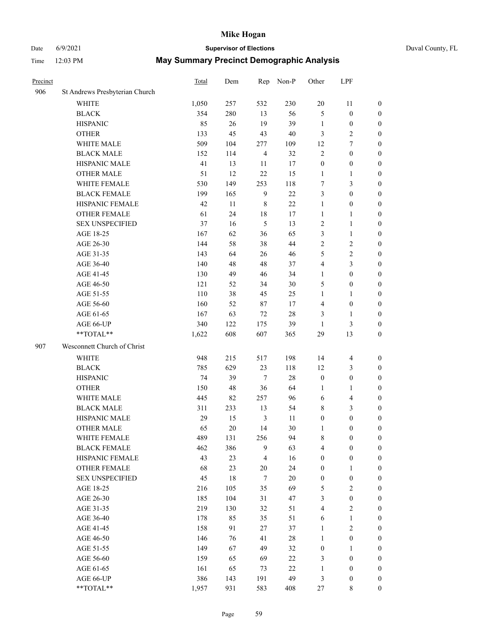## Date 6/9/2021 **Supervisor of Elections** Duval County, FL

| Precinct |                                | <b>Total</b> | Dem | Rep            | Non-P  | Other                   | LPF                     |                  |
|----------|--------------------------------|--------------|-----|----------------|--------|-------------------------|-------------------------|------------------|
| 906      | St Andrews Presbyterian Church |              |     |                |        |                         |                         |                  |
|          | <b>WHITE</b>                   | 1,050        | 257 | 532            | 230    | $20\,$                  | 11                      | 0                |
|          | <b>BLACK</b>                   | 354          | 280 | 13             | 56     | 5                       | $\boldsymbol{0}$        | 0                |
|          | <b>HISPANIC</b>                | 85           | 26  | 19             | 39     | $\mathbf{1}$            | $\boldsymbol{0}$        | $\boldsymbol{0}$ |
|          | <b>OTHER</b>                   | 133          | 45  | 43             | 40     | 3                       | $\sqrt{2}$              | $\boldsymbol{0}$ |
|          | WHITE MALE                     | 509          | 104 | 277            | 109    | 12                      | $\tau$                  | $\boldsymbol{0}$ |
|          | <b>BLACK MALE</b>              | 152          | 114 | $\overline{4}$ | 32     | $\overline{c}$          | $\boldsymbol{0}$        | $\boldsymbol{0}$ |
|          | HISPANIC MALE                  | 41           | 13  | 11             | 17     | $\boldsymbol{0}$        | $\boldsymbol{0}$        | $\boldsymbol{0}$ |
|          | <b>OTHER MALE</b>              | 51           | 12  | 22             | 15     | $\mathbf{1}$            | $\mathbf{1}$            | $\boldsymbol{0}$ |
|          | WHITE FEMALE                   | 530          | 149 | 253            | 118    | 7                       | $\mathfrak{Z}$          | $\boldsymbol{0}$ |
|          | <b>BLACK FEMALE</b>            | 199          | 165 | $\mathbf{9}$   | $22\,$ | 3                       | $\boldsymbol{0}$        | $\boldsymbol{0}$ |
|          | HISPANIC FEMALE                | 42           | 11  | $\,$ 8 $\,$    | 22     | $\mathbf{1}$            | $\boldsymbol{0}$        | 0                |
|          | <b>OTHER FEMALE</b>            | 61           | 24  | $18\,$         | 17     | $\mathbf{1}$            | $\mathbf{1}$            | 0                |
|          | <b>SEX UNSPECIFIED</b>         | 37           | 16  | 5              | 13     | $\sqrt{2}$              | $\mathbf{1}$            | $\boldsymbol{0}$ |
|          | AGE 18-25                      | 167          | 62  | 36             | 65     | 3                       | $\mathbf{1}$            | $\boldsymbol{0}$ |
|          | AGE 26-30                      | 144          | 58  | 38             | 44     | 2                       | $\sqrt{2}$              | $\boldsymbol{0}$ |
|          | AGE 31-35                      | 143          | 64  | 26             | 46     | 5                       | $\sqrt{2}$              | $\boldsymbol{0}$ |
|          | AGE 36-40                      | 140          | 48  | 48             | 37     | 4                       | $\mathfrak{Z}$          | $\boldsymbol{0}$ |
|          | AGE 41-45                      | 130          | 49  | 46             | 34     | $\mathbf{1}$            | $\boldsymbol{0}$        | $\boldsymbol{0}$ |
|          | AGE 46-50                      | 121          | 52  | 34             | $30\,$ | 5                       | $\boldsymbol{0}$        | $\boldsymbol{0}$ |
|          | AGE 51-55                      | 110          | 38  | 45             | 25     | $\mathbf{1}$            | 1                       | $\boldsymbol{0}$ |
|          | AGE 56-60                      | 160          | 52  | 87             | 17     | 4                       | $\boldsymbol{0}$        | 0                |
|          | AGE 61-65                      | 167          | 63  | $72\,$         | $28\,$ | 3                       | $\mathbf{1}$            | 0                |
|          | AGE 66-UP                      | 340          | 122 | 175            | 39     | $\mathbf{1}$            | $\mathfrak{Z}$          | $\boldsymbol{0}$ |
|          | **TOTAL**                      | 1,622        | 608 | 607            | 365    | 29                      | 13                      | $\boldsymbol{0}$ |
| 907      | Wesconnett Church of Christ    |              |     |                |        |                         |                         |                  |
|          | <b>WHITE</b>                   | 948          | 215 | 517            | 198    | 14                      | $\overline{4}$          | $\boldsymbol{0}$ |
|          | <b>BLACK</b>                   | 785          | 629 | 23             | 118    | 12                      | $\mathfrak{Z}$          | $\boldsymbol{0}$ |
|          | <b>HISPANIC</b>                | 74           | 39  | $\tau$         | 28     | $\boldsymbol{0}$        | $\boldsymbol{0}$        | $\boldsymbol{0}$ |
|          | <b>OTHER</b>                   | 150          | 48  | 36             | 64     | 1                       | $\mathbf{1}$            | $\boldsymbol{0}$ |
|          | WHITE MALE                     | 445          | 82  | 257            | 96     | 6                       | $\overline{\mathbf{4}}$ | $\boldsymbol{0}$ |
|          | <b>BLACK MALE</b>              | 311          | 233 | 13             | 54     | 8                       | $\mathfrak{Z}$          | $\boldsymbol{0}$ |
|          | HISPANIC MALE                  | 29           | 15  | $\mathfrak{Z}$ | 11     | $\boldsymbol{0}$        | $\boldsymbol{0}$        | $\boldsymbol{0}$ |
|          | <b>OTHER MALE</b>              | 65           | 20  | 14             | $30\,$ | 1                       | $\boldsymbol{0}$        | $\boldsymbol{0}$ |
|          | WHITE FEMALE                   | 489          | 131 | 256            | 94     | 8                       | $\boldsymbol{0}$        | 0                |
|          | <b>BLACK FEMALE</b>            | 462          | 386 | 9              | 63     | 4                       | $\boldsymbol{0}$        | $\boldsymbol{0}$ |
|          | HISPANIC FEMALE                | 43           | 23  | $\overline{4}$ | 16     | $\boldsymbol{0}$        | $\boldsymbol{0}$        | $\overline{0}$   |
|          | OTHER FEMALE                   | 68           | 23  | $20\,$         | 24     | $\boldsymbol{0}$        | $\mathbf{1}$            | $\overline{0}$   |
|          | <b>SEX UNSPECIFIED</b>         | 45           | 18  | $\tau$         | $20\,$ | $\boldsymbol{0}$        | $\boldsymbol{0}$        | 0                |
|          | AGE 18-25                      | 216          | 105 | 35             | 69     | 5                       | $\sqrt{2}$              | 0                |
|          | AGE 26-30                      | 185          | 104 | 31             | 47     | 3                       | $\boldsymbol{0}$        | 0                |
|          | AGE 31-35                      | 219          | 130 | 32             | 51     | $\overline{\mathbf{4}}$ | $\overline{2}$          | 0                |
|          | AGE 36-40                      | 178          | 85  | 35             | 51     | 6                       | $\mathbf{1}$            | 0                |
|          | AGE 41-45                      | 158          | 91  | 27             | 37     | $\mathbf{1}$            | $\mathfrak{2}$          | 0                |
|          | AGE 46-50                      | 146          | 76  | 41             | $28\,$ | $\mathbf{1}$            | $\boldsymbol{0}$        | 0                |
|          | AGE 51-55                      | 149          | 67  | 49             | 32     | $\boldsymbol{0}$        | $\mathbf{1}$            | 0                |
|          | AGE 56-60                      | 159          | 65  | 69             | 22     | 3                       | $\boldsymbol{0}$        | $\overline{0}$   |
|          | AGE 61-65                      | 161          | 65  | 73             | $22\,$ | $\mathbf{1}$            | $\boldsymbol{0}$        | $\overline{0}$   |
|          | AGE 66-UP                      | 386          | 143 | 191            | 49     | 3                       | $\boldsymbol{0}$        | 0                |
|          | **TOTAL**                      | 1,957        | 931 | 583            | 408    | 27                      | 8                       | $\boldsymbol{0}$ |
|          |                                |              |     |                |        |                         |                         |                  |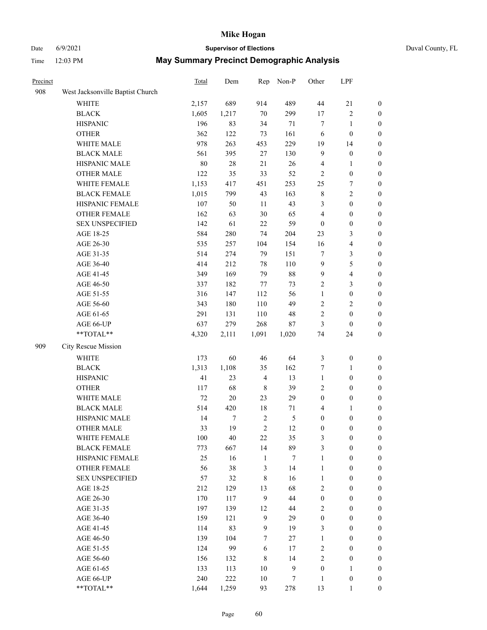## Date 6/9/2021 **Supervisor of Elections** Duval County, FL

| Precinct |                                  | <b>Total</b> | Dem    | Rep            | Non-P         | Other            | LPF                     |                  |
|----------|----------------------------------|--------------|--------|----------------|---------------|------------------|-------------------------|------------------|
| 908      | West Jacksonville Baptist Church |              |        |                |               |                  |                         |                  |
|          | <b>WHITE</b>                     | 2,157        | 689    | 914            | 489           | 44               | 21                      | 0                |
|          | <b>BLACK</b>                     | 1,605        | 1,217  | $70\,$         | 299           | $17\,$           | $\sqrt{2}$              | 0                |
|          | <b>HISPANIC</b>                  | 196          | 83     | 34             | 71            | $\tau$           | $\mathbf{1}$            | $\boldsymbol{0}$ |
|          | <b>OTHER</b>                     | 362          | 122    | 73             | 161           | 6                | $\boldsymbol{0}$        | $\boldsymbol{0}$ |
|          | WHITE MALE                       | 978          | 263    | 453            | 229           | 19               | 14                      | $\boldsymbol{0}$ |
|          | <b>BLACK MALE</b>                | 561          | 395    | 27             | 130           | 9                | $\boldsymbol{0}$        | $\boldsymbol{0}$ |
|          | HISPANIC MALE                    | 80           | $28\,$ | 21             | 26            | 4                | $\mathbf{1}$            | $\boldsymbol{0}$ |
|          | <b>OTHER MALE</b>                | 122          | 35     | 33             | 52            | $\mathfrak{2}$   | $\boldsymbol{0}$        | $\boldsymbol{0}$ |
|          | WHITE FEMALE                     | 1,153        | 417    | 451            | 253           | 25               | $\boldsymbol{7}$        | $\boldsymbol{0}$ |
|          | <b>BLACK FEMALE</b>              | 1,015        | 799    | 43             | 163           | 8                | $\sqrt{2}$              | $\boldsymbol{0}$ |
|          | HISPANIC FEMALE                  | 107          | 50     | 11             | 43            | 3                | $\boldsymbol{0}$        | 0                |
|          | OTHER FEMALE                     | 162          | 63     | 30             | 65            | 4                | $\boldsymbol{0}$        | $\boldsymbol{0}$ |
|          | <b>SEX UNSPECIFIED</b>           | 142          | 61     | 22             | 59            | $\boldsymbol{0}$ | $\boldsymbol{0}$        | $\boldsymbol{0}$ |
|          | AGE 18-25                        | 584          | 280    | 74             | 204           | 23               | $\mathfrak{Z}$          | $\boldsymbol{0}$ |
|          | AGE 26-30                        | 535          | 257    | 104            | 154           | 16               | $\overline{\mathbf{4}}$ | $\boldsymbol{0}$ |
|          | AGE 31-35                        | 514          | 274    | 79             | 151           | $\boldsymbol{7}$ | $\mathfrak{Z}$          | $\boldsymbol{0}$ |
|          | AGE 36-40                        | 414          | 212    | 78             | 110           | 9                | $\mathfrak s$           | $\boldsymbol{0}$ |
|          | AGE 41-45                        | 349          | 169    | 79             | $88\,$        | $\mathbf{9}$     | $\overline{\mathbf{4}}$ | $\boldsymbol{0}$ |
|          | AGE 46-50                        | 337          | 182    | 77             | 73            | $\overline{2}$   | $\mathfrak{Z}$          | $\boldsymbol{0}$ |
|          | AGE 51-55                        | 316          | 147    | 112            | 56            | $\mathbf{1}$     | $\boldsymbol{0}$        | $\boldsymbol{0}$ |
|          | AGE 56-60                        | 343          | 180    | 110            | 49            | $\overline{c}$   | $\sqrt{2}$              | 0                |
|          | AGE 61-65                        | 291          | 131    | 110            | 48            | $\overline{c}$   | $\boldsymbol{0}$        | $\boldsymbol{0}$ |
|          | AGE 66-UP                        | 637          | 279    | 268            | 87            | 3                | $\boldsymbol{0}$        | $\boldsymbol{0}$ |
|          | **TOTAL**                        | 4,320        | 2,111  | 1,091          | 1,020         | 74               | 24                      | $\boldsymbol{0}$ |
| 909      | City Rescue Mission              |              |        |                |               |                  |                         |                  |
|          | <b>WHITE</b>                     | 173          | 60     | 46             | 64            | $\mathfrak{Z}$   | $\boldsymbol{0}$        | $\boldsymbol{0}$ |
|          | <b>BLACK</b>                     | 1,313        | 1,108  | 35             | 162           | 7                | $\mathbf{1}$            | $\boldsymbol{0}$ |
|          | <b>HISPANIC</b>                  | 41           | 23     | $\overline{4}$ | 13            | $\mathbf{1}$     | $\boldsymbol{0}$        | $\boldsymbol{0}$ |
|          | <b>OTHER</b>                     | 117          | 68     | $\,$ 8 $\,$    | 39            | 2                | $\boldsymbol{0}$        | $\boldsymbol{0}$ |
|          | WHITE MALE                       | $72\,$       | $20\,$ | 23             | 29            | $\boldsymbol{0}$ | $\boldsymbol{0}$        | $\boldsymbol{0}$ |
|          | <b>BLACK MALE</b>                | 514          | 420    | 18             | 71            | 4                | 1                       | $\boldsymbol{0}$ |
|          | HISPANIC MALE                    | 14           | 7      | $\sqrt{2}$     | $\mathfrak s$ | $\boldsymbol{0}$ | $\boldsymbol{0}$        | 0                |
|          | OTHER MALE                       | 33           | 19     | $\overline{2}$ | 12            | $\boldsymbol{0}$ | $\boldsymbol{0}$        | $\boldsymbol{0}$ |
|          | WHITE FEMALE                     | 100          | 40     | 22             | 35            | 3                | $\boldsymbol{0}$        | 0                |
|          | <b>BLACK FEMALE</b>              | 773          | 667    | 14             | 89            | 3                | $\boldsymbol{0}$        | $\overline{0}$   |
|          | HISPANIC FEMALE                  | 25           | 16     | $\mathbf{1}$   | $\tau$        | $\mathbf{1}$     | $\boldsymbol{0}$        | $\overline{0}$   |
|          | OTHER FEMALE                     | 56           | 38     | 3              | 14            | $\mathbf{1}$     | $\boldsymbol{0}$        | $\overline{0}$   |
|          | <b>SEX UNSPECIFIED</b>           | 57           | 32     | 8              | 16            | $\mathbf{1}$     | $\boldsymbol{0}$        | $\overline{0}$   |
|          | AGE 18-25                        | 212          | 129    | 13             | 68            | 2                | $\boldsymbol{0}$        | $\overline{0}$   |
|          | AGE 26-30                        | 170          | 117    | 9              | 44            | $\boldsymbol{0}$ | $\boldsymbol{0}$        | $\overline{0}$   |
|          | AGE 31-35                        | 197          | 139    | 12             | 44            | 2                | $\boldsymbol{0}$        | 0                |
|          | AGE 36-40                        | 159          | 121    | $\mathbf{9}$   | 29            | $\boldsymbol{0}$ | $\boldsymbol{0}$        | 0                |
|          | AGE 41-45                        | 114          | 83     | 9              | 19            | 3                | $\boldsymbol{0}$        | 0                |
|          | AGE 46-50                        | 139          | 104    | $\tau$         | 27            | $\mathbf{1}$     | $\boldsymbol{0}$        | 0                |
|          | AGE 51-55                        | 124          | 99     | 6              | 17            | 2                | $\boldsymbol{0}$        | $\overline{0}$   |
|          | AGE 56-60                        | 156          | 132    | 8              | 14            | 2                | $\boldsymbol{0}$        | $\overline{0}$   |
|          | AGE 61-65                        | 133          | 113    | 10             | $\mathbf{9}$  | $\boldsymbol{0}$ | $\mathbf{1}$            | $\overline{0}$   |
|          | AGE 66-UP                        | 240          | 222    | 10             | 7             | $\mathbf{1}$     | $\boldsymbol{0}$        | $\boldsymbol{0}$ |
|          | **TOTAL**                        | 1,644        | 1,259  | 93             | 278           | 13               | $\mathbf{1}$            | $\boldsymbol{0}$ |
|          |                                  |              |        |                |               |                  |                         |                  |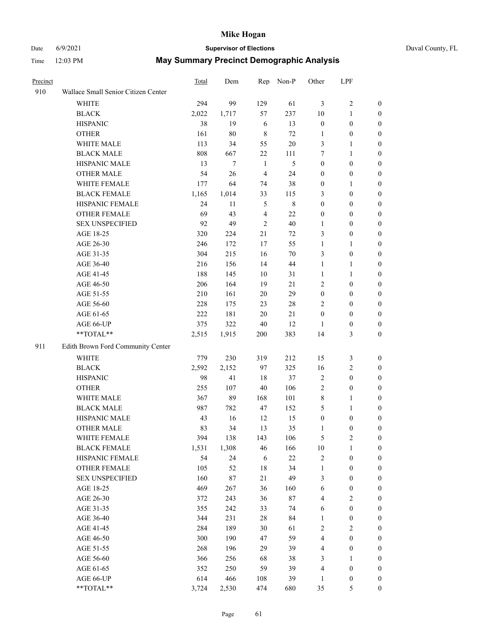## Date 6/9/2021 **Supervisor of Elections** Duval County, FL

| Precinct |                                     | Total | Dem    |                | Rep Non-P      | Other            | LPF              |                  |
|----------|-------------------------------------|-------|--------|----------------|----------------|------------------|------------------|------------------|
| 910      | Wallace Small Senior Citizen Center |       |        |                |                |                  |                  |                  |
|          | <b>WHITE</b>                        | 294   | 99     | 129            | 61             | 3                | $\sqrt{2}$       | 0                |
|          | <b>BLACK</b>                        | 2,022 | 1,717  | 57             | 237            | $10\,$           | $\mathbf{1}$     | $\boldsymbol{0}$ |
|          | <b>HISPANIC</b>                     | 38    | 19     | 6              | 13             | $\boldsymbol{0}$ | $\boldsymbol{0}$ | $\boldsymbol{0}$ |
|          | <b>OTHER</b>                        | 161   | $80\,$ | $\,8\,$        | 72             | 1                | $\boldsymbol{0}$ | $\boldsymbol{0}$ |
|          | <b>WHITE MALE</b>                   | 113   | 34     | 55             | 20             | 3                | $\mathbf{1}$     | $\boldsymbol{0}$ |
|          | <b>BLACK MALE</b>                   | 808   | 667    | 22             | 111            | 7                | $\mathbf{1}$     | $\boldsymbol{0}$ |
|          | HISPANIC MALE                       | 13    | $\tau$ | $\mathbf{1}$   | $\mathfrak{S}$ | $\boldsymbol{0}$ | $\boldsymbol{0}$ | $\boldsymbol{0}$ |
|          | <b>OTHER MALE</b>                   | 54    | 26     | $\overline{4}$ | 24             | $\boldsymbol{0}$ | $\boldsymbol{0}$ | $\boldsymbol{0}$ |
|          | WHITE FEMALE                        | 177   | 64     | 74             | 38             | $\boldsymbol{0}$ | 1                | $\boldsymbol{0}$ |
|          | <b>BLACK FEMALE</b>                 | 1,165 | 1,014  | 33             | 115            | 3                | $\boldsymbol{0}$ | 0                |
|          | HISPANIC FEMALE                     | 24    | 11     | $\mathfrak{S}$ | $\,$ 8 $\,$    | $\boldsymbol{0}$ | $\boldsymbol{0}$ | $\boldsymbol{0}$ |
|          | OTHER FEMALE                        | 69    | 43     | $\overline{4}$ | 22             | $\boldsymbol{0}$ | $\boldsymbol{0}$ | $\boldsymbol{0}$ |
|          | <b>SEX UNSPECIFIED</b>              | 92    | 49     | $\overline{2}$ | 40             | 1                | $\boldsymbol{0}$ | $\boldsymbol{0}$ |
|          | AGE 18-25                           | 320   | 224    | 21             | 72             | 3                | $\boldsymbol{0}$ | $\boldsymbol{0}$ |
|          | AGE 26-30                           | 246   | 172    | 17             | 55             | $\mathbf{1}$     | $\mathbf{1}$     | $\boldsymbol{0}$ |
|          | AGE 31-35                           | 304   | 215    | 16             | 70             | 3                | $\boldsymbol{0}$ | $\boldsymbol{0}$ |
|          | AGE 36-40                           | 216   | 156    | 14             | 44             | $\mathbf{1}$     | $\mathbf{1}$     | $\boldsymbol{0}$ |
|          | AGE 41-45                           | 188   | 145    | 10             | 31             | $\mathbf{1}$     | 1                | $\boldsymbol{0}$ |
|          | AGE 46-50                           | 206   | 164    | 19             | $21\,$         | 2                | $\boldsymbol{0}$ | $\boldsymbol{0}$ |
|          | AGE 51-55                           | 210   | 161    | 20             | 29             | $\boldsymbol{0}$ | $\boldsymbol{0}$ | 0                |
|          | AGE 56-60                           | 228   | 175    | 23             | $28\,$         | 2                | $\boldsymbol{0}$ | $\boldsymbol{0}$ |
|          | AGE 61-65                           | 222   | 181    | 20             | 21             | $\boldsymbol{0}$ | $\boldsymbol{0}$ | $\boldsymbol{0}$ |
|          | AGE 66-UP                           | 375   | 322    | $40\,$         | 12             | 1                | $\boldsymbol{0}$ | $\boldsymbol{0}$ |
|          | **TOTAL**                           | 2,515 | 1,915  | 200            | 383            | 14               | $\mathfrak{Z}$   | $\boldsymbol{0}$ |
| 911      | Edith Brown Ford Community Center   |       |        |                |                |                  |                  |                  |
|          | <b>WHITE</b>                        | 779   | 230    | 319            | 212            | 15               | $\mathfrak z$    | $\boldsymbol{0}$ |
|          | <b>BLACK</b>                        | 2,592 | 2,152  | 97             | 325            | 16               | $\mathfrak{2}$   | $\boldsymbol{0}$ |
|          | <b>HISPANIC</b>                     | 98    | 41     | 18             | 37             | $\overline{c}$   | $\boldsymbol{0}$ | $\boldsymbol{0}$ |
|          | <b>OTHER</b>                        | 255   | 107    | $40\,$         | 106            | $\overline{c}$   | $\boldsymbol{0}$ | $\boldsymbol{0}$ |
|          | WHITE MALE                          | 367   | 89     | 168            | 101            | 8                | 1                | $\boldsymbol{0}$ |
|          | <b>BLACK MALE</b>                   | 987   | 782    | 47             | 152            | 5                | $\mathbf{1}$     | $\boldsymbol{0}$ |
|          | HISPANIC MALE                       | 43    | 16     | 12             | 15             | $\boldsymbol{0}$ | $\boldsymbol{0}$ | 0                |
|          | <b>OTHER MALE</b>                   | 83    | 34     | 13             | 35             | 1                | $\boldsymbol{0}$ | $\boldsymbol{0}$ |
|          | WHITE FEMALE                        | 394   | 138    | 143            | 106            | 5                | $\boldsymbol{2}$ | $\overline{0}$   |
|          | <b>BLACK FEMALE</b>                 | 1,531 | 1,308  | 46             | 166            | $10\,$           | $\mathbf{1}$     | $\boldsymbol{0}$ |
|          | HISPANIC FEMALE                     | 54    | 24     | 6              | $22\,$         | $\overline{c}$   | $\boldsymbol{0}$ | $\overline{0}$   |
|          | <b>OTHER FEMALE</b>                 | 105   | 52     | 18             | 34             | $\mathbf{1}$     | $\boldsymbol{0}$ | $\overline{0}$   |
|          | <b>SEX UNSPECIFIED</b>              | 160   | $87\,$ | 21             | 49             | 3                | $\boldsymbol{0}$ | $\overline{0}$   |
|          | AGE 18-25                           | 469   | 267    | 36             | 160            | 6                | $\boldsymbol{0}$ | $\theta$         |
|          | AGE 26-30                           | 372   | 243    | 36             | $87\,$         | 4                | $\sqrt{2}$       | 0                |
|          | AGE 31-35                           | 355   | 242    | 33             | 74             | 6                | $\boldsymbol{0}$ | 0                |
|          | AGE 36-40                           | 344   | 231    | 28             | 84             | $\mathbf{1}$     | $\boldsymbol{0}$ | 0                |
|          | AGE 41-45                           | 284   | 189    | 30             | 61             | 2                | $\sqrt{2}$       | 0                |
|          | AGE 46-50                           | 300   | 190    | 47             | 59             | 4                | $\boldsymbol{0}$ | $\overline{0}$   |
|          | AGE 51-55                           | 268   | 196    | 29             | 39             | 4                | $\boldsymbol{0}$ | $\boldsymbol{0}$ |
|          | AGE 56-60                           | 366   | 256    | 68             | 38             | 3                | 1                | $\boldsymbol{0}$ |
|          | AGE 61-65                           | 352   | 250    | 59             | 39             | 4                | $\boldsymbol{0}$ | $\overline{0}$   |
|          | AGE 66-UP                           | 614   | 466    | 108            | 39             | $\mathbf{1}$     | $\boldsymbol{0}$ | 0                |
|          | **TOTAL**                           | 3,724 | 2,530  | 474            | 680            | 35               | 5                | $\boldsymbol{0}$ |
|          |                                     |       |        |                |                |                  |                  |                  |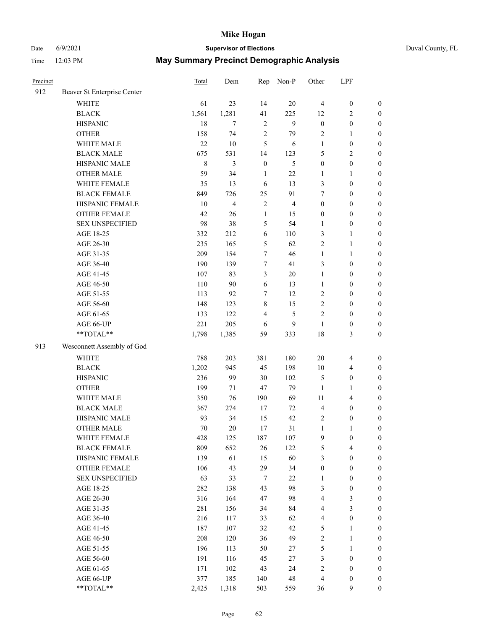## Date 6/9/2021 **Supervisor of Elections** Duval County, FL

| Precinct |                             | Total       | Dem                     | Rep              | Non-P          | Other                   | LPF                     |                  |
|----------|-----------------------------|-------------|-------------------------|------------------|----------------|-------------------------|-------------------------|------------------|
| 912      | Beaver St Enterprise Center |             |                         |                  |                |                         |                         |                  |
|          | <b>WHITE</b>                | 61          | 23                      | 14               | 20             | $\overline{4}$          | $\boldsymbol{0}$        | $\boldsymbol{0}$ |
|          | <b>BLACK</b>                | 1,561       | 1,281                   | 41               | 225            | 12                      | $\sqrt{2}$              | $\boldsymbol{0}$ |
|          | <b>HISPANIC</b>             | 18          | $\tau$                  | $\sqrt{2}$       | 9              | $\boldsymbol{0}$        | $\boldsymbol{0}$        | $\boldsymbol{0}$ |
|          | <b>OTHER</b>                | 158         | 74                      | $\mathfrak{2}$   | 79             | $\overline{c}$          | $\mathbf{1}$            | $\boldsymbol{0}$ |
|          | WHITE MALE                  | 22          | 10                      | 5                | 6              | $\mathbf{1}$            | $\boldsymbol{0}$        | $\boldsymbol{0}$ |
|          | <b>BLACK MALE</b>           | 675         | 531                     | 14               | 123            | 5                       | $\sqrt{2}$              | $\boldsymbol{0}$ |
|          | HISPANIC MALE               | $\,$ 8 $\,$ | 3                       | $\boldsymbol{0}$ | $\mathfrak{S}$ | $\boldsymbol{0}$        | $\boldsymbol{0}$        | $\boldsymbol{0}$ |
|          | <b>OTHER MALE</b>           | 59          | 34                      | $\mathbf{1}$     | 22             | 1                       | $\mathbf{1}$            | $\boldsymbol{0}$ |
|          | WHITE FEMALE                | 35          | 13                      | 6                | 13             | 3                       | $\boldsymbol{0}$        | $\boldsymbol{0}$ |
|          | <b>BLACK FEMALE</b>         | 849         | 726                     | 25               | 91             | 7                       | $\boldsymbol{0}$        | 0                |
|          | HISPANIC FEMALE             | 10          | $\overline{\mathbf{4}}$ | $\sqrt{2}$       | $\overline{4}$ | $\boldsymbol{0}$        | $\boldsymbol{0}$        | $\boldsymbol{0}$ |
|          | OTHER FEMALE                | 42          | 26                      | $\mathbf{1}$     | 15             | $\boldsymbol{0}$        | $\boldsymbol{0}$        | $\boldsymbol{0}$ |
|          | <b>SEX UNSPECIFIED</b>      | 98          | 38                      | 5                | 54             | 1                       | $\boldsymbol{0}$        | $\boldsymbol{0}$ |
|          | AGE 18-25                   | 332         | 212                     | 6                | 110            | 3                       | $\mathbf{1}$            | $\boldsymbol{0}$ |
|          | AGE 26-30                   | 235         | 165                     | 5                | 62             | 2                       | $\mathbf{1}$            | $\boldsymbol{0}$ |
|          | AGE 31-35                   | 209         | 154                     | $\boldsymbol{7}$ | 46             | $\mathbf{1}$            | $\mathbf{1}$            | $\boldsymbol{0}$ |
|          | AGE 36-40                   | 190         | 139                     | $\tau$           | 41             | 3                       | $\boldsymbol{0}$        | $\boldsymbol{0}$ |
|          | AGE 41-45                   | 107         | 83                      | $\mathfrak{Z}$   | $20\,$         | $\mathbf{1}$            | $\boldsymbol{0}$        | $\boldsymbol{0}$ |
|          | AGE 46-50                   | 110         | 90                      | 6                | 13             | $\mathbf{1}$            | $\boldsymbol{0}$        | $\boldsymbol{0}$ |
|          | AGE 51-55                   | 113         | 92                      | 7                | 12             | $\mathfrak{2}$          | $\boldsymbol{0}$        | $\boldsymbol{0}$ |
|          | AGE 56-60                   | 148         | 123                     | $\,$ 8 $\,$      | 15             | $\mathfrak{2}$          | $\boldsymbol{0}$        | $\boldsymbol{0}$ |
|          | AGE 61-65                   | 133         | 122                     | $\overline{4}$   | 5              | $\mathfrak{2}$          | $\boldsymbol{0}$        | $\boldsymbol{0}$ |
|          | AGE 66-UP                   | 221         | 205                     | 6                | 9              | $\mathbf{1}$            | $\boldsymbol{0}$        | $\boldsymbol{0}$ |
|          | **TOTAL**                   | 1,798       | 1,385                   | 59               | 333            | 18                      | $\mathfrak{Z}$          | $\boldsymbol{0}$ |
| 913      | Wesconnett Assembly of God  |             |                         |                  |                |                         |                         |                  |
|          | <b>WHITE</b>                | 788         | 203                     | 381              | 180            | 20                      | $\overline{4}$          | $\boldsymbol{0}$ |
|          | <b>BLACK</b>                | 1,202       | 945                     | 45               | 198            | $10\,$                  | $\overline{\mathbf{4}}$ | $\boldsymbol{0}$ |
|          | <b>HISPANIC</b>             | 236         | 99                      | 30               | 102            | 5                       | $\boldsymbol{0}$        | $\boldsymbol{0}$ |
|          | <b>OTHER</b>                | 199         | 71                      | 47               | 79             | $\mathbf{1}$            | $\mathbf{1}$            | $\boldsymbol{0}$ |
|          | WHITE MALE                  | 350         | 76                      | 190              | 69             | 11                      | $\overline{\mathbf{4}}$ | $\boldsymbol{0}$ |
|          | <b>BLACK MALE</b>           | 367         | 274                     | 17               | 72             | $\overline{4}$          | $\boldsymbol{0}$        | $\boldsymbol{0}$ |
|          | HISPANIC MALE               | 93          | 34                      | 15               | 42             | $\overline{2}$          | $\boldsymbol{0}$        | 0                |
|          | <b>OTHER MALE</b>           | 70          | 20                      | 17               | 31             | $\mathbf{1}$            | 1                       | $\boldsymbol{0}$ |
|          | WHITE FEMALE                | 428         | 125                     | 187              | 107            | 9                       | $\boldsymbol{0}$        | $\boldsymbol{0}$ |
|          | <b>BLACK FEMALE</b>         | 809         | 652                     | 26               | 122            | 5                       | $\overline{\mathbf{4}}$ | $\boldsymbol{0}$ |
|          | HISPANIC FEMALE             | 139         | 61                      | 15               | 60             | 3                       | $\boldsymbol{0}$        | $\overline{0}$   |
|          | <b>OTHER FEMALE</b>         | 106         | 43                      | 29               | 34             | $\boldsymbol{0}$        | $\boldsymbol{0}$        | $\overline{0}$   |
|          | <b>SEX UNSPECIFIED</b>      | 63          | 33                      | $\tau$           | $22\,$         | $\mathbf{1}$            | $\boldsymbol{0}$        | $\overline{0}$   |
|          | AGE 18-25                   | 282         | 138                     | 43               | 98             | 3                       | $\boldsymbol{0}$        | $\theta$         |
|          | AGE 26-30                   | 316         | 164                     | 47               | 98             | 4                       | $\mathfrak{Z}$          | 0                |
|          | AGE 31-35                   | 281         | 156                     | 34               | 84             | 4                       | $\mathfrak{Z}$          | 0                |
|          | AGE 36-40                   | 216         | 117                     | 33               | 62             | $\overline{\mathbf{4}}$ | $\boldsymbol{0}$        | 0                |
|          | AGE 41-45                   | 187         | 107                     | 32               | 42             | 5                       | $\mathbf{1}$            | 0                |
|          | AGE 46-50                   | 208         | 120                     | 36               | 49             | $\sqrt{2}$              | $\mathbf{1}$            | 0                |
|          | AGE 51-55                   | 196         | 113                     | 50               | 27             | 5                       | $\mathbf{1}$            | 0                |
|          | AGE 56-60                   | 191         | 116                     | 45               | 27             | 3                       | $\boldsymbol{0}$        | $\boldsymbol{0}$ |
|          | AGE 61-65                   | 171         | 102                     | 43               | 24             | 2                       | $\boldsymbol{0}$        | $\overline{0}$   |
|          | AGE 66-UP                   | 377         | 185                     | 140              | 48             | 4                       | $\boldsymbol{0}$        | 0                |
|          | **TOTAL**                   | 2,425       | 1,318                   | 503              | 559            | 36                      | $\mathbf{9}$            | $\boldsymbol{0}$ |
|          |                             |             |                         |                  |                |                         |                         |                  |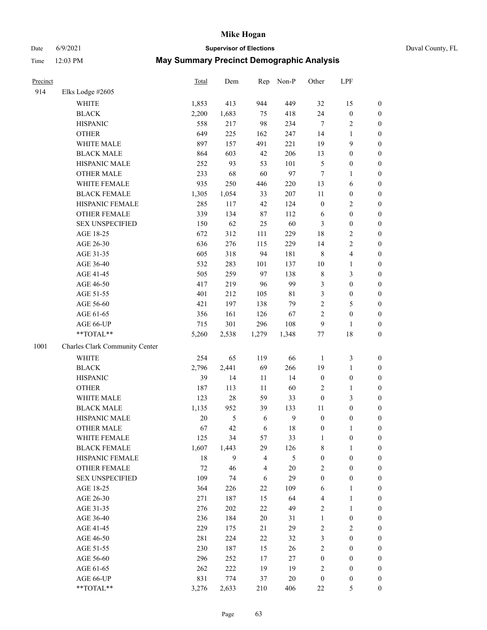# Date 6/9/2021 **Supervisor of Elections** Duval County, FL

| Precinct |                                | <b>Total</b> | Dem        | Rep            | Non-P        | Other            | LPF              |                  |
|----------|--------------------------------|--------------|------------|----------------|--------------|------------------|------------------|------------------|
| 914      | Elks Lodge #2605               |              |            |                |              |                  |                  |                  |
|          | WHITE                          | 1,853        | 413        | 944            | 449          | 32               | 15               | 0                |
|          | <b>BLACK</b>                   | 2,200        | 1,683      | 75             | 418          | 24               | $\boldsymbol{0}$ | 0                |
|          | <b>HISPANIC</b>                | 558          | 217        | 98             | 234          | $\tau$           | $\sqrt{2}$       | $\boldsymbol{0}$ |
|          | <b>OTHER</b>                   | 649          | 225        | 162            | 247          | 14               | $\mathbf{1}$     | $\boldsymbol{0}$ |
|          | WHITE MALE                     | 897          | 157        | 491            | 221          | 19               | 9                | $\boldsymbol{0}$ |
|          | <b>BLACK MALE</b>              | 864          | 603        | 42             | 206          | 13               | $\boldsymbol{0}$ | $\boldsymbol{0}$ |
|          | HISPANIC MALE                  | 252          | 93         | 53             | 101          | 5                | $\boldsymbol{0}$ | $\boldsymbol{0}$ |
|          | <b>OTHER MALE</b>              | 233          | 68         | 60             | 97           | $\tau$           | $\mathbf{1}$     | $\boldsymbol{0}$ |
|          | WHITE FEMALE                   | 935          | 250        | 446            | 220          | 13               | 6                | $\boldsymbol{0}$ |
|          | <b>BLACK FEMALE</b>            | 1,305        | 1,054      | 33             | 207          | $11\,$           | $\boldsymbol{0}$ | $\boldsymbol{0}$ |
|          | HISPANIC FEMALE                | 285          | 117        | 42             | 124          | $\boldsymbol{0}$ | $\sqrt{2}$       | $\boldsymbol{0}$ |
|          | <b>OTHER FEMALE</b>            | 339          | 134        | 87             | 112          | 6                | $\boldsymbol{0}$ | $\boldsymbol{0}$ |
|          | <b>SEX UNSPECIFIED</b>         | 150          | 62         | 25             | 60           | 3                | $\boldsymbol{0}$ | $\boldsymbol{0}$ |
|          | AGE 18-25                      | 672          | 312        | 111            | 229          | 18               | $\sqrt{2}$       | $\boldsymbol{0}$ |
|          | AGE 26-30                      | 636          | 276        | 115            | 229          | 14               | $\sqrt{2}$       | $\boldsymbol{0}$ |
|          | AGE 31-35                      | 605          | 318        | 94             | 181          | 8                | $\overline{4}$   | $\boldsymbol{0}$ |
|          | AGE 36-40                      | 532          | 283        | 101            | 137          | $10\,$           | $\mathbf{1}$     | $\boldsymbol{0}$ |
|          | AGE 41-45                      | 505          | 259        | 97             | 138          | 8                | 3                | $\boldsymbol{0}$ |
|          | AGE 46-50                      | 417          | 219        | 96             | 99           | 3                | $\boldsymbol{0}$ | $\boldsymbol{0}$ |
|          | AGE 51-55                      | 401          | 212        | 105            | $8\sqrt{1}$  | 3                | $\boldsymbol{0}$ | $\boldsymbol{0}$ |
|          | AGE 56-60                      | 421          | 197        | 138            | 79           | $\overline{c}$   | 5                | $\boldsymbol{0}$ |
|          | AGE 61-65                      | 356          | 161        | 126            | 67           | $\overline{c}$   | $\boldsymbol{0}$ | $\boldsymbol{0}$ |
|          | AGE 66-UP                      | 715          | 301        | 296            | 108          | 9                | $\mathbf{1}$     | $\boldsymbol{0}$ |
|          | $**TOTAL**$                    | 5,260        | 2,538      | 1,279          | 1,348        | $77 \,$          | 18               | $\boldsymbol{0}$ |
| 1001     | Charles Clark Community Center |              |            |                |              |                  |                  |                  |
|          | <b>WHITE</b>                   | 254          | 65         | 119            | 66           | $\mathbf{1}$     | $\mathfrak z$    | $\boldsymbol{0}$ |
|          | <b>BLACK</b>                   | 2,796        | 2,441      | 69             | 266          | 19               | $\mathbf{1}$     | $\boldsymbol{0}$ |
|          | <b>HISPANIC</b>                | 39           | 14         | 11             | 14           | $\boldsymbol{0}$ | $\boldsymbol{0}$ | $\boldsymbol{0}$ |
|          | <b>OTHER</b>                   | 187          | 113        | 11             | 60           | 2                | $\mathbf{1}$     | $\boldsymbol{0}$ |
|          | WHITE MALE                     | 123          | $28\,$     | 59             | 33           | $\boldsymbol{0}$ | 3                | $\boldsymbol{0}$ |
|          | <b>BLACK MALE</b>              | 1,135        | 952        | 39             | 133          | $11\,$           | $\boldsymbol{0}$ | $\boldsymbol{0}$ |
|          | HISPANIC MALE                  | $20\,$       | $\sqrt{5}$ | 6              | $\mathbf{9}$ | $\boldsymbol{0}$ | $\boldsymbol{0}$ | $\boldsymbol{0}$ |
|          | <b>OTHER MALE</b>              | 67           | 42         | 6              | 18           | $\boldsymbol{0}$ | $\mathbf{1}$     | $\boldsymbol{0}$ |
|          | WHITE FEMALE                   | 125          | 34         | 57             | 33           | 1                | 0                | 0                |
|          | <b>BLACK FEMALE</b>            | 1,607        | 1,443      | 29             | 126          | 8                | $\mathbf{1}$     | $\boldsymbol{0}$ |
|          | HISPANIC FEMALE                | $18\,$       | 9          | 4              | 5            | $\boldsymbol{0}$ | $\boldsymbol{0}$ | $\overline{0}$   |
|          | OTHER FEMALE                   | 72           | 46         | $\overline{4}$ | 20           | 2                | $\boldsymbol{0}$ | 0                |
|          | <b>SEX UNSPECIFIED</b>         | 109          | 74         | 6              | 29           | $\boldsymbol{0}$ | $\boldsymbol{0}$ | 0                |
|          | AGE 18-25                      | 364          | 226        | $22\,$         | 109          | 6                | $\mathbf{1}$     | 0                |
|          | AGE 26-30                      | 271          | 187        | 15             | 64           | 4                | $\mathbf{1}$     | 0                |
|          | AGE 31-35                      | 276          | 202        | 22             | 49           | 2                | $\mathbf{1}$     | 0                |
|          | AGE 36-40                      | 236          | 184        | $20\,$         | 31           | $\mathbf{1}$     | $\boldsymbol{0}$ | 0                |
|          | AGE 41-45                      | 229          | 175        | 21             | 29           | $\mathbf{2}$     | $\overline{2}$   | 0                |
|          | AGE 46-50                      | 281          | 224        | 22             | 32           | 3                | $\boldsymbol{0}$ | 0                |
|          | AGE 51-55                      | 230          | 187        | 15             | 26           | $\overline{c}$   | $\boldsymbol{0}$ | 0                |
|          | AGE 56-60                      | 296          | 252        | $17$           | 27           | 0                | $\boldsymbol{0}$ | 0                |
|          | AGE 61-65                      | 262          | 222        | 19             | 19           | 2                | $\boldsymbol{0}$ | 0                |
|          | AGE 66-UP                      | 831          | 774        | 37             | 20           | $\boldsymbol{0}$ | $\boldsymbol{0}$ | 0                |
|          | **TOTAL**                      | 3,276        | 2,633      | 210            | 406          | 22               | 5                | $\boldsymbol{0}$ |
|          |                                |              |            |                |              |                  |                  |                  |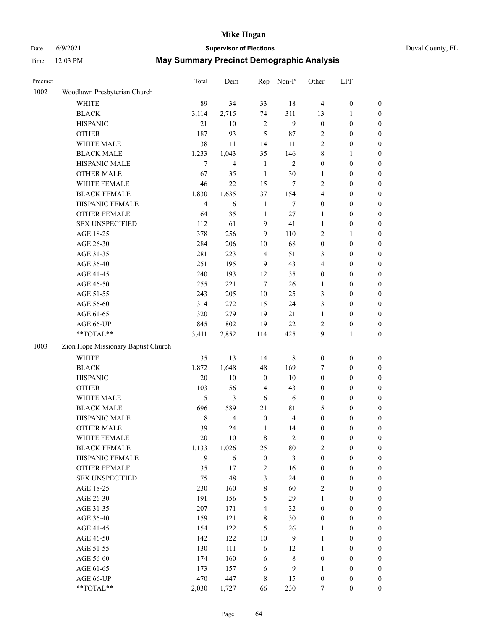## Date 6/9/2021 **Supervisor of Elections** Duval County, FL

| Precinct |                                     | <b>Total</b> | Dem            | Rep                     | Non-P             | Other                            | LPF              |                                      |
|----------|-------------------------------------|--------------|----------------|-------------------------|-------------------|----------------------------------|------------------|--------------------------------------|
| 1002     | Woodlawn Presbyterian Church        |              |                |                         |                   |                                  |                  |                                      |
|          | <b>WHITE</b>                        | 89           | 34             | 33                      | 18                | $\overline{4}$                   | $\boldsymbol{0}$ | 0                                    |
|          | <b>BLACK</b>                        | 3,114        | 2,715          | 74                      | 311               | 13                               | 1                | 0                                    |
|          | <b>HISPANIC</b>                     | 21           | 10             | $\overline{2}$          | $\mathbf{9}$      | $\boldsymbol{0}$                 | $\boldsymbol{0}$ | $\boldsymbol{0}$                     |
|          | <b>OTHER</b>                        | 187          | 93             | 5                       | 87                | 2                                | $\boldsymbol{0}$ | $\boldsymbol{0}$                     |
|          | WHITE MALE                          | 38           | 11             | 14                      | 11                | 2                                | $\boldsymbol{0}$ | $\boldsymbol{0}$                     |
|          | <b>BLACK MALE</b>                   | 1,233        | 1,043          | 35                      | 146               | 8                                | 1                | $\boldsymbol{0}$                     |
|          | HISPANIC MALE                       | $\tau$       | $\overline{4}$ | $\mathbf{1}$            | $\mathfrak{2}$    | $\boldsymbol{0}$                 | $\boldsymbol{0}$ | $\boldsymbol{0}$                     |
|          | <b>OTHER MALE</b>                   | 67           | 35             | $\mathbf{1}$            | 30                | 1                                | $\boldsymbol{0}$ | $\boldsymbol{0}$                     |
|          | WHITE FEMALE                        | 46           | 22             | 15                      | 7                 | $\overline{c}$                   | $\boldsymbol{0}$ | $\boldsymbol{0}$                     |
|          | <b>BLACK FEMALE</b>                 | 1,830        | 1,635          | 37                      | 154               | $\overline{\mathbf{4}}$          | $\boldsymbol{0}$ | $\boldsymbol{0}$                     |
|          | HISPANIC FEMALE                     | 14           | 6              | $\mathbf{1}$            | $\tau$            | $\boldsymbol{0}$                 | $\boldsymbol{0}$ | $\boldsymbol{0}$                     |
|          | <b>OTHER FEMALE</b>                 | 64           | 35             | $\mathbf{1}$            | $27\,$            | $\mathbf{1}$                     | $\boldsymbol{0}$ | $\boldsymbol{0}$                     |
|          | <b>SEX UNSPECIFIED</b>              | 112          | 61             | 9                       | 41                | $\mathbf{1}$                     | $\boldsymbol{0}$ | $\boldsymbol{0}$                     |
|          | AGE 18-25                           | 378          | 256            | 9                       | 110               | $\overline{c}$                   | 1                | $\boldsymbol{0}$                     |
|          | AGE 26-30                           | 284          | 206            | $10\,$                  | 68                | $\boldsymbol{0}$                 | $\boldsymbol{0}$ | $\boldsymbol{0}$                     |
|          | AGE 31-35                           | 281          | 223            | $\overline{4}$          | 51                | 3                                | $\boldsymbol{0}$ | $\boldsymbol{0}$                     |
|          | AGE 36-40                           | 251          | 195            | 9                       | 43                | 4                                | $\boldsymbol{0}$ | $\boldsymbol{0}$                     |
|          | AGE 41-45                           | 240          | 193            | 12                      | 35                | $\boldsymbol{0}$                 | $\boldsymbol{0}$ | $\boldsymbol{0}$                     |
|          | AGE 46-50                           | 255          | 221            | $\tau$                  | 26                | 1                                | $\boldsymbol{0}$ | $\boldsymbol{0}$                     |
|          | AGE 51-55                           | 243          | 205            | $10\,$                  | 25                | 3                                | $\boldsymbol{0}$ | $\boldsymbol{0}$                     |
|          | AGE 56-60                           | 314          | 272            | 15                      | 24                | 3                                | $\boldsymbol{0}$ | 0                                    |
|          | AGE 61-65                           | 320          | 279            | 19                      | 21                | $\mathbf{1}$                     | $\boldsymbol{0}$ | $\boldsymbol{0}$                     |
|          | AGE 66-UP                           | 845          | 802            | 19                      | 22                | $\overline{c}$                   | $\boldsymbol{0}$ | $\boldsymbol{0}$                     |
|          | $**TOTAL**$                         | 3,411        | 2,852          | 114                     | 425               | 19                               | $\mathbf{1}$     | $\boldsymbol{0}$                     |
| 1003     | Zion Hope Missionary Baptist Church |              |                |                         |                   |                                  |                  |                                      |
|          | <b>WHITE</b>                        | 35           | 13             | 14                      | $\,$ 8 $\,$       | $\boldsymbol{0}$                 | $\boldsymbol{0}$ | $\boldsymbol{0}$                     |
|          | <b>BLACK</b>                        | 1,872        | 1,648          | 48                      | 169               | 7                                | $\boldsymbol{0}$ | $\boldsymbol{0}$                     |
|          | <b>HISPANIC</b>                     | 20           | 10             | $\boldsymbol{0}$        | 10                | $\boldsymbol{0}$                 | $\boldsymbol{0}$ | $\boldsymbol{0}$                     |
|          | <b>OTHER</b>                        | 103          | 56             | $\overline{\mathbf{4}}$ | 43                | 0                                | $\boldsymbol{0}$ | $\boldsymbol{0}$                     |
|          | WHITE MALE                          | 15           | 3              | $\sqrt{6}$              | $\sqrt{6}$        | $\boldsymbol{0}$                 | $\boldsymbol{0}$ | $\boldsymbol{0}$                     |
|          | <b>BLACK MALE</b>                   | 696          | 589            | 21                      | $8\sqrt{1}$       | 5                                | $\boldsymbol{0}$ | $\boldsymbol{0}$                     |
|          | HISPANIC MALE                       | $\,$ 8 $\,$  | $\overline{4}$ | $\boldsymbol{0}$        | $\overline{4}$    | $\boldsymbol{0}$                 | $\boldsymbol{0}$ | 0                                    |
|          | <b>OTHER MALE</b>                   | 39           | 24             | $\mathbf{1}$            | 14                | $\boldsymbol{0}$                 | $\boldsymbol{0}$ | $\boldsymbol{0}$                     |
|          | WHITE FEMALE                        |              | 10             |                         | $\overline{2}$    | 0                                | 0                | 0                                    |
|          | <b>BLACK FEMALE</b>                 | 20<br>1,133  | 1,026          | 8<br>25                 | 80                | $\overline{c}$                   | $\boldsymbol{0}$ | $\boldsymbol{0}$                     |
|          | HISPANIC FEMALE                     | 9            | 6              | $\boldsymbol{0}$        | 3                 | $\boldsymbol{0}$                 | $\boldsymbol{0}$ | $\overline{0}$                       |
|          | OTHER FEMALE                        | 35           | 17             | $\sqrt{2}$              | 16                | $\boldsymbol{0}$                 | $\boldsymbol{0}$ | $\overline{0}$                       |
|          | <b>SEX UNSPECIFIED</b>              | 75           | 48             | 3                       | 24                | $\boldsymbol{0}$                 | $\boldsymbol{0}$ | $\overline{0}$                       |
|          | AGE 18-25                           | 230          | 160            | $\,$ $\,$               | 60                | $\mathbf{2}$                     | $\boldsymbol{0}$ | $\overline{0}$                       |
|          | AGE 26-30                           | 191          | 156            | 5                       | 29                | $\mathbf{1}$                     | $\boldsymbol{0}$ | $\overline{0}$                       |
|          | AGE 31-35                           | 207          | 171            | $\overline{4}$          | 32                | $\boldsymbol{0}$                 | $\boldsymbol{0}$ | $\overline{0}$                       |
|          | AGE 36-40                           | 159          | 121            | $\,$ 8 $\,$             | 30                | 0                                | $\boldsymbol{0}$ | 0                                    |
|          | AGE 41-45                           | 154          | 122            | 5                       | 26                | 1                                | $\boldsymbol{0}$ | 0                                    |
|          | AGE 46-50                           | 142          | 122            | $10\,$                  | 9                 | 1                                | $\boldsymbol{0}$ | 0                                    |
|          | AGE 51-55                           | 130          | 111            | $\sqrt{6}$              |                   |                                  | $\boldsymbol{0}$ |                                      |
|          | AGE 56-60                           | 174          | 160            | 6                       | 12<br>$\,$ 8 $\,$ | $\mathbf{1}$<br>$\boldsymbol{0}$ | $\boldsymbol{0}$ | $\boldsymbol{0}$<br>$\boldsymbol{0}$ |
|          | AGE 61-65                           | 173          | 157            | 6                       | $\overline{9}$    | 1                                | $\boldsymbol{0}$ | $\boldsymbol{0}$                     |
|          | AGE 66-UP                           | 470          | 447            | 8                       | 15                | $\boldsymbol{0}$                 | $\boldsymbol{0}$ | $\boldsymbol{0}$                     |
|          | **TOTAL**                           | 2,030        | 1,727          | 66                      | 230               | 7                                | $\boldsymbol{0}$ | $\boldsymbol{0}$                     |
|          |                                     |              |                |                         |                   |                                  |                  |                                      |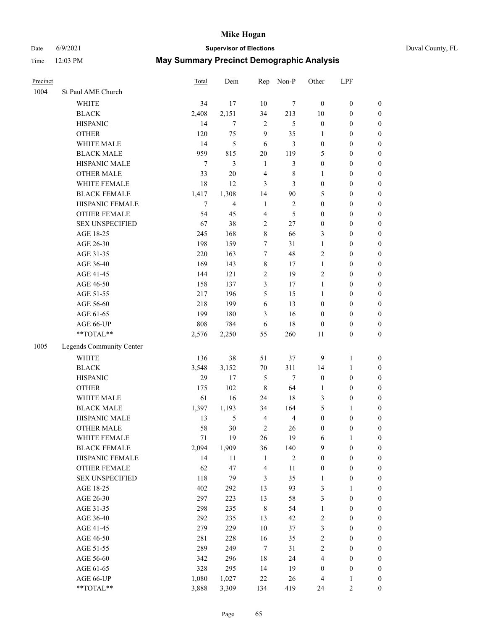Date 6/9/2021 **Supervisor of Elections** Duval County, FL

| Precinct |                          | Total  | Dem            | Rep                     | Non-P            | Other            | LPF              |                  |
|----------|--------------------------|--------|----------------|-------------------------|------------------|------------------|------------------|------------------|
| 1004     | St Paul AME Church       |        |                |                         |                  |                  |                  |                  |
|          | <b>WHITE</b>             | 34     | 17             | 10                      | 7                | $\boldsymbol{0}$ | $\boldsymbol{0}$ | $\boldsymbol{0}$ |
|          | <b>BLACK</b>             | 2,408  | 2,151          | 34                      | 213              | $10\,$           | $\boldsymbol{0}$ | $\boldsymbol{0}$ |
|          | <b>HISPANIC</b>          | 14     | $\tau$         | $\sqrt{2}$              | 5                | $\boldsymbol{0}$ | $\boldsymbol{0}$ | $\boldsymbol{0}$ |
|          | <b>OTHER</b>             | 120    | 75             | 9                       | 35               | 1                | $\boldsymbol{0}$ | $\boldsymbol{0}$ |
|          | WHITE MALE               | 14     | 5              | 6                       | 3                | $\boldsymbol{0}$ | $\boldsymbol{0}$ | $\boldsymbol{0}$ |
|          | <b>BLACK MALE</b>        | 959    | 815            | $20\,$                  | 119              | 5                | $\boldsymbol{0}$ | $\boldsymbol{0}$ |
|          | HISPANIC MALE            | $\tau$ | $\mathfrak{Z}$ | $\mathbf{1}$            | 3                | $\boldsymbol{0}$ | $\boldsymbol{0}$ | $\boldsymbol{0}$ |
|          | <b>OTHER MALE</b>        | 33     | $20\,$         | $\overline{\mathbf{4}}$ | $\,$ 8 $\,$      | $\mathbf{1}$     | $\boldsymbol{0}$ | $\boldsymbol{0}$ |
|          | WHITE FEMALE             | 18     | 12             | 3                       | 3                | $\boldsymbol{0}$ | $\boldsymbol{0}$ | $\boldsymbol{0}$ |
|          | <b>BLACK FEMALE</b>      | 1,417  | 1,308          | 14                      | $90\,$           | 5                | $\boldsymbol{0}$ | 0                |
|          | HISPANIC FEMALE          | 7      | $\overline{4}$ | $\mathbf{1}$            | $\sqrt{2}$       | $\boldsymbol{0}$ | $\boldsymbol{0}$ | $\boldsymbol{0}$ |
|          | OTHER FEMALE             | 54     | 45             | $\overline{4}$          | 5                | $\boldsymbol{0}$ | $\boldsymbol{0}$ | $\boldsymbol{0}$ |
|          | <b>SEX UNSPECIFIED</b>   | 67     | 38             | $\sqrt{2}$              | $27\,$           | $\boldsymbol{0}$ | $\boldsymbol{0}$ | $\boldsymbol{0}$ |
|          | AGE 18-25                | 245    | 168            | $\,8\,$                 | 66               | 3                | $\boldsymbol{0}$ | $\boldsymbol{0}$ |
|          | AGE 26-30                | 198    | 159            | $\tau$                  | 31               | $\mathbf{1}$     | $\boldsymbol{0}$ | $\boldsymbol{0}$ |
|          | AGE 31-35                | 220    | 163            | $\boldsymbol{7}$        | 48               | $\overline{c}$   | $\boldsymbol{0}$ | $\boldsymbol{0}$ |
|          | AGE 36-40                | 169    | 143            | $8\,$                   | 17               | $\mathbf{1}$     | $\boldsymbol{0}$ | $\boldsymbol{0}$ |
|          | AGE 41-45                | 144    | 121            | $\sqrt{2}$              | 19               | $\mathfrak{2}$   | $\boldsymbol{0}$ | $\boldsymbol{0}$ |
|          | AGE 46-50                | 158    | 137            | 3                       | 17               | $\mathbf{1}$     | $\boldsymbol{0}$ | $\boldsymbol{0}$ |
|          | AGE 51-55                | 217    | 196            | 5                       | 15               | $\mathbf{1}$     | $\boldsymbol{0}$ | 0                |
|          | AGE 56-60                | 218    | 199            | $\sqrt{6}$              | 13               | $\boldsymbol{0}$ | $\boldsymbol{0}$ | $\boldsymbol{0}$ |
|          | AGE 61-65                | 199    | 180            | 3                       | 16               | $\boldsymbol{0}$ | $\boldsymbol{0}$ | $\boldsymbol{0}$ |
|          | AGE 66-UP                | 808    | 784            | 6                       | 18               | $\boldsymbol{0}$ | $\boldsymbol{0}$ | $\boldsymbol{0}$ |
|          | **TOTAL**                | 2,576  | 2,250          | 55                      | 260              | $11\,$           | $\boldsymbol{0}$ | $\boldsymbol{0}$ |
| 1005     | Legends Community Center |        |                |                         |                  |                  |                  |                  |
|          | <b>WHITE</b>             | 136    | 38             | 51                      | 37               | 9                | $\mathbf{1}$     | $\boldsymbol{0}$ |
|          | <b>BLACK</b>             | 3,548  | 3,152          | $70\,$                  | 311              | 14               | $\mathbf{1}$     | $\boldsymbol{0}$ |
|          | <b>HISPANIC</b>          | 29     | 17             | 5                       | $\boldsymbol{7}$ | $\boldsymbol{0}$ | $\boldsymbol{0}$ | $\boldsymbol{0}$ |
|          | <b>OTHER</b>             | 175    | 102            | $\,$ 8 $\,$             | 64               | $\mathbf{1}$     | $\boldsymbol{0}$ | $\boldsymbol{0}$ |
|          | WHITE MALE               | 61     | 16             | 24                      | 18               | 3                | $\boldsymbol{0}$ | $\boldsymbol{0}$ |
|          | <b>BLACK MALE</b>        | 1,397  | 1,193          | 34                      | 164              | 5                | $\mathbf{1}$     | $\boldsymbol{0}$ |
|          | HISPANIC MALE            | 13     | 5              | $\overline{\mathbf{4}}$ | $\overline{4}$   | $\boldsymbol{0}$ | $\boldsymbol{0}$ | 0                |
|          | <b>OTHER MALE</b>        | 58     | 30             | $\sqrt{2}$              | 26               | $\boldsymbol{0}$ | $\boldsymbol{0}$ | $\boldsymbol{0}$ |
|          | WHITE FEMALE             | 71     | 19             | 26                      | 19               | 6                | 1                | $\boldsymbol{0}$ |
|          | <b>BLACK FEMALE</b>      | 2,094  | 1,909          | 36                      | 140              | 9                | $\boldsymbol{0}$ | $\boldsymbol{0}$ |
|          | HISPANIC FEMALE          | 14     | 11             | $\mathbf{1}$            | $\sqrt{2}$       | $\boldsymbol{0}$ | $\boldsymbol{0}$ | $\overline{0}$   |
|          | OTHER FEMALE             | 62     | 47             | $\overline{\mathbf{4}}$ | 11               | $\boldsymbol{0}$ | $\boldsymbol{0}$ | 0                |
|          | <b>SEX UNSPECIFIED</b>   | 118    | 79             | 3                       | 35               | $\mathbf{1}$     | $\boldsymbol{0}$ | 0                |
|          | AGE 18-25                | 402    | 292            | 13                      | 93               | 3                | $\mathbf{1}$     | $\overline{0}$   |
|          | AGE 26-30                | 297    | 223            | 13                      | 58               | 3                | $\boldsymbol{0}$ | 0                |
|          | AGE 31-35                | 298    | 235            | $\,$ 8 $\,$             | 54               | $\mathbf{1}$     | $\boldsymbol{0}$ | 0                |
|          | AGE 36-40                | 292    | 235            | 13                      | 42               | $\sqrt{2}$       | $\boldsymbol{0}$ | 0                |
|          | AGE 41-45                | 279    | 229            | $10\,$                  | 37               | 3                | $\boldsymbol{0}$ | 0                |
|          | AGE 46-50                | 281    | 228            | 16                      | 35               | $\boldsymbol{2}$ | $\boldsymbol{0}$ | 0                |
|          | AGE 51-55                | 289    | 249            | $\tau$                  | 31               | $\sqrt{2}$       | $\boldsymbol{0}$ | $\boldsymbol{0}$ |
|          | AGE 56-60                | 342    | 296            | 18                      | 24               | 4                | $\boldsymbol{0}$ | $\boldsymbol{0}$ |
|          | AGE 61-65                | 328    | 295            | 14                      | 19               | $\boldsymbol{0}$ | $\boldsymbol{0}$ | 0                |
|          | AGE 66-UP                | 1,080  | 1,027          | $22\,$                  | 26               | 4                | 1                | 0                |
|          | **TOTAL**                | 3,888  | 3,309          | 134                     | 419              | 24               | 2                | $\boldsymbol{0}$ |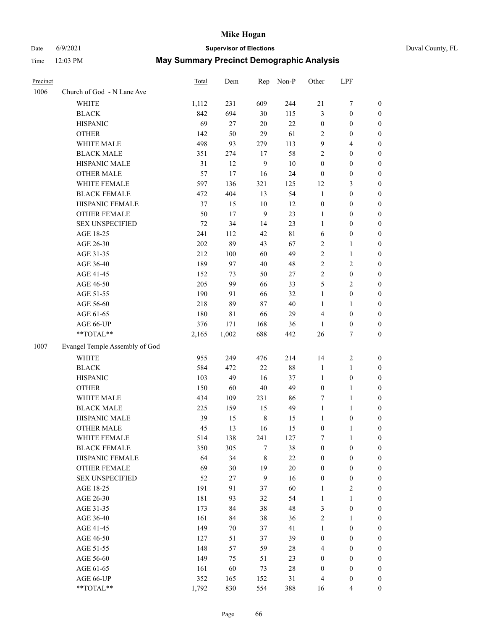# Date 6/9/2021 **Supervisor of Elections** Duval County, FL

| Precinct |                                | Total | Dem    | Rep              | Non-P       | Other            | LPF              |                  |
|----------|--------------------------------|-------|--------|------------------|-------------|------------------|------------------|------------------|
| 1006     | Church of God - N Lane Ave     |       |        |                  |             |                  |                  |                  |
|          | <b>WHITE</b>                   | 1,112 | 231    | 609              | 244         | 21               | $\boldsymbol{7}$ | 0                |
|          | <b>BLACK</b>                   | 842   | 694    | 30               | 115         | 3                | $\boldsymbol{0}$ | $\boldsymbol{0}$ |
|          | <b>HISPANIC</b>                | 69    | 27     | $20\,$           | 22          | $\boldsymbol{0}$ | $\boldsymbol{0}$ | $\boldsymbol{0}$ |
|          | <b>OTHER</b>                   | 142   | 50     | 29               | 61          | 2                | $\boldsymbol{0}$ | $\boldsymbol{0}$ |
|          | WHITE MALE                     | 498   | 93     | 279              | 113         | 9                | $\overline{4}$   | $\boldsymbol{0}$ |
|          | <b>BLACK MALE</b>              | 351   | 274    | 17               | 58          | 2                | $\boldsymbol{0}$ | $\boldsymbol{0}$ |
|          | HISPANIC MALE                  | 31    | 12     | $\boldsymbol{9}$ | 10          | $\boldsymbol{0}$ | $\boldsymbol{0}$ | $\boldsymbol{0}$ |
|          | <b>OTHER MALE</b>              | 57    | 17     | 16               | 24          | $\boldsymbol{0}$ | $\boldsymbol{0}$ | $\boldsymbol{0}$ |
|          | WHITE FEMALE                   | 597   | 136    | 321              | 125         | 12               | $\mathfrak{Z}$   | $\boldsymbol{0}$ |
|          | <b>BLACK FEMALE</b>            | 472   | 404    | 13               | 54          | $\mathbf{1}$     | $\boldsymbol{0}$ | 0                |
|          | HISPANIC FEMALE                | 37    | 15     | $10\,$           | 12          | $\boldsymbol{0}$ | $\boldsymbol{0}$ | 0                |
|          | OTHER FEMALE                   | 50    | 17     | 9                | 23          | $\mathbf{1}$     | $\boldsymbol{0}$ | $\boldsymbol{0}$ |
|          | <b>SEX UNSPECIFIED</b>         | 72    | 34     | 14               | 23          | $\mathbf{1}$     | $\boldsymbol{0}$ | $\boldsymbol{0}$ |
|          | AGE 18-25                      | 241   | 112    | 42               | $8\sqrt{1}$ | 6                | $\boldsymbol{0}$ | $\boldsymbol{0}$ |
|          | AGE 26-30                      | 202   | 89     | 43               | 67          | 2                | $\mathbf{1}$     | $\boldsymbol{0}$ |
|          | AGE 31-35                      | 212   | 100    | 60               | 49          | $\overline{c}$   | $\mathbf{1}$     | $\boldsymbol{0}$ |
|          | AGE 36-40                      | 189   | 97     | 40               | 48          | $\overline{c}$   | $\sqrt{2}$       | $\boldsymbol{0}$ |
|          | AGE 41-45                      | 152   | 73     | 50               | $27\,$      | $\overline{c}$   | $\boldsymbol{0}$ | $\boldsymbol{0}$ |
|          | AGE 46-50                      | 205   | 99     | 66               | 33          | 5                | $\mathfrak{2}$   | $\boldsymbol{0}$ |
|          | AGE 51-55                      | 190   | 91     | 66               | 32          | $\mathbf{1}$     | $\boldsymbol{0}$ | 0                |
|          | AGE 56-60                      | 218   | 89     | 87               | 40          | 1                | 1                | 0                |
|          | AGE 61-65                      | 180   | 81     | 66               | 29          | 4                | $\boldsymbol{0}$ | 0                |
|          | AGE 66-UP                      | 376   | 171    | 168              | 36          | 1                | $\boldsymbol{0}$ | $\boldsymbol{0}$ |
|          | $**TOTAL**$                    | 2,165 | 1,002  | 688              | 442         | 26               | $\tau$           | $\boldsymbol{0}$ |
| 1007     | Evangel Temple Assembly of God |       |        |                  |             |                  |                  |                  |
|          | <b>WHITE</b>                   | 955   | 249    | 476              | 214         | 14               | $\sqrt{2}$       | $\boldsymbol{0}$ |
|          | <b>BLACK</b>                   | 584   | 472    | 22               | 88          | $\mathbf{1}$     | $\mathbf{1}$     | $\boldsymbol{0}$ |
|          | <b>HISPANIC</b>                | 103   | 49     | 16               | 37          | $\mathbf{1}$     | $\boldsymbol{0}$ | $\boldsymbol{0}$ |
|          | <b>OTHER</b>                   | 150   | 60     | $40\,$           | 49          | $\boldsymbol{0}$ | $\mathbf{1}$     | $\boldsymbol{0}$ |
|          | WHITE MALE                     | 434   | 109    | 231              | 86          | 7                | $\mathbf{1}$     | $\boldsymbol{0}$ |
|          | <b>BLACK MALE</b>              | 225   | 159    | 15               | 49          | $\mathbf{1}$     | $\mathbf{1}$     | $\boldsymbol{0}$ |
|          | HISPANIC MALE                  | 39    | 15     | $\,$ 8 $\,$      | 15          | 1                | $\boldsymbol{0}$ | 0                |
|          | <b>OTHER MALE</b>              | 45    | 13     | 16               | 15          | $\boldsymbol{0}$ | $\mathbf{1}$     | 0                |
|          | WHITE FEMALE                   | 514   | 138    | 241              | 127         | 7                | 1                | 0                |
|          | <b>BLACK FEMALE</b>            | 350   | 305    | 7                | 38          | $\boldsymbol{0}$ | $\boldsymbol{0}$ | $\overline{0}$   |
|          | HISPANIC FEMALE                | 64    | 34     | 8                | $22\,$      | 0                | $\boldsymbol{0}$ | $\overline{0}$   |
|          | OTHER FEMALE                   | 69    | 30     | 19               | 20          | 0                | $\boldsymbol{0}$ | $\overline{0}$   |
|          | <b>SEX UNSPECIFIED</b>         | 52    | $27\,$ | $\mathbf{9}$     | 16          | 0                | $\boldsymbol{0}$ | 0                |
|          | AGE 18-25                      | 191   | 91     | 37               | 60          | 1                | $\sqrt{2}$       | 0                |
|          | AGE 26-30                      | 181   | 93     | 32               | 54          | $\mathbf{1}$     | $\mathbf{1}$     | 0                |
|          | AGE 31-35                      | 173   | 84     | 38               | 48          | 3                | $\boldsymbol{0}$ | 0                |
|          | AGE 36-40                      | 161   | 84     | 38               | 36          | 2                | 1                | 0                |
|          | AGE 41-45                      | 149   | $70\,$ | 37               | 41          | 1                | $\boldsymbol{0}$ | 0                |
|          | AGE 46-50                      | 127   | 51     | 37               | 39          | 0                | $\boldsymbol{0}$ | 0                |
|          | AGE 51-55                      | 148   | 57     | 59               | 28          | 4                | $\boldsymbol{0}$ | $\overline{0}$   |
|          | AGE 56-60                      | 149   | 75     | 51               | 23          | 0                | $\boldsymbol{0}$ | $\overline{0}$   |
|          | AGE 61-65                      | 161   | 60     | 73               | 28          | $\boldsymbol{0}$ | $\boldsymbol{0}$ | $\overline{0}$   |
|          | AGE 66-UP                      | 352   | 165    | 152              | 31          | 4                | $\boldsymbol{0}$ | 0                |
|          | **TOTAL**                      | 1,792 | 830    | 554              | 388         | 16               | $\overline{4}$   | $\boldsymbol{0}$ |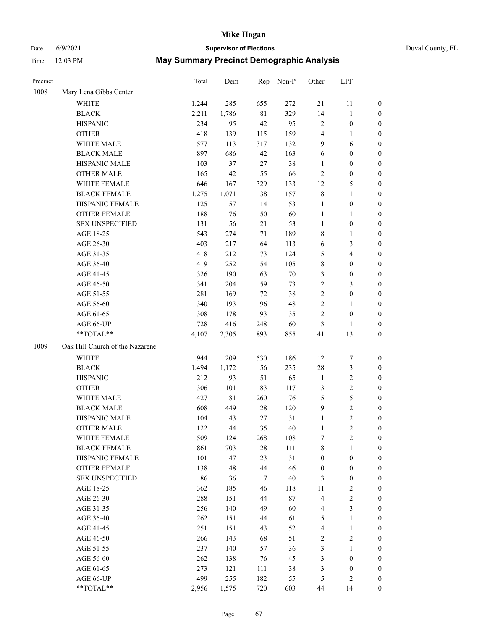# Date 6/9/2021 **Supervisor of Elections** Duval County, FL

| Precinct |                                 | Total | Dem   | Rep         | Non-P  | Other            | LPF              |                  |
|----------|---------------------------------|-------|-------|-------------|--------|------------------|------------------|------------------|
| 1008     | Mary Lena Gibbs Center          |       |       |             |        |                  |                  |                  |
|          | <b>WHITE</b>                    | 1,244 | 285   | 655         | 272    | 21               | 11               | 0                |
|          | <b>BLACK</b>                    | 2,211 | 1,786 | $8\sqrt{1}$ | 329    | 14               | $\mathbf{1}$     | 0                |
|          | <b>HISPANIC</b>                 | 234   | 95    | 42          | 95     | 2                | $\boldsymbol{0}$ | $\boldsymbol{0}$ |
|          | <b>OTHER</b>                    | 418   | 139   | 115         | 159    | 4                | 1                | $\boldsymbol{0}$ |
|          | WHITE MALE                      | 577   | 113   | 317         | 132    | 9                | 6                | $\boldsymbol{0}$ |
|          | <b>BLACK MALE</b>               | 897   | 686   | 42          | 163    | 6                | $\boldsymbol{0}$ | $\boldsymbol{0}$ |
|          | HISPANIC MALE                   | 103   | 37    | 27          | 38     | $\mathbf{1}$     | $\boldsymbol{0}$ | $\boldsymbol{0}$ |
|          | <b>OTHER MALE</b>               | 165   | 42    | 55          | 66     | 2                | $\boldsymbol{0}$ | $\boldsymbol{0}$ |
|          | WHITE FEMALE                    | 646   | 167   | 329         | 133    | 12               | $\mathfrak s$    | $\boldsymbol{0}$ |
|          | <b>BLACK FEMALE</b>             | 1,275 | 1,071 | 38          | 157    | 8                | $\mathbf{1}$     | 0                |
|          | HISPANIC FEMALE                 | 125   | 57    | 14          | 53     | $\mathbf{1}$     | $\boldsymbol{0}$ | 0                |
|          | OTHER FEMALE                    | 188   | 76    | 50          | 60     | $\mathbf{1}$     | 1                | 0                |
|          | <b>SEX UNSPECIFIED</b>          | 131   | 56    | 21          | 53     | $\mathbf{1}$     | $\boldsymbol{0}$ | $\boldsymbol{0}$ |
|          | AGE 18-25                       | 543   | 274   | 71          | 189    | 8                | $\mathbf{1}$     | $\boldsymbol{0}$ |
|          | AGE 26-30                       | 403   | 217   | 64          | 113    | 6                | 3                | $\boldsymbol{0}$ |
|          | AGE 31-35                       | 418   | 212   | 73          | 124    | 5                | $\overline{4}$   | $\boldsymbol{0}$ |
|          | AGE 36-40                       | 419   | 252   | 54          | 105    | 8                | $\boldsymbol{0}$ | $\boldsymbol{0}$ |
|          | AGE 41-45                       | 326   | 190   | 63          | $70\,$ | 3                | $\boldsymbol{0}$ | $\boldsymbol{0}$ |
|          | AGE 46-50                       | 341   | 204   | 59          | 73     | $\overline{c}$   | $\mathfrak{Z}$   | $\boldsymbol{0}$ |
|          | AGE 51-55                       | 281   | 169   | 72          | 38     | $\overline{c}$   | $\boldsymbol{0}$ | 0                |
|          | AGE 56-60                       | 340   | 193   | 96          | 48     | $\overline{c}$   | 1                | 0                |
|          | AGE 61-65                       | 308   | 178   | 93          | 35     | $\overline{c}$   | $\boldsymbol{0}$ | 0                |
|          | AGE 66-UP                       | 728   | 416   | 248         | 60     | 3                | 1                | $\boldsymbol{0}$ |
|          | $**TOTAL**$                     | 4,107 | 2,305 | 893         | 855    | 41               | 13               | $\boldsymbol{0}$ |
| 1009     | Oak Hill Church of the Nazarene |       |       |             |        |                  |                  |                  |
|          | <b>WHITE</b>                    | 944   | 209   | 530         | 186    | 12               | $\boldsymbol{7}$ | $\boldsymbol{0}$ |
|          | <b>BLACK</b>                    | 1,494 | 1,172 | 56          | 235    | 28               | $\mathfrak{Z}$   | $\boldsymbol{0}$ |
|          | <b>HISPANIC</b>                 | 212   | 93    | 51          | 65     | $\mathbf{1}$     | $\sqrt{2}$       | $\boldsymbol{0}$ |
|          | <b>OTHER</b>                    | 306   | 101   | 83          | 117    | 3                | $\sqrt{2}$       | $\boldsymbol{0}$ |
|          | WHITE MALE                      | 427   | 81    | 260         | 76     | 5                | 5                | $\boldsymbol{0}$ |
|          | <b>BLACK MALE</b>               | 608   | 449   | $28\,$      | 120    | 9                | $\sqrt{2}$       | $\boldsymbol{0}$ |
|          | HISPANIC MALE                   | 104   | 43    | 27          | 31     | 1                | $\sqrt{2}$       | 0                |
|          | <b>OTHER MALE</b>               | 122   | 44    | 35          | 40     | 1                | $\overline{2}$   | $\boldsymbol{0}$ |
|          | WHITE FEMALE                    | 509   | 124   | 268         | 108    | 7                | $\overline{c}$   | 0                |
|          | <b>BLACK FEMALE</b>             | 861   | 703   | 28          | 111    | 18               | $\mathbf{1}$     | $\overline{0}$   |
|          | HISPANIC FEMALE                 | 101   | 47    | 23          | 31     | $\boldsymbol{0}$ | $\boldsymbol{0}$ | $\overline{0}$   |
|          | OTHER FEMALE                    | 138   | 48    | 44          | 46     | $\boldsymbol{0}$ | $\boldsymbol{0}$ | $\overline{0}$   |
|          | <b>SEX UNSPECIFIED</b>          | 86    | 36    | 7           | 40     | 3                | $\boldsymbol{0}$ | 0                |
|          | AGE 18-25                       | 362   | 185   | 46          | 118    | 11               | $\sqrt{2}$       | 0                |
|          | AGE 26-30                       | 288   | 151   | 44          | 87     | 4                | $\sqrt{2}$       | 0                |
|          | AGE 31-35                       | 256   | 140   | 49          | 60     | 4                | 3                | 0                |
|          | AGE 36-40                       | 262   | 151   | 44          | 61     | 5                | $\mathbf{1}$     | 0                |
|          | AGE 41-45                       | 251   | 151   | 43          | 52     | 4                | $\mathbf{1}$     | 0                |
|          | AGE 46-50                       | 266   | 143   | 68          | 51     | 2                | $\sqrt{2}$       | 0                |
|          | AGE 51-55                       | 237   | 140   | 57          | 36     | 3                | $\mathbf{1}$     | 0                |
|          | AGE 56-60                       | 262   | 138   | 76          | 45     | 3                | $\boldsymbol{0}$ | 0                |
|          | AGE 61-65                       | 273   | 121   | 111         | 38     | 3                | $\boldsymbol{0}$ | $\overline{0}$   |
|          | AGE 66-UP                       | 499   | 255   | 182         | 55     | 5                | $\mathfrak{2}$   | 0                |
|          | **TOTAL**                       | 2,956 | 1,575 | 720         | 603    | 44               | 14               | $\boldsymbol{0}$ |
|          |                                 |       |       |             |        |                  |                  |                  |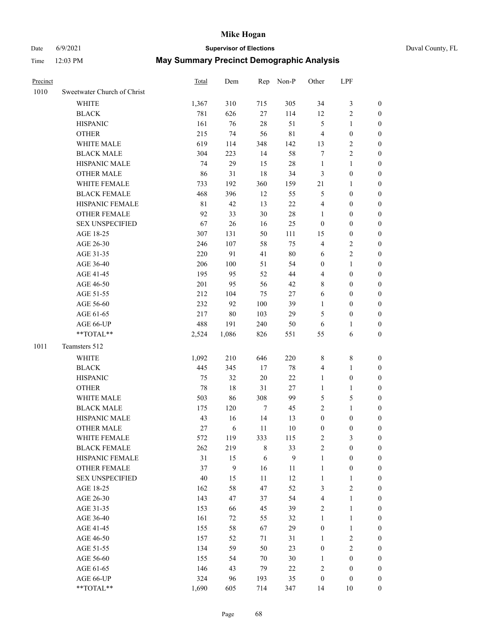## Date 6/9/2021 **Supervisor of Elections** Duval County, FL

| Sweetwater Church of Christ<br>1010<br><b>WHITE</b><br>1,367<br>310<br><b>BLACK</b><br>781<br>626<br><b>HISPANIC</b><br>161<br>76<br><b>OTHER</b><br>215<br>74<br>WHITE MALE<br>619<br>114<br><b>BLACK MALE</b><br>304<br>223<br>29<br>HISPANIC MALE<br>74<br>86<br><b>OTHER MALE</b><br>31 | 305<br>715<br>27<br>114<br>28<br>56<br>348<br>142<br>14<br>15<br>18<br>360<br>159<br>12<br>13<br>30<br>$28\,$<br>16 | 34<br>12<br>51<br>5<br>$8\sqrt{1}$<br>4<br>13<br>58<br>7<br>$\mathbf{1}$<br>28<br>3<br>34<br>21<br>5<br>55<br>$22\,$<br>4<br>$\mathbf{1}$ | $\mathfrak{Z}$<br>$\sqrt{2}$<br>$\mathbf{1}$<br>$\boldsymbol{0}$<br>$\sqrt{2}$<br>$\sqrt{2}$<br>$\mathbf{1}$<br>$\boldsymbol{0}$<br>$\mathbf{1}$<br>$\boldsymbol{0}$<br>$\boldsymbol{0}$ | 0<br>0<br>0<br>$\boldsymbol{0}$<br>$\boldsymbol{0}$<br>$\boldsymbol{0}$<br>$\boldsymbol{0}$<br>$\boldsymbol{0}$<br>$\boldsymbol{0}$ |
|---------------------------------------------------------------------------------------------------------------------------------------------------------------------------------------------------------------------------------------------------------------------------------------------|---------------------------------------------------------------------------------------------------------------------|-------------------------------------------------------------------------------------------------------------------------------------------|------------------------------------------------------------------------------------------------------------------------------------------------------------------------------------------|-------------------------------------------------------------------------------------------------------------------------------------|
|                                                                                                                                                                                                                                                                                             |                                                                                                                     |                                                                                                                                           |                                                                                                                                                                                          |                                                                                                                                     |
|                                                                                                                                                                                                                                                                                             |                                                                                                                     |                                                                                                                                           |                                                                                                                                                                                          |                                                                                                                                     |
|                                                                                                                                                                                                                                                                                             |                                                                                                                     |                                                                                                                                           |                                                                                                                                                                                          |                                                                                                                                     |
|                                                                                                                                                                                                                                                                                             |                                                                                                                     |                                                                                                                                           |                                                                                                                                                                                          |                                                                                                                                     |
|                                                                                                                                                                                                                                                                                             |                                                                                                                     |                                                                                                                                           |                                                                                                                                                                                          |                                                                                                                                     |
|                                                                                                                                                                                                                                                                                             |                                                                                                                     |                                                                                                                                           |                                                                                                                                                                                          |                                                                                                                                     |
|                                                                                                                                                                                                                                                                                             |                                                                                                                     |                                                                                                                                           |                                                                                                                                                                                          |                                                                                                                                     |
|                                                                                                                                                                                                                                                                                             |                                                                                                                     |                                                                                                                                           |                                                                                                                                                                                          |                                                                                                                                     |
|                                                                                                                                                                                                                                                                                             |                                                                                                                     |                                                                                                                                           |                                                                                                                                                                                          |                                                                                                                                     |
| 733<br>192<br>WHITE FEMALE                                                                                                                                                                                                                                                                  |                                                                                                                     |                                                                                                                                           |                                                                                                                                                                                          |                                                                                                                                     |
| <b>BLACK FEMALE</b><br>396<br>468                                                                                                                                                                                                                                                           |                                                                                                                     |                                                                                                                                           |                                                                                                                                                                                          | 0                                                                                                                                   |
| HISPANIC FEMALE<br>$8\sqrt{1}$<br>42                                                                                                                                                                                                                                                        |                                                                                                                     |                                                                                                                                           |                                                                                                                                                                                          | 0                                                                                                                                   |
| OTHER FEMALE<br>33<br>92                                                                                                                                                                                                                                                                    |                                                                                                                     |                                                                                                                                           | $\boldsymbol{0}$                                                                                                                                                                         | $\boldsymbol{0}$                                                                                                                    |
| <b>SEX UNSPECIFIED</b><br>67<br>26                                                                                                                                                                                                                                                          |                                                                                                                     | 25<br>$\boldsymbol{0}$                                                                                                                    | $\boldsymbol{0}$                                                                                                                                                                         | $\boldsymbol{0}$                                                                                                                    |
| AGE 18-25<br>307<br>131                                                                                                                                                                                                                                                                     | 50<br>111                                                                                                           | 15                                                                                                                                        | $\boldsymbol{0}$                                                                                                                                                                         | $\boldsymbol{0}$                                                                                                                    |
| 246<br>107<br>AGE 26-30                                                                                                                                                                                                                                                                     | 58                                                                                                                  | 75<br>4                                                                                                                                   | $\sqrt{2}$                                                                                                                                                                               | $\boldsymbol{0}$                                                                                                                    |
| 220<br>91<br>AGE 31-35                                                                                                                                                                                                                                                                      | 41                                                                                                                  | $80\,$<br>6                                                                                                                               | $\sqrt{2}$                                                                                                                                                                               | $\boldsymbol{0}$                                                                                                                    |
| 206<br>100<br>AGE 36-40                                                                                                                                                                                                                                                                     | 51                                                                                                                  | 54<br>$\boldsymbol{0}$                                                                                                                    | $\mathbf{1}$                                                                                                                                                                             | $\boldsymbol{0}$                                                                                                                    |
| 195<br>95<br>AGE 41-45                                                                                                                                                                                                                                                                      | 52                                                                                                                  | 44<br>$\overline{4}$                                                                                                                      | $\boldsymbol{0}$                                                                                                                                                                         | $\boldsymbol{0}$                                                                                                                    |
| 201<br>AGE 46-50<br>95                                                                                                                                                                                                                                                                      | 56                                                                                                                  | 42<br>8                                                                                                                                   | $\boldsymbol{0}$                                                                                                                                                                         | $\boldsymbol{0}$                                                                                                                    |
| AGE 51-55<br>212<br>104                                                                                                                                                                                                                                                                     | 75                                                                                                                  | 6<br>27                                                                                                                                   | $\boldsymbol{0}$                                                                                                                                                                         | $\boldsymbol{0}$                                                                                                                    |
| AGE 56-60<br>232<br>92                                                                                                                                                                                                                                                                      | 100                                                                                                                 | 39                                                                                                                                        | $\boldsymbol{0}$                                                                                                                                                                         |                                                                                                                                     |
|                                                                                                                                                                                                                                                                                             |                                                                                                                     | $\mathbf{1}$<br>29                                                                                                                        | $\boldsymbol{0}$                                                                                                                                                                         | 0                                                                                                                                   |
| AGE 61-65<br>217<br>80                                                                                                                                                                                                                                                                      | 103                                                                                                                 | 5                                                                                                                                         |                                                                                                                                                                                          | 0                                                                                                                                   |
| 488<br>AGE 66-UP<br>191<br>**TOTAL**<br>1,086                                                                                                                                                                                                                                               | 240                                                                                                                 | 50<br>6                                                                                                                                   | $\mathbf{1}$                                                                                                                                                                             | 0<br>$\boldsymbol{0}$                                                                                                               |
| 2,524                                                                                                                                                                                                                                                                                       | 826<br>551                                                                                                          | 55                                                                                                                                        | 6                                                                                                                                                                                        |                                                                                                                                     |
| 1011<br>Teamsters 512                                                                                                                                                                                                                                                                       |                                                                                                                     |                                                                                                                                           |                                                                                                                                                                                          |                                                                                                                                     |
| <b>WHITE</b><br>1,092<br>210                                                                                                                                                                                                                                                                | 646<br>220                                                                                                          | 8                                                                                                                                         | $\,$ 8 $\,$                                                                                                                                                                              | $\boldsymbol{0}$                                                                                                                    |
| <b>BLACK</b><br>445<br>345                                                                                                                                                                                                                                                                  | 17                                                                                                                  | $78\,$<br>4                                                                                                                               | $\mathbf{1}$                                                                                                                                                                             | $\boldsymbol{0}$                                                                                                                    |
| <b>HISPANIC</b><br>32<br>75                                                                                                                                                                                                                                                                 | 20                                                                                                                  | $22\,$<br>$\mathbf{1}$                                                                                                                    | $\boldsymbol{0}$                                                                                                                                                                         | $\boldsymbol{0}$                                                                                                                    |
| 78<br>$18\,$<br><b>OTHER</b>                                                                                                                                                                                                                                                                | 31                                                                                                                  | $27\,$<br>$\mathbf{1}$                                                                                                                    | $\mathbf{1}$                                                                                                                                                                             | $\boldsymbol{0}$                                                                                                                    |
| WHITE MALE<br>503<br>86                                                                                                                                                                                                                                                                     | 308                                                                                                                 | 99<br>5                                                                                                                                   | $\mathfrak{S}$                                                                                                                                                                           | $\boldsymbol{0}$                                                                                                                    |
| 175<br>120<br><b>BLACK MALE</b>                                                                                                                                                                                                                                                             | $\tau$                                                                                                              | $\overline{c}$<br>45                                                                                                                      | $\mathbf{1}$                                                                                                                                                                             | $\boldsymbol{0}$                                                                                                                    |
| HISPANIC MALE<br>43<br>16                                                                                                                                                                                                                                                                   | 14                                                                                                                  | $\boldsymbol{0}$<br>13                                                                                                                    | $\boldsymbol{0}$                                                                                                                                                                         | 0                                                                                                                                   |
| <b>OTHER MALE</b><br>27<br>6                                                                                                                                                                                                                                                                | 11                                                                                                                  | $10\,$<br>$\boldsymbol{0}$                                                                                                                | $\boldsymbol{0}$                                                                                                                                                                         | 0                                                                                                                                   |
| WHITE FEMALE<br>572<br>119                                                                                                                                                                                                                                                                  | 333<br>115                                                                                                          | 2                                                                                                                                         | 3                                                                                                                                                                                        | 0                                                                                                                                   |
| <b>BLACK FEMALE</b><br>262<br>219                                                                                                                                                                                                                                                           | 8                                                                                                                   | 33<br>$\overline{c}$                                                                                                                      | $\boldsymbol{0}$                                                                                                                                                                         | $\overline{0}$                                                                                                                      |
| HISPANIC FEMALE<br>31<br>15                                                                                                                                                                                                                                                                 | 6                                                                                                                   | $\boldsymbol{9}$<br>$\mathbf{1}$                                                                                                          | $\boldsymbol{0}$                                                                                                                                                                         | $\overline{0}$                                                                                                                      |
| 9<br>OTHER FEMALE<br>37                                                                                                                                                                                                                                                                     | 16                                                                                                                  | 11<br>$\mathbf{1}$                                                                                                                        | $\boldsymbol{0}$                                                                                                                                                                         | $\overline{0}$                                                                                                                      |
| <b>SEX UNSPECIFIED</b><br>40<br>15                                                                                                                                                                                                                                                          | 11                                                                                                                  | 12<br>$\mathbf{1}$                                                                                                                        | $\mathbf{1}$                                                                                                                                                                             | 0                                                                                                                                   |
| 58<br>AGE 18-25<br>162                                                                                                                                                                                                                                                                      | 47                                                                                                                  | 52<br>3                                                                                                                                   | $\sqrt{2}$                                                                                                                                                                               | 0                                                                                                                                   |
| AGE 26-30<br>143<br>47                                                                                                                                                                                                                                                                      | 37                                                                                                                  | 54<br>$\overline{\mathbf{4}}$                                                                                                             | $\mathbf{1}$                                                                                                                                                                             | 0                                                                                                                                   |
| 153<br>AGE 31-35<br>66                                                                                                                                                                                                                                                                      | 45                                                                                                                  | 39<br>2                                                                                                                                   | $\mathbf{1}$                                                                                                                                                                             | 0                                                                                                                                   |
| AGE 36-40<br>161<br>72                                                                                                                                                                                                                                                                      | 55                                                                                                                  | 32<br>$\mathbf{1}$                                                                                                                        | $\mathbf{1}$                                                                                                                                                                             | 0                                                                                                                                   |
| 155<br>58<br>AGE 41-45                                                                                                                                                                                                                                                                      | 67                                                                                                                  | 29<br>$\boldsymbol{0}$                                                                                                                    | $\mathbf{1}$                                                                                                                                                                             | 0                                                                                                                                   |
| 157<br>AGE 46-50<br>52                                                                                                                                                                                                                                                                      | 71                                                                                                                  | 31<br>$\mathbf{1}$                                                                                                                        | $\sqrt{2}$                                                                                                                                                                               | 0                                                                                                                                   |
| AGE 51-55<br>134<br>59                                                                                                                                                                                                                                                                      | 50                                                                                                                  | 23<br>$\boldsymbol{0}$                                                                                                                    | $\overline{2}$                                                                                                                                                                           | 0                                                                                                                                   |
| AGE 56-60<br>155<br>54                                                                                                                                                                                                                                                                      | $70\,$                                                                                                              | $30\,$<br>1                                                                                                                               | $\boldsymbol{0}$                                                                                                                                                                         | $\overline{0}$                                                                                                                      |
| AGE 61-65<br>146<br>43                                                                                                                                                                                                                                                                      | 79                                                                                                                  | $22\,$<br>2                                                                                                                               | $\boldsymbol{0}$                                                                                                                                                                         | $\overline{0}$                                                                                                                      |
| 324<br>AGE 66-UP<br>96                                                                                                                                                                                                                                                                      | 193                                                                                                                 | 35<br>$\boldsymbol{0}$                                                                                                                    | $\boldsymbol{0}$                                                                                                                                                                         | 0                                                                                                                                   |
| **TOTAL**<br>1,690<br>605                                                                                                                                                                                                                                                                   | 714<br>347                                                                                                          | 14                                                                                                                                        | 10                                                                                                                                                                                       | $\boldsymbol{0}$                                                                                                                    |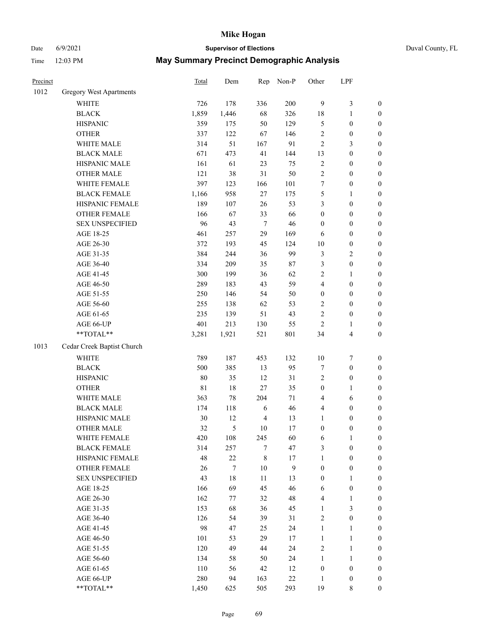## Date 6/9/2021 **Supervisor of Elections** Duval County, FL

| Precinct |                            | <b>Total</b> | Dem    | Rep            | Non-P  | Other            | LPF              |                  |
|----------|----------------------------|--------------|--------|----------------|--------|------------------|------------------|------------------|
| 1012     | Gregory West Apartments    |              |        |                |        |                  |                  |                  |
|          | WHITE                      | 726          | 178    | 336            | 200    | $\overline{9}$   | $\mathfrak{Z}$   | 0                |
|          | <b>BLACK</b>               | 1,859        | 1,446  | 68             | 326    | 18               | $\mathbf{1}$     | $\boldsymbol{0}$ |
|          | <b>HISPANIC</b>            | 359          | 175    | 50             | 129    | 5                | $\boldsymbol{0}$ | $\boldsymbol{0}$ |
|          | <b>OTHER</b>               | 337          | 122    | 67             | 146    | $\overline{c}$   | $\boldsymbol{0}$ | $\boldsymbol{0}$ |
|          | WHITE MALE                 | 314          | 51     | 167            | 91     | 2                | $\mathfrak{Z}$   | $\boldsymbol{0}$ |
|          | <b>BLACK MALE</b>          | 671          | 473    | 41             | 144    | 13               | $\boldsymbol{0}$ | $\boldsymbol{0}$ |
|          | HISPANIC MALE              | 161          | 61     | 23             | 75     | $\overline{c}$   | $\boldsymbol{0}$ | $\boldsymbol{0}$ |
|          | <b>OTHER MALE</b>          | 121          | 38     | 31             | 50     | 2                | $\boldsymbol{0}$ | $\boldsymbol{0}$ |
|          | WHITE FEMALE               | 397          | 123    | 166            | 101    | 7                | $\boldsymbol{0}$ | $\boldsymbol{0}$ |
|          | <b>BLACK FEMALE</b>        | 1,166        | 958    | $27\,$         | 175    | 5                | 1                | $\boldsymbol{0}$ |
|          | HISPANIC FEMALE            | 189          | 107    | 26             | 53     | 3                | $\boldsymbol{0}$ | $\boldsymbol{0}$ |
|          | <b>OTHER FEMALE</b>        | 166          | 67     | 33             | 66     | $\boldsymbol{0}$ | $\boldsymbol{0}$ | $\boldsymbol{0}$ |
|          | <b>SEX UNSPECIFIED</b>     | 96           | 43     | $\tau$         | 46     | $\boldsymbol{0}$ | $\boldsymbol{0}$ | $\boldsymbol{0}$ |
|          | AGE 18-25                  | 461          | 257    | 29             | 169    | 6                | $\boldsymbol{0}$ | $\boldsymbol{0}$ |
|          | AGE 26-30                  | 372          | 193    | 45             | 124    | 10               | $\boldsymbol{0}$ | $\boldsymbol{0}$ |
|          | AGE 31-35                  | 384          | 244    | 36             | 99     | 3                | $\sqrt{2}$       | $\boldsymbol{0}$ |
|          | AGE 36-40                  | 334          | 209    | 35             | 87     | 3                | $\boldsymbol{0}$ | $\boldsymbol{0}$ |
|          | AGE 41-45                  | 300          | 199    | 36             | 62     | $\overline{c}$   | $\mathbf{1}$     | $\boldsymbol{0}$ |
|          | AGE 46-50                  | 289          | 183    | 43             | 59     | 4                | $\boldsymbol{0}$ | $\boldsymbol{0}$ |
|          | AGE 51-55                  | 250          | 146    | 54             | 50     | $\boldsymbol{0}$ | $\boldsymbol{0}$ | $\boldsymbol{0}$ |
|          | AGE 56-60                  | 255          | 138    | 62             | 53     | $\overline{c}$   | $\boldsymbol{0}$ | $\boldsymbol{0}$ |
|          | AGE 61-65                  | 235          | 139    | 51             | 43     | $\overline{c}$   | $\boldsymbol{0}$ | $\boldsymbol{0}$ |
|          | AGE 66-UP                  | 401          | 213    | 130            | 55     | $\sqrt{2}$       | 1                | $\boldsymbol{0}$ |
|          | **TOTAL**                  | 3,281        | 1,921  | 521            | 801    | 34               | $\overline{4}$   | $\boldsymbol{0}$ |
| 1013     | Cedar Creek Baptist Church |              |        |                |        |                  |                  |                  |
|          | <b>WHITE</b>               | 789          | 187    | 453            | 132    | $10\,$           | $\boldsymbol{7}$ | $\boldsymbol{0}$ |
|          | <b>BLACK</b>               | 500          | 385    | 13             | 95     | 7                | $\boldsymbol{0}$ | $\boldsymbol{0}$ |
|          | <b>HISPANIC</b>            | $80\,$       | 35     | 12             | 31     | 2                | $\boldsymbol{0}$ | $\boldsymbol{0}$ |
|          | <b>OTHER</b>               | $8\sqrt{1}$  | 18     | $27\,$         | 35     | $\boldsymbol{0}$ | $\mathbf{1}$     | $\boldsymbol{0}$ |
|          | WHITE MALE                 | 363          | $78\,$ | 204            | $71\,$ | 4                | 6                | $\boldsymbol{0}$ |
|          | <b>BLACK MALE</b>          | 174          | 118    | 6              | 46     | 4                | $\boldsymbol{0}$ | $\boldsymbol{0}$ |
|          | HISPANIC MALE              | 30           | 12     | $\overline{4}$ | 13     | $\mathbf{1}$     | $\boldsymbol{0}$ | $\boldsymbol{0}$ |
|          | <b>OTHER MALE</b>          | 32           | 5      | 10             | 17     | $\boldsymbol{0}$ | $\boldsymbol{0}$ | $\boldsymbol{0}$ |
|          | WHITE FEMALE               | 420          | 108    | 245            | 60     | 6                | 1                | 0                |
|          | <b>BLACK FEMALE</b>        | 314          | 257    | 7              | 47     | 3                | $\boldsymbol{0}$ | $\overline{0}$   |
|          | HISPANIC FEMALE            | 48           | $22\,$ | $\,$ 8 $\,$    | 17     | $\mathbf{1}$     | $\boldsymbol{0}$ | $\overline{0}$   |
|          | <b>OTHER FEMALE</b>        | 26           | 7      | 10             | 9      | $\boldsymbol{0}$ | $\boldsymbol{0}$ | $\overline{0}$   |
|          | <b>SEX UNSPECIFIED</b>     | 43           | $18\,$ | 11             | 13     | $\boldsymbol{0}$ | 1                | 0                |
|          | AGE 18-25                  | 166          | 69     | 45             | 46     | 6                | $\boldsymbol{0}$ | 0                |
|          | AGE 26-30                  | 162          | 77     | 32             | 48     | 4                | $\mathbf{1}$     | 0                |
|          | AGE 31-35                  | 153          | 68     | 36             | 45     | $\mathbf{1}$     | $\mathfrak{Z}$   | 0                |
|          | AGE 36-40                  | 126          | 54     | 39             | 31     | 2                | $\boldsymbol{0}$ | 0                |
|          | AGE 41-45                  | 98           | 47     | 25             | 24     | $\mathbf{1}$     | $\mathbf{1}$     | 0                |
|          | AGE 46-50                  | 101          | 53     | 29             | 17     | $\mathbf{1}$     | $\mathbf{1}$     | 0                |
|          | AGE 51-55                  | 120          | 49     | 44             | 24     | 2                | $\mathbf{1}$     | 0                |
|          | AGE 56-60                  | 134          | 58     | 50             | 24     | $\mathbf{1}$     | $\mathbf{1}$     | 0                |
|          | AGE 61-65                  | 110          | 56     | 42             | 12     | $\boldsymbol{0}$ | $\boldsymbol{0}$ | 0                |
|          | AGE 66-UP                  | 280          | 94     | 163            | $22\,$ | $\mathbf{1}$     | $\boldsymbol{0}$ | 0                |
|          | **TOTAL**                  | 1,450        | 625    | 505            | 293    | 19               | 8                | $\boldsymbol{0}$ |
|          |                            |              |        |                |        |                  |                  |                  |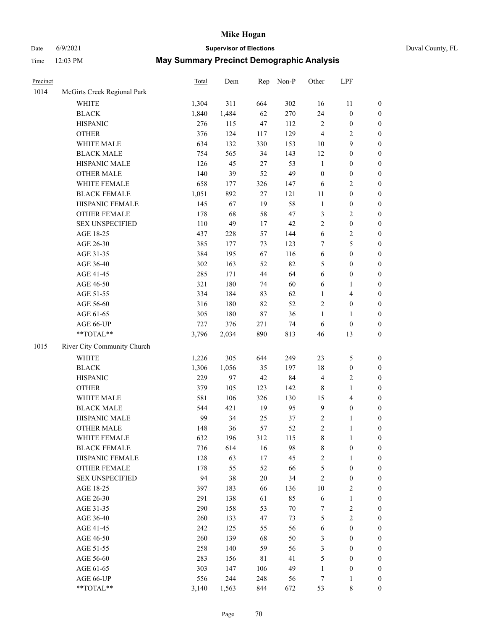## Date 6/9/2021 **Supervisor of Elections** Duval County, FL

| Precinct |                             | <b>Total</b> | Dem   | Rep         | Non-P  | Other            | LPF              |                  |
|----------|-----------------------------|--------------|-------|-------------|--------|------------------|------------------|------------------|
| 1014     | McGirts Creek Regional Park |              |       |             |        |                  |                  |                  |
|          | <b>WHITE</b>                | 1,304        | 311   | 664         | 302    | 16               | 11               | 0                |
|          | <b>BLACK</b>                | 1,840        | 1,484 | 62          | 270    | 24               | $\boldsymbol{0}$ | $\boldsymbol{0}$ |
|          | <b>HISPANIC</b>             | 276          | 115   | 47          | 112    | $\sqrt{2}$       | $\boldsymbol{0}$ | $\boldsymbol{0}$ |
|          | <b>OTHER</b>                | 376          | 124   | 117         | 129    | 4                | $\sqrt{2}$       | $\boldsymbol{0}$ |
|          | WHITE MALE                  | 634          | 132   | 330         | 153    | $10\,$           | 9                | $\boldsymbol{0}$ |
|          | <b>BLACK MALE</b>           | 754          | 565   | 34          | 143    | 12               | $\boldsymbol{0}$ | $\boldsymbol{0}$ |
|          | HISPANIC MALE               | 126          | 45    | 27          | 53     | $\mathbf{1}$     | $\boldsymbol{0}$ | $\boldsymbol{0}$ |
|          | <b>OTHER MALE</b>           | 140          | 39    | 52          | 49     | $\boldsymbol{0}$ | $\boldsymbol{0}$ | $\boldsymbol{0}$ |
|          | WHITE FEMALE                | 658          | 177   | 326         | 147    | 6                | $\sqrt{2}$       | $\boldsymbol{0}$ |
|          | <b>BLACK FEMALE</b>         | 1,051        | 892   | 27          | 121    | 11               | $\boldsymbol{0}$ | $\boldsymbol{0}$ |
|          | HISPANIC FEMALE             | 145          | 67    | 19          | 58     | $\mathbf{1}$     | $\boldsymbol{0}$ | $\boldsymbol{0}$ |
|          | <b>OTHER FEMALE</b>         | 178          | 68    | 58          | 47     | 3                | $\sqrt{2}$       | $\boldsymbol{0}$ |
|          | <b>SEX UNSPECIFIED</b>      | 110          | 49    | 17          | 42     | $\overline{c}$   | $\boldsymbol{0}$ | $\boldsymbol{0}$ |
|          | AGE 18-25                   | 437          | 228   | 57          | 144    | 6                | $\sqrt{2}$       | $\boldsymbol{0}$ |
|          | AGE 26-30                   | 385          | 177   | 73          | 123    | 7                | 5                | $\boldsymbol{0}$ |
|          | AGE 31-35                   | 384          | 195   | 67          | 116    | 6                | $\boldsymbol{0}$ | $\boldsymbol{0}$ |
|          | AGE 36-40                   | 302          | 163   | 52          | 82     | 5                | $\boldsymbol{0}$ | $\boldsymbol{0}$ |
|          | AGE 41-45                   | 285          | 171   | 44          | 64     | 6                | $\boldsymbol{0}$ | $\boldsymbol{0}$ |
|          | AGE 46-50                   | 321          | 180   | 74          | 60     | 6                | 1                | $\boldsymbol{0}$ |
|          | AGE 51-55                   | 334          | 184   | 83          | 62     | $\mathbf{1}$     | $\overline{4}$   | $\boldsymbol{0}$ |
|          | AGE 56-60                   | 316          | 180   | 82          | 52     | $\overline{c}$   | $\boldsymbol{0}$ | 0                |
|          | AGE 61-65                   | 305          | 180   | $87\,$      | 36     | 1                | $\mathbf{1}$     | $\boldsymbol{0}$ |
|          | AGE 66-UP                   | 727          | 376   | 271         | 74     | 6                | $\boldsymbol{0}$ | $\boldsymbol{0}$ |
|          | $**TOTAL**$                 | 3,796        | 2,034 | 890         | 813    | 46               | 13               | $\boldsymbol{0}$ |
|          |                             |              |       |             |        |                  |                  |                  |
| 1015     | River City Community Church |              |       |             |        |                  |                  |                  |
|          | <b>WHITE</b>                | 1,226        | 305   | 644         | 249    | 23               | $\mathfrak s$    | $\boldsymbol{0}$ |
|          | <b>BLACK</b>                | 1,306        | 1,056 | 35          | 197    | 18               | $\boldsymbol{0}$ | $\boldsymbol{0}$ |
|          | <b>HISPANIC</b>             | 229          | 97    | 42          | 84     | 4                | $\sqrt{2}$       | $\boldsymbol{0}$ |
|          | <b>OTHER</b>                | 379          | 105   | 123         | 142    | 8                | $\mathbf{1}$     | $\boldsymbol{0}$ |
|          | WHITE MALE                  | 581          | 106   | 326         | 130    | 15               | $\overline{4}$   | $\boldsymbol{0}$ |
|          | <b>BLACK MALE</b>           | 544          | 421   | 19          | 95     | $\mathbf{9}$     | $\boldsymbol{0}$ | $\boldsymbol{0}$ |
|          | HISPANIC MALE               | 99           | 34    | 25          | 37     | 2                | 1                | $\boldsymbol{0}$ |
|          | <b>OTHER MALE</b>           | 148          | 36    | 57          | 52     | $\overline{c}$   | $\mathbf{1}$     | $\boldsymbol{0}$ |
|          | WHITE FEMALE                | 632          | 196   | 312         | 115    | 8                | 1                | 0                |
|          | <b>BLACK FEMALE</b>         | 736          | 614   | 16          | 98     | 8                | $\boldsymbol{0}$ | $\overline{0}$   |
|          | HISPANIC FEMALE             | 128          | 63    | 17          | 45     | $\overline{c}$   | 1                | $\overline{0}$   |
|          | <b>OTHER FEMALE</b>         | 178          | 55    | 52          | 66     | 5                | $\boldsymbol{0}$ | $\overline{0}$   |
|          | <b>SEX UNSPECIFIED</b>      | 94           | 38    | 20          | 34     | 2                | $\boldsymbol{0}$ | 0                |
|          | AGE 18-25                   | 397          | 183   | 66          | 136    | 10               | $\sqrt{2}$       | 0                |
|          | AGE 26-30                   | 291          | 138   | 61          | 85     | 6                | $\mathbf{1}$     | 0                |
|          | AGE 31-35                   | 290          | 158   | 53          | $70\,$ | 7                | $\sqrt{2}$       | 0                |
|          | AGE 36-40                   | 260          | 133   | 47          | 73     | 5                | $\sqrt{2}$       | 0                |
|          | AGE 41-45                   | 242          | 125   | 55          | 56     | 6                | $\boldsymbol{0}$ | 0                |
|          | AGE 46-50                   | 260          | 139   | 68          | 50     | 3                | $\boldsymbol{0}$ | 0                |
|          | AGE 51-55                   | 258          | 140   | 59          | 56     | 3                | $\boldsymbol{0}$ | 0                |
|          | AGE 56-60                   | 283          | 156   | $8\sqrt{1}$ | 41     | 5                | $\boldsymbol{0}$ | $\overline{0}$   |
|          | AGE 61-65                   | 303          | 147   | 106         | 49     | 1                | $\boldsymbol{0}$ | $\overline{0}$   |
|          | AGE 66-UP                   | 556          | 244   | 248         | 56     | 7                | $\mathbf{1}$     | 0                |
|          | **TOTAL**                   | 3,140        | 1,563 | 844         | 672    | 53               | 8                | $\boldsymbol{0}$ |
|          |                             |              |       |             |        |                  |                  |                  |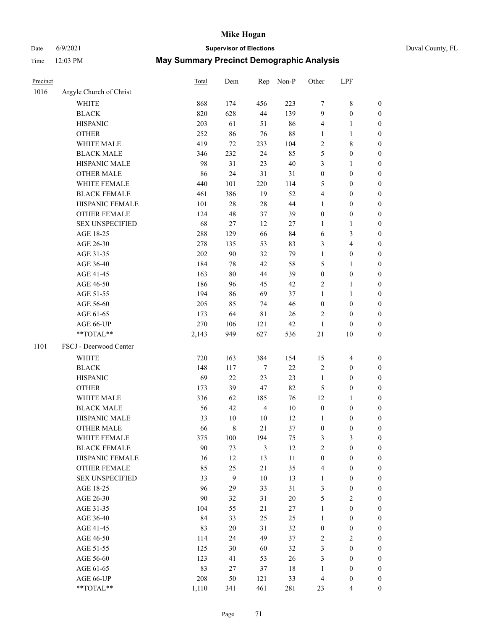# Date 6/9/2021 **Supervisor of Elections** Duval County, FL

| Precinct |                         | Total | Dem              |                | Rep Non-P | Other            | LPF                     |                  |
|----------|-------------------------|-------|------------------|----------------|-----------|------------------|-------------------------|------------------|
| 1016     | Argyle Church of Christ |       |                  |                |           |                  |                         |                  |
|          | <b>WHITE</b>            | 868   | 174              | 456            | 223       | 7                | $8\,$                   | $\boldsymbol{0}$ |
|          | <b>BLACK</b>            | 820   | 628              | 44             | 139       | 9                | $\boldsymbol{0}$        | $\boldsymbol{0}$ |
|          | <b>HISPANIC</b>         | 203   | 61               | 51             | 86        | 4                | $\mathbf{1}$            | $\boldsymbol{0}$ |
|          | <b>OTHER</b>            | 252   | 86               | 76             | $88\,$    | $\mathbf{1}$     | $\mathbf{1}$            | $\boldsymbol{0}$ |
|          | WHITE MALE              | 419   | 72               | 233            | 104       | 2                | $8\,$                   | $\boldsymbol{0}$ |
|          | <b>BLACK MALE</b>       | 346   | 232              | 24             | 85        | 5                | $\boldsymbol{0}$        | $\boldsymbol{0}$ |
|          | HISPANIC MALE           | 98    | 31               | 23             | $40\,$    | 3                | $\mathbf{1}$            | $\boldsymbol{0}$ |
|          | <b>OTHER MALE</b>       | 86    | 24               | 31             | 31        | $\boldsymbol{0}$ | $\boldsymbol{0}$        | $\boldsymbol{0}$ |
|          | WHITE FEMALE            | 440   | 101              | 220            | 114       | 5                | $\boldsymbol{0}$        | $\boldsymbol{0}$ |
|          | <b>BLACK FEMALE</b>     | 461   | 386              | 19             | 52        | $\overline{4}$   | $\boldsymbol{0}$        | 0                |
|          | HISPANIC FEMALE         | 101   | 28               | 28             | 44        | $\mathbf{1}$     | $\boldsymbol{0}$        | $\boldsymbol{0}$ |
|          | OTHER FEMALE            | 124   | 48               | 37             | 39        | $\boldsymbol{0}$ | $\boldsymbol{0}$        | $\boldsymbol{0}$ |
|          | <b>SEX UNSPECIFIED</b>  | 68    | $27\,$           | 12             | $27\,$    | 1                | $\mathbf{1}$            | $\boldsymbol{0}$ |
|          | AGE 18-25               | 288   | 129              | 66             | 84        | 6                | $\mathfrak{Z}$          | $\boldsymbol{0}$ |
|          | AGE 26-30               | 278   | 135              | 53             | 83        | 3                | $\overline{4}$          | $\boldsymbol{0}$ |
|          | AGE 31-35               | 202   | 90               | 32             | 79        | $\mathbf{1}$     | $\boldsymbol{0}$        | $\boldsymbol{0}$ |
|          | AGE 36-40               | 184   | $78\,$           | 42             | 58        | 5                | $\mathbf{1}$            | $\boldsymbol{0}$ |
|          | AGE 41-45               | 163   | $80\,$           | 44             | 39        | $\boldsymbol{0}$ | $\boldsymbol{0}$        | $\boldsymbol{0}$ |
|          | AGE 46-50               | 186   | 96               | 45             | 42        | 2                | $\mathbf{1}$            | 0                |
|          | AGE 51-55               | 194   | 86               | 69             | 37        | $\mathbf{1}$     | $\mathbf{1}$            | 0                |
|          | AGE 56-60               | 205   | 85               | 74             | 46        | $\boldsymbol{0}$ | $\boldsymbol{0}$        | 0                |
|          | AGE 61-65               | 173   | 64               | $8\sqrt{1}$    | 26        | $\overline{2}$   | $\boldsymbol{0}$        | $\boldsymbol{0}$ |
|          | AGE 66-UP               | 270   | 106              | 121            | 42        | $\mathbf{1}$     | $\boldsymbol{0}$        | $\boldsymbol{0}$ |
|          | **TOTAL**               | 2,143 | 949              | 627            | 536       | 21               | $10\,$                  | $\boldsymbol{0}$ |
| 1101     | FSCJ - Deerwood Center  |       |                  |                |           |                  |                         |                  |
|          | WHITE                   | 720   | 163              | 384            | 154       | 15               | $\overline{\mathbf{4}}$ | $\boldsymbol{0}$ |
|          | <b>BLACK</b>            | 148   | 117              | $\tau$         | 22        | 2                | $\boldsymbol{0}$        | $\boldsymbol{0}$ |
|          | <b>HISPANIC</b>         | 69    | $22\,$           | 23             | 23        | $\mathbf{1}$     | $\boldsymbol{0}$        | $\boldsymbol{0}$ |
|          | <b>OTHER</b>            | 173   | 39               | 47             | 82        | 5                | $\boldsymbol{0}$        | $\boldsymbol{0}$ |
|          | WHITE MALE              | 336   | 62               | 185            | 76        | 12               | 1                       | $\boldsymbol{0}$ |
|          | <b>BLACK MALE</b>       | 56    | 42               | $\overline{4}$ | $10\,$    | $\boldsymbol{0}$ | $\boldsymbol{0}$        | $\boldsymbol{0}$ |
|          | HISPANIC MALE           | 33    | 10               | 10             | 12        | 1                | $\boldsymbol{0}$        | 0                |
|          | <b>OTHER MALE</b>       | 66    | 8                | 21             | 37        | $\boldsymbol{0}$ | $\boldsymbol{0}$        | $\boldsymbol{0}$ |
|          | WHITE FEMALE            | 375   | 100              | 194            | 75        | 3                | 3                       | $\overline{0}$   |
|          | <b>BLACK FEMALE</b>     | 90    | 73               | $\mathfrak{Z}$ | 12        | $\overline{c}$   | $\boldsymbol{0}$        | $\overline{0}$   |
|          | HISPANIC FEMALE         | 36    | 12               | 13             | $11\,$    | $\boldsymbol{0}$ | $\boldsymbol{0}$        | $\overline{0}$   |
|          | OTHER FEMALE            | 85    | 25               | 21             | 35        | 4                | $\boldsymbol{0}$        | 0                |
|          | <b>SEX UNSPECIFIED</b>  | 33    | $\boldsymbol{9}$ | 10             | 13        | $\mathbf{1}$     | $\boldsymbol{0}$        | 0                |
|          | AGE 18-25               | 96    | 29               | 33             | $31\,$    | 3                | $\boldsymbol{0}$        | 0                |
|          | AGE 26-30               | 90    | 32               | 31             | $20\,$    | 5                | $\sqrt{2}$              | 0                |
|          | AGE 31-35               | 104   | 55               | 21             | 27        | $\mathbf{1}$     | $\boldsymbol{0}$        | 0                |
|          | AGE 36-40               | 84    | 33               | 25             | 25        | $\mathbf{1}$     | $\boldsymbol{0}$        | 0                |
|          | AGE 41-45               | 83    | $20\,$           | 31             | 32        | $\boldsymbol{0}$ | $\boldsymbol{0}$        | 0                |
|          | AGE 46-50               | 114   | 24               | 49             | 37        | 2                | $\sqrt{2}$              | 0                |
|          | AGE 51-55               | 125   | 30               | 60             | 32        | 3                | $\boldsymbol{0}$        | $\boldsymbol{0}$ |
|          | AGE 56-60               | 123   | 41               | 53             | 26        | 3                | $\boldsymbol{0}$        | $\boldsymbol{0}$ |
|          | AGE 61-65               | 83    | 27               | 37             | 18        | $\mathbf{1}$     | $\boldsymbol{0}$        | 0                |
|          | AGE 66-UP               | 208   | 50               | 121            | 33        | 4                | $\boldsymbol{0}$        | 0                |
|          | **TOTAL**               | 1,110 | 341              | 461            | 281       | 23               | $\overline{4}$          | $\boldsymbol{0}$ |
|          |                         |       |                  |                |           |                  |                         |                  |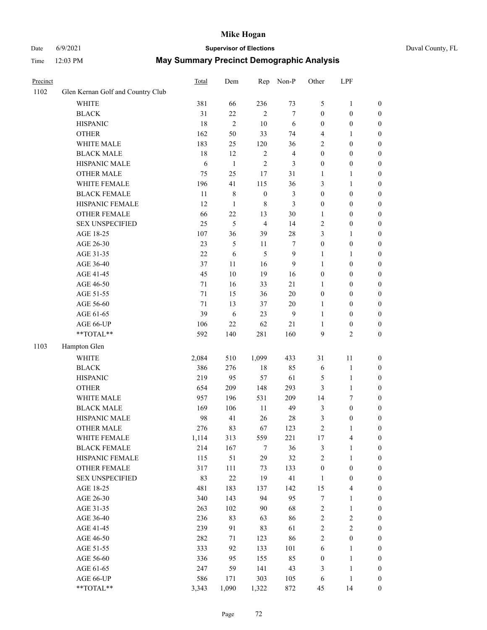# Date 6/9/2021 **Supervisor of Elections** Duval County, FL

| Precinct |                                   | <b>Total</b> | Dem            | Rep              | Non-P          | Other            | LPF              |                  |
|----------|-----------------------------------|--------------|----------------|------------------|----------------|------------------|------------------|------------------|
| 1102     | Glen Kernan Golf and Country Club |              |                |                  |                |                  |                  |                  |
|          | <b>WHITE</b>                      | 381          | 66             | 236              | 73             | 5                | $\mathbf{1}$     | 0                |
|          | <b>BLACK</b>                      | 31           | 22             | $\overline{2}$   | $\tau$         | $\boldsymbol{0}$ | $\boldsymbol{0}$ | 0                |
|          | <b>HISPANIC</b>                   | 18           | $\overline{2}$ | 10               | 6              | $\boldsymbol{0}$ | $\boldsymbol{0}$ | $\boldsymbol{0}$ |
|          | <b>OTHER</b>                      | 162          | 50             | 33               | 74             | 4                | 1                | $\boldsymbol{0}$ |
|          | WHITE MALE                        | 183          | 25             | 120              | 36             | 2                | $\boldsymbol{0}$ | $\boldsymbol{0}$ |
|          | <b>BLACK MALE</b>                 | 18           | 12             | $\sqrt{2}$       | $\overline{4}$ | $\boldsymbol{0}$ | $\boldsymbol{0}$ | $\boldsymbol{0}$ |
|          | HISPANIC MALE                     | 6            | $\mathbf{1}$   | $\mathfrak{2}$   | 3              | 0                | $\boldsymbol{0}$ | $\boldsymbol{0}$ |
|          | <b>OTHER MALE</b>                 | 75           | 25             | $17\,$           | 31             | 1                | $\mathbf{1}$     | $\boldsymbol{0}$ |
|          | WHITE FEMALE                      | 196          | 41             | 115              | 36             | 3                | $\mathbf{1}$     | $\boldsymbol{0}$ |
|          | <b>BLACK FEMALE</b>               | 11           | $\,$ 8 $\,$    | $\boldsymbol{0}$ | $\mathfrak{Z}$ | $\boldsymbol{0}$ | $\boldsymbol{0}$ | $\boldsymbol{0}$ |
|          | HISPANIC FEMALE                   | 12           | $\mathbf{1}$   | $\,$ 8 $\,$      | 3              | 0                | $\boldsymbol{0}$ | $\boldsymbol{0}$ |
|          | <b>OTHER FEMALE</b>               | 66           | 22             | 13               | 30             | 1                | $\boldsymbol{0}$ | $\boldsymbol{0}$ |
|          | <b>SEX UNSPECIFIED</b>            | 25           | 5              | $\overline{4}$   | 14             | $\mathbf{2}$     | $\boldsymbol{0}$ | $\boldsymbol{0}$ |
|          | AGE 18-25                         | 107          | 36             | 39               | $28\,$         | 3                | $\mathbf{1}$     | $\boldsymbol{0}$ |
|          | AGE 26-30                         | 23           | $\mathfrak{H}$ | 11               | 7              | $\boldsymbol{0}$ | $\boldsymbol{0}$ | $\boldsymbol{0}$ |
|          | AGE 31-35                         | 22           | 6              | 5                | $\mathbf{9}$   | 1                | $\mathbf{1}$     | $\boldsymbol{0}$ |
|          | AGE 36-40                         | 37           | 11             | 16               | 9              | $\mathbf{1}$     | $\boldsymbol{0}$ | $\boldsymbol{0}$ |
|          | AGE 41-45                         | 45           | 10             | 19               | 16             | $\boldsymbol{0}$ | $\boldsymbol{0}$ | $\boldsymbol{0}$ |
|          | AGE 46-50                         | $71\,$       | 16             | 33               | 21             | 1                | $\boldsymbol{0}$ | $\boldsymbol{0}$ |
|          | AGE 51-55                         | 71           | 15             | 36               | $20\,$         | $\boldsymbol{0}$ | $\boldsymbol{0}$ | $\boldsymbol{0}$ |
|          | AGE 56-60                         | 71           | 13             | 37               | $20\,$         | 1                | $\boldsymbol{0}$ | $\boldsymbol{0}$ |
|          | AGE 61-65                         | 39           | 6              | 23               | $\overline{9}$ | $\mathbf{1}$     | $\boldsymbol{0}$ | $\boldsymbol{0}$ |
|          | AGE 66-UP                         | 106          | 22             | 62               | 21             | $\mathbf{1}$     | $\boldsymbol{0}$ | $\boldsymbol{0}$ |
|          | $**TOTAL**$                       | 592          | 140            | 281              | 160            | 9                | $\overline{c}$   | $\boldsymbol{0}$ |
| 1103     | Hampton Glen                      |              |                |                  |                |                  |                  |                  |
|          | <b>WHITE</b>                      | 2,084        | 510            | 1,099            | 433            | 31               | $11\,$           | $\boldsymbol{0}$ |
|          | <b>BLACK</b>                      | 386          | 276            | $18\,$           | 85             | 6                | $\mathbf{1}$     | $\boldsymbol{0}$ |
|          | <b>HISPANIC</b>                   | 219          | 95             | 57               | 61             | 5                | $\mathbf{1}$     | $\boldsymbol{0}$ |
|          | <b>OTHER</b>                      | 654          | 209            | 148              | 293            | 3                | $\mathbf{1}$     | $\boldsymbol{0}$ |
|          | WHITE MALE                        | 957          | 196            | 531              | 209            | 14               | 7                | $\boldsymbol{0}$ |
|          | <b>BLACK MALE</b>                 | 169          | 106            | $11\,$           | 49             | 3                | $\boldsymbol{0}$ | $\boldsymbol{0}$ |
|          | HISPANIC MALE                     | 98           | 41             | 26               | $28\,$         | 3                | $\boldsymbol{0}$ | 0                |
|          | <b>OTHER MALE</b>                 | 276          | 83             | 67               | 123            | $\overline{c}$   | $\mathbf{1}$     | $\boldsymbol{0}$ |
|          | WHITE FEMALE                      | 1,114        | 313            | 559              | 221            | 17               | 4                | 0                |
|          | <b>BLACK FEMALE</b>               | 214          | 167            | 7                | 36             | 3                | $\mathbf{1}$     | $\boldsymbol{0}$ |
|          | HISPANIC FEMALE                   | 115          | 51             | 29               | 32             | $\overline{c}$   | $\mathbf{1}$     | $\overline{0}$   |
|          | OTHER FEMALE                      | 317          | 111            | 73               | 133            | $\boldsymbol{0}$ | $\boldsymbol{0}$ | $\overline{0}$   |
|          | <b>SEX UNSPECIFIED</b>            | 83           | $22\,$         | 19               | 41             | $\mathbf{1}$     | $\boldsymbol{0}$ | 0                |
|          | AGE 18-25                         | 481          | 183            | 137              | 142            | 15               | $\overline{4}$   | 0                |
|          | AGE 26-30                         | 340          | 143            | 94               | 95             | $\boldsymbol{7}$ | $\mathbf{1}$     | 0                |
|          | AGE 31-35                         | 263          | 102            | 90               | 68             | $\overline{c}$   | $\mathbf{1}$     | 0                |
|          | AGE 36-40                         | 236          | 83             | 63               | 86             | $\overline{c}$   | $\sqrt{2}$       | 0                |
|          | AGE 41-45                         | 239          | 91             | 83               | 61             | $\overline{c}$   | $\mathbf{2}$     | 0                |
|          | AGE 46-50                         | 282          | 71             | 123              | 86             | $\overline{c}$   | $\boldsymbol{0}$ | 0                |
|          | AGE 51-55                         | 333          | 92             | 133              | 101            | 6                | $\mathbf{1}$     | 0                |
|          | AGE 56-60                         | 336          | 95             | 155              | 85             | $\boldsymbol{0}$ | $\mathbf{1}$     | $\boldsymbol{0}$ |
|          | AGE 61-65                         | 247          | 59             | 141              | 43             | 3                | $\mathbf{1}$     | $\overline{0}$   |
|          | AGE 66-UP                         | 586          | 171            | 303              | 105            | 6                | $\mathbf{1}$     | 0                |
|          | **TOTAL**                         | 3,343        | 1,090          | 1,322            | 872            | 45               | 14               | $\boldsymbol{0}$ |
|          |                                   |              |                |                  |                |                  |                  |                  |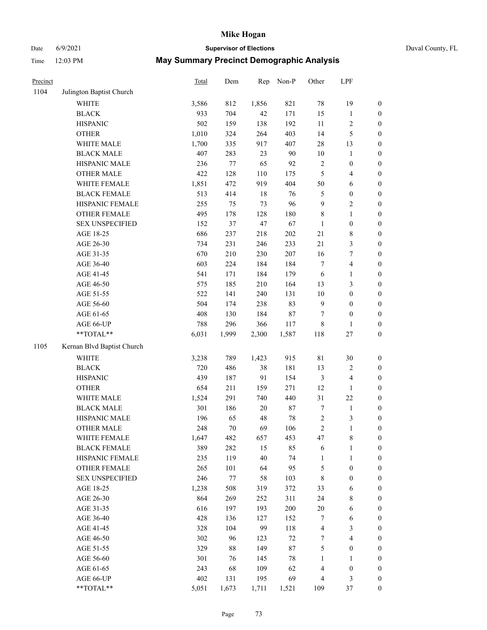# Date 6/9/2021 **Supervisor of Elections** Duval County, FL

| Precinct |                            | Total | Dem    | Rep    | Non-P  | Other            | LPF                     |                  |
|----------|----------------------------|-------|--------|--------|--------|------------------|-------------------------|------------------|
| 1104     | Julington Baptist Church   |       |        |        |        |                  |                         |                  |
|          | <b>WHITE</b>               | 3,586 | 812    | 1,856  | 821    | $78\,$           | 19                      | $\boldsymbol{0}$ |
|          | <b>BLACK</b>               | 933   | 704    | 42     | 171    | 15               | $\mathbf{1}$            | $\boldsymbol{0}$ |
|          | <b>HISPANIC</b>            | 502   | 159    | 138    | 192    | $11\,$           | $\sqrt{2}$              | $\boldsymbol{0}$ |
|          | <b>OTHER</b>               | 1,010 | 324    | 264    | 403    | 14               | $\mathfrak{S}$          | $\boldsymbol{0}$ |
|          | WHITE MALE                 | 1,700 | 335    | 917    | 407    | 28               | 13                      | $\boldsymbol{0}$ |
|          | <b>BLACK MALE</b>          | 407   | 283    | 23     | 90     | $10\,$           | $\mathbf{1}$            | $\boldsymbol{0}$ |
|          | HISPANIC MALE              | 236   | 77     | 65     | 92     | $\sqrt{2}$       | $\boldsymbol{0}$        | $\boldsymbol{0}$ |
|          | <b>OTHER MALE</b>          | 422   | 128    | 110    | 175    | $\mathfrak s$    | $\overline{4}$          | $\boldsymbol{0}$ |
|          | WHITE FEMALE               | 1,851 | 472    | 919    | 404    | 50               | 6                       | $\boldsymbol{0}$ |
|          | <b>BLACK FEMALE</b>        | 513   | 414    | 18     | 76     | 5                | $\boldsymbol{0}$        | 0                |
|          | HISPANIC FEMALE            | 255   | 75     | 73     | 96     | 9                | $\sqrt{2}$              | $\boldsymbol{0}$ |
|          | OTHER FEMALE               | 495   | 178    | 128    | 180    | 8                | $\mathbf{1}$            | $\boldsymbol{0}$ |
|          | <b>SEX UNSPECIFIED</b>     | 152   | 37     | 47     | 67     | $\mathbf{1}$     | $\boldsymbol{0}$        | $\boldsymbol{0}$ |
|          | AGE 18-25                  | 686   | 237    | 218    | 202    | 21               | $8\,$                   | $\boldsymbol{0}$ |
|          | AGE 26-30                  | 734   | 231    | 246    | 233    | 21               | $\mathfrak{Z}$          | $\boldsymbol{0}$ |
|          | AGE 31-35                  | 670   | 210    | 230    | 207    | 16               | $\boldsymbol{7}$        | $\boldsymbol{0}$ |
|          | AGE 36-40                  | 603   | 224    | 184    | 184    | $\boldsymbol{7}$ | $\overline{\mathbf{4}}$ | $\boldsymbol{0}$ |
|          | AGE 41-45                  | 541   | 171    | 184    | 179    | 6                | $\mathbf{1}$            | $\boldsymbol{0}$ |
|          | AGE 46-50                  | 575   | 185    | 210    | 164    | 13               | $\mathfrak{Z}$          | $\boldsymbol{0}$ |
|          | AGE 51-55                  | 522   | 141    | 240    | 131    | $10\,$           | $\boldsymbol{0}$        | 0                |
|          | AGE 56-60                  | 504   | 174    | 238    | 83     | $\overline{9}$   | $\boldsymbol{0}$        | $\boldsymbol{0}$ |
|          | AGE 61-65                  | 408   | 130    | 184    | $87\,$ | 7                | $\boldsymbol{0}$        | $\boldsymbol{0}$ |
|          | AGE 66-UP                  | 788   | 296    | 366    | 117    | 8                | $\mathbf{1}$            | $\boldsymbol{0}$ |
|          | **TOTAL**                  | 6,031 | 1,999  | 2,300  | 1,587  | 118              | $27\,$                  | $\boldsymbol{0}$ |
| 1105     | Kernan Blvd Baptist Church |       |        |        |        |                  |                         |                  |
|          | <b>WHITE</b>               | 3,238 | 789    | 1,423  | 915    | 81               | $30\,$                  | $\boldsymbol{0}$ |
|          | <b>BLACK</b>               | 720   | 486    | 38     | 181    | 13               | $\sqrt{2}$              | $\boldsymbol{0}$ |
|          | <b>HISPANIC</b>            | 439   | 187    | 91     | 154    | $\mathfrak{Z}$   | $\overline{\mathbf{4}}$ | $\boldsymbol{0}$ |
|          | <b>OTHER</b>               | 654   | 211    | 159    | 271    | 12               | $\mathbf{1}$            | $\boldsymbol{0}$ |
|          | WHITE MALE                 | 1,524 | 291    | 740    | 440    | 31               | $22\,$                  | $\boldsymbol{0}$ |
|          | <b>BLACK MALE</b>          | 301   | 186    | $20\,$ | $87\,$ | 7                | $\mathbf{1}$            | $\boldsymbol{0}$ |
|          | HISPANIC MALE              | 196   | 65     | 48     | $78\,$ | $\sqrt{2}$       | $\mathfrak{Z}$          | 0                |
|          | OTHER MALE                 | 248   | $70\,$ | 69     | 106    | $\overline{c}$   | $\mathbf{1}$            | $\boldsymbol{0}$ |
|          | WHITE FEMALE               | 1,647 | 482    | 657    | 453    | $47\,$           | $\,$ 8 $\,$             | 0                |
|          | <b>BLACK FEMALE</b>        | 389   | 282    | 15     | 85     | 6                | $\mathbf{1}$            | $\boldsymbol{0}$ |
|          | HISPANIC FEMALE            | 235   | 119    | 40     | 74     | $\mathbf{1}$     | $\mathbf{1}$            | $\overline{0}$   |
|          | OTHER FEMALE               | 265   | 101    | 64     | 95     | 5                | $\boldsymbol{0}$        | 0                |
|          | <b>SEX UNSPECIFIED</b>     | 246   | 77     | 58     | 103    | $\,$ 8 $\,$      | $\boldsymbol{0}$        | 0                |
|          | AGE 18-25                  | 1,238 | 508    | 319    | 372    | 33               | 6                       | 0                |
|          | AGE 26-30                  | 864   | 269    | 252    | 311    | 24               | $8\,$                   | 0                |
|          | AGE 31-35                  | 616   | 197    | 193    | 200    | $20\,$           | 6                       | 0                |
|          | AGE 36-40                  | 428   | 136    | 127    | 152    | 7                | 6                       | 0                |
|          | AGE 41-45                  | 328   | 104    | 99     | 118    | 4                | $\mathfrak{Z}$          | 0                |
|          | AGE 46-50                  | 302   | 96     | 123    | $72\,$ | 7                | $\overline{4}$          | 0                |
|          | AGE 51-55                  | 329   | $88\,$ | 149    | $87\,$ | 5                | $\boldsymbol{0}$        | $\boldsymbol{0}$ |
|          | AGE 56-60                  | 301   | 76     | 145    | $78\,$ | 1                | 1                       | $\boldsymbol{0}$ |
|          | AGE 61-65                  | 243   | 68     | 109    | 62     | 4                | $\boldsymbol{0}$        | 0                |
|          | AGE 66-UP                  | 402   | 131    | 195    | 69     | 4                | $\mathfrak{Z}$          | 0                |
|          | **TOTAL**                  | 5,051 | 1,673  | 1,711  | 1,521  | 109              | 37                      | $\boldsymbol{0}$ |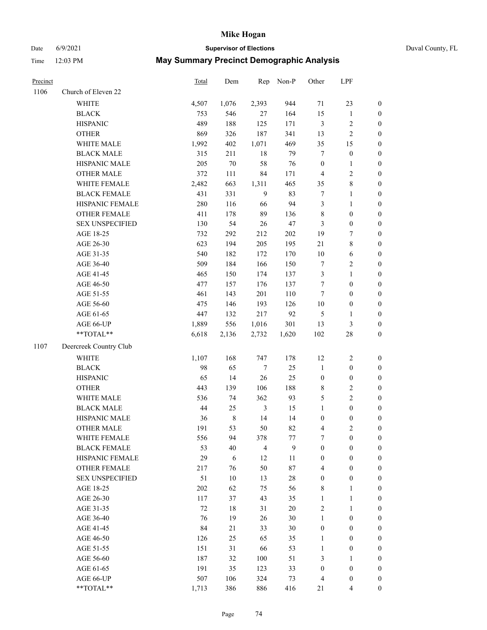# Date 6/9/2021 **Supervisor of Elections** Duval County, FL

| Precinct |                        | Total  | Dem         |                         | Rep Non-P | Other            | LPF              |                  |
|----------|------------------------|--------|-------------|-------------------------|-----------|------------------|------------------|------------------|
| 1106     | Church of Eleven 22    |        |             |                         |           |                  |                  |                  |
|          | <b>WHITE</b>           | 4,507  | 1,076       | 2,393                   | 944       | 71               | 23               | $\boldsymbol{0}$ |
|          | <b>BLACK</b>           | 753    | 546         | 27                      | 164       | 15               | $\mathbf{1}$     | $\boldsymbol{0}$ |
|          | <b>HISPANIC</b>        | 489    | 188         | 125                     | 171       | $\mathfrak{Z}$   | $\sqrt{2}$       | $\boldsymbol{0}$ |
|          | <b>OTHER</b>           | 869    | 326         | 187                     | 341       | 13               | $\sqrt{2}$       | $\boldsymbol{0}$ |
|          | WHITE MALE             | 1,992  | 402         | 1,071                   | 469       | 35               | 15               | $\boldsymbol{0}$ |
|          | <b>BLACK MALE</b>      | 315    | 211         | $18\,$                  | 79        | 7                | $\boldsymbol{0}$ | $\boldsymbol{0}$ |
|          | HISPANIC MALE          | 205    | $70\,$      | 58                      | 76        | $\boldsymbol{0}$ | $\mathbf{1}$     | $\boldsymbol{0}$ |
|          | <b>OTHER MALE</b>      | 372    | 111         | 84                      | 171       | 4                | $\sqrt{2}$       | $\boldsymbol{0}$ |
|          | WHITE FEMALE           | 2,482  | 663         | 1,311                   | 465       | 35               | $\,$ $\,$        | $\boldsymbol{0}$ |
|          | <b>BLACK FEMALE</b>    | 431    | 331         | 9                       | 83        | $\tau$           | $\mathbf{1}$     | 0                |
|          | HISPANIC FEMALE        | 280    | 116         | 66                      | 94        | 3                | $\mathbf{1}$     | $\boldsymbol{0}$ |
|          | OTHER FEMALE           | 411    | 178         | 89                      | 136       | 8                | $\boldsymbol{0}$ | $\boldsymbol{0}$ |
|          | <b>SEX UNSPECIFIED</b> | 130    | 54          | 26                      | 47        | 3                | $\boldsymbol{0}$ | $\boldsymbol{0}$ |
|          | AGE 18-25              | 732    | 292         | 212                     | 202       | 19               | $\boldsymbol{7}$ | $\boldsymbol{0}$ |
|          | AGE 26-30              | 623    | 194         | 205                     | 195       | 21               | $\,$ 8 $\,$      | $\boldsymbol{0}$ |
|          | AGE 31-35              | 540    | 182         | 172                     | 170       | $10\,$           | 6                | $\boldsymbol{0}$ |
|          | AGE 36-40              | 509    | 184         | 166                     | 150       | 7                | $\sqrt{2}$       | $\boldsymbol{0}$ |
|          | AGE 41-45              | 465    | 150         | 174                     | 137       | 3                | $\mathbf{1}$     | $\boldsymbol{0}$ |
|          | AGE 46-50              | 477    | 157         | 176                     | 137       | 7                | $\boldsymbol{0}$ | $\boldsymbol{0}$ |
|          | AGE 51-55              | 461    | 143         | 201                     | 110       | $\tau$           | $\boldsymbol{0}$ | 0                |
|          | AGE 56-60              | 475    | 146         | 193                     | 126       | $10\,$           | $\boldsymbol{0}$ | $\boldsymbol{0}$ |
|          | AGE 61-65              | 447    | 132         | 217                     | 92        | 5                | $\mathbf{1}$     | $\boldsymbol{0}$ |
|          | AGE 66-UP              | 1,889  | 556         | 1,016                   | 301       | 13               | $\mathfrak{Z}$   | $\boldsymbol{0}$ |
|          | **TOTAL**              | 6,618  | 2,136       | 2,732                   | 1,620     | 102              | $28\,$           | $\boldsymbol{0}$ |
| 1107     | Deercreek Country Club |        |             |                         |           |                  |                  |                  |
|          | <b>WHITE</b>           | 1,107  | 168         | 747                     | 178       | 12               | $\sqrt{2}$       | $\boldsymbol{0}$ |
|          | <b>BLACK</b>           | 98     | 65          | $\tau$                  | 25        | $\mathbf{1}$     | $\boldsymbol{0}$ | $\boldsymbol{0}$ |
|          | <b>HISPANIC</b>        | 65     | 14          | 26                      | 25        | $\boldsymbol{0}$ | $\boldsymbol{0}$ | $\boldsymbol{0}$ |
|          | <b>OTHER</b>           | 443    | 139         | 106                     | 188       | 8                | $\sqrt{2}$       | $\boldsymbol{0}$ |
|          | WHITE MALE             | 536    | 74          | 362                     | 93        | 5                | $\overline{c}$   | $\boldsymbol{0}$ |
|          | <b>BLACK MALE</b>      | 44     | 25          | $\mathfrak{Z}$          | 15        | $\mathbf{1}$     | $\boldsymbol{0}$ | $\boldsymbol{0}$ |
|          | HISPANIC MALE          | 36     | $\,$ 8 $\,$ | 14                      | 14        | $\boldsymbol{0}$ | $\boldsymbol{0}$ | 0                |
|          | <b>OTHER MALE</b>      | 191    | 53          | 50                      | 82        | 4                | $\mathfrak{2}$   | $\boldsymbol{0}$ |
|          | WHITE FEMALE           | 556    | 94          | 378                     | $77 \,$   | 7                | $\boldsymbol{0}$ | $\overline{0}$   |
|          | <b>BLACK FEMALE</b>    | 53     | 40          | $\overline{\mathbf{4}}$ | 9         | $\boldsymbol{0}$ | $\boldsymbol{0}$ | $\overline{0}$   |
|          | HISPANIC FEMALE        | 29     | 6           | 12                      | 11        | $\boldsymbol{0}$ | $\boldsymbol{0}$ | $\overline{0}$   |
|          | OTHER FEMALE           | 217    | 76          | 50                      | $87\,$    | 4                | $\boldsymbol{0}$ | 0                |
|          | <b>SEX UNSPECIFIED</b> | 51     | $10\,$      | 13                      | $28\,$    | $\boldsymbol{0}$ | $\boldsymbol{0}$ | 0                |
|          | AGE 18-25              | 202    | 62          | 75                      | 56        | 8                | $\mathbf{1}$     | 0                |
|          | AGE 26-30              | 117    | 37          | 43                      | 35        | $\mathbf{1}$     | $\mathbf{1}$     | 0                |
|          | AGE 31-35              | $72\,$ | $18\,$      | 31                      | $20\,$    | 2                | $\mathbf{1}$     | 0                |
|          | AGE 36-40              | 76     | 19          | 26                      | $30\,$    | $\mathbf{1}$     | $\boldsymbol{0}$ | 0                |
|          | AGE 41-45              | 84     | 21          | 33                      | $30\,$    | $\boldsymbol{0}$ | $\boldsymbol{0}$ | 0                |
|          | AGE 46-50              | 126    | 25          | 65                      | 35        | $\mathbf{1}$     | $\boldsymbol{0}$ | 0                |
|          | AGE 51-55              | 151    | 31          | 66                      | 53        | $\mathbf{1}$     | $\boldsymbol{0}$ | $\boldsymbol{0}$ |
|          | AGE 56-60              | 187    | 32          | 100                     | 51        | 3                | 1                | $\boldsymbol{0}$ |
|          | AGE 61-65              | 191    | 35          | 123                     | 33        | $\boldsymbol{0}$ | $\boldsymbol{0}$ | 0                |
|          | AGE 66-UP              | 507    | 106         | 324                     | 73        | 4                | $\boldsymbol{0}$ | 0                |
|          | **TOTAL**              | 1,713  | 386         | 886                     | 416       | 21               | $\overline{4}$   | $\boldsymbol{0}$ |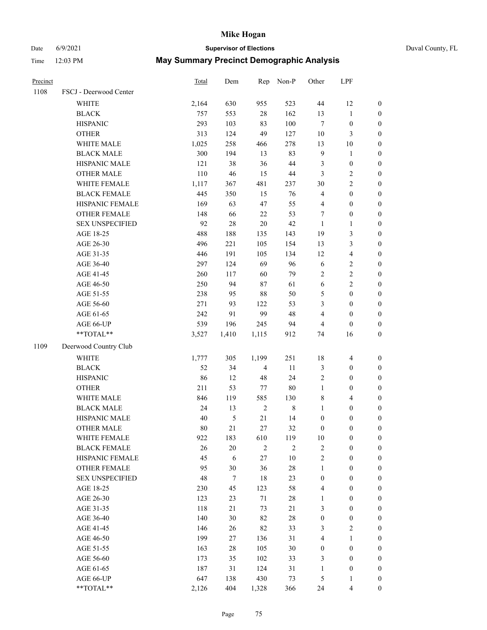# Date 6/9/2021 **Supervisor of Elections** Duval County, FL

| Precinct |                        | Total | Dem    | Rep            | Non-P          | Other            | LPF              |                  |
|----------|------------------------|-------|--------|----------------|----------------|------------------|------------------|------------------|
| 1108     | FSCJ - Deerwood Center |       |        |                |                |                  |                  |                  |
|          | WHITE                  | 2,164 | 630    | 955            | 523            | 44               | 12               | 0                |
|          | <b>BLACK</b>           | 757   | 553    | $28\,$         | 162            | 13               | $\mathbf{1}$     | $\boldsymbol{0}$ |
|          | <b>HISPANIC</b>        | 293   | 103    | 83             | 100            | $\tau$           | $\boldsymbol{0}$ | $\boldsymbol{0}$ |
|          | <b>OTHER</b>           | 313   | 124    | 49             | 127            | $10\,$           | $\mathfrak{Z}$   | $\boldsymbol{0}$ |
|          | WHITE MALE             | 1,025 | 258    | 466            | 278            | 13               | 10               | $\boldsymbol{0}$ |
|          | <b>BLACK MALE</b>      | 300   | 194    | 13             | 83             | 9                | 1                | $\boldsymbol{0}$ |
|          | HISPANIC MALE          | 121   | 38     | 36             | 44             | 3                | $\boldsymbol{0}$ | $\boldsymbol{0}$ |
|          | <b>OTHER MALE</b>      | 110   | 46     | 15             | 44             | 3                | $\mathfrak{2}$   | $\boldsymbol{0}$ |
|          | WHITE FEMALE           | 1,117 | 367    | 481            | 237            | 30               | $\sqrt{2}$       | $\boldsymbol{0}$ |
|          | <b>BLACK FEMALE</b>    | 445   | 350    | 15             | 76             | 4                | $\boldsymbol{0}$ | $\boldsymbol{0}$ |
|          | HISPANIC FEMALE        | 169   | 63     | 47             | 55             | 4                | $\boldsymbol{0}$ | $\boldsymbol{0}$ |
|          | OTHER FEMALE           | 148   | 66     | 22             | 53             | $\tau$           | $\boldsymbol{0}$ | $\boldsymbol{0}$ |
|          | <b>SEX UNSPECIFIED</b> | 92    | 28     | 20             | 42             | $\mathbf{1}$     | $\mathbf{1}$     | $\boldsymbol{0}$ |
|          | AGE 18-25              | 488   | 188    | 135            | 143            | 19               | $\mathfrak{Z}$   | $\boldsymbol{0}$ |
|          | AGE 26-30              | 496   | 221    | 105            | 154            | 13               | $\mathfrak{Z}$   | $\boldsymbol{0}$ |
|          | AGE 31-35              | 446   | 191    | 105            | 134            | 12               | $\overline{4}$   | $\boldsymbol{0}$ |
|          | AGE 36-40              | 297   | 124    | 69             | 96             | 6                | $\sqrt{2}$       | $\boldsymbol{0}$ |
|          | AGE 41-45              | 260   | 117    | 60             | 79             | $\overline{c}$   | $\sqrt{2}$       | $\boldsymbol{0}$ |
|          | AGE 46-50              | 250   | 94     | 87             | 61             | 6                | $\sqrt{2}$       | $\boldsymbol{0}$ |
|          | AGE 51-55              | 238   | 95     | 88             | 50             | 5                | $\boldsymbol{0}$ | $\boldsymbol{0}$ |
|          | AGE 56-60              | 271   | 93     | 122            | 53             | 3                | $\boldsymbol{0}$ | $\boldsymbol{0}$ |
|          | AGE 61-65              | 242   | 91     | 99             | 48             | 4                | $\boldsymbol{0}$ | $\boldsymbol{0}$ |
|          | AGE 66-UP              | 539   | 196    | 245            | 94             | 4                | $\boldsymbol{0}$ | $\boldsymbol{0}$ |
|          | $**TOTAL**$            | 3,527 | 1,410  | 1,115          | 912            | 74               | 16               | $\boldsymbol{0}$ |
| 1109     | Deerwood Country Club  |       |        |                |                |                  |                  |                  |
|          | WHITE                  | 1,777 | 305    | 1,199          | 251            | 18               | $\overline{4}$   | $\boldsymbol{0}$ |
|          | <b>BLACK</b>           | 52    | 34     | $\overline{4}$ | 11             | 3                | $\boldsymbol{0}$ | $\boldsymbol{0}$ |
|          | <b>HISPANIC</b>        | 86    | 12     | 48             | 24             | 2                | $\boldsymbol{0}$ | $\boldsymbol{0}$ |
|          | <b>OTHER</b>           | 211   | 53     | 77             | 80             | $\mathbf{1}$     | $\boldsymbol{0}$ | $\boldsymbol{0}$ |
|          | WHITE MALE             | 846   | 119    | 585            | 130            | 8                | $\overline{4}$   | $\boldsymbol{0}$ |
|          | <b>BLACK MALE</b>      | 24    | 13     | $\sqrt{2}$     | $\,$ 8 $\,$    | $\mathbf{1}$     | $\boldsymbol{0}$ | $\boldsymbol{0}$ |
|          | HISPANIC MALE          | 40    | 5      | 21             | 14             | $\boldsymbol{0}$ | $\boldsymbol{0}$ | $\boldsymbol{0}$ |
|          | <b>OTHER MALE</b>      | 80    | 21     | 27             | 32             | $\boldsymbol{0}$ | $\boldsymbol{0}$ | $\boldsymbol{0}$ |
|          | WHITE FEMALE           | 922   | 183    | 610            | 119            | 10               | 0                | 0                |
|          | <b>BLACK FEMALE</b>    | 26    | 20     | 2              | $\mathfrak{2}$ | 2                | $\boldsymbol{0}$ | $\overline{0}$   |
|          | HISPANIC FEMALE        | 45    | 6      | 27             | 10             | $\overline{c}$   | $\boldsymbol{0}$ | $\overline{0}$   |
|          | <b>OTHER FEMALE</b>    | 95    | 30     | 36             | 28             | 1                | $\boldsymbol{0}$ | $\overline{0}$   |
|          | <b>SEX UNSPECIFIED</b> | 48    | $\tau$ | 18             | 23             | $\boldsymbol{0}$ | $\boldsymbol{0}$ | $\overline{0}$   |
|          | AGE 18-25              | 230   | 45     | 123            | 58             | 4                | $\boldsymbol{0}$ | $\theta$         |
|          | AGE 26-30              | 123   | 23     | $71\,$         | 28             | 1                | $\boldsymbol{0}$ | 0                |
|          | AGE 31-35              | 118   | 21     | 73             | $21\,$         | 3                | $\boldsymbol{0}$ | 0                |
|          | AGE 36-40              | 140   | 30     | 82             | 28             | $\boldsymbol{0}$ | $\boldsymbol{0}$ | 0                |
|          | AGE 41-45              | 146   | 26     | 82             | 33             | 3                | $\mathfrak{2}$   | 0                |
|          | AGE 46-50              | 199   | 27     | 136            | 31             | 4                | $\mathbf{1}$     | 0                |
|          | AGE 51-55              | 163   | 28     | 105            | 30             | $\boldsymbol{0}$ | $\boldsymbol{0}$ | $\overline{0}$   |
|          | AGE 56-60              | 173   | 35     | 102            | 33             | 3                | $\boldsymbol{0}$ | $\overline{0}$   |
|          | AGE 61-65              | 187   | 31     | 124            | 31             | 1                | $\boldsymbol{0}$ | $\overline{0}$   |
|          | AGE 66-UP              | 647   | 138    | 430            | 73             | 5                | $\mathbf{1}$     | 0                |
|          | **TOTAL**              | 2,126 | 404    | 1,328          | 366            | 24               | $\overline{4}$   | $\boldsymbol{0}$ |
|          |                        |       |        |                |                |                  |                  |                  |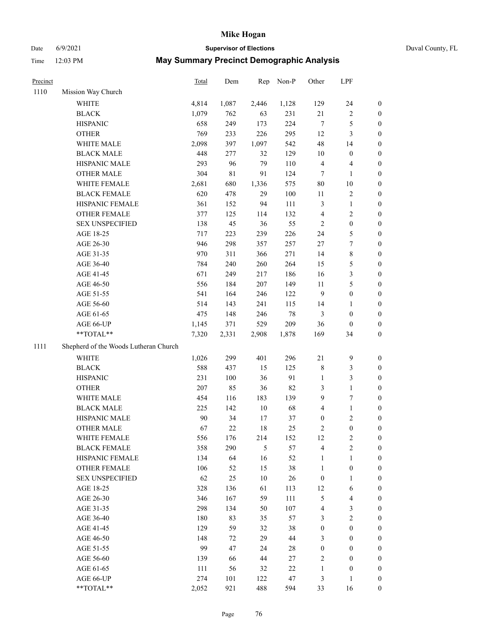Date 6/9/2021 **Supervisor of Elections** Duval County, FL

| Precinct |                                       | Total | Dem         | Rep    | Non-P  | Other            | LPF              |                  |
|----------|---------------------------------------|-------|-------------|--------|--------|------------------|------------------|------------------|
| 1110     | Mission Way Church                    |       |             |        |        |                  |                  |                  |
|          | WHITE                                 | 4,814 | 1,087       | 2,446  | 1,128  | 129              | 24               | 0                |
|          | <b>BLACK</b>                          | 1,079 | 762         | 63     | 231    | $21\,$           | $\sqrt{2}$       | 0                |
|          | <b>HISPANIC</b>                       | 658   | 249         | 173    | 224    | $\tau$           | $\mathfrak s$    | $\boldsymbol{0}$ |
|          | <b>OTHER</b>                          | 769   | 233         | 226    | 295    | 12               | 3                | $\boldsymbol{0}$ |
|          | WHITE MALE                            | 2,098 | 397         | 1,097  | 542    | 48               | 14               | $\boldsymbol{0}$ |
|          | <b>BLACK MALE</b>                     | 448   | 277         | 32     | 129    | 10               | $\boldsymbol{0}$ | $\boldsymbol{0}$ |
|          | HISPANIC MALE                         | 293   | 96          | 79     | 110    | 4                | $\overline{4}$   | $\boldsymbol{0}$ |
|          | <b>OTHER MALE</b>                     | 304   | $8\sqrt{1}$ | 91     | 124    | $\tau$           | $\mathbf{1}$     | $\boldsymbol{0}$ |
|          | WHITE FEMALE                          | 2,681 | 680         | 1,336  | 575    | $80\,$           | $10\,$           | $\boldsymbol{0}$ |
|          | <b>BLACK FEMALE</b>                   | 620   | 478         | 29     | 100    | 11               | $\sqrt{2}$       | 0                |
|          | HISPANIC FEMALE                       | 361   | 152         | 94     | 111    | 3                | $\mathbf{1}$     | 0                |
|          | OTHER FEMALE                          | 377   | 125         | 114    | 132    | 4                | $\sqrt{2}$       | 0                |
|          | <b>SEX UNSPECIFIED</b>                | 138   | 45          | 36     | 55     | $\mathbf{2}$     | $\boldsymbol{0}$ | $\boldsymbol{0}$ |
|          | AGE 18-25                             | 717   | 223         | 239    | 226    | 24               | $\mathfrak s$    | $\boldsymbol{0}$ |
|          | AGE 26-30                             | 946   | 298         | 357    | 257    | 27               | $\boldsymbol{7}$ | $\boldsymbol{0}$ |
|          | AGE 31-35                             | 970   | 311         | 366    | 271    | 14               | $\,$ $\,$        | $\boldsymbol{0}$ |
|          | AGE 36-40                             | 784   | 240         | 260    | 264    | 15               | 5                | $\boldsymbol{0}$ |
|          | AGE 41-45                             | 671   | 249         | 217    | 186    | 16               | 3                | $\boldsymbol{0}$ |
|          | AGE 46-50                             | 556   | 184         | 207    | 149    | 11               | 5                | $\boldsymbol{0}$ |
|          | AGE 51-55                             | 541   | 164         | 246    | 122    | $\boldsymbol{9}$ | $\boldsymbol{0}$ | 0                |
|          | AGE 56-60                             | 514   | 143         | 241    | 115    | 14               | 1                | 0                |
|          | AGE 61-65                             | 475   | 148         | 246    | $78\,$ | 3                | $\boldsymbol{0}$ | 0                |
|          | AGE 66-UP                             | 1,145 | 371         | 529    | 209    | 36               | $\boldsymbol{0}$ | $\boldsymbol{0}$ |
|          | $**TOTAL**$                           | 7,320 | 2,331       | 2,908  | 1,878  | 169              | 34               | $\boldsymbol{0}$ |
| 1111     | Shepherd of the Woods Lutheran Church |       |             |        |        |                  |                  |                  |
|          | <b>WHITE</b>                          | 1,026 | 299         | 401    | 296    | $21\,$           | $\boldsymbol{9}$ | $\boldsymbol{0}$ |
|          | <b>BLACK</b>                          | 588   | 437         | 15     | 125    | 8                | $\mathfrak{Z}$   | $\boldsymbol{0}$ |
|          | <b>HISPANIC</b>                       | 231   | 100         | 36     | 91     | $\mathbf{1}$     | $\mathfrak{Z}$   | $\boldsymbol{0}$ |
|          | <b>OTHER</b>                          | 207   | 85          | 36     | 82     | 3                | $\mathbf{1}$     | $\boldsymbol{0}$ |
|          | WHITE MALE                            | 454   | 116         | 183    | 139    | 9                | $\boldsymbol{7}$ | $\boldsymbol{0}$ |
|          | <b>BLACK MALE</b>                     | 225   | 142         | $10\,$ | 68     | 4                | $\mathbf{1}$     | $\boldsymbol{0}$ |
|          | HISPANIC MALE                         | 90    | 34          | 17     | 37     | $\boldsymbol{0}$ | $\sqrt{2}$       | 0                |
|          | <b>OTHER MALE</b>                     | 67    | 22          | 18     | 25     | 2                | $\boldsymbol{0}$ | $\boldsymbol{0}$ |
|          | WHITE FEMALE                          | 556   | 176         | 214    | 152    | 12               | $\overline{c}$   | 0                |
|          | <b>BLACK FEMALE</b>                   | 358   | 290         | 5      | 57     | 4                | $\sqrt{2}$       | $\overline{0}$   |
|          | HISPANIC FEMALE                       | 134   | 64          | 16     | 52     | $\mathbf{1}$     | $\mathbf{1}$     | $\overline{0}$   |
|          | OTHER FEMALE                          | 106   | 52          | 15     | 38     | 1                | $\boldsymbol{0}$ | $\overline{0}$   |
|          | <b>SEX UNSPECIFIED</b>                | 62    | 25          | 10     | 26     | $\boldsymbol{0}$ | $\mathbf{1}$     | 0                |
|          | AGE 18-25                             | 328   | 136         | 61     | 113    | 12               | 6                | 0                |
|          | AGE 26-30                             | 346   | 167         | 59     | 111    | 5                | $\overline{4}$   | 0                |
|          | AGE 31-35                             | 298   | 134         | 50     | 107    | 4                | $\mathfrak z$    | 0                |
|          | AGE 36-40                             | 180   | 83          | 35     | 57     | 3                | $\sqrt{2}$       | 0                |
|          | AGE 41-45                             | 129   | 59          | 32     | 38     | $\boldsymbol{0}$ | $\boldsymbol{0}$ | 0                |
|          | AGE 46-50                             | 148   | 72          | 29     | 44     | 3                | $\boldsymbol{0}$ | 0                |
|          | AGE 51-55                             | 99    | 47          | 24     | 28     | $\boldsymbol{0}$ | $\boldsymbol{0}$ | 0                |
|          | AGE 56-60                             | 139   | 66          | 44     | 27     | 2                | $\boldsymbol{0}$ | $\overline{0}$   |
|          | AGE 61-65                             | 111   | 56          | 32     | $22\,$ | 1                | $\boldsymbol{0}$ | $\overline{0}$   |
|          | AGE 66-UP                             | 274   | 101         | 122    | 47     | 3                | $\mathbf{1}$     | 0                |
|          | **TOTAL**                             | 2,052 | 921         | 488    | 594    | 33               | 16               | $\boldsymbol{0}$ |
|          |                                       |       |             |        |        |                  |                  |                  |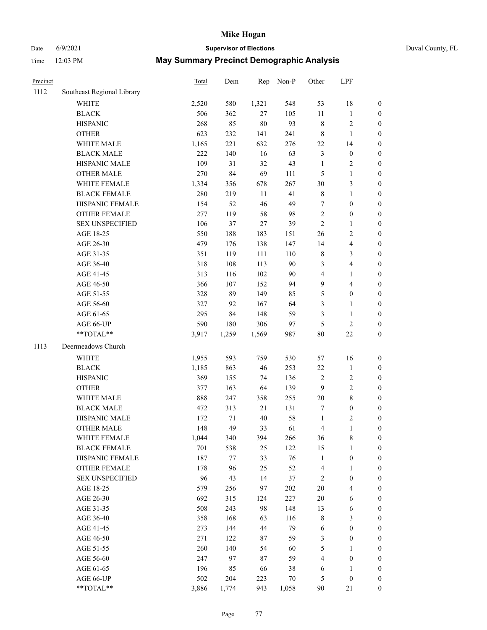# Date 6/9/2021 **Supervisor of Elections** Duval County, FL

| Precinct |                            | Total | Dem     | Rep    | Non-P  | Other          | LPF                     |                  |
|----------|----------------------------|-------|---------|--------|--------|----------------|-------------------------|------------------|
| 1112     | Southeast Regional Library |       |         |        |        |                |                         |                  |
|          | <b>WHITE</b>               | 2,520 | 580     | 1,321  | 548    | 53             | 18                      | $\boldsymbol{0}$ |
|          | <b>BLACK</b>               | 506   | 362     | 27     | 105    | $11\,$         | $\mathbf{1}$            | $\boldsymbol{0}$ |
|          | <b>HISPANIC</b>            | 268   | 85      | 80     | 93     | 8              | $\sqrt{2}$              | $\boldsymbol{0}$ |
|          | <b>OTHER</b>               | 623   | 232     | 141    | 241    | 8              | $\mathbf{1}$            | $\boldsymbol{0}$ |
|          | WHITE MALE                 | 1,165 | 221     | 632    | 276    | 22             | 14                      | $\boldsymbol{0}$ |
|          | <b>BLACK MALE</b>          | 222   | 140     | 16     | 63     | 3              | $\boldsymbol{0}$        | $\boldsymbol{0}$ |
|          | HISPANIC MALE              | 109   | 31      | 32     | 43     | $\mathbf{1}$   | $\sqrt{2}$              | $\boldsymbol{0}$ |
|          | <b>OTHER MALE</b>          | 270   | 84      | 69     | 111    | 5              | $\mathbf{1}$            | $\boldsymbol{0}$ |
|          | WHITE FEMALE               | 1,334 | 356     | 678    | 267    | $30\,$         | $\mathfrak{Z}$          | $\boldsymbol{0}$ |
|          | <b>BLACK FEMALE</b>        | 280   | 219     | 11     | 41     | 8              | $\mathbf{1}$            | 0                |
|          | HISPANIC FEMALE            | 154   | 52      | 46     | 49     | 7              | $\boldsymbol{0}$        | $\boldsymbol{0}$ |
|          | OTHER FEMALE               | 277   | 119     | 58     | 98     | $\sqrt{2}$     | $\boldsymbol{0}$        | $\boldsymbol{0}$ |
|          | <b>SEX UNSPECIFIED</b>     | 106   | 37      | $27\,$ | 39     | $\overline{c}$ | $\mathbf{1}$            | $\boldsymbol{0}$ |
|          | AGE 18-25                  | 550   | 188     | 183    | 151    | 26             | $\sqrt{2}$              | $\boldsymbol{0}$ |
|          | AGE 26-30                  | 479   | 176     | 138    | 147    | 14             | $\overline{\mathbf{4}}$ | $\boldsymbol{0}$ |
|          | AGE 31-35                  | 351   | 119     | 111    | 110    | $\,$ $\,$      | $\mathfrak{Z}$          | $\boldsymbol{0}$ |
|          | AGE 36-40                  | 318   | 108     | 113    | 90     | 3              | $\overline{\mathbf{4}}$ | $\boldsymbol{0}$ |
|          | AGE 41-45                  | 313   | 116     | 102    | 90     | $\overline{4}$ | $\mathbf{1}$            | $\boldsymbol{0}$ |
|          | AGE 46-50                  | 366   | 107     | 152    | 94     | 9              | $\overline{4}$          | $\boldsymbol{0}$ |
|          | AGE 51-55                  | 328   | 89      | 149    | 85     | 5              | $\boldsymbol{0}$        | 0                |
|          | AGE 56-60                  | 327   | 92      | 167    | 64     | 3              | $\mathbf{1}$            | $\boldsymbol{0}$ |
|          | AGE 61-65                  | 295   | 84      | 148    | 59     | 3              | $\mathbf{1}$            | $\boldsymbol{0}$ |
|          | AGE 66-UP                  | 590   | 180     | 306    | 97     | 5              | $\mathbf{2}$            | $\boldsymbol{0}$ |
|          | **TOTAL**                  | 3,917 | 1,259   | 1,569  | 987    | 80             | $22\,$                  | $\boldsymbol{0}$ |
| 1113     | Deermeadows Church         |       |         |        |        |                |                         |                  |
|          | WHITE                      | 1,955 | 593     | 759    | 530    | 57             | 16                      | $\boldsymbol{0}$ |
|          | <b>BLACK</b>               | 1,185 | 863     | 46     | 253    | $22\,$         | $\mathbf{1}$            | $\boldsymbol{0}$ |
|          | <b>HISPANIC</b>            | 369   | 155     | 74     | 136    | $\sqrt{2}$     | $\sqrt{2}$              | $\boldsymbol{0}$ |
|          | <b>OTHER</b>               | 377   | 163     | 64     | 139    | $\mathbf{9}$   | $\sqrt{2}$              | $\boldsymbol{0}$ |
|          | WHITE MALE                 | 888   | 247     | 358    | 255    | $20\,$         | $\,8\,$                 | $\boldsymbol{0}$ |
|          | <b>BLACK MALE</b>          | 472   | 313     | 21     | 131    | 7              | $\boldsymbol{0}$        | $\boldsymbol{0}$ |
|          | HISPANIC MALE              | 172   | 71      | 40     | 58     | $\mathbf{1}$   | $\sqrt{2}$              | 0                |
|          | <b>OTHER MALE</b>          | 148   | 49      | 33     | 61     | 4              | $\mathbf{1}$            | $\boldsymbol{0}$ |
|          | WHITE FEMALE               | 1,044 | 340     | 394    | 266    | 36             | 8                       | $\boldsymbol{0}$ |
|          | <b>BLACK FEMALE</b>        | 701   | 538     | 25     | 122    | 15             | $\mathbf{1}$            | $\boldsymbol{0}$ |
|          | HISPANIC FEMALE            | 187   | $77 \,$ | 33     | 76     | $\mathbf{1}$   | $\boldsymbol{0}$        | $\overline{0}$   |
|          | <b>OTHER FEMALE</b>        | 178   | 96      | 25     | 52     | 4              | $\mathbf{1}$            | 0                |
|          | <b>SEX UNSPECIFIED</b>     | 96    | 43      | 14     | 37     | $\sqrt{2}$     | $\boldsymbol{0}$        | 0                |
|          | AGE 18-25                  | 579   | 256     | 97     | 202    | $20\,$         | $\overline{\mathbf{4}}$ | 0                |
|          | AGE 26-30                  | 692   | 315     | 124    | 227    | $20\,$         | 6                       | 0                |
|          | AGE 31-35                  | 508   | 243     | 98     | 148    | 13             | 6                       | 0                |
|          | AGE 36-40                  | 358   | 168     | 63     | 116    | 8              | $\mathfrak{Z}$          | 0                |
|          | AGE 41-45                  | 273   | 144     | 44     | 79     | 6              | $\boldsymbol{0}$        | 0                |
|          | AGE 46-50                  | 271   | 122     | 87     | 59     | 3              | $\boldsymbol{0}$        | 0                |
|          | AGE 51-55                  | 260   | 140     | 54     | 60     | 5              | 1                       | $\boldsymbol{0}$ |
|          | AGE 56-60                  | 247   | 97      | 87     | 59     | 4              | $\boldsymbol{0}$        | $\boldsymbol{0}$ |
|          | AGE 61-65                  | 196   | 85      | 66     | 38     | 6              | $\mathbf{1}$            | 0                |
|          | AGE 66-UP                  | 502   | 204     | 223    | $70\,$ | 5              | $\boldsymbol{0}$        | 0                |
|          | **TOTAL**                  | 3,886 | 1,774   | 943    | 1,058  | 90             | 21                      | $\boldsymbol{0}$ |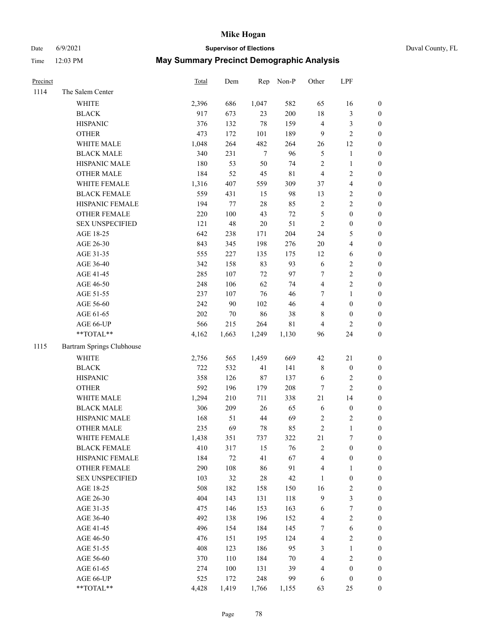# Date 6/9/2021 **Supervisor of Elections** Duval County, FL

| Precinct |                           | Total | Dem    | Rep    | Non-P       | Other                   | LPF                     |                  |
|----------|---------------------------|-------|--------|--------|-------------|-------------------------|-------------------------|------------------|
| 1114     | The Salem Center          |       |        |        |             |                         |                         |                  |
|          | <b>WHITE</b>              | 2,396 | 686    | 1,047  | 582         | 65                      | 16                      | 0                |
|          | <b>BLACK</b>              | 917   | 673    | 23     | 200         | 18                      | $\mathfrak{Z}$          | 0                |
|          | <b>HISPANIC</b>           | 376   | 132    | 78     | 159         | 4                       | $\mathfrak{Z}$          | $\boldsymbol{0}$ |
|          | <b>OTHER</b>              | 473   | 172    | 101    | 189         | 9                       | $\overline{c}$          | $\boldsymbol{0}$ |
|          | WHITE MALE                | 1,048 | 264    | 482    | 264         | 26                      | 12                      | $\boldsymbol{0}$ |
|          | <b>BLACK MALE</b>         | 340   | 231    | $\tau$ | 96          | 5                       | $\mathbf{1}$            | $\boldsymbol{0}$ |
|          | HISPANIC MALE             | 180   | 53     | 50     | 74          | $\overline{c}$          | $\mathbf{1}$            | $\boldsymbol{0}$ |
|          | <b>OTHER MALE</b>         | 184   | 52     | 45     | $8\sqrt{1}$ | $\overline{4}$          | $\sqrt{2}$              | $\boldsymbol{0}$ |
|          | WHITE FEMALE              | 1,316 | 407    | 559    | 309         | 37                      | $\overline{\mathbf{4}}$ | $\boldsymbol{0}$ |
|          | <b>BLACK FEMALE</b>       | 559   | 431    | 15     | 98          | 13                      | $\sqrt{2}$              | 0                |
|          | HISPANIC FEMALE           | 194   | 77     | $28\,$ | 85          | $\mathbf{2}$            | $\sqrt{2}$              | 0                |
|          | OTHER FEMALE              | 220   | 100    | 43     | $72\,$      | 5                       | $\boldsymbol{0}$        | $\boldsymbol{0}$ |
|          | <b>SEX UNSPECIFIED</b>    | 121   | 48     | $20\,$ | 51          | $\sqrt{2}$              | $\boldsymbol{0}$        | $\boldsymbol{0}$ |
|          | AGE 18-25                 | 642   | 238    | 171    | 204         | 24                      | $\mathfrak s$           | $\boldsymbol{0}$ |
|          | AGE 26-30                 | 843   | 345    | 198    | 276         | $20\,$                  | $\overline{4}$          | $\boldsymbol{0}$ |
|          | AGE 31-35                 | 555   | 227    | 135    | 175         | 12                      | 6                       | $\boldsymbol{0}$ |
|          | AGE 36-40                 | 342   | 158    | 83     | 93          | $\sqrt{6}$              | $\sqrt{2}$              | $\boldsymbol{0}$ |
|          | AGE 41-45                 | 285   | 107    | 72     | 97          | $\boldsymbol{7}$        | $\sqrt{2}$              | $\boldsymbol{0}$ |
|          | AGE 46-50                 | 248   | 106    | 62     | 74          | $\overline{\mathbf{4}}$ | $\sqrt{2}$              | $\boldsymbol{0}$ |
|          | AGE 51-55                 | 237   | 107    | 76     | 46          | 7                       | $\mathbf{1}$            | $\boldsymbol{0}$ |
|          | AGE 56-60                 | 242   | 90     | 102    | 46          | 4                       | $\boldsymbol{0}$        | 0                |
|          | AGE 61-65                 | 202   | 70     | 86     | 38          | 8                       | $\boldsymbol{0}$        | 0                |
|          | AGE 66-UP                 | 566   | 215    | 264    | 81          | 4                       | $\mathfrak{2}$          | $\boldsymbol{0}$ |
|          | $**TOTAL**$               | 4,162 | 1,663  | 1,249  | 1,130       | 96                      | 24                      | $\boldsymbol{0}$ |
| 1115     |                           |       |        |        |             |                         |                         |                  |
|          | Bartram Springs Clubhouse |       |        |        |             |                         |                         |                  |
|          | <b>WHITE</b>              | 2,756 | 565    | 1,459  | 669         | 42                      | $21\,$                  | $\boldsymbol{0}$ |
|          | <b>BLACK</b>              | 722   | 532    | 41     | 141         | 8                       | $\boldsymbol{0}$        | $\boldsymbol{0}$ |
|          | <b>HISPANIC</b>           | 358   | 126    | 87     | 137         | 6                       | $\sqrt{2}$              | $\boldsymbol{0}$ |
|          | <b>OTHER</b>              | 592   | 196    | 179    | 208         | $\boldsymbol{7}$        | $\overline{c}$          | $\boldsymbol{0}$ |
|          | WHITE MALE                | 1,294 | 210    | 711    | 338         | 21                      | 14                      | $\boldsymbol{0}$ |
|          | <b>BLACK MALE</b>         | 306   | 209    | 26     | 65          | $\sqrt{6}$              | $\boldsymbol{0}$        | $\boldsymbol{0}$ |
|          | HISPANIC MALE             | 168   | 51     | 44     | 69          | $\sqrt{2}$              | $\sqrt{2}$              | 0                |
|          | <b>OTHER MALE</b>         | 235   | 69     | 78     | 85          | $\overline{c}$          | $\mathbf{1}$            | $\boldsymbol{0}$ |
|          | WHITE FEMALE              | 1,438 | 351    | 737    | 322         | 21                      | 7                       | 0                |
|          | <b>BLACK FEMALE</b>       | 410   | 317    | 15     | 76          | 2                       | $\boldsymbol{0}$        | $\boldsymbol{0}$ |
|          | HISPANIC FEMALE           | 184   | $72\,$ | 41     | 67          | 4                       | $\boldsymbol{0}$        | $\overline{0}$   |
|          | OTHER FEMALE              | 290   | 108    | 86     | 91          | 4                       | $\mathbf{1}$            | $\overline{0}$   |
|          | <b>SEX UNSPECIFIED</b>    | 103   | 32     | 28     | 42          | 1                       | $\boldsymbol{0}$        | 0                |
|          | AGE 18-25                 | 508   | 182    | 158    | 150         | 16                      | $\sqrt{2}$              | 0                |
|          | AGE 26-30                 | 404   | 143    | 131    | 118         | 9                       | 3                       | 0                |
|          | AGE 31-35                 | 475   | 146    | 153    | 163         | 6                       | $\boldsymbol{7}$        | 0                |
|          | AGE 36-40                 | 492   | 138    | 196    | 152         | 4                       | $\sqrt{2}$              | 0                |
|          | AGE 41-45                 | 496   | 154    | 184    | 145         | 7                       | 6                       | 0                |
|          | AGE 46-50                 | 476   | 151    | 195    | 124         | 4                       | $\sqrt{2}$              | 0                |
|          | AGE 51-55                 | 408   | 123    | 186    | 95          | 3                       | $\mathbf{1}$            | 0                |
|          | AGE 56-60                 | 370   | 110    | 184    | $70\,$      | 4                       | $\sqrt{2}$              | $\overline{0}$   |
|          | AGE 61-65                 | 274   | 100    | 131    | 39          | 4                       | $\boldsymbol{0}$        | $\overline{0}$   |
|          | AGE 66-UP                 | 525   | 172    | 248    | 99          | 6                       | $\boldsymbol{0}$        | 0                |
|          | **TOTAL**                 | 4,428 | 1,419  | 1,766  | 1,155       | 63                      | 25                      | $\boldsymbol{0}$ |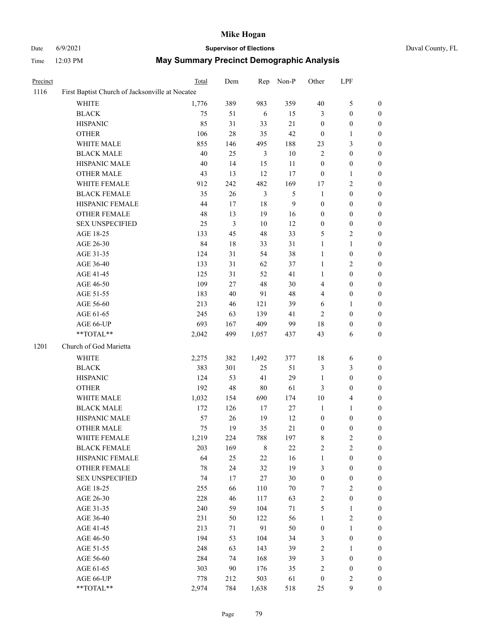# Date 6/9/2021 **Supervisor of Elections** Duval County, FL

| Precinct |                                                 | Total | Dem            | Rep            | Non-P          | Other                   | LPF              |                  |
|----------|-------------------------------------------------|-------|----------------|----------------|----------------|-------------------------|------------------|------------------|
| 1116     | First Baptist Church of Jacksonville at Nocatee |       |                |                |                |                         |                  |                  |
|          | <b>WHITE</b>                                    | 1,776 | 389            | 983            | 359            | 40                      | $\mathfrak{S}$   | $\boldsymbol{0}$ |
|          | <b>BLACK</b>                                    | 75    | 51             | 6              | 15             | 3                       | $\boldsymbol{0}$ | $\boldsymbol{0}$ |
|          | <b>HISPANIC</b>                                 | 85    | 31             | 33             | 21             | $\boldsymbol{0}$        | $\boldsymbol{0}$ | $\boldsymbol{0}$ |
|          | <b>OTHER</b>                                    | 106   | $28\,$         | 35             | $42\,$         | $\boldsymbol{0}$        | $\mathbf{1}$     | $\boldsymbol{0}$ |
|          | WHITE MALE                                      | 855   | 146            | 495            | 188            | 23                      | $\mathfrak{Z}$   | $\boldsymbol{0}$ |
|          | <b>BLACK MALE</b>                               | 40    | 25             | 3              | $10\,$         | $\mathfrak{2}$          | $\boldsymbol{0}$ | 0                |
|          | HISPANIC MALE                                   | 40    | 14             | 15             | $11\,$         | $\boldsymbol{0}$        | $\boldsymbol{0}$ | 0                |
|          | <b>OTHER MALE</b>                               | 43    | 13             | 12             | 17             | $\boldsymbol{0}$        | $\mathbf{1}$     | $\boldsymbol{0}$ |
|          | WHITE FEMALE                                    | 912   | 242            | 482            | 169            | 17                      | $\sqrt{2}$       | $\boldsymbol{0}$ |
|          | <b>BLACK FEMALE</b>                             | 35    | 26             | $\mathfrak{Z}$ | $\mathfrak{S}$ | $\mathbf{1}$            | $\boldsymbol{0}$ | $\boldsymbol{0}$ |
|          | HISPANIC FEMALE                                 | 44    | $17\,$         | $18\,$         | 9              | $\boldsymbol{0}$        | $\boldsymbol{0}$ | $\boldsymbol{0}$ |
|          | <b>OTHER FEMALE</b>                             | 48    | 13             | 19             | 16             | $\boldsymbol{0}$        | $\boldsymbol{0}$ | $\boldsymbol{0}$ |
|          | <b>SEX UNSPECIFIED</b>                          | 25    | $\mathfrak{Z}$ | $10\,$         | 12             | $\boldsymbol{0}$        | $\boldsymbol{0}$ | $\boldsymbol{0}$ |
|          | AGE 18-25                                       | 133   | 45             | 48             | 33             | 5                       | $\overline{c}$   | $\boldsymbol{0}$ |
|          | AGE 26-30                                       | 84    | $18\,$         | 33             | 31             | $\mathbf{1}$            | $\mathbf{1}$     | $\boldsymbol{0}$ |
|          | AGE 31-35                                       | 124   | 31             | 54             | 38             | $\mathbf{1}$            | $\boldsymbol{0}$ | 0                |
|          | AGE 36-40                                       | 133   | 31             | 62             | 37             | $\mathbf{1}$            | $\sqrt{2}$       | 0                |
|          | AGE 41-45                                       | 125   | 31             | 52             | 41             | $\mathbf{1}$            | $\boldsymbol{0}$ | $\boldsymbol{0}$ |
|          | AGE 46-50                                       | 109   | 27             | 48             | $30\,$         | 4                       | $\boldsymbol{0}$ | $\boldsymbol{0}$ |
|          | AGE 51-55                                       | 183   | 40             | 91             | $48\,$         | 4                       | $\boldsymbol{0}$ | $\boldsymbol{0}$ |
|          | AGE 56-60                                       | 213   | 46             | 121            | 39             | 6                       | $\mathbf{1}$     | $\boldsymbol{0}$ |
|          | AGE 61-65                                       | 245   | 63             | 139            | 41             | $\sqrt{2}$              | $\boldsymbol{0}$ | $\boldsymbol{0}$ |
|          | AGE 66-UP                                       | 693   | 167            | 409            | 99             | 18                      | $\boldsymbol{0}$ | $\boldsymbol{0}$ |
|          | **TOTAL**                                       | 2,042 | 499            | 1,057          | 437            | 43                      | 6                | $\boldsymbol{0}$ |
| 1201     | Church of God Marietta                          |       |                |                |                |                         |                  |                  |
|          | <b>WHITE</b>                                    | 2,275 | 382            | 1,492          | 377            | 18                      | 6                | $\boldsymbol{0}$ |
|          | <b>BLACK</b>                                    | 383   | 301            | 25             | 51             | $\mathfrak{Z}$          | $\mathfrak{Z}$   | $\boldsymbol{0}$ |
|          | <b>HISPANIC</b>                                 | 124   | 53             | 41             | 29             | $\mathbf{1}$            | $\boldsymbol{0}$ | 0                |
|          | <b>OTHER</b>                                    | 192   | 48             | $80\,$         | 61             | 3                       | $\boldsymbol{0}$ | 0                |
|          | WHITE MALE                                      | 1,032 | 154            | 690            | 174            | $10\,$                  | $\overline{4}$   | 0                |
|          | <b>BLACK MALE</b>                               | 172   | 126            | 17             | $27\,$         | $\mathbf{1}$            | $\mathbf{1}$     | $\boldsymbol{0}$ |
|          | HISPANIC MALE                                   | 57    | 26             | 19             | 12             | $\boldsymbol{0}$        | $\boldsymbol{0}$ | $\boldsymbol{0}$ |
|          | <b>OTHER MALE</b>                               | 75    | 19             | 35             | $21\,$         | $\boldsymbol{0}$        | $\boldsymbol{0}$ | $\boldsymbol{0}$ |
|          | WHITE FEMALE                                    | 1,219 | 224            | 788            | 197            | $\,$ 8 $\,$             | $\sqrt{2}$       | $\overline{0}$   |
|          | <b>BLACK FEMALE</b>                             | 203   | 169            | $8\,$          | $22\,$         | $\overline{\mathbf{c}}$ | $\sqrt{2}$       | 0                |
|          | HISPANIC FEMALE                                 | 64    | 25             | 22             | 16             | $\mathbf{1}$            | $\boldsymbol{0}$ | 0                |
|          | <b>OTHER FEMALE</b>                             | 78    | 24             | 32             | 19             | $\mathfrak{Z}$          | $\boldsymbol{0}$ | 0                |
|          | <b>SEX UNSPECIFIED</b>                          | 74    | 17             | $27\,$         | $30\,$         | $\boldsymbol{0}$        | $\boldsymbol{0}$ | 0                |
|          | AGE 18-25                                       | 255   | 66             | 110            | $70\,$         | 7                       | $\sqrt{2}$       | 0                |
|          | AGE 26-30                                       | 228   | 46             | 117            | 63             | $\overline{\mathbf{c}}$ | $\boldsymbol{0}$ | 0                |
|          | AGE 31-35                                       | 240   | 59             | 104            | 71             | 5                       | $\mathbf{1}$     | 0                |
|          | AGE 36-40                                       | 231   | 50             | 122            | 56             | $\mathbf{1}$            | $\sqrt{2}$       | $\boldsymbol{0}$ |
|          | AGE 41-45                                       | 213   | 71             | 91             | 50             | $\boldsymbol{0}$        | $\mathbf{1}$     | $\overline{0}$   |
|          | AGE 46-50                                       | 194   | 53             | 104            | 34             | 3                       | $\boldsymbol{0}$ | 0                |
|          | AGE 51-55                                       | 248   | 63             | 143            | 39             | $\overline{c}$          | $\mathbf{1}$     | 0                |
|          | AGE 56-60                                       | 284   | 74             | 168            | 39             | 3                       | $\boldsymbol{0}$ | 0                |
|          | AGE 61-65                                       | 303   | 90             | 176            | 35             | $\sqrt{2}$              | $\boldsymbol{0}$ | 0                |
|          | AGE 66-UP                                       | 778   | 212            | 503            | 61             | $\boldsymbol{0}$        | $\sqrt{2}$       | 0                |
|          | **TOTAL**                                       | 2,974 | 784            | 1,638          | 518            | 25                      | $\boldsymbol{9}$ | $\boldsymbol{0}$ |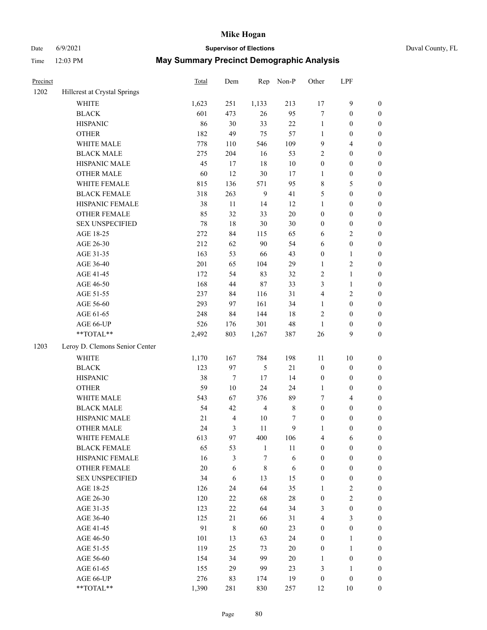# Date 6/9/2021 **Supervisor of Elections** Duval County, FL

| Precinct |                                | Total  | Dem              | Rep            | Non-P       | Other            | LPF              |                  |
|----------|--------------------------------|--------|------------------|----------------|-------------|------------------|------------------|------------------|
| 1202     | Hillcrest at Crystal Springs   |        |                  |                |             |                  |                  |                  |
|          | <b>WHITE</b>                   | 1,623  | 251              | 1,133          | 213         | 17               | $\mathbf{9}$     | 0                |
|          | <b>BLACK</b>                   | 601    | 473              | 26             | 95          | $\boldsymbol{7}$ | $\boldsymbol{0}$ | $\boldsymbol{0}$ |
|          | <b>HISPANIC</b>                | 86     | 30               | 33             | $22\,$      | $\mathbf{1}$     | $\boldsymbol{0}$ | $\boldsymbol{0}$ |
|          | <b>OTHER</b>                   | 182    | 49               | 75             | 57          | 1                | $\boldsymbol{0}$ | $\boldsymbol{0}$ |
|          | WHITE MALE                     | 778    | 110              | 546            | 109         | 9                | $\overline{4}$   | $\boldsymbol{0}$ |
|          | <b>BLACK MALE</b>              | 275    | 204              | 16             | 53          | $\overline{c}$   | $\boldsymbol{0}$ | $\boldsymbol{0}$ |
|          | HISPANIC MALE                  | 45     | 17               | 18             | $10\,$      | $\boldsymbol{0}$ | $\boldsymbol{0}$ | $\boldsymbol{0}$ |
|          | <b>OTHER MALE</b>              | 60     | 12               | 30             | 17          | $\mathbf{1}$     | $\boldsymbol{0}$ | $\boldsymbol{0}$ |
|          | WHITE FEMALE                   | 815    | 136              | 571            | 95          | 8                | 5                | $\boldsymbol{0}$ |
|          | <b>BLACK FEMALE</b>            | 318    | 263              | $\overline{9}$ | 41          | 5                | $\boldsymbol{0}$ | $\boldsymbol{0}$ |
|          | HISPANIC FEMALE                | 38     | 11               | 14             | 12          | $\mathbf{1}$     | $\boldsymbol{0}$ | 0                |
|          | OTHER FEMALE                   | 85     | 32               | 33             | $20\,$      | $\boldsymbol{0}$ | $\boldsymbol{0}$ | 0                |
|          | <b>SEX UNSPECIFIED</b>         | 78     | $18\,$           | 30             | 30          | $\boldsymbol{0}$ | $\boldsymbol{0}$ | $\boldsymbol{0}$ |
|          | AGE 18-25                      | 272    | 84               | 115            | 65          | 6                | $\sqrt{2}$       | $\boldsymbol{0}$ |
|          | AGE 26-30                      | 212    | 62               | 90             | 54          | 6                | $\boldsymbol{0}$ | $\boldsymbol{0}$ |
|          | AGE 31-35                      | 163    | 53               | 66             | 43          | $\boldsymbol{0}$ | $\mathbf{1}$     | $\boldsymbol{0}$ |
|          | AGE 36-40                      | 201    | 65               | 104            | 29          | $\mathbf{1}$     | $\sqrt{2}$       | $\boldsymbol{0}$ |
|          | AGE 41-45                      | 172    | 54               | 83             | 32          | $\sqrt{2}$       | $\mathbf{1}$     | $\boldsymbol{0}$ |
|          | AGE 46-50                      | 168    | 44               | 87             | 33          | 3                | $\mathbf{1}$     | $\boldsymbol{0}$ |
|          | AGE 51-55                      | 237    | 84               | 116            | 31          | 4                | $\sqrt{2}$       | $\boldsymbol{0}$ |
|          | AGE 56-60                      | 293    | 97               | 161            | 34          | $\mathbf{1}$     | $\boldsymbol{0}$ | 0                |
|          | AGE 61-65                      | 248    | 84               | 144            | $18\,$      | $\overline{c}$   | $\boldsymbol{0}$ | 0                |
|          | AGE 66-UP                      | 526    | 176              | 301            | 48          | $\mathbf{1}$     | $\boldsymbol{0}$ | $\boldsymbol{0}$ |
|          | **TOTAL**                      | 2,492  | 803              | 1,267          | 387         | 26               | 9                | $\boldsymbol{0}$ |
| 1203     | Leroy D. Clemons Senior Center |        |                  |                |             |                  |                  |                  |
|          | <b>WHITE</b>                   | 1,170  | 167              | 784            | 198         | 11               | $10\,$           | $\boldsymbol{0}$ |
|          | <b>BLACK</b>                   | 123    | 97               | $\mathfrak s$  | $21\,$      | $\boldsymbol{0}$ | $\boldsymbol{0}$ | $\boldsymbol{0}$ |
|          | <b>HISPANIC</b>                | 38     | $\boldsymbol{7}$ | 17             | 14          | $\boldsymbol{0}$ | $\boldsymbol{0}$ | $\boldsymbol{0}$ |
|          | <b>OTHER</b>                   | 59     | $10\,$           | 24             | 24          | $\mathbf{1}$     | $\boldsymbol{0}$ | $\boldsymbol{0}$ |
|          | WHITE MALE                     | 543    | 67               | 376            | 89          | 7                | $\overline{4}$   | $\boldsymbol{0}$ |
|          | <b>BLACK MALE</b>              | 54     | 42               | $\overline{4}$ | $\,$ 8 $\,$ | $\boldsymbol{0}$ | $\boldsymbol{0}$ | $\boldsymbol{0}$ |
|          | HISPANIC MALE                  | $21\,$ | $\overline{4}$   | 10             | 7           | $\boldsymbol{0}$ | $\boldsymbol{0}$ | $\boldsymbol{0}$ |
|          | <b>OTHER MALE</b>              | 24     | 3                | 11             | 9           | $\mathbf{1}$     | $\boldsymbol{0}$ | $\boldsymbol{0}$ |
|          | WHITE FEMALE                   | 613    | 97               | 400            | 106         | 4                | 6                | 0                |
|          | <b>BLACK FEMALE</b>            | 65     | 53               | $\mathbf{1}$   | $11\,$      | $\boldsymbol{0}$ | $\boldsymbol{0}$ | $\overline{0}$   |
|          | HISPANIC FEMALE                | 16     | 3                | $\tau$         | $\sqrt{6}$  | $\boldsymbol{0}$ | $\boldsymbol{0}$ | $\overline{0}$   |
|          | OTHER FEMALE                   | $20\,$ | 6                | $\,$ 8 $\,$    | 6           | $\boldsymbol{0}$ | $\boldsymbol{0}$ | $\overline{0}$   |
|          | <b>SEX UNSPECIFIED</b>         | 34     | 6                | 13             | 15          | $\boldsymbol{0}$ | $\boldsymbol{0}$ | 0                |
|          | AGE 18-25                      | 126    | 24               | 64             | 35          | 1                | $\sqrt{2}$       | $\theta$         |
|          | AGE 26-30                      | 120    | 22               | 68             | $28\,$      | $\boldsymbol{0}$ | $\overline{2}$   | 0                |
|          | AGE 31-35                      | 123    | 22               | 64             | 34          | 3                | $\boldsymbol{0}$ | 0                |
|          | AGE 36-40                      | 125    | 21               | 66             | 31          | $\overline{4}$   | $\mathfrak{Z}$   | 0                |
|          | AGE 41-45                      | 91     | $\,8\,$          | 60             | 23          | $\boldsymbol{0}$ | $\boldsymbol{0}$ | 0                |
|          | AGE 46-50                      | 101    | 13               | 63             | 24          | $\boldsymbol{0}$ | $\mathbf{1}$     | 0                |
|          | AGE 51-55                      | 119    | 25               | 73             | 20          | $\boldsymbol{0}$ | $\mathbf{1}$     | 0                |
|          | AGE 56-60                      | 154    | 34               | 99             | $20\,$      | 1                | $\boldsymbol{0}$ | $\overline{0}$   |
|          | AGE 61-65                      | 155    | 29               | 99             | 23          | 3                | $\mathbf{1}$     | $\overline{0}$   |
|          | AGE 66-UP                      | 276    | 83               | 174            | 19          | $\boldsymbol{0}$ | $\boldsymbol{0}$ | $\boldsymbol{0}$ |
|          | **TOTAL**                      | 1,390  | 281              | 830            | 257         | 12               | 10               | $\boldsymbol{0}$ |
|          |                                |        |                  |                |             |                  |                  |                  |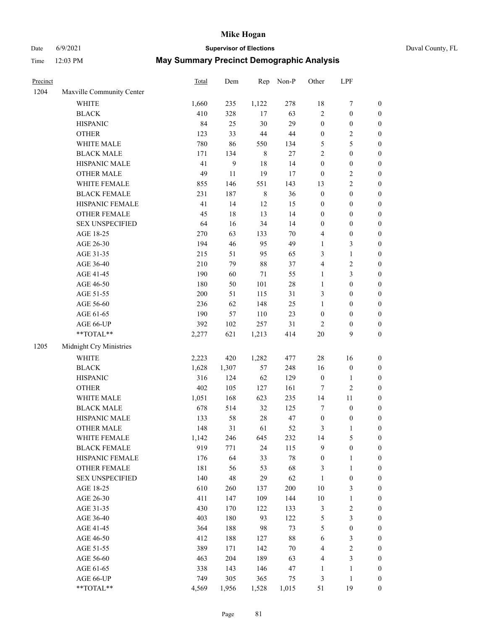# Date 6/9/2021 **Supervisor of Elections** Duval County, FL

| Precinct |                                                            | Total        | Dem              | Rep         | Non-P      | Other                  | LPF              |                  |
|----------|------------------------------------------------------------|--------------|------------------|-------------|------------|------------------------|------------------|------------------|
| 1204     | Maxville Community Center                                  |              |                  |             |            |                        |                  |                  |
|          | <b>WHITE</b>                                               | 1,660        | 235              | 1,122       | 278        | 18                     | $\boldsymbol{7}$ | 0                |
|          | <b>BLACK</b>                                               | 410          | 328              | 17          | 63         | $\overline{c}$         | $\boldsymbol{0}$ | $\boldsymbol{0}$ |
|          | <b>HISPANIC</b>                                            | 84           | 25               | 30          | 29         | $\boldsymbol{0}$       | $\boldsymbol{0}$ | $\boldsymbol{0}$ |
|          | <b>OTHER</b>                                               | 123          | 33               | 44          | 44         | $\boldsymbol{0}$       | $\sqrt{2}$       | $\boldsymbol{0}$ |
|          | WHITE MALE                                                 | 780          | 86               | 550         | 134        | 5                      | 5                | $\boldsymbol{0}$ |
|          | <b>BLACK MALE</b>                                          | 171          | 134              | $\,8\,$     | $27\,$     | $\overline{c}$         | $\boldsymbol{0}$ | $\boldsymbol{0}$ |
|          | HISPANIC MALE                                              | 41           | $\boldsymbol{9}$ | 18          | 14         | $\boldsymbol{0}$       | $\boldsymbol{0}$ | $\boldsymbol{0}$ |
|          | <b>OTHER MALE</b>                                          | 49           | 11               | 19          | 17         | $\boldsymbol{0}$       | $\sqrt{2}$       | $\boldsymbol{0}$ |
|          | WHITE FEMALE                                               | 855          | 146              | 551         | 143        | 13                     | $\sqrt{2}$       | $\boldsymbol{0}$ |
|          | <b>BLACK FEMALE</b>                                        | 231          | 187              | $\,$ 8 $\,$ | 36         | $\boldsymbol{0}$       | $\boldsymbol{0}$ | $\boldsymbol{0}$ |
|          | HISPANIC FEMALE                                            | 41           | 14               | 12          | 15         | $\boldsymbol{0}$       | $\boldsymbol{0}$ | $\boldsymbol{0}$ |
|          | OTHER FEMALE                                               | 45           | 18               | 13          | 14         | 0                      | $\boldsymbol{0}$ | $\boldsymbol{0}$ |
|          | <b>SEX UNSPECIFIED</b>                                     | 64           | 16               | 34          | 14         | $\boldsymbol{0}$       | $\boldsymbol{0}$ | $\boldsymbol{0}$ |
|          | AGE 18-25                                                  | 270          | 63               | 133         | 70         | 4                      | $\boldsymbol{0}$ | $\boldsymbol{0}$ |
|          | AGE 26-30                                                  | 194          | 46               | 95          | 49         | 1                      | $\mathfrak{Z}$   | $\boldsymbol{0}$ |
|          | AGE 31-35                                                  | 215          | 51               | 95          | 65         | 3                      | $\mathbf{1}$     | $\boldsymbol{0}$ |
|          | AGE 36-40                                                  | 210          | 79               | 88          | 37         | 4                      | $\sqrt{2}$       | $\boldsymbol{0}$ |
|          | AGE 41-45                                                  | 190          | 60               | $71\,$      | 55         | $\mathbf{1}$           | 3                | $\boldsymbol{0}$ |
|          | AGE 46-50                                                  | 180          | 50               | 101         | $28\,$     | $\mathbf{1}$           | $\boldsymbol{0}$ | $\boldsymbol{0}$ |
|          | AGE 51-55                                                  | $200\,$      | 51               | 115         | 31         | 3                      | $\boldsymbol{0}$ | $\boldsymbol{0}$ |
|          | AGE 56-60                                                  | 236          | 62               | 148         | 25         | $\mathbf{1}$           | $\boldsymbol{0}$ | 0                |
|          | AGE 61-65                                                  | 190          | 57               | 110         | 23         | $\boldsymbol{0}$       | $\boldsymbol{0}$ | $\boldsymbol{0}$ |
|          | AGE 66-UP                                                  | 392          | 102              | 257         | 31         | 2                      | $\boldsymbol{0}$ | $\boldsymbol{0}$ |
|          | $\mathrm{*}\mathrm{*} \mathrm{TOTAL} \mathrm{*}\mathrm{*}$ | 2,277        | 621              | 1,213       | 414        | $20\,$                 | 9                | $\boldsymbol{0}$ |
| 1205     | Midnight Cry Ministries                                    |              |                  |             |            |                        |                  |                  |
|          | <b>WHITE</b>                                               |              | 420              |             | 477        |                        |                  |                  |
|          |                                                            | 2,223        |                  | 1,282       |            | 28                     | 16               | $\boldsymbol{0}$ |
|          | <b>BLACK</b><br><b>HISPANIC</b>                            | 1,628<br>316 | 1,307<br>124     | 57<br>62    | 248<br>129 | 16<br>$\boldsymbol{0}$ | $\boldsymbol{0}$ | $\boldsymbol{0}$ |
|          |                                                            |              |                  |             |            |                        | $\mathbf{1}$     | $\boldsymbol{0}$ |
|          | <b>OTHER</b>                                               | 402          | 105              | 127         | 161        | 7                      | $\sqrt{2}$       | $\boldsymbol{0}$ |
|          | WHITE MALE                                                 | 1,051        | 168              | 623         | 235        | 14                     | 11               | $\boldsymbol{0}$ |
|          | <b>BLACK MALE</b><br>HISPANIC MALE                         | 678          | 514              | 32          | 125        | 7                      | $\boldsymbol{0}$ | $\boldsymbol{0}$ |
|          |                                                            | 133          | 58               | $28\,$      | 47         | $\boldsymbol{0}$       | $\boldsymbol{0}$ | 0                |
|          | <b>OTHER MALE</b>                                          | 148          | 31               | 61          | 52         | 3                      | $\mathbf{1}$     | $\boldsymbol{0}$ |
|          | WHITE FEMALE<br><b>BLACK FEMALE</b>                        | 1,142        | 246              | 645         | 232        | 14                     | 5                | 0                |
|          |                                                            | 919          | 771              | 24          | 115<br>78  | 9                      | $\boldsymbol{0}$ | $\boldsymbol{0}$ |
|          | HISPANIC FEMALE                                            | 176          | 64               | 33          |            | $\boldsymbol{0}$       | $\mathbf{1}$     | $\overline{0}$   |
|          | OTHER FEMALE                                               | 181          | 56               | 53          | 68         | 3                      | $\mathbf{1}$     | $\overline{0}$   |
|          | <b>SEX UNSPECIFIED</b>                                     | 140          | 48               | 29          | 62         | 1                      | $\boldsymbol{0}$ | 0                |
|          | AGE 18-25                                                  | 610          | 260              | 137         | 200        | 10                     | 3                | 0                |
|          | AGE 26-30                                                  | 411          | 147              | 109         | 144        | $10\,$                 | $\mathbf{1}$     | 0                |
|          | AGE 31-35                                                  | 430          | 170              | 122         | 133        | 3                      | $\sqrt{2}$       | 0                |
|          | AGE 36-40                                                  | 403          | 180              | 93          | 122        | 5                      | $\mathfrak{Z}$   | 0                |
|          | AGE 41-45                                                  | 364          | 188              | 98          | 73         | 5                      | $\boldsymbol{0}$ | 0                |
|          | AGE 46-50                                                  | 412          | 188              | 127         | 88         | 6                      | $\mathfrak{Z}$   | 0                |
|          | AGE 51-55                                                  | 389          | 171              | 142         | 70         | 4                      | $\sqrt{2}$       | 0                |
|          | AGE 56-60                                                  | 463          | 204              | 189         | 63         | 4                      | 3                | $\overline{0}$   |
|          | AGE 61-65                                                  | 338          | 143              | 146         | 47         | 1                      | $\mathbf{1}$     | $\boldsymbol{0}$ |
|          | AGE 66-UP                                                  | 749          | 305              | 365         | 75         | 3                      | 1                | 0                |
|          | **TOTAL**                                                  | 4,569        | 1,956            | 1,528       | 1,015      | 51                     | 19               | $\boldsymbol{0}$ |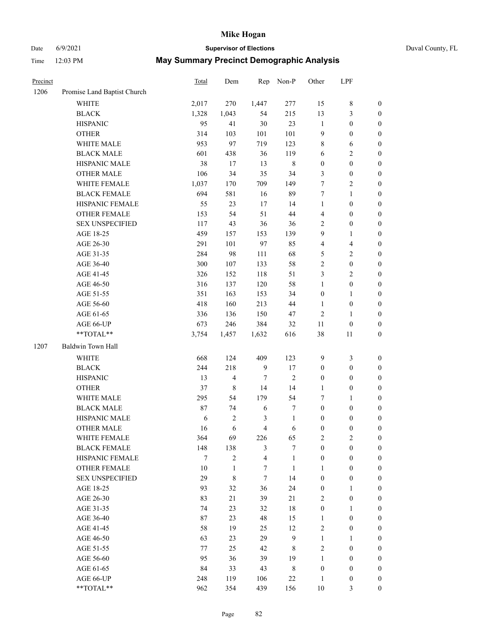# Date 6/9/2021 **Supervisor of Elections** Duval County, FL

| Precinct |                             | Total | Dem                     | Rep              | Non-P          | Other            | LPF                     |                  |
|----------|-----------------------------|-------|-------------------------|------------------|----------------|------------------|-------------------------|------------------|
| 1206     | Promise Land Baptist Church |       |                         |                  |                |                  |                         |                  |
|          | <b>WHITE</b>                | 2,017 | 270                     | 1,447            | 277            | 15               | $\,$ 8 $\,$             | $\boldsymbol{0}$ |
|          | <b>BLACK</b>                | 1,328 | 1,043                   | 54               | 215            | 13               | $\mathfrak{Z}$          | $\boldsymbol{0}$ |
|          | <b>HISPANIC</b>             | 95    | 41                      | 30               | 23             | $\mathbf{1}$     | $\boldsymbol{0}$        | $\boldsymbol{0}$ |
|          | <b>OTHER</b>                | 314   | 103                     | 101              | 101            | 9                | $\boldsymbol{0}$        | $\boldsymbol{0}$ |
|          | WHITE MALE                  | 953   | 97                      | 719              | 123            | 8                | 6                       | $\boldsymbol{0}$ |
|          | <b>BLACK MALE</b>           | 601   | 438                     | 36               | 119            | 6                | $\sqrt{2}$              | $\boldsymbol{0}$ |
|          | HISPANIC MALE               | 38    | 17                      | 13               | $\,$ 8 $\,$    | $\boldsymbol{0}$ | $\boldsymbol{0}$        | $\boldsymbol{0}$ |
|          | <b>OTHER MALE</b>           | 106   | 34                      | 35               | 34             | 3                | $\boldsymbol{0}$        | $\boldsymbol{0}$ |
|          | WHITE FEMALE                | 1,037 | 170                     | 709              | 149            | 7                | $\overline{c}$          | $\boldsymbol{0}$ |
|          | <b>BLACK FEMALE</b>         | 694   | 581                     | 16               | 89             | 7                | $\mathbf{1}$            | 0                |
|          | HISPANIC FEMALE             | 55    | 23                      | 17               | 14             | $\mathbf{1}$     | $\boldsymbol{0}$        | $\boldsymbol{0}$ |
|          | OTHER FEMALE                | 153   | 54                      | 51               | 44             | 4                | $\boldsymbol{0}$        | $\boldsymbol{0}$ |
|          | <b>SEX UNSPECIFIED</b>      | 117   | 43                      | 36               | 36             | $\mathfrak{2}$   | $\boldsymbol{0}$        | $\boldsymbol{0}$ |
|          | AGE 18-25                   | 459   | 157                     | 153              | 139            | 9                | $\mathbf{1}$            | $\boldsymbol{0}$ |
|          | AGE 26-30                   | 291   | 101                     | 97               | 85             | 4                | $\overline{\mathbf{4}}$ | $\boldsymbol{0}$ |
|          | AGE 31-35                   | 284   | 98                      | 111              | 68             | 5                | $\sqrt{2}$              | $\boldsymbol{0}$ |
|          | AGE 36-40                   | 300   | 107                     | 133              | 58             | $\sqrt{2}$       | $\boldsymbol{0}$        | $\boldsymbol{0}$ |
|          | AGE 41-45                   | 326   | 152                     | 118              | 51             | 3                | $\overline{2}$          | $\boldsymbol{0}$ |
|          | AGE 46-50                   | 316   | 137                     | 120              | 58             | $\mathbf{1}$     | $\boldsymbol{0}$        | $\boldsymbol{0}$ |
|          | AGE 51-55                   | 351   | 163                     | 153              | 34             | $\boldsymbol{0}$ | $\mathbf{1}$            | 0                |
|          | AGE 56-60                   | 418   | 160                     | 213              | 44             | $\mathbf{1}$     | $\boldsymbol{0}$        | $\boldsymbol{0}$ |
|          | AGE 61-65                   | 336   | 136                     | 150              | 47             | $\sqrt{2}$       | $\mathbf{1}$            | $\boldsymbol{0}$ |
|          | AGE 66-UP                   | 673   | 246                     | 384              | 32             | 11               | $\boldsymbol{0}$        | $\boldsymbol{0}$ |
|          | **TOTAL**                   | 3,754 | 1,457                   | 1,632            | 616            | 38               | 11                      | $\boldsymbol{0}$ |
| 1207     | Baldwin Town Hall           |       |                         |                  |                |                  |                         |                  |
|          | WHITE                       | 668   | 124                     | 409              | 123            | 9                | $\mathfrak{Z}$          | $\boldsymbol{0}$ |
|          | <b>BLACK</b>                | 244   | 218                     | $\boldsymbol{9}$ | 17             | $\boldsymbol{0}$ | $\boldsymbol{0}$        | $\boldsymbol{0}$ |
|          | <b>HISPANIC</b>             | 13    | $\overline{\mathbf{4}}$ | $\tau$           | $\sqrt{2}$     | $\boldsymbol{0}$ | $\boldsymbol{0}$        | $\boldsymbol{0}$ |
|          | <b>OTHER</b>                | 37    | $\,$ 8 $\,$             | 14               | 14             | $\mathbf{1}$     | $\boldsymbol{0}$        | $\boldsymbol{0}$ |
|          | WHITE MALE                  | 295   | 54                      | 179              | 54             | 7                | $\mathbf{1}$            | $\boldsymbol{0}$ |
|          | <b>BLACK MALE</b>           | 87    | 74                      | 6                | 7              | $\boldsymbol{0}$ | $\boldsymbol{0}$        | $\boldsymbol{0}$ |
|          | HISPANIC MALE               | 6     | $\mathbf{2}$            | 3                | $\mathbf{1}$   | $\boldsymbol{0}$ | $\boldsymbol{0}$        | 0                |
|          | <b>OTHER MALE</b>           | 16    | 6                       | $\overline{4}$   | 6              | $\boldsymbol{0}$ | $\boldsymbol{0}$        | $\boldsymbol{0}$ |
|          | WHITE FEMALE                | 364   | 69                      | 226              | 65             | 2                | $\overline{c}$          | $\overline{0}$   |
|          | <b>BLACK FEMALE</b>         | 148   | 138                     | 3                | $\overline{7}$ | $\boldsymbol{0}$ | $\boldsymbol{0}$        | $\overline{0}$   |
|          | HISPANIC FEMALE             | 7     | $\overline{2}$          | $\overline{4}$   | $\mathbf{1}$   | $\boldsymbol{0}$ | $\boldsymbol{0}$        | $\overline{0}$   |
|          | <b>OTHER FEMALE</b>         | 10    | $\mathbf{1}$            | $\tau$           | $\mathbf{1}$   | 1                | $\boldsymbol{0}$        | $\overline{0}$   |
|          | <b>SEX UNSPECIFIED</b>      | 29    | $\,$ 8 $\,$             | $\tau$           | 14             | $\boldsymbol{0}$ | $\boldsymbol{0}$        | $\overline{0}$   |
|          | AGE 18-25                   | 93    | 32                      | 36               | 24             | $\boldsymbol{0}$ | $\mathbf{1}$            | $\theta$         |
|          | AGE 26-30                   | 83    | 21                      | 39               | 21             | 2                | $\boldsymbol{0}$        | 0                |
|          | AGE 31-35                   | 74    | 23                      | 32               | $18\,$         | $\boldsymbol{0}$ | $\mathbf{1}$            | 0                |
|          | AGE 36-40                   | 87    | 23                      | 48               | 15             | $\mathbf{1}$     | $\boldsymbol{0}$        | 0                |
|          | AGE 41-45                   | 58    | 19                      | 25               | 12             | $\overline{c}$   | $\boldsymbol{0}$        | 0                |
|          | AGE 46-50                   | 63    | 23                      | 29               | 9              | $\mathbf{1}$     | $\mathbf{1}$            | $\overline{0}$   |
|          | AGE 51-55                   | 77    | 25                      | 42               | 8              | $\mathbf{2}$     | $\boldsymbol{0}$        | $\overline{0}$   |
|          | AGE 56-60                   | 95    | 36                      | 39               | 19             | 1                | $\boldsymbol{0}$        | $\boldsymbol{0}$ |
|          | AGE 61-65                   | 84    | 33                      | 43               | 8              | $\boldsymbol{0}$ | $\boldsymbol{0}$        | $\overline{0}$   |
|          | AGE 66-UP                   | 248   | 119                     | 106              | $22\,$         | $\mathbf{1}$     | $\boldsymbol{0}$        | 0                |
|          | **TOTAL**                   | 962   | 354                     | 439              | 156            | $10\,$           | 3                       | $\boldsymbol{0}$ |
|          |                             |       |                         |                  |                |                  |                         |                  |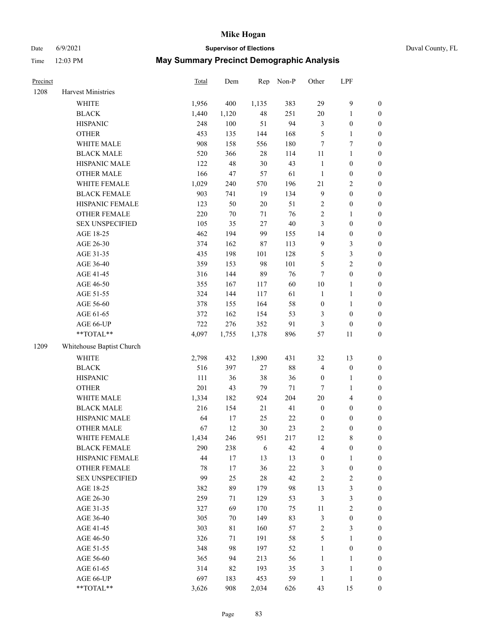# Date 6/9/2021 **Supervisor of Elections** Duval County, FL

| Precinct |                           | Total | Dem    | Rep    | Non-P  | Other            | LPF                     |                  |
|----------|---------------------------|-------|--------|--------|--------|------------------|-------------------------|------------------|
| 1208     | Harvest Ministries        |       |        |        |        |                  |                         |                  |
|          | <b>WHITE</b>              | 1,956 | 400    | 1,135  | 383    | 29               | 9                       | $\boldsymbol{0}$ |
|          | <b>BLACK</b>              | 1,440 | 1,120  | 48     | 251    | $20\,$           | $\mathbf{1}$            | $\boldsymbol{0}$ |
|          | <b>HISPANIC</b>           | 248   | 100    | 51     | 94     | 3                | $\boldsymbol{0}$        | $\boldsymbol{0}$ |
|          | <b>OTHER</b>              | 453   | 135    | 144    | 168    | 5                | $\mathbf{1}$            | $\boldsymbol{0}$ |
|          | WHITE MALE                | 908   | 158    | 556    | 180    | 7                | $\boldsymbol{7}$        | $\boldsymbol{0}$ |
|          | <b>BLACK MALE</b>         | 520   | 366    | $28\,$ | 114    | $11\,$           | $\mathbf{1}$            | $\boldsymbol{0}$ |
|          | HISPANIC MALE             | 122   | 48     | $30\,$ | 43     | $\mathbf{1}$     | $\boldsymbol{0}$        | $\boldsymbol{0}$ |
|          | <b>OTHER MALE</b>         | 166   | 47     | 57     | 61     | $\mathbf{1}$     | $\boldsymbol{0}$        | $\boldsymbol{0}$ |
|          | WHITE FEMALE              | 1,029 | 240    | 570    | 196    | 21               | $\sqrt{2}$              | $\boldsymbol{0}$ |
|          | <b>BLACK FEMALE</b>       | 903   | 741    | 19     | 134    | $\overline{9}$   | $\boldsymbol{0}$        | 0                |
|          | HISPANIC FEMALE           | 123   | 50     | $20\,$ | 51     | $\overline{c}$   | $\boldsymbol{0}$        | $\boldsymbol{0}$ |
|          | OTHER FEMALE              | 220   | $70\,$ | $71\,$ | 76     | $\sqrt{2}$       | $\mathbf{1}$            | $\boldsymbol{0}$ |
|          | <b>SEX UNSPECIFIED</b>    | 105   | 35     | 27     | $40\,$ | 3                | $\boldsymbol{0}$        | $\boldsymbol{0}$ |
|          | AGE 18-25                 | 462   | 194    | 99     | 155    | 14               | $\boldsymbol{0}$        | $\boldsymbol{0}$ |
|          | AGE 26-30                 | 374   | 162    | $87\,$ | 113    | 9                | $\mathfrak{Z}$          | $\boldsymbol{0}$ |
|          | AGE 31-35                 | 435   | 198    | 101    | 128    | 5                | $\mathfrak{Z}$          | $\boldsymbol{0}$ |
|          | AGE 36-40                 | 359   | 153    | 98     | 101    | 5                | $\sqrt{2}$              | $\boldsymbol{0}$ |
|          | AGE 41-45                 | 316   | 144    | 89     | 76     | 7                | $\boldsymbol{0}$        | $\boldsymbol{0}$ |
|          | AGE 46-50                 | 355   | 167    | 117    | 60     | $10\,$           | $\mathbf{1}$            | $\boldsymbol{0}$ |
|          | AGE 51-55                 | 324   | 144    | 117    | 61     | $\mathbf{1}$     | $\mathbf{1}$            | 0                |
|          | AGE 56-60                 | 378   | 155    | 164    | 58     | $\boldsymbol{0}$ | $\mathbf{1}$            | 0                |
|          | AGE 61-65                 | 372   | 162    | 154    | 53     | 3                | $\boldsymbol{0}$        | $\boldsymbol{0}$ |
|          | AGE 66-UP                 | 722   | 276    | 352    | 91     | 3                | $\boldsymbol{0}$        | $\boldsymbol{0}$ |
|          | **TOTAL**                 | 4,097 | 1,755  | 1,378  | 896    | 57               | 11                      | $\boldsymbol{0}$ |
| 1209     | Whitehouse Baptist Church |       |        |        |        |                  |                         |                  |
|          | <b>WHITE</b>              | 2,798 | 432    | 1,890  | 431    | 32               | 13                      | $\boldsymbol{0}$ |
|          | <b>BLACK</b>              | 516   | 397    | 27     | $88\,$ | 4                | $\boldsymbol{0}$        | $\boldsymbol{0}$ |
|          | <b>HISPANIC</b>           | 111   | 36     | 38     | 36     | $\boldsymbol{0}$ | $\mathbf{1}$            | $\boldsymbol{0}$ |
|          | <b>OTHER</b>              | 201   | 43     | 79     | $71\,$ | 7                | $\mathbf{1}$            | $\boldsymbol{0}$ |
|          | WHITE MALE                | 1,334 | 182    | 924    | 204    | $20\,$           | $\overline{\mathbf{4}}$ | $\boldsymbol{0}$ |
|          | <b>BLACK MALE</b>         | 216   | 154    | 21     | 41     | $\boldsymbol{0}$ | $\boldsymbol{0}$        | $\boldsymbol{0}$ |
|          | HISPANIC MALE             | 64    | 17     | 25     | $22\,$ | $\boldsymbol{0}$ | $\boldsymbol{0}$        | 0                |
|          | <b>OTHER MALE</b>         | 67    | 12     | 30     | 23     | 2                | $\boldsymbol{0}$        | $\boldsymbol{0}$ |
|          | WHITE FEMALE              | 1,434 | 246    | 951    | 217    | 12               | 8                       | $\boldsymbol{0}$ |
|          | <b>BLACK FEMALE</b>       | 290   | 238    | 6      | 42     | 4                | $\boldsymbol{0}$        | $\boldsymbol{0}$ |
|          | HISPANIC FEMALE           | 44    | 17     | 13     | 13     | $\boldsymbol{0}$ | $\mathbf{1}$            | $\overline{0}$   |
|          | <b>OTHER FEMALE</b>       | 78    | 17     | 36     | 22     | 3                | $\boldsymbol{0}$        | 0                |
|          | <b>SEX UNSPECIFIED</b>    | 99    | 25     | $28\,$ | 42     | $\sqrt{2}$       | $\sqrt{2}$              | 0                |
|          | AGE 18-25                 | 382   | 89     | 179    | 98     | 13               | $\mathfrak{Z}$          | 0                |
|          | AGE 26-30                 | 259   | 71     | 129    | 53     | $\mathfrak{Z}$   | $\mathfrak{Z}$          | 0                |
|          | AGE 31-35                 | 327   | 69     | 170    | 75     | $11\,$           | $\sqrt{2}$              | 0                |
|          | AGE 36-40                 | 305   | 70     | 149    | 83     | 3                | $\boldsymbol{0}$        | 0                |
|          | AGE 41-45                 | 303   | 81     | 160    | 57     | $\sqrt{2}$       | 3                       | 0                |
|          | AGE 46-50                 | 326   | 71     | 191    | 58     | 5                | $\mathbf{1}$            | 0                |
|          | AGE 51-55                 | 348   | 98     | 197    | 52     | $\mathbf{1}$     | $\boldsymbol{0}$        | $\boldsymbol{0}$ |
|          | AGE 56-60                 | 365   | 94     | 213    | 56     | $\mathbf{1}$     | $\mathbf{1}$            | $\boldsymbol{0}$ |
|          | AGE 61-65                 | 314   | 82     | 193    | 35     | 3                | $\mathbf{1}$            | 0                |
|          | AGE 66-UP                 | 697   | 183    | 453    | 59     | $\mathbf{1}$     | $\mathbf{1}$            | 0                |
|          | **TOTAL**                 | 3,626 | 908    | 2,034  | 626    | 43               | 15                      | $\boldsymbol{0}$ |
|          |                           |       |        |        |        |                  |                         |                  |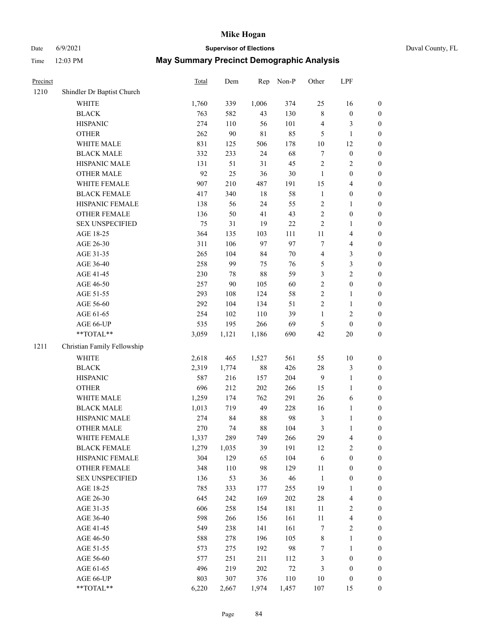# Date 6/9/2021 **Supervisor of Elections** Duval County, FL

| Precinct |                             | <b>Total</b> | Dem        | Rep         | Non-P         | Other                      | LPF                                  |                     |
|----------|-----------------------------|--------------|------------|-------------|---------------|----------------------------|--------------------------------------|---------------------|
| 1210     | Shindler Dr Baptist Church  |              |            |             |               |                            |                                      |                     |
|          | <b>WHITE</b>                | 1,760        | 339        | 1,006       | 374           | 25                         | 16                                   | 0                   |
|          | <b>BLACK</b>                | 763          | 582        | 43          | 130           | $\,$ 8 $\,$                | $\boldsymbol{0}$                     | $\boldsymbol{0}$    |
|          | <b>HISPANIC</b>             | 274          | 110        | 56          | 101           | 4                          | 3                                    | $\boldsymbol{0}$    |
|          | <b>OTHER</b>                | 262          | 90         | $8\sqrt{1}$ | 85            | 5                          | $\mathbf{1}$                         | $\boldsymbol{0}$    |
|          | WHITE MALE                  | 831          | 125        | 506         | 178           | 10                         | 12                                   | $\boldsymbol{0}$    |
|          | <b>BLACK MALE</b>           | 332          | 233        | 24          | 68            | $\boldsymbol{7}$           | $\boldsymbol{0}$                     | $\boldsymbol{0}$    |
|          | HISPANIC MALE               | 131          | 51         | 31          | 45            | $\overline{c}$             | $\sqrt{2}$                           | $\boldsymbol{0}$    |
|          | <b>OTHER MALE</b>           | 92           | 25         | 36          | $30\,$        | $\mathbf{1}$               | $\boldsymbol{0}$                     | $\boldsymbol{0}$    |
|          | WHITE FEMALE                | 907          | 210        | 487         | 191           | 15                         | $\overline{\mathbf{4}}$              | $\boldsymbol{0}$    |
|          | <b>BLACK FEMALE</b>         | 417          | 340        | 18          | 58            | $\mathbf{1}$               | $\boldsymbol{0}$                     | $\boldsymbol{0}$    |
|          | HISPANIC FEMALE             | 138          | 56         | 24          | 55            | $\overline{c}$             | $\mathbf{1}$                         | 0                   |
|          | OTHER FEMALE                | 136          | 50         | 41          | 43            | $\overline{c}$             | $\boldsymbol{0}$                     | $\boldsymbol{0}$    |
|          | <b>SEX UNSPECIFIED</b>      | 75           | 31         | 19          | $22\,$        | $\sqrt{2}$                 | $\mathbf{1}$                         | $\boldsymbol{0}$    |
|          | AGE 18-25                   | 364          | 135        | 103         | 111           | $11\,$                     | $\overline{\mathbf{4}}$              | $\boldsymbol{0}$    |
|          | AGE 26-30                   | 311          | 106        | 97          | 97            | 7                          | $\overline{\mathbf{4}}$              | $\boldsymbol{0}$    |
|          | AGE 31-35                   | 265          | 104        | 84          | 70            | $\overline{4}$             | $\mathfrak{Z}$                       | $\boldsymbol{0}$    |
|          | AGE 36-40                   | 258          | 99         | 75          | 76            | 5                          | $\mathfrak{Z}$                       | $\boldsymbol{0}$    |
|          | AGE 41-45                   | 230          | 78         | 88          | 59            | 3                          | $\overline{2}$                       | $\boldsymbol{0}$    |
|          | AGE 46-50                   | 257          | 90         | 105         | 60            | $\sqrt{2}$                 | $\boldsymbol{0}$                     | $\boldsymbol{0}$    |
|          | AGE 51-55                   | 293          | 108        | 124         | 58            | $\sqrt{2}$                 | $\mathbf{1}$                         | $\boldsymbol{0}$    |
|          | AGE 56-60                   | 292          | 104        | 134         | 51            | $\sqrt{2}$                 | $\mathbf{1}$                         | 0                   |
|          | AGE 61-65                   | 254          | 102        | 110         | 39            | $\mathbf{1}$               | $\sqrt{2}$                           | 0                   |
|          | AGE 66-UP                   | 535          | 195        | 266         | 69            | $\mathfrak{S}$             | $\boldsymbol{0}$                     | $\boldsymbol{0}$    |
|          | $**TOTAL**$                 | 3,059        | 1,121      | 1,186       | 690           | 42                         | $20\,$                               | $\boldsymbol{0}$    |
| 1211     | Christian Family Fellowship |              |            |             |               |                            |                                      |                     |
|          | WHITE                       | 2,618        | 465        | 1,527       | 561           | 55                         | $10\,$                               | $\boldsymbol{0}$    |
|          | <b>BLACK</b>                | 2,319        | 1,774      | $88\,$      | 426           | $28\,$                     | $\mathfrak{Z}$                       | $\boldsymbol{0}$    |
|          | <b>HISPANIC</b>             | 587          | 216        | 157         | 204           | $\overline{9}$             | $\mathbf{1}$                         | $\boldsymbol{0}$    |
|          | <b>OTHER</b>                | 696          | 212        | 202         | 266           | 15                         | $\mathbf{1}$                         | $\boldsymbol{0}$    |
|          | WHITE MALE                  | 1,259        | 174        | 762         | 291           | 26                         | $\sqrt{6}$                           | $\boldsymbol{0}$    |
|          | <b>BLACK MALE</b>           | 1,013        | 719        | 49          | 228           | 16                         | $\mathbf{1}$                         | $\boldsymbol{0}$    |
|          | HISPANIC MALE               | 274          | 84         | 88          | 98            | $\mathfrak z$              | 1                                    | 0                   |
|          | <b>OTHER MALE</b>           | 270          | 74         | $88\,$      | 104           | 3                          | $\mathbf{1}$                         | $\boldsymbol{0}$    |
|          | WHITE FEMALE                | 1,337        | 289        | 749         | 266           | 29                         | 4                                    | 0                   |
|          | <b>BLACK FEMALE</b>         | 1,279        | 1,035      | 39          | 191           | 12                         | $\sqrt{2}$                           | $\overline{0}$      |
|          | HISPANIC FEMALE             | 304          | 129        | 65          | 104           | 6                          | $\boldsymbol{0}$                     | $\overline{0}$      |
|          | OTHER FEMALE                | 348          | 110        | 98          | 129           | $11\,$                     | $\boldsymbol{0}$                     | $\overline{0}$      |
|          | <b>SEX UNSPECIFIED</b>      | 136          | 53         | 36          | 46            | $\mathbf{1}$               | $\boldsymbol{0}$                     | 0                   |
|          | AGE 18-25                   | 785          | 333        | 177         | 255           | 19                         | $\mathbf{1}$                         | 0                   |
|          | AGE 26-30                   | 645          | 242        | 169         | 202           | $28\,$                     | $\overline{\mathbf{4}}$              | 0                   |
|          | AGE 31-35                   | 606          | 258        | 154         | 181           | 11                         | $\sqrt{2}$                           | 0                   |
|          | AGE 36-40                   | 598          | 266        |             | 161           |                            | $\overline{\mathbf{4}}$              |                     |
|          |                             |              |            | 156<br>141  | 161           | $11\,$<br>$\boldsymbol{7}$ | $\sqrt{2}$                           | 0                   |
|          | AGE 41-45                   | 549          | 238        |             | 105           |                            |                                      | 0                   |
|          | AGE 46-50                   | 588          | 278        | 196         |               | $\,$ 8 $\,$                | $\mathbf{1}$                         | 0                   |
|          | AGE 51-55                   | 573<br>577   | 275<br>251 | 192         | 98            | $\boldsymbol{7}$           | $\mathbf{1}$                         | 0                   |
|          | AGE 56-60<br>AGE 61-65      | 496          | 219        | 211<br>202  | 112<br>$72\,$ | 3                          | $\boldsymbol{0}$<br>$\boldsymbol{0}$ | 0<br>$\overline{0}$ |
|          | AGE 66-UP                   | 803          | 307        | 376         | 110           | 3<br>10                    | $\boldsymbol{0}$                     | 0                   |
|          | **TOTAL**                   | 6,220        |            |             |               |                            |                                      | $\boldsymbol{0}$    |
|          |                             |              | 2,667      | 1,974       | 1,457         | 107                        | 15                                   |                     |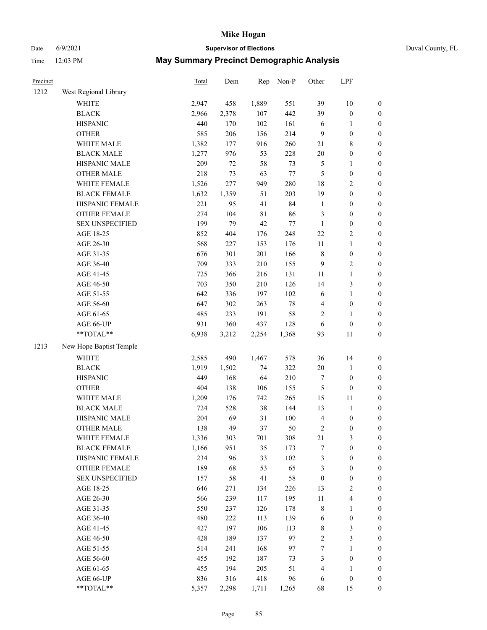# Date 6/9/2021 **Supervisor of Elections** Duval County, FL

| Precinct |                         | Total | Dem   | Rep   | Non-P  | Other            | LPF                     |                  |
|----------|-------------------------|-------|-------|-------|--------|------------------|-------------------------|------------------|
| 1212     | West Regional Library   |       |       |       |        |                  |                         |                  |
|          | <b>WHITE</b>            | 2,947 | 458   | 1,889 | 551    | 39               | $10\,$                  | $\boldsymbol{0}$ |
|          | <b>BLACK</b>            | 2,966 | 2,378 | 107   | 442    | 39               | $\boldsymbol{0}$        | $\boldsymbol{0}$ |
|          | <b>HISPANIC</b>         | 440   | 170   | 102   | 161    | 6                | $\mathbf{1}$            | $\boldsymbol{0}$ |
|          | <b>OTHER</b>            | 585   | 206   | 156   | 214    | $\overline{9}$   | $\boldsymbol{0}$        | $\boldsymbol{0}$ |
|          | WHITE MALE              | 1,382 | 177   | 916   | 260    | 21               | $8\,$                   | $\boldsymbol{0}$ |
|          | <b>BLACK MALE</b>       | 1,277 | 976   | 53    | 228    | $20\,$           | $\boldsymbol{0}$        | $\boldsymbol{0}$ |
|          | HISPANIC MALE           | 209   | 72    | 58    | 73     | 5                | $\mathbf{1}$            | $\boldsymbol{0}$ |
|          | <b>OTHER MALE</b>       | 218   | 73    | 63    | $77\,$ | $\mathfrak{S}$   | $\boldsymbol{0}$        | 0                |
|          | WHITE FEMALE            | 1,526 | 277   | 949   | 280    | 18               | $\sqrt{2}$              | 0                |
|          | <b>BLACK FEMALE</b>     | 1,632 | 1,359 | 51    | 203    | 19               | $\boldsymbol{0}$        | $\boldsymbol{0}$ |
|          | HISPANIC FEMALE         | 221   | 95    | 41    | 84     | $\mathbf{1}$     | $\boldsymbol{0}$        | $\boldsymbol{0}$ |
|          | OTHER FEMALE            | 274   | 104   | 81    | 86     | 3                | $\boldsymbol{0}$        | $\boldsymbol{0}$ |
|          | <b>SEX UNSPECIFIED</b>  | 199   | 79    | 42    | $77\,$ | $\mathbf{1}$     | $\boldsymbol{0}$        | $\boldsymbol{0}$ |
|          | AGE 18-25               | 852   | 404   | 176   | 248    | $22\,$           | $\sqrt{2}$              | $\boldsymbol{0}$ |
|          | AGE 26-30               | 568   | 227   | 153   | 176    | $11\,$           | $\mathbf{1}$            | $\boldsymbol{0}$ |
|          | AGE 31-35               | 676   | 301   | 201   | 166    | $\,$ 8 $\,$      | $\boldsymbol{0}$        | $\boldsymbol{0}$ |
|          | AGE 36-40               | 709   | 333   | 210   | 155    | 9                | $\sqrt{2}$              | $\boldsymbol{0}$ |
|          | AGE 41-45               | 725   | 366   | 216   | 131    | 11               | $\mathbf{1}$            | 0                |
|          | AGE 46-50               | 703   | 350   | 210   | 126    | 14               | $\mathfrak{Z}$          | 0                |
|          | AGE 51-55               | 642   | 336   | 197   | 102    | 6                | $\mathbf{1}$            | $\boldsymbol{0}$ |
|          | AGE 56-60               | 647   | 302   | 263   | $78\,$ | 4                | $\boldsymbol{0}$        | $\boldsymbol{0}$ |
|          | AGE 61-65               | 485   | 233   | 191   | 58     | 2                | $\mathbf{1}$            | $\boldsymbol{0}$ |
|          | AGE 66-UP               | 931   | 360   | 437   | 128    | 6                | $\boldsymbol{0}$        | $\boldsymbol{0}$ |
|          | **TOTAL**               | 6,938 | 3,212 | 2,254 | 1,368  | 93               | 11                      | $\boldsymbol{0}$ |
| 1213     | New Hope Baptist Temple |       |       |       |        |                  |                         |                  |
|          | <b>WHITE</b>            | 2,585 | 490   | 1,467 | 578    | 36               | 14                      | $\boldsymbol{0}$ |
|          | <b>BLACK</b>            | 1,919 | 1,502 | 74    | 322    | $20\,$           | $\mathbf{1}$            | $\boldsymbol{0}$ |
|          | <b>HISPANIC</b>         | 449   | 168   | 64    | 210    | 7                | $\boldsymbol{0}$        | $\boldsymbol{0}$ |
|          | <b>OTHER</b>            | 404   | 138   | 106   | 155    | 5                | $\boldsymbol{0}$        | $\boldsymbol{0}$ |
|          | WHITE MALE              | 1,209 | 176   | 742   | 265    | 15               | 11                      | 0                |
|          | <b>BLACK MALE</b>       | 724   | 528   | 38    | 144    | 13               | $\mathbf{1}$            | 0                |
|          | HISPANIC MALE           | 204   | 69    | 31    | 100    | 4                | $\boldsymbol{0}$        | 0                |
|          | OTHER MALE              | 138   | 49    | 37    | 50     | 2                | $\boldsymbol{0}$        | $\boldsymbol{0}$ |
|          | WHITE FEMALE            | 1,336 | 303   | 701   | 308    | 21               | $\mathfrak{Z}$          | $\boldsymbol{0}$ |
|          | <b>BLACK FEMALE</b>     | 1,166 | 951   | 35    | 173    | 7                | $\boldsymbol{0}$        | $\boldsymbol{0}$ |
|          | HISPANIC FEMALE         | 234   | 96    | 33    | 102    | 3                | $\boldsymbol{0}$        | $\overline{0}$   |
|          | <b>OTHER FEMALE</b>     | 189   | 68    | 53    | 65     | 3                | $\boldsymbol{0}$        | $\overline{0}$   |
|          | <b>SEX UNSPECIFIED</b>  | 157   | 58    | 41    | 58     | $\boldsymbol{0}$ | $\boldsymbol{0}$        | 0                |
|          | AGE 18-25               | 646   | 271   | 134   | 226    | 13               | $\sqrt{2}$              | 0                |
|          | AGE 26-30               | 566   | 239   | 117   | 195    | $11\,$           | $\overline{\mathbf{4}}$ | 0                |
|          | AGE 31-35               | 550   | 237   | 126   | 178    | 8                | $\mathbf{1}$            | 0                |
|          | AGE 36-40               | 480   | 222   | 113   | 139    | 6                | $\boldsymbol{0}$        | $\boldsymbol{0}$ |
|          | AGE 41-45               | 427   | 197   | 106   | 113    | 8                | 3                       | $\boldsymbol{0}$ |
|          | AGE 46-50               | 428   | 189   | 137   | 97     | 2                | $\mathfrak{Z}$          | $\boldsymbol{0}$ |
|          | AGE 51-55               | 514   | 241   | 168   | 97     | 7                | $\mathbf{1}$            | $\boldsymbol{0}$ |
|          | AGE 56-60               | 455   | 192   | 187   | 73     | 3                | $\boldsymbol{0}$        | $\boldsymbol{0}$ |
|          | AGE 61-65               | 455   | 194   | 205   | 51     | 4                | $\mathbf{1}$            | $\overline{0}$   |
|          | AGE 66-UP               | 836   | 316   | 418   | 96     | 6                | $\boldsymbol{0}$        | $\boldsymbol{0}$ |
|          | **TOTAL**               | 5,357 | 2,298 | 1,711 | 1,265  | 68               | 15                      | $\boldsymbol{0}$ |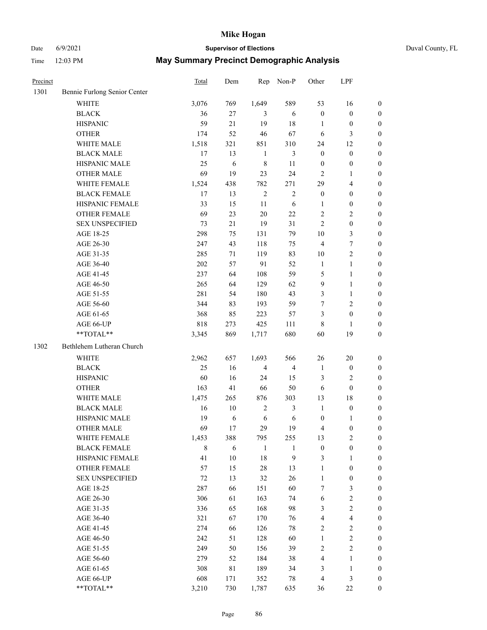# Date 6/9/2021 **Supervisor of Elections** Duval County, FL

| Precinct |                              | Total | Dem    | Rep            | Non-P            | Other            | LPF              |                  |
|----------|------------------------------|-------|--------|----------------|------------------|------------------|------------------|------------------|
| 1301     | Bennie Furlong Senior Center |       |        |                |                  |                  |                  |                  |
|          | <b>WHITE</b>                 | 3,076 | 769    | 1,649          | 589              | 53               | 16               | $\boldsymbol{0}$ |
|          | <b>BLACK</b>                 | 36    | $27\,$ | 3              | 6                | $\boldsymbol{0}$ | $\boldsymbol{0}$ | $\boldsymbol{0}$ |
|          | <b>HISPANIC</b>              | 59    | 21     | 19             | 18               | 1                | $\boldsymbol{0}$ | $\boldsymbol{0}$ |
|          | <b>OTHER</b>                 | 174   | 52     | 46             | 67               | 6                | $\mathfrak{Z}$   | $\boldsymbol{0}$ |
|          | WHITE MALE                   | 1,518 | 321    | 851            | 310              | 24               | 12               | $\boldsymbol{0}$ |
|          | <b>BLACK MALE</b>            | 17    | 13     | $\mathbf{1}$   | $\mathfrak{Z}$   | $\boldsymbol{0}$ | $\boldsymbol{0}$ | $\boldsymbol{0}$ |
|          | HISPANIC MALE                | 25    | 6      | 8              | 11               | $\boldsymbol{0}$ | $\boldsymbol{0}$ | $\boldsymbol{0}$ |
|          | <b>OTHER MALE</b>            | 69    | 19     | 23             | 24               | 2                | 1                | $\boldsymbol{0}$ |
|          | WHITE FEMALE                 | 1,524 | 438    | 782            | 271              | 29               | $\overline{4}$   | 0                |
|          | <b>BLACK FEMALE</b>          | 17    | 13     | $\sqrt{2}$     | $\sqrt{2}$       | $\boldsymbol{0}$ | $\boldsymbol{0}$ | 0                |
|          | HISPANIC FEMALE              | 33    | 15     | 11             | 6                | 1                | $\boldsymbol{0}$ | $\boldsymbol{0}$ |
|          | OTHER FEMALE                 | 69    | 23     | 20             | $22\,$           | $\overline{c}$   | $\mathbf{2}$     | $\boldsymbol{0}$ |
|          | <b>SEX UNSPECIFIED</b>       | 73    | 21     | 19             | 31               | $\overline{c}$   | $\boldsymbol{0}$ | $\boldsymbol{0}$ |
|          | AGE 18-25                    | 298   | 75     | 131            | 79               | 10               | $\mathfrak{Z}$   | $\boldsymbol{0}$ |
|          | AGE 26-30                    | 247   | 43     | 118            | 75               | 4                | $\boldsymbol{7}$ | $\boldsymbol{0}$ |
|          | AGE 31-35                    | 285   | 71     | 119            | 83               | 10               | $\sqrt{2}$       | $\overline{0}$   |
|          | AGE 36-40                    | 202   | 57     | 91             | 52               | $\mathbf{1}$     | $\mathbf{1}$     | $\boldsymbol{0}$ |
|          | AGE 41-45                    | 237   | 64     | 108            | 59               | 5                | $\mathbf{1}$     | $\boldsymbol{0}$ |
|          | AGE 46-50                    | 265   | 64     | 129            | 62               | 9                | $\mathbf{1}$     | 0                |
|          | AGE 51-55                    | 281   | 54     | 180            | 43               | 3                | $\mathbf{1}$     | 0                |
|          | AGE 56-60                    | 344   | 83     | 193            | 59               | 7                | $\sqrt{2}$       | 0                |
|          | AGE 61-65                    | 368   | 85     | 223            | 57               | 3                | $\boldsymbol{0}$ | $\boldsymbol{0}$ |
|          | AGE 66-UP                    | 818   | 273    | 425            | 111              | 8                | 1                | $\boldsymbol{0}$ |
|          | $**TOTAL**$                  | 3,345 | 869    | 1,717          | 680              | 60               | 19               | $\boldsymbol{0}$ |
| 1302     | Bethlehem Lutheran Church    |       |        |                |                  |                  |                  |                  |
|          | <b>WHITE</b>                 | 2,962 | 657    | 1,693          | 566              | 26               | 20               | $\boldsymbol{0}$ |
|          | <b>BLACK</b>                 | 25    | 16     | $\overline{4}$ | $\overline{4}$   | $\mathbf{1}$     | $\boldsymbol{0}$ | $\boldsymbol{0}$ |
|          | <b>HISPANIC</b>              | 60    | 16     | 24             | 15               | 3                | $\sqrt{2}$       | $\boldsymbol{0}$ |
|          | <b>OTHER</b>                 | 163   | 41     | 66             | 50               | 6                | $\boldsymbol{0}$ | $\boldsymbol{0}$ |
|          | WHITE MALE                   | 1,475 | 265    | 876            | 303              | 13               | 18               | $\boldsymbol{0}$ |
|          | <b>BLACK MALE</b>            | 16    | 10     | $\overline{c}$ | $\mathfrak{Z}$   | $\mathbf{1}$     | $\boldsymbol{0}$ | 0                |
|          | HISPANIC MALE                | 19    | 6      | $\sqrt{6}$     | 6                | $\boldsymbol{0}$ | 1                | 0                |
|          | <b>OTHER MALE</b>            | 69    | 17     | 29             | 19               | 4                | $\boldsymbol{0}$ | $\boldsymbol{0}$ |
|          | WHITE FEMALE                 | 1,453 | 388    | 795            | 255              | 13               | $\sqrt{2}$       | 0                |
|          | <b>BLACK FEMALE</b>          | 8     | 6      | $\mathbf{1}$   | 1                | $\boldsymbol{0}$ | $\boldsymbol{0}$ | $\overline{0}$   |
|          | HISPANIC FEMALE              | 41    | 10     | 18             | $\boldsymbol{9}$ | 3                | $\mathbf{1}$     | $\overline{0}$   |
|          | <b>OTHER FEMALE</b>          | 57    | 15     | 28             | 13               | $\mathbf{1}$     | $\boldsymbol{0}$ | 0                |
|          | <b>SEX UNSPECIFIED</b>       | 72    | 13     | 32             | 26               | $\mathbf{1}$     | $\boldsymbol{0}$ | 0                |
|          | AGE 18-25                    | 287   | 66     | 151            | 60               | 7                | 3                | 0                |
|          | AGE 26-30                    | 306   | 61     | 163            | 74               | 6                | $\sqrt{2}$       | 0                |
|          | AGE 31-35                    | 336   | 65     | 168            | 98               | 3                | $\sqrt{2}$       | 0                |
|          | AGE 36-40                    | 321   | 67     | 170            | 76               | 4                | $\overline{4}$   | 0                |
|          | AGE 41-45                    | 274   | 66     | 126            | 78               | 2                | $\sqrt{2}$       | 0                |
|          | AGE 46-50                    | 242   | 51     | 128            | 60               | $\mathbf{1}$     | $\sqrt{2}$       | $\overline{0}$   |
|          | AGE 51-55                    | 249   | 50     | 156            | 39               | 2                | $\sqrt{2}$       | $\boldsymbol{0}$ |
|          | AGE 56-60                    | 279   | 52     | 184            | 38               | 4                | $\mathbf{1}$     | $\overline{0}$   |
|          | AGE 61-65                    | 308   | 81     | 189            | 34               | 3                | $\mathbf{1}$     | 0                |
|          | AGE 66-UP                    | 608   | 171    | 352            | 78               | 4                | $\mathfrak{Z}$   | 0                |
|          | **TOTAL**                    | 3,210 | 730    | 1,787          | 635              | 36               | $22\,$           | $\boldsymbol{0}$ |
|          |                              |       |        |                |                  |                  |                  |                  |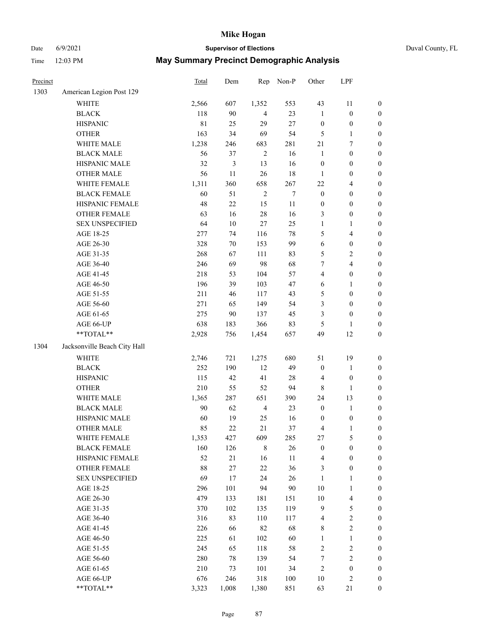# Date 6/9/2021 **Supervisor of Elections** Duval County, FL

| Precinct |                              | Total       | Dem    | Rep            | Non-P  | Other            | LPF                     |                  |
|----------|------------------------------|-------------|--------|----------------|--------|------------------|-------------------------|------------------|
| 1303     | American Legion Post 129     |             |        |                |        |                  |                         |                  |
|          | <b>WHITE</b>                 | 2,566       | 607    | 1,352          | 553    | 43               | 11                      | 0                |
|          | <b>BLACK</b>                 | 118         | 90     | $\overline{4}$ | 23     | $\mathbf{1}$     | $\boldsymbol{0}$        | 0                |
|          | <b>HISPANIC</b>              | $8\sqrt{1}$ | 25     | 29             | 27     | $\boldsymbol{0}$ | $\boldsymbol{0}$        | $\boldsymbol{0}$ |
|          | <b>OTHER</b>                 | 163         | 34     | 69             | 54     | 5                | $\mathbf{1}$            | $\boldsymbol{0}$ |
|          | WHITE MALE                   | 1,238       | 246    | 683            | 281    | 21               | 7                       | $\boldsymbol{0}$ |
|          | <b>BLACK MALE</b>            | 56          | 37     | $\sqrt{2}$     | 16     | $\mathbf{1}$     | $\boldsymbol{0}$        | $\boldsymbol{0}$ |
|          | HISPANIC MALE                | 32          | 3      | 13             | 16     | $\boldsymbol{0}$ | $\boldsymbol{0}$        | $\boldsymbol{0}$ |
|          | <b>OTHER MALE</b>            | 56          | 11     | 26             | $18\,$ | $\mathbf{1}$     | $\boldsymbol{0}$        | $\boldsymbol{0}$ |
|          | WHITE FEMALE                 | 1,311       | 360    | 658            | 267    | 22               | $\overline{\mathbf{4}}$ | $\boldsymbol{0}$ |
|          | <b>BLACK FEMALE</b>          | 60          | 51     | $\sqrt{2}$     | $\tau$ | $\boldsymbol{0}$ | $\boldsymbol{0}$        | $\boldsymbol{0}$ |
|          | HISPANIC FEMALE              | 48          | $22\,$ | 15             | $11\,$ | $\boldsymbol{0}$ | $\boldsymbol{0}$        | 0                |
|          | OTHER FEMALE                 | 63          | 16     | 28             | 16     | 3                | $\boldsymbol{0}$        | $\boldsymbol{0}$ |
|          | <b>SEX UNSPECIFIED</b>       | 64          | $10\,$ | $27\,$         | 25     | $\mathbf{1}$     | $\mathbf{1}$            | $\boldsymbol{0}$ |
|          | AGE 18-25                    | 277         | 74     | 116            | $78\,$ | 5                | $\overline{\mathbf{4}}$ | $\boldsymbol{0}$ |
|          | AGE 26-30                    | 328         | 70     | 153            | 99     | 6                | $\boldsymbol{0}$        | $\boldsymbol{0}$ |
|          | AGE 31-35                    | 268         | 67     | 111            | 83     | 5                | $\sqrt{2}$              | $\boldsymbol{0}$ |
|          | AGE 36-40                    | 246         | 69     | 98             | 68     | 7                | $\overline{\mathbf{4}}$ | $\boldsymbol{0}$ |
|          | AGE 41-45                    | 218         | 53     | 104            | 57     | $\overline{4}$   | $\boldsymbol{0}$        | $\boldsymbol{0}$ |
|          | AGE 46-50                    | 196         | 39     | 103            | 47     | $\sqrt{6}$       | $\mathbf{1}$            | $\boldsymbol{0}$ |
|          | AGE 51-55                    | 211         | 46     | 117            | 43     | 5                | $\boldsymbol{0}$        | $\boldsymbol{0}$ |
|          | AGE 56-60                    | 271         | 65     | 149            | 54     | 3                | $\boldsymbol{0}$        | 0                |
|          | AGE 61-65                    | 275         | 90     | 137            | 45     | 3                | $\boldsymbol{0}$        | 0                |
|          | AGE 66-UP                    | 638         | 183    | 366            | 83     | 5                | $\mathbf{1}$            | $\boldsymbol{0}$ |
|          | **TOTAL**                    | 2,928       | 756    | 1,454          | 657    | 49               | 12                      | $\boldsymbol{0}$ |
| 1304     | Jacksonville Beach City Hall |             |        |                |        |                  |                         |                  |
|          | <b>WHITE</b>                 | 2,746       | 721    | 1,275          | 680    | 51               | 19                      | $\boldsymbol{0}$ |
|          | <b>BLACK</b>                 | 252         | 190    | 12             | 49     | $\boldsymbol{0}$ | $\mathbf{1}$            | $\boldsymbol{0}$ |
|          | <b>HISPANIC</b>              | 115         | 42     | 41             | 28     | 4                | $\boldsymbol{0}$        | $\boldsymbol{0}$ |
|          | <b>OTHER</b>                 | 210         | 55     | 52             | 94     | $\,$ 8 $\,$      | $\mathbf{1}$            | $\boldsymbol{0}$ |
|          | WHITE MALE                   | 1,365       | 287    | 651            | 390    | 24               | 13                      | $\boldsymbol{0}$ |
|          | <b>BLACK MALE</b>            | $90\,$      | 62     | $\overline{4}$ | 23     | $\boldsymbol{0}$ | $\mathbf{1}$            | $\boldsymbol{0}$ |
|          | HISPANIC MALE                | 60          | 19     | 25             | 16     | $\boldsymbol{0}$ | $\boldsymbol{0}$        | 0                |
|          | <b>OTHER MALE</b>            | 85          | 22     | 21             | 37     | 4                | $\mathbf{1}$            | $\boldsymbol{0}$ |
|          | WHITE FEMALE                 | 1,353       | 427    | 609            | 285    | 27               | 5                       | 0                |
|          | <b>BLACK FEMALE</b>          | 160         | 126    | $\,$ 8 $\,$    | 26     | $\boldsymbol{0}$ | $\boldsymbol{0}$        | $\boldsymbol{0}$ |
|          | HISPANIC FEMALE              | 52          | 21     | 16             | $11\,$ | 4                | $\boldsymbol{0}$        | $\overline{0}$   |
|          | OTHER FEMALE                 | 88          | 27     | $22\,$         | 36     | 3                | $\boldsymbol{0}$        | $\overline{0}$   |
|          | <b>SEX UNSPECIFIED</b>       | 69          | 17     | 24             | 26     | $\mathbf{1}$     | $\mathbf{1}$            | 0                |
|          | AGE 18-25                    | 296         | 101    | 94             | $90\,$ | 10               | $\mathbf{1}$            | 0                |
|          | AGE 26-30                    | 479         | 133    | 181            | 151    | $10\,$           | $\overline{\mathbf{4}}$ | 0                |
|          | AGE 31-35                    | 370         | 102    | 135            | 119    | 9                | $\mathfrak s$           | 0                |
|          | AGE 36-40                    | 316         | 83     | 110            | 117    | 4                | $\sqrt{2}$              | 0                |
|          | AGE 41-45                    | 226         | 66     | 82             | 68     | 8                | $\sqrt{2}$              | 0                |
|          | AGE 46-50                    | 225         | 61     | 102            | 60     | $\mathbf{1}$     | $\mathbf{1}$            | 0                |
|          | AGE 51-55                    | 245         | 65     | 118            | 58     | $\sqrt{2}$       | $\sqrt{2}$              | 0                |
|          | AGE 56-60                    | 280         | 78     | 139            | 54     | 7                | $\sqrt{2}$              | 0                |
|          | AGE 61-65                    | 210         | 73     | 101            | 34     | $\overline{c}$   | $\boldsymbol{0}$        | $\overline{0}$   |
|          | AGE 66-UP                    | 676         | 246    | 318            | 100    | 10               | $\mathbf{2}$            | 0                |
|          | **TOTAL**                    | 3,323       | 1,008  | 1,380          | 851    | 63               | 21                      | $\boldsymbol{0}$ |
|          |                              |             |        |                |        |                  |                         |                  |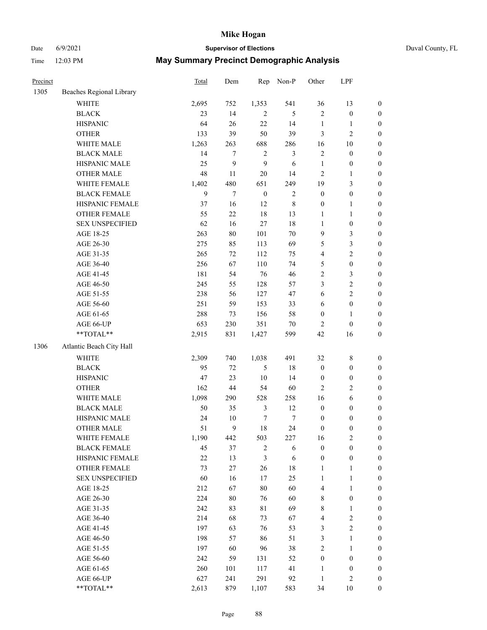# Date 6/9/2021 **Supervisor of Elections** Duval County, FL

| Precinct |                          | Total  | Dem            | Rep              | Non-P          | Other            | LPF              |                  |
|----------|--------------------------|--------|----------------|------------------|----------------|------------------|------------------|------------------|
| 1305     | Beaches Regional Library |        |                |                  |                |                  |                  |                  |
|          | <b>WHITE</b>             | 2,695  | 752            | 1,353            | 541            | 36               | 13               | 0                |
|          | <b>BLACK</b>             | 23     | 14             | $\overline{2}$   | 5              | $\mathbf{2}$     | $\boldsymbol{0}$ | $\boldsymbol{0}$ |
|          | <b>HISPANIC</b>          | 64     | 26             | 22               | 14             | $\mathbf{1}$     | $\mathbf{1}$     | $\boldsymbol{0}$ |
|          | <b>OTHER</b>             | 133    | 39             | 50               | 39             | 3                | $\mathbf{2}$     | $\boldsymbol{0}$ |
|          | WHITE MALE               | 1,263  | 263            | 688              | 286            | 16               | $10\,$           | $\boldsymbol{0}$ |
|          | <b>BLACK MALE</b>        | 14     | $\overline{7}$ | $\sqrt{2}$       | $\mathfrak{Z}$ | $\sqrt{2}$       | $\boldsymbol{0}$ | $\boldsymbol{0}$ |
|          | HISPANIC MALE            | 25     | 9              | 9                | 6              | $\mathbf{1}$     | $\boldsymbol{0}$ | $\boldsymbol{0}$ |
|          | <b>OTHER MALE</b>        | 48     | 11             | 20               | 14             | $\mathbf{2}$     | $\mathbf{1}$     | $\boldsymbol{0}$ |
|          | WHITE FEMALE             | 1,402  | 480            | 651              | 249            | 19               | $\mathfrak{Z}$   | $\boldsymbol{0}$ |
|          | <b>BLACK FEMALE</b>      | 9      | $\tau$         | $\boldsymbol{0}$ | $\sqrt{2}$     | $\boldsymbol{0}$ | $\boldsymbol{0}$ | 0                |
|          | HISPANIC FEMALE          | 37     | 16             | 12               | $\,$ 8 $\,$    | $\boldsymbol{0}$ | $\mathbf{1}$     | 0                |
|          | OTHER FEMALE             | 55     | 22             | 18               | 13             | $\mathbf{1}$     | $\mathbf{1}$     | $\boldsymbol{0}$ |
|          | <b>SEX UNSPECIFIED</b>   | 62     | 16             | $27\,$           | $18\,$         | $\mathbf{1}$     | $\boldsymbol{0}$ | $\boldsymbol{0}$ |
|          | AGE 18-25                | 263    | $80\,$         | 101              | $70\,$         | 9                | $\mathfrak{Z}$   | $\boldsymbol{0}$ |
|          | AGE 26-30                | 275    | 85             | 113              | 69             | 5                | $\mathfrak{Z}$   | $\boldsymbol{0}$ |
|          | AGE 31-35                | 265    | 72             | 112              | 75             | 4                | $\sqrt{2}$       | $\boldsymbol{0}$ |
|          | AGE 36-40                | 256    | 67             | 110              | 74             | 5                | $\boldsymbol{0}$ | $\boldsymbol{0}$ |
|          | AGE 41-45                | 181    | 54             | 76               | 46             | 2                | $\mathfrak{Z}$   | $\boldsymbol{0}$ |
|          | AGE 46-50                | 245    | 55             | 128              | 57             | 3                | $\sqrt{2}$       | $\boldsymbol{0}$ |
|          | AGE 51-55                | 238    | 56             | 127              | 47             | 6                | $\sqrt{2}$       | $\boldsymbol{0}$ |
|          | AGE 56-60                | 251    | 59             | 153              | 33             | 6                | $\boldsymbol{0}$ | 0                |
|          | AGE 61-65                | 288    | 73             | 156              | 58             | $\boldsymbol{0}$ | $\mathbf{1}$     | 0                |
|          | AGE 66-UP                | 653    | 230            | 351              | $70\,$         | $\overline{c}$   | $\boldsymbol{0}$ | $\boldsymbol{0}$ |
|          | **TOTAL**                | 2,915  | 831            | 1,427            | 599            | 42               | 16               | $\boldsymbol{0}$ |
| 1306     | Atlantic Beach City Hall |        |                |                  |                |                  |                  |                  |
|          | <b>WHITE</b>             | 2,309  | 740            | 1,038            | 491            | 32               | $\,$ 8 $\,$      | $\boldsymbol{0}$ |
|          | <b>BLACK</b>             | 95     | $72\,$         | $\mathfrak s$    | $18\,$         | $\boldsymbol{0}$ | $\boldsymbol{0}$ | $\boldsymbol{0}$ |
|          | <b>HISPANIC</b>          | 47     | 23             | 10               | 14             | $\boldsymbol{0}$ | $\boldsymbol{0}$ | $\boldsymbol{0}$ |
|          | <b>OTHER</b>             | 162    | $44\,$         | 54               | 60             | $\mathbf{2}$     | $\sqrt{2}$       | $\boldsymbol{0}$ |
|          | WHITE MALE               | 1,098  | 290            | 528              | 258            | 16               | $\sqrt{6}$       | $\boldsymbol{0}$ |
|          | <b>BLACK MALE</b>        | 50     | 35             | $\mathfrak{Z}$   | 12             | $\boldsymbol{0}$ | $\boldsymbol{0}$ | $\boldsymbol{0}$ |
|          | HISPANIC MALE            | 24     | $10\,$         | 7                | $\tau$         | $\boldsymbol{0}$ | $\boldsymbol{0}$ | $\boldsymbol{0}$ |
|          | <b>OTHER MALE</b>        | 51     | 9              | 18               | 24             | $\boldsymbol{0}$ | $\boldsymbol{0}$ | $\boldsymbol{0}$ |
|          | WHITE FEMALE             | 1,190  | 442            | 503              | 227            | 16               | 2                | 0                |
|          | <b>BLACK FEMALE</b>      | 45     | 37             | $\overline{c}$   | 6              | $\boldsymbol{0}$ | $\boldsymbol{0}$ | $\boldsymbol{0}$ |
|          | HISPANIC FEMALE          | $22\,$ | 13             | 3                | $\sqrt{6}$     | $\boldsymbol{0}$ | $\boldsymbol{0}$ | $\overline{0}$   |
|          | OTHER FEMALE             | 73     | 27             | 26               | $18\,$         | $\mathbf{1}$     | $\mathbf{1}$     | $\overline{0}$   |
|          | <b>SEX UNSPECIFIED</b>   | 60     | 16             | 17               | 25             | $\mathbf{1}$     | $\mathbf{1}$     | 0                |
|          | AGE 18-25                | 212    | 67             | 80               | 60             | 4                | $\mathbf{1}$     | 0                |
|          | AGE 26-30                | 224    | $80\,$         | 76               | 60             | 8                | $\boldsymbol{0}$ | 0                |
|          | AGE 31-35                | 242    | 83             | 81               | 69             | 8                | $\mathbf{1}$     | 0                |
|          | AGE 36-40                | 214    | 68             | 73               | 67             | 4                | $\sqrt{2}$       | 0                |
|          | AGE 41-45                | 197    | 63             | 76               | 53             | 3                | $\overline{2}$   | 0                |
|          | AGE 46-50                | 198    | 57             | 86               | 51             | 3                | $\mathbf{1}$     | 0                |
|          | AGE 51-55                | 197    | 60             | 96               | 38             | 2                | $\mathbf{1}$     | 0                |
|          | AGE 56-60                | 242    | 59             | 131              | 52             | $\boldsymbol{0}$ | $\boldsymbol{0}$ | 0                |
|          | AGE 61-65                | 260    | 101            | 117              | 41             | 1                | $\boldsymbol{0}$ | $\overline{0}$   |
|          | AGE 66-UP                | 627    | 241            | 291              | 92             | $\mathbf{1}$     | $\mathbf{2}$     | 0                |
|          | **TOTAL**                | 2,613  | 879            | 1,107            | 583            | 34               | 10               | $\boldsymbol{0}$ |
|          |                          |        |                |                  |                |                  |                  |                  |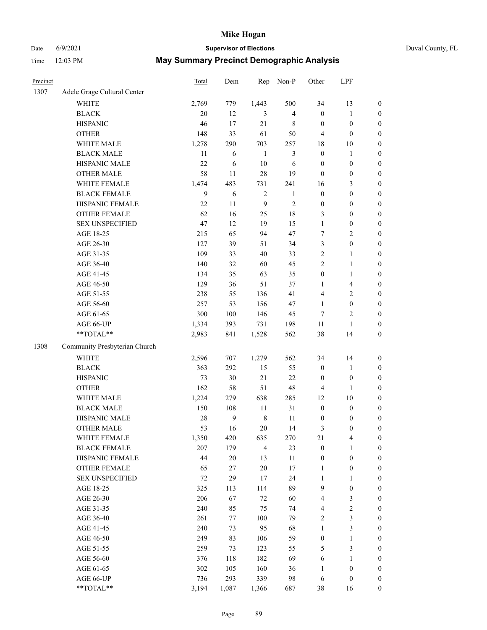# Date 6/9/2021 **Supervisor of Elections** Duval County, FL

| Precinct |                               | Total        | Dem    | Rep            | Non-P          | Other            | LPF                     |                  |
|----------|-------------------------------|--------------|--------|----------------|----------------|------------------|-------------------------|------------------|
| 1307     | Adele Grage Cultural Center   |              |        |                |                |                  |                         |                  |
|          | <b>WHITE</b>                  | 2,769        | 779    | 1,443          | 500            | 34               | 13                      | 0                |
|          | <b>BLACK</b>                  | 20           | 12     | 3              | $\overline{4}$ | $\boldsymbol{0}$ | $\mathbf{1}$            | $\boldsymbol{0}$ |
|          | <b>HISPANIC</b>               | 46           | 17     | 21             | 8              | $\boldsymbol{0}$ | $\boldsymbol{0}$        | $\boldsymbol{0}$ |
|          | <b>OTHER</b>                  | 148          | 33     | 61             | 50             | $\overline{4}$   | $\boldsymbol{0}$        | $\boldsymbol{0}$ |
|          | WHITE MALE                    | 1,278        | 290    | 703            | 257            | 18               | 10                      | $\boldsymbol{0}$ |
|          | <b>BLACK MALE</b>             | 11           | 6      | $\mathbf{1}$   | 3              | $\boldsymbol{0}$ | $\mathbf{1}$            | $\boldsymbol{0}$ |
|          | HISPANIC MALE                 | 22           | 6      | 10             | 6              | $\boldsymbol{0}$ | $\boldsymbol{0}$        | $\boldsymbol{0}$ |
|          | <b>OTHER MALE</b>             | 58           | 11     | 28             | 19             | $\boldsymbol{0}$ | $\boldsymbol{0}$        | $\boldsymbol{0}$ |
|          | WHITE FEMALE                  | 1,474        | 483    | 731            | 241            | 16               | $\mathfrak{Z}$          | $\boldsymbol{0}$ |
|          | <b>BLACK FEMALE</b>           | $\mathbf{9}$ | 6      | $\sqrt{2}$     | $\mathbf{1}$   | $\boldsymbol{0}$ | $\boldsymbol{0}$        | $\boldsymbol{0}$ |
|          | HISPANIC FEMALE               | 22           | 11     | 9              | $\sqrt{2}$     | $\boldsymbol{0}$ | $\boldsymbol{0}$        | 0                |
|          | <b>OTHER FEMALE</b>           | 62           | 16     | 25             | $18\,$         | 3                | $\boldsymbol{0}$        | $\boldsymbol{0}$ |
|          | <b>SEX UNSPECIFIED</b>        | 47           | 12     | 19             | 15             | $\mathbf{1}$     | $\boldsymbol{0}$        | $\boldsymbol{0}$ |
|          | AGE 18-25                     | 215          | 65     | 94             | 47             | 7                | $\sqrt{2}$              | $\boldsymbol{0}$ |
|          | AGE 26-30                     | 127          | 39     | 51             | 34             | 3                | $\boldsymbol{0}$        | $\boldsymbol{0}$ |
|          | AGE 31-35                     | 109          | 33     | 40             | 33             | $\sqrt{2}$       | $\mathbf{1}$            | $\boldsymbol{0}$ |
|          | AGE 36-40                     | 140          | 32     | 60             | 45             | $\mathfrak{2}$   | $\mathbf{1}$            | $\boldsymbol{0}$ |
|          | AGE 41-45                     | 134          | 35     | 63             | 35             | $\boldsymbol{0}$ | $\mathbf{1}$            | $\boldsymbol{0}$ |
|          | AGE 46-50                     | 129          | 36     | 51             | 37             | 1                | $\overline{\mathbf{4}}$ | $\boldsymbol{0}$ |
|          | AGE 51-55                     | 238          | 55     | 136            | 41             | 4                | $\sqrt{2}$              | $\boldsymbol{0}$ |
|          | AGE 56-60                     | 257          | 53     | 156            | 47             | $\mathbf{1}$     | $\boldsymbol{0}$        | 0                |
|          | AGE 61-65                     | 300          | 100    | 146            | 45             | $\tau$           | $\mathbf{2}$            | 0                |
|          | AGE 66-UP                     | 1,334        | 393    | 731            | 198            | $11\,$           | $\mathbf{1}$            | $\boldsymbol{0}$ |
|          | $**TOTAL**$                   | 2,983        | 841    | 1,528          | 562            | 38               | 14                      | $\boldsymbol{0}$ |
| 1308     | Community Presbyterian Church |              |        |                |                |                  |                         |                  |
|          | WHITE                         | 2,596        | 707    | 1,279          | 562            | 34               | 14                      | $\boldsymbol{0}$ |
|          | <b>BLACK</b>                  | 363          | 292    | 15             | 55             | $\boldsymbol{0}$ | $\mathbf{1}$            | $\boldsymbol{0}$ |
|          | <b>HISPANIC</b>               | 73           | 30     | 21             | 22             | $\boldsymbol{0}$ | $\boldsymbol{0}$        | $\boldsymbol{0}$ |
|          | <b>OTHER</b>                  | 162          | 58     | 51             | 48             | 4                | $\mathbf{1}$            | $\boldsymbol{0}$ |
|          | WHITE MALE                    | 1,224        | 279    | 638            | 285            | 12               | $10\,$                  | $\boldsymbol{0}$ |
|          | <b>BLACK MALE</b>             | 150          | 108    | 11             | 31             | $\boldsymbol{0}$ | $\boldsymbol{0}$        | $\boldsymbol{0}$ |
|          | HISPANIC MALE                 | 28           | 9      | $\,8\,$        | 11             | $\boldsymbol{0}$ | $\boldsymbol{0}$        | $\boldsymbol{0}$ |
|          | <b>OTHER MALE</b>             | 53           | 16     | $20\,$         | 14             | 3                | $\boldsymbol{0}$        | $\boldsymbol{0}$ |
|          | WHITE FEMALE                  | 1,350        | 420    | 635            | 270            | 21               | 4                       | 0                |
|          | <b>BLACK FEMALE</b>           | 207          | 179    | $\overline{4}$ | 23             | $\boldsymbol{0}$ | $\mathbf{1}$            | $\boldsymbol{0}$ |
|          | HISPANIC FEMALE               | 44           | $20\,$ | 13             | 11             | $\boldsymbol{0}$ | $\boldsymbol{0}$        | $\overline{0}$   |
|          | <b>OTHER FEMALE</b>           | 65           | 27     | $20\,$         | 17             | $\mathbf{1}$     | $\boldsymbol{0}$        | $\overline{0}$   |
|          | <b>SEX UNSPECIFIED</b>        | 72           | 29     | 17             | 24             | $\mathbf{1}$     | $\mathbf{1}$            | 0                |
|          | AGE 18-25                     | 325          | 113    | 114            | 89             | 9                | $\boldsymbol{0}$        | $\theta$         |
|          | AGE 26-30                     | 206          | 67     | $72\,$         | 60             | 4                | $\mathfrak{Z}$          | 0                |
|          | AGE 31-35                     | 240          | 85     | 75             | 74             | 4                | $\sqrt{2}$              | 0                |
|          | AGE 36-40                     | 261          | 77     | 100            | 79             | $\overline{c}$   | $\mathfrak{Z}$          | 0                |
|          | AGE 41-45                     | 240          | 73     | 95             | 68             | $\mathbf{1}$     | $\mathfrak{Z}$          | 0                |
|          | AGE 46-50                     | 249          | 83     | 106            | 59             | $\boldsymbol{0}$ | $\mathbf{1}$            | 0                |
|          | AGE 51-55                     | 259          | 73     | 123            | 55             | 5                | $\mathfrak{Z}$          | 0                |
|          | AGE 56-60                     | 376          | 118    | 182            | 69             | 6                | 1                       | $\overline{0}$   |
|          | AGE 61-65                     | 302          | 105    | 160            | 36             | 1                | $\boldsymbol{0}$        | $\overline{0}$   |
|          | AGE 66-UP                     | 736          | 293    | 339            | 98             | 6                | $\boldsymbol{0}$        | 0                |
|          | **TOTAL**                     | 3,194        | 1,087  | 1,366          | 687            | 38               | 16                      | $\boldsymbol{0}$ |
|          |                               |              |        |                |                |                  |                         |                  |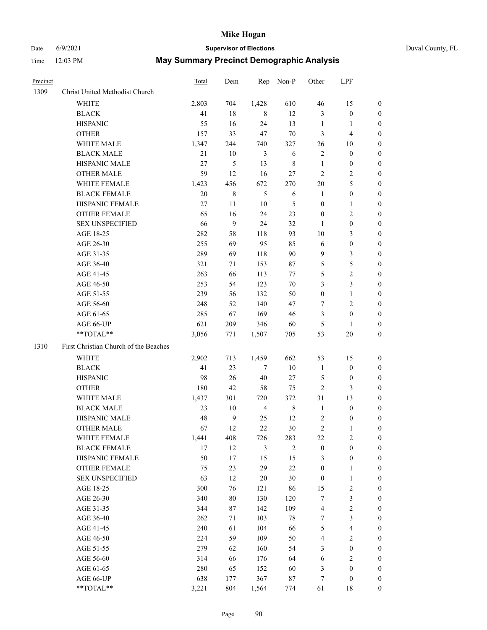# Date 6/9/2021 **Supervisor of Elections** Duval County, FL

| Precinct |                                       | Total | Dem              | Rep            | Non-P        | Other            | LPF              |                  |
|----------|---------------------------------------|-------|------------------|----------------|--------------|------------------|------------------|------------------|
| 1309     | Christ United Methodist Church        |       |                  |                |              |                  |                  |                  |
|          | <b>WHITE</b>                          | 2,803 | 704              | 1,428          | 610          | 46               | 15               | 0                |
|          | <b>BLACK</b>                          | 41    | 18               | 8              | 12           | 3                | $\boldsymbol{0}$ | 0                |
|          | <b>HISPANIC</b>                       | 55    | 16               | 24             | 13           | $\mathbf{1}$     | $\mathbf{1}$     | 0                |
|          | <b>OTHER</b>                          | 157   | 33               | 47             | 70           | 3                | $\overline{4}$   | $\boldsymbol{0}$ |
|          | WHITE MALE                            | 1,347 | 244              | 740            | 327          | 26               | 10               | $\boldsymbol{0}$ |
|          | <b>BLACK MALE</b>                     | 21    | 10               | 3              | 6            | 2                | $\boldsymbol{0}$ | $\boldsymbol{0}$ |
|          | HISPANIC MALE                         | 27    | $\mathfrak s$    | 13             | $\,$ 8 $\,$  | $\mathbf{1}$     | $\boldsymbol{0}$ | $\boldsymbol{0}$ |
|          | <b>OTHER MALE</b>                     | 59    | 12               | 16             | 27           | 2                | $\mathbf{2}$     | $\boldsymbol{0}$ |
|          | WHITE FEMALE                          | 1,423 | 456              | 672            | 270          | 20               | 5                | 0                |
|          | <b>BLACK FEMALE</b>                   | 20    | $\,$ 8 $\,$      | 5              | 6            | $\mathbf{1}$     | $\boldsymbol{0}$ | 0                |
|          | HISPANIC FEMALE                       | 27    | 11               | 10             | 5            | $\boldsymbol{0}$ | $\mathbf{1}$     | 0                |
|          | OTHER FEMALE                          | 65    | 16               | 24             | 23           | $\boldsymbol{0}$ | $\sqrt{2}$       | 0                |
|          | <b>SEX UNSPECIFIED</b>                | 66    | 9                | 24             | 32           | $\mathbf{1}$     | $\boldsymbol{0}$ | $\boldsymbol{0}$ |
|          | AGE 18-25                             | 282   | 58               | 118            | 93           | 10               | $\mathfrak{Z}$   | $\boldsymbol{0}$ |
|          | AGE 26-30                             | 255   | 69               | 95             | 85           | 6                | $\boldsymbol{0}$ | $\boldsymbol{0}$ |
|          | AGE 31-35                             | 289   | 69               | 118            | 90           | 9                | $\mathfrak{Z}$   | $\boldsymbol{0}$ |
|          | AGE 36-40                             | 321   | 71               | 153            | 87           | 5                | 5                | $\boldsymbol{0}$ |
|          | AGE 41-45                             | 263   | 66               | 113            | 77           | 5                | $\overline{c}$   | $\overline{0}$   |
|          | AGE 46-50                             | 253   | 54               | 123            | $70\,$       | 3                | 3                | 0                |
|          | AGE 51-55                             | 239   | 56               | 132            | 50           | $\boldsymbol{0}$ | $\mathbf{1}$     | 0                |
|          | AGE 56-60                             | 248   | 52               | 140            | 47           | 7                | $\sqrt{2}$       | 0                |
|          | AGE 61-65                             | 285   | 67               | 169            | 46           | 3                | $\boldsymbol{0}$ | 0                |
|          | AGE 66-UP                             | 621   | 209              | 346            | 60           | 5                | 1                | 0                |
|          | $**TOTAL**$                           | 3,056 | 771              | 1,507          | 705          | 53               | 20               | $\boldsymbol{0}$ |
| 1310     | First Christian Church of the Beaches |       |                  |                |              |                  |                  |                  |
|          | <b>WHITE</b>                          | 2,902 | 713              | 1,459          | 662          | 53               | 15               | $\boldsymbol{0}$ |
|          | <b>BLACK</b>                          | 41    | 23               | 7              | 10           | $\mathbf{1}$     | $\boldsymbol{0}$ | $\boldsymbol{0}$ |
|          | <b>HISPANIC</b>                       | 98    | 26               | 40             | $27\,$       | 5                | $\boldsymbol{0}$ | 0                |
|          | <b>OTHER</b>                          | 180   | 42               | 58             | 75           | $\overline{c}$   | 3                | $\boldsymbol{0}$ |
|          | WHITE MALE                            | 1,437 | 301              | 720            | 372          | 31               | 13               | $\overline{0}$   |
|          | <b>BLACK MALE</b>                     | 23    | 10               | $\overline{4}$ | $\,$ 8 $\,$  | $\mathbf{1}$     | $\boldsymbol{0}$ | 0                |
|          | HISPANIC MALE                         | 48    | $\boldsymbol{9}$ | 25             | 12           | 2                | $\boldsymbol{0}$ | 0                |
|          | <b>OTHER MALE</b>                     | 67    | 12               | 22             | 30           | 2                | 1                | 0                |
|          | WHITE FEMALE                          | 1,441 | 408              | 726            | 283          | 22               | $\overline{c}$   | 0                |
|          | <b>BLACK FEMALE</b>                   | 17    | 12               | 3              | $\mathbf{2}$ | $\boldsymbol{0}$ | $\boldsymbol{0}$ | $\overline{0}$   |
|          | HISPANIC FEMALE                       | 50    | 17               | 15             | 15           | 3                | $\boldsymbol{0}$ | $\overline{0}$   |
|          | OTHER FEMALE                          | 75    | 23               | 29             | $22\,$       | $\boldsymbol{0}$ | $\mathbf{1}$     | $\overline{0}$   |
|          | <b>SEX UNSPECIFIED</b>                | 63    | 12               | 20             | 30           | $\boldsymbol{0}$ | $\mathbf{1}$     | 0                |
|          | AGE 18-25                             | 300   | 76               | 121            | 86           | 15               | $\sqrt{2}$       | 0                |
|          | AGE 26-30                             | 340   | 80               | 130            | 120          | 7                | 3                | 0                |
|          | AGE 31-35                             | 344   | 87               | 142            | 109          | 4                | $\sqrt{2}$       | 0                |
|          | AGE 36-40                             | 262   | 71               | 103            | 78           | 7                | $\mathfrak{Z}$   | 0                |
|          | AGE 41-45                             | 240   | 61               | 104            | 66           | 5                | $\overline{4}$   | 0                |
|          | AGE 46-50                             | 224   | 59               | 109            | 50           | 4                | $\sqrt{2}$       | 0                |
|          | AGE 51-55                             | 279   | 62               | 160            | 54           | 3                | $\boldsymbol{0}$ | $\overline{0}$   |
|          | AGE 56-60                             | 314   | 66               | 176            | 64           | 6                | $\sqrt{2}$       | $\overline{0}$   |
|          | AGE 61-65                             | 280   | 65               | 152            | 60           | 3                | $\boldsymbol{0}$ | $\overline{0}$   |
|          | AGE 66-UP                             | 638   | 177              | 367            | $87\,$       | 7                | $\boldsymbol{0}$ | 0                |
|          | **TOTAL**                             | 3,221 | 804              | 1,564          | 774          | 61               | 18               | $\boldsymbol{0}$ |
|          |                                       |       |                  |                |              |                  |                  |                  |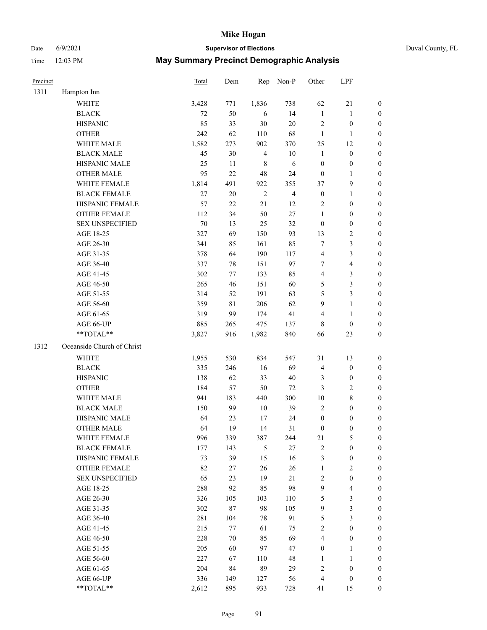Date 6/9/2021 **Supervisor of Elections** Duval County, FL

| Precinct |                            | Total  | Dem    | Rep            | Non-P          | Other                   | LPF                     |                  |
|----------|----------------------------|--------|--------|----------------|----------------|-------------------------|-------------------------|------------------|
| 1311     | Hampton Inn                |        |        |                |                |                         |                         |                  |
|          | <b>WHITE</b>               | 3,428  | 771    | 1,836          | 738            | 62                      | 21                      | $\boldsymbol{0}$ |
|          | <b>BLACK</b>               | 72     | 50     | 6              | 14             | $\mathbf{1}$            | $\mathbf{1}$            | $\boldsymbol{0}$ |
|          | <b>HISPANIC</b>            | 85     | 33     | 30             | $20\,$         | $\overline{c}$          | $\boldsymbol{0}$        | $\boldsymbol{0}$ |
|          | <b>OTHER</b>               | 242    | 62     | 110            | 68             | $\mathbf{1}$            | $\mathbf{1}$            | $\boldsymbol{0}$ |
|          | WHITE MALE                 | 1,582  | 273    | 902            | 370            | 25                      | 12                      | $\boldsymbol{0}$ |
|          | <b>BLACK MALE</b>          | 45     | 30     | $\overline{4}$ | $10\,$         | $\mathbf{1}$            | $\boldsymbol{0}$        | $\boldsymbol{0}$ |
|          | HISPANIC MALE              | 25     | 11     | $\,$ 8 $\,$    | 6              | $\boldsymbol{0}$        | $\boldsymbol{0}$        | $\boldsymbol{0}$ |
|          | <b>OTHER MALE</b>          | 95     | 22     | 48             | 24             | $\boldsymbol{0}$        | $\mathbf{1}$            | $\boldsymbol{0}$ |
|          | WHITE FEMALE               | 1,814  | 491    | 922            | 355            | 37                      | $\mathbf{9}$            | $\boldsymbol{0}$ |
|          | <b>BLACK FEMALE</b>        | 27     | $20\,$ | $\overline{2}$ | $\overline{4}$ | $\boldsymbol{0}$        | $\mathbf{1}$            | 0                |
|          | HISPANIC FEMALE            | 57     | 22     | 21             | 12             | $\overline{2}$          | $\boldsymbol{0}$        | $\boldsymbol{0}$ |
|          | OTHER FEMALE               | 112    | 34     | 50             | 27             | $\mathbf{1}$            | $\boldsymbol{0}$        | $\boldsymbol{0}$ |
|          | <b>SEX UNSPECIFIED</b>     | $70\,$ | 13     | 25             | 32             | $\boldsymbol{0}$        | $\boldsymbol{0}$        | $\boldsymbol{0}$ |
|          | AGE 18-25                  | 327    | 69     | 150            | 93             | 13                      | $\sqrt{2}$              | $\boldsymbol{0}$ |
|          | AGE 26-30                  | 341    | 85     | 161            | 85             | 7                       | $\mathfrak{Z}$          | $\boldsymbol{0}$ |
|          | AGE 31-35                  | 378    | 64     | 190            | 117            | 4                       | $\mathfrak{Z}$          | $\boldsymbol{0}$ |
|          | AGE 36-40                  | 337    | $78\,$ | 151            | 97             | 7                       | $\overline{\mathbf{4}}$ | $\boldsymbol{0}$ |
|          | AGE 41-45                  | 302    | 77     | 133            | 85             | $\overline{\mathbf{4}}$ | $\mathfrak{Z}$          | $\boldsymbol{0}$ |
|          | AGE 46-50                  | 265    | 46     | 151            | 60             | 5                       | $\mathfrak{Z}$          | $\boldsymbol{0}$ |
|          | AGE 51-55                  | 314    | 52     | 191            | 63             | 5                       | $\mathfrak{Z}$          | 0                |
|          | AGE 56-60                  | 359    | 81     | 206            | 62             | 9                       | $\mathbf{1}$            | $\boldsymbol{0}$ |
|          | AGE 61-65                  | 319    | 99     | 174            | 41             | 4                       | $\mathbf{1}$            | $\boldsymbol{0}$ |
|          | AGE 66-UP                  | 885    | 265    | 475            | 137            | 8                       | $\boldsymbol{0}$        | $\boldsymbol{0}$ |
|          | **TOTAL**                  | 3,827  | 916    | 1,982          | 840            | 66                      | 23                      | $\boldsymbol{0}$ |
| 1312     | Oceanside Church of Christ |        |        |                |                |                         |                         |                  |
|          | <b>WHITE</b>               | 1,955  | 530    | 834            | 547            | 31                      | 13                      | $\boldsymbol{0}$ |
|          | <b>BLACK</b>               | 335    | 246    | 16             | 69             | 4                       | $\boldsymbol{0}$        | $\boldsymbol{0}$ |
|          | <b>HISPANIC</b>            | 138    | 62     | 33             | 40             | 3                       | $\boldsymbol{0}$        | $\boldsymbol{0}$ |
|          | <b>OTHER</b>               | 184    | 57     | 50             | $72\,$         | 3                       | $\sqrt{2}$              | $\boldsymbol{0}$ |
|          | WHITE MALE                 | 941    | 183    | 440            | 300            | $10\,$                  | $\,8\,$                 | $\boldsymbol{0}$ |
|          | <b>BLACK MALE</b>          | 150    | 99     | 10             | 39             | $\mathfrak{2}$          | $\boldsymbol{0}$        | $\boldsymbol{0}$ |
|          | HISPANIC MALE              | 64     | 23     | 17             | 24             | $\boldsymbol{0}$        | $\boldsymbol{0}$        | 0                |
|          | <b>OTHER MALE</b>          | 64     | 19     | 14             | 31             | $\boldsymbol{0}$        | $\boldsymbol{0}$        | $\boldsymbol{0}$ |
|          | WHITE FEMALE               | 996    | 339    | 387            | 244            | 21                      | 5                       | $\overline{0}$   |
|          | <b>BLACK FEMALE</b>        | 177    | 143    | $\mathfrak s$  | 27             | $\sqrt{2}$              | $\boldsymbol{0}$        | $\overline{0}$   |
|          | HISPANIC FEMALE            | 73     | 39     | 15             | 16             | 3                       | $\boldsymbol{0}$        | $\overline{0}$   |
|          | <b>OTHER FEMALE</b>        | 82     | 27     | 26             | 26             | $\mathbf{1}$            | $\mathbf{2}$            | 0                |
|          | <b>SEX UNSPECIFIED</b>     | 65     | 23     | 19             | 21             | $\sqrt{2}$              | $\boldsymbol{0}$        | 0                |
|          | AGE 18-25                  | 288    | 92     | 85             | 98             | $\mathbf{9}$            | $\overline{\mathbf{4}}$ | 0                |
|          | AGE 26-30                  | 326    | 105    | 103            | 110            | 5                       | $\mathfrak{Z}$          | 0                |
|          | AGE 31-35                  | 302    | $87\,$ | 98             | 105            | $\mathbf{9}$            | $\mathfrak{Z}$          | 0                |
|          | AGE 36-40                  | 281    | 104    | 78             | 91             | 5                       | $\mathfrak{Z}$          | 0                |
|          | AGE 41-45                  | 215    | 77     | 61             | 75             | $\sqrt{2}$              | $\boldsymbol{0}$        | 0                |
|          | AGE 46-50                  | 228    | 70     | 85             | 69             | 4                       | $\boldsymbol{0}$        | 0                |
|          | AGE 51-55                  | 205    | 60     | 97             | 47             | $\boldsymbol{0}$        | $\mathbf{1}$            | $\boldsymbol{0}$ |
|          | AGE 56-60                  | 227    | 67     | 110            | 48             | 1                       | $\mathbf{1}$            | $\boldsymbol{0}$ |
|          | AGE 61-65                  | 204    | 84     | 89             | 29             | 2                       | $\boldsymbol{0}$        | 0                |
|          | AGE 66-UP                  | 336    | 149    | 127            | 56             | 4                       | $\boldsymbol{0}$        | 0                |
|          | **TOTAL**                  | 2,612  | 895    | 933            | 728            | 41                      | 15                      | $\overline{0}$   |
|          |                            |        |        |                |                |                         |                         |                  |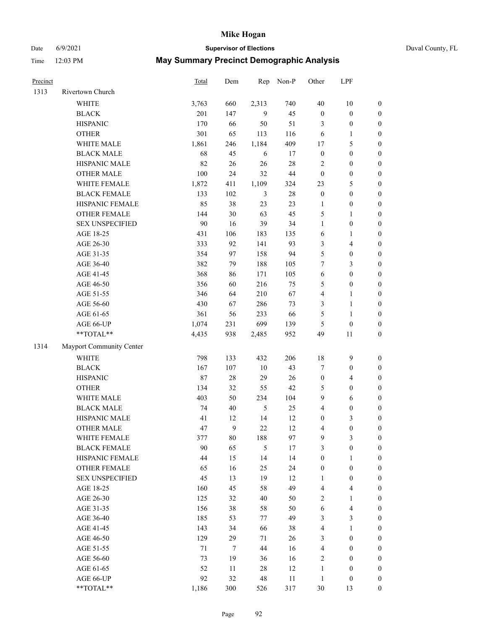# Date 6/9/2021 **Supervisor of Elections** Duval County, FL

| Precinct |                          | <b>Total</b> | Dem    | Rep        | Non-P  | Other                   | LPF                     |                  |
|----------|--------------------------|--------------|--------|------------|--------|-------------------------|-------------------------|------------------|
| 1313     | Rivertown Church         |              |        |            |        |                         |                         |                  |
|          | <b>WHITE</b>             | 3,763        | 660    | 2,313      | 740    | 40                      | $10\,$                  | 0                |
|          | <b>BLACK</b>             | 201          | 147    | 9          | 45     | $\boldsymbol{0}$        | $\boldsymbol{0}$        | $\boldsymbol{0}$ |
|          | <b>HISPANIC</b>          | 170          | 66     | 50         | 51     | 3                       | $\boldsymbol{0}$        | $\boldsymbol{0}$ |
|          | <b>OTHER</b>             | 301          | 65     | 113        | 116    | 6                       | 1                       | $\boldsymbol{0}$ |
|          | WHITE MALE               | 1,861        | 246    | 1,184      | 409    | 17                      | $\mathfrak{S}$          | $\boldsymbol{0}$ |
|          | <b>BLACK MALE</b>        | 68           | 45     | 6          | 17     | $\boldsymbol{0}$        | $\boldsymbol{0}$        | $\boldsymbol{0}$ |
|          | HISPANIC MALE            | 82           | 26     | 26         | $28\,$ | 2                       | $\boldsymbol{0}$        | $\boldsymbol{0}$ |
|          | <b>OTHER MALE</b>        | 100          | 24     | 32         | $44\,$ | $\boldsymbol{0}$        | $\boldsymbol{0}$        | $\boldsymbol{0}$ |
|          | WHITE FEMALE             | 1,872        | 411    | 1,109      | 324    | 23                      | $\mathfrak{S}$          | $\boldsymbol{0}$ |
|          | <b>BLACK FEMALE</b>      | 133          | 102    | 3          | $28\,$ | $\boldsymbol{0}$        | $\boldsymbol{0}$        | $\boldsymbol{0}$ |
|          | HISPANIC FEMALE          | 85           | 38     | 23         | 23     | $\mathbf{1}$            | $\boldsymbol{0}$        | 0                |
|          | <b>OTHER FEMALE</b>      | 144          | 30     | 63         | 45     | 5                       | $\mathbf{1}$            | $\boldsymbol{0}$ |
|          | <b>SEX UNSPECIFIED</b>   | 90           | 16     | 39         | 34     | $\mathbf{1}$            | $\boldsymbol{0}$        | $\boldsymbol{0}$ |
|          | AGE 18-25                | 431          | 106    | 183        | 135    | 6                       | 1                       | $\boldsymbol{0}$ |
|          | AGE 26-30                | 333          | 92     | 141        | 93     | 3                       | $\overline{4}$          | $\boldsymbol{0}$ |
|          | AGE 31-35                | 354          | 97     | 158        | 94     | 5                       | $\boldsymbol{0}$        | $\boldsymbol{0}$ |
|          | AGE 36-40                | 382          | 79     | 188        | 105    | $\tau$                  | $\mathfrak{Z}$          | $\boldsymbol{0}$ |
|          | AGE 41-45                | 368          | 86     | 171        | 105    | $\sqrt{6}$              | $\boldsymbol{0}$        | $\boldsymbol{0}$ |
|          | AGE 46-50                | 356          | 60     | 216        | 75     | 5                       | $\boldsymbol{0}$        | $\boldsymbol{0}$ |
|          | AGE 51-55                | 346          | 64     | 210        | 67     | $\overline{4}$          | $\mathbf{1}$            | $\boldsymbol{0}$ |
|          | AGE 56-60                | 430          | 67     | 286        | 73     | 3                       | $\mathbf{1}$            | 0                |
|          | AGE 61-65                | 361          | 56     | 233        | 66     | 5                       | $\mathbf{1}$            | 0                |
|          | AGE 66-UP                | 1,074        | 231    | 699        | 139    | 5                       | $\boldsymbol{0}$        | $\boldsymbol{0}$ |
|          | **TOTAL**                | 4,435        | 938    | 2,485      | 952    | 49                      | 11                      | $\boldsymbol{0}$ |
| 1314     | Mayport Community Center |              |        |            |        |                         |                         |                  |
|          | <b>WHITE</b>             | 798          | 133    | 432        | 206    | 18                      | $\mathbf{9}$            | $\boldsymbol{0}$ |
|          | <b>BLACK</b>             | 167          | 107    | 10         | 43     | 7                       | $\boldsymbol{0}$        | $\boldsymbol{0}$ |
|          | <b>HISPANIC</b>          | 87           | $28\,$ | 29         | 26     | $\boldsymbol{0}$        | $\overline{4}$          | $\boldsymbol{0}$ |
|          | <b>OTHER</b>             | 134          | 32     | 55         | $42\,$ | 5                       | $\boldsymbol{0}$        | $\boldsymbol{0}$ |
|          | WHITE MALE               | 403          | 50     | 234        | 104    | 9                       | 6                       | $\boldsymbol{0}$ |
|          | <b>BLACK MALE</b>        | 74           | 40     | $\sqrt{5}$ | 25     | $\overline{4}$          | $\boldsymbol{0}$        | $\boldsymbol{0}$ |
|          | HISPANIC MALE            | 41           | 12     | 14         | 12     | $\boldsymbol{0}$        | $\mathfrak{Z}$          | $\boldsymbol{0}$ |
|          | <b>OTHER MALE</b>        | 47           | 9      | 22         | 12     | 4                       | $\boldsymbol{0}$        | $\boldsymbol{0}$ |
|          | WHITE FEMALE             | 377          | 80     | 188        | 97     | 9                       | 3                       | 0                |
|          | <b>BLACK FEMALE</b>      | 90           | 65     | 5          | 17     | 3                       | $\boldsymbol{0}$        | $\boldsymbol{0}$ |
|          | HISPANIC FEMALE          | 44           | 15     | 14         | 14     | $\boldsymbol{0}$        | 1                       | $\overline{0}$   |
|          | OTHER FEMALE             | 65           | 16     | 25         | 24     | $\boldsymbol{0}$        | $\boldsymbol{0}$        | $\overline{0}$   |
|          | <b>SEX UNSPECIFIED</b>   | 45           | 13     | 19         | 12     | $\mathbf{1}$            | $\boldsymbol{0}$        | 0                |
|          | AGE 18-25                | 160          | 45     | 58         | 49     | 4                       | $\overline{\mathbf{4}}$ | 0                |
|          | AGE 26-30                | 125          | 32     | 40         | 50     | 2                       | $\mathbf{1}$            | 0                |
|          | AGE 31-35                | 156          | 38     | 58         | 50     | 6                       | $\overline{\mathbf{4}}$ | 0                |
|          | AGE 36-40                | 185          | 53     | 77         | 49     | 3                       | $\mathfrak{Z}$          | 0                |
|          | AGE 41-45                | 143          | 34     | 66         | 38     | $\overline{\mathbf{4}}$ | $\mathbf{1}$            | 0                |
|          | AGE 46-50                | 129          | 29     | 71         | 26     | 3                       | $\boldsymbol{0}$        | 0                |
|          | AGE 51-55                | 71           | $\tau$ | 44         | 16     | $\overline{\mathbf{4}}$ | $\boldsymbol{0}$        | 0                |
|          | AGE 56-60                | 73           | 19     | 36         | 16     | 2                       | $\boldsymbol{0}$        | 0                |
|          | AGE 61-65                | 52           | 11     | 28         | 12     | $\mathbf{1}$            | $\boldsymbol{0}$        | 0                |
|          | AGE 66-UP                | 92           | 32     | 48         | 11     | $\mathbf{1}$            | $\boldsymbol{0}$        | 0                |
|          | **TOTAL**                | 1,186        | 300    | 526        | 317    | 30                      | 13                      | $\boldsymbol{0}$ |
|          |                          |              |        |            |        |                         |                         |                  |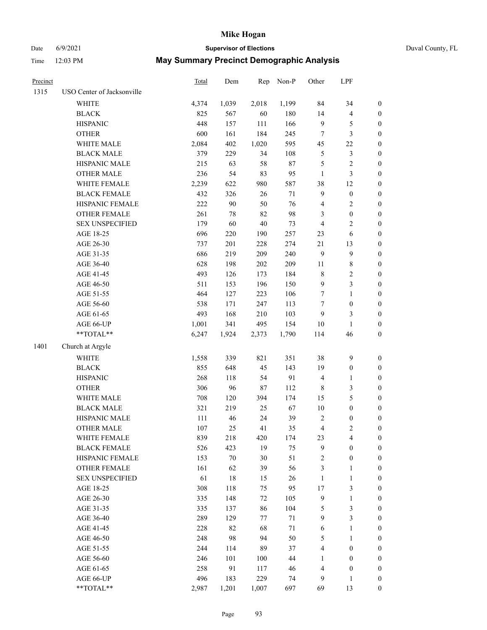Date 6/9/2021 **Supervisor of Elections** Duval County, FL

| Precinct |                            | Total | Dem    | Rep    | Non-P  | Other          | LPF                     |                  |
|----------|----------------------------|-------|--------|--------|--------|----------------|-------------------------|------------------|
| 1315     | USO Center of Jacksonville |       |        |        |        |                |                         |                  |
|          | WHITE                      | 4,374 | 1,039  | 2,018  | 1,199  | 84             | 34                      | $\boldsymbol{0}$ |
|          | <b>BLACK</b>               | 825   | 567    | 60     | 180    | 14             | $\overline{\mathbf{4}}$ | $\boldsymbol{0}$ |
|          | <b>HISPANIC</b>            | 448   | 157    | 111    | 166    | 9              | $\mathfrak{S}$          | $\boldsymbol{0}$ |
|          | <b>OTHER</b>               | 600   | 161    | 184    | 245    | 7              | 3                       | $\boldsymbol{0}$ |
|          | WHITE MALE                 | 2,084 | 402    | 1,020  | 595    | 45             | $22\,$                  | $\boldsymbol{0}$ |
|          | <b>BLACK MALE</b>          | 379   | 229    | 34     | 108    | 5              | $\mathfrak{Z}$          | $\boldsymbol{0}$ |
|          | HISPANIC MALE              | 215   | 63     | 58     | $87\,$ | 5              | $\overline{2}$          | $\boldsymbol{0}$ |
|          | <b>OTHER MALE</b>          | 236   | 54     | 83     | 95     | $\mathbf{1}$   | $\mathfrak{Z}$          | $\boldsymbol{0}$ |
|          | WHITE FEMALE               | 2,239 | 622    | 980    | 587    | 38             | 12                      | 0                |
|          | <b>BLACK FEMALE</b>        | 432   | 326    | 26     | $71\,$ | $\overline{9}$ | $\boldsymbol{0}$        | 0                |
|          | HISPANIC FEMALE            | 222   | 90     | 50     | 76     | 4              | $\sqrt{2}$              | $\boldsymbol{0}$ |
|          | OTHER FEMALE               | 261   | 78     | 82     | 98     | 3              | $\boldsymbol{0}$        | $\boldsymbol{0}$ |
|          | <b>SEX UNSPECIFIED</b>     | 179   | 60     | $40\,$ | 73     | 4              | $\sqrt{2}$              | $\boldsymbol{0}$ |
|          | AGE 18-25                  | 696   | 220    | 190    | 257    | 23             | 6                       | $\boldsymbol{0}$ |
|          | AGE 26-30                  | 737   | 201    | 228    | 274    | 21             | 13                      | $\boldsymbol{0}$ |
|          | AGE 31-35                  | 686   | 219    | 209    | 240    | $\mathbf{9}$   | $\mathbf{9}$            | $\boldsymbol{0}$ |
|          | AGE 36-40                  | 628   | 198    | 202    | 209    | 11             | $\,$ 8 $\,$             | $\boldsymbol{0}$ |
|          | AGE 41-45                  | 493   | 126    | 173    | 184    | $\,$ 8 $\,$    | $\sqrt{2}$              | $\boldsymbol{0}$ |
|          | AGE 46-50                  | 511   | 153    | 196    | 150    | $\overline{9}$ | $\mathfrak{Z}$          | $\boldsymbol{0}$ |
|          | AGE 51-55                  | 464   | 127    | 223    | 106    | $\tau$         | $\mathbf{1}$            | 0                |
|          | AGE 56-60                  | 538   | 171    | 247    | 113    | 7              | $\boldsymbol{0}$        | $\boldsymbol{0}$ |
|          | AGE 61-65                  | 493   | 168    | 210    | 103    | 9              | 3                       | $\boldsymbol{0}$ |
|          | AGE 66-UP                  | 1,001 | 341    | 495    | 154    | 10             | $\mathbf{1}$            | $\boldsymbol{0}$ |
|          | $**TOTAL**$                | 6,247 | 1,924  | 2,373  | 1,790  | 114            | 46                      | $\boldsymbol{0}$ |
| 1401     | Church at Argyle           |       |        |        |        |                |                         |                  |
|          | <b>WHITE</b>               | 1,558 | 339    | 821    | 351    | 38             | $\mathbf{9}$            | $\boldsymbol{0}$ |
|          | <b>BLACK</b>               | 855   | 648    | 45     | 143    | 19             | $\boldsymbol{0}$        | $\boldsymbol{0}$ |
|          | <b>HISPANIC</b>            | 268   | 118    | 54     | 91     | $\overline{4}$ | $\mathbf{1}$            | $\boldsymbol{0}$ |
|          | <b>OTHER</b>               | 306   | 96     | $87\,$ | 112    | $\,$ 8 $\,$    | $\mathfrak{Z}$          | $\boldsymbol{0}$ |
|          | WHITE MALE                 | 708   | 120    | 394    | 174    | 15             | $\mathfrak s$           | $\boldsymbol{0}$ |
|          | <b>BLACK MALE</b>          | 321   | 219    | 25     | 67     | $10\,$         | $\boldsymbol{0}$        | $\boldsymbol{0}$ |
|          | HISPANIC MALE              | 111   | 46     | 24     | 39     | $\overline{2}$ | $\boldsymbol{0}$        | 0                |
|          | <b>OTHER MALE</b>          | 107   | 25     | 41     | 35     | 4              | $\mathfrak{2}$          | $\boldsymbol{0}$ |
|          | WHITE FEMALE               | 839   | 218    | 420    | 174    | 23             | $\overline{\mathbf{4}}$ | $\boldsymbol{0}$ |
|          | <b>BLACK FEMALE</b>        | 526   | 423    | 19     | 75     | 9              | $\boldsymbol{0}$        | $\overline{0}$   |
|          | HISPANIC FEMALE            | 153   | $70\,$ | $30\,$ | 51     | 2              | $\boldsymbol{0}$        | $\overline{0}$   |
|          | <b>OTHER FEMALE</b>        | 161   | 62     | 39     | 56     | 3              | $\mathbf{1}$            | 0                |
|          | <b>SEX UNSPECIFIED</b>     | 61    | 18     | 15     | 26     | $\mathbf{1}$   | $\mathbf{1}$            | 0                |
|          | AGE 18-25                  | 308   | 118    | 75     | 95     | $17$           | $\mathfrak{Z}$          | 0                |
|          | AGE 26-30                  | 335   | 148    | 72     | 105    | $\mathbf{9}$   | $\mathbf{1}$            | 0                |
|          | AGE 31-35                  | 335   | 137    | 86     | 104    | 5              | $\mathfrak{Z}$          | 0                |
|          | AGE 36-40                  | 289   | 129    | 77     | 71     | $\overline{9}$ | $\mathfrak{Z}$          | 0                |
|          | AGE 41-45                  | 228   | 82     | 68     | $71\,$ | 6              | $\mathbf{1}$            | 0                |
|          | AGE 46-50                  | 248   | 98     | 94     | 50     | 5              | $\mathbf{1}$            | 0                |
|          | AGE 51-55                  | 244   | 114    | 89     | 37     | 4              | $\boldsymbol{0}$        | $\boldsymbol{0}$ |
|          | AGE 56-60                  | 246   | 101    | 100    | 44     | $\mathbf{1}$   | $\boldsymbol{0}$        | $\overline{0}$   |
|          | AGE 61-65                  | 258   | 91     | 117    | 46     | 4              | $\boldsymbol{0}$        | 0                |
|          | AGE 66-UP                  | 496   | 183    | 229    | 74     | 9              | $\mathbf{1}$            | $\boldsymbol{0}$ |
|          | **TOTAL**                  | 2,987 | 1,201  | 1,007  | 697    | 69             | 13                      | $\boldsymbol{0}$ |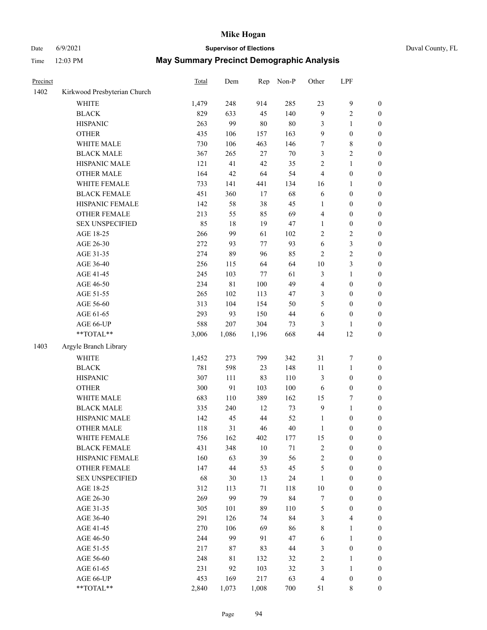# Date 6/9/2021 **Supervisor of Elections** Duval County, FL

| Precinct |                              | Total | Dem   | Rep     | Non-P | Other                   | LPF              |                  |
|----------|------------------------------|-------|-------|---------|-------|-------------------------|------------------|------------------|
| 1402     | Kirkwood Presbyterian Church |       |       |         |       |                         |                  |                  |
|          | <b>WHITE</b>                 | 1,479 | 248   | 914     | 285   | 23                      | $\boldsymbol{9}$ | $\boldsymbol{0}$ |
|          | <b>BLACK</b>                 | 829   | 633   | 45      | 140   | 9                       | $\sqrt{2}$       | $\boldsymbol{0}$ |
|          | <b>HISPANIC</b>              | 263   | 99    | 80      | 80    | 3                       | 1                | $\boldsymbol{0}$ |
|          | <b>OTHER</b>                 | 435   | 106   | 157     | 163   | 9                       | $\boldsymbol{0}$ | $\boldsymbol{0}$ |
|          | WHITE MALE                   | 730   | 106   | 463     | 146   | 7                       | $\,$ 8 $\,$      | $\boldsymbol{0}$ |
|          | <b>BLACK MALE</b>            | 367   | 265   | 27      | 70    | 3                       | $\sqrt{2}$       | $\boldsymbol{0}$ |
|          | HISPANIC MALE                | 121   | 41    | 42      | 35    | $\overline{c}$          | $\mathbf{1}$     | $\boldsymbol{0}$ |
|          | <b>OTHER MALE</b>            | 164   | 42    | 64      | 54    | 4                       | $\boldsymbol{0}$ | $\boldsymbol{0}$ |
|          | WHITE FEMALE                 | 733   | 141   | 441     | 134   | 16                      | 1                | 0                |
|          | <b>BLACK FEMALE</b>          | 451   | 360   | 17      | 68    | 6                       | $\boldsymbol{0}$ | 0                |
|          | HISPANIC FEMALE              | 142   | 58    | 38      | 45    | $\mathbf{1}$            | $\boldsymbol{0}$ | $\boldsymbol{0}$ |
|          | OTHER FEMALE                 | 213   | 55    | 85      | 69    | 4                       | $\boldsymbol{0}$ | $\boldsymbol{0}$ |
|          | <b>SEX UNSPECIFIED</b>       | 85    | 18    | 19      | 47    | 1                       | $\boldsymbol{0}$ | $\boldsymbol{0}$ |
|          | AGE 18-25                    | 266   | 99    | 61      | 102   | 2                       | $\sqrt{2}$       | $\boldsymbol{0}$ |
|          | AGE 26-30                    | 272   | 93    | 77      | 93    | 6                       | 3                | $\boldsymbol{0}$ |
|          | AGE 31-35                    | 274   | 89    | 96      | 85    | $\overline{c}$          | $\sqrt{2}$       | $\boldsymbol{0}$ |
|          | AGE 36-40                    | 256   | 115   | 64      | 64    | $10\,$                  | 3                | $\boldsymbol{0}$ |
|          | AGE 41-45                    | 245   | 103   | 77      | 61    | 3                       | $\mathbf{1}$     | $\boldsymbol{0}$ |
|          | AGE 46-50                    | 234   | 81    | $100\,$ | 49    | 4                       | $\boldsymbol{0}$ | $\boldsymbol{0}$ |
|          | AGE 51-55                    | 265   | 102   | 113     | 47    | 3                       | $\boldsymbol{0}$ | 0                |
|          | AGE 56-60                    | 313   | 104   | 154     | 50    | 5                       | $\boldsymbol{0}$ | $\boldsymbol{0}$ |
|          | AGE 61-65                    | 293   | 93    | 150     | 44    | 6                       | $\boldsymbol{0}$ | $\boldsymbol{0}$ |
|          | AGE 66-UP                    | 588   | 207   | 304     | 73    | 3                       | 1                | $\boldsymbol{0}$ |
|          | $**TOTAL**$                  | 3,006 | 1,086 | 1,196   | 668   | 44                      | 12               | $\boldsymbol{0}$ |
| 1403     | Argyle Branch Library        |       |       |         |       |                         |                  |                  |
|          | <b>WHITE</b>                 | 1,452 | 273   | 799     | 342   | 31                      | $\boldsymbol{7}$ | $\boldsymbol{0}$ |
|          | <b>BLACK</b>                 | 781   | 598   | 23      | 148   | 11                      | $\mathbf{1}$     | $\boldsymbol{0}$ |
|          | <b>HISPANIC</b>              | 307   | 111   | 83      | 110   | 3                       | $\boldsymbol{0}$ | $\boldsymbol{0}$ |
|          | <b>OTHER</b>                 | 300   | 91    | 103     | 100   | 6                       | $\boldsymbol{0}$ | $\boldsymbol{0}$ |
|          | WHITE MALE                   | 683   | 110   | 389     | 162   | 15                      | 7                | $\boldsymbol{0}$ |
|          | <b>BLACK MALE</b>            | 335   | 240   | 12      | 73    | $\mathbf{9}$            | $\mathbf{1}$     | $\boldsymbol{0}$ |
|          | HISPANIC MALE                | 142   | 45    | 44      | 52    | $\mathbf{1}$            | $\boldsymbol{0}$ | 0                |
|          | <b>OTHER MALE</b>            | 118   | 31    | 46      | 40    | $\mathbf{1}$            | $\boldsymbol{0}$ | $\boldsymbol{0}$ |
|          | WHITE FEMALE                 | 756   | 162   | 402     | 177   | 15                      | $\boldsymbol{0}$ | $\boldsymbol{0}$ |
|          | <b>BLACK FEMALE</b>          | 431   | 348   | 10      | 71    | 2                       | $\boldsymbol{0}$ | $\overline{0}$   |
|          | HISPANIC FEMALE              | 160   | 63    | 39      | 56    | $\overline{c}$          | $\boldsymbol{0}$ | $\overline{0}$   |
|          | <b>OTHER FEMALE</b>          | 147   | 44    | 53      | 45    | 5                       | $\boldsymbol{0}$ | $\overline{0}$   |
|          | <b>SEX UNSPECIFIED</b>       | 68    | 30    | 13      | 24    | 1                       | $\boldsymbol{0}$ | $\overline{0}$   |
|          | AGE 18-25                    | 312   | 113   | $71\,$  | 118   | $10\,$                  | $\boldsymbol{0}$ | 0                |
|          | AGE 26-30                    | 269   | 99    | 79      | 84    | 7                       | $\boldsymbol{0}$ | 0                |
|          | AGE 31-35                    | 305   | 101   | 89      | 110   | 5                       | $\boldsymbol{0}$ | 0                |
|          | AGE 36-40                    | 291   | 126   | 74      | 84    | 3                       | $\overline{4}$   | 0                |
|          | AGE 41-45                    | 270   | 106   | 69      | 86    | 8                       | $\mathbf{1}$     | 0                |
|          | AGE 46-50                    | 244   | 99    | 91      | 47    | 6                       | $\mathbf{1}$     | $\overline{0}$   |
|          | AGE 51-55                    | 217   | 87    | 83      | 44    | 3                       | $\boldsymbol{0}$ | $\boldsymbol{0}$ |
|          | AGE 56-60                    | 248   | 81    | 132     | 32    | $\overline{\mathbf{c}}$ | $\mathbf{1}$     | $\overline{0}$   |
|          | AGE 61-65                    | 231   | 92    | 103     | 32    | 3                       | $\mathbf{1}$     | 0                |
|          | AGE 66-UP                    | 453   | 169   | 217     | 63    | 4                       | $\boldsymbol{0}$ | 0                |
|          | **TOTAL**                    | 2,840 | 1,073 | 1,008   | 700   | 51                      | 8                | $\boldsymbol{0}$ |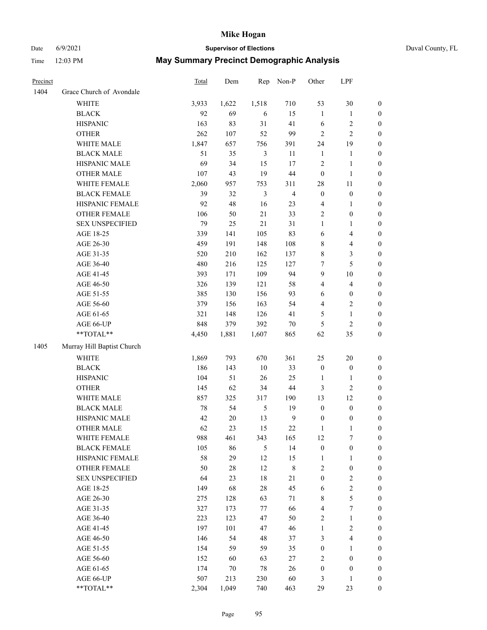# Date 6/9/2021 **Supervisor of Elections** Duval County, FL

| Precinct |                            | Total | Dem    | Rep            | Non-P          | Other            | LPF                     |                  |
|----------|----------------------------|-------|--------|----------------|----------------|------------------|-------------------------|------------------|
| 1404     | Grace Church of Avondale   |       |        |                |                |                  |                         |                  |
|          | <b>WHITE</b>               | 3,933 | 1,622  | 1,518          | 710            | 53               | $30\,$                  | $\boldsymbol{0}$ |
|          | <b>BLACK</b>               | 92    | 69     | 6              | 15             | $\mathbf{1}$     | $\mathbf{1}$            | $\boldsymbol{0}$ |
|          | <b>HISPANIC</b>            | 163   | 83     | 31             | 41             | 6                | $\sqrt{2}$              | $\boldsymbol{0}$ |
|          | <b>OTHER</b>               | 262   | 107    | 52             | 99             | $\overline{c}$   | $\mathfrak{2}$          | $\boldsymbol{0}$ |
|          | WHITE MALE                 | 1,847 | 657    | 756            | 391            | 24               | 19                      | $\boldsymbol{0}$ |
|          | <b>BLACK MALE</b>          | 51    | 35     | 3              | 11             | $\mathbf{1}$     | $\mathbf{1}$            | $\boldsymbol{0}$ |
|          | HISPANIC MALE              | 69    | 34     | 15             | 17             | $\sqrt{2}$       | $\mathbf{1}$            | $\boldsymbol{0}$ |
|          | <b>OTHER MALE</b>          | 107   | 43     | 19             | 44             | $\boldsymbol{0}$ | $\mathbf{1}$            | 0                |
|          | WHITE FEMALE               | 2,060 | 957    | 753            | 311            | 28               | $11\,$                  | 0                |
|          | <b>BLACK FEMALE</b>        | 39    | 32     | $\mathfrak{Z}$ | $\overline{4}$ | $\boldsymbol{0}$ | $\boldsymbol{0}$        | 0                |
|          | HISPANIC FEMALE            | 92    | 48     | 16             | 23             | 4                | $\mathbf{1}$            | $\boldsymbol{0}$ |
|          | OTHER FEMALE               | 106   | 50     | $21\,$         | 33             | $\sqrt{2}$       | $\boldsymbol{0}$        | $\boldsymbol{0}$ |
|          | <b>SEX UNSPECIFIED</b>     | 79    | 25     | $21\,$         | 31             | $\mathbf{1}$     | $\mathbf{1}$            | $\boldsymbol{0}$ |
|          | AGE 18-25                  | 339   | 141    | 105            | 83             | 6                | $\overline{\mathbf{4}}$ | $\boldsymbol{0}$ |
|          | AGE 26-30                  | 459   | 191    | 148            | 108            | 8                | $\overline{\mathbf{4}}$ | $\boldsymbol{0}$ |
|          | AGE 31-35                  | 520   | 210    | 162            | 137            | 8                | $\mathfrak{Z}$          | $\boldsymbol{0}$ |
|          | AGE 36-40                  | 480   | 216    | 125            | 127            | 7                | 5                       | $\boldsymbol{0}$ |
|          | AGE 41-45                  | 393   | 171    | 109            | 94             | $\overline{9}$   | $10\,$                  | $\boldsymbol{0}$ |
|          | AGE 46-50                  | 326   | 139    | 121            | 58             | $\overline{4}$   | $\overline{\mathbf{4}}$ | 0                |
|          | AGE 51-55                  | 385   | 130    | 156            | 93             | 6                | $\boldsymbol{0}$        | 0                |
|          | AGE 56-60                  | 379   | 156    | 163            | 54             | $\overline{4}$   | $\overline{2}$          | $\boldsymbol{0}$ |
|          | AGE 61-65                  | 321   | 148    | 126            | 41             | 5                | $\mathbf{1}$            | $\boldsymbol{0}$ |
|          | AGE 66-UP                  | 848   | 379    | 392            | $70\,$         | 5                | $\sqrt{2}$              | $\boldsymbol{0}$ |
|          | **TOTAL**                  | 4,450 | 1,881  | 1,607          | 865            | 62               | 35                      | $\boldsymbol{0}$ |
| 1405     | Murray Hill Baptist Church |       |        |                |                |                  |                         |                  |
|          | <b>WHITE</b>               | 1,869 | 793    | 670            | 361            | 25               | $20\,$                  | $\boldsymbol{0}$ |
|          | <b>BLACK</b>               | 186   | 143    | 10             | 33             | $\boldsymbol{0}$ | $\boldsymbol{0}$        | $\boldsymbol{0}$ |
|          | <b>HISPANIC</b>            | 104   | 51     | 26             | 25             | $\mathbf{1}$     | $\mathbf{1}$            | $\boldsymbol{0}$ |
|          | <b>OTHER</b>               | 145   | 62     | 34             | $44\,$         | 3                | $\sqrt{2}$              | $\boldsymbol{0}$ |
|          | WHITE MALE                 | 857   | 325    | 317            | 190            | 13               | 12                      | $\boldsymbol{0}$ |
|          | <b>BLACK MALE</b>          | 78    | 54     | 5              | 19             | $\boldsymbol{0}$ | $\boldsymbol{0}$        | 0                |
|          | HISPANIC MALE              | 42    | $20\,$ | 13             | $\overline{9}$ | $\boldsymbol{0}$ | $\boldsymbol{0}$        | 0                |
|          | <b>OTHER MALE</b>          | 62    | 23     | 15             | $22\,$         | $\mathbf{1}$     | $\mathbf{1}$            | $\boldsymbol{0}$ |
|          | WHITE FEMALE               | 988   | 461    | 343            | 165            | 12               | $\boldsymbol{7}$        | $\boldsymbol{0}$ |
|          | <b>BLACK FEMALE</b>        | 105   | 86     | 5              | 14             | $\boldsymbol{0}$ | $\boldsymbol{0}$        | $\overline{0}$   |
|          | HISPANIC FEMALE            | 58    | 29     | 12             | 15             | $\mathbf{1}$     | $\mathbf{1}$            | $\overline{0}$   |
|          | <b>OTHER FEMALE</b>        | 50    | $28\,$ | 12             | $\,8\,$        | $\overline{c}$   | $\boldsymbol{0}$        | $\theta$         |
|          | <b>SEX UNSPECIFIED</b>     | 64    | 23     | 18             | 21             | $\boldsymbol{0}$ | $\sqrt{2}$              | 0                |
|          | AGE 18-25                  | 149   | 68     | 28             | 45             | 6                | $\sqrt{2}$              | 0                |
|          | AGE 26-30                  | 275   | 128    | 63             | 71             | 8                | 5                       | 0                |
|          | AGE 31-35                  | 327   | 173    | 77             | 66             | $\overline{4}$   | $\boldsymbol{7}$        | 0                |
|          | AGE 36-40                  | 223   | 123    | 47             | 50             | $\overline{c}$   | $\mathbf{1}$            | 0                |
|          | AGE 41-45                  | 197   | 101    | 47             | 46             | $\mathbf{1}$     | $\sqrt{2}$              | 0                |
|          | AGE 46-50                  | 146   | 54     | 48             | 37             | 3                | $\overline{\mathbf{4}}$ | $\overline{0}$   |
|          | AGE 51-55                  | 154   | 59     | 59             | 35             | $\boldsymbol{0}$ | $\mathbf{1}$            | $\boldsymbol{0}$ |
|          | AGE 56-60                  | 152   | 60     | 63             | 27             | 2                | $\boldsymbol{0}$        | $\overline{0}$   |
|          | AGE 61-65                  | 174   | 70     | 78             | 26             | $\boldsymbol{0}$ | $\boldsymbol{0}$        | $\overline{0}$   |
|          | AGE 66-UP                  | 507   | 213    | 230            | 60             | 3                | $\mathbf{1}$            | $\overline{0}$   |
|          | **TOTAL**                  | 2,304 | 1,049  | 740            | 463            | 29               | 23                      | $\boldsymbol{0}$ |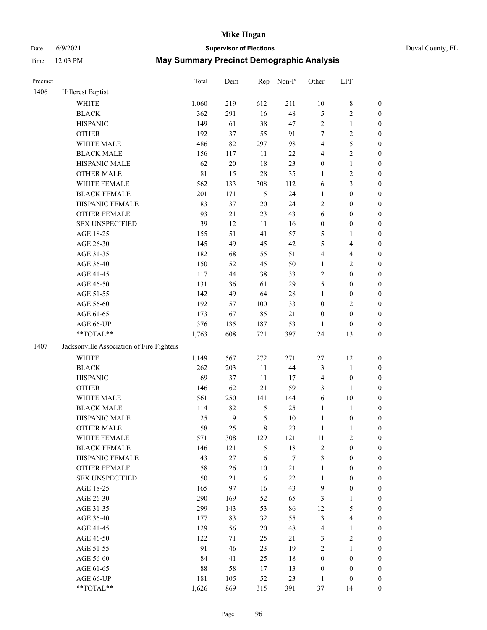# Date 6/9/2021 **Supervisor of Elections** Duval County, FL

| Precinct |                                                           | Total       | Dem              | Rep           | Non-P    | Other                 | LPF                              |                  |
|----------|-----------------------------------------------------------|-------------|------------------|---------------|----------|-----------------------|----------------------------------|------------------|
| 1406     | <b>Hillcrest Baptist</b>                                  |             |                  |               |          |                       |                                  |                  |
|          | <b>WHITE</b>                                              | 1,060       | 219              | 612           | 211      | $10\,$                | $\,$ 8 $\,$                      | 0                |
|          | <b>BLACK</b>                                              | 362         | 291              | 16            | 48       | 5                     | $\sqrt{2}$                       | $\boldsymbol{0}$ |
|          | <b>HISPANIC</b>                                           | 149         | 61               | 38            | 47       | 2                     | $\mathbf{1}$                     | $\boldsymbol{0}$ |
|          | <b>OTHER</b>                                              | 192         | 37               | 55            | 91       | 7                     | $\sqrt{2}$                       | $\boldsymbol{0}$ |
|          | WHITE MALE                                                | 486         | 82               | 297           | 98       | 4                     | 5                                | $\boldsymbol{0}$ |
|          | <b>BLACK MALE</b>                                         | 156         | 117              | 11            | $22\,$   | 4                     | $\sqrt{2}$                       | $\boldsymbol{0}$ |
|          | HISPANIC MALE                                             | 62          | 20               | 18            | 23       | 0                     | $\mathbf{1}$                     | $\boldsymbol{0}$ |
|          | <b>OTHER MALE</b>                                         | $8\sqrt{1}$ | 15               | 28            | 35       | 1                     | $\sqrt{2}$                       | $\boldsymbol{0}$ |
|          | WHITE FEMALE                                              | 562         | 133              | 308           | 112      | 6                     | 3                                | $\boldsymbol{0}$ |
|          | <b>BLACK FEMALE</b>                                       | 201         | 171              | $\mathfrak s$ | 24       | $\mathbf{1}$          | $\boldsymbol{0}$                 | $\boldsymbol{0}$ |
|          | HISPANIC FEMALE                                           | 83          | 37               | $20\,$        | 24       | $\mathbf{2}$          | $\boldsymbol{0}$                 | $\boldsymbol{0}$ |
|          | OTHER FEMALE                                              | 93          | 21               | 23            | 43       | 6                     | $\boldsymbol{0}$                 | $\boldsymbol{0}$ |
|          | <b>SEX UNSPECIFIED</b>                                    | 39          | 12               | 11            | 16       | $\boldsymbol{0}$      | $\boldsymbol{0}$                 | $\boldsymbol{0}$ |
|          | AGE 18-25                                                 | 155         | 51               | 41            | 57       | 5                     | 1                                | $\boldsymbol{0}$ |
|          | AGE 26-30                                                 | 145         | 49               | 45            | 42       | 5                     | $\overline{4}$                   | $\boldsymbol{0}$ |
|          | AGE 31-35                                                 | 182         | 68               | 55            | 51       | 4                     | $\overline{4}$                   | $\boldsymbol{0}$ |
|          | AGE 36-40                                                 | 150         | 52               | 45            | 50       | $\mathbf{1}$          | $\sqrt{2}$                       | $\boldsymbol{0}$ |
|          | AGE 41-45                                                 | 117         | $44\,$           | 38            | 33       | $\mathbf{2}$          | $\boldsymbol{0}$                 | $\boldsymbol{0}$ |
|          | AGE 46-50                                                 | 131         | 36               | 61            | 29       | 5                     | $\boldsymbol{0}$                 | $\boldsymbol{0}$ |
|          | AGE 51-55                                                 | 142         | 49               | 64            | 28       | $\mathbf{1}$          | $\boldsymbol{0}$                 | $\boldsymbol{0}$ |
|          | AGE 56-60                                                 | 192         | 57               | 100           | 33       | $\boldsymbol{0}$      | $\sqrt{2}$                       | $\boldsymbol{0}$ |
|          | AGE 61-65                                                 | 173         | 67               | 85            | $21\,$   | $\boldsymbol{0}$      | $\boldsymbol{0}$                 | $\boldsymbol{0}$ |
|          | AGE 66-UP                                                 | 376         | 135              | 187           | 53       | 1                     | $\boldsymbol{0}$                 | $\boldsymbol{0}$ |
|          | $\mathrm{*}\mathrm{*}\mathrm{TOTAL} \mathrm{*}\mathrm{*}$ | 1,763       | 608              | 721           | 397      | 24                    | 13                               | $\boldsymbol{0}$ |
| 1407     | Jacksonville Association of Fire Fighters                 |             |                  |               |          |                       |                                  |                  |
|          |                                                           |             |                  |               |          |                       |                                  |                  |
|          | WHITE                                                     | 1,149       | 567              | 272           | 271      | $27\,$                | 12                               | $\boldsymbol{0}$ |
|          | <b>BLACK</b>                                              | 262         | 203              | $11\,$        | 44       | 3                     | $\mathbf{1}$                     | $\boldsymbol{0}$ |
|          | <b>HISPANIC</b>                                           | 69          | 37               | 11            | 17       | 4                     | $\boldsymbol{0}$                 | $\boldsymbol{0}$ |
|          | <b>OTHER</b>                                              | 146         | 62               | $21\,$        | 59       | 3                     | 1                                | $\boldsymbol{0}$ |
|          | WHITE MALE                                                | 561         | 250              | 141           | 144      | 16                    | 10                               | $\boldsymbol{0}$ |
|          | <b>BLACK MALE</b>                                         | 114         | 82               | 5             | 25       | $\mathbf{1}$          | $\mathbf{1}$                     | $\boldsymbol{0}$ |
|          | HISPANIC MALE                                             | 25          | $\boldsymbol{9}$ | 5             | $10\,$   | $\mathbf{1}$          | $\boldsymbol{0}$                 | 0                |
|          | <b>OTHER MALE</b>                                         | 58          | 25               | 8             | 23       | $\mathbf{1}$          | $\mathbf{1}$                     | $\boldsymbol{0}$ |
|          | WHITE FEMALE                                              | 571         | 308              | 129           | 121      | 11                    | 2                                | 0                |
|          | <b>BLACK FEMALE</b>                                       | 146         | 121              | 5             | 18       | 2                     | $\boldsymbol{0}$                 | $\overline{0}$   |
|          | HISPANIC FEMALE                                           | 43          | $27\,$           | 6             | 7        | 3                     | $\boldsymbol{0}$                 | $\overline{0}$   |
|          | OTHER FEMALE                                              | 58          | 26               | $10\,$        | $21\,$   | 1                     | $\boldsymbol{0}$                 | $\theta$         |
|          | <b>SEX UNSPECIFIED</b>                                    | 50          | 21               | 6             | $22\,$   | $\mathbf{1}$          | $\boldsymbol{0}$                 | 0                |
|          | AGE 18-25                                                 | 165         | 97               | 16            | 43       | 9                     | $\boldsymbol{0}$                 | 0                |
|          | AGE 26-30                                                 | 290<br>299  | 169              | 52<br>53      | 65<br>86 | 3<br>12               | $\mathbf{1}$<br>$\mathfrak s$    | 0<br>0           |
|          | AGE 31-35<br>AGE 36-40                                    |             | 143              |               |          |                       |                                  |                  |
|          |                                                           | 177<br>129  | 83<br>56         | 32<br>20      | 55<br>48 | 3                     | $\overline{4}$<br>$\mathbf{1}$   | 0                |
|          | AGE 41-45                                                 |             |                  |               |          | 4                     |                                  | 0                |
|          | AGE 46-50                                                 | 122         | 71               | 25            | 21       | 3                     | $\sqrt{2}$                       | 0                |
|          | AGE 51-55                                                 | 91<br>84    | 46<br>41         | 23            | 19       | 2<br>$\boldsymbol{0}$ | $\mathbf{1}$<br>$\boldsymbol{0}$ | 0                |
|          | AGE 56-60                                                 |             |                  | 25            | 18       |                       |                                  | 0                |
|          | AGE 61-65                                                 | 88          | 58               | 17            | 13       | $\boldsymbol{0}$      | $\boldsymbol{0}$                 | 0                |
|          | AGE 66-UP                                                 | 181         | 105              | 52            | 23       | $\mathbf{1}$          | $\boldsymbol{0}$                 | 0                |
|          | **TOTAL**                                                 | 1,626       | 869              | 315           | 391      | 37                    | 14                               | $\boldsymbol{0}$ |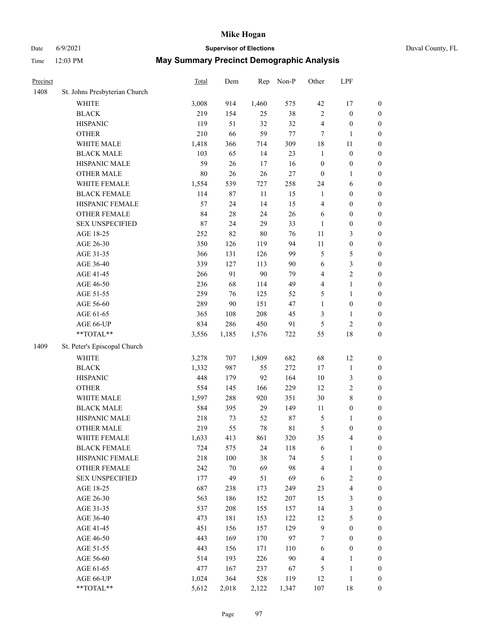# Date 6/9/2021 **Supervisor of Elections** Duval County, FL

| Precinct |                               | <b>Total</b> | Dem    | Rep    | Non-P       | Other            | LPF              |                  |
|----------|-------------------------------|--------------|--------|--------|-------------|------------------|------------------|------------------|
| 1408     | St. Johns Presbyterian Church |              |        |        |             |                  |                  |                  |
|          | <b>WHITE</b>                  | 3,008        | 914    | 1,460  | 575         | 42               | 17               | 0                |
|          | <b>BLACK</b>                  | 219          | 154    | 25     | 38          | $\mathbf{2}$     | $\boldsymbol{0}$ | 0                |
|          | <b>HISPANIC</b>               | 119          | 51     | 32     | 32          | 4                | $\boldsymbol{0}$ | $\boldsymbol{0}$ |
|          | <b>OTHER</b>                  | 210          | 66     | 59     | $77 \,$     | 7                | 1                | $\boldsymbol{0}$ |
|          | WHITE MALE                    | 1,418        | 366    | 714    | 309         | 18               | 11               | $\boldsymbol{0}$ |
|          | <b>BLACK MALE</b>             | 103          | 65     | 14     | 23          | $\mathbf{1}$     | $\boldsymbol{0}$ | $\boldsymbol{0}$ |
|          | HISPANIC MALE                 | 59           | 26     | 17     | 16          | $\boldsymbol{0}$ | $\boldsymbol{0}$ | $\boldsymbol{0}$ |
|          | <b>OTHER MALE</b>             | $80\,$       | 26     | 26     | 27          | $\boldsymbol{0}$ | $\mathbf{1}$     | $\boldsymbol{0}$ |
|          | WHITE FEMALE                  | 1,554        | 539    | 727    | 258         | 24               | 6                | $\boldsymbol{0}$ |
|          | <b>BLACK FEMALE</b>           | 114          | 87     | $11\,$ | 15          | $\mathbf{1}$     | $\boldsymbol{0}$ | 0                |
|          | HISPANIC FEMALE               | 57           | 24     | 14     | 15          | 4                | $\boldsymbol{0}$ | $\boldsymbol{0}$ |
|          | OTHER FEMALE                  | 84           | $28\,$ | 24     | 26          | 6                | $\boldsymbol{0}$ | $\boldsymbol{0}$ |
|          | <b>SEX UNSPECIFIED</b>        | $87\,$       | 24     | 29     | 33          | $\mathbf{1}$     | $\boldsymbol{0}$ | $\boldsymbol{0}$ |
|          | AGE 18-25                     | 252          | 82     | $80\,$ | 76          | $11\,$           | 3                | $\boldsymbol{0}$ |
|          | AGE 26-30                     | 350          | 126    | 119    | 94          | $11\,$           | $\boldsymbol{0}$ | $\boldsymbol{0}$ |
|          | AGE 31-35                     | 366          | 131    | 126    | 99          | 5                | 5                | $\boldsymbol{0}$ |
|          | AGE 36-40                     | 339          | 127    | 113    | 90          | 6                | $\mathfrak{Z}$   | $\boldsymbol{0}$ |
|          | AGE 41-45                     | 266          | 91     | 90     | 79          | 4                | $\sqrt{2}$       | $\boldsymbol{0}$ |
|          | AGE 46-50                     | 236          | 68     | 114    | 49          | 4                | $\mathbf{1}$     | $\boldsymbol{0}$ |
|          | AGE 51-55                     | 259          | 76     | 125    | 52          | 5                | $\mathbf{1}$     | 0                |
|          | AGE 56-60                     | 289          | 90     | 151    | 47          | $\mathbf{1}$     | $\boldsymbol{0}$ | 0                |
|          | AGE 61-65                     | 365          | 108    | 208    | 45          | 3                | $\mathbf{1}$     | 0                |
|          | AGE 66-UP                     | 834          | 286    | 450    | 91          | 5                | $\sqrt{2}$       | $\boldsymbol{0}$ |
|          | $**TOTAL**$                   | 3,556        | 1,185  | 1,576  | 722         | 55               | 18               | $\boldsymbol{0}$ |
| 1409     | St. Peter's Episcopal Church  |              |        |        |             |                  |                  |                  |
|          | <b>WHITE</b>                  | 3,278        | 707    | 1,809  | 682         | 68               | 12               | $\boldsymbol{0}$ |
|          | <b>BLACK</b>                  | 1,332        | 987    | 55     | 272         | $17$             | $\mathbf{1}$     | $\boldsymbol{0}$ |
|          | <b>HISPANIC</b>               | 448          | 179    | 92     | 164         | $10\,$           | $\mathfrak{Z}$   | $\boldsymbol{0}$ |
|          | <b>OTHER</b>                  | 554          | 145    | 166    | 229         | 12               | $\sqrt{2}$       | $\boldsymbol{0}$ |
|          | WHITE MALE                    | 1,597        | 288    | 920    | 351         | $30\,$           | $\,$ 8 $\,$      | $\boldsymbol{0}$ |
|          | <b>BLACK MALE</b>             | 584          | 395    | 29     | 149         | 11               | $\boldsymbol{0}$ | $\boldsymbol{0}$ |
|          | HISPANIC MALE                 | 218          | 73     | 52     | 87          | 5                | 1                | 0                |
|          | <b>OTHER MALE</b>             | 219          | 55     | 78     | $8\sqrt{1}$ | 5                | $\boldsymbol{0}$ | $\boldsymbol{0}$ |
|          | WHITE FEMALE                  | 1,633        | 413    | 861    | 320         | 35               | 4                | 0                |
|          | <b>BLACK FEMALE</b>           | 724          | 575    | 24     | 118         | 6                | $\mathbf{1}$     | $\boldsymbol{0}$ |
|          | HISPANIC FEMALE               | 218          | 100    | 38     | 74          | 5                | $\mathbf{1}$     | $\boldsymbol{0}$ |
|          | OTHER FEMALE                  | 242          | 70     | 69     | 98          | 4                | $\mathbf{1}$     | $\overline{0}$   |
|          | <b>SEX UNSPECIFIED</b>        | 177          | 49     | 51     | 69          | 6                | $\sqrt{2}$       | 0                |
|          | AGE 18-25                     | 687          | 238    | 173    | 249         | 23               | $\overline{4}$   | 0                |
|          | AGE 26-30                     | 563          | 186    | 152    | 207         | 15               | 3                | 0                |
|          | AGE 31-35                     | 537          | 208    | 155    | 157         | 14               | 3                | 0                |
|          | AGE 36-40                     | 473          | 181    | 153    | 122         | 12               | $\mathfrak s$    | 0                |
|          | AGE 41-45                     | 451          | 156    | 157    | 129         | $\boldsymbol{9}$ | $\boldsymbol{0}$ | 0                |
|          | AGE 46-50                     | 443          | 169    | 170    | 97          | 7                | $\boldsymbol{0}$ | 0                |
|          | AGE 51-55                     | 443          | 156    | 171    | 110         | 6                | $\boldsymbol{0}$ | 0                |
|          | AGE 56-60                     | 514          | 193    | 226    | 90          | 4                | 1                | $\boldsymbol{0}$ |
|          | AGE 61-65                     | 477          | 167    | 237    | 67          | 5                | $\mathbf{1}$     | $\overline{0}$   |
|          | AGE 66-UP                     | 1,024        | 364    | 528    | 119         | 12               | $\mathbf{1}$     | 0                |
|          | **TOTAL**                     | 5,612        | 2,018  | 2,122  | 1,347       | 107              | 18               | $\boldsymbol{0}$ |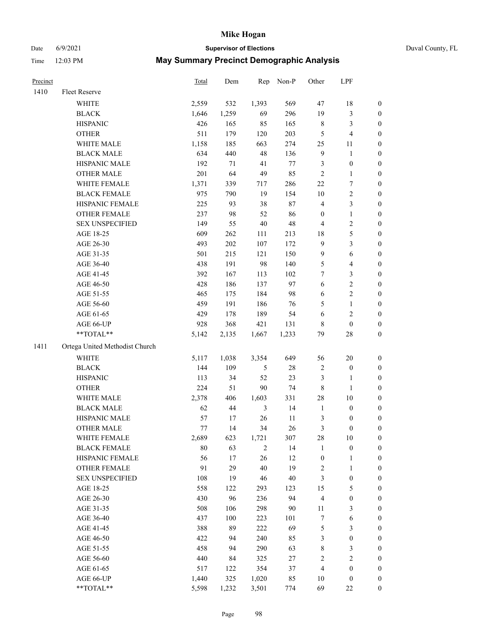Date 6/9/2021 **Supervisor of Elections** Duval County, FL

| Precinct |                                | <b>Total</b> | Dem     | Rep            | Non-P  | Other                   | LPF              |                  |
|----------|--------------------------------|--------------|---------|----------------|--------|-------------------------|------------------|------------------|
| 1410     | Fleet Reserve                  |              |         |                |        |                         |                  |                  |
|          | WHITE                          | 2,559        | 532     | 1,393          | 569    | 47                      | 18               | 0                |
|          | <b>BLACK</b>                   | 1,646        | 1,259   | 69             | 296    | 19                      | $\mathfrak{Z}$   | 0                |
|          | <b>HISPANIC</b>                | 426          | 165     | 85             | 165    | $\,$ 8 $\,$             | $\mathfrak{Z}$   | $\boldsymbol{0}$ |
|          | <b>OTHER</b>                   | 511          | 179     | 120            | 203    | 5                       | $\overline{4}$   | $\boldsymbol{0}$ |
|          | WHITE MALE                     | 1,158        | 185     | 663            | 274    | 25                      | 11               | $\boldsymbol{0}$ |
|          | <b>BLACK MALE</b>              | 634          | 440     | 48             | 136    | 9                       | $\mathbf{1}$     | $\boldsymbol{0}$ |
|          | HISPANIC MALE                  | 192          | 71      | 41             | 77     | 3                       | $\boldsymbol{0}$ | $\boldsymbol{0}$ |
|          | <b>OTHER MALE</b>              | 201          | 64      | 49             | 85     | $\mathbf{2}$            | $\mathbf{1}$     | $\boldsymbol{0}$ |
|          | WHITE FEMALE                   | 1,371        | 339     | 717            | 286    | $22\,$                  | $\boldsymbol{7}$ | $\boldsymbol{0}$ |
|          | <b>BLACK FEMALE</b>            | 975          | 790     | 19             | 154    | $10\,$                  | $\sqrt{2}$       | 0                |
|          | HISPANIC FEMALE                | 225          | 93      | 38             | $87\,$ | 4                       | $\mathfrak{Z}$   | 0                |
|          | <b>OTHER FEMALE</b>            | 237          | 98      | 52             | 86     | $\boldsymbol{0}$        | $\mathbf{1}$     | 0                |
|          | <b>SEX UNSPECIFIED</b>         | 149          | 55      | $40\,$         | 48     | 4                       | $\sqrt{2}$       | $\boldsymbol{0}$ |
|          | AGE 18-25                      | 609          | 262     | 111            | 213    | 18                      | 5                | $\boldsymbol{0}$ |
|          | AGE 26-30                      | 493          | 202     | 107            | 172    | 9                       | $\mathfrak{Z}$   | $\boldsymbol{0}$ |
|          | AGE 31-35                      | 501          | 215     | 121            | 150    | 9                       | 6                | $\boldsymbol{0}$ |
|          | AGE 36-40                      | 438          | 191     | 98             | 140    | 5                       | $\overline{4}$   | $\boldsymbol{0}$ |
|          | AGE 41-45                      | 392          | 167     | 113            | 102    | $\tau$                  | 3                | $\boldsymbol{0}$ |
|          | AGE 46-50                      | 428          | 186     | 137            | 97     | $\sqrt{6}$              | $\sqrt{2}$       | $\boldsymbol{0}$ |
|          | AGE 51-55                      | 465          | 175     | 184            | 98     | 6                       | $\sqrt{2}$       | 0                |
|          | AGE 56-60                      | 459          | 191     | 186            | 76     | 5                       | $\mathbf{1}$     | 0                |
|          | AGE 61-65                      | 429          | 178     | 189            | 54     | 6                       | $\sqrt{2}$       | 0                |
|          | AGE 66-UP                      | 928          | 368     | 421            | 131    | 8                       | $\boldsymbol{0}$ | $\boldsymbol{0}$ |
|          | $**TOTAL**$                    | 5,142        | 2,135   | 1,667          | 1,233  | 79                      | $28\,$           | $\boldsymbol{0}$ |
| 1411     | Ortega United Methodist Church |              |         |                |        |                         |                  |                  |
|          | <b>WHITE</b>                   | 5,117        | 1,038   | 3,354          | 649    | 56                      | 20               | $\boldsymbol{0}$ |
|          | <b>BLACK</b>                   | 144          | 109     | 5              | $28\,$ | 2                       | $\boldsymbol{0}$ | $\boldsymbol{0}$ |
|          | <b>HISPANIC</b>                | 113          | 34      | 52             | 23     | 3                       | $\mathbf{1}$     | $\boldsymbol{0}$ |
|          | <b>OTHER</b>                   | 224          | 51      | $90\,$         | 74     | $\,$ 8 $\,$             | $\mathbf{1}$     | $\boldsymbol{0}$ |
|          | WHITE MALE                     | 2,378        | 406     | 1,603          | 331    | 28                      | 10               | $\boldsymbol{0}$ |
|          | <b>BLACK MALE</b>              | 62           | $44\,$  | $\mathfrak{Z}$ | 14     | $\mathbf{1}$            | $\boldsymbol{0}$ | $\boldsymbol{0}$ |
|          | HISPANIC MALE                  | 57           | 17      | 26             | 11     | 3                       | $\boldsymbol{0}$ | 0                |
|          | <b>OTHER MALE</b>              | 77           | 14      | 34             | 26     | 3                       | $\boldsymbol{0}$ | $\boldsymbol{0}$ |
|          | WHITE FEMALE                   | 2,689        | 623     | 1,721          | 307    | 28                      | 10               | 0                |
|          | <b>BLACK FEMALE</b>            | 80           | 63      | $\overline{c}$ | 14     | $\mathbf{1}$            | $\boldsymbol{0}$ | $\boldsymbol{0}$ |
|          | HISPANIC FEMALE                | 56           | $17\,$  | 26             | 12     | $\boldsymbol{0}$        | $\mathbf{1}$     | $\boldsymbol{0}$ |
|          | OTHER FEMALE                   | 91           | 29      | 40             | 19     | $\overline{\mathbf{c}}$ | $\mathbf{1}$     | $\overline{0}$   |
|          | <b>SEX UNSPECIFIED</b>         | 108          | 19      | 46             | $40\,$ | 3                       | $\boldsymbol{0}$ | 0                |
|          | AGE 18-25                      | 558          | 122     | 293            | 123    | 15                      | $\mathfrak s$    | 0                |
|          | AGE 26-30                      | 430          | 96      | 236            | 94     | 4                       | $\boldsymbol{0}$ | 0                |
|          | AGE 31-35                      | 508          | 106     | 298            | 90     | 11                      | $\mathfrak z$    | 0                |
|          | AGE 36-40                      | 437          | $100\,$ | 223            | 101    | 7                       | 6                | 0                |
|          | AGE 41-45                      | 388          | 89      | 222            | 69     | 5                       | $\mathfrak{Z}$   | 0                |
|          | AGE 46-50                      | 422          | 94      | 240            | 85     | 3                       | $\boldsymbol{0}$ | 0                |
|          | AGE 51-55                      | 458          | 94      | 290            | 63     | 8                       | $\mathfrak{Z}$   | 0                |
|          | AGE 56-60                      | 440          | 84      | 325            | $27\,$ | 2                       | $\sqrt{2}$       | 0                |
|          | AGE 61-65                      | 517          | 122     | 354            | 37     | 4                       | $\boldsymbol{0}$ | $\boldsymbol{0}$ |
|          | AGE 66-UP                      | 1,440        | 325     | 1,020          | 85     | 10                      | $\boldsymbol{0}$ | 0                |
|          | **TOTAL**                      | 5,598        | 1,232   | 3,501          | 774    | 69                      | $22\,$           | $\boldsymbol{0}$ |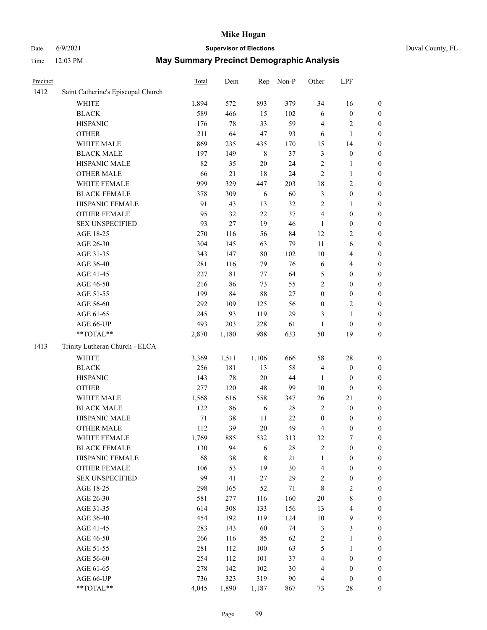# Date 6/9/2021 **Supervisor of Elections** Duval County, FL

| Precinct |                                    | Total  | Dem    | Rep         | Non-P  | Other                   | LPF              |                  |
|----------|------------------------------------|--------|--------|-------------|--------|-------------------------|------------------|------------------|
| 1412     | Saint Catherine's Episcopal Church |        |        |             |        |                         |                  |                  |
|          | <b>WHITE</b>                       | 1,894  | 572    | 893         | 379    | 34                      | 16               | 0                |
|          | <b>BLACK</b>                       | 589    | 466    | 15          | 102    | 6                       | $\boldsymbol{0}$ | 0                |
|          | <b>HISPANIC</b>                    | 176    | 78     | 33          | 59     | 4                       | $\sqrt{2}$       | $\boldsymbol{0}$ |
|          | <b>OTHER</b>                       | 211    | 64     | 47          | 93     | 6                       | $\mathbf{1}$     | $\boldsymbol{0}$ |
|          | WHITE MALE                         | 869    | 235    | 435         | 170    | 15                      | 14               | $\boldsymbol{0}$ |
|          | <b>BLACK MALE</b>                  | 197    | 149    | $\,$ 8 $\,$ | 37     | 3                       | $\boldsymbol{0}$ | $\boldsymbol{0}$ |
|          | HISPANIC MALE                      | 82     | 35     | 20          | 24     | $\overline{c}$          | $\mathbf{1}$     | $\boldsymbol{0}$ |
|          | <b>OTHER MALE</b>                  | 66     | $21\,$ | 18          | 24     | 2                       | $\mathbf{1}$     | $\boldsymbol{0}$ |
|          | WHITE FEMALE                       | 999    | 329    | 447         | 203    | 18                      | $\sqrt{2}$       | $\boldsymbol{0}$ |
|          | <b>BLACK FEMALE</b>                | 378    | 309    | 6           | 60     | 3                       | $\boldsymbol{0}$ | $\boldsymbol{0}$ |
|          | HISPANIC FEMALE                    | 91     | 43     | 13          | 32     | $\overline{c}$          | 1                | $\boldsymbol{0}$ |
|          | OTHER FEMALE                       | 95     | 32     | 22          | 37     | 4                       | $\boldsymbol{0}$ | $\boldsymbol{0}$ |
|          | <b>SEX UNSPECIFIED</b>             | 93     | 27     | 19          | 46     | $\mathbf{1}$            | $\boldsymbol{0}$ | $\boldsymbol{0}$ |
|          | AGE 18-25                          | 270    | 116    | 56          | 84     | 12                      | $\sqrt{2}$       | $\boldsymbol{0}$ |
|          | AGE 26-30                          | 304    | 145    | 63          | 79     | 11                      | 6                | $\boldsymbol{0}$ |
|          | AGE 31-35                          | 343    | 147    | 80          | 102    | 10                      | $\overline{4}$   | $\boldsymbol{0}$ |
|          | AGE 36-40                          | 281    | 116    | 79          | 76     | 6                       | $\overline{4}$   | $\boldsymbol{0}$ |
|          | AGE 41-45                          | 227    | 81     | 77          | 64     | 5                       | $\boldsymbol{0}$ | $\boldsymbol{0}$ |
|          | AGE 46-50                          | 216    | 86     | 73          | 55     | $\overline{c}$          | $\boldsymbol{0}$ | $\boldsymbol{0}$ |
|          | AGE 51-55                          | 199    | 84     | 88          | $27\,$ | $\boldsymbol{0}$        | $\boldsymbol{0}$ | $\boldsymbol{0}$ |
|          | AGE 56-60                          | 292    | 109    | 125         | 56     | $\boldsymbol{0}$        | $\sqrt{2}$       | 0                |
|          | AGE 61-65                          | 245    | 93     | 119         | 29     | 3                       | $\mathbf{1}$     | $\boldsymbol{0}$ |
|          | AGE 66-UP                          | 493    | 203    | 228         | 61     | $\mathbf{1}$            | $\boldsymbol{0}$ | $\boldsymbol{0}$ |
|          | $**TOTAL**$                        | 2,870  | 1,180  | 988         | 633    | 50                      | 19               | $\boldsymbol{0}$ |
| 1413     | Trinity Lutheran Church - ELCA     |        |        |             |        |                         |                  |                  |
|          | <b>WHITE</b>                       | 3,369  | 1,511  | 1,106       | 666    | 58                      | 28               | $\boldsymbol{0}$ |
|          | <b>BLACK</b>                       | 256    | 181    | 13          | 58     | 4                       | $\boldsymbol{0}$ | $\boldsymbol{0}$ |
|          | <b>HISPANIC</b>                    | 143    | 78     | 20          | 44     | 1                       | $\boldsymbol{0}$ | $\boldsymbol{0}$ |
|          | <b>OTHER</b>                       | 277    | 120    | 48          | 99     | 10                      | $\boldsymbol{0}$ | $\boldsymbol{0}$ |
|          | WHITE MALE                         | 1,568  | 616    | 558         | 347    | 26                      | 21               | $\boldsymbol{0}$ |
|          | <b>BLACK MALE</b>                  | 122    | 86     | 6           | 28     | $\overline{c}$          | $\boldsymbol{0}$ | $\boldsymbol{0}$ |
|          | HISPANIC MALE                      | $71\,$ | 38     | 11          | $22\,$ | $\boldsymbol{0}$        | $\boldsymbol{0}$ | 0                |
|          | <b>OTHER MALE</b>                  | 112    | 39     | 20          | 49     | 4                       | $\boldsymbol{0}$ | $\boldsymbol{0}$ |
|          | WHITE FEMALE                       | 1,769  | 885    | 532         | 313    | 32                      | 7                | 0                |
|          | <b>BLACK FEMALE</b>                | 130    | 94     | 6           | 28     | 2                       | $\boldsymbol{0}$ | $\boldsymbol{0}$ |
|          | HISPANIC FEMALE                    | 68     | 38     | 8           | $21\,$ | 1                       | $\boldsymbol{0}$ | $\overline{0}$   |
|          | OTHER FEMALE                       | 106    | 53     | 19          | 30     | 4                       | $\boldsymbol{0}$ | $\overline{0}$   |
|          | <b>SEX UNSPECIFIED</b>             | 99     | 41     | 27          | 29     | $\overline{\mathbf{c}}$ | $\boldsymbol{0}$ | 0                |
|          | AGE 18-25                          | 298    | 165    | 52          | 71     | 8                       | $\sqrt{2}$       | 0                |
|          | AGE 26-30                          | 581    | 277    | 116         | 160    | $20\,$                  | $\,$ $\,$        | 0                |
|          | AGE 31-35                          | 614    | 308    | 133         | 156    | 13                      | $\overline{4}$   | 0                |
|          | AGE 36-40                          | 454    | 192    | 119         | 124    | $10\,$                  | $\boldsymbol{9}$ | 0                |
|          | AGE 41-45                          | 283    | 143    | 60          | 74     | 3                       | $\mathfrak{Z}$   | 0                |
|          | AGE 46-50                          | 266    | 116    | 85          | 62     | 2                       | $\mathbf{1}$     | 0                |
|          | AGE 51-55                          | 281    | 112    | 100         | 63     | 5                       | $\mathbf{1}$     | 0                |
|          | AGE 56-60                          | 254    | 112    | 101         | 37     | 4                       | $\boldsymbol{0}$ | 0                |
|          | AGE 61-65                          | 278    | 142    | 102         | 30     | 4                       | $\boldsymbol{0}$ | $\overline{0}$   |
|          | AGE 66-UP                          | 736    | 323    | 319         | 90     | 4                       | $\boldsymbol{0}$ | 0                |
|          | **TOTAL**                          | 4,045  | 1,890  | 1,187       | 867    | 73                      | 28               | $\boldsymbol{0}$ |
|          |                                    |        |        |             |        |                         |                  |                  |